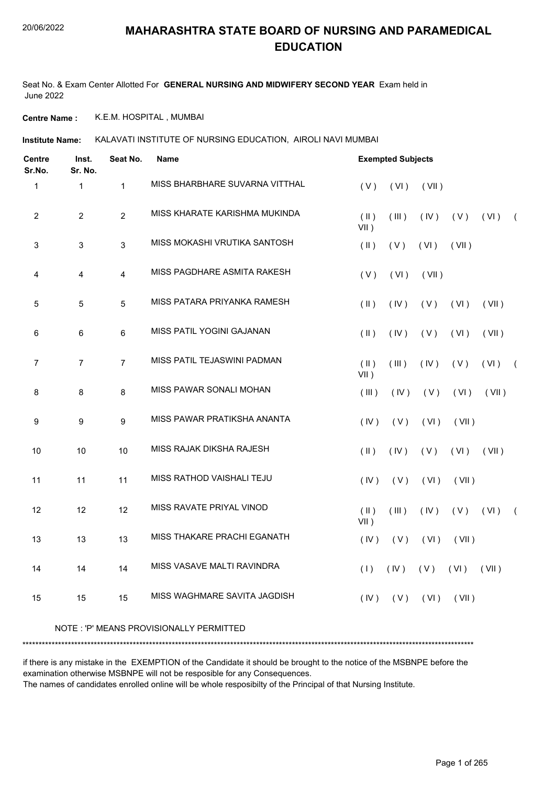### 20/06/2022

### **MAHARASHTRA STATE BOARD OF NURSING AND PARAMEDICAL EDUCATION**

Seat No. & Exam Center Allotted For **GENERAL NURSING AND MIDWIFERY SECOND YEAR** Exam held in June 2022

**Centre Name :** K.E.M. HOSPITAL , MUMBAI

**Institute Name:** KALAVATI INSTITUTE OF NURSING EDUCATION, AIROLI NAVI MUMBAI

| <b>Centre</b><br>Sr.No. | Inst.<br>Sr. No. | Seat No.       | Name                                    |                          | <b>Exempted Subjects</b> |       |       |       |            |
|-------------------------|------------------|----------------|-----------------------------------------|--------------------------|--------------------------|-------|-------|-------|------------|
| $\mathbf{1}$            | $\mathbf{1}$     | $\mathbf{1}$   | MISS BHARBHARE SUVARNA VITTHAL          | (V)                      | (VI)                     | (VII) |       |       |            |
| $\sqrt{2}$              | $\overline{2}$   | $\overline{c}$ | MISS KHARATE KARISHMA MUKINDA           | $(\parallel)$<br>$VII$ ) | (III)                    | (IV)  | (V)   | (VI)  | $\sqrt{2}$ |
| 3                       | $\mathsf 3$      | 3              | MISS MOKASHI VRUTIKA SANTOSH            | $($ II $)$               | (V)                      | (VI)  | (VII) |       |            |
| 4                       | 4                | 4              | MISS PAGDHARE ASMITA RAKESH             | (V)                      | (VI)                     | (VII) |       |       |            |
| 5                       | 5                | 5              | MISS PATARA PRIYANKA RAMESH             | $(\parallel)$            | (IV)                     | (V)   | (VI)  | (VII) |            |
| 6                       | 6                | 6              | MISS PATIL YOGINI GAJANAN               | $($ II $)$               | (IV)                     | (V)   | (VI)  | (VII) |            |
| $\overline{7}$          | $\overline{7}$   | $\overline{7}$ | MISS PATIL TEJASWINI PADMAN             | $(\parallel)$<br>$VII$ ) | (III)                    | (IV)  | (V)   | (VI)  | $\sqrt{2}$ |
| 8                       | 8                | 8              | MISS PAWAR SONALI MOHAN                 | (III)                    | (IV)                     | (V)   | (VI)  | (VII) |            |
| 9                       | 9                | 9              | MISS PAWAR PRATIKSHA ANANTA             | (IV)                     | (V)                      | (VI)  | (VII) |       |            |
| 10                      | 10               | 10             | MISS RAJAK DIKSHA RAJESH                | $($ II $)$               | (IV)                     | (V)   | (VI)  | (VII) |            |
| 11                      | 11               | 11             | MISS RATHOD VAISHALI TEJU               | (IV)                     | (V)                      | (VI)  | (VII) |       |            |
| 12                      | 12               | 12             | MISS RAVATE PRIYAL VINOD                | $(\parallel)$<br>$VII$ ) | (III)                    | (IV)  | (V)   | (VI)  | $\sqrt{2}$ |
| 13                      | 13               | 13             | <b>MISS THAKARE PRACHI EGANATH</b>      | (IV)                     | (V)                      | (VI)  | (VII) |       |            |
| 14                      | 14               | 14             | MISS VASAVE MALTI RAVINDRA              | (1)                      | (IV)                     | (V)   | (VI)  | (VII) |            |
| 15                      | 15               | 15             | MISS WAGHMARE SAVITA JAGDISH            | (IV)                     | (V)                      | (VI)  | (VII) |       |            |
|                         |                  |                | NOTE: 'P' MEANS PROVISIONALLY PERMITTED |                          |                          |       |       |       |            |

\*\*\*\*\*\*\*\*\*\*\*\*\*\*\*\*\*\*\*\*\*\*\*\*\*\*\*\*\*\*\*\*\*\*\*\*\*\*\*\*\*\*\*\*\*\*\*\*\*\*\*\*\*\*\*\*\*\*\*\*\*\*\*\*\*\*\*\*\*\*\*\*\*\*\*\*\*\*\*\*\*\*\*\*\*\*\*\*\*\*\*\*\*\*\*\*\*\*\*\*\*\*\*\*\*\*\*\*\*\*\*\*\*\*\*\*\*\*\*\*\*\*\*\*\*\*\*\*\*\*\*\*\*\*\*\*\*\*\*

if there is any mistake in the EXEMPTION of the Candidate it should be brought to the notice of the MSBNPE before the examination otherwise MSBNPE will not be resposible for any Consequences.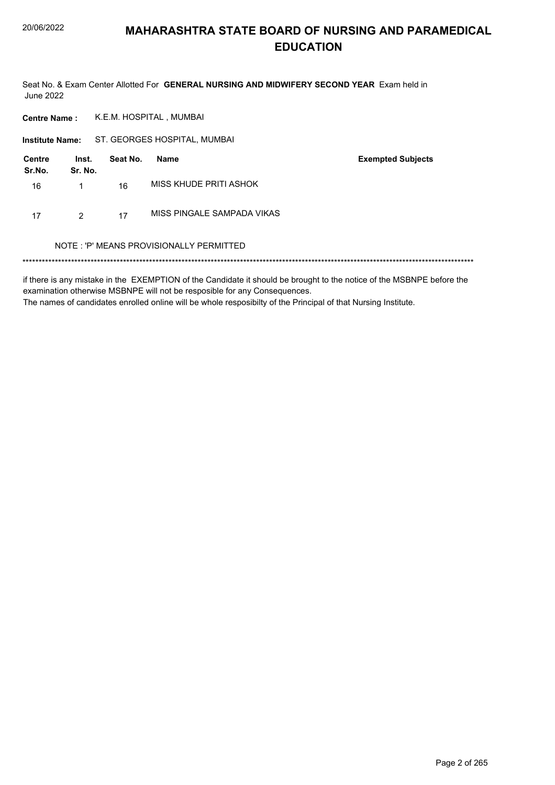Seat No. & Exam Center Allotted For GENERAL NURSING AND MIDWIFERY SECOND YEAR Exam held in **June 2022** 

| <b>Centre Name:</b>     |                  | K.E.M. HOSPITAL, MUMBAI |                                         |                          |  |  |  |  |  |
|-------------------------|------------------|-------------------------|-----------------------------------------|--------------------------|--|--|--|--|--|
| <b>Institute Name:</b>  |                  |                         | ST. GEORGES HOSPITAL, MUMBAI            |                          |  |  |  |  |  |
| <b>Centre</b><br>Sr.No. | Inst.<br>Sr. No. | Seat No.                | <b>Name</b>                             | <b>Exempted Subjects</b> |  |  |  |  |  |
| 16                      | 1                | 16                      | MISS KHUDE PRITI ASHOK                  |                          |  |  |  |  |  |
| 17                      | $\mathcal{P}$    | 17                      | MISS PINGALE SAMPADA VIKAS              |                          |  |  |  |  |  |
|                         |                  |                         | NOTE: 'P' MEANS PROVISIONALLY PERMITTED |                          |  |  |  |  |  |
|                         |                  |                         |                                         |                          |  |  |  |  |  |

if there is any mistake in the EXEMPTION of the Candidate it should be brought to the notice of the MSBNPE before the examination otherwise MSBNPE will not be resposible for any Consequences.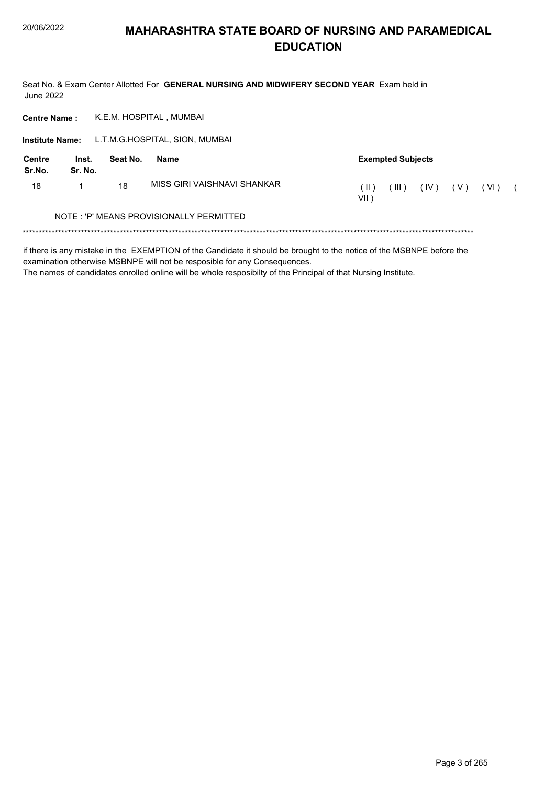Seat No. & Exam Center Allotted For GENERAL NURSING AND MIDWIFERY SECOND YEAR Exam held in **June 2022** 

K.E.M. HOSPITAL, MUMBAI **Centre Name:** 

Institute Name: L.T.M.G.HOSPITAL, SION, MUMBAI

| Centre<br>Sr.No. | Inst.<br>Sr. No. | Seat No. | <b>Exempted Subjects</b><br>Name        |             |         |      |     |        |  |
|------------------|------------------|----------|-----------------------------------------|-------------|---------|------|-----|--------|--|
| 18               |                  | 18       | MISS GIRI VAISHNAVI SHANKAR             | (Н<br>VII ) | $III$ ) | (IV) | (V) | ( VI ) |  |
|                  |                  |          | NOTE: 'P' MEANS PROVISIONALLY PERMITTED |             |         |      |     |        |  |
|                  |                  |          |                                         |             |         |      |     |        |  |

if there is any mistake in the EXEMPTION of the Candidate it should be brought to the notice of the MSBNPE before the

examination otherwise MSBNPE will not be resposible for any Consequences.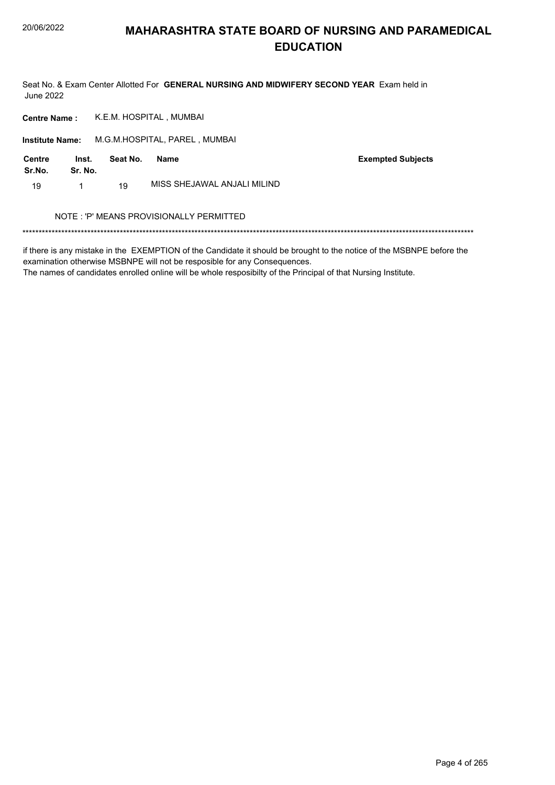Seat No. & Exam Center Allotted For GENERAL NURSING AND MIDWIFERY SECOND YEAR Exam held in **June 2022** 

K.E.M. HOSPITAL, MUMBAI **Centre Name:** 

Institute Name: M.G.M.HOSPITAL, PAREL, MUMBAI

| Centre<br>Sr.No. | Inst.<br>Sr. No. | Seat No. | Name                        | <b>Exempted Subjects</b> |
|------------------|------------------|----------|-----------------------------|--------------------------|
| 19               |                  | 19       | MISS SHEJAWAL ANJALI MILIND |                          |

### NOTE : 'P' MEANS PROVISIONALLY PERMITTED

if there is any mistake in the EXEMPTION of the Candidate it should be brought to the notice of the MSBNPE before the examination otherwise MSBNPE will not be resposible for any Consequences.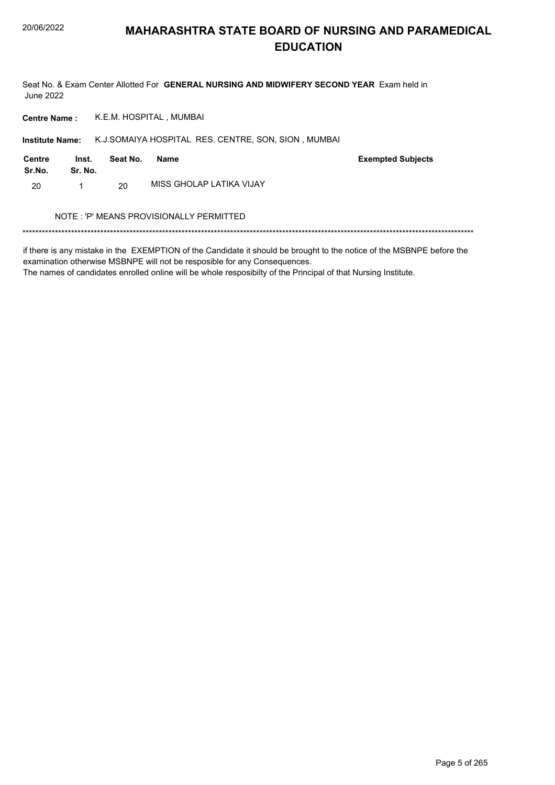Seat No. & Exam Center Allotted For GENERAL NURSING AND MIDWIFERY SECOND YEAR Exam held in **June 2022** 

K.E.M. HOSPITAL, MUMBAI **Centre Name:** 

Institute Name: K.J.SOMAIYA HOSPITAL RES. CENTRE, SON, SION, MUMBAI

| <b>Centre</b><br>Sr.No. | Inst.<br>Sr. No. | Seat No. | Name                     | <b>Exempted Subjects</b> |
|-------------------------|------------------|----------|--------------------------|--------------------------|
| 20                      |                  | 20       | MISS GHOLAP LATIKA VIJAY |                          |

### NOTE : 'P' MEANS PROVISIONALLY PERMITTED

if there is any mistake in the EXEMPTION of the Candidate it should be brought to the notice of the MSBNPE before the examination otherwise MSBNPE will not be resposible for any Consequences.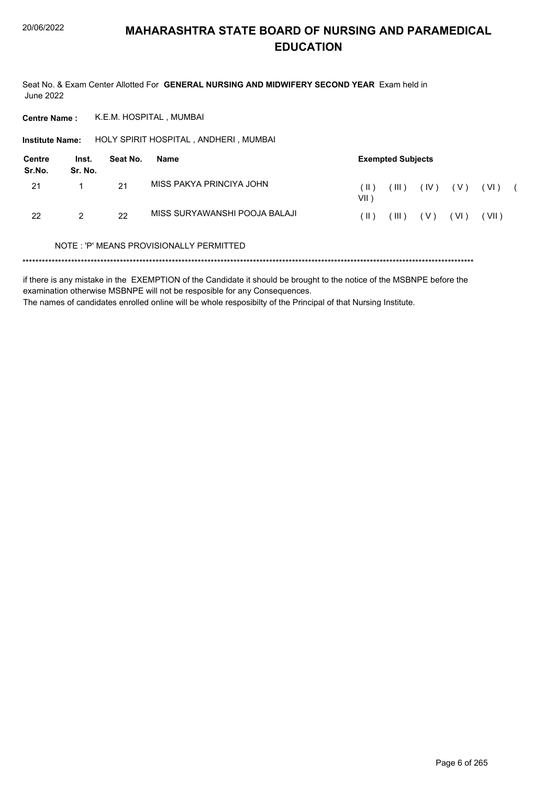Seat No. & Exam Center Allotted For **GENERAL NURSING AND MIDWIFERY SECOND YEAR** Exam held in June 2022

**Centre Name :** K.E.M. HOSPITAL , MUMBAI

**Institute Name: HOLY SPIRIT HOSPITAL , ANDHERI , MUMBAI** 

| Centre<br>Sr.No. | Inst.<br>Sr. No. | Seat No.<br><b>Exempted Subjects</b><br>Name |                               |                |                    |       |       |         |  |
|------------------|------------------|----------------------------------------------|-------------------------------|----------------|--------------------|-------|-------|---------|--|
| 21               |                  | 21                                           | MISS PAKYA PRINCIYA JOHN      | ( II )<br>VII) | $^{\prime}$ III ). | (IV)  | ( V ) | ( VI )  |  |
| 22               | 2                | 22                                           | MISS SURYAWANSHI POOJA BALAJI | ( II )         | (III )             | ( V ) | (VI)  | ( VII ) |  |

### NOTE : 'P' MEANS PROVISIONALLY PERMITTED

\*\*\*\*\*\*\*\*\*\*\*\*\*\*\*\*\*\*\*\*\*\*\*\*\*\*\*\*\*\*\*\*\*\*\*\*\*\*\*\*\*\*\*\*\*\*\*\*\*\*\*\*\*\*\*\*\*\*\*\*\*\*\*\*\*\*\*\*\*\*\*\*\*\*\*\*\*\*\*\*\*\*\*\*\*\*\*\*\*\*\*\*\*\*\*\*\*\*\*\*\*\*\*\*\*\*\*\*\*\*\*\*\*\*\*\*\*\*\*\*\*\*\*\*\*\*\*\*\*\*\*\*\*\*\*\*\*\*\*

if there is any mistake in the EXEMPTION of the Candidate it should be brought to the notice of the MSBNPE before the examination otherwise MSBNPE will not be resposible for any Consequences. The names of candidates enrolled online will be whole resposibilty of the Principal of that Nursing Institute.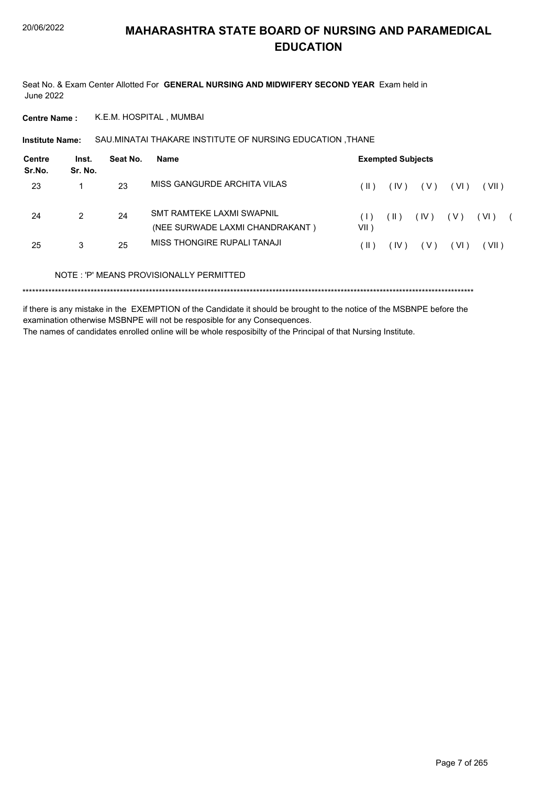Seat No. & Exam Center Allotted For **GENERAL NURSING AND MIDWIFERY SECOND YEAR** Exam held in June 2022

**Centre Name :** K.E.M. HOSPITAL , MUMBAI

SAU.MINATAI THAKARE INSTITUTE OF NURSING EDUCATION ,THANE **Institute Name:**

| Centre<br>Sr.No. | Inst.<br>Sr. No. | Seat No. | <b>Name</b>                                                         | <b>Exempted Subjects</b> |      |                     |        |        |  |
|------------------|------------------|----------|---------------------------------------------------------------------|--------------------------|------|---------------------|--------|--------|--|
| 23               |                  | 23       | MISS GANGURDE ARCHITA VILAS                                         | (  )                     | (IV) | ( V )               | ( VI ) | (VII)  |  |
| 24               | $\mathcal{P}$    | 24       | <b>SMT RAMTEKE LAXMI SWAPNIL</b><br>(NEE SURWADE LAXMI CHANDRAKANT) | VII)                     | (  ) | (IV)                | ( V )  | ( VI ) |  |
| 25               | 3                | 25       | MISS THONGIRE RUPALI TANAJI                                         | ( II )                   | (IV) | $\langle V \rangle$ | (VI)   | (VII)  |  |
|                  |                  |          | NOTE: 'P' MEANS PROVISIONALLY PERMITTED                             |                          |      |                     |        |        |  |
|                  |                  |          |                                                                     |                          |      |                     |        |        |  |

if there is any mistake in the EXEMPTION of the Candidate it should be brought to the notice of the MSBNPE before the examination otherwise MSBNPE will not be resposible for any Consequences.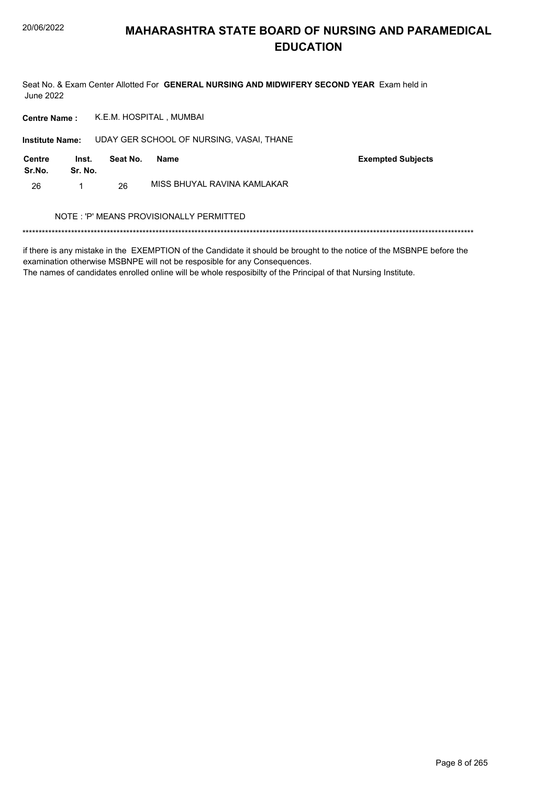Seat No. & Exam Center Allotted For GENERAL NURSING AND MIDWIFERY SECOND YEAR Exam held in **June 2022** 

K.E.M. HOSPITAL, MUMBAI **Centre Name:** 

Institute Name: UDAY GER SCHOOL OF NURSING, VASAI, THANE

| Centre<br>Sr.No. | Inst.<br>Sr. No. | Seat No. | Name                        | <b>Exempted Subjects</b> |
|------------------|------------------|----------|-----------------------------|--------------------------|
| 26               |                  | 26       | MISS BHUYAL RAVINA KAMLAKAR |                          |

### NOTE : 'P' MEANS PROVISIONALLY PERMITTED

if there is any mistake in the EXEMPTION of the Candidate it should be brought to the notice of the MSBNPE before the examination otherwise MSBNPE will not be resposible for any Consequences.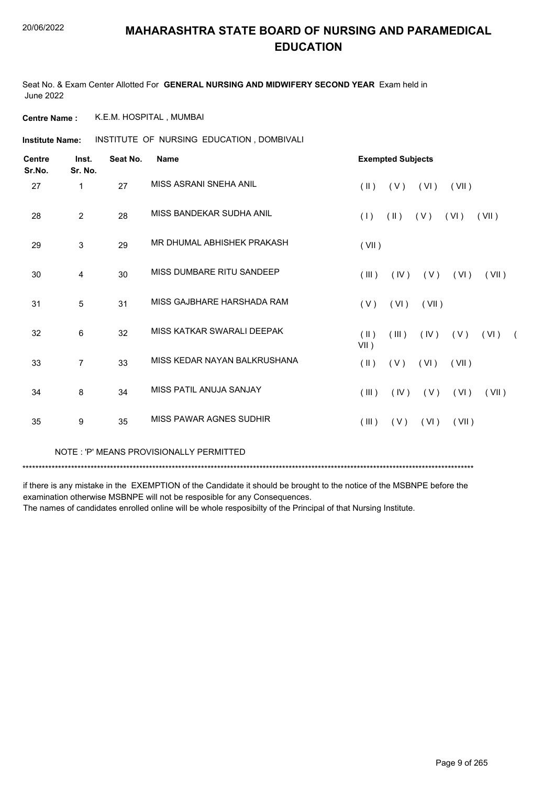Seat No. & Exam Center Allotted For **GENERAL NURSING AND MIDWIFERY SECOND YEAR** Exam held in June 2022

**Centre Name :** K.E.M. HOSPITAL , MUMBAI

**Institute Name: INSTITUTE OF NURSING EDUCATION, DOMBIVALI** 

| <b>Centre</b><br>Sr.No. | Inst.<br>Sr. No. | Seat No. | <b>Name</b>                    | <b>Exempted Subjects</b>                                              |
|-------------------------|------------------|----------|--------------------------------|-----------------------------------------------------------------------|
| 27                      | 1                | 27       | MISS ASRANI SNEHA ANIL         | $(\parallel)$<br>(VI)<br>(VII)<br>(V)                                 |
| 28                      | $\overline{2}$   | 28       | MISS BANDEKAR SUDHA ANIL       | (1)<br>$(\parallel)$<br>(V)<br>(VI)<br>(VII)                          |
| 29                      | 3                | 29       | MR DHUMAL ABHISHEK PRAKASH     | (VII)                                                                 |
| 30                      | $\overline{4}$   | 30       | MISS DUMBARE RITU SANDEEP      | $($ III $)$<br>(IV)<br>(V)<br>(VI)<br>(VII)                           |
| 31                      | 5                | 31       | MISS GAJBHARE HARSHADA RAM     | (V)<br>(VI)<br>(VII)                                                  |
| 32                      | 6                | 32       | MISS KATKAR SWARALI DEEPAK     | $(\parallel)$<br>(IV)<br>(III)<br>(V)<br>( VI )<br>$\sqrt{2}$<br>VII) |
| 33                      | $\overline{7}$   | 33       | MISS KEDAR NAYAN BALKRUSHANA   | $(\parallel)$<br>(V)<br>(VI)<br>(VII)                                 |
| 34                      | 8                | 34       | MISS PATIL ANUJA SANJAY        | (IV)<br>$($ III $)$<br>(V)<br>(VI)<br>(VII)                           |
| 35                      | 9                | 35       | <b>MISS PAWAR AGNES SUDHIR</b> | $($ III $)$<br>(V)<br>(VI)<br>(VII)                                   |

NOTE : 'P' MEANS PROVISIONALLY PERMITTED

\*\*\*\*\*\*\*\*\*\*\*\*\*\*\*\*\*\*\*\*\*\*\*\*\*\*\*\*\*\*\*\*\*\*\*\*\*\*\*\*\*\*\*\*\*\*\*\*\*\*\*\*\*\*\*\*\*\*\*\*\*\*\*\*\*\*\*\*\*\*\*\*\*\*\*\*\*\*\*\*\*\*\*\*\*\*\*\*\*\*\*\*\*\*\*\*\*\*\*\*\*\*\*\*\*\*\*\*\*\*\*\*\*\*\*\*\*\*\*\*\*\*\*\*\*\*\*\*\*\*\*\*\*\*\*\*\*\*\*

if there is any mistake in the EXEMPTION of the Candidate it should be brought to the notice of the MSBNPE before the examination otherwise MSBNPE will not be resposible for any Consequences.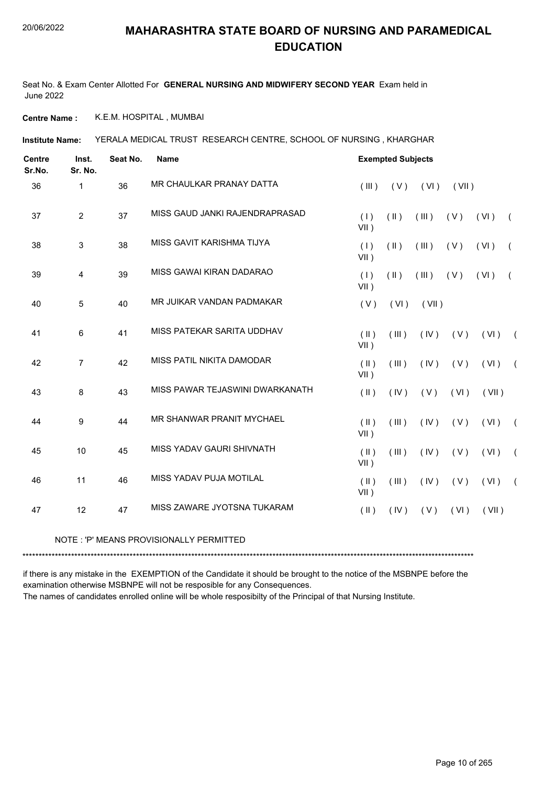Seat No. & Exam Center Allotted For **GENERAL NURSING AND MIDWIFERY SECOND YEAR** Exam held in June 2022

**Centre Name :** K.E.M. HOSPITAL , MUMBAI

YERALA MEDICAL TRUST RESEARCH CENTRE, SCHOOL OF NURSING , KHARGHAR **Institute Name:**

| <b>Centre</b><br>Sr.No. | Inst.<br>Sr. No. | Seat No. | <b>Name</b>                     |                                | <b>Exempted Subjects</b> |       |       |       |                |  |  |
|-------------------------|------------------|----------|---------------------------------|--------------------------------|--------------------------|-------|-------|-------|----------------|--|--|
| 36                      | 1                | 36       | MR CHAULKAR PRANAY DATTA        | (III)                          | (V)                      | (VI)  | (VII) |       |                |  |  |
| 37                      | $\overline{2}$   | 37       | MISS GAUD JANKI RAJENDRAPRASAD  | (1)<br>$VII$ )                 | (11)                     | (III) | (V)   | (VI)  | $\left($       |  |  |
| 38                      | 3                | 38       | MISS GAVIT KARISHMA TIJYA       | (1)<br>$VII$ )                 | $(\parallel)$            | (III) | (V)   | (VI)  | $\overline{ }$ |  |  |
| 39                      | $\overline{4}$   | 39       | MISS GAWAI KIRAN DADARAO        | (1)<br>$VII$ )                 | $($ II $)$               | (III) | (V)   | (VI)  | $\left($       |  |  |
| 40                      | $\overline{5}$   | 40       | MR JUIKAR VANDAN PADMAKAR       | (V)                            | (VI)                     | (VII) |       |       |                |  |  |
| 41                      | 6                | 41       | MISS PATEKAR SARITA UDDHAV      | $($ II $)$<br>VII)             | (III)                    | (IV)  | (V)   | (VI)  | $\sqrt{2}$     |  |  |
| 42                      | $\overline{7}$   | 42       | MISS PATIL NIKITA DAMODAR       | $($ II $)$<br>$VII$ )          | (III)                    | (IV)  | (V)   | (VI)  | $\sqrt{2}$     |  |  |
| 43                      | 8                | 43       | MISS PAWAR TEJASWINI DWARKANATH | $($ II $)$                     | (IV)                     | (V)   | (VI)  | (VII) |                |  |  |
| 44                      | 9                | 44       | MR SHANWAR PRANIT MYCHAEL       | $($ $\parallel$ $)$<br>$VII$ ) | (III)                    | (IV)  | (V)   | (VI)  | $\sqrt{2}$     |  |  |
| 45                      | 10               | 45       | MISS YADAV GAURI SHIVNATH       | $($ II $)$<br>$VII$ )          | (III)                    | (IV)  | (V)   | (VI)  | $\sqrt{2}$     |  |  |
| 46                      | 11               | 46       | MISS YADAV PUJA MOTILAL         | $($ II $)$<br>$VII$ )          | (III)                    | (IV)  | (V)   | (VI)  | $\sqrt{2}$     |  |  |
| 47                      | 12               | 47       | MISS ZAWARE JYOTSNA TUKARAM     | $($ II $)$                     | (IV)                     | (V)   | (VI)  | (VII) |                |  |  |

#### NOTE : 'P' MEANS PROVISIONALLY PERMITTED

\*\*\*\*\*\*\*\*\*\*\*\*\*\*\*\*\*\*\*\*\*\*\*\*\*\*\*\*\*\*\*\*\*\*\*\*\*\*\*\*\*\*\*\*\*\*\*\*\*\*\*\*\*\*\*\*\*\*\*\*\*\*\*\*\*\*\*\*\*\*\*\*\*\*\*\*\*\*\*\*\*\*\*\*\*\*\*\*\*\*\*\*\*\*\*\*\*\*\*\*\*\*\*\*\*\*\*\*\*\*\*\*\*\*\*\*\*\*\*\*\*\*\*\*\*\*\*\*\*\*\*\*\*\*\*\*\*\*\*

if there is any mistake in the EXEMPTION of the Candidate it should be brought to the notice of the MSBNPE before the examination otherwise MSBNPE will not be resposible for any Consequences.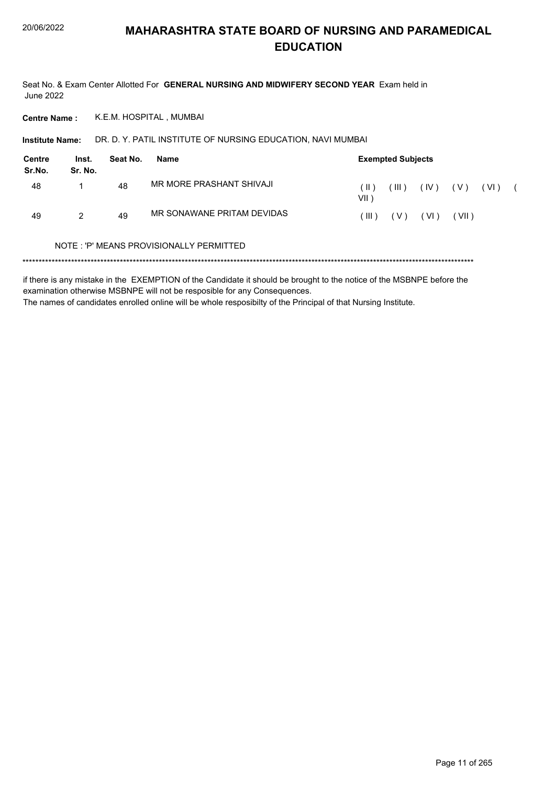Seat No. & Exam Center Allotted For GENERAL NURSING AND MIDWIFERY SECOND YEAR Exam held in **June 2022** 

K.E.M. HOSPITAL, MUMBAI **Centre Name:** 

DR. D. Y. PATIL INSTITUTE OF NURSING EDUCATION, NAVI MUMBAI **Institute Name:** 

| <b>Centre</b><br>Sr.No. | Inst.<br>Sr. No. | Seat No. | Name                       | <b>Exempted Subjects</b> |             |      |       |        |  |  |  |  |
|-------------------------|------------------|----------|----------------------------|--------------------------|-------------|------|-------|--------|--|--|--|--|
| 48                      |                  | 48       | MR MORE PRASHANT SHIVAJI   | Π)<br>VII i              | $($ III $)$ | (IV) | (V)   | ( VI ) |  |  |  |  |
| 49                      | 2                | 49       | MR SONAWANE PRITAM DEVIDAS | $\mathbb{H}$ )           | (V)         | (VI) | (VII) |        |  |  |  |  |

### NOTE: 'P' MEANS PROVISIONALLY PERMITTED

if there is any mistake in the EXEMPTION of the Candidate it should be brought to the notice of the MSBNPE before the examination otherwise MSBNPE will not be resposible for any Consequences. The names of candidates enrolled online will be whole resposibilty of the Principal of that Nursing Institute.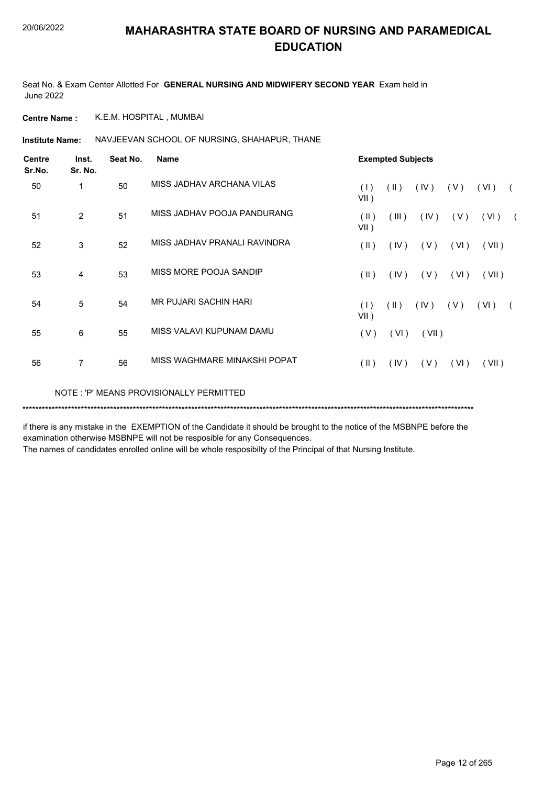Seat No. & Exam Center Allotted For **GENERAL NURSING AND MIDWIFERY SECOND YEAR** Exam held in June 2022

**Centre Name :** K.E.M. HOSPITAL , MUMBAI

Institute Name: NAVJEEVAN SCHOOL OF NURSING, SHAHAPUR, THANE

| <b>Centre</b><br>Sr.No. | Inst.<br>Sr. No. | Seat No. | <b>Name</b>                             |                         | <b>Exempted Subjects</b> |       |      |       |            |  |  |  |
|-------------------------|------------------|----------|-----------------------------------------|-------------------------|--------------------------|-------|------|-------|------------|--|--|--|
| 50                      | 1                | 50       | MISS JADHAV ARCHANA VILAS               | (1)<br>$VII$ )          | $(\parallel \parallel)$  | (IV)  | (V)  | (VI)  |            |  |  |  |
| 51                      | $\overline{2}$   | 51       | MISS JADHAV POOJA PANDURANG             | (II)<br>$VII$ )         | (III)                    | (IV)  | (V)  | (VI)  | $\sqrt{2}$ |  |  |  |
| 52                      | 3                | 52       | MISS JADHAV PRANALI RAVINDRA            | $(\parallel \parallel)$ | (IV)                     | (V)   | (VI) | (VII) |            |  |  |  |
| 53                      | 4                | 53       | MISS MORE POOJA SANDIP                  | $(\parallel)$           | (IV)                     | (V)   | (VI) | (VII) |            |  |  |  |
| 54                      | 5                | 54       | MR PUJARI SACHIN HARI                   | (1)<br>$VII$ )          | (11)                     | (IV)  | (V)  | (VI)  |            |  |  |  |
| 55                      | 6                | 55       | MISS VALAVI KUPUNAM DAMU                | (V)                     | (VI)                     | (VII) |      |       |            |  |  |  |
| 56                      | $\overline{7}$   | 56       | MISS WAGHMARE MINAKSHI POPAT            | $(\parallel \parallel)$ | (IV)                     | (V)   | (VI) | (VII) |            |  |  |  |
|                         |                  |          | NOTE: 'P' MEANS PROVISIONALLY PERMITTED |                         |                          |       |      |       |            |  |  |  |

\*\*\*\*\*\*\*\*\*\*\*\*\*\*\*\*\*\*\*\*\*\*\*\*\*\*\*\*\*\*\*\*\*\*\*\*\*\*\*\*\*\*\*\*\*\*\*\*\*\*\*\*\*\*\*\*\*\*\*\*\*\*\*\*\*\*\*\*\*\*\*\*\*\*\*\*\*\*\*\*\*\*\*\*\*\*\*\*\*\*\*\*\*\*\*\*\*\*\*\*\*\*\*\*\*\*\*\*\*\*\*\*\*\*\*\*\*\*\*\*\*\*\*\*\*\*\*\*\*\*\*\*\*\*\*\*\*\*\*

if there is any mistake in the EXEMPTION of the Candidate it should be brought to the notice of the MSBNPE before the examination otherwise MSBNPE will not be resposible for any Consequences.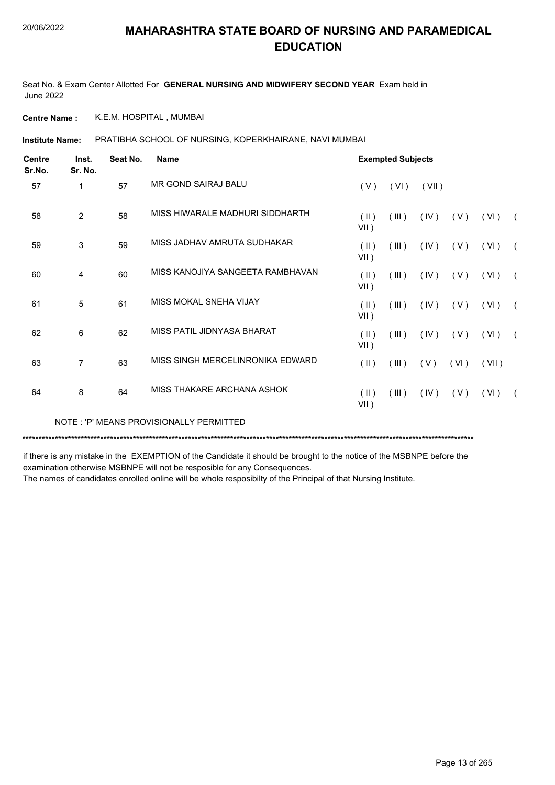Seat No. & Exam Center Allotted For **GENERAL NURSING AND MIDWIFERY SECOND YEAR** Exam held in June 2022

**Centre Name :** K.E.M. HOSPITAL , MUMBAI

PRATIBHA SCHOOL OF NURSING, KOPERKHAIRANE, NAVI MUMBAI **Institute Name:**

| <b>Centre</b><br>Sr.No. | Inst.<br>Sr. No. | Seat No. | <b>Name</b>                             |                          | <b>Exempted Subjects</b> |       |      |       |            |
|-------------------------|------------------|----------|-----------------------------------------|--------------------------|--------------------------|-------|------|-------|------------|
| 57                      | 1                | 57       | MR GOND SAIRAJ BALU                     | (V)                      | (VI)                     | (VII) |      |       |            |
| 58                      | $\overline{2}$   | 58       | MISS HIWARALE MADHURI SIDDHARTH         | $(\parallel)$<br>$VII$ ) | (III)                    | (IV)  | (V)  | (VI)  | $\sqrt{2}$ |
| 59                      | 3                | 59       | MISS JADHAV AMRUTA SUDHAKAR             | $(\parallel)$<br>$VII$ ) | (III)                    | (IV)  | (V)  | (VI)  | $\sqrt{2}$ |
| 60                      | 4                | 60       | MISS KANOJIYA SANGEETA RAMBHAVAN        | $($ II $)$<br>$VII$ )    | (III)                    | (IV)  | (V)  | (VI)  | $\sqrt{2}$ |
| 61                      | 5                | 61       | MISS MOKAL SNEHA VIJAY                  | $($ II $)$<br>$VII$ )    | (III)                    | (IV)  | (V)  | (VI)  | $\sqrt{2}$ |
| 62                      | 6                | 62       | MISS PATIL JIDNYASA BHARAT              | (II)<br>$VII$ )          | (III)                    | (IV)  | (V)  | (VI)  | $\sqrt{2}$ |
| 63                      | $\overline{7}$   | 63       | MISS SINGH MERCELINRONIKA EDWARD        | $(\parallel)$            | (III)                    | (V)   | (VI) | (VII) |            |
| 64                      | 8                | 64       | MISS THAKARE ARCHANA ASHOK              | $(\parallel)$<br>VII)    | (III)                    | (IV)  | (V)  | (VI)  | $\sqrt{2}$ |
|                         |                  |          | NOTE: 'P' MEANS PROVISIONALLY PERMITTED |                          |                          |       |      |       |            |

\*\*\*\*\*\*\*\*\*\*\*\*\*\*\*\*\*\*\*\*\*\*\*\*\*\*\*\*\*\*\*\*\*\*\*\*\*\*\*\*\*\*\*\*\*\*\*\*\*\*\*\*\*\*\*\*\*\*\*\*\*\*\*\*\*\*\*\*\*\*\*\*\*\*\*\*\*\*\*\*\*\*\*\*\*\*\*\*\*\*\*\*\*\*\*\*\*\*\*\*\*\*\*\*\*\*\*\*\*\*\*\*\*\*\*\*\*\*\*\*\*\*\*\*\*\*\*\*\*\*\*\*\*\*\*\*\*\*\*

if there is any mistake in the EXEMPTION of the Candidate it should be brought to the notice of the MSBNPE before the examination otherwise MSBNPE will not be resposible for any Consequences.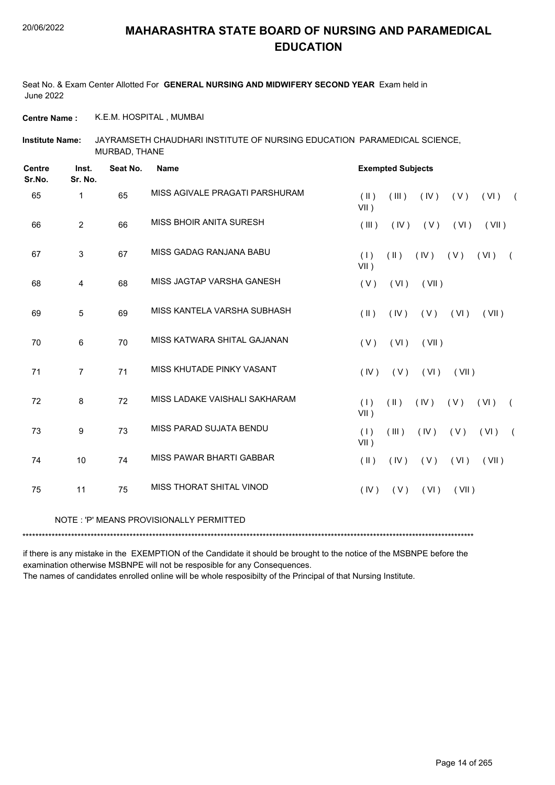Seat No. & Exam Center Allotted For **GENERAL NURSING AND MIDWIFERY SECOND YEAR** Exam held in June 2022

**Centre Name :** K.E.M. HOSPITAL , MUMBAI

JAYRAMSETH CHAUDHARI INSTITUTE OF NURSING EDUCATION PARAMEDICAL SCIENCE, MURBAD, THANE **Institute Name:**

| <b>Centre</b><br>Sr.No. | Inst.<br>Sr. No. | Seat No. | <b>Name</b>                             | <b>Exempted Subjects</b>                                             |
|-------------------------|------------------|----------|-----------------------------------------|----------------------------------------------------------------------|
| 65                      | $\mathbf 1$      | 65       | MISS AGIVALE PRAGATI PARSHURAM          | (III)<br>(IV)<br>(V)<br>(  )<br>$(VI)$ (<br>$VII$ )                  |
| 66                      | $\overline{2}$   | 66       | MISS BHOIR ANITA SURESH                 | (III)<br>(IV)<br>(V)<br>(VI)<br>(VII)                                |
| 67                      | 3                | 67       | MISS GADAG RANJANA BABU                 | (1)<br>$(\parallel)$<br>(IV)<br>(V)<br>(VI)<br>$\sqrt{2}$<br>$VII$ ) |
| 68                      | 4                | 68       | MISS JAGTAP VARSHA GANESH               | (V)<br>(VI)<br>(VII)                                                 |
| 69                      | 5                | 69       | MISS KANTELA VARSHA SUBHASH             | $(\parallel \parallel)$<br>(IV)<br>(V)<br>(VI)<br>(VII)              |
| 70                      | 6                | 70       | MISS KATWARA SHITAL GAJANAN             | (V)<br>(VI)<br>(VII)                                                 |
| 71                      | $\overline{7}$   | 71       | MISS KHUTADE PINKY VASANT               | (IV)<br>(V)<br>(VI)<br>(VII)                                         |
| 72                      | 8                | 72       | MISS LADAKE VAISHALI SAKHARAM           | (1)<br>(11)<br>(IV)<br>(V)<br>(VI)<br>$\left($<br>$VII$ )            |
| 73                      | $\boldsymbol{9}$ | 73       | MISS PARAD SUJATA BENDU                 | (1)<br>(III)<br>(VI)<br>(IV)<br>(V)<br>$\sqrt{2}$<br>$VII$ )         |
| 74                      | 10               | 74       | MISS PAWAR BHARTI GABBAR                | (VI)<br>$(\parallel)$<br>(IV)<br>(V)<br>(VII)                        |
| 75                      | 11               | 75       | MISS THORAT SHITAL VINOD                | (IV)<br>(V)<br>(VI)<br>(VII)                                         |
|                         |                  |          | NOTE: 'P' MEANS PROVISIONALLY PERMITTED |                                                                      |

\*\*\*\*\*\*\*\*\*\*\*\*\*\*\*\*\*\*\*\*\*\*\*\*\*\*\*\*\*\*\*\*\*\*\*\*\*\*\*\*\*\*\*\*\*\*\*\*\*\*\*\*\*\*\*\*\*\*\*\*\*\*\*\*\*\*\*\*\*\*\*\*\*\*\*\*\*\*\*\*\*\*\*\*\*\*\*\*\*\*\*\*\*\*\*\*\*\*\*\*\*\*\*\*\*\*\*\*\*\*\*\*\*\*\*\*\*\*\*\*\*\*\*\*\*\*\*\*\*\*\*\*\*\*\*\*\*\*\*

if there is any mistake in the EXEMPTION of the Candidate it should be brought to the notice of the MSBNPE before the examination otherwise MSBNPE will not be resposible for any Consequences.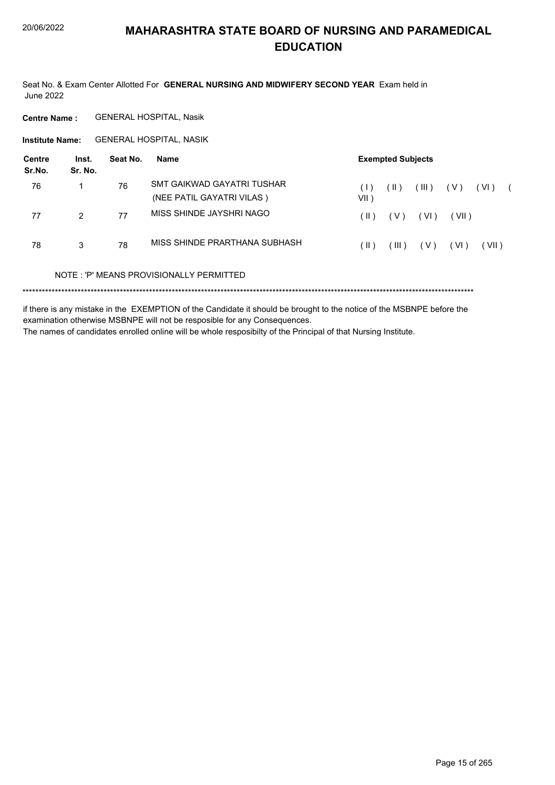Seat No. & Exam Center Allotted For GENERAL NURSING AND MIDWIFERY SECOND YEAR Exam held in **June 2022** 

**Centre Name: GENERAL HOSPITAL, Nasik** 

Institute Name: GENERAL HOSPITAL, NASIK

| Centre<br>Sr.No. | Inst.<br>Sr. No. | Seat No. | Name                                                    |                      | <b>Exempted Subjects</b> |       |        |        |  |
|------------------|------------------|----------|---------------------------------------------------------|----------------------|--------------------------|-------|--------|--------|--|
| 76               | 1                | 76       | SMT GAIKWAD GAYATRI TUSHAR<br>(NEE PATIL GAYATRI VILAS) | $( \   )$<br>$VII$ ) | $(\parallel)$            | (III) | ( V )  | ( VI ) |  |
| 77               | $\mathcal{P}$    | 77       | MISS SHINDE JAYSHRI NAGO                                | H)                   | ( V )                    | (VI)  | (VII)  |        |  |
| 78               | 3                | 78       | MISS SHINDE PRARTHANA SUBHASH                           | Ή)                   | $^{\prime}$ III ).       | ( V ) | ( VI ) | (VII)  |  |
|                  |                  |          | NOTE: 'P' MEANS PROVISIONALLY PERMITTED                 |                      |                          |       |        |        |  |
|                  |                  |          |                                                         |                      |                          |       |        |        |  |

if there is any mistake in the EXEMPTION of the Candidate it should be brought to the notice of the MSBNPE before the examination otherwise MSBNPE will not be resposible for any Consequences. The names of candidates enrolled online will be whole resposibilty of the Principal of that Nursing Institute.

Page 15 of 265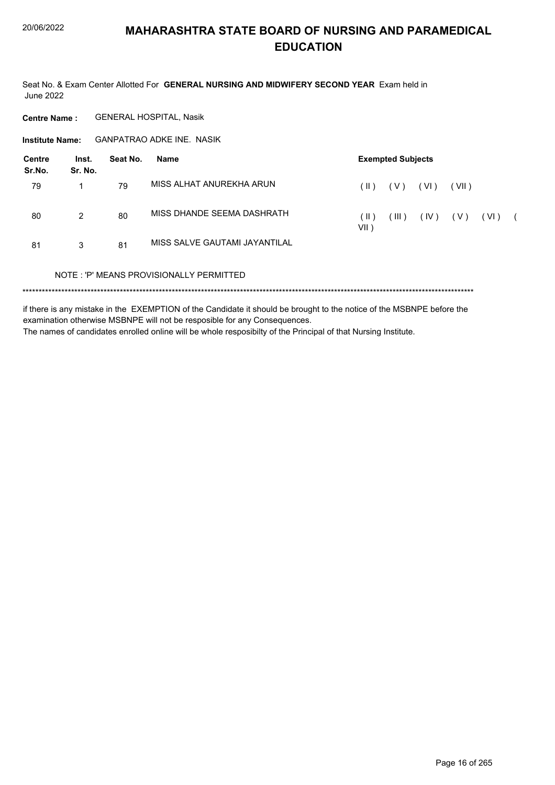Seat No. & Exam Center Allotted For GENERAL NURSING AND MIDWIFERY SECOND YEAR Exam held in **June 2022** 

**Centre Name: GENERAL HOSPITAL, Nasik** 

**GANPATRAO ADKE INE. NASIK Institute Name:** 

| Centre<br>Sr.No. | Inst.<br>Sr. No. | Seat No. | Name                                    |                 | <b>Exempted Subjects</b> |      |       |      |  |
|------------------|------------------|----------|-----------------------------------------|-----------------|--------------------------|------|-------|------|--|
| 79               |                  | 79       | MISS ALHAT ANUREKHA ARUN                | $( \parallel )$ | (V)                      | (VI) | (VII) |      |  |
| 80               | 2                | 80       | MISS DHANDE SEEMA DASHRATH              | ( II )<br>VII)  | (III)                    | (IV) | ( V ) | (VI) |  |
| 81               | 3                | 81       | MISS SALVE GAUTAMI JAYANTILAL           |                 |                          |      |       |      |  |
|                  |                  |          | NOTE: 'P' MEANS PROVISIONALLY PERMITTED |                 |                          |      |       |      |  |
|                  |                  |          |                                         |                 |                          |      |       |      |  |

if there is any mistake in the EXEMPTION of the Candidate it should be brought to the notice of the MSBNPE before the examination otherwise MSBNPE will not be resposible for any Consequences. The names of candidates enrolled online will be whole resposibilty of the Principal of that Nursing Institute.

Page 16 of 265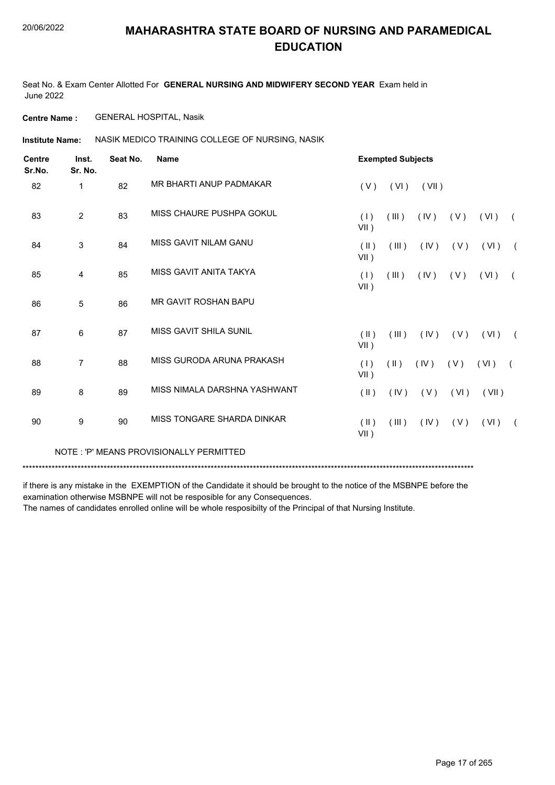Seat No. & Exam Center Allotted For **GENERAL NURSING AND MIDWIFERY SECOND YEAR** Exam held in June 2022

**Centre Name :** GENERAL HOSPITAL, Nasik

**Institute Name: ASSIK MEDICO TRAINING COLLEGE OF NURSING, NASIK** 

| <b>Centre</b><br>Sr.No. | Inst.<br>Sr. No. | Seat No. | <b>Name</b>                             |                       | <b>Exempted Subjects</b> |       |       |       |            |
|-------------------------|------------------|----------|-----------------------------------------|-----------------------|--------------------------|-------|-------|-------|------------|
| 82                      | 1                | 82       | MR BHARTI ANUP PADMAKAR                 | (V)                   | (VI)                     | (VII) |       |       |            |
| 83                      | $\overline{2}$   | 83       | MISS CHAURE PUSHPA GOKUL                | (1)<br>$VII$ )        | (III)                    | (IV)  | (V)   | (VI)  | $\sqrt{2}$ |
| 84                      | 3                | 84       | MISS GAVIT NILAM GANU                   | $($ II $)$<br>$VII$ ) | (III)                    | (IV)  | (V)   | (VI)  | $\sqrt{2}$ |
| 85                      | 4                | 85       | MISS GAVIT ANITA TAKYA                  | (1)<br>$VII$ )        | (III)                    | (IV)  | (V)   | (VI)  | $\sqrt{2}$ |
| 86                      | 5                | 86       | <b>MR GAVIT ROSHAN BAPU</b>             |                       |                          |       |       |       |            |
| 87                      | 6                | 87       | MISS GAVIT SHILA SUNIL                  | (  )<br>VII)          | (III)                    | (IV)  | ( V ) | (VI)  | $\sqrt{2}$ |
| 88                      | $\overline{7}$   | 88       | MISS GURODA ARUNA PRAKASH               | (1)<br>$VII$ )        | $(\parallel \parallel)$  | (IV)  | (V)   | (VI)  | $\sqrt{2}$ |
| 89                      | 8                | 89       | MISS NIMALA DARSHNA YASHWANT            | $(\parallel)$         | (IV)                     | (V)   | (VI)  | (VII) |            |
| 90                      | 9                | 90       | MISS TONGARE SHARDA DINKAR              | $($ II $)$<br>VII)    | (III)                    | (IV)  | (V)   | (VI)  | $\sqrt{2}$ |
|                         |                  |          | NOTE: 'P' MEANS PROVISIONALLY PERMITTED |                       |                          |       |       |       |            |

\*\*\*\*\*\*\*\*\*\*\*\*\*\*\*\*\*\*\*\*\*\*\*\*\*\*\*\*\*\*\*\*\*\*\*\*\*\*\*\*\*\*\*\*\*\*\*\*\*\*\*\*\*\*\*\*\*\*\*\*\*\*\*\*\*\*\*\*\*\*\*\*\*\*\*\*\*\*\*\*\*\*\*\*\*\*\*\*\*\*\*\*\*\*\*\*\*\*\*\*\*\*\*\*\*\*\*\*\*\*\*\*\*\*\*\*\*\*\*\*\*\*\*\*\*\*\*\*\*\*\*\*\*\*\*\*\*\*\*

if there is any mistake in the EXEMPTION of the Candidate it should be brought to the notice of the MSBNPE before the examination otherwise MSBNPE will not be resposible for any Consequences.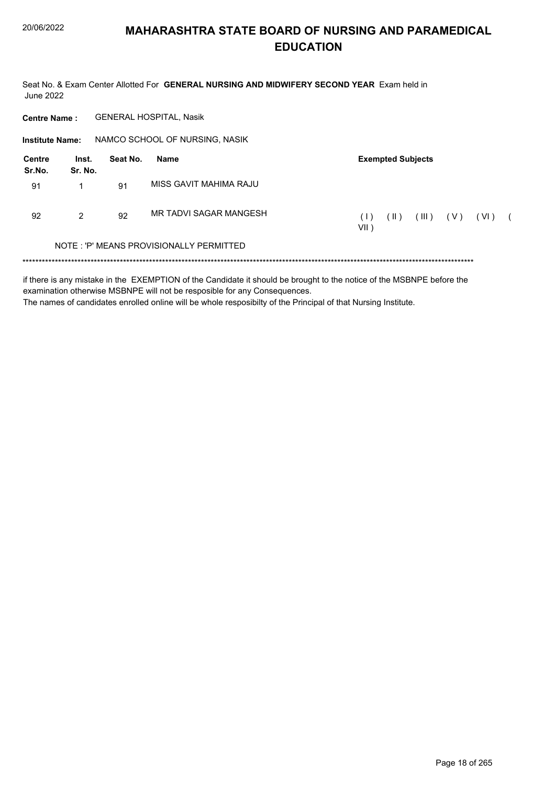Seat No. & Exam Center Allotted For GENERAL NURSING AND MIDWIFERY SECOND YEAR Exam held in June 2022

| <b>Centre Name:</b>    |                  |          | <b>GENERAL HOSPITAL, Nasik</b>          |                                                                       |
|------------------------|------------------|----------|-----------------------------------------|-----------------------------------------------------------------------|
| <b>Institute Name:</b> |                  |          | NAMCO SCHOOL OF NURSING, NASIK          |                                                                       |
| Centre<br>Sr.No.       | Inst.<br>Sr. No. | Seat No. | Name                                    | <b>Exempted Subjects</b>                                              |
| 91                     | 1                | 91       | MISS GAVIT MAHIMA RAJU                  |                                                                       |
| 92                     | 2                | 92       | MR TADVI SAGAR MANGESH                  | (III)<br>(1)<br>$(\parallel)$<br>(V)<br>(VI)<br>$\sqrt{2}$<br>$VII$ ) |
|                        |                  |          | NOTE: 'P' MEANS PROVISIONALLY PERMITTED |                                                                       |

if there is any mistake in the EXEMPTION of the Candidate it should be brought to the notice of the MSBNPE before the examination otherwise MSBNPE will not be resposible for any Consequences. The names of candidates enrolled online will be whole resposibilty of the Principal of that Nursing Institute.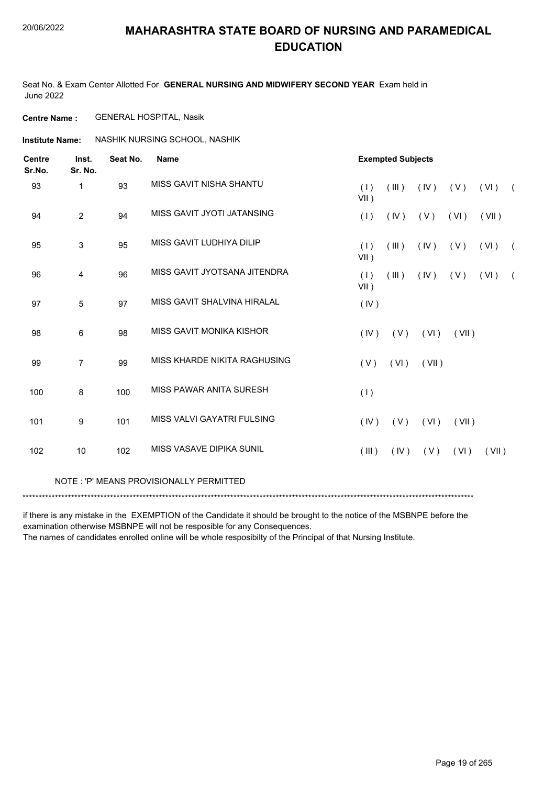Seat No. & Exam Center Allotted For **GENERAL NURSING AND MIDWIFERY SECOND YEAR** Exam held in June 2022

**Centre Name :** GENERAL HOSPITAL, Nasik

**Institute Name: ASSHIK NURSING SCHOOL, NASHIK** 

| <b>Centre</b><br>Sr.No. | Inst.<br>Sr. No. | Seat No. | <b>Name</b>                  |                | <b>Exempted Subjects</b> |            |       |       |            |
|-------------------------|------------------|----------|------------------------------|----------------|--------------------------|------------|-------|-------|------------|
| 93                      | $\mathbf{1}$     | 93       | MISS GAVIT NISHA SHANTU      | (1)<br>$VII$ ) | $($ III $)$              | (IV)       | (V)   | (VI)  | $\sqrt{2}$ |
| 94                      | $\overline{2}$   | 94       | MISS GAVIT JYOTI JATANSING   | (1)            | (IV)                     | (V)        | (VI)  | (VII) |            |
| 95                      | 3                | 95       | MISS GAVIT LUDHIYA DILIP     | (1)<br>$VII$ ) | (III)                    | $($ IV $)$ | (V)   | (VI)  | $\sqrt{2}$ |
| 96                      | 4                | 96       | MISS GAVIT JYOTSANA JITENDRA | (1)<br>$VII$ ) | (III)                    | (IV)       | ( V ) | (VI)  | $\sqrt{2}$ |
| 97                      | 5                | 97       | MISS GAVIT SHALVINA HIRALAL  | (IV)           |                          |            |       |       |            |
| 98                      | 6                | 98       | MISS GAVIT MONIKA KISHOR     | (IV)           | (V)                      | (VI)       | (VII) |       |            |
| 99                      | $\overline{7}$   | 99       | MISS KHARDE NIKITA RAGHUSING | (V)            | (VI)                     | (VII)      |       |       |            |
| 100                     | 8                | 100      | MISS PAWAR ANITA SURESH      | (1)            |                          |            |       |       |            |
| 101                     | 9                | 101      | MISS VALVI GAYATRI FULSING   | (IV)           | (V)                      | (VI)       | (VII) |       |            |
| 102                     | 10               | 102      | MISS VASAVE DIPIKA SUNIL     | (III)          | (IV)                     | ( V )      | (VI)  | (VII) |            |
|                         |                  |          |                              |                |                          |            |       |       |            |

#### NOTE : 'P' MEANS PROVISIONALLY PERMITTED

\*\*\*\*\*\*\*\*\*\*\*\*\*\*\*\*\*\*\*\*\*\*\*\*\*\*\*\*\*\*\*\*\*\*\*\*\*\*\*\*\*\*\*\*\*\*\*\*\*\*\*\*\*\*\*\*\*\*\*\*\*\*\*\*\*\*\*\*\*\*\*\*\*\*\*\*\*\*\*\*\*\*\*\*\*\*\*\*\*\*\*\*\*\*\*\*\*\*\*\*\*\*\*\*\*\*\*\*\*\*\*\*\*\*\*\*\*\*\*\*\*\*\*\*\*\*\*\*\*\*\*\*\*\*\*\*\*\*\*

if there is any mistake in the EXEMPTION of the Candidate it should be brought to the notice of the MSBNPE before the examination otherwise MSBNPE will not be resposible for any Consequences.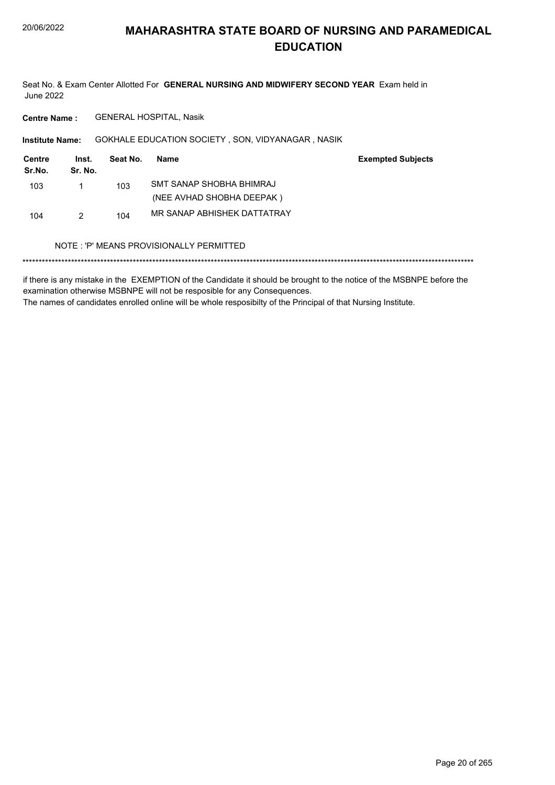Seat No. & Exam Center Allotted For GENERAL NURSING AND MIDWIFERY SECOND YEAR Exam held in **June 2022** 

**GENERAL HOSPITAL, Nasik Centre Name:** 

Institute Name: GOKHALE EDUCATION SOCIETY, SON, VIDYANAGAR, NASIK

| Centre<br>Sr.No. | Inst.<br>Sr. No. | Seat No. | Name                        | <b>Exempted Subjects</b> |
|------------------|------------------|----------|-----------------------------|--------------------------|
| 103              |                  | 103      | SMT SANAP SHOBHA BHIMRAJ    |                          |
|                  |                  |          | (NEE AVHAD SHOBHA DEEPAK)   |                          |
| 104              | 2                | 104      | MR SANAP ABHISHEK DATTATRAY |                          |

### NOTE: 'P' MEANS PROVISIONALLY PERMITTED

if there is any mistake in the EXEMPTION of the Candidate it should be brought to the notice of the MSBNPE before the examination otherwise MSBNPE will not be resposible for any Consequences. The names of candidates enrolled online will be whole resposibilty of the Principal of that Nursing Institute.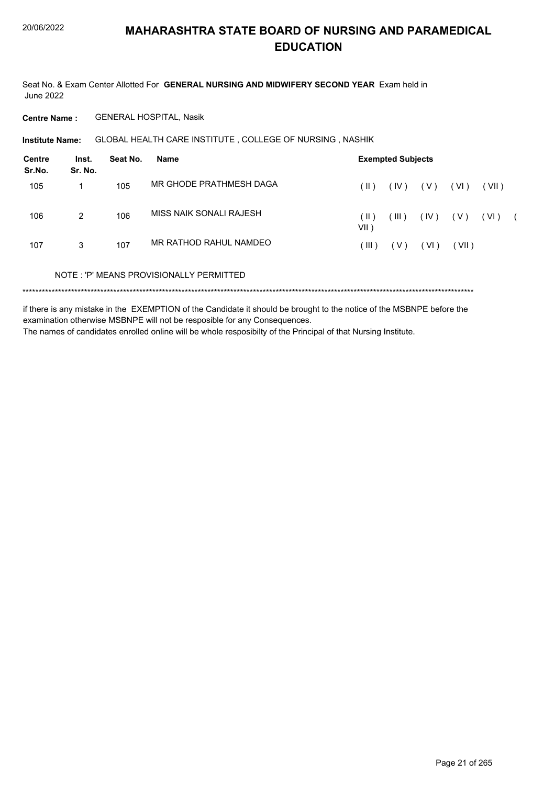Seat No. & Exam Center Allotted For GENERAL NURSING AND MIDWIFERY SECOND YEAR Exam held in **June 2022** 

**GENERAL HOSPITAL, Nasik Centre Name:** 

GLOBAL HEALTH CARE INSTITUTE, COLLEGE OF NURSING, NASHIK **Institute Name:** 

| Centre<br>Sr.No. | Inst.<br>Sr. No. | Seat No. | Name                                    |                | <b>Exempted Subjects</b> |      |       |       |  |
|------------------|------------------|----------|-----------------------------------------|----------------|--------------------------|------|-------|-------|--|
| 105              | 1                | 105      | MR GHODE PRATHMESH DAGA                 | ( II )         | (IV)                     | (V)  | (VI)  | (VII) |  |
| 106              | $\overline{2}$   | 106      | MISS NAIK SONALI RAJESH                 | (    )<br>VII) | (III)                    | (IV) | ( V ) | (VI)  |  |
| 107              | 3                | 107      | MR RATHOD RAHUL NAMDEO                  | $\vert$ III )  | ( V )                    | (VI) | (VII) |       |  |
|                  |                  |          | NOTE: 'P' MEANS PROVISIONALLY PERMITTED |                |                          |      |       |       |  |
|                  |                  |          |                                         |                |                          |      |       |       |  |

if there is any mistake in the EXEMPTION of the Candidate it should be brought to the notice of the MSBNPE before the examination otherwise MSBNPE will not be resposible for any Consequences.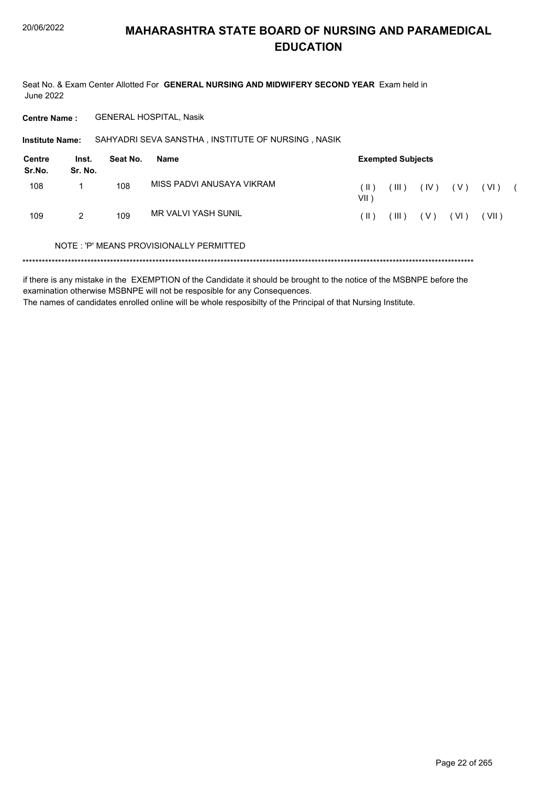Seat No. & Exam Center Allotted For GENERAL NURSING AND MIDWIFERY SECOND YEAR Exam held in **June 2022** 

**Centre Name: GENERAL HOSPITAL, Nasik** 

Institute Name: SAHYADRI SEVA SANSTHA, INSTITUTE OF NURSING, NASIK

| Centre<br>Sr.No. | Inst.<br>Sr. No. | Seat No. | Name                       |                | <b>Exempted Subjects</b> |       |        |        |  |
|------------------|------------------|----------|----------------------------|----------------|--------------------------|-------|--------|--------|--|
| 108              |                  | 108      | MISS PADVI ANUSAYA VIKRAM  | ( II )<br>VII) | $^{\prime}$ III ).       | (IV)  | ( V )  | ( VI ) |  |
| 109              | 2                | 109      | <b>MR VALVI YASH SUNIL</b> | ( II )         | $(\mathbb{H})$           | ( V ) | ( VI ) | (VII)  |  |
|                  | $\cdots$         |          |                            |                |                          |       |        |        |  |

### NOTE: 'P' MEANS PROVISIONALLY PERMITTED

if there is any mistake in the EXEMPTION of the Candidate it should be brought to the notice of the MSBNPE before the examination otherwise MSBNPE will not be resposible for any Consequences. The names of candidates enrolled online will be whole resposibilty of the Principal of that Nursing Institute.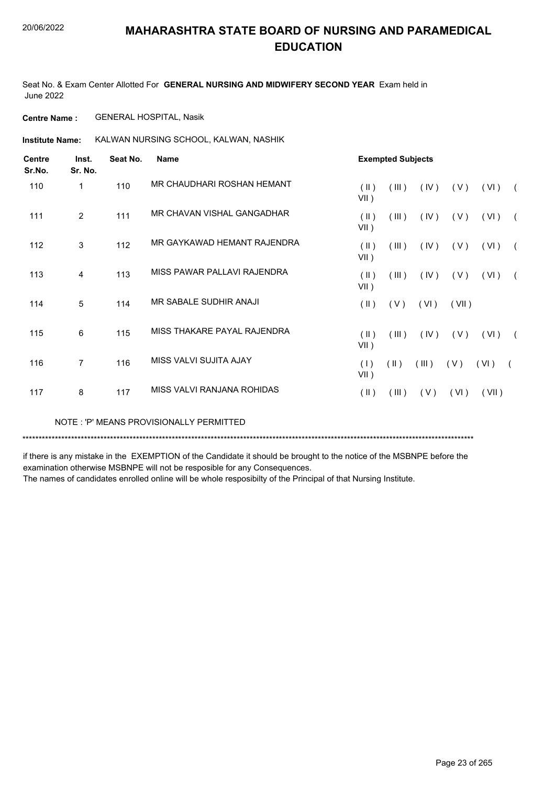Seat No. & Exam Center Allotted For **GENERAL NURSING AND MIDWIFERY SECOND YEAR** Exam held in June 2022

**Centre Name :** GENERAL HOSPITAL, Nasik

**Institute Name:** KALWAN NURSING SCHOOL, KALWAN, NASHIK

| <b>Centre</b><br>Sr.No. | Inst.<br>Sr. No. | Seat No. | <b>Name</b>                 |                       | <b>Exempted Subjects</b> |       |       |       |            |  |  |
|-------------------------|------------------|----------|-----------------------------|-----------------------|--------------------------|-------|-------|-------|------------|--|--|
| 110                     | 1                | 110      | MR CHAUDHARI ROSHAN HEMANT  | (II)<br>$VII$ )       | (III)                    | (IV)  | (V)   | (VI)  | $\sqrt{2}$ |  |  |
| 111                     | $\overline{2}$   | 111      | MR CHAVAN VISHAL GANGADHAR  | $($ II $)$<br>$VII$ ) | (III)                    | (IV)  | (V)   | (VI)  | $\sqrt{2}$ |  |  |
| 112                     | 3                | 112      | MR GAYKAWAD HEMANT RAJENDRA | (II)<br>$VII$ )       | (III)                    | (IV)  | (V)   | (VI)  | $\sqrt{2}$ |  |  |
| 113                     | 4                | 113      | MISS PAWAR PALLAVI RAJENDRA | (II)<br>$VII$ )       | (III)                    | (IV)  | (V)   | (VI)  | $\sqrt{2}$ |  |  |
| 114                     | 5                | 114      | MR SABALE SUDHIR ANAJI      | $(\parallel)$         | (V)                      | (VI)  | (VII) |       |            |  |  |
| 115                     | 6                | 115      | MISS THAKARE PAYAL RAJENDRA | $($ II $)$<br>$VII$ ) | (III)                    | (IV)  | (V)   | (VI)  | $\sqrt{2}$ |  |  |
| 116                     | 7                | 116      | MISS VALVI SUJITA AJAY      | (1)<br>$VII$ )        | $(\parallel \parallel)$  | (III) | (V)   | (VI)  |            |  |  |
| 117                     | 8                | 117      | MISS VALVI RANJANA ROHIDAS  | $($ II $)$            | (III)                    | (V)   | (VI)  | (VII) |            |  |  |

NOTE : 'P' MEANS PROVISIONALLY PERMITTED

\*\*\*\*\*\*\*\*\*\*\*\*\*\*\*\*\*\*\*\*\*\*\*\*\*\*\*\*\*\*\*\*\*\*\*\*\*\*\*\*\*\*\*\*\*\*\*\*\*\*\*\*\*\*\*\*\*\*\*\*\*\*\*\*\*\*\*\*\*\*\*\*\*\*\*\*\*\*\*\*\*\*\*\*\*\*\*\*\*\*\*\*\*\*\*\*\*\*\*\*\*\*\*\*\*\*\*\*\*\*\*\*\*\*\*\*\*\*\*\*\*\*\*\*\*\*\*\*\*\*\*\*\*\*\*\*\*\*\*

if there is any mistake in the EXEMPTION of the Candidate it should be brought to the notice of the MSBNPE before the examination otherwise MSBNPE will not be resposible for any Consequences.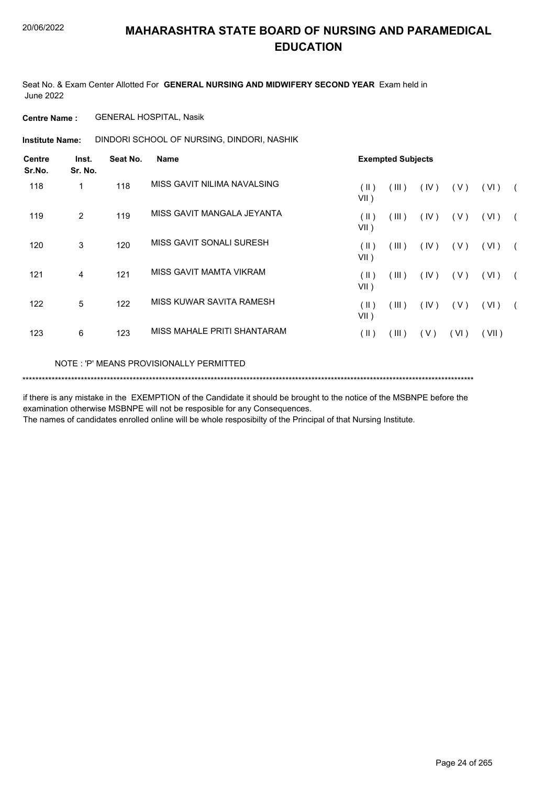Seat No. & Exam Center Allotted For **GENERAL NURSING AND MIDWIFERY SECOND YEAR** Exam held in June 2022

**Centre Name :** GENERAL HOSPITAL, Nasik

DINDORI SCHOOL OF NURSING, DINDORI, NASHIK **Institute Name:**

| <b>Centre</b><br>Sr.No. | Inst.<br>Sr. No. | Seat No. | <b>Name</b>                 | <b>Exempted Subjects</b>          |             |       |            |
|-------------------------|------------------|----------|-----------------------------|-----------------------------------|-------------|-------|------------|
| 118                     | 1                | 118      | MISS GAVIT NILIMA NAVALSING | $(\parallel)$<br>(III)<br>$VII$ ) | (IV)<br>(V) | (VI)  | $\sqrt{2}$ |
| 119                     | 2                | 119      | MISS GAVIT MANGALA JEYANTA  | $($ II $)$<br>(III)<br>$VII$ )    | (IV)<br>(V) | (VI)  | $\sqrt{2}$ |
| 120                     | 3                | 120      | MISS GAVIT SONALI SURESH    | (  )<br>(III)<br>$VII$ )          | (IV)<br>(V) | (VI)  | $\sqrt{2}$ |
| 121                     | 4                | 121      | MISS GAVIT MAMTA VIKRAM     | $($ II $)$<br>(III)<br>$VII$ )    | (IV)<br>(V) | (VI)  | $\sqrt{2}$ |
| 122                     | 5                | 122      | MISS KUWAR SAVITA RAMESH    | (  )<br>(III)<br>$VII$ )          | (IV)<br>(V) | (VI)  | $\sqrt{2}$ |
| 123                     | 6                | 123      | MISS MAHALE PRITI SHANTARAM | $(\parallel)$<br>(III)            | (V)<br>(VI) | (VII) |            |
|                         |                  |          |                             |                                   |             |       |            |

NOTE : 'P' MEANS PROVISIONALLY PERMITTED

\*\*\*\*\*\*\*\*\*\*\*\*\*\*\*\*\*\*\*\*\*\*\*\*\*\*\*\*\*\*\*\*\*\*\*\*\*\*\*\*\*\*\*\*\*\*\*\*\*\*\*\*\*\*\*\*\*\*\*\*\*\*\*\*\*\*\*\*\*\*\*\*\*\*\*\*\*\*\*\*\*\*\*\*\*\*\*\*\*\*\*\*\*\*\*\*\*\*\*\*\*\*\*\*\*\*\*\*\*\*\*\*\*\*\*\*\*\*\*\*\*\*\*\*\*\*\*\*\*\*\*\*\*\*\*\*\*\*\*

if there is any mistake in the EXEMPTION of the Candidate it should be brought to the notice of the MSBNPE before the examination otherwise MSBNPE will not be resposible for any Consequences.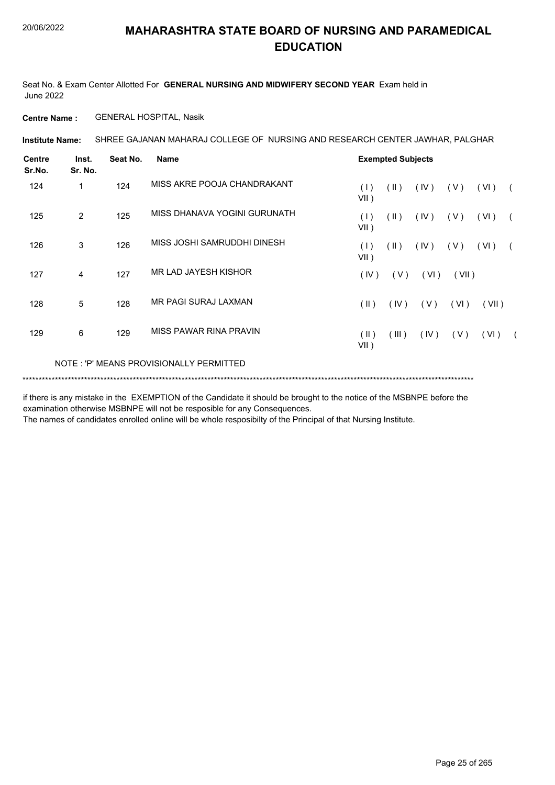Seat No. & Exam Center Allotted For **GENERAL NURSING AND MIDWIFERY SECOND YEAR** Exam held in June 2022

**Centre Name :** GENERAL HOSPITAL, Nasik

SHREE GAJANAN MAHARAJ COLLEGE OF NURSING AND RESEARCH CENTER JAWHAR, PALGHAR **Institute Name:**

| <b>Centre</b><br>Sr.No. | Inst.<br>Sr. No. | Seat No. | Name                                    |                 | <b>Exempted Subjects</b> |      |       |       |  |
|-------------------------|------------------|----------|-----------------------------------------|-----------------|--------------------------|------|-------|-------|--|
| 124                     | 1                | 124      | MISS AKRE POOJA CHANDRAKANT             | (1)<br>$VII$ )  | (  )                     | (IV) | (V)   | (VI)  |  |
| 125                     | 2                | 125      | MISS DHANAVA YOGINI GURUNATH            | (1)<br>$VII$ )  | $(\parallel)$            | (IV) | (V)   | (VI)  |  |
| 126                     | 3                | 126      | MISS JOSHI SAMRUDDHI DINESH             | (1)<br>$VII$ )  | $(\parallel)$            | (IV) | (V)   | (VI)  |  |
| 127                     | 4                | 127      | <b>MR LAD JAYESH KISHOR</b>             | (IV)            | (V)                      | (VI) | (VII) |       |  |
| 128                     | 5                | 128      | MR PAGI SURAJ LAXMAN                    | (  )            | (IV)                     | (V)  | (VI)  | (VII) |  |
| 129                     | 6                | 129      | MISS PAWAR RINA PRAVIN                  | (  )<br>$VII$ ) | (III)                    | (IV) | (V)   | (VI)  |  |
|                         |                  |          | NOTE: 'P' MEANS PROVISIONALLY PERMITTED |                 |                          |      |       |       |  |
|                         |                  |          |                                         |                 |                          |      |       |       |  |

if there is any mistake in the EXEMPTION of the Candidate it should be brought to the notice of the MSBNPE before the examination otherwise MSBNPE will not be resposible for any Consequences.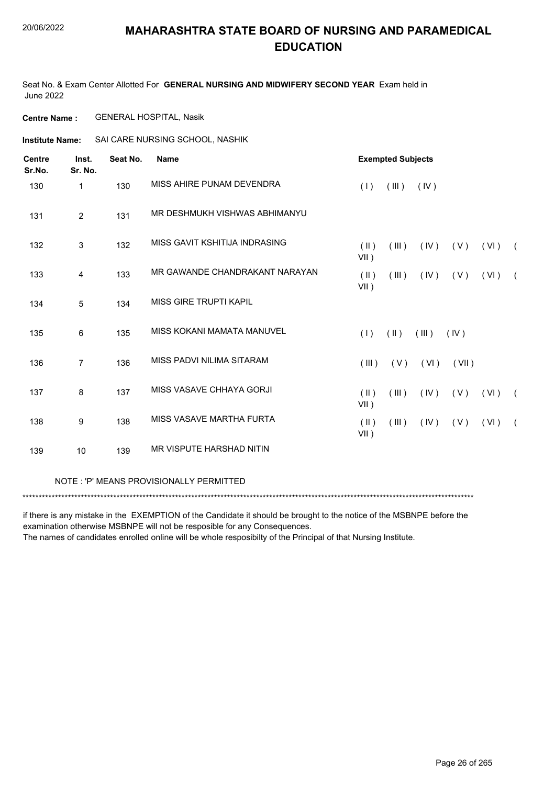Seat No. & Exam Center Allotted For **GENERAL NURSING AND MIDWIFERY SECOND YEAR** Exam held in June 2022

**Centre Name :** GENERAL HOSPITAL, Nasik

**Institute Name:** SAI CARE NURSING SCHOOL, NASHIK

| <b>Centre</b><br>Sr.No. | Inst.<br>Sr. No. | Seat No. | <b>Name</b>                    |                          | <b>Exempted Subjects</b> |             |       |      |            |  |  |
|-------------------------|------------------|----------|--------------------------------|--------------------------|--------------------------|-------------|-------|------|------------|--|--|
| 130                     | $\mathbf{1}$     | 130      | MISS AHIRE PUNAM DEVENDRA      | (1)                      | (III)                    | (IV)        |       |      |            |  |  |
| 131                     | $\overline{2}$   | 131      | MR DESHMUKH VISHWAS ABHIMANYU  |                          |                          |             |       |      |            |  |  |
| 132                     | 3                | 132      | MISS GAVIT KSHITIJA INDRASING  | (  )<br>$VII$ )          | (III)                    | (IV)        | ( V ) | (VI) | $\sqrt{2}$ |  |  |
| 133                     | $\overline{4}$   | 133      | MR GAWANDE CHANDRAKANT NARAYAN | $(\parallel)$<br>$VII$ ) | (III)                    | (IV)        | (V)   | (VI) | $\sqrt{2}$ |  |  |
| 134                     | 5                | 134      | <b>MISS GIRE TRUPTI KAPIL</b>  |                          |                          |             |       |      |            |  |  |
| 135                     | 6                | 135      | MISS KOKANI MAMATA MANUVEL     | (1)                      | $(\parallel)$            | $($ III $)$ | (IV)  |      |            |  |  |
| 136                     | $\overline{7}$   | 136      | MISS PADVI NILIMA SITARAM      | $($ III $)$              | (V)                      | (VI)        | (VII) |      |            |  |  |
| 137                     | 8                | 137      | MISS VASAVE CHHAYA GORJI       | $(\parallel)$<br>$VII$ ) | (III)                    | (IV)        | (V)   | (VI) | $\sqrt{2}$ |  |  |
| 138                     | 9                | 138      | MISS VASAVE MARTHA FURTA       | $(\parallel)$<br>$VII$ ) | (III)                    | (IV)        | (V)   | (VI) | $\sqrt{2}$ |  |  |
| 139                     | 10               | 139      | MR VISPUTE HARSHAD NITIN       |                          |                          |             |       |      |            |  |  |

NOTE : 'P' MEANS PROVISIONALLY PERMITTED

\*\*\*\*\*\*\*\*\*\*\*\*\*\*\*\*\*\*\*\*\*\*\*\*\*\*\*\*\*\*\*\*\*\*\*\*\*\*\*\*\*\*\*\*\*\*\*\*\*\*\*\*\*\*\*\*\*\*\*\*\*\*\*\*\*\*\*\*\*\*\*\*\*\*\*\*\*\*\*\*\*\*\*\*\*\*\*\*\*\*\*\*\*\*\*\*\*\*\*\*\*\*\*\*\*\*\*\*\*\*\*\*\*\*\*\*\*\*\*\*\*\*\*\*\*\*\*\*\*\*\*\*\*\*\*\*\*\*\*

if there is any mistake in the EXEMPTION of the Candidate it should be brought to the notice of the MSBNPE before the examination otherwise MSBNPE will not be resposible for any Consequences.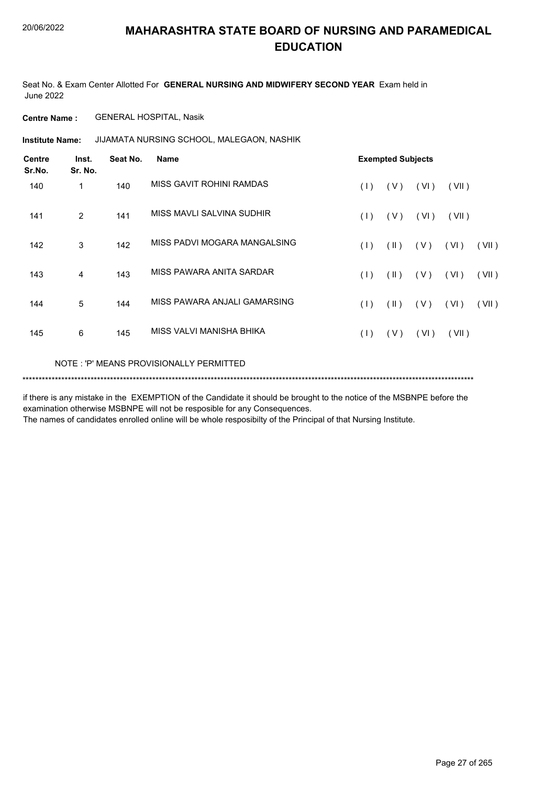Seat No. & Exam Center Allotted For **GENERAL NURSING AND MIDWIFERY SECOND YEAR** Exam held in June 2022

**Centre Name :** GENERAL HOSPITAL, Nasik

JIJAMATA NURSING SCHOOL, MALEGAON, NASHIK **Institute Name:**

| <b>Centre</b><br>Sr.No. | Inst.<br>Sr. No. | Seat No. | <b>Name</b>                             | <b>Exempted Subjects</b> |               |      |       |       |  |  |
|-------------------------|------------------|----------|-----------------------------------------|--------------------------|---------------|------|-------|-------|--|--|
| 140                     | 1                | 140      | MISS GAVIT ROHINI RAMDAS                | (1)                      | (V)           | (VI) | (VII) |       |  |  |
| 141                     | 2                | 141      | MISS MAVLI SALVINA SUDHIR               | (1)                      | (V)           | (VI) | (VII) |       |  |  |
| 142                     | 3                | 142      | MISS PADVI MOGARA MANGALSING            | (1)                      | $(\parallel)$ | (V)  | (VI)  | (VII) |  |  |
| 143                     | 4                | 143      | MISS PAWARA ANITA SARDAR                | (1)                      | $(\parallel)$ | (V)  | (VI)  | (VII) |  |  |
| 144                     | 5                | 144      | MISS PAWARA ANJALI GAMARSING            | (1)                      | $(\parallel)$ | (V)  | (VI)  | (VII) |  |  |
| 145                     | 6                | 145      | MISS VALVI MANISHA BHIKA                | (1)                      | (V)           | (VI) | (VII) |       |  |  |
|                         |                  |          | NOTE: 'P' MEANS PROVISIONALLY PERMITTED |                          |               |      |       |       |  |  |

\*\*\*\*\*\*\*\*\*\*\*\*\*\*\*\*\*\*\*\*\*\*\*\*\*\*\*\*\*\*\*\*\*\*\*\*\*\*\*\*\*\*\*\*\*\*\*\*\*\*\*\*\*\*\*\*\*\*\*\*\*\*\*\*\*\*\*\*\*\*\*\*\*\*\*\*\*\*\*\*\*\*\*\*\*\*\*\*\*\*\*\*\*\*\*\*\*\*\*\*\*\*\*\*\*\*\*\*\*\*\*\*\*\*\*\*\*\*\*\*\*\*\*\*\*\*\*\*\*\*\*\*\*\*\*\*\*\*\*

if there is any mistake in the EXEMPTION of the Candidate it should be brought to the notice of the MSBNPE before the examination otherwise MSBNPE will not be resposible for any Consequences.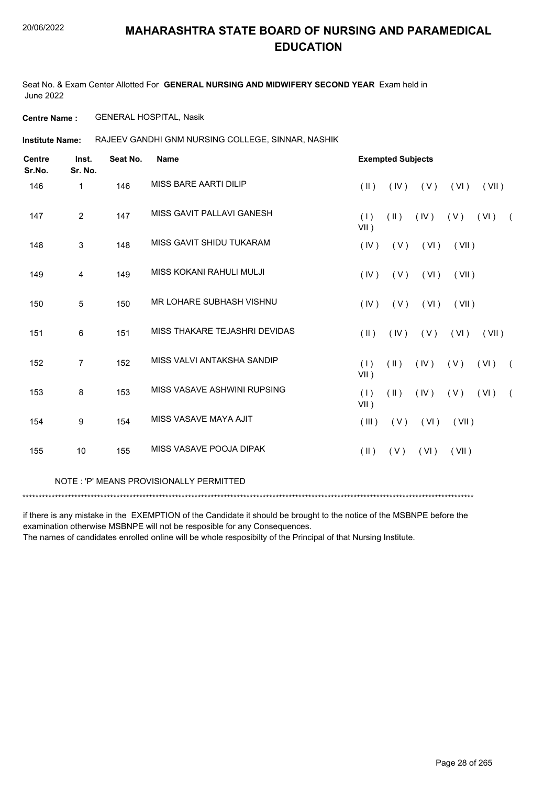Seat No. & Exam Center Allotted For **GENERAL NURSING AND MIDWIFERY SECOND YEAR** Exam held in June 2022

**Centre Name :** GENERAL HOSPITAL, Nasik

RAJEEV GANDHI GNM NURSING COLLEGE, SINNAR, NASHIK **Institute Name:**

| <b>Centre</b><br>Sr.No. | Inst.<br>Sr. No. | Seat No. | <b>Name</b>                   | <b>Exempted Subjects</b>                                                       |
|-------------------------|------------------|----------|-------------------------------|--------------------------------------------------------------------------------|
| 146                     | $\mathbf{1}$     | 146      | MISS BARE AARTI DILIP         | $(\parallel)$<br>(VI)<br>(IV)<br>(V)<br>(VII)                                  |
| 147                     | $\overline{2}$   | 147      | MISS GAVIT PALLAVI GANESH     | (1)<br>$(\parallel)$<br>(IV)<br>(VI)<br>(V)<br>$\sqrt{2}$<br>$VII$ )           |
| 148                     | 3                | 148      | MISS GAVIT SHIDU TUKARAM      | (IV)<br>(VI)<br>(VII)<br>(V)                                                   |
| 149                     | $\overline{4}$   | 149      | MISS KOKANI RAHULI MULJI      | (IV)<br>(V)<br>(VI)<br>(VII)                                                   |
| 150                     | 5                | 150      | MR LOHARE SUBHASH VISHNU      | (IV)<br>(VI)<br>(V)<br>(VII)                                                   |
| 151                     | 6                | 151      | MISS THAKARE TEJASHRI DEVIDAS | $(\parallel)$<br>(IV)<br>( V )<br>(VI)<br>(VII)                                |
| 152                     | $\overline{7}$   | 152      | MISS VALVI ANTAKSHA SANDIP    | (1)<br>$(\parallel)$<br>(VI)<br>(IV)<br>(V)<br>$\sqrt{2}$<br>$VII$ )           |
| 153                     | 8                | 153      | MISS VASAVE ASHWINI RUPSING   | (1)<br>$(\parallel \parallel)$<br>(VI)<br>(IV)<br>(V)<br>$\sqrt{2}$<br>$VII$ ) |
| 154                     | 9                | 154      | MISS VASAVE MAYA AJIT         | (VII)<br>(III)<br>(V)<br>(VI)                                                  |
| 155                     | 10               | 155      | MISS VASAVE POOJA DIPAK       | $(\parallel)$<br>(VI)<br>(VII)<br>(V)                                          |

NOTE : 'P' MEANS PROVISIONALLY PERMITTED

\*\*\*\*\*\*\*\*\*\*\*\*\*\*\*\*\*\*\*\*\*\*\*\*\*\*\*\*\*\*\*\*\*\*\*\*\*\*\*\*\*\*\*\*\*\*\*\*\*\*\*\*\*\*\*\*\*\*\*\*\*\*\*\*\*\*\*\*\*\*\*\*\*\*\*\*\*\*\*\*\*\*\*\*\*\*\*\*\*\*\*\*\*\*\*\*\*\*\*\*\*\*\*\*\*\*\*\*\*\*\*\*\*\*\*\*\*\*\*\*\*\*\*\*\*\*\*\*\*\*\*\*\*\*\*\*\*\*\*

if there is any mistake in the EXEMPTION of the Candidate it should be brought to the notice of the MSBNPE before the examination otherwise MSBNPE will not be resposible for any Consequences.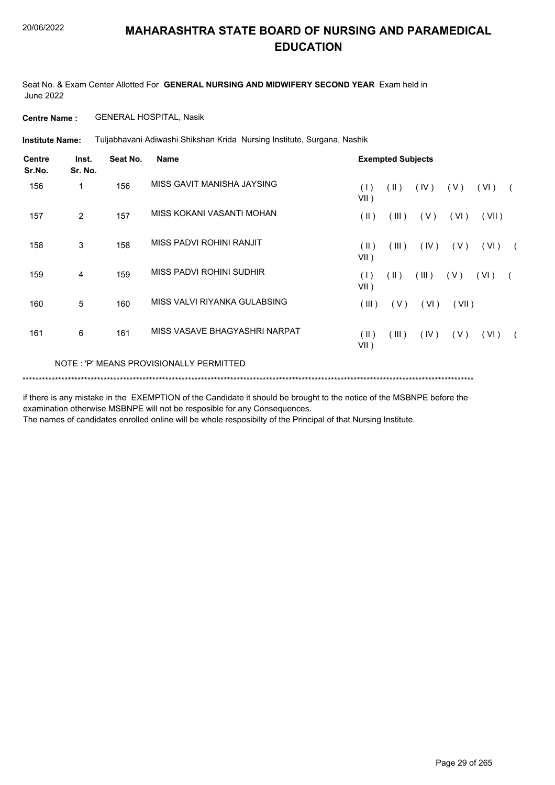Seat No. & Exam Center Allotted For **GENERAL NURSING AND MIDWIFERY SECOND YEAR** Exam held in June 2022

**Centre Name :** GENERAL HOSPITAL, Nasik

Tuljabhavani Adiwashi Shikshan Krida Nursing Institute, Surgana, Nashik **Institute Name:**

| <b>Centre</b><br>Sr.No. | Inst.<br>Sr. No. | Seat No. | <b>Name</b>                             |                 | <b>Exempted Subjects</b> |       |       |        |  |
|-------------------------|------------------|----------|-----------------------------------------|-----------------|--------------------------|-------|-------|--------|--|
| 156                     | $\mathbf 1$      | 156      | MISS GAVIT MANISHA JAYSING              | (1)<br>$VII$ )  | $(\parallel)$            | (IV)  | (V)   | (VI)   |  |
| 157                     | 2                | 157      | MISS KOKANI VASANTI MOHAN               | $(\parallel)$   | (III)                    | (V)   | (VI)  | (VII)  |  |
| 158                     | 3                | 158      | MISS PADVI ROHINI RANJIT                | (  )<br>$VII$ ) | (III)                    | (IV)  | (V)   | (VI)   |  |
| 159                     | 4                | 159      | MISS PADVI ROHINI SUDHIR                | (1)<br>$VII$ )  | $(\parallel)$            | (III) | (V)   | ( VI ) |  |
| 160                     | 5                | 160      | MISS VALVI RIYANKA GULABSING            | (III)           | (V)                      | (VI)  | (VII) |        |  |
| 161                     | 6                | 161      | MISS VASAVE BHAGYASHRI NARPAT           | (  )<br>$VII$ ) | (III)                    | (IV)  | (V)   | (VI)   |  |
|                         |                  |          | NOTE: 'P' MEANS PROVISIONALLY PERMITTED |                 |                          |       |       |        |  |
|                         |                  |          |                                         |                 |                          |       |       |        |  |

if there is any mistake in the EXEMPTION of the Candidate it should be brought to the notice of the MSBNPE before the examination otherwise MSBNPE will not be resposible for any Consequences.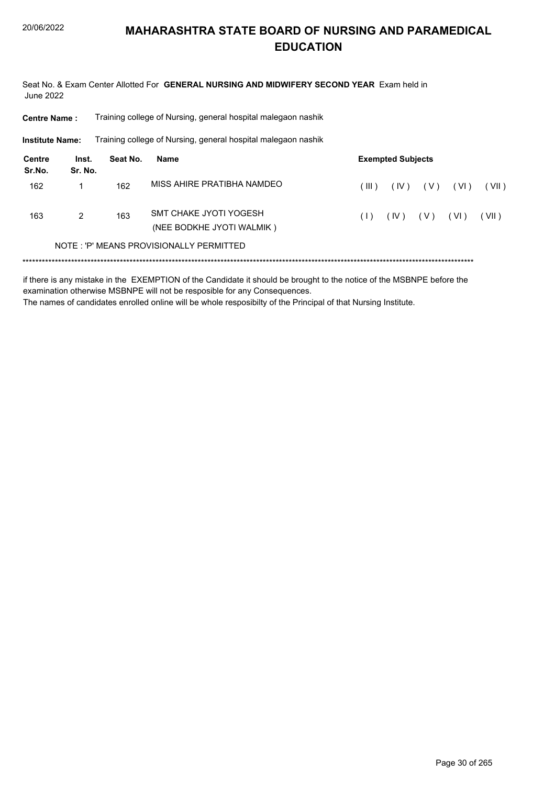Seat No. & Exam Center Allotted For GENERAL NURSING AND MIDWIFERY SECOND YEAR Exam held in **June 2022** 

**Centre Name:** Training college of Nursing, general hospital malegaon nashik

**Institute Name:** Training college of Nursing, general hospital malegaon nashik

| Centre<br>Sr.No. | Inst.<br>Sr. No. | Seat No. | Name                                                | <b>Exempted Subjects</b> |        |       |      |       |  |
|------------------|------------------|----------|-----------------------------------------------------|--------------------------|--------|-------|------|-------|--|
| 162              |                  | 162      | MISS AHIRE PRATIBHA NAMDEO                          | $($ III $)$              | ( IV ) | ( V ) | (VI) | (VII) |  |
| 163              | 2                | 163      | SMT CHAKE JYOTI YOGESH<br>(NEE BODKHE JYOTI WALMIK) | (1)                      | (IV)   | ( V ) | (VI) | (VII) |  |
|                  |                  |          | NOTE: 'P' MEANS PROVISIONALLY PERMITTED             |                          |        |       |      |       |  |

if there is any mistake in the EXEMPTION of the Candidate it should be brought to the notice of the MSBNPE before the examination otherwise MSBNPE will not be resposible for any Consequences. The names of candidates enrolled online will be whole resposibilty of the Principal of that Nursing Institute.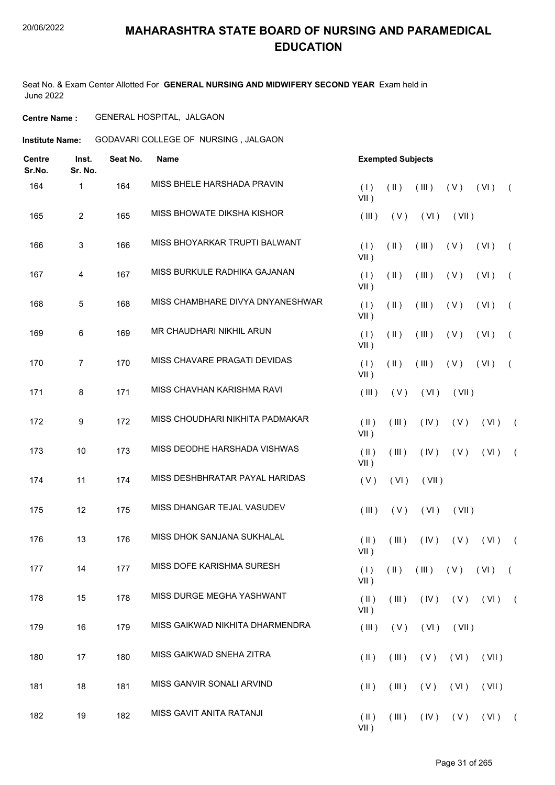### 20/06/2022

# **MAHARASHTRA STATE BOARD OF NURSING AND PARAMEDICAL EDUCATION**

Seat No. & Exam Center Allotted For **GENERAL NURSING AND MIDWIFERY SECOND YEAR** Exam held in June 2022

### **Centre Name :** GENERAL HOSPITAL, JALGAON

**Institute Name:** GODAVARI COLLEGE OF NURSING, JALGAON

| <b>Centre</b><br>Sr.No. | Inst.<br>Sr. No. | Seat No. | <b>Name</b>                      |                          | <b>Exempted Subjects</b> |       |             |                     |            |  |  |
|-------------------------|------------------|----------|----------------------------------|--------------------------|--------------------------|-------|-------------|---------------------|------------|--|--|
| 164                     | 1                | 164      | MISS BHELE HARSHADA PRAVIN       | (1)<br>$VII$ )           | (11)                     | (III) | (V)         | (VI)                | $\sqrt{2}$ |  |  |
| 165                     | $\overline{2}$   | 165      | MISS BHOWATE DIKSHA KISHOR       | (III)                    | (V)                      | (VI)  | (VII)       |                     |            |  |  |
| 166                     | 3                | 166      | MISS BHOYARKAR TRUPTI BALWANT    | (1)<br>$VII$ )           | $(\parallel)$            | (III) | (V)         | (VI)                | $\sqrt{2}$ |  |  |
| 167                     | 4                | 167      | MISS BURKULE RADHIKA GAJANAN     | (1)<br>$VII$ )           | $(\parallel)$            | (III) | (V)         | (VI)                | $\left($   |  |  |
| 168                     | $\overline{5}$   | 168      | MISS CHAMBHARE DIVYA DNYANESHWAR | (1)<br>$VII$ )           | $($ II $)$               | (III) | (V)         | (VI)                | $\sqrt{2}$ |  |  |
| 169                     | 6                | 169      | MR CHAUDHARI NIKHIL ARUN         | (1)<br>$VII$ )           | $(\parallel)$            | (III) | (V)         | (VI)                | $\sqrt{2}$ |  |  |
| 170                     | $\overline{7}$   | 170      | MISS CHAVARE PRAGATI DEVIDAS     | (1)<br>$VII$ )           | $($ II $)$               | (III) | (V)         | (VI)                | $\left($   |  |  |
| 171                     | $\,8\,$          | 171      | MISS CHAVHAN KARISHMA RAVI       | (III)                    | (V)                      | (VI)  | (VII)       |                     |            |  |  |
| 172                     | 9                | 172      | MISS CHOUDHARI NIKHITA PADMAKAR  | $($ II $)$<br>$VII$ )    | (III)                    | (IV)  | (V)         | (VI)                | $\sqrt{2}$ |  |  |
| 173                     | 10               | 173      | MISS DEODHE HARSHADA VISHWAS     | $($ II $)$<br>$VII$ )    | (III)                    | (IV)  | (V)         | (VI)                | $\sqrt{2}$ |  |  |
| 174                     | 11               | 174      | MISS DESHBHRATAR PAYAL HARIDAS   | (V)                      | (VI)                     | (VII) |             |                     |            |  |  |
| 175                     | 12               | 175      | MISS DHANGAR TEJAL VASUDEV       | (III)                    | (V)                      | (VI)  | (VII)       |                     |            |  |  |
| 176                     | 13               | 176      | MISS DHOK SANJANA SUKHALAL       | $($ II $)$<br>$VII$ )    | (III)                    | (IV)  | (V)         | (VI)                | $\sqrt{2}$ |  |  |
| 177                     | 14               | 177      | MISS DOFE KARISHMA SURESH        | (1)<br>$VII$ )           | $(\parallel)$            | (III) |             | $(V)$ $(VI)$ $(VI)$ |            |  |  |
| 178                     | 15               | 178      | MISS DURGE MEGHA YASHWANT        | $(\parallel)$<br>$VII$ ) | (III)                    | (IV)  |             | $(V)$ $(VI)$ $(VI)$ |            |  |  |
| 179                     | 16               | 179      | MISS GAIKWAD NIKHITA DHARMENDRA  | (III)                    | (V)                      | (VI)  | (VII)       |                     |            |  |  |
| 180                     | 17               | 180      | MISS GAIKWAD SNEHA ZITRA         | $(\parallel)$            | (III)                    | (V)   | (VI)        | (VII)               |            |  |  |
| 181                     | 18               | 181      | MISS GANVIR SONALI ARVIND        | $(\parallel)$            | $($ III $)$              | (V)   | (VI)        | (VII)               |            |  |  |
| 182                     | 19               | 182      | MISS GAVIT ANITA RATANJI         | $(\parallel)$<br>$VII$ ) | (III)                    |       | $(V)$ $(V)$ | $(VI)$ (            |            |  |  |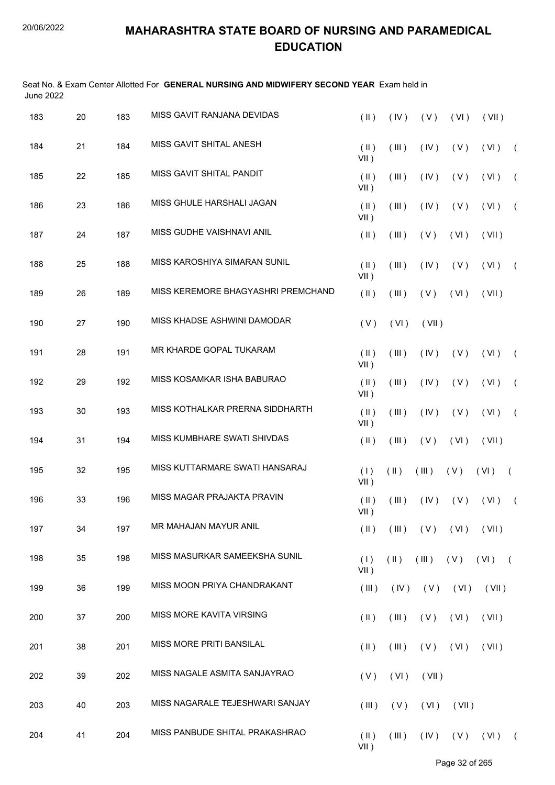Seat No. & Exam Center Allotted For **GENERAL NURSING AND MIDWIFERY SECOND YEAR** Exam held in June 2022

| 183 | 20 | 183 | MISS GAVIT RANJANA DEVIDAS         | $($ II $)$               | (IV)          | (V)                          | (VI)        | (VII)                  |                |
|-----|----|-----|------------------------------------|--------------------------|---------------|------------------------------|-------------|------------------------|----------------|
| 184 | 21 | 184 | MISS GAVIT SHITAL ANESH            | $(\parallel)$<br>$VII$ ) | (III)         | (IV)                         | (V)         | (VI)                   | $\left($       |
| 185 | 22 | 185 | MISS GAVIT SHITAL PANDIT           | $(\parallel)$<br>$VII$ ) | (III)         | (IV)                         | (V)         | (VI)                   | $\left($       |
| 186 | 23 | 186 | MISS GHULE HARSHALI JAGAN          | $(\parallel)$<br>$VII$ ) | (III)         | (IV)                         | (V)         | (VI)                   | $\overline{ }$ |
| 187 | 24 | 187 | MISS GUDHE VAISHNAVI ANIL          | $(\parallel)$            | (III)         | (V)                          | (VI)        | (VII)                  |                |
| 188 | 25 | 188 | MISS KAROSHIYA SIMARAN SUNIL       | $($ II $)$<br>$VII$ )    | (III)         | (IV)                         | (V)         | (VI)                   | $\left($       |
| 189 | 26 | 189 | MISS KEREMORE BHAGYASHRI PREMCHAND | $(\parallel)$            | (III)         | (V)                          | (VI)        | (VII)                  |                |
| 190 | 27 | 190 | MISS KHADSE ASHWINI DAMODAR        | (V)                      | (VI)          | (VII)                        |             |                        |                |
| 191 | 28 | 191 | MR KHARDE GOPAL TUKARAM            | $(\parallel)$<br>$VII$ ) | (III)         | (IV)                         | (V)         | (VI)                   | $\left($       |
| 192 | 29 | 192 | MISS KOSAMKAR ISHA BABURAO         | $(\parallel)$<br>$VII$ ) | (III)         | (IV)                         | (V)         | (VI)                   | $\left($       |
| 193 | 30 | 193 | MISS KOTHALKAR PRERNA SIDDHARTH    | $(\parallel)$<br>$VII$ ) | (III)         | (IV)                         | (V)         | (VI)                   | $\left($       |
| 194 | 31 | 194 | MISS KUMBHARE SWATI SHIVDAS        | $(\parallel)$            | (III)         | (V)                          | (VI)        | (VII)                  |                |
| 195 | 32 | 195 | MISS KUTTARMARE SWATI HANSARAJ     | (1)<br>$VII$ )           | $(\parallel)$ | (III)                        | (V)         | (VI)                   | $\left($       |
| 196 | 33 | 196 | MISS MAGAR PRAJAKTA PRAVIN         | $(\parallel)$<br>$VII$ ) | (III)         | (IV)                         | (V)         | (VI)                   | $\overline{ }$ |
| 197 | 34 | 197 | MR MAHAJAN MAYUR ANIL              | $(\parallel)$            |               | $(III)$ $(V)$ $(VI)$ $(VII)$ |             |                        |                |
| 198 | 35 | 198 | MISS MASURKAR SAMEEKSHA SUNIL      | (1)<br>$VII$ )           | $(\parallel)$ |                              |             | $(III)$ $(V)$ $(VI)$ ( |                |
| 199 | 36 | 199 | MISS MOON PRIYA CHANDRAKANT        | (III)                    | (IV)          |                              | $(V)$ $(V)$ | (VII)                  |                |
| 200 | 37 | 200 | MISS MORE KAVITA VIRSING           | $(\parallel)$            | (III)         | (V)                          | (VI)        | (VII)                  |                |
| 201 | 38 | 201 | MISS MORE PRITI BANSILAL           | $(\parallel)$            | (III)         | (V)                          | (VI)        | (VII)                  |                |
| 202 | 39 | 202 | MISS NAGALE ASMITA SANJAYRAO       | (V)                      | (VI)          | (VII)                        |             |                        |                |
| 203 | 40 | 203 | MISS NAGARALE TEJESHWARI SANJAY    | (III)                    | (V)           | (VI)                         | (VII)       |                        |                |
| 204 | 41 | 204 | MISS PANBUDE SHITAL PRAKASHRAO     | $(\parallel)$<br>$VII$ ) | (III)         | $($ IV $)$                   | (V)         | (VI)                   | $\sqrt{2}$     |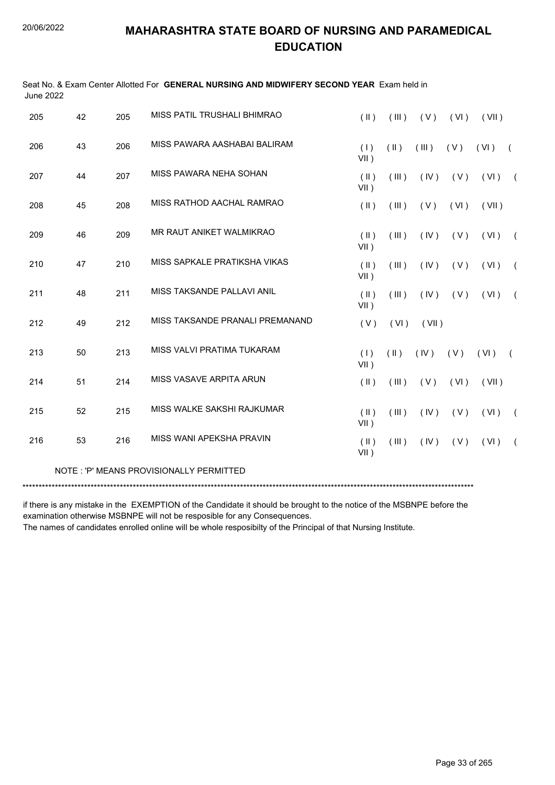| June 2022 |    |     |                                         |                          |               |       |      |       |            |
|-----------|----|-----|-----------------------------------------|--------------------------|---------------|-------|------|-------|------------|
| 205       | 42 | 205 | MISS PATIL TRUSHALI BHIMRAO             | $(\parallel)$            | (III)         | (V)   | (VI) | (VII) |            |
| 206       | 43 | 206 | MISS PAWARA AASHABAI BALIRAM            | (1)<br>$VII$ )           | $(\parallel)$ | (III) | (V)  | (VI)  | $\sqrt{2}$ |
| 207       | 44 | 207 | MISS PAWARA NEHA SOHAN                  | $($ II $)$<br>$VII$ )    | (III)         | (IV)  | (V)  | (VI)  | $\sqrt{2}$ |
| 208       | 45 | 208 | MISS RATHOD AACHAL RAMRAO               | $($ II $)$               | (III)         | (V)   | (VI) | (VII) |            |
| 209       | 46 | 209 | MR RAUT ANIKET WALMIKRAO                | (  )<br>$VII$ )          | (III)         | (IV)  | (V)  | (VI)  | $\sqrt{2}$ |
| 210       | 47 | 210 | MISS SAPKALE PRATIKSHA VIKAS            | $(\parallel)$<br>$VII$ ) | (III)         | (IV)  | (V)  | (VI)  | $\sqrt{2}$ |
| 211       | 48 | 211 | MISS TAKSANDE PALLAVI ANIL              | $($ II $)$<br>$VII$ )    | (III)         | (IV)  | (V)  | (VI)  | $\sqrt{2}$ |
| 212       | 49 | 212 | MISS TAKSANDE PRANALI PREMANAND         | (V)                      | (VI)          | (VII) |      |       |            |
| 213       | 50 | 213 | MISS VALVI PRATIMA TUKARAM              | (1)<br>$VII$ )           | $(\parallel)$ | (IV)  | (V)  | (VI)  | $\sqrt{2}$ |
| 214       | 51 | 214 | MISS VASAVE ARPITA ARUN                 | $(\parallel)$            | (III)         | (V)   | (VI) | (VII) |            |
| 215       | 52 | 215 | MISS WALKE SAKSHI RAJKUMAR              | $(\parallel)$<br>$VII$ ) | (III)         | (IV)  | (V)  | (VI)  | $\sqrt{2}$ |
| 216       | 53 | 216 | MISS WANI APEKSHA PRAVIN                | $(\parallel)$<br>$VII$ ) | (III)         | (IV)  | (V)  | (VI)  | $\left($   |
|           |    |     | NOTE: 'P' MEANS PROVISIONALLY PERMITTED |                          |               |       |      |       |            |

Seat No. & Exam Center Allotted For **GENERAL NURSING AND MIDWIFERY SECOND YEAR** Exam held in

\*\*\*\*\*\*\*\*\*\*\*\*\*\*\*\*\*\*\*\*\*\*\*\*\*\*\*\*\*\*\*\*\*\*\*\*\*\*\*\*\*\*\*\*\*\*\*\*\*\*\*\*\*\*\*\*\*\*\*\*\*\*\*\*\*\*\*\*\*\*\*\*\*\*\*\*\*\*\*\*\*\*\*\*\*\*\*\*\*\*\*\*\*\*\*\*\*\*\*\*\*\*\*\*\*\*\*\*\*\*\*\*\*\*\*\*\*\*\*\*\*\*\*\*\*\*\*\*\*\*\*\*\*\*\*\*\*\*\*

if there is any mistake in the EXEMPTION of the Candidate it should be brought to the notice of the MSBNPE before the examination otherwise MSBNPE will not be resposible for any Consequences.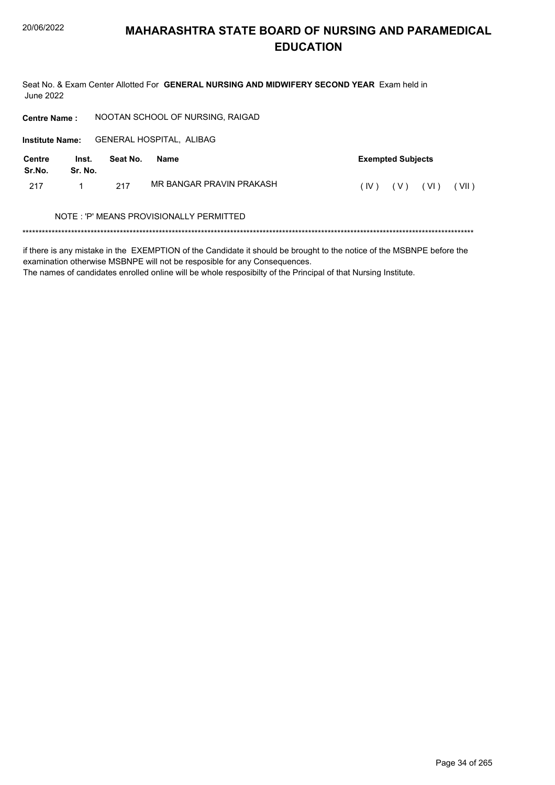Seat No. & Exam Center Allotted For GENERAL NURSING AND MIDWIFERY SECOND YEAR Exam held in **June 2022** 

NOOTAN SCHOOL OF NURSING, RAIGAD **Centre Name: GENERAL HOSPITAL, ALIBAG Institute Name: Centre** Inst. Seat No. **Exempted Subjects Name** Sr.No. Sr. No. MR BANGAR PRAVIN PRAKASH 217  $\mathbf{1}$ 217  $(IV)$   $(V)$   $(VI)$   $(VII)$ NOTE: 'P' MEANS PROVISIONALLY PERMITTED 

if there is any mistake in the EXEMPTION of the Candidate it should be brought to the notice of the MSBNPE before the examination otherwise MSBNPE will not be resposible for any Consequences.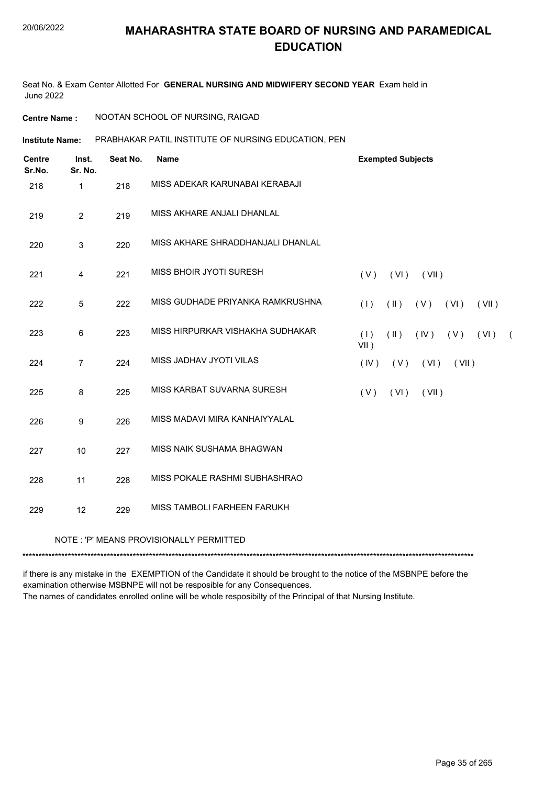Seat No. & Exam Center Allotted For **GENERAL NURSING AND MIDWIFERY SECOND YEAR** Exam held in June 2022

**Centre Name :** NOOTAN SCHOOL OF NURSING, RAIGAD

PRABHAKAR PATIL INSTITUTE OF NURSING EDUCATION, PEN **Institute Name:**

| <b>Centre</b><br>Sr.No. | Inst.<br>Sr. No. | Seat No. | <b>Name</b>                              | <b>Exempted Subjects</b>                                 |
|-------------------------|------------------|----------|------------------------------------------|----------------------------------------------------------|
| 218                     | $\mathbf{1}$     | 218      | MISS ADEKAR KARUNABAI KERABAJI           |                                                          |
| 219                     | $\overline{2}$   | 219      | MISS AKHARE ANJALI DHANLAL               |                                                          |
| 220                     | 3                | 220      | MISS AKHARE SHRADDHANJALI DHANLAL        |                                                          |
| 221                     | 4                | 221      | MISS BHOIR JYOTI SURESH                  | (V)<br>(VI)<br>(VII)                                     |
| 222                     | 5                | 222      | MISS GUDHADE PRIYANKA RAMKRUSHNA         | $(\parallel)$<br>(1)<br>$(V)$ $(VI)$<br>(VII)            |
| 223                     | 6                | 223      | MISS HIRPURKAR VISHAKHA SUDHAKAR         | $(\parallel)$<br>$(IV)$ $(V)$ $(VI)$ (<br>(1)<br>$VII$ ) |
| 224                     | $\overline{7}$   | 224      | MISS JADHAV JYOTI VILAS                  | (IV)<br>(V)<br>(VI)<br>(VII)                             |
| 225                     | 8                | 225      | MISS KARBAT SUVARNA SURESH               | (VI)<br>(VII)<br>(V)                                     |
| 226                     | 9                | 226      | MISS MADAVI MIRA KANHAIYYALAL            |                                                          |
| 227                     | 10               | 227      | MISS NAIK SUSHAMA BHAGWAN                |                                                          |
| 228                     | 11               | 228      | MISS POKALE RASHMI SUBHASHRAO            |                                                          |
| 229                     | 12               | 229      | MISS TAMBOLI FARHEEN FARUKH              |                                                          |
|                         |                  |          | NOTE : 'P' MEANS PROVISIONALLY PERMITTED |                                                          |

\*\*\*\*\*\*\*\*\*\*\*\*\*\*\*\*\*\*\*\*\*\*\*\*\*\*\*\*\*\*\*\*\*\*\*\*\*\*\*\*\*\*\*\*\*\*\*\*\*\*\*\*\*\*\*\*\*\*\*\*\*\*\*\*\*\*\*\*\*\*\*\*\*\*\*\*\*\*\*\*\*\*\*\*\*\*\*\*\*\*\*\*\*\*\*\*\*\*\*\*\*\*\*\*\*\*\*\*\*\*\*\*\*\*\*\*\*\*\*\*\*\*\*\*\*\*\*\*\*\*\*\*\*\*\*\*\*\*\*

if there is any mistake in the EXEMPTION of the Candidate it should be brought to the notice of the MSBNPE before the examination otherwise MSBNPE will not be resposible for any Consequences. The names of candidates enrolled online will be whole resposibilty of the Principal of that Nursing Institute.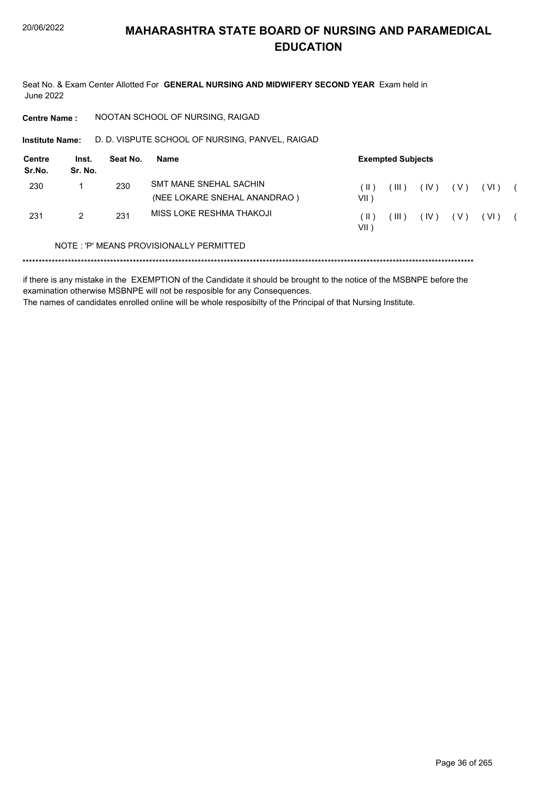Seat No. & Exam Center Allotted For GENERAL NURSING AND MIDWIFERY SECOND YEAR Exam held in **June 2022** 

**Centre Name:** NOOTAN SCHOOL OF NURSING, RAIGAD

Institute Name: D. D. VISPUTE SCHOOL OF NURSING, PANVEL, RAIGAD

| Centre<br>Sr.No. | Inst.<br>Sr. No. | Seat No. | Name                                                   | <b>Exempted Subjects</b> |         |      |     |      |  |  |
|------------------|------------------|----------|--------------------------------------------------------|--------------------------|---------|------|-----|------|--|--|
| 230              |                  | 230      | SMT MANE SNEHAL SACHIN<br>(NEE LOKARE SNEHAL ANANDRAO) | ( II )<br>VII )          | $III$ ) | (IV) | (V) | (VI) |  |  |
| 231              | 2                | 231      | MISS LOKE RESHMA THAKOJI                               | $(\  \)$<br>VII          | $III$ ) | (IV) | (V) | (VI) |  |  |

### NOTE: 'P' MEANS PROVISIONALLY PERMITTED

if there is any mistake in the EXEMPTION of the Candidate it should be brought to the notice of the MSBNPE before the examination otherwise MSBNPE will not be resposible for any Consequences. The names of candidates enrolled online will be whole resposibilty of the Principal of that Nursing Institute.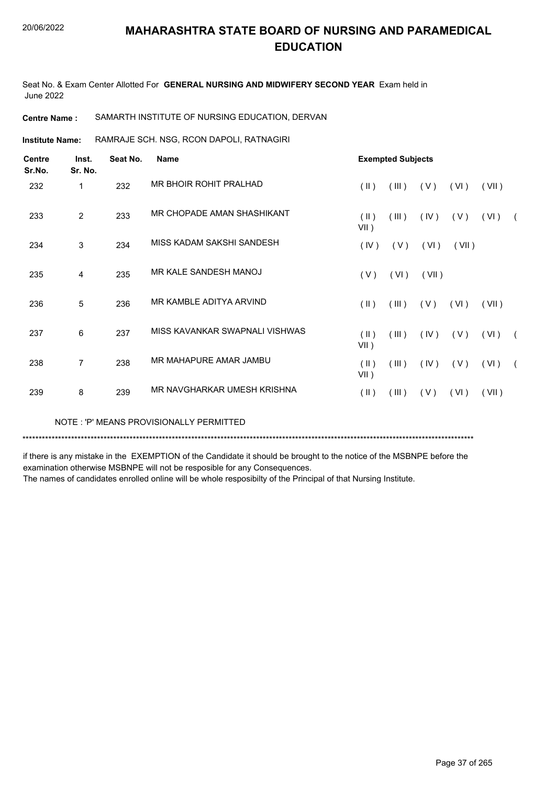Seat No. & Exam Center Allotted For **GENERAL NURSING AND MIDWIFERY SECOND YEAR** Exam held in June 2022

#### **Centre Name :** SAMARTH INSTITUTE OF NURSING EDUCATION, DERVAN

RAMRAJE SCH. NSG, RCON DAPOLI, RATNAGIRI **Institute Name:**

| <b>Centre</b><br>Sr.No. | Inst.<br>Sr. No. | Seat No. | <b>Name</b>                    |                          | <b>Exempted Subjects</b> |       |       |       |            |
|-------------------------|------------------|----------|--------------------------------|--------------------------|--------------------------|-------|-------|-------|------------|
| 232                     | 1                | 232      | MR BHOIR ROHIT PRALHAD         | $(\parallel)$            | (III)                    | (V)   | (VI)  | (VII) |            |
| 233                     | $\overline{2}$   | 233      | MR CHOPADE AMAN SHASHIKANT     | (II)<br>$VII$ )          | (III)                    | (IV)  | (V)   | (VI)  |            |
| 234                     | 3                | 234      | MISS KADAM SAKSHI SANDESH      | (IV)                     | (V)                      | (VI)  | (VII) |       |            |
| 235                     | 4                | 235      | MR KALE SANDESH MANOJ          | (V)                      | (VI)                     | (VII) |       |       |            |
| 236                     | 5                | 236      | MR KAMBLE ADITYA ARVIND        | $(\parallel)$            | (III)                    | (V)   | (VI)  | (VII) |            |
| 237                     | 6                | 237      | MISS KAVANKAR SWAPNALI VISHWAS | $(\parallel)$<br>$VII$ ) | (III)                    | (IV)  | (V)   | (VI)  | $\sqrt{2}$ |
| 238                     | 7                | 238      | MR MAHAPURE AMAR JAMBU         | (II)<br>VII)             | (III)                    | (IV)  | (V)   | (VI)  |            |
| 239                     | 8                | 239      | MR NAVGHARKAR UMESH KRISHNA    | $(\parallel)$            | (III)                    | (V)   | (VI)  | (VII) |            |

NOTE : 'P' MEANS PROVISIONALLY PERMITTED

\*\*\*\*\*\*\*\*\*\*\*\*\*\*\*\*\*\*\*\*\*\*\*\*\*\*\*\*\*\*\*\*\*\*\*\*\*\*\*\*\*\*\*\*\*\*\*\*\*\*\*\*\*\*\*\*\*\*\*\*\*\*\*\*\*\*\*\*\*\*\*\*\*\*\*\*\*\*\*\*\*\*\*\*\*\*\*\*\*\*\*\*\*\*\*\*\*\*\*\*\*\*\*\*\*\*\*\*\*\*\*\*\*\*\*\*\*\*\*\*\*\*\*\*\*\*\*\*\*\*\*\*\*\*\*\*\*\*\*

if there is any mistake in the EXEMPTION of the Candidate it should be brought to the notice of the MSBNPE before the examination otherwise MSBNPE will not be resposible for any Consequences.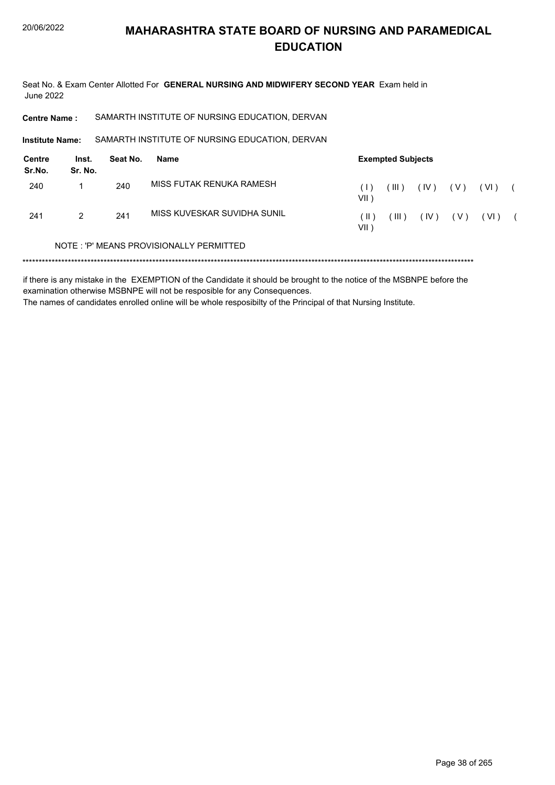Seat No. & Exam Center Allotted For GENERAL NURSING AND MIDWIFERY SECOND YEAR Exam held in **June 2022** 

SAMARTH INSTITUTE OF NURSING EDUCATION, DERVAN **Centre Name:** 

Institute Name: SAMARTH INSTITUTE OF NURSING EDUCATION, DERVAN

| <b>Centre</b><br>Sr.No. | Inst.<br>Sr. No. | Seat No. | Name                                    |              | <b>Exempted Subjects</b> |      |       |        |  |  |  |
|-------------------------|------------------|----------|-----------------------------------------|--------------|--------------------------|------|-------|--------|--|--|--|
| 240                     |                  | 240      | MISS FUTAK RENUKA RAMESH                | VII )        | (III)                    | (IV) | ( V ) | ( VI ) |  |  |  |
| 241                     | 2                | 241      | MISS KUVESKAR SUVIDHA SUNIL             | ΊΕΣ<br>VII 1 | $III$ )                  | (IV) | ( V ) | ( VI ) |  |  |  |
|                         |                  |          | NOTE: 'P' MEANS PROVISIONALLY PERMITTED |              |                          |      |       |        |  |  |  |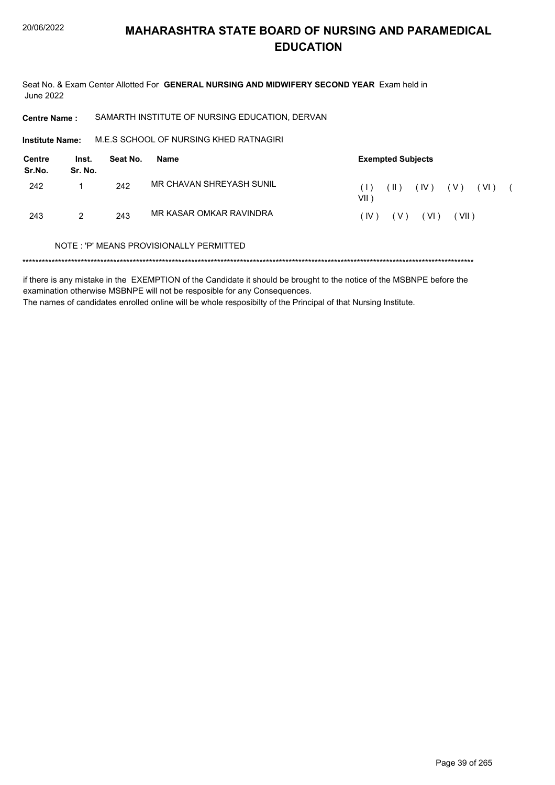Seat No. & Exam Center Allotted For GENERAL NURSING AND MIDWIFERY SECOND YEAR Exam held in **June 2022** 

SAMARTH INSTITUTE OF NURSING EDUCATION, DERVAN **Centre Name:** 

M.E.S SCHOOL OF NURSING KHED RATNAGIRI Institute Name:

| <b>Centre</b><br>Sr.No. | Inst.<br>Sr. No. | Seat No. | Name                     | <b>Exempted Subjects</b>                        |
|-------------------------|------------------|----------|--------------------------|-------------------------------------------------|
| 242                     |                  | 242      | MR CHAVAN SHREYASH SUNIL | (IV)<br>( V )<br>( VI )<br>(  )<br>(1)<br>VII ) |
| 243                     | 2                | 243      | MR KASAR OMKAR RAVINDRA  | (VI)<br>(V)<br>VII)<br>(IV)                     |

#### NOTE: 'P' MEANS PROVISIONALLY PERMITTED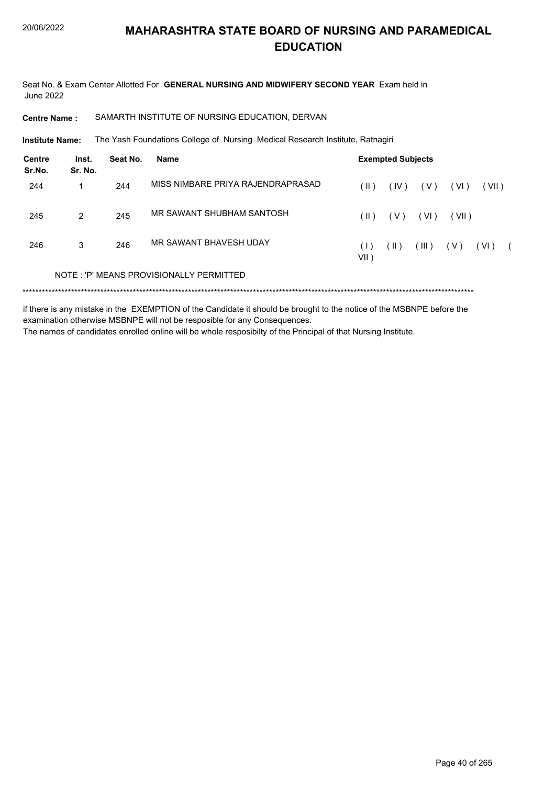Seat No. & Exam Center Allotted For **GENERAL NURSING AND MIDWIFERY SECOND YEAR** Exam held in June 2022

**Centre Name :** SAMARTH INSTITUTE OF NURSING EDUCATION, DERVAN

The Yash Foundations College of Nursing Medical Research Institute, Ratnagiri **Institute Name:**

| Centre<br>Sr.No. | Inst.<br>Sr. No. | Seat No. | Name                                    |                | <b>Exempted Subjects</b> |       |       |       |  |
|------------------|------------------|----------|-----------------------------------------|----------------|--------------------------|-------|-------|-------|--|
| 244              |                  | 244      | MISS NIMBARE PRIYA RAJENDRAPRASAD       | ( II )         | (IV)                     | ( V ) | (VI)  | (VII) |  |
| 245              | $\mathcal{P}$    | 245      | MR SAWANT SHUBHAM SANTOSH               | ( II )         | ( V )                    | (VI)  | (VII) |       |  |
| 246              | 3                | 246      | MR SAWANT BHAVESH UDAY                  | (1)<br>$VII$ ) | ( II )                   | (III) | ( V ) | (VI)  |  |
|                  |                  |          | NOTE: 'P' MEANS PROVISIONALLY PERMITTED |                |                          |       |       |       |  |
|                  |                  |          |                                         |                |                          |       |       |       |  |

if there is any mistake in the EXEMPTION of the Candidate it should be brought to the notice of the MSBNPE before the examination otherwise MSBNPE will not be resposible for any Consequences.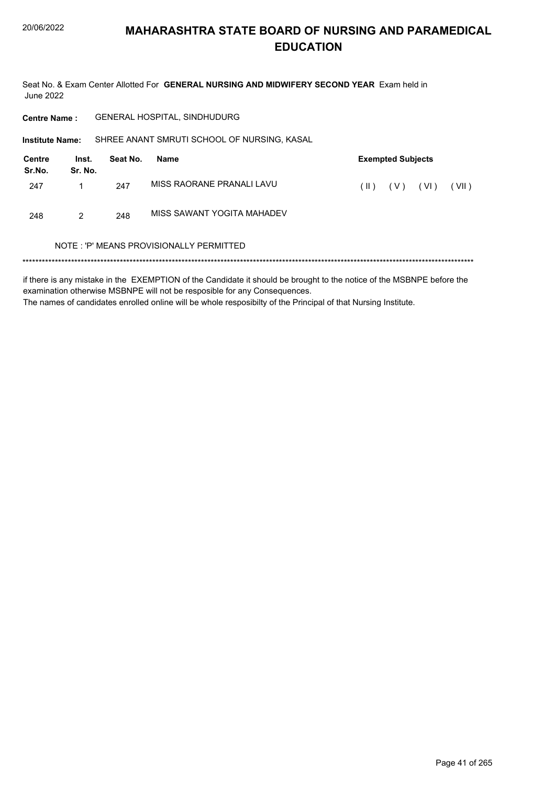Seat No. & Exam Center Allotted For GENERAL NURSING AND MIDWIFERY SECOND YEAR Exam held in **June 2022** 

**Centre Name:** GENERAL HOSPITAL, SINDHUDURG

Institute Name: SHREE ANANT SMRUTI SCHOOL OF NURSING, KASAL

| <b>Centre</b><br>Sr.No. | Inst.<br>Sr. No. | Seat No. | Name                       | <b>Exempted Subjects</b> |       |      |       |  |  |  |
|-------------------------|------------------|----------|----------------------------|--------------------------|-------|------|-------|--|--|--|
| 247                     |                  | 247      | MISS RAORANE PRANALI LAVU  | ( II )                   | ( V ) | (VI) | (VII) |  |  |  |
| 248                     | 2                | 248      | MISS SAWANT YOGITA MAHADEV |                          |       |      |       |  |  |  |

#### NOTE: 'P' MEANS PROVISIONALLY PERMITTED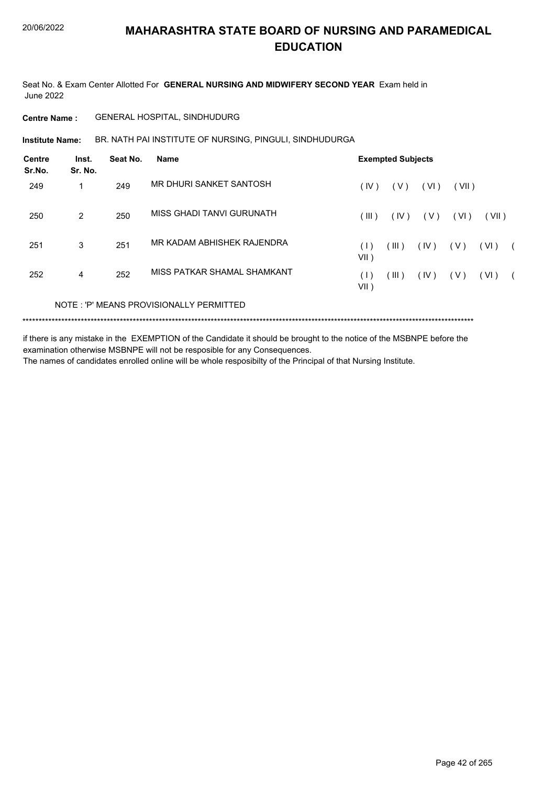Seat No. & Exam Center Allotted For **GENERAL NURSING AND MIDWIFERY SECOND YEAR** Exam held in June 2022

**Centre Name :** GENERAL HOSPITAL, SINDHUDURG

**Institute Name: BR. NATH PAI INSTITUTE OF NURSING, PINGULI, SINDHUDURGA** 

| <b>Centre</b><br>Sr.No. | Inst.<br>Sr. No. | Seat No. | <b>Name</b>                             |                | <b>Exempted Subjects</b> |       |       |       |  |
|-------------------------|------------------|----------|-----------------------------------------|----------------|--------------------------|-------|-------|-------|--|
| 249                     | 1                | 249      | MR DHURI SANKET SANTOSH                 | (IV)           | ( V )                    | (VI)  | (VII) |       |  |
| 250                     | $\overline{2}$   | 250      | MISS GHADI TANVI GURUNATH               | (III)          | (IV)                     | ( V ) | (VI)  | (VII) |  |
| 251                     | 3                | 251      | MR KADAM ABHISHEK RAJENDRA              | (1)<br>$VII$ ) | (III)                    | (IV)  | ( V ) | (VI)  |  |
| 252                     | 4                | 252      | MISS PATKAR SHAMAL SHAMKANT             | (1)<br>$VII$ ) | (III)                    | (IV)  | ( V ) | (VI)  |  |
|                         |                  |          | NOTE: 'P' MEANS PROVISIONALLY PERMITTED |                |                          |       |       |       |  |

\*\*\*\*\*\*\*\*\*\*\*\*\*\*\*\*\*\*\*\*\*\*\*\*\*\*\*\*\*\*\*\*\*\*\*\*\*\*\*\*\*\*\*\*\*\*\*\*\*\*\*\*\*\*\*\*\*\*\*\*\*\*\*\*\*\*\*\*\*\*\*\*\*\*\*\*\*\*\*\*\*\*\*\*\*\*\*\*\*\*\*\*\*\*\*\*\*\*\*\*\*\*\*\*\*\*\*\*\*\*\*\*\*\*\*\*\*\*\*\*\*\*\*\*\*\*\*\*\*\*\*\*\*\*\*\*\*\*\*

if there is any mistake in the EXEMPTION of the Candidate it should be brought to the notice of the MSBNPE before the examination otherwise MSBNPE will not be resposible for any Consequences.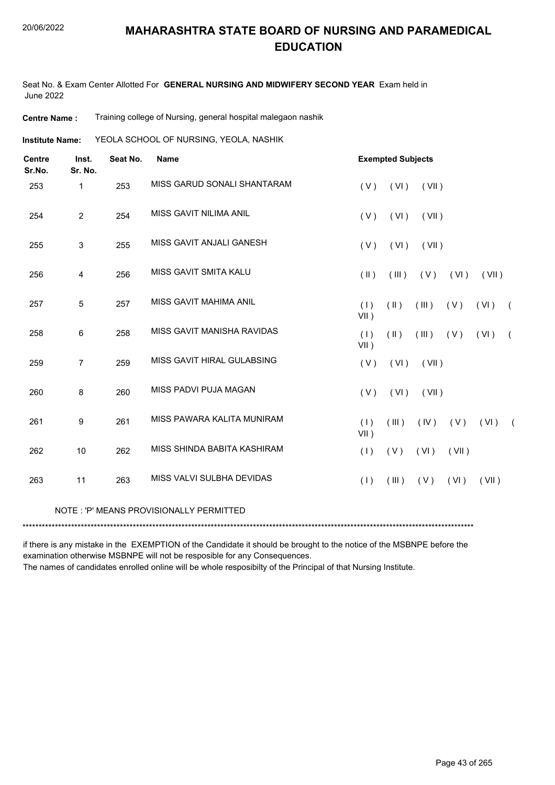Seat No. & Exam Center Allotted For **GENERAL NURSING AND MIDWIFERY SECOND YEAR** Exam held in June 2022

**Centre Name :** Training college of Nursing, general hospital malegaon nashik

YEOLA SCHOOL OF NURSING, YEOLA, NASHIK **Institute Name:**

| <b>Centre</b><br>Sr.No. | Inst.<br>Sr. No. | Seat No. | <b>Name</b>                             |                | <b>Exempted Subjects</b> |       |       |       |            |
|-------------------------|------------------|----------|-----------------------------------------|----------------|--------------------------|-------|-------|-------|------------|
| 253                     | 1                | 253      | MISS GARUD SONALI SHANTARAM             | (V)            | (VI)                     | (VII) |       |       |            |
| 254                     | $\overline{2}$   | 254      | MISS GAVIT NILIMA ANIL                  | (V)            | (VI)                     | (VII) |       |       |            |
| 255                     | 3                | 255      | MISS GAVIT ANJALI GANESH                | (V)            | (VI)                     | (VII) |       |       |            |
| 256                     | 4                | 256      | MISS GAVIT SMITA KALU                   | $(\parallel)$  | (III)                    | (V)   | (VI)  | (VII) |            |
| 257                     | 5                | 257      | MISS GAVIT MAHIMA ANIL                  | (1)<br>$VII$ ) | $(\parallel)$            | (III) | (V)   | (VI)  | $\sqrt{2}$ |
| 258                     | 6                | 258      | MISS GAVIT MANISHA RAVIDAS              | (1)<br>$VII$ ) | (11)                     | (III) | ( V ) | (VI)  | $\sqrt{2}$ |
| 259                     | 7                | 259      | MISS GAVIT HIRAL GULABSING              | (V)            | (VI)                     | (VII) |       |       |            |
| 260                     | 8                | 260      | MISS PADVI PUJA MAGAN                   | (V)            | (VI)                     | (VII) |       |       |            |
| 261                     | 9                | 261      | MISS PAWARA KALITA MUNIRAM              | (1)<br>$VII$ ) | (III)                    | (IV)  | (V)   | (VI)  | $\sqrt{2}$ |
| 262                     | 10               | 262      | MISS SHINDA BABITA KASHIRAM             | (1)            | (V)                      | (VI)  | (VII) |       |            |
| 263                     | 11               | 263      | MISS VALVI SULBHA DEVIDAS               | (1)            | (III)                    | (V)   | (VI)  | (VII) |            |
|                         |                  |          | NOTE: 'P' MEANS PROVISIONALLY PERMITTED |                |                          |       |       |       |            |
|                         |                  |          |                                         |                |                          |       |       |       |            |

if there is any mistake in the EXEMPTION of the Candidate it should be brought to the notice of the MSBNPE before the examination otherwise MSBNPE will not be resposible for any Consequences.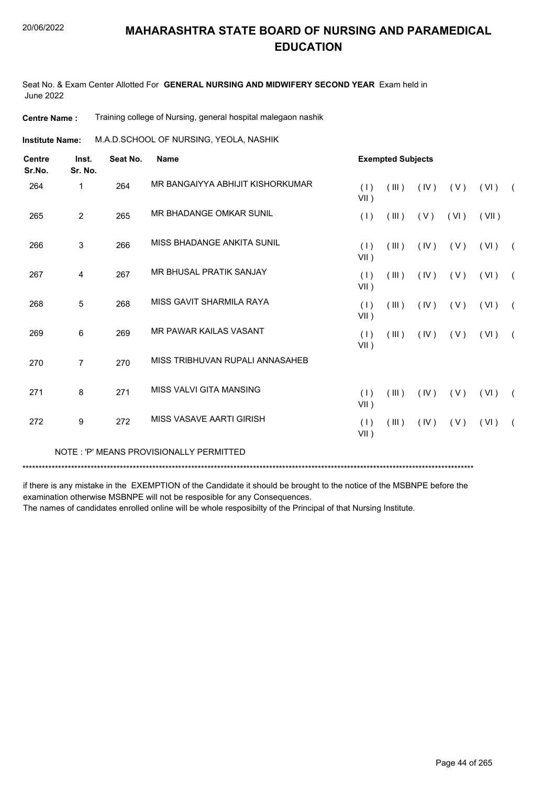Seat No. & Exam Center Allotted For **GENERAL NURSING AND MIDWIFERY SECOND YEAR** Exam held in June 2022

**Centre Name :** Training college of Nursing, general hospital malegaon nashik

M.A.D.SCHOOL OF NURSING, YEOLA, NASHIK **Institute Name:**

| 264<br>265<br>266 | Inst.<br>Sr. No. | Seat No. | <b>Name</b>                             |                | <b>Exempted Subjects</b> |      |      |       |                |
|-------------------|------------------|----------|-----------------------------------------|----------------|--------------------------|------|------|-------|----------------|
|                   | 1                | 264      | MR BANGAIYYA ABHIJIT KISHORKUMAR        | (1)<br>$VII$ ) | (III)                    | (IV) | (V)  | (VI)  | $\overline{ }$ |
|                   | $\overline{2}$   | 265      | MR BHADANGE OMKAR SUNIL                 | (1)            | (III)                    | (V)  | (VI) | (VII) |                |
|                   | 3                | 266      | MISS BHADANGE ANKITA SUNIL              | (1)<br>VII)    | (III)                    | (IV) | (V)  | (VI)  | $\sqrt{2}$     |
| 267               | 4                | 267      | MR BHUSAL PRATIK SANJAY                 | (1)<br>$VII$ ) | (III)                    | (IV) | (V)  | (VI)  | $\sqrt{2}$     |
| 268               | 5                | 268      | MISS GAVIT SHARMILA RAYA                | (1)<br>VII)    | (III)                    | (IV) | (V)  | (VI)  | $\sqrt{2}$     |
| 269               | 6                | 269      | MR PAWAR KAILAS VASANT                  | (1)<br>VII)    | (III)                    | (IV) | (V)  | (VI)  | $\left($       |
| 270               | $\overline{7}$   | 270      | MISS TRIBHUVAN RUPALI ANNASAHEB         |                |                          |      |      |       |                |
| 271               | 8                | 271      | MISS VALVI GITA MANSING                 | (1)<br>VII)    | (III)                    | (IV) | (V)  | (VI)  | $\sqrt{2}$     |
| 272               | 9                | 272      | MISS VASAVE AARTI GIRISH                | (1)<br>VII)    | (III)                    | (IV) | (V)  | (VI)  | $\sqrt{2}$     |
|                   |                  |          | NOTE: 'P' MEANS PROVISIONALLY PERMITTED |                |                          |      |      |       |                |

\*\*\*\*\*\*\*\*\*\*\*\*\*\*\*\*\*\*\*\*\*\*\*\*\*\*\*\*\*\*\*\*\*\*\*\*\*\*\*\*\*\*\*\*\*\*\*\*\*\*\*\*\*\*\*\*\*\*\*\*\*\*\*\*\*\*\*\*\*\*\*\*\*\*\*\*\*\*\*\*\*\*\*\*\*\*\*\*\*\*\*\*\*\*\*\*\*\*\*\*\*\*\*\*\*\*\*\*\*\*\*\*\*\*\*\*\*\*\*\*\*\*\*\*\*\*\*\*\*\*\*\*\*\*\*\*\*\*\*

if there is any mistake in the EXEMPTION of the Candidate it should be brought to the notice of the MSBNPE before the examination otherwise MSBNPE will not be resposible for any Consequences.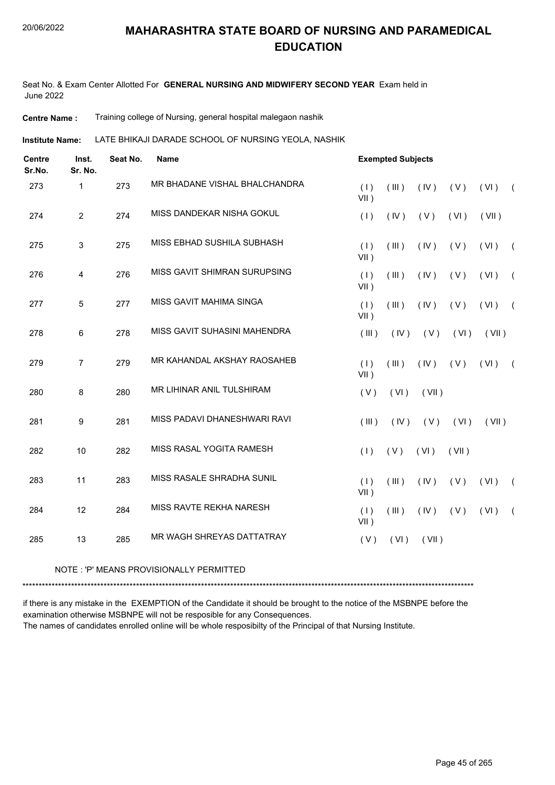Seat No. & Exam Center Allotted For **GENERAL NURSING AND MIDWIFERY SECOND YEAR** Exam held in June 2022

**Centre Name :** Training college of Nursing, general hospital malegaon nashik

LATE BHIKAJI DARADE SCHOOL OF NURSING YEOLA, NASHIK **Institute Name:**

| <b>Centre</b><br>Sr.No. | Inst.<br>Sr. No. | Seat No. | <b>Name</b>                   |                | <b>Exempted Subjects</b> |       |       |       |            |
|-------------------------|------------------|----------|-------------------------------|----------------|--------------------------|-------|-------|-------|------------|
| 273                     | $\mathbf{1}$     | 273      | MR BHADANE VISHAL BHALCHANDRA | (1)<br>$VII$ ) | (III)                    | (IV)  | (V)   | (VI)  | $\sqrt{2}$ |
| 274                     | $\overline{2}$   | 274      | MISS DANDEKAR NISHA GOKUL     | (1)            | (IV)                     | (V)   | (VI)  | (VII) |            |
| 275                     | 3                | 275      | MISS EBHAD SUSHILA SUBHASH    | (1)<br>VII)    | (III)                    | (IV)  | (V)   | (VI)  | $\sqrt{2}$ |
| 276                     | $\overline{4}$   | 276      | MISS GAVIT SHIMRAN SURUPSING  | (1)<br>$VII$ ) | (III)                    | (IV)  | (V)   | (VI)  | $\sqrt{2}$ |
| 277                     | $\overline{5}$   | 277      | MISS GAVIT MAHIMA SINGA       | (1)<br>VII)    | (III)                    | (IV)  | (V)   | (VI)  | $\sqrt{2}$ |
| 278                     | 6                | 278      | MISS GAVIT SUHASINI MAHENDRA  | (III)          | (IV)                     | (V)   | (VI)  | (VII) |            |
| 279                     | $\overline{7}$   | 279      | MR KAHANDAL AKSHAY RAOSAHEB   | (1)<br>$VII$ ) | (III)                    | (IV)  | (V)   | (VI)  | $\sqrt{2}$ |
| 280                     | 8                | 280      | MR LIHINAR ANIL TULSHIRAM     | (V)            | (VI)                     | (VII) |       |       |            |
| 281                     | 9                | 281      | MISS PADAVI DHANESHWARI RAVI  | (III)          | (IV)                     | (V)   | (VI)  | (VII) |            |
| 282                     | 10               | 282      | MISS RASAL YOGITA RAMESH      | (1)            | (V)                      | (VI)  | (VII) |       |            |
| 283                     | 11               | 283      | MISS RASALE SHRADHA SUNIL     | (1)<br>$VII$ ) | (III)                    | (IV)  | (V)   | (VI)  | $\left($   |
| 284                     | 12               | 284      | MISS RAVTE REKHA NARESH       | (1)<br>VII)    | (III)                    | (IV)  | (V)   | (VI)  | $\sqrt{2}$ |
| 285                     | 13               | 285      | MR WAGH SHREYAS DATTATRAY     | (V)            | (VI)                     | (VII) |       |       |            |

NOTE : 'P' MEANS PROVISIONALLY PERMITTED

\*\*\*\*\*\*\*\*\*\*\*\*\*\*\*\*\*\*\*\*\*\*\*\*\*\*\*\*\*\*\*\*\*\*\*\*\*\*\*\*\*\*\*\*\*\*\*\*\*\*\*\*\*\*\*\*\*\*\*\*\*\*\*\*\*\*\*\*\*\*\*\*\*\*\*\*\*\*\*\*\*\*\*\*\*\*\*\*\*\*\*\*\*\*\*\*\*\*\*\*\*\*\*\*\*\*\*\*\*\*\*\*\*\*\*\*\*\*\*\*\*\*\*\*\*\*\*\*\*\*\*\*\*\*\*\*\*\*\*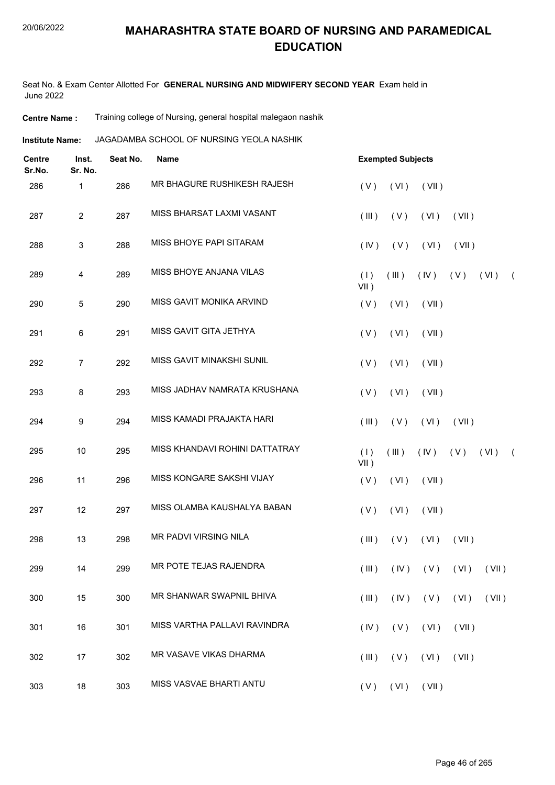Seat No. & Exam Center Allotted For **GENERAL NURSING AND MIDWIFERY SECOND YEAR** Exam held in June 2022

**Centre Name :** Training college of Nursing, general hospital malegaon nashik

**Institute Name: JAGADAMBA SCHOOL OF NURSING YEOLA NASHIK** 

| <b>Centre</b><br>Sr.No. | Inst.<br>Sr. No. | Seat No. | <b>Name</b>                    | <b>Exempted Subjects</b> |            |       |                     |       |            |
|-------------------------|------------------|----------|--------------------------------|--------------------------|------------|-------|---------------------|-------|------------|
| 286                     | 1                | 286      | MR BHAGURE RUSHIKESH RAJESH    | (V)                      | (VI)       | (VII) |                     |       |            |
| 287                     | $\overline{2}$   | 287      | MISS BHARSAT LAXMI VASANT      | (III)                    | (V)        | (VI)  | (VII)               |       |            |
| 288                     | $\mathbf{3}$     | 288      | MISS BHOYE PAPI SITARAM        | (IV)                     | (V)        | (VI)  | (VII)               |       |            |
| 289                     | $\overline{4}$   | 289      | MISS BHOYE ANJANA VILAS        | (1)<br>$VII$ )           | (III)      | (IV)  | (V)                 | (VI)  | $\sqrt{2}$ |
| 290                     | 5                | 290      | MISS GAVIT MONIKA ARVIND       | (V)                      | (VI)       | (VII) |                     |       |            |
| 291                     | $\,6\,$          | 291      | MISS GAVIT GITA JETHYA         | (V)                      | (VI)       | (VII) |                     |       |            |
| 292                     | $\overline{7}$   | 292      | MISS GAVIT MINAKSHI SUNIL      | (V)                      | (VI)       | (VII) |                     |       |            |
| 293                     | 8                | 293      | MISS JADHAV NAMRATA KRUSHANA   | (V)                      | (VI)       | (VII) |                     |       |            |
| 294                     | 9                | 294      | MISS KAMADI PRAJAKTA HARI      | (III)                    | (V)        | (VI)  | (VII)               |       |            |
| 295                     | 10               | 295      | MISS KHANDAVI ROHINI DATTATRAY | (1)<br>$VII$ )           | (III)      | (IV)  | (V)                 | (VI)  | $\sqrt{2}$ |
| 296                     | 11               | 296      | MISS KONGARE SAKSHI VIJAY      | (V)                      | (VI)       | (VII) |                     |       |            |
| 297                     | 12               | 297      | MISS OLAMBA KAUSHALYA BABAN    | (V)                      | (VI)       | (VII) |                     |       |            |
| 298                     | 13               | 298      | MR PADVI VIRSING NILA          | (III)                    | (V)        | (VI)  | (VII)               |       |            |
| 299                     | 14               | 299      | MR POTE TEJAS RAJENDRA         | $($ III $)$              |            |       | $(IV)$ $(V)$ $(VI)$ | (VII) |            |
| 300                     | 15               | 300      | MR SHANWAR SWAPNIL BHIVA       | (III)                    | $($ IV $)$ | (V)   | (VI)                | (VII) |            |
| 301                     | 16               | 301      | MISS VARTHA PALLAVI RAVINDRA   | (IV)                     | (V)        | (VI)  | (VII)               |       |            |
| 302                     | 17               | 302      | MR VASAVE VIKAS DHARMA         | (III)                    | (V)        | (VI)  | (VII)               |       |            |
| 303                     | 18               | 303      | MISS VASVAE BHARTI ANTU        | $(V)$ $(VI)$ $(VII)$     |            |       |                     |       |            |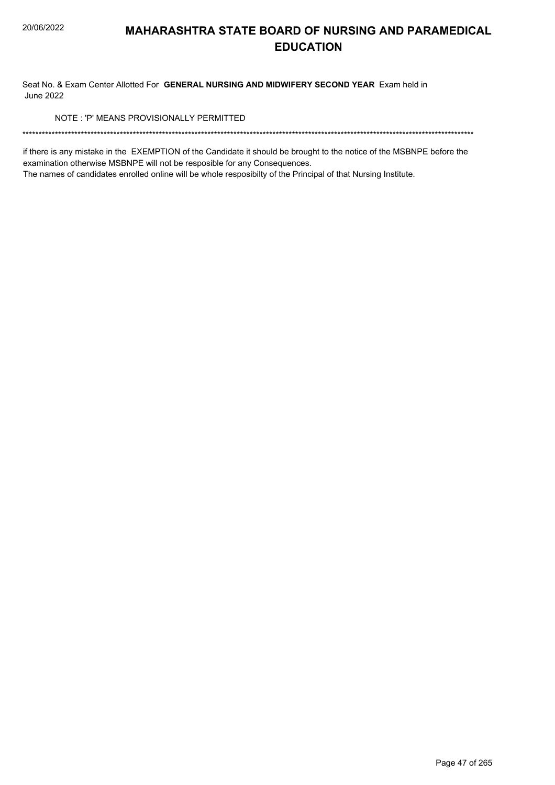Seat No. & Exam Center Allotted For GENERAL NURSING AND MIDWIFERY SECOND YEAR Exam held in **June 2022** 

NOTE: 'P' MEANS PROVISIONALLY PERMITTED

if there is any mistake in the EXEMPTION of the Candidate it should be brought to the notice of the MSBNPE before the examination otherwise MSBNPE will not be resposible for any Consequences.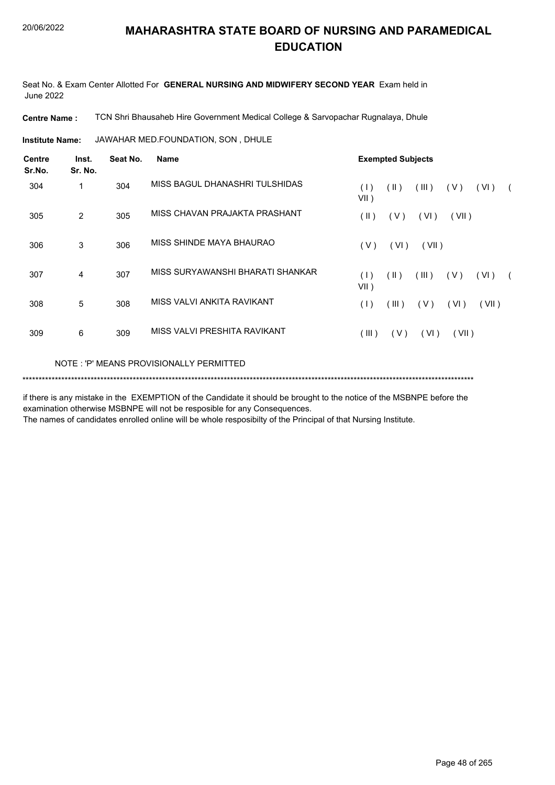Seat No. & Exam Center Allotted For **GENERAL NURSING AND MIDWIFERY SECOND YEAR** Exam held in June 2022

**Centre Name :** TCN Shri Bhausaheb Hire Government Medical College & Sarvopachar Rugnalaya, Dhule

JAWAHAR MED.FOUNDATION, SON , DHULE **Institute Name:**

| <b>Centre</b><br>Sr.No. | Inst.<br>Sr. No. | Seat No. | Name                                    | <b>Exempted Subjects</b>                                              |  |  |  |  |  |  |  |
|-------------------------|------------------|----------|-----------------------------------------|-----------------------------------------------------------------------|--|--|--|--|--|--|--|
| 304                     | 1                | 304      | MISS BAGUL DHANASHRI TULSHIDAS          | (1)<br>$(\parallel)$<br>(III)<br>(V)<br>(VI)<br>$\sqrt{2}$<br>$VII$ ) |  |  |  |  |  |  |  |
| 305                     | 2                | 305      | MISS CHAVAN PRAJAKTA PRASHANT           | $(\parallel)$<br>(V)<br>(VI)<br>(VII)                                 |  |  |  |  |  |  |  |
| 306                     | 3                | 306      | MISS SHINDE MAYA BHAURAO                | (V)<br>(VI)<br>(VII)                                                  |  |  |  |  |  |  |  |
| 307                     | 4                | 307      | MISS SURYAWANSHI BHARATI SHANKAR        | (11)<br>(III)<br>(V)<br>(VI)<br>(1)<br>$\sqrt{2}$<br>$VII$ )          |  |  |  |  |  |  |  |
| 308                     | 5                | 308      | MISS VALVI ANKITA RAVIKANT              | (III)<br>(V)<br>(VI)<br>(VII)<br>(1)                                  |  |  |  |  |  |  |  |
| 309                     | 6                | 309      | MISS VALVI PRESHITA RAVIKANT            | (III)<br>(V)<br>(VI)<br>(VII)                                         |  |  |  |  |  |  |  |
|                         |                  |          | NOTE: 'P' MEANS PROVISIONALLY PERMITTED |                                                                       |  |  |  |  |  |  |  |

\*\*\*\*\*\*\*\*\*\*\*\*\*\*\*\*\*\*\*\*\*\*\*\*\*\*\*\*\*\*\*\*\*\*\*\*\*\*\*\*\*\*\*\*\*\*\*\*\*\*\*\*\*\*\*\*\*\*\*\*\*\*\*\*\*\*\*\*\*\*\*\*\*\*\*\*\*\*\*\*\*\*\*\*\*\*\*\*\*\*\*\*\*\*\*\*\*\*\*\*\*\*\*\*\*\*\*\*\*\*\*\*\*\*\*\*\*\*\*\*\*\*\*\*\*\*\*\*\*\*\*\*\*\*\*\*\*\*\*

if there is any mistake in the EXEMPTION of the Candidate it should be brought to the notice of the MSBNPE before the examination otherwise MSBNPE will not be resposible for any Consequences.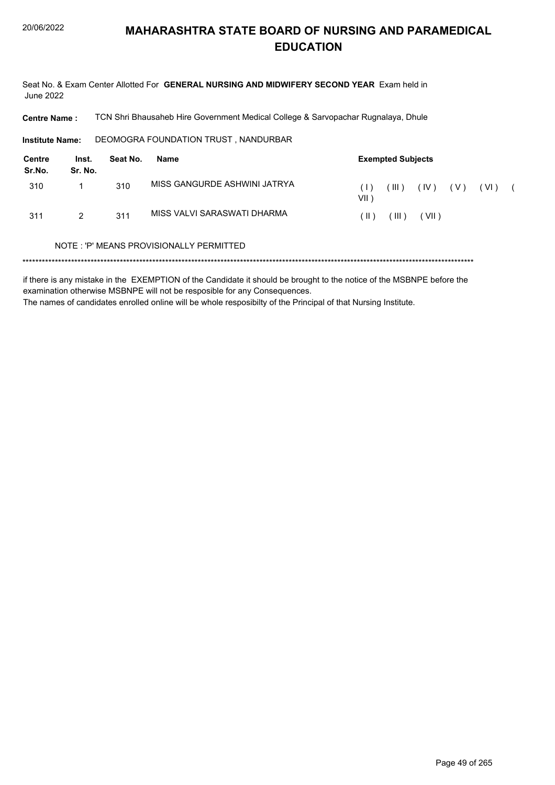Seat No. & Exam Center Allotted For GENERAL NURSING AND MIDWIFERY SECOND YEAR Exam held in **June 2022** 

**Centre Name:** TCN Shri Bhausaheb Hire Government Medical College & Sarvopachar Rugnalaya, Dhule

DEOMOGRA FOUNDATION TRUST, NANDURBAR **Institute Name:** 

| Centre<br>Sr.No. | Inst.<br>Sr. No. | Seat No. | Name                         |                                                        | <b>Exempted Subjects</b> |      |     |      |  |
|------------------|------------------|----------|------------------------------|--------------------------------------------------------|--------------------------|------|-----|------|--|
| 310              |                  | 310      | MISS GANGURDE ASHWINI JATRYA | $\left( \begin{array}{c} \end{array} \right)$<br>VII ) | $^{\prime}$ III )        | (IV) | (V) | (VI) |  |
| 311              | 2                | 311      | MISS VALVI SARASWATI DHARMA  | $\vert \vert$ )                                        | (III)                    | VII) |     |      |  |

#### NOTE: 'P' MEANS PROVISIONALLY PERMITTED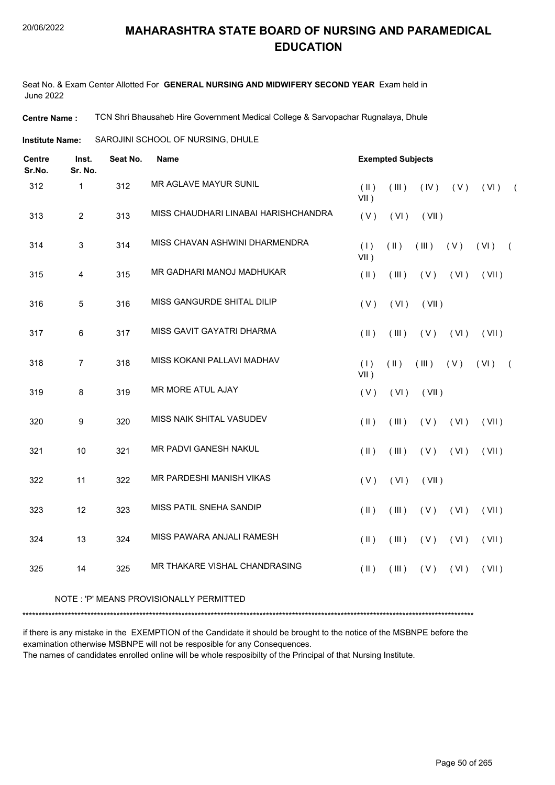Seat No. & Exam Center Allotted For **GENERAL NURSING AND MIDWIFERY SECOND YEAR** Exam held in June 2022

**Centre Name :** TCN Shri Bhausaheb Hire Government Medical College & Sarvopachar Rugnalaya, Dhule

SAROJINI SCHOOL OF NURSING, DHULE **Institute Name:**

| <b>Centre</b><br>Sr.No. | Inst.<br>Sr. No. | Seat No.<br>Name |                                      | <b>Exempted Subjects</b> |               |       |      |       |            |
|-------------------------|------------------|------------------|--------------------------------------|--------------------------|---------------|-------|------|-------|------------|
| 312                     | $\mathbf{1}$     | 312              | MR AGLAVE MAYUR SUNIL                | $(\parallel)$<br>$VII$ ) | (III)         | (IV)  | (V)  | (VI)  | $\sqrt{2}$ |
| 313                     | $\overline{2}$   | 313              | MISS CHAUDHARI LINABAI HARISHCHANDRA | (V)                      | (VI)          | (VII) |      |       |            |
| 314                     | $\mathfrak{S}$   | 314              | MISS CHAVAN ASHWINI DHARMENDRA       | (1)<br>$VII$ )           | $(\parallel)$ | (III) | (V)  | (VI)  | $\sqrt{2}$ |
| 315                     | 4                | 315              | MR GADHARI MANOJ MADHUKAR            | $($ II $)$               | (III)         | (V)   | (VI) | (VII) |            |
| 316                     | 5                | 316              | MISS GANGURDE SHITAL DILIP           | (V)                      | (VI)          | (VII) |      |       |            |
| 317                     | 6                | 317              | MISS GAVIT GAYATRI DHARMA            | $($ II $)$               | (III)         | (V)   | (VI) | (VII) |            |
| 318                     | $\overline{7}$   | 318              | MISS KOKANI PALLAVI MADHAV           | (1)<br>$VII$ )           | $(\parallel)$ | (III) | (V)  | (VI)  | $\sqrt{2}$ |
| 319                     | 8                | 319              | <b>MR MORE ATUL AJAY</b>             | (V)                      | (VI)          | (VII) |      |       |            |
| 320                     | $\boldsymbol{9}$ | 320              | MISS NAIK SHITAL VASUDEV             | $($ II $)$               | (III)         | (V)   | (VI) | (VII) |            |
| 321                     | 10               | 321              | <b>MR PADVI GANESH NAKUL</b>         | $($ II $)$               | (III)         | (V)   | (VI) | (VII) |            |
| 322                     | 11               | 322              | MR PARDESHI MANISH VIKAS             | (V)                      | (VI)          | (VII) |      |       |            |
| 323                     | 12               | 323              | MISS PATIL SNEHA SANDIP              | $(\parallel)$            | (III)         | (V)   | (VI) | (VII) |            |
| 324                     | 13               | 324              | MISS PAWARA ANJALI RAMESH            | $($ II $)$               | (III)         | (V)   | (VI) | (VII) |            |
| 325                     | 14               | 325              | MR THAKARE VISHAL CHANDRASING        | $($ II $)$               | (III)         | (V)   | (VI) | (VII) |            |
|                         |                  |                  |                                      |                          |               |       |      |       |            |

#### NOTE : 'P' MEANS PROVISIONALLY PERMITTED

\*\*\*\*\*\*\*\*\*\*\*\*\*\*\*\*\*\*\*\*\*\*\*\*\*\*\*\*\*\*\*\*\*\*\*\*\*\*\*\*\*\*\*\*\*\*\*\*\*\*\*\*\*\*\*\*\*\*\*\*\*\*\*\*\*\*\*\*\*\*\*\*\*\*\*\*\*\*\*\*\*\*\*\*\*\*\*\*\*\*\*\*\*\*\*\*\*\*\*\*\*\*\*\*\*\*\*\*\*\*\*\*\*\*\*\*\*\*\*\*\*\*\*\*\*\*\*\*\*\*\*\*\*\*\*\*\*\*\*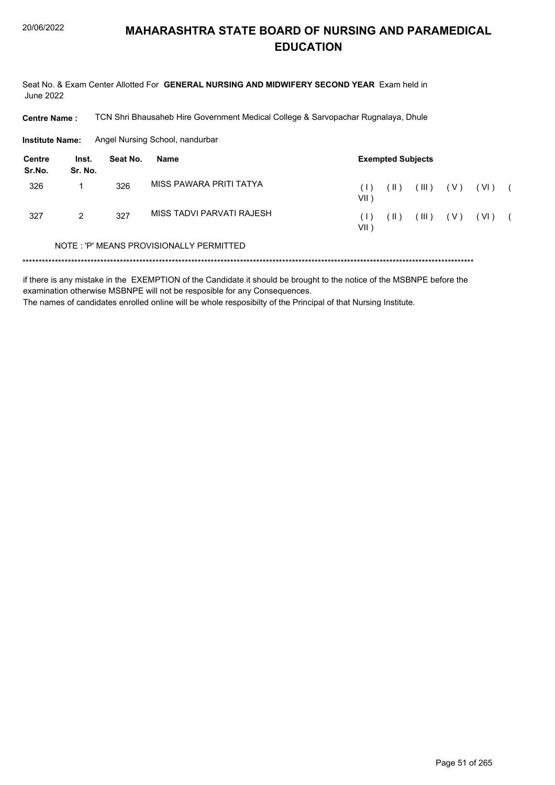Seat No. & Exam Center Allotted For GENERAL NURSING AND MIDWIFERY SECOND YEAR Exam held in **June 2022** 

**Centre Name:** TCN Shri Bhausaheb Hire Government Medical College & Sarvopachar Rugnalaya, Dhule

**Institute Name:** Angel Nursing School, nandurbar

| Centre<br>Sr.No. | Inst.<br>Sr. No. | Seat No. | <b>Exempted Subjects</b><br>Name        |                 |                 |       |       |        |  |
|------------------|------------------|----------|-----------------------------------------|-----------------|-----------------|-------|-------|--------|--|
| 326              |                  | 326      | MISS PAWARA PRITI TATYA                 | (1)<br>VII )    | (  )            | (III) | (V)   | ( VI ) |  |
| 327              | 2                | 327      | MISS TADVI PARVATI RAJESH               | $\Box$<br>VII ) | $( \parallel )$ | (III) | ( V ) | ( VI ) |  |
|                  |                  |          | NOTE: 'P' MEANS PROVISIONALLY PERMITTED |                 |                 |       |       |        |  |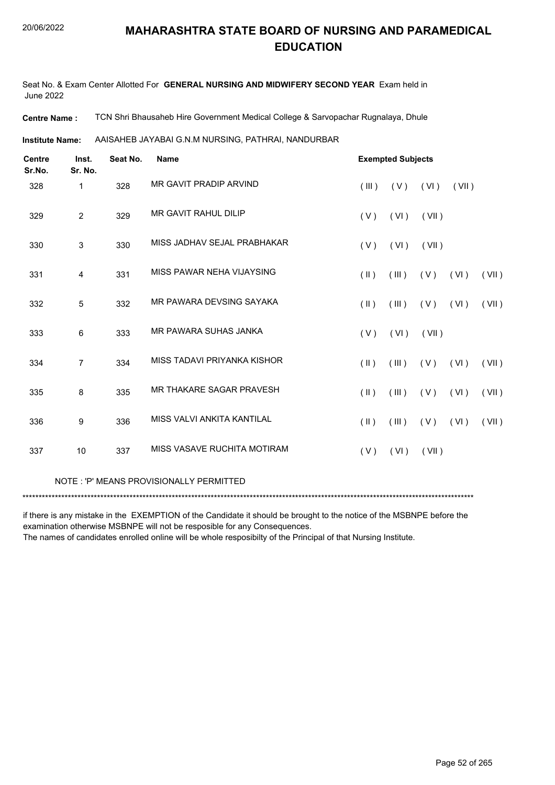Seat No. & Exam Center Allotted For **GENERAL NURSING AND MIDWIFERY SECOND YEAR** Exam held in June 2022

**Centre Name :** TCN Shri Bhausaheb Hire Government Medical College & Sarvopachar Rugnalaya, Dhule

AAISAHEB JAYABAI G.N.M NURSING, PATHRAI, NANDURBAR **Institute Name:**

| <b>Centre</b><br>Sr.No. | Inst.<br>Sr. No. | Seat No. | <b>Name</b>                 | <b>Exempted Subjects</b> |             |       |       |       |  |
|-------------------------|------------------|----------|-----------------------------|--------------------------|-------------|-------|-------|-------|--|
| 328                     | $\mathbf 1$      | 328      | MR GAVIT PRADIP ARVIND      | (III)                    | (V)         | (VI)  | (VII) |       |  |
| 329                     | $\overline{2}$   | 329      | <b>MR GAVIT RAHUL DILIP</b> | (V)                      | (VI)        | (VII) |       |       |  |
| 330                     | 3                | 330      | MISS JADHAV SEJAL PRABHAKAR | (V)                      | (VI)        | (VII) |       |       |  |
| 331                     | $\overline{4}$   | 331      | MISS PAWAR NEHA VIJAYSING   | $(\parallel)$            | (III)       | (V)   | (VI)  | (VII) |  |
| 332                     | 5                | 332      | MR PAWARA DEVSING SAYAKA    | $(\parallel)$            | $($ III $)$ | (V)   | (VI)  | (VII) |  |
| 333                     | 6                | 333      | MR PAWARA SUHAS JANKA       | (V)                      | (VI)        | (VII) |       |       |  |
| 334                     | 7                | 334      | MISS TADAVI PRIYANKA KISHOR | $(\parallel)$            | (III)       | (V)   | (VI)  | (VII) |  |
| 335                     | 8                | 335      | MR THAKARE SAGAR PRAVESH    | $(\parallel)$            | $($ III $)$ | (V)   | (VI)  | (VII) |  |
| 336                     | 9                | 336      | MISS VALVI ANKITA KANTILAL  | $(\parallel)$            | $($ III $)$ | (V)   | (VI)  | (VII) |  |
| 337                     | 10               | 337      | MISS VASAVE RUCHITA MOTIRAM | (V)                      | (VI)        | (VII) |       |       |  |
|                         |                  |          |                             |                          |             |       |       |       |  |

NOTE : 'P' MEANS PROVISIONALLY PERMITTED

\*\*\*\*\*\*\*\*\*\*\*\*\*\*\*\*\*\*\*\*\*\*\*\*\*\*\*\*\*\*\*\*\*\*\*\*\*\*\*\*\*\*\*\*\*\*\*\*\*\*\*\*\*\*\*\*\*\*\*\*\*\*\*\*\*\*\*\*\*\*\*\*\*\*\*\*\*\*\*\*\*\*\*\*\*\*\*\*\*\*\*\*\*\*\*\*\*\*\*\*\*\*\*\*\*\*\*\*\*\*\*\*\*\*\*\*\*\*\*\*\*\*\*\*\*\*\*\*\*\*\*\*\*\*\*\*\*\*\*

if there is any mistake in the EXEMPTION of the Candidate it should be brought to the notice of the MSBNPE before the examination otherwise MSBNPE will not be resposible for any Consequences.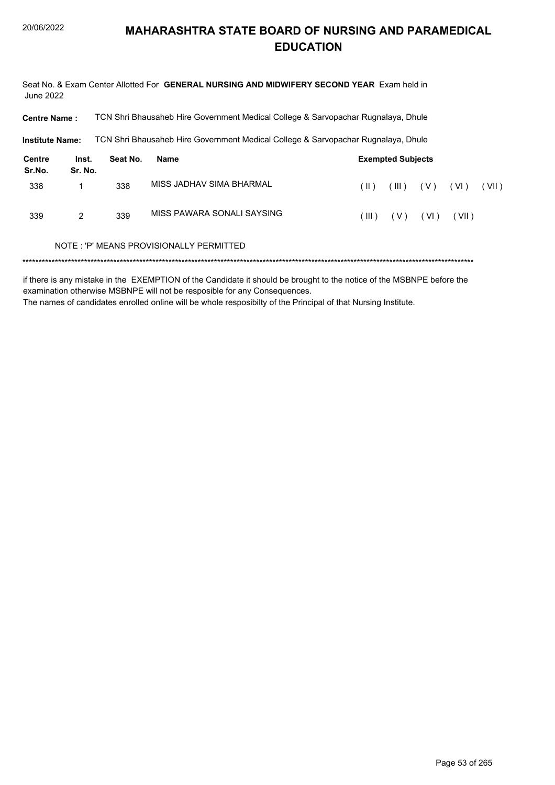Seat No. & Exam Center Allotted For GENERAL NURSING AND MIDWIFERY SECOND YEAR Exam held in **June 2022** 

TCN Shri Bhausaheb Hire Government Medical College & Sarvopachar Rugnalaya, Dhule **Centre Name:** 

**Institute Name:** TCN Shri Bhausaheb Hire Government Medical College & Sarvopachar Rugnalaya, Dhule

| <b>Centre</b><br>Sr.No. | Inst.<br>Sr. No. | Seat No. | <b>Exempted Subjects</b><br>Name |           |       |      |       |       |
|-------------------------|------------------|----------|----------------------------------|-----------|-------|------|-------|-------|
| 338                     |                  | 338      | MISS JADHAV SIMA BHARMAL         | ( II )    | (III) | (V)  | (VI)  | (VII) |
| 339                     | 2                | 339      | MISS PAWARA SONALI SAYSING       | $($ III ) | ( V ) | (VI) | (VII) |       |

#### NOTE: 'P' MEANS PROVISIONALLY PERMITTED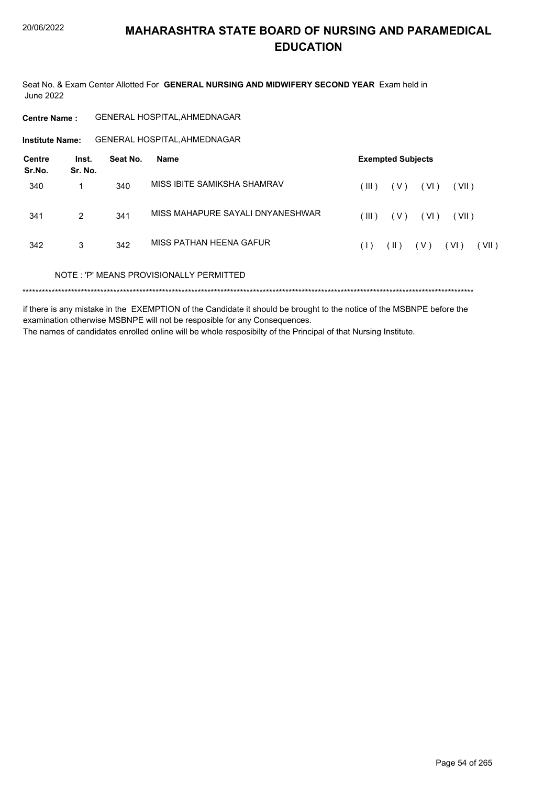Seat No. & Exam Center Allotted For GENERAL NURSING AND MIDWIFERY SECOND YEAR Exam held in **June 2022** 

**Centre Name:** GENERAL HOSPITAL, AHMEDNAGAR

**GENERAL HOSPITAL, AHMEDNAGAR Institute Name:** 

| Centre<br>Sr.No. | Inst.<br>Sr. No. | Seat No. | Name                                    | <b>Exempted Subjects</b> |               |        |        |       |
|------------------|------------------|----------|-----------------------------------------|--------------------------|---------------|--------|--------|-------|
| 340              | 1                | 340      | MISS IBITE SAMIKSHA SHAMRAV             | (III)                    | ( V )         | ( VI ) | (VII)  |       |
| 341              | 2                | 341      | MISS MAHAPURE SAYALI DNYANESHWAR        | (III)                    | ( V )         | ( VI ) | (VII)  |       |
| 342              | 3                | 342      | MISS PATHAN HFFNA GAFUR                 | (1)                      | $(\parallel)$ | ( V )  | ( VI ) | (VII) |
|                  |                  |          | NOTE: 'P' MEANS PROVISIONALLY PERMITTED |                          |               |        |        |       |
|                  |                  |          |                                         |                          |               |        |        |       |

if there is any mistake in the EXEMPTION of the Candidate it should be brought to the notice of the MSBNPE before the examination otherwise MSBNPE will not be resposible for any Consequences. The names of candidates enrolled online will be whole resposibilty of the Principal of that Nursing Institute.

Page 54 of 265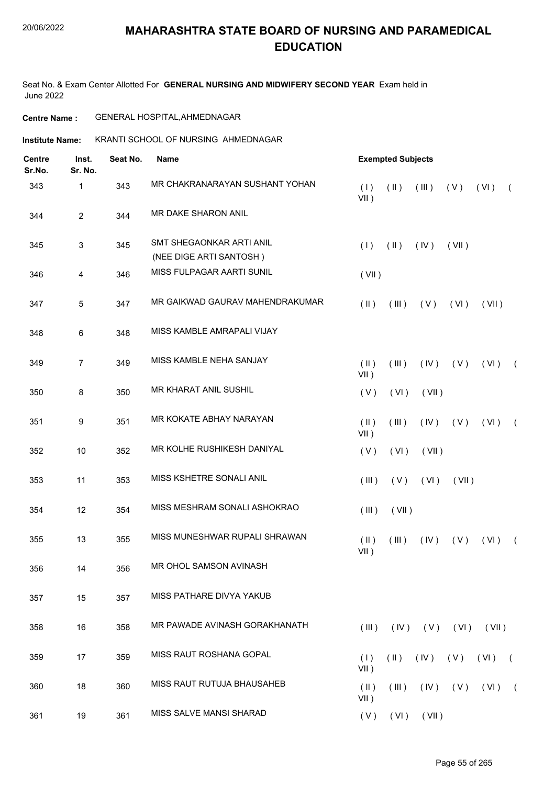Seat No. & Exam Center Allotted For **GENERAL NURSING AND MIDWIFERY SECOND YEAR** Exam held in June 2022

#### **Centre Name :** GENERAL HOSPITAL,AHMEDNAGAR

**Institute Name: KRANTI SCHOOL OF NURSING AHMEDNAGAR** 

| <b>Centre</b><br>Sr.No. | Inst.<br>Sr. No. | Seat No.<br><b>Name</b> |                                                     |                          |               | <b>Exempted Subjects</b>    |                     |       |            |  |  |  |
|-------------------------|------------------|-------------------------|-----------------------------------------------------|--------------------------|---------------|-----------------------------|---------------------|-------|------------|--|--|--|
| 343                     | 1                | 343                     | MR CHAKRANARAYAN SUSHANT YOHAN                      | (1)<br>$VII$ )           | $(\parallel)$ | (III)                       | (V)                 | (VI)  | $\sqrt{ }$ |  |  |  |
| 344                     | $\overline{2}$   | 344                     | MR DAKE SHARON ANIL                                 |                          |               |                             |                     |       |            |  |  |  |
| 345                     | 3                | 345                     | SMT SHEGAONKAR ARTI ANIL<br>(NEE DIGE ARTI SANTOSH) | (1)                      | $(\parallel)$ | (IV)                        | (VII)               |       |            |  |  |  |
| 346                     | 4                | 346                     | MISS FULPAGAR AARTI SUNIL                           | (VII)                    |               |                             |                     |       |            |  |  |  |
| 347                     | 5                | 347                     | MR GAIKWAD GAURAV MAHENDRAKUMAR                     | $($ II $)$               | (III)         | (V)                         | (VI)                | (VII) |            |  |  |  |
| 348                     | $\,6\,$          | 348                     | MISS KAMBLE AMRAPALI VIJAY                          |                          |               |                             |                     |       |            |  |  |  |
| 349                     | 7                | 349                     | MISS KAMBLE NEHA SANJAY                             | $(\parallel)$<br>$VII$ ) | (III)         | (IV)                        | (V)                 | (VI)  | $\sqrt{2}$ |  |  |  |
| 350                     | 8                | 350                     | MR KHARAT ANIL SUSHIL                               | (V)                      | (VI)          | (VII)                       |                     |       |            |  |  |  |
| 351                     | 9                | 351                     | MR KOKATE ABHAY NARAYAN                             | $(\parallel)$<br>$VII$ ) | (III)         | (IV)                        | (V)                 | (VI)  | $\sqrt{2}$ |  |  |  |
| 352                     | 10               | 352                     | MR KOLHE RUSHIKESH DANIYAL                          | (V)                      | (VI)          | (VII)                       |                     |       |            |  |  |  |
| 353                     | 11               | 353                     | MISS KSHETRE SONALI ANIL                            | (III)                    | (V)           | (VI)                        | (VII)               |       |            |  |  |  |
| 354                     | 12               | 354                     | MISS MESHRAM SONALI ASHOKRAO                        | (III)                    | (VII)         |                             |                     |       |            |  |  |  |
| 355                     | 13               | 355                     | MISS MUNESHWAR RUPALI SHRAWAN                       | $($ II $)$<br>$VII$ )    | (III)         | (IV)                        | (V)                 | (VI)  | $\sqrt{2}$ |  |  |  |
| 356                     | 14               | 356                     | MR OHOL SAMSON AVINASH                              |                          |               |                             |                     |       |            |  |  |  |
| 357                     | 15               | 357                     | MISS PATHARE DIVYA YAKUB                            |                          |               |                             |                     |       |            |  |  |  |
| 358                     | 16               | 358                     | MR PAWADE AVINASH GORAKHANATH                       | $($ III $)$              |               | $(IV)$ $(V)$ $(VI)$ $(VII)$ |                     |       |            |  |  |  |
| 359                     | 17               | 359                     | MISS RAUT ROSHANA GOPAL                             | (1)<br>$VII$ )           | $(\parallel)$ | (IV)                        | (V)                 | (VI)  | $\sqrt{2}$ |  |  |  |
| 360                     | 18               | 360                     | MISS RAUT RUTUJA BHAUSAHEB                          | $(\parallel)$<br>$VII$ ) | (III)         |                             | $(IV)$ $(V)$ $(VI)$ |       | $\sqrt{2}$ |  |  |  |
| 361                     | 19               | 361                     | MISS SALVE MANSI SHARAD                             | (V)                      |               | $(VI)$ $(VII)$              |                     |       |            |  |  |  |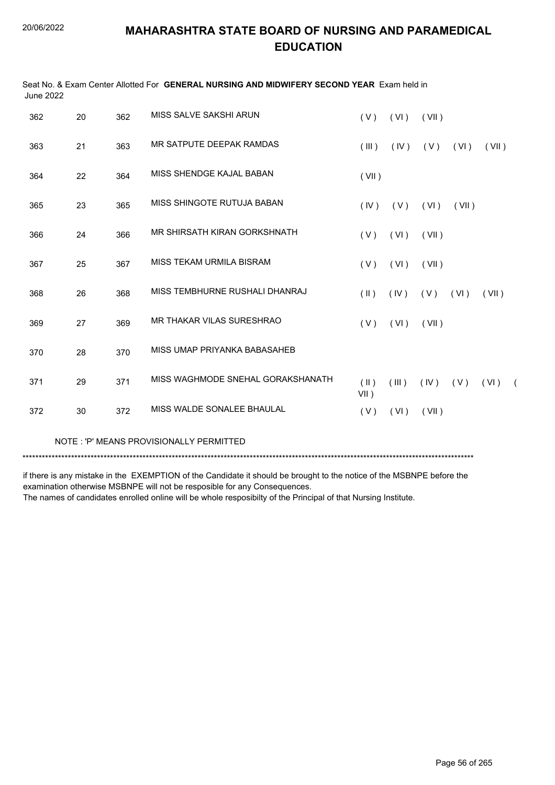| <b>June 2022</b> |    |     | Seat No. & Exam Center Allotted For GENERAL NURSING AND MIDWIFERY SECOND YEAR Exam held in |                          |       |       |       |       |          |
|------------------|----|-----|--------------------------------------------------------------------------------------------|--------------------------|-------|-------|-------|-------|----------|
| 362              | 20 | 362 | MISS SALVE SAKSHI ARUN                                                                     | (V)                      | (VI)  | (VII) |       |       |          |
| 363              | 21 | 363 | MR SATPUTE DEEPAK RAMDAS                                                                   | (III)                    | (IV)  | (V)   | (VI)  | (VII) |          |
| 364              | 22 | 364 | MISS SHENDGE KAJAL BABAN                                                                   | (VII)                    |       |       |       |       |          |
| 365              | 23 | 365 | MISS SHINGOTE RUTUJA BABAN                                                                 | (IV)                     | ( V ) | (VI)  | (VII) |       |          |
| 366              | 24 | 366 | MR SHIRSATH KIRAN GORKSHNATH                                                               | (V)                      | (VI)  | (VII) |       |       |          |
| 367              | 25 | 367 | MISS TEKAM URMILA BISRAM                                                                   | (V)                      | (VI)  | (VII) |       |       |          |
| 368              | 26 | 368 | MISS TEMBHURNE RUSHALI DHANRAJ                                                             | $($ II $)$               | (IV)  | (V)   | (VI)  | (VII) |          |
| 369              | 27 | 369 | MR THAKAR VILAS SURESHRAO                                                                  | (V)                      | (VI)  | (VII) |       |       |          |
| 370              | 28 | 370 | MISS UMAP PRIYANKA BABASAHEB                                                               |                          |       |       |       |       |          |
| 371              | 29 | 371 | MISS WAGHMODE SNEHAL GORAKSHANATH                                                          | $(\parallel)$<br>$VII$ ) | (III) | (IV)  | (V)   | (VI)  | $\left($ |
| 372              | 30 | 372 | MISS WALDE SONALEE BHAULAL                                                                 | (V)                      | (VI)  | (VII) |       |       |          |

NOTE : 'P' MEANS PROVISIONALLY PERMITTED

\*\*\*\*\*\*\*\*\*\*\*\*\*\*\*\*\*\*\*\*\*\*\*\*\*\*\*\*\*\*\*\*\*\*\*\*\*\*\*\*\*\*\*\*\*\*\*\*\*\*\*\*\*\*\*\*\*\*\*\*\*\*\*\*\*\*\*\*\*\*\*\*\*\*\*\*\*\*\*\*\*\*\*\*\*\*\*\*\*\*\*\*\*\*\*\*\*\*\*\*\*\*\*\*\*\*\*\*\*\*\*\*\*\*\*\*\*\*\*\*\*\*\*\*\*\*\*\*\*\*\*\*\*\*\*\*\*\*\*

if there is any mistake in the EXEMPTION of the Candidate it should be brought to the notice of the MSBNPE before the examination otherwise MSBNPE will not be resposible for any Consequences. The names of candidates enrolled online will be whole resposibilty of the Principal of that Nursing Institute.

Page 56 of 265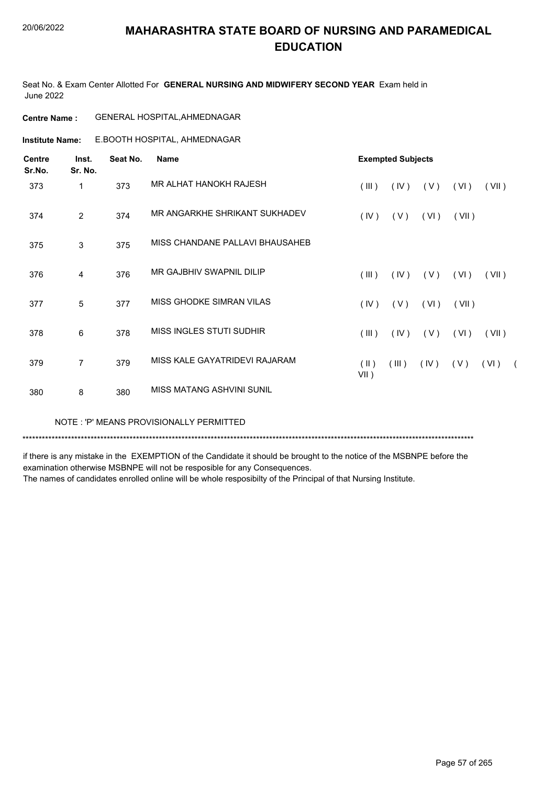Seat No. & Exam Center Allotted For **GENERAL NURSING AND MIDWIFERY SECOND YEAR** Exam held in June 2022

| <b>Centre Name :</b> | <b>GENERAL HOSPITAL, AHMEDNAGAR</b> |
|----------------------|-------------------------------------|
|----------------------|-------------------------------------|

E.BOOTH HOSPITAL, AHMEDNAGAR **Institute Name:**

| <b>Centre</b><br>Sr.No. | Inst.<br>Sr. No. | Seat No. | <b>Name</b>                     |                                    | <b>Exempted Subjects</b> |      |       |       |            |
|-------------------------|------------------|----------|---------------------------------|------------------------------------|--------------------------|------|-------|-------|------------|
| 373                     | 1                | 373      | MR ALHAT HANOKH RAJESH          | (III)                              | (IV)                     | (V)  | (VI)  | (VII) |            |
| 374                     | $\overline{2}$   | 374      | MR ANGARKHE SHRIKANT SUKHADEV   | (IV)                               | (V)                      | (VI) | (VII) |       |            |
| 375                     | 3                | 375      | MISS CHANDANE PALLAVI BHAUSAHEB |                                    |                          |      |       |       |            |
| 376                     | $\overline{4}$   | 376      | MR GAJBHIV SWAPNIL DILIP        | (III)                              | $($ IV $)$               | (V)  | (VI)  | (VII) |            |
| 377                     | 5                | 377      | MISS GHODKE SIMRAN VILAS        | (IV)                               | (V)                      | (VI) | (VII) |       |            |
| 378                     | 6                | 378      | MISS INGLES STUTI SUDHIR        | (III)                              | (IV)                     | (V)  | (VI)  | (VII) |            |
| 379                     | $\overline{7}$   | 379      | MISS KALE GAYATRIDEVI RAJARAM   | $(\parallel \parallel)$<br>$VII$ ) | (III)                    | (IV) | (V)   | (VI)  | $\sqrt{2}$ |
| 380                     | 8                | 380      | MISS MATANG ASHVINI SUNIL       |                                    |                          |      |       |       |            |

NOTE : 'P' MEANS PROVISIONALLY PERMITTED

\*\*\*\*\*\*\*\*\*\*\*\*\*\*\*\*\*\*\*\*\*\*\*\*\*\*\*\*\*\*\*\*\*\*\*\*\*\*\*\*\*\*\*\*\*\*\*\*\*\*\*\*\*\*\*\*\*\*\*\*\*\*\*\*\*\*\*\*\*\*\*\*\*\*\*\*\*\*\*\*\*\*\*\*\*\*\*\*\*\*\*\*\*\*\*\*\*\*\*\*\*\*\*\*\*\*\*\*\*\*\*\*\*\*\*\*\*\*\*\*\*\*\*\*\*\*\*\*\*\*\*\*\*\*\*\*\*\*\*

if there is any mistake in the EXEMPTION of the Candidate it should be brought to the notice of the MSBNPE before the examination otherwise MSBNPE will not be resposible for any Consequences.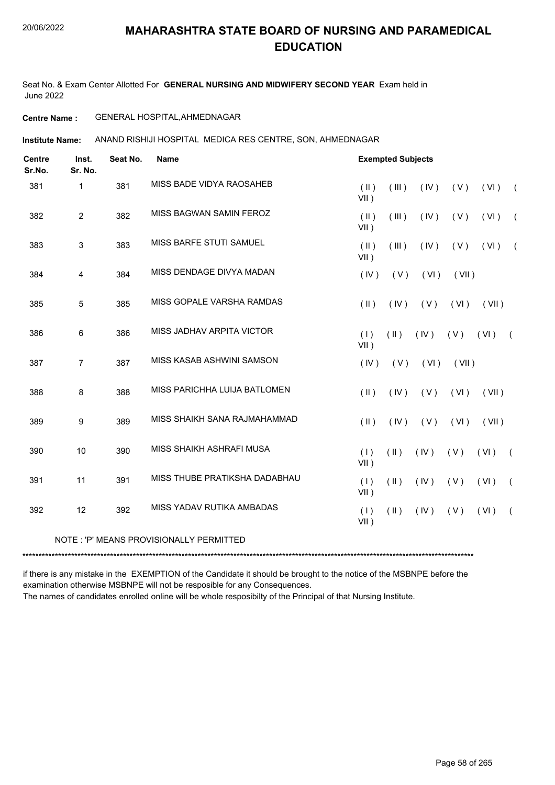Seat No. & Exam Center Allotted For **GENERAL NURSING AND MIDWIFERY SECOND YEAR** Exam held in June 2022

#### **Centre Name :** GENERAL HOSPITAL,AHMEDNAGAR

**Institute Name:** ANAND RISHIJI HOSPITAL MEDICA RES CENTRE, SON, AHMEDNAGAR

| <b>Centre</b><br>Sr.No. | Inst.<br>Sr. No. | Seat No. | <b>Name</b>                             |                          | <b>Exempted Subjects</b> |      |       |       |            |
|-------------------------|------------------|----------|-----------------------------------------|--------------------------|--------------------------|------|-------|-------|------------|
| 381                     | $\mathbf{1}$     | 381      | MISS BADE VIDYA RAOSAHEB                | $(\parallel)$<br>$VII$ ) | (III)                    | (IV) | (V)   | (VI)  | $\sqrt{2}$ |
| 382                     | $\overline{2}$   | 382      | MISS BAGWAN SAMIN FEROZ                 | $(\parallel)$<br>$VII$ ) | (III)                    | (IV) | (V)   | (VI)  | $\sqrt{2}$ |
| 383                     | $\mathbf{3}$     | 383      | MISS BARFE STUTI SAMUEL                 | $(\parallel)$<br>$VII$ ) | (III)                    | (IV) | (V)   | (VI)  | $\sqrt{2}$ |
| 384                     | $\overline{4}$   | 384      | MISS DENDAGE DIVYA MADAN                | (IV)                     | (V)                      | (VI) | (VII) |       |            |
| 385                     | 5                | 385      | MISS GOPALE VARSHA RAMDAS               | $(\parallel)$            | (IV)                     | (V)  | (VI)  | (VII) |            |
| 386                     | 6                | 386      | MISS JADHAV ARPITA VICTOR               | (1)<br>$VII$ )           | $(\parallel)$            | (IV) | (V)   | (VI)  | $\sqrt{2}$ |
| 387                     | $\overline{7}$   | 387      | MISS KASAB ASHWINI SAMSON               | (IV)                     | (V)                      | (VI) | (VII) |       |            |
| 388                     | 8                | 388      | MISS PARICHHA LUIJA BATLOMEN            | $(\parallel)$            | (IV)                     | (V)  | (VI)  | (VII) |            |
| 389                     | 9                | 389      | MISS SHAIKH SANA RAJMAHAMMAD            | $(\parallel)$            | (IV)                     | (V)  | (VI)  | (VII) |            |
| 390                     | 10               | 390      | MISS SHAIKH ASHRAFI MUSA                | (1)<br>$VII$ )           | $(\parallel)$            | (IV) | (V)   | (VI)  | $\left($   |
| 391                     | 11               | 391      | MISS THUBE PRATIKSHA DADABHAU           | (1)<br>$VII$ )           | $(\parallel)$            | (IV) | (V)   | (VI)  | $\left($   |
| 392                     | 12               | 392      | MISS YADAV RUTIKA AMBADAS               | (1)<br>$VII$ )           | $(\parallel)$            | (IV) | (V)   | (VI)  | $\left($   |
|                         |                  |          | NOTE: 'P' MEANS PROVISIONALLY PERMITTED |                          |                          |      |       |       |            |

\*\*\*\*\*\*\*\*\*\*\*\*\*\*\*\*\*\*\*\*\*\*\*\*\*\*\*\*\*\*\*\*\*\*\*\*\*\*\*\*\*\*\*\*\*\*\*\*\*\*\*\*\*\*\*\*\*\*\*\*\*\*\*\*\*\*\*\*\*\*\*\*\*\*\*\*\*\*\*\*\*\*\*\*\*\*\*\*\*\*\*\*\*\*\*\*\*\*\*\*\*\*\*\*\*\*\*\*\*\*\*\*\*\*\*\*\*\*\*\*\*\*\*\*\*\*\*\*\*\*\*\*\*\*\*\*\*\*\*

if there is any mistake in the EXEMPTION of the Candidate it should be brought to the notice of the MSBNPE before the examination otherwise MSBNPE will not be resposible for any Consequences.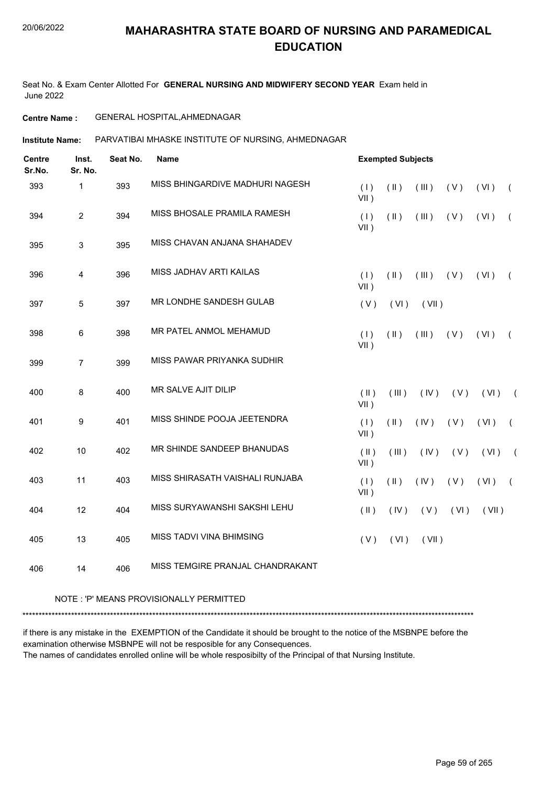Seat No. & Exam Center Allotted For **GENERAL NURSING AND MIDWIFERY SECOND YEAR** Exam held in June 2022

#### **Centre Name :** GENERAL HOSPITAL,AHMEDNAGAR

PARVATIBAI MHASKE INSTITUTE OF NURSING, AHMEDNAGAR **Institute Name:**

| <b>Centre</b><br>Sr.No. | Inst.<br>Sr. No. | Seat No. | <b>Name</b>                      |                          | <b>Exempted Subjects</b> |       |      |       |            |
|-------------------------|------------------|----------|----------------------------------|--------------------------|--------------------------|-------|------|-------|------------|
| 393                     | $\mathbf{1}$     | 393      | MISS BHINGARDIVE MADHURI NAGESH  | (1)<br>$VII$ )           | $(\parallel)$            | (III) | (V)  | (VI)  | $\sqrt{ }$ |
| 394                     | $\overline{2}$   | 394      | MISS BHOSALE PRAMILA RAMESH      | (1)<br>VII)              | $(\parallel)$            | (III) | (V)  | (VI)  | $\sqrt{2}$ |
| 395                     | $\sqrt{3}$       | 395      | MISS CHAVAN ANJANA SHAHADEV      |                          |                          |       |      |       |            |
| 396                     | 4                | 396      | MISS JADHAV ARTI KAILAS          | (1)<br>$VII$ )           | $($ II $)$               | (III) | (V)  | (VI)  | $\left($   |
| 397                     | 5                | 397      | MR LONDHE SANDESH GULAB          | (V)                      | (VI)                     | (VII) |      |       |            |
| 398                     | 6                | 398      | MR PATEL ANMOL MEHAMUD           | (1)<br>$VII$ )           | $(\parallel)$            | (III) | (V)  | (VI)  | $\left($   |
| 399                     | $\overline{7}$   | 399      | MISS PAWAR PRIYANKA SUDHIR       |                          |                          |       |      |       |            |
| 400                     | 8                | 400      | MR SALVE AJIT DILIP              | $(\parallel)$<br>$VII$ ) | (III)                    | (IV)  | (V)  | (VI)  | $\sqrt{2}$ |
| 401                     | 9                | 401      | MISS SHINDE POOJA JEETENDRA      | (1)<br>$VII$ )           | $($ II $)$               | (IV)  | (V)  | (VI)  | $\sqrt{ }$ |
| 402                     | 10               | 402      | MR SHINDE SANDEEP BHANUDAS       | (  )<br>$VII$ )          | (III)                    | (IV)  | (V)  | (VI)  | $\sqrt{2}$ |
| 403                     | 11               | 403      | MISS SHIRASATH VAISHALI RUNJABA  | (1)<br>$VII$ )           | $($ II $)$               | (IV)  | (V)  | (VI)  | $\left($   |
| 404                     | 12               | 404      | MISS SURYAWANSHI SAKSHI LEHU     | $(\parallel)$            | (IV)                     | (V)   | (VI) | (VII) |            |
| 405                     | 13               | 405      | MISS TADVI VINA BHIMSING         | (V)                      | (VI)                     | (VII) |      |       |            |
| 406                     | 14               | 406      | MISS TEMGIRE PRANJAL CHANDRAKANT |                          |                          |       |      |       |            |

#### NOTE : 'P' MEANS PROVISIONALLY PERMITTED

\*\*\*\*\*\*\*\*\*\*\*\*\*\*\*\*\*\*\*\*\*\*\*\*\*\*\*\*\*\*\*\*\*\*\*\*\*\*\*\*\*\*\*\*\*\*\*\*\*\*\*\*\*\*\*\*\*\*\*\*\*\*\*\*\*\*\*\*\*\*\*\*\*\*\*\*\*\*\*\*\*\*\*\*\*\*\*\*\*\*\*\*\*\*\*\*\*\*\*\*\*\*\*\*\*\*\*\*\*\*\*\*\*\*\*\*\*\*\*\*\*\*\*\*\*\*\*\*\*\*\*\*\*\*\*\*\*\*\*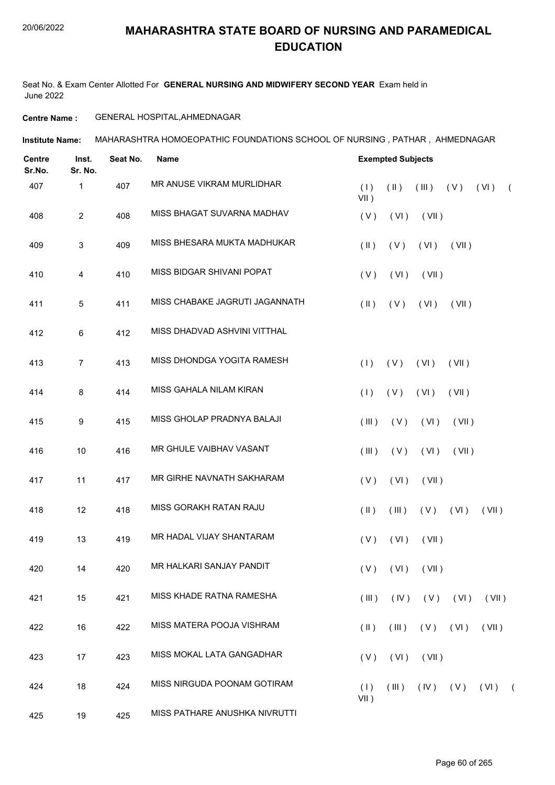Seat No. & Exam Center Allotted For **GENERAL NURSING AND MIDWIFERY SECOND YEAR** Exam held in June 2022

#### **Centre Name :** GENERAL HOSPITAL,AHMEDNAGAR

**Institute Name: MAHARASHTRA HOMOEOPATHIC FOUNDATIONS SCHOOL OF NURSING , PATHAR , AHMEDNAGAR** 

| <b>Centre</b><br>Sr.No. | Inst.<br>Sr. No. | Seat No. | <b>Name</b>                    |                         | <b>Exempted Subjects</b> |                      |       |                       |            |  |  |
|-------------------------|------------------|----------|--------------------------------|-------------------------|--------------------------|----------------------|-------|-----------------------|------------|--|--|
| 407                     | 1                | 407      | MR ANUSE VIKRAM MURLIDHAR      | (1)<br>VII)             | $(\parallel)$            | (III)                | (V)   | (VI)                  | $\sqrt{2}$ |  |  |
| 408                     | $\overline{2}$   | 408      | MISS BHAGAT SUVARNA MADHAV     | (V)                     | (VI)                     | (VII)                |       |                       |            |  |  |
| 409                     | 3                | 409      | MISS BHESARA MUKTA MADHUKAR    | $(\parallel \parallel)$ | (V)                      | (VI)                 | (VII) |                       |            |  |  |
| 410                     | 4                | 410      | MISS BIDGAR SHIVANI POPAT      | (V)                     | (VI)                     | (VII)                |       |                       |            |  |  |
| 411                     | 5                | 411      | MISS CHABAKE JAGRUTI JAGANNATH | $(\parallel \parallel)$ | (V)                      | (VI)                 | (VII) |                       |            |  |  |
| 412                     | 6                | 412      | MISS DHADVAD ASHVINI VITTHAL   |                         |                          |                      |       |                       |            |  |  |
| 413                     | $\overline{7}$   | 413      | MISS DHONDGA YOGITA RAMESH     | (1)                     | (V)                      | (VI)                 | (VII) |                       |            |  |  |
| 414                     | 8                | 414      | MISS GAHALA NILAM KIRAN        | (1)                     | (V)                      | (VI)                 | (VII) |                       |            |  |  |
| 415                     | 9                | 415      | MISS GHOLAP PRADNYA BALAJI     | (III)                   | (V)                      | (VI)                 | (VII) |                       |            |  |  |
| 416                     | 10               | 416      | MR GHULE VAIBHAV VASANT        | (III)                   | (V)                      | (VI)                 | (VII) |                       |            |  |  |
| 417                     | 11               | 417      | MR GIRHE NAVNATH SAKHARAM      | (V)                     | (VI)                     | (VII)                |       |                       |            |  |  |
| 418                     | 12               | 418      | MISS GORAKH RATAN RAJU         | $(\parallel)$           | (III)                    | (V)                  | (VI)  | (VII)                 |            |  |  |
| 419                     | 13               | 419      | MR HADAL VIJAY SHANTARAM       | (V)                     | (VI)                     | (VII)                |       |                       |            |  |  |
| 420                     | 14               | 420      | MR HALKARI SANJAY PANDIT       |                         |                          | $(V)$ $(VI)$ $(VII)$ |       |                       |            |  |  |
| 421                     | 15               | 421      | MISS KHADE RATNA RAMESHA       | (III)                   |                          | $(IV)$ $(V)$ $(VI)$  |       | (VII)                 |            |  |  |
| 422                     | 16               | 422      | MISS MATERA POOJA VISHRAM      | $(\parallel)$           | $($ III $)$              | (V)                  | (VI)  | (VII)                 |            |  |  |
| 423                     | 17               | 423      | MISS MOKAL LATA GANGADHAR      | (V)                     | (VI)                     | (VII)                |       |                       |            |  |  |
| 424                     | 18               | 424      | MISS NIRGUDA POONAM GOTIRAM    | (1)<br>$VII$ )          | (III)                    |                      |       | $(IV)$ $(V)$ $(VI)$ ( |            |  |  |
| 425                     | 19               | 425      | MISS PATHARE ANUSHKA NIVRUTTI  |                         |                          |                      |       |                       |            |  |  |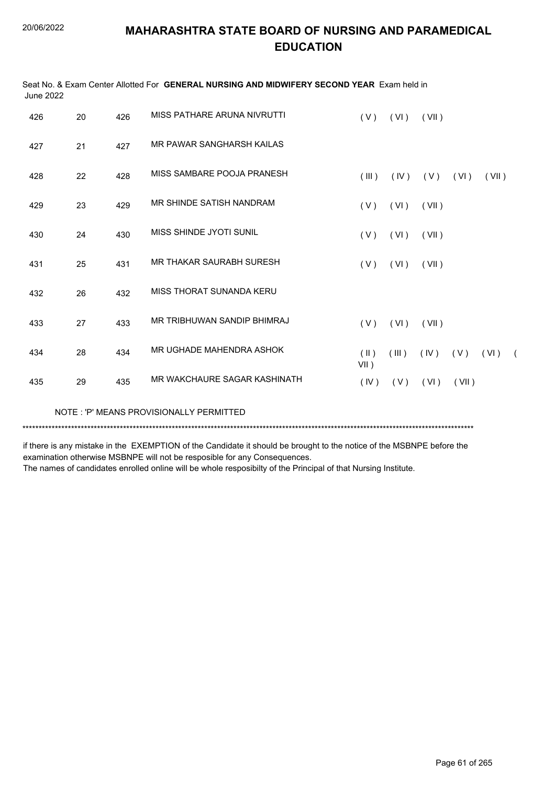| June 2022 |    |     | Seat No. & Exam Center Allotted For GENERAL NURSING AND MIDWIFERY SECOND YEAR Exam held in |                          |       |             |       |       |            |
|-----------|----|-----|--------------------------------------------------------------------------------------------|--------------------------|-------|-------------|-------|-------|------------|
| 426       | 20 | 426 | MISS PATHARE ARUNA NIVRUTTI                                                                | (V)                      | (VI)  | (VII)       |       |       |            |
| 427       | 21 | 427 | MR PAWAR SANGHARSH KAILAS                                                                  |                          |       |             |       |       |            |
| 428       | 22 | 428 | MISS SAMBARE POOJA PRANESH                                                                 | $($ III $)$              | (IV)  | (V)         | (VI)  | (VII) |            |
| 429       | 23 | 429 | MR SHINDE SATISH NANDRAM                                                                   | (V)                      | (VI)  | (VII)       |       |       |            |
| 430       | 24 | 430 | MISS SHINDE JYOTI SUNIL                                                                    | (V)                      | (VI)  | (VII)       |       |       |            |
| 431       | 25 | 431 | <b>MR THAKAR SAURABH SURESH</b>                                                            | (V)                      | (VI)  | (VII)       |       |       |            |
| 432       | 26 | 432 | MISS THORAT SUNANDA KERU                                                                   |                          |       |             |       |       |            |
| 433       | 27 | 433 | MR TRIBHUWAN SANDIP BHIMRAJ                                                                | (V)                      | (VI)  | (VII)       |       |       |            |
| 434       | 28 | 434 | MR UGHADE MAHENDRA ASHOK                                                                   | $(\parallel)$<br>$VII$ ) | (III) | $(V)$ $(V)$ |       | (VI)  | $\sqrt{2}$ |
| 435       | 29 | 435 | MR WAKCHAURE SAGAR KASHINATH                                                               | (IV)                     | (V)   | (VI)        | (VII) |       |            |
|           |    |     | NOTE: 'P' MEANS PROVISIONALLY PERMITTED                                                    |                          |       |             |       |       |            |

\*\*\*\*\*\*\*\*\*\*\*\*\*\*\*\*\*\*\*\*\*\*\*\*\*\*\*\*\*\*\*\*\*\*\*\*\*\*\*\*\*\*\*\*\*\*\*\*\*\*\*\*\*\*\*\*\*\*\*\*\*\*\*\*\*\*\*\*\*\*\*\*\*\*\*\*\*\*\*\*\*\*\*\*\*\*\*\*\*\*\*\*\*\*\*\*\*\*\*\*\*\*\*\*\*\*\*\*\*\*\*\*\*\*\*\*\*\*\*\*\*\*\*\*\*\*\*\*\*\*\*\*\*\*\*\*\*\*\*

if there is any mistake in the EXEMPTION of the Candidate it should be brought to the notice of the MSBNPE before the examination otherwise MSBNPE will not be resposible for any Consequences.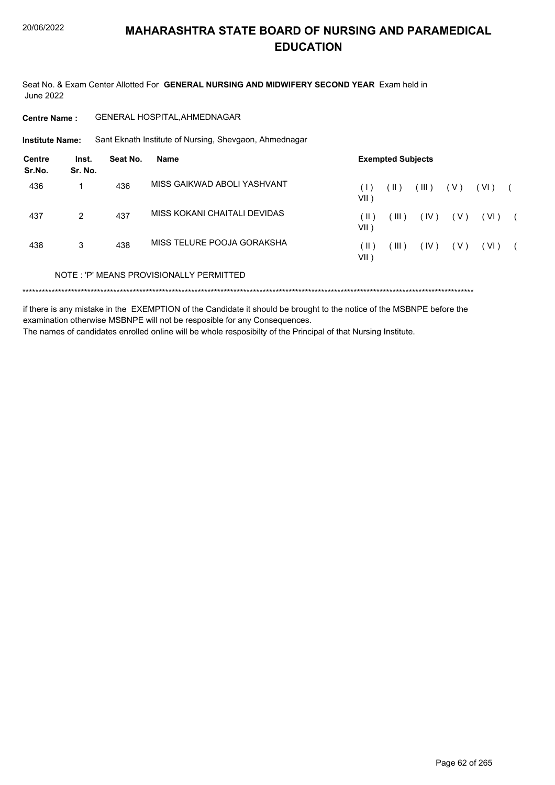Seat No. & Exam Center Allotted For **GENERAL NURSING AND MIDWIFERY SECOND YEAR** Exam held in June 2022

**Centre Name :** GENERAL HOSPITAL,AHMEDNAGAR

Sant Eknath Institute of Nursing, Shevgaon, Ahmednagar **Institute Name:**

| Centre<br>Sr.No. | Inst.<br>Sr. No. | Seat No. | Name                                    | <b>Exempted Subjects</b> |       |       |       |      |  |  |  |  |
|------------------|------------------|----------|-----------------------------------------|--------------------------|-------|-------|-------|------|--|--|--|--|
| 436              |                  | 436      | MISS GAIKWAD ABOLI YASHVANT             | ( I -<br>VII )           | (  )  | (III) | ( V ) | (VI) |  |  |  |  |
| 437              | $\mathcal{P}$    | 437      | MISS KOKANI CHAITALI DEVIDAS            | (    )<br>VII )          | (III) | (IV)  | ( V ) | (VI) |  |  |  |  |
| 438              | 3                | 438      | MISS TELURE POOJA GORAKSHA              | ( II )<br>VII )          | (III) | (IV)  | (V)   | (VI) |  |  |  |  |
|                  |                  |          | NOTE: 'P' MEANS PROVISIONALLY PERMITTED |                          |       |       |       |      |  |  |  |  |
|                  |                  |          |                                         |                          |       |       |       |      |  |  |  |  |

if there is any mistake in the EXEMPTION of the Candidate it should be brought to the notice of the MSBNPE before the examination otherwise MSBNPE will not be resposible for any Consequences.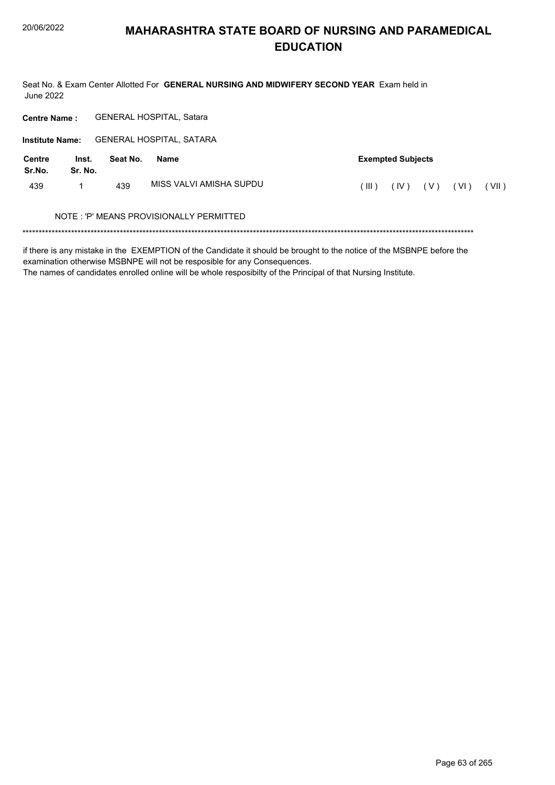Seat No. & Exam Center Allotted For GENERAL NURSING AND MIDWIFERY SECOND YEAR Exam held in **June 2022** 

GENERAL HOSPITAL, Satara **Centre Name:** 

Institute Name: GENERAL HOSPITAL, SATARA

| <b>Centre</b><br>Sr.No. | Inst.<br>Sr. No. | Seat No. | Name                                    |         | <b>Exempted Subjects</b> |       |      |         |
|-------------------------|------------------|----------|-----------------------------------------|---------|--------------------------|-------|------|---------|
| 439                     |                  | 439      | MISS VALVI AMISHA SUPDU                 | $III$ ) | (IV)                     | ( V ) | (VI) | ′ VII ) |
|                         |                  |          | NOTE: 'P' MEANS PROVISIONALLY PERMITTED |         |                          |       |      |         |

if there is any mistake in the EXEMPTION of the Candidate it should be brought to the notice of the MSBNPE before the examination otherwise MSBNPE will not be resposible for any Consequences.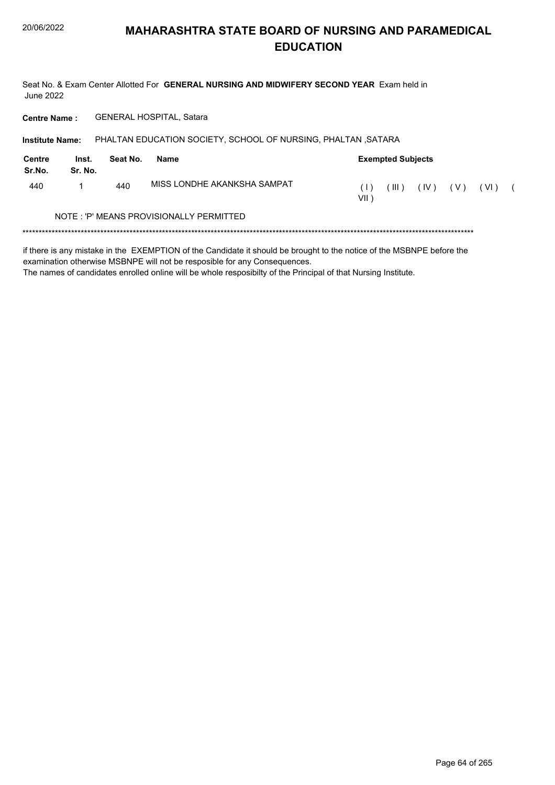Seat No. & Exam Center Allotted For GENERAL NURSING AND MIDWIFERY SECOND YEAR Exam held in **June 2022** 

GENERAL HOSPITAL, Satara **Centre Name:** 

PHALTAN EDUCATION SOCIETY, SCHOOL OF NURSING, PHALTAN , SATARA **Institute Name: Centre** Inst. **Exempted Subjects** Seat No. **Name** Sr.No. Sr. No. MISS LONDHE AKANKSHA SAMPAT 440  $\mathbf{1}$ 440  $(1)$  $(III)$   $(IV)$   $(V)$   $(VI)$  (  $VII$ ) NOTE: 'P' MEANS PROVISIONALLY PERMITTED 

if there is any mistake in the EXEMPTION of the Candidate it should be brought to the notice of the MSBNPE before the examination otherwise MSBNPE will not be resposible for any Consequences.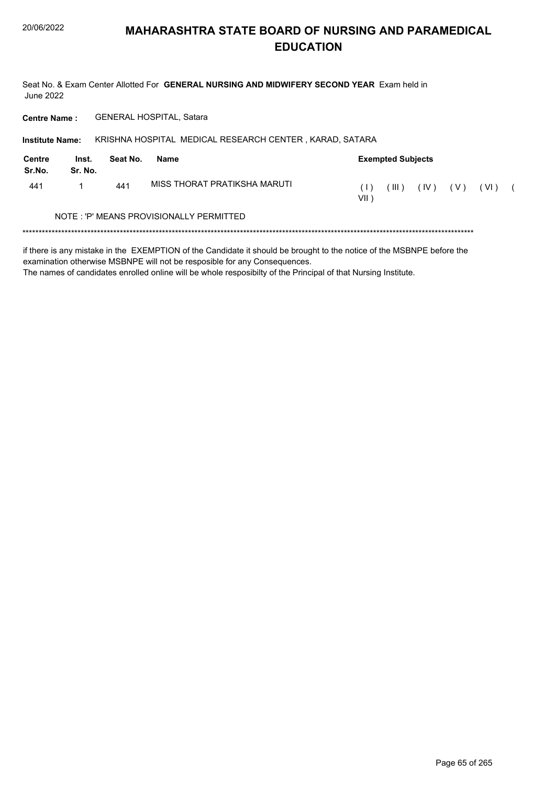Seat No. & Exam Center Allotted For GENERAL NURSING AND MIDWIFERY SECOND YEAR Exam held in **June 2022** 

GENERAL HOSPITAL, Satara **Centre Name:** 

KRISHNA HOSPITAL MEDICAL RESEARCH CENTER, KARAD, SATARA **Institute Name:** 

| Centre<br>Sr.No. | Inst.<br>Sr. No.                        | Seat No. | Name                         |                          | <b>Exempted Subjects</b> |      |       |        |  |  |
|------------------|-----------------------------------------|----------|------------------------------|--------------------------|--------------------------|------|-------|--------|--|--|
| 441              |                                         | 441      | MISS THORAT PRATIKSHA MARUTI | $( \ \   \ \ )$<br>VII ) | HI)                      | (IV) | ( V ) | ( VI ) |  |  |
|                  | NOTE: 'P' MEANS PROVISIONALLY PERMITTED |          |                              |                          |                          |      |       |        |  |  |
|                  |                                         |          |                              |                          |                          |      |       |        |  |  |

if there is any mistake in the EXEMPTION of the Candidate it should be brought to the notice of the MSBNPE before the examination otherwise MSBNPE will not be resposible for any Consequences.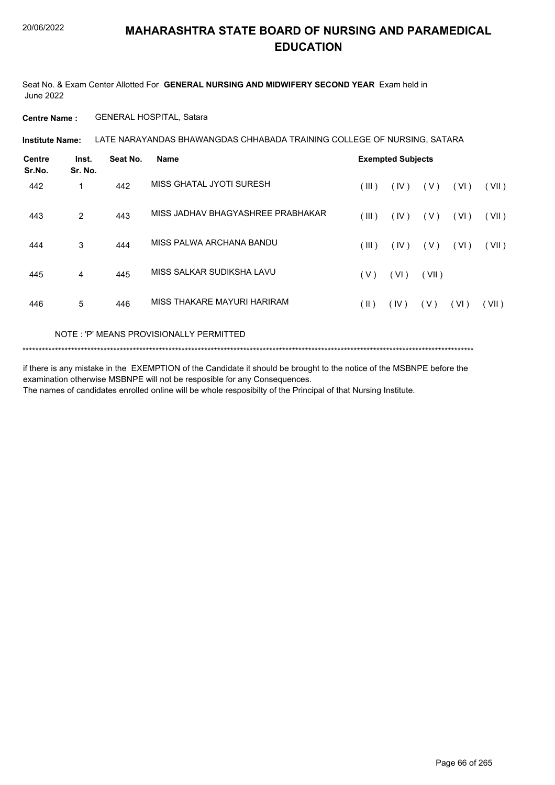Seat No. & Exam Center Allotted For **GENERAL NURSING AND MIDWIFERY SECOND YEAR** Exam held in June 2022

**Centre Name :** GENERAL HOSPITAL, Satara

LATE NARAYANDAS BHAWANGDAS CHHABADA TRAINING COLLEGE OF NURSING, SATARA **Institute Name:**

| <b>Centre</b><br>Sr.No. | Inst.<br>Sr. No. | Seat No. | <b>Name</b>                       |            | <b>Exempted Subjects</b> |       |      |       |
|-------------------------|------------------|----------|-----------------------------------|------------|--------------------------|-------|------|-------|
| 442                     | 1                | 442      | MISS GHATAL JYOTI SURESH          | (III)      | (IV)                     | ( V ) | (VI) | (VII) |
| 443                     | 2                | 443      | MISS JADHAV BHAGYASHREE PRABHAKAR | (III)      | (IV)                     | ( V ) | (VI) | (VII) |
| 444                     | 3                | 444      | MISS PALWA ARCHANA BANDU          | (III)      | (IV)                     | ( V ) | (VI) | (VII) |
| 445                     | 4                | 445      | MISS SALKAR SUDIKSHA LAVU         | ( V )      | (VI)                     | (VII) |      |       |
| 446                     | 5                | 446      | MISS THAKARE MAYURI HARIRAM       | $($ II $)$ | (IV)                     | (V)   | (VI) | (VII) |

#### NOTE : 'P' MEANS PROVISIONALLY PERMITTED

\*\*\*\*\*\*\*\*\*\*\*\*\*\*\*\*\*\*\*\*\*\*\*\*\*\*\*\*\*\*\*\*\*\*\*\*\*\*\*\*\*\*\*\*\*\*\*\*\*\*\*\*\*\*\*\*\*\*\*\*\*\*\*\*\*\*\*\*\*\*\*\*\*\*\*\*\*\*\*\*\*\*\*\*\*\*\*\*\*\*\*\*\*\*\*\*\*\*\*\*\*\*\*\*\*\*\*\*\*\*\*\*\*\*\*\*\*\*\*\*\*\*\*\*\*\*\*\*\*\*\*\*\*\*\*\*\*\*\*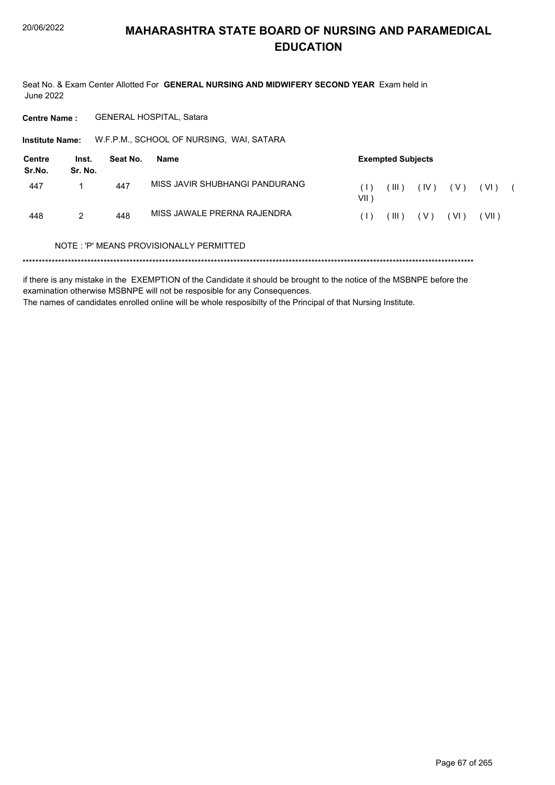Seat No. & Exam Center Allotted For GENERAL NURSING AND MIDWIFERY SECOND YEAR Exam held in **June 2022** 

**Centre Name:** GENERAL HOSPITAL, Satara

Institute Name: W.F.P.M., SCHOOL OF NURSING, WAI, SATARA

| Centre<br>Sr.No. | Inst.<br>Sr. No. | Seat No. | Name                           |                                                        | <b>Exempted Subjects</b> |       |        |       |  |
|------------------|------------------|----------|--------------------------------|--------------------------------------------------------|--------------------------|-------|--------|-------|--|
| 447              |                  | 447      | MISS JAVIR SHUBHANGI PANDURANG | $\left( \begin{array}{c} \end{array} \right)$<br>VII ) | TILE)                    | (IV)  | ( V )  | (VI)  |  |
| 448              | 2                | 448      | MISS JAWALE PRERNA RAJENDRA    | (1)                                                    | $($ III $)$              | ( V ) | ( VI ) | (VII) |  |

#### NOTE: 'P' MEANS PROVISIONALLY PERMITTED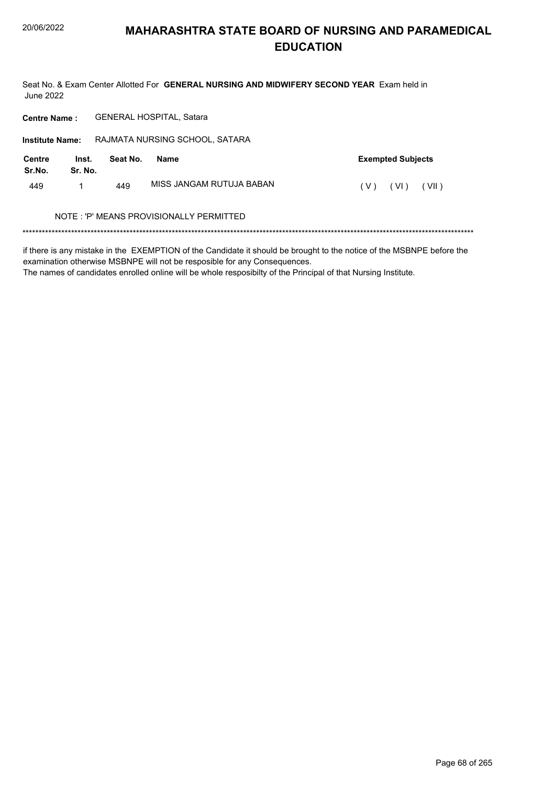Seat No. & Exam Center Allotted For GENERAL NURSING AND MIDWIFERY SECOND YEAR Exam held in **June 2022** 

GENERAL HOSPITAL, Satara **Centre Name:** 

Institute Name: RAJMATA NURSING SCHOOL, SATARA **Centre** Inst. **Exempted Subjects** Seat No. **Name** Sr.No. Sr. No. MISS JANGAM RUTUJA BABAN 449  $\mathbf{1}$ 449  $(V)$   $(VI)$   $(VII)$ NOTE: 'P' MEANS PROVISIONALLY PERMITTED

if there is any mistake in the EXEMPTION of the Candidate it should be brought to the notice of the MSBNPE before the examination otherwise MSBNPE will not be resposible for any Consequences.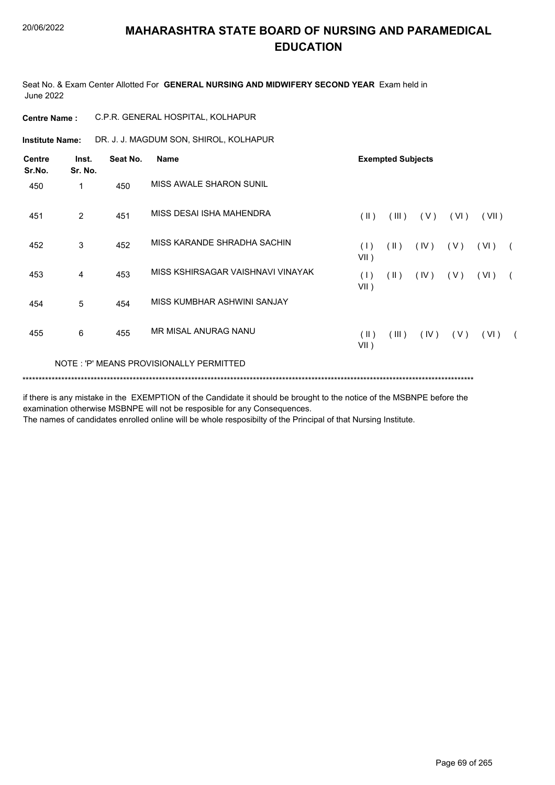Seat No. & Exam Center Allotted For **GENERAL NURSING AND MIDWIFERY SECOND YEAR** Exam held in June 2022

| <b>Centre Name:</b>     |                  |          | C.P.R. GENERAL HOSPITAL, KOLHAPUR       |                          |                          |      |       |                     |            |  |  |  |
|-------------------------|------------------|----------|-----------------------------------------|--------------------------|--------------------------|------|-------|---------------------|------------|--|--|--|
| <b>Institute Name:</b>  |                  |          | DR. J. J. MAGDUM SON, SHIROL, KOLHAPUR  |                          |                          |      |       |                     |            |  |  |  |
| <b>Centre</b><br>Sr.No. | Inst.<br>Sr. No. | Seat No. | <b>Name</b>                             |                          | <b>Exempted Subjects</b> |      |       |                     |            |  |  |  |
| 450                     | 1                | 450      | MISS AWALE SHARON SUNIL                 |                          |                          |      |       |                     |            |  |  |  |
| 451                     | $\overline{2}$   | 451      | MISS DESAI ISHA MAHENDRA                | $(\parallel)$            | (III)                    | (V)  | (VI)  | (VII)               |            |  |  |  |
| 452                     | 3                | 452      | MISS KARANDE SHRADHA SACHIN             | (1)<br>$VII$ )           | $(\parallel)$            | (IV) | (V)   | (VI)                |            |  |  |  |
| 453                     | 4                | 453      | MISS KSHIRSAGAR VAISHNAVI VINAYAK       | (1)<br>$VII$ )           | $(\parallel)$            | (IV) | ( V ) | ( VI )              |            |  |  |  |
| 454                     | 5                | 454      | MISS KUMBHAR ASHWINI SANJAY             |                          |                          |      |       |                     |            |  |  |  |
| 455                     | 6                | 455      | MR MISAL ANURAG NANU                    | $(\parallel)$<br>$VII$ ) | $($ III $)$              |      |       | $(IV)$ $(V)$ $(VI)$ | $\sqrt{2}$ |  |  |  |
|                         |                  |          | NOTE: 'P' MEANS PROVISIONALLY PERMITTED |                          |                          |      |       |                     |            |  |  |  |
|                         |                  |          |                                         |                          |                          |      |       |                     |            |  |  |  |

if there is any mistake in the EXEMPTION of the Candidate it should be brought to the notice of the MSBNPE before the examination otherwise MSBNPE will not be resposible for any Consequences.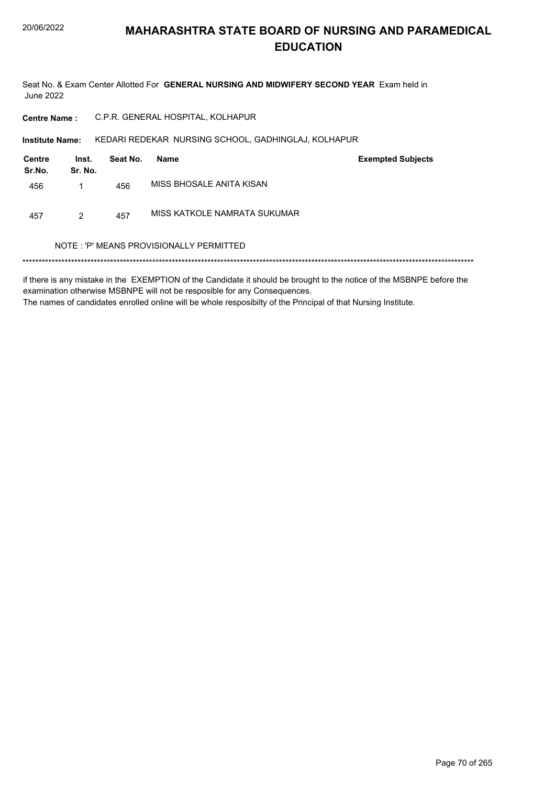Seat No. & Exam Center Allotted For GENERAL NURSING AND MIDWIFERY SECOND YEAR Exam held in **June 2022** 

C.P.R. GENERAL HOSPITAL, KOLHAPUR **Centre Name:** 

Institute Name: KEDARI REDEKAR NURSING SCHOOL, GADHINGLAJ, KOLHAPUR

| Centre<br>Sr.No. | Inst.<br>Sr. No. | Seat No. | Name                         | <b>Exempted Subjects</b> |
|------------------|------------------|----------|------------------------------|--------------------------|
| 456              |                  | 456      | MISS BHOSALE ANITA KISAN     |                          |
| 457              | 2                | 457      | MISS KATKOLE NAMRATA SUKUMAR |                          |

#### NOTE: 'P' MEANS PROVISIONALLY PERMITTED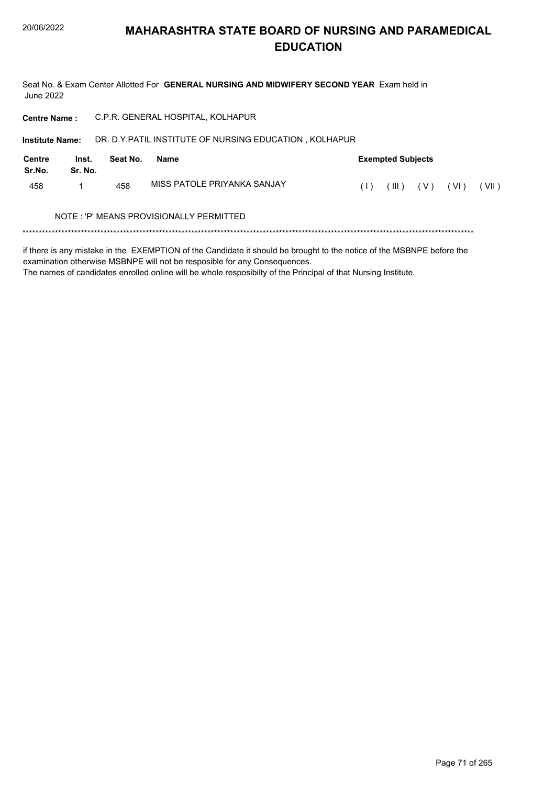Seat No. & Exam Center Allotted For GENERAL NURSING AND MIDWIFERY SECOND YEAR Exam held in **June 2022** 

**Centre Name:** C.P.R. GENERAL HOSPITAL, KOLHAPUR

DR. D.Y.PATIL INSTITUTE OF NURSING EDUCATION, KOLHAPUR **Institute Name:** 

| Centre<br>Sr.No. | Inst.<br>Sr. No. | Seat No. | Name                                    | <b>Exempted Subjects</b> |       |     |                            |       |  |  |
|------------------|------------------|----------|-----------------------------------------|--------------------------|-------|-----|----------------------------|-------|--|--|
| 458              |                  | 458      | MISS PATOLE PRIYANKA SANJAY             |                          | (III) | (V) | $\left( \text{VI} \right)$ | (VII) |  |  |
|                  |                  |          | NOTE: 'P' MEANS PROVISIONALLY PERMITTED |                          |       |     |                            |       |  |  |

if there is any mistake in the EXEMPTION of the Candidate it should be brought to the notice of the MSBNPE before the examination otherwise MSBNPE will not be resposible for any Consequences.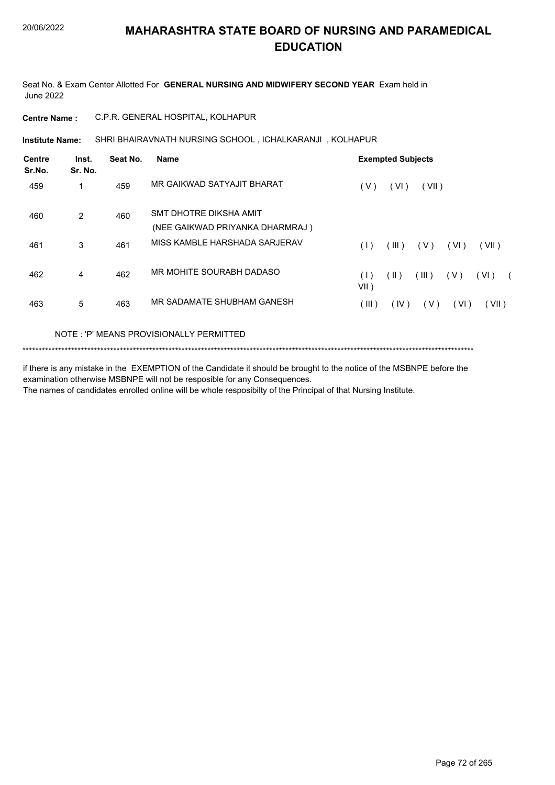Seat No. & Exam Center Allotted For **GENERAL NURSING AND MIDWIFERY SECOND YEAR** Exam held in June 2022

**Centre Name :** C.P.R. GENERAL HOSPITAL, KOLHAPUR

SHRI BHAIRAVNATH NURSING SCHOOL , ICHALKARANJI , KOLHAPUR **Institute Name:**

| <b>Centre</b><br>Sr.No. | Inst.<br>Sr. No. | Seat No.               | <b>Name</b>                     | <b>Exempted Subjects</b>                         |  |
|-------------------------|------------------|------------------------|---------------------------------|--------------------------------------------------|--|
| 459                     | 1                | 459                    | MR GAIKWAD SATYAJIT BHARAT      | (V)<br>(VI)<br>(VII)                             |  |
| $\overline{2}$<br>460   | 460              | SMT DHOTRE DIKSHA AMIT |                                 |                                                  |  |
|                         |                  |                        | (NEE GAIKWAD PRIYANKA DHARMRAJ) |                                                  |  |
| 461                     | 3                | 461                    | MISS KAMBLE HARSHADA SARJERAV   | (III)<br>( V )<br>(VI)<br>(VII)<br>(1)           |  |
| 462                     | 4                | 462                    | MR MOHITE SOURABH DADASO        | (11)<br>(III)<br>( V )<br>(VI)<br>(1)<br>$VII$ ) |  |
| 463                     | 5                | 463                    | MR SADAMATE SHUBHAM GANESH      | (III)<br>(V)<br>(VI)<br>(VII)<br>(IV)            |  |

#### NOTE : 'P' MEANS PROVISIONALLY PERMITTED

\*\*\*\*\*\*\*\*\*\*\*\*\*\*\*\*\*\*\*\*\*\*\*\*\*\*\*\*\*\*\*\*\*\*\*\*\*\*\*\*\*\*\*\*\*\*\*\*\*\*\*\*\*\*\*\*\*\*\*\*\*\*\*\*\*\*\*\*\*\*\*\*\*\*\*\*\*\*\*\*\*\*\*\*\*\*\*\*\*\*\*\*\*\*\*\*\*\*\*\*\*\*\*\*\*\*\*\*\*\*\*\*\*\*\*\*\*\*\*\*\*\*\*\*\*\*\*\*\*\*\*\*\*\*\*\*\*\*\*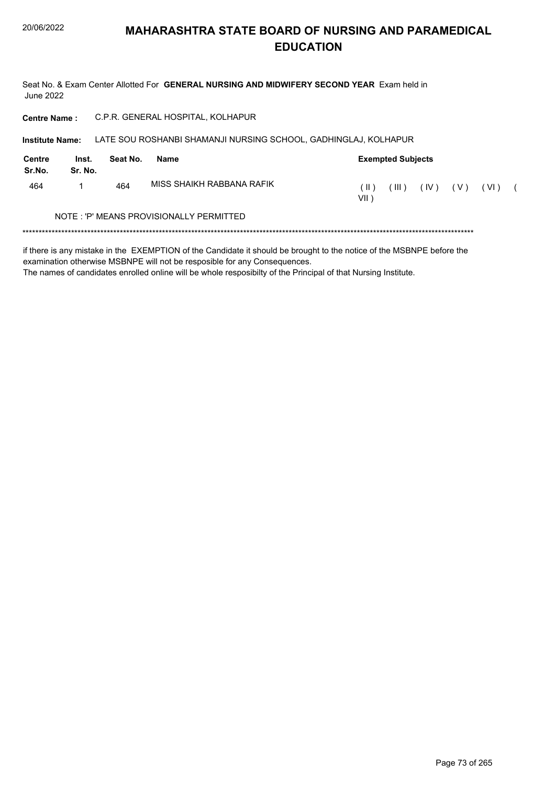Seat No. & Exam Center Allotted For GENERAL NURSING AND MIDWIFERY SECOND YEAR Exam held in **June 2022** 

**Centre Name:** C.P.R. GENERAL HOSPITAL, KOLHAPUR

Institute Name: LATE SOU ROSHANBI SHAMANJI NURSING SCHOOL, GADHINGLAJ, KOLHAPUR

| Centre<br>Sr.No. | Inst.<br>Sr. No. | Seat No. | Name                                    | <b>Exempted Subjects</b> |     |      |       |        |  |  |  |
|------------------|------------------|----------|-----------------------------------------|--------------------------|-----|------|-------|--------|--|--|--|
| 464              |                  | 464      | MISS SHAIKH RABBANA RAFIK               | TE)<br>VII )             | HI) | (IV) | ( V ) | ( VI ) |  |  |  |
|                  |                  |          | NOTE: 'P' MEANS PROVISIONALLY PERMITTED |                          |     |      |       |        |  |  |  |
|                  |                  |          |                                         |                          |     |      |       |        |  |  |  |

if there is any mistake in the EXEMPTION of the Candidate it should be brought to the notice of the MSBNPE before the examination otherwise MSBNPE will not be resposible for any Consequences.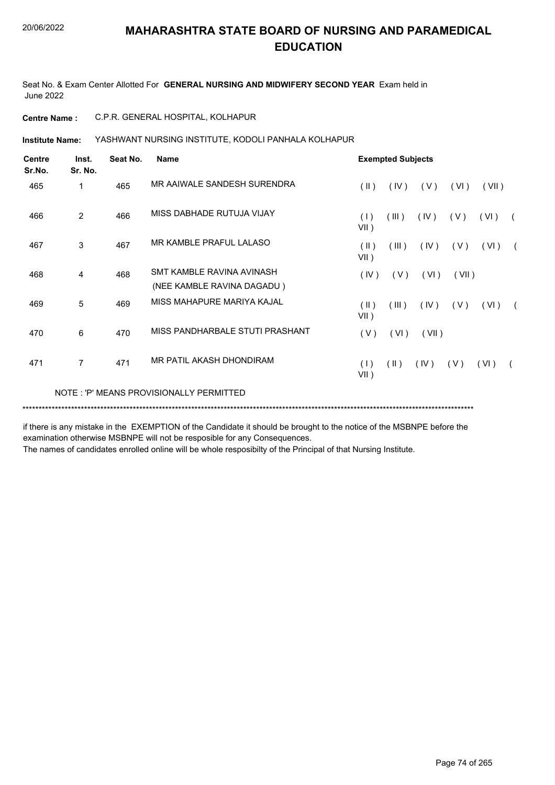Seat No. & Exam Center Allotted For **GENERAL NURSING AND MIDWIFERY SECOND YEAR** Exam held in June 2022

**Centre Name :** C.P.R. GENERAL HOSPITAL, KOLHAPUR

**Institute Name: YASHWANT NURSING INSTITUTE, KODOLI PANHALA KOLHAPUR** 

| <b>Centre</b><br>Sr.No. | Inst.<br>Sr. No. | Seat No. | Name                                                    | <b>Exempted Subjects</b> |               |       |       |       |            |  |  |
|-------------------------|------------------|----------|---------------------------------------------------------|--------------------------|---------------|-------|-------|-------|------------|--|--|
| 465                     | 1                | 465      | MR AAIWALE SANDESH SURENDRA                             | $($ II $)$               | (IV)          | (V)   | (VI)  | (VII) |            |  |  |
| 466                     | $\overline{2}$   | 466      | MISS DABHADE RUTUJA VIJAY                               | (1)<br>$VII$ )           | (III)         | (IV)  | (V)   | (VI)  |            |  |  |
| 467                     | 3                | 467      | MR KAMBLE PRAFUL LALASO                                 | $(\parallel)$<br>$VII$ ) | (III)         | (IV)  | (V)   | (VI)  | $\sqrt{2}$ |  |  |
| 468                     | 4                | 468      | SMT KAMBLE RAVINA AVINASH<br>(NEE KAMBLE RAVINA DAGADU) | (IV)                     | (V)           | (VI)  | (VII) |       |            |  |  |
| 469                     | 5                | 469      | MISS MAHAPURE MARIYA KAJAL                              | $(\parallel)$<br>$VII$ ) | (III)         | (IV)  | (V)   | (VI)  |            |  |  |
| 470                     | 6                | 470      | MISS PANDHARBALE STUTI PRASHANT                         | (V)                      | (VI)          | (VII) |       |       |            |  |  |
| 471                     | $\overline{7}$   | 471      | MR PATIL AKASH DHONDIRAM                                | (1)<br>$VII$ )           | $(\parallel)$ | (IV)  | (V)   | (VI)  |            |  |  |
|                         |                  |          | NOTE: 'P' MEANS PROVISIONALLY PERMITTED                 |                          |               |       |       |       |            |  |  |

\*\*\*\*\*\*\*\*\*\*\*\*\*\*\*\*\*\*\*\*\*\*\*\*\*\*\*\*\*\*\*\*\*\*\*\*\*\*\*\*\*\*\*\*\*\*\*\*\*\*\*\*\*\*\*\*\*\*\*\*\*\*\*\*\*\*\*\*\*\*\*\*\*\*\*\*\*\*\*\*\*\*\*\*\*\*\*\*\*\*\*\*\*\*\*\*\*\*\*\*\*\*\*\*\*\*\*\*\*\*\*\*\*\*\*\*\*\*\*\*\*\*\*\*\*\*\*\*\*\*\*\*\*\*\*\*\*\*\*

if there is any mistake in the EXEMPTION of the Candidate it should be brought to the notice of the MSBNPE before the examination otherwise MSBNPE will not be resposible for any Consequences.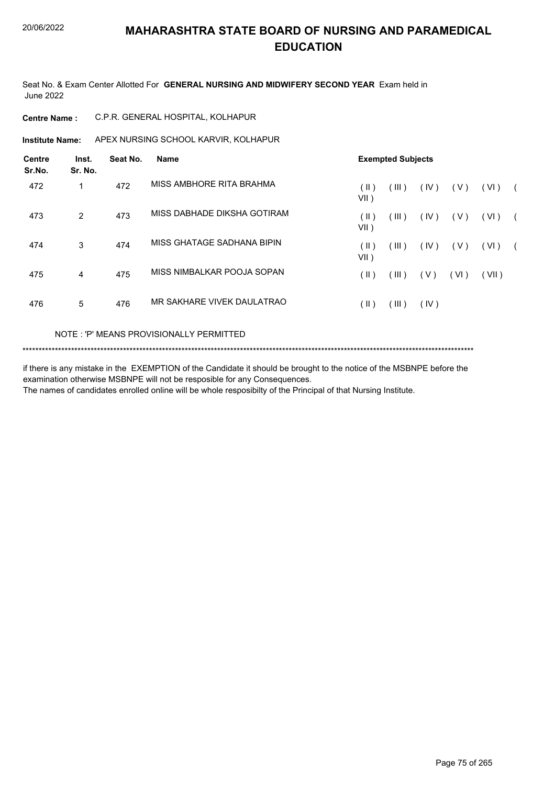Seat No. & Exam Center Allotted For **GENERAL NURSING AND MIDWIFERY SECOND YEAR** Exam held in June 2022

| C.P.R. GENERAL HOSPITAL, KOLHAPUR<br><b>Centre Name :</b> |
|-----------------------------------------------------------|
|-----------------------------------------------------------|

**Institute Name:** APEX NURSING SCHOOL KARVIR, KOLHAPUR

| <b>Centre</b><br>Sr.No. | Inst.<br>Sr. No. | Seat No. | <b>Name</b>                 | <b>Exempted Subjects</b> |         |      |       |       |  |  |
|-------------------------|------------------|----------|-----------------------------|--------------------------|---------|------|-------|-------|--|--|
| 472                     |                  | 472      | MISS AMBHORE RITA BRAHMA    | $( \parallel )$<br>VII)  | (III )  | (IV) | ( V ) | (VI)  |  |  |
| 473                     | 2                | 473      | MISS DABHADE DIKSHA GOTIRAM | (  )<br>VII)             | ( III ) | (IV) | ( V ) | (VI)  |  |  |
| 474                     | 3                | 474      | MISS GHATAGE SADHANA BIPIN  | (  )<br>VII )            | (III)   | (IV) | ( V ) | (VI)  |  |  |
| 475                     | 4                | 475      | MISS NIMBALKAR POOJA SOPAN  | (  )                     | (III )  | (V)  | (VI)  | (VII) |  |  |
| 476                     | 5                | 476      | MR SAKHARE VIVEK DAULATRAO  | (  )                     | (III)   | (IV) |       |       |  |  |

#### NOTE : 'P' MEANS PROVISIONALLY PERMITTED

\*\*\*\*\*\*\*\*\*\*\*\*\*\*\*\*\*\*\*\*\*\*\*\*\*\*\*\*\*\*\*\*\*\*\*\*\*\*\*\*\*\*\*\*\*\*\*\*\*\*\*\*\*\*\*\*\*\*\*\*\*\*\*\*\*\*\*\*\*\*\*\*\*\*\*\*\*\*\*\*\*\*\*\*\*\*\*\*\*\*\*\*\*\*\*\*\*\*\*\*\*\*\*\*\*\*\*\*\*\*\*\*\*\*\*\*\*\*\*\*\*\*\*\*\*\*\*\*\*\*\*\*\*\*\*\*\*\*\*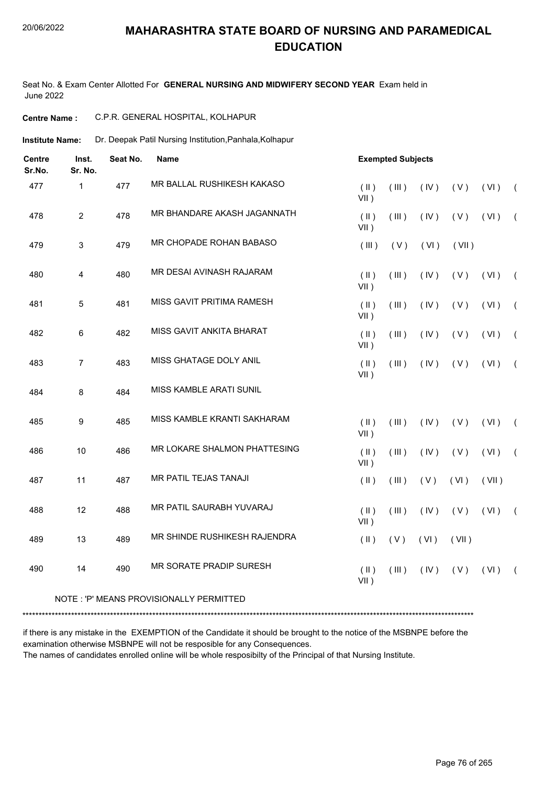#### 20/06/2022

# **MAHARASHTRA STATE BOARD OF NURSING AND PARAMEDICAL EDUCATION**

Seat No. & Exam Center Allotted For **GENERAL NURSING AND MIDWIFERY SECOND YEAR** Exam held in June 2022

| C.P.R. GENERAL HOSPITAL, KOLHAPUR<br><b>Centre Name :</b> |
|-----------------------------------------------------------|
|-----------------------------------------------------------|

Dr. Deepak Patil Nursing Institution,Panhala,Kolhapur **Institute Name:**

| <b>Centre</b><br>Sr.No. | Inst.<br>Sr. No. | Seat No. | <b>Name</b>                              |                          | <b>Exempted Subjects</b> |      |       |       |                |  |  |
|-------------------------|------------------|----------|------------------------------------------|--------------------------|--------------------------|------|-------|-------|----------------|--|--|
| 477                     | $\mathbf 1$      | 477      | MR BALLAL RUSHIKESH KAKASO               | $(\parallel)$<br>$VII$ ) | (III)                    | (IV) | (V)   | (VI)  | $\sqrt{ }$     |  |  |
| 478                     | $\overline{2}$   | 478      | MR BHANDARE AKASH JAGANNATH              | $(\parallel)$<br>$VII$ ) | (III)                    | (IV) | (V)   | (VI)  | $\left($       |  |  |
| 479                     | 3                | 479      | MR CHOPADE ROHAN BABASO                  | (III)                    | (V)                      | (VI) | (VII) |       |                |  |  |
| 480                     | $\overline{4}$   | 480      | MR DESAI AVINASH RAJARAM                 | $($ II $)$<br>$VII$ )    | (III)                    | (IV) | (V)   | (VI)  | $\left($       |  |  |
| 481                     | 5                | 481      | MISS GAVIT PRITIMA RAMESH                | $($ II $)$<br>$VII$ )    | (III)                    | (IV) | (V)   | (VI)  | $\overline{ }$ |  |  |
| 482                     | 6                | 482      | MISS GAVIT ANKITA BHARAT                 | $(\parallel)$<br>$VII$ ) | (III)                    | (IV) | (V)   | (VI)  | $\left($       |  |  |
| 483                     | $\overline{7}$   | 483      | MISS GHATAGE DOLY ANIL                   | $(\parallel)$<br>$VII$ ) | $($ III $)$              | (IV) | (V)   | (VI)  | $\sqrt{2}$     |  |  |
| 484                     | $\bf 8$          | 484      | MISS KAMBLE ARATI SUNIL                  |                          |                          |      |       |       |                |  |  |
| 485                     | 9                | 485      | MISS KAMBLE KRANTI SAKHARAM              | $(\parallel)$<br>$VII$ ) | (III)                    | (IV) | (V)   | (VI)  | $\sqrt{ }$     |  |  |
| 486                     | 10               | 486      | MR LOKARE SHALMON PHATTESING             | $($ II $)$<br>$VII$ )    | (III)                    | (IV) | (V)   | (VI)  | $\overline{ }$ |  |  |
| 487                     | 11               | 487      | MR PATIL TEJAS TANAJI                    | $($ II $)$               | (III)                    | (V)  | (VI)  | (VII) |                |  |  |
| 488                     | 12               | 488      | MR PATIL SAURABH YUVARAJ                 | $(\parallel)$<br>$VII$ ) | (III)                    | (IV) | (V)   | (VI)  | $\sqrt{ }$     |  |  |
| 489                     | 13               | 489      | MR SHINDE RUSHIKESH RAJENDRA             | $($ II $)$               | (V)                      | (VI) | (VII) |       |                |  |  |
| 490                     | 14               | 490      | MR SORATE PRADIP SURESH                  | $(\parallel)$<br>$VII$ ) | (III)                    | (IV) | (V)   | (VI)  | $\left($       |  |  |
|                         |                  |          | NOTE : 'P' MEANS PROVISIONALLY PERMITTED |                          |                          |      |       |       |                |  |  |

\*\*\*\*\*\*\*\*\*\*\*\*\*\*\*\*\*\*\*\*\*\*\*\*\*\*\*\*\*\*\*\*\*\*\*\*\*\*\*\*\*\*\*\*\*\*\*\*\*\*\*\*\*\*\*\*\*\*\*\*\*\*\*\*\*\*\*\*\*\*\*\*\*\*\*\*\*\*\*\*\*\*\*\*\*\*\*\*\*\*\*\*\*\*\*\*\*\*\*\*\*\*\*\*\*\*\*\*\*\*\*\*\*\*\*\*\*\*\*\*\*\*\*\*\*\*\*\*\*\*\*\*\*\*\*\*\*\*\*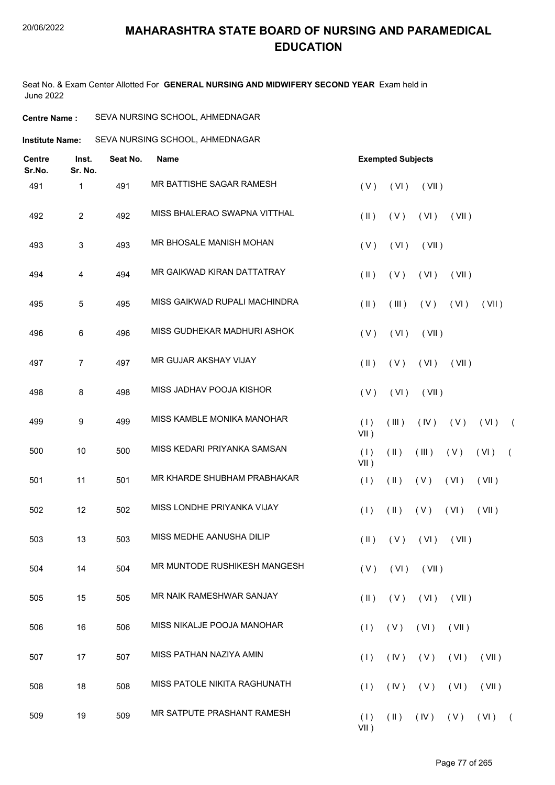Seat No. & Exam Center Allotted For **GENERAL NURSING AND MIDWIFERY SECOND YEAR** Exam held in June 2022

| SEVA NURSING SCHOOL, AHMEDNAGAR<br><b>Centre Name :</b> |
|---------------------------------------------------------|
|---------------------------------------------------------|

**Institute Name:** SEVA NURSING SCHOOL, AHMEDNAGAR

| <b>Centre</b><br>Sr.No. | Inst.<br>Sr. No. | Seat No. | <b>Name</b>                   |                         | <b>Exempted Subjects</b> |                      |             |          |            |
|-------------------------|------------------|----------|-------------------------------|-------------------------|--------------------------|----------------------|-------------|----------|------------|
| 491                     | $\mathbf 1$      | 491      | MR BATTISHE SAGAR RAMESH      | (V)                     | (VI)                     | (VII)                |             |          |            |
| 492                     | $\overline{2}$   | 492      | MISS BHALERAO SWAPNA VITTHAL  | $(\parallel)$           | (V)                      | (VI)                 | (VII)       |          |            |
| 493                     | 3                | 493      | MR BHOSALE MANISH MOHAN       | (V)                     | (VI)                     | (VII)                |             |          |            |
| 494                     | 4                | 494      | MR GAIKWAD KIRAN DATTATRAY    | $(\parallel)$           | (V)                      | (VI)                 | (VII)       |          |            |
| 495                     | 5                | 495      | MISS GAIKWAD RUPALI MACHINDRA | $(\parallel)$           | (III)                    | (V)                  | (VI)        | (VII)    |            |
| 496                     | 6                | 496      | MISS GUDHEKAR MADHURI ASHOK   | (V)                     | (VI)                     | (VII)                |             |          |            |
| 497                     | $\overline{7}$   | 497      | MR GUJAR AKSHAY VIJAY         | $(\parallel \parallel)$ | (V)                      | (VI)                 | (VII)       |          |            |
| 498                     | 8                | 498      | MISS JADHAV POOJA KISHOR      | (V)                     | (VI)                     | (VII)                |             |          |            |
| 499                     | 9                | 499      | MISS KAMBLE MONIKA MANOHAR    | (1)<br>$VII$ )          | (III)                    | (IV)                 | (V)         | (VI)     | $\sqrt{2}$ |
| 500                     | 10               | 500      | MISS KEDARI PRIYANKA SAMSAN   | (1)<br>$VII$ )          | $(\parallel)$            | (III)                | (V)         | (VI)     | $\sqrt{2}$ |
| 501                     | 11               | 501      | MR KHARDE SHUBHAM PRABHAKAR   | (1)                     | $(\parallel)$            | (V)                  | (VI)        | (VII)    |            |
| 502                     | 12               | 502      | MISS LONDHE PRIYANKA VIJAY    | (1)                     | $(\parallel)$            | (V)                  | (VI)        | (VII)    |            |
| 503                     | 13               | 503      | MISS MEDHE AANUSHA DILIP      | $(\parallel)$           | (V)                      | (VI)                 | (VII)       |          |            |
| 504                     | 14               | 504      | MR MUNTODE RUSHIKESH MANGESH  |                         |                          | $(V)$ $(VI)$ $(VII)$ |             |          |            |
| 505                     | 15               | 505      | MR NAIK RAMESHWAR SANJAY      | $(\parallel)$           | (V)                      | (VI)                 | (VII)       |          |            |
| 506                     | 16               | 506      | MISS NIKALJE POOJA MANOHAR    | (1)                     | (V)                      | (VI)                 | (VII)       |          |            |
| 507                     | 17               | 507      | MISS PATHAN NAZIYA AMIN       | (1)                     | (IV)                     | (V)                  | (VI)        | (VII)    |            |
| 508                     | 18               | 508      | MISS PATOLE NIKITA RAGHUNATH  | (1)                     | (IV)                     | (V)                  | (VI)        | (VII)    |            |
| 509                     | 19               | 509      | MR SATPUTE PRASHANT RAMESH    | (1)<br>$VII$ )          | $(\parallel)$            |                      | $(V)$ $(V)$ | $(VI)$ ( |            |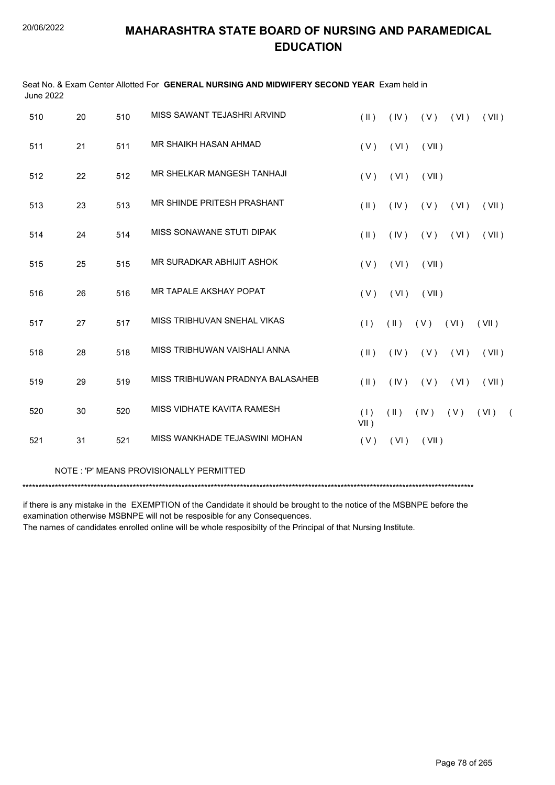| <b>June 2022</b> |    |     | Seat No. & Exam Center Allotted For GENERAL NURSING AND MIDWIFERY SECOND YEAR Exam held in |                |               |             |             |          |  |
|------------------|----|-----|--------------------------------------------------------------------------------------------|----------------|---------------|-------------|-------------|----------|--|
| 510              | 20 | 510 | MISS SAWANT TEJASHRI ARVIND                                                                | $(\parallel)$  | (IV)          |             | $(V)$ $(V)$ | (VII)    |  |
| 511              | 21 | 511 | MR SHAIKH HASAN AHMAD                                                                      | (V)            | (VI)          | (VII)       |             |          |  |
| 512              | 22 | 512 | MR SHELKAR MANGESH TANHAJI                                                                 | (V)            | (VI)          | (VII)       |             |          |  |
| 513              | 23 | 513 | MR SHINDE PRITESH PRASHANT                                                                 | $(\parallel)$  | (IV)          |             | $(V)$ $(V)$ | (VII)    |  |
| 514              | 24 | 514 | MISS SONAWANE STUTI DIPAK                                                                  | $(\parallel)$  | (IV)          | (V)         | (VI)        | (VII)    |  |
| 515              | 25 | 515 | MR SURADKAR ABHIJIT ASHOK                                                                  | (V)            | (VI)          | (VII)       |             |          |  |
| 516              | 26 | 516 | MR TAPALE AKSHAY POPAT                                                                     | (V)            | (VI)          | (VII)       |             |          |  |
| 517              | 27 | 517 | MISS TRIBHUVAN SNEHAL VIKAS                                                                | (1)            | $(\parallel)$ | $(V)$ $(V)$ |             | (VII)    |  |
| 518              | 28 | 518 | MISS TRIBHUWAN VAISHALI ANNA                                                               | $($ II $)$     | (IV)          | (V)         | (VI)        | (VII)    |  |
| 519              | 29 | 519 | MISS TRIBHUWAN PRADNYA BALASAHEB                                                           | (  )           | (IV)          | (V)         | (VI)        | (VII)    |  |
| 520              | 30 | 520 | MISS VIDHATE KAVITA RAMESH                                                                 | (1)<br>$VII$ ) | $(\parallel)$ |             | $(V)$ $(V)$ | $(VI)$ ( |  |
| 521              | 31 | 521 | MISS WANKHADE TEJASWINI MOHAN                                                              | (V)            | (VI)          | (VII)       |             |          |  |
|                  |    |     |                                                                                            |                |               |             |             |          |  |

#### NOTE : 'P' MEANS PROVISIONALLY PERMITTED

\*\*\*\*\*\*\*\*\*\*\*\*\*\*\*\*\*\*\*\*\*\*\*\*\*\*\*\*\*\*\*\*\*\*\*\*\*\*\*\*\*\*\*\*\*\*\*\*\*\*\*\*\*\*\*\*\*\*\*\*\*\*\*\*\*\*\*\*\*\*\*\*\*\*\*\*\*\*\*\*\*\*\*\*\*\*\*\*\*\*\*\*\*\*\*\*\*\*\*\*\*\*\*\*\*\*\*\*\*\*\*\*\*\*\*\*\*\*\*\*\*\*\*\*\*\*\*\*\*\*\*\*\*\*\*\*\*\*\*

if there is any mistake in the EXEMPTION of the Candidate it should be brought to the notice of the MSBNPE before the examination otherwise MSBNPE will not be resposible for any Consequences.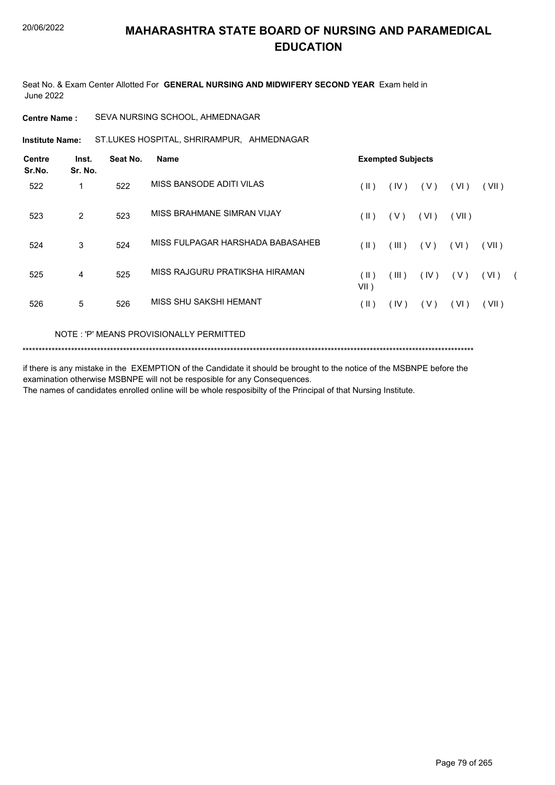Seat No. & Exam Center Allotted For **GENERAL NURSING AND MIDWIFERY SECOND YEAR** Exam held in June 2022

#### **Centre Name :** SEVA NURSING SCHOOL, AHMEDNAGAR

ST.LUKES HOSPITAL, SHRIRAMPUR, AHMEDNAGAR **Institute Name:**

| <b>Centre</b><br>Sr.No. | Inst.<br>Sr. No. | Seat No. | Name                             | <b>Exempted Subjects</b> |       |       |       |       |            |  |  |
|-------------------------|------------------|----------|----------------------------------|--------------------------|-------|-------|-------|-------|------------|--|--|
| 522                     |                  | 522      | MISS BANSODE ADITI VILAS         | (  )                     | (IV)  | (V)   | (VI)  | (VII) |            |  |  |
| 523                     | $\overline{2}$   | 523      | MISS BRAHMANE SIMRAN VIJAY       | (  )                     | (V)   | (VI)  | (VII) |       |            |  |  |
| 524                     | 3                | 524      | MISS FULPAGAR HARSHADA BABASAHEB | $(\parallel)$            | (III) | ( V ) | (VI)  | (VII) |            |  |  |
| 525                     | 4                | 525      | MISS RAJGURU PRATIKSHA HIRAMAN   | (  )<br>VII)             | (III) | (IV)  | (V)   | (VI)  | $\sqrt{2}$ |  |  |
| 526                     | 5                | 526      | MISS SHU SAKSHI HEMANT           | ( II )                   | (IV)  | (V)   | (VI)  | (VII) |            |  |  |

#### NOTE : 'P' MEANS PROVISIONALLY PERMITTED

\*\*\*\*\*\*\*\*\*\*\*\*\*\*\*\*\*\*\*\*\*\*\*\*\*\*\*\*\*\*\*\*\*\*\*\*\*\*\*\*\*\*\*\*\*\*\*\*\*\*\*\*\*\*\*\*\*\*\*\*\*\*\*\*\*\*\*\*\*\*\*\*\*\*\*\*\*\*\*\*\*\*\*\*\*\*\*\*\*\*\*\*\*\*\*\*\*\*\*\*\*\*\*\*\*\*\*\*\*\*\*\*\*\*\*\*\*\*\*\*\*\*\*\*\*\*\*\*\*\*\*\*\*\*\*\*\*\*\*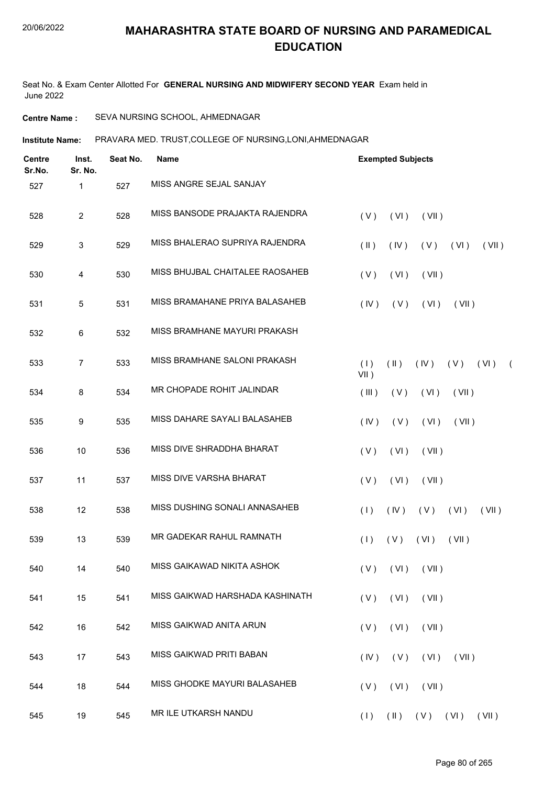Seat No. & Exam Center Allotted For **GENERAL NURSING AND MIDWIFERY SECOND YEAR** Exam held in June 2022

#### **Centre Name :** SEVA NURSING SCHOOL, AHMEDNAGAR

**Institute Name: PRAVARA MED. TRUST,COLLEGE OF NURSING,LONI,AHMEDNAGAR** 

| <b>Centre</b><br>Sr.No. | Inst.<br>Sr. No. | Seat No. | <b>Name</b>                     | <b>Exempted Subjects</b>                                                           |
|-------------------------|------------------|----------|---------------------------------|------------------------------------------------------------------------------------|
| 527                     | 1                | 527      | MISS ANGRE SEJAL SANJAY         |                                                                                    |
| 528                     | $\overline{2}$   | 528      | MISS BANSODE PRAJAKTA RAJENDRA  | (VI)<br>(V)<br>(VII)                                                               |
| 529                     | 3                | 529      | MISS BHALERAO SUPRIYA RAJENDRA  | $(\parallel)$<br>(IV)<br>$(V)$ $(V)$<br>(VII)                                      |
| 530                     | 4                | 530      | MISS BHUJBAL CHAITALEE RAOSAHEB | (V)<br>(VI)<br>(VII)                                                               |
| 531                     | 5                | 531      | MISS BRAMAHANE PRIYA BALASAHEB  | (VI)<br>(IV)<br>(V)<br>(VII)                                                       |
| 532                     | 6                | 532      | MISS BRAMHANE MAYURI PRAKASH    |                                                                                    |
| 533                     | 7                | 533      | MISS BRAMHANE SALONI PRAKASH    | (1)<br>$(\parallel \parallel)$<br>(IV)<br>(V)<br>(VI)<br>$\overline{ }$<br>$VII$ ) |
| 534                     | 8                | 534      | MR CHOPADE ROHIT JALINDAR       | (III)<br>(VI)<br>(VII)<br>(V)                                                      |
| 535                     | 9                | 535      | MISS DAHARE SAYALI BALASAHEB    | (IV)<br>(V)<br>(VI)<br>(VII)                                                       |
| 536                     | 10               | 536      | MISS DIVE SHRADDHA BHARAT       | (VI)<br>(VII)<br>(V)                                                               |
| 537                     | 11               | 537      | MISS DIVE VARSHA BHARAT         | (V)<br>(VI)<br>(VII)                                                               |
| 538                     | 12               | 538      | MISS DUSHING SONALI ANNASAHEB   | (1)<br>(IV)<br>(V)<br>(VI)<br>(VII)                                                |
| 539                     | 13               | 539      | MR GADEKAR RAHUL RAMNATH        | (VI)<br>(VII)<br>(1)<br>(V)                                                        |
| 540                     | 14               | 540      | MISS GAIKAWAD NIKITA ASHOK      | $(V)$ $(VI)$ $(VII)$                                                               |
| 541                     | 15               | 541      | MISS GAIKWAD HARSHADA KASHINATH | (VII)<br>(V)<br>(VI)                                                               |
| 542                     | 16               | 542      | MISS GAIKWAD ANITA ARUN         | (VI)<br>(VII)<br>(V)                                                               |
| 543                     | 17               | 543      | MISS GAIKWAD PRITI BABAN        | $(VI)$ $(VII)$<br>(IV)<br>(V)                                                      |
| 544                     | 18               | 544      | MISS GHODKE MAYURI BALASAHEB    | (VII)<br>(V)<br>(VI)                                                               |
| 545                     | 19               | 545      | MR ILE UTKARSH NANDU            | $(II)$ $(V)$ $(VI)$ $(VII)$<br>(1)                                                 |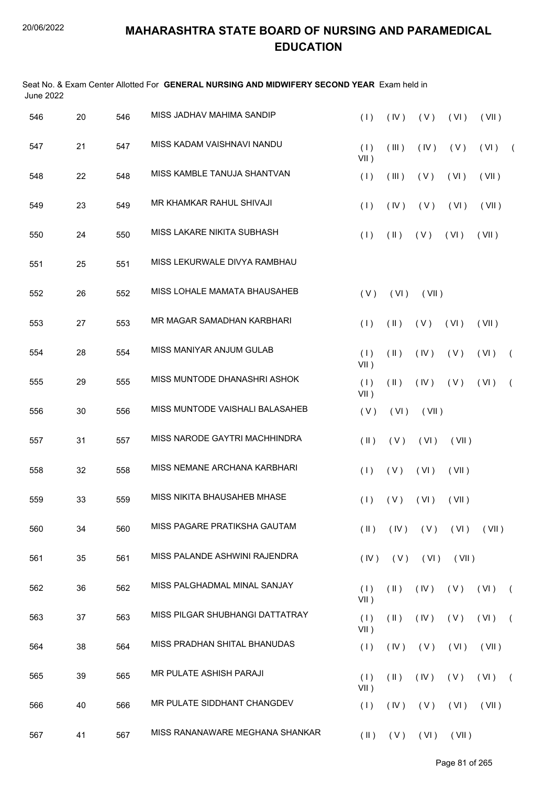| <b>June 2022</b> |    |     | Seat No. & Exam Center Allotted For GENERAL NURSING AND MIDWIFERY SECOND YEAR Exam held in |                |               |                            |       |       |            |
|------------------|----|-----|--------------------------------------------------------------------------------------------|----------------|---------------|----------------------------|-------|-------|------------|
| 546              | 20 | 546 | MISS JADHAV MAHIMA SANDIP                                                                  | (1)            | (IV)          | (V)                        | (VI)  | (VII) |            |
| 547              | 21 | 547 | MISS KADAM VAISHNAVI NANDU                                                                 | (1)<br>$VII$ ) | (III)         | (IV)                       | (V)   | (VI)  | $\sqrt{2}$ |
| 548              | 22 | 548 | MISS KAMBLE TANUJA SHANTVAN                                                                | (1)            | (III)         | (V)                        | (VI)  | (VII) |            |
| 549              | 23 | 549 | MR KHAMKAR RAHUL SHIVAJI                                                                   | (1)            | (IV)          | (V)                        | (VI)  | (VII) |            |
| 550              | 24 | 550 | MISS LAKARE NIKITA SUBHASH                                                                 | (1)            | $(\parallel)$ | (V)                        | (VI)  | (VII) |            |
| 551              | 25 | 551 | MISS LEKURWALE DIVYA RAMBHAU                                                               |                |               |                            |       |       |            |
| 552              | 26 | 552 | MISS LOHALE MAMATA BHAUSAHEB                                                               | (V)            | (VI)          | (VII)                      |       |       |            |
| 553              | 27 | 553 | MR MAGAR SAMADHAN KARBHARI                                                                 | (1)            | (11)          | (V)                        | (VI)  | (VII) |            |
| 554              | 28 | 554 | MISS MANIYAR ANJUM GULAB                                                                   | (1)<br>$VII$ ) | $(\parallel)$ | (IV)                       | (V)   | (VI)  | $\left($   |
| 555              | 29 | 555 | MISS MUNTODE DHANASHRI ASHOK                                                               | (1)<br>$VII$ ) | $(\parallel)$ | (IV)                       | (V)   | (VI)  | $\sqrt{2}$ |
| 556              | 30 | 556 | MISS MUNTODE VAISHALI BALASAHEB                                                            | (V)            | (VI)          | (VII)                      |       |       |            |
| 557              | 31 | 557 | MISS NARODE GAYTRI MACHHINDRA                                                              | $(\parallel)$  | (V)           | (VI)                       | (VII) |       |            |
| 558              | 32 | 558 | MISS NEMANE ARCHANA KARBHARI                                                               | (1)            | (V)           | (VI)                       | (VII) |       |            |
| 559              | 33 | 559 | MISS NIKITA BHAUSAHEB MHASE                                                                |                |               | $(1)$ $(V)$ $(VI)$ $(VII)$ |       |       |            |
| 560              | 34 | 560 | MISS PAGARE PRATIKSHA GAUTAM                                                               | $(\parallel)$  | (IV)          | (V)                        | (VI)  | (VII) |            |
| 561              | 35 | 561 | MISS PALANDE ASHWINI RAJENDRA                                                              | (IV)           | (V)           | (VI)                       | (VII) |       |            |
| 562              | 36 | 562 | MISS PALGHADMAL MINAL SANJAY                                                               | (1)<br>VII)    | $(\parallel)$ | (IV)                       | (V)   | (VI)  | $\sqrt{2}$ |
| 563              | 37 | 563 | MISS PILGAR SHUBHANGI DATTATRAY                                                            | (1)<br>VII)    | $(\parallel)$ | (IV)                       | (V)   | (VI)  | $\sqrt{2}$ |
| 564              | 38 | 564 | MISS PRADHAN SHITAL BHANUDAS                                                               | (1)            | (IV)          | (V)                        | (VI)  | (VII) |            |
| 565              | 39 | 565 | MR PULATE ASHISH PARAJI                                                                    | (1)<br>$VII$ ) | $(\parallel)$ | (IV)                       | (V)   | (VI)  | $\sqrt{2}$ |
| 566              | 40 | 566 | MR PULATE SIDDHANT CHANGDEV                                                                | (1)            | (IV)          | (V)                        | (VI)  | (VII) |            |
| 567              | 41 | 567 | MISS RANANAWARE MEGHANA SHANKAR                                                            | $(\parallel)$  | (V)           | (VI)                       | (VII) |       |            |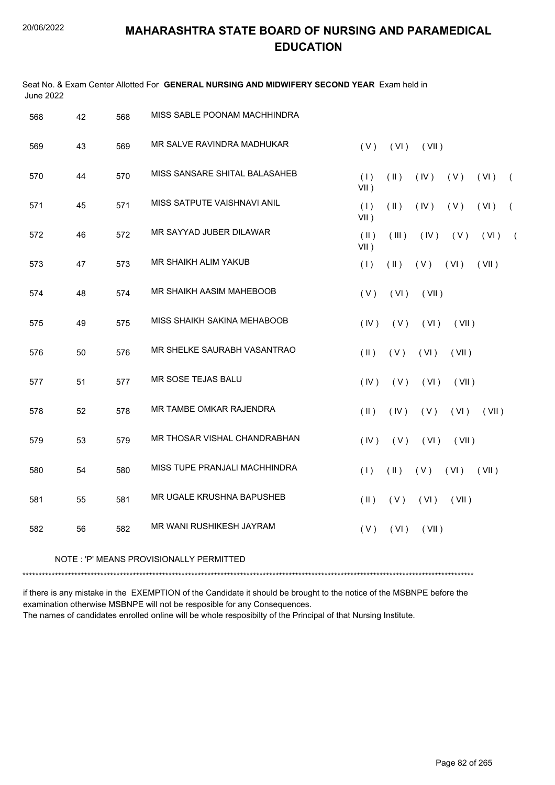Seat No. & Exam Center Allotted For **GENERAL NURSING AND MIDWIFERY SECOND YEAR** Exam held in

| <b>June 2022</b> |    |     |                                         |                                                                        |
|------------------|----|-----|-----------------------------------------|------------------------------------------------------------------------|
| 568              | 42 | 568 | MISS SABLE POONAM MACHHINDRA            |                                                                        |
| 569              | 43 | 569 | MR SALVE RAVINDRA MADHUKAR              | (V)<br>(VI)<br>(VII)                                                   |
| 570              | 44 | 570 | MISS SANSARE SHITAL BALASAHEB           | (1)<br>$(\parallel)$<br>(IV)<br>(V)<br>(VI)<br>$\left($<br>$VII$ )     |
| 571              | 45 | 571 | MISS SATPUTE VAISHNAVI ANIL             | (1)<br>$(\parallel)$<br>(IV)<br>(V)<br>(VI)<br>$\left($<br>VII)        |
| 572              | 46 | 572 | MR SAYYAD JUBER DILAWAR                 | $(\parallel)$<br>(III)<br>(IV)<br>(V)<br>(VI)<br>$\sqrt{2}$<br>$VII$ ) |
| 573              | 47 | 573 | MR SHAIKH ALIM YAKUB                    | (1)<br>$(\parallel)$<br>$(V)$ $(V)$<br>(VII)                           |
| 574              | 48 | 574 | MR SHAIKH AASIM MAHEBOOB                | (V)<br>(VI)<br>(VII)                                                   |
| 575              | 49 | 575 | MISS SHAIKH SAKINA MEHABOOB             | (IV)<br>(V)<br>(VI)<br>(VII)                                           |
| 576              | 50 | 576 | MR SHELKE SAURABH VASANTRAO             | $(\parallel)$<br>(V)<br>(VI)<br>(VII)                                  |
| 577              | 51 | 577 | MR SOSE TEJAS BALU                      | (IV)<br>(V)<br>(VI)<br>(VII)                                           |
| 578              | 52 | 578 | MR TAMBE OMKAR RAJENDRA                 | $(\parallel)$<br>(IV)<br>(V)<br>(VI)<br>(VII)                          |
| 579              | 53 | 579 | MR THOSAR VISHAL CHANDRABHAN            | (IV)<br>(V)<br>(VI)<br>(VII)                                           |
| 580              | 54 | 580 | MISS TUPE PRANJALI MACHHINDRA           | (1)<br>$(\parallel)$<br>$(V)$ $(V)$<br>(VII)                           |
| 581              | 55 | 581 | MR UGALE KRUSHNA BAPUSHEB               | $(\parallel)$<br>(V)<br>(VI)<br>(VII)                                  |
| 582              | 56 | 582 | MR WANI RUSHIKESH JAYRAM                | (V)<br>(VI)<br>(VII)                                                   |
|                  |    |     | NOTE: 'P' MEANS PROVISIONALLY PERMITTED |                                                                        |

\*\*\*\*\*\*\*\*\*\*\*\*\*\*\*\*\*\*\*\*\*\*\*\*\*\*\*\*\*\*\*\*\*\*\*\*\*\*\*\*\*\*\*\*\*\*\*\*\*\*\*\*\*\*\*\*\*\*\*\*\*\*\*\*\*\*\*\*\*\*\*\*\*\*\*\*\*\*\*\*\*\*\*\*\*\*\*\*\*\*\*\*\*\*\*\*\*\*\*\*\*\*\*\*\*\*\*\*\*\*\*\*\*\*\*\*\*\*\*\*\*\*\*\*\*\*\*\*\*\*\*\*\*\*\*\*\*\*\*

if there is any mistake in the EXEMPTION of the Candidate it should be brought to the notice of the MSBNPE before the examination otherwise MSBNPE will not be resposible for any Consequences.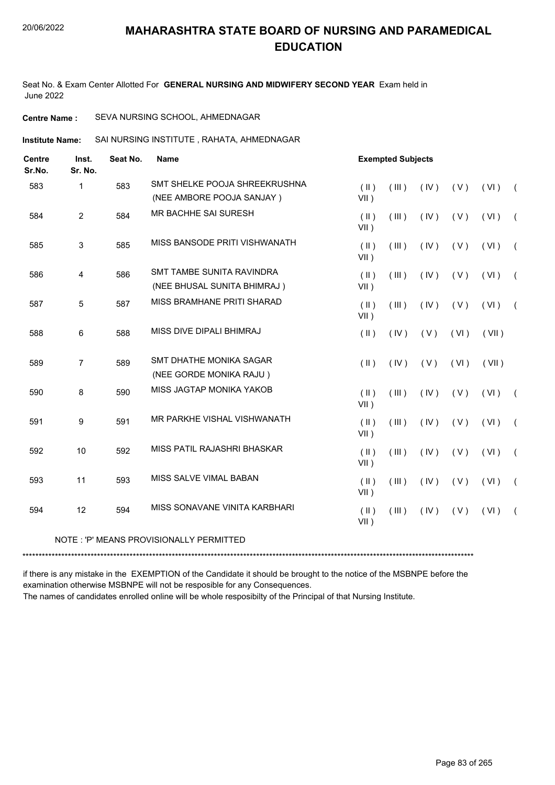Seat No. & Exam Center Allotted For **GENERAL NURSING AND MIDWIFERY SECOND YEAR** Exam held in June 2022

**Centre Name :** SEVA NURSING SCHOOL, AHMEDNAGAR

**Institute Name:** SAI NURSING INSTITUTE , RAHATA, AHMEDNAGAR

| <b>Centre</b><br>Sr.No. | Inst.<br>Sr. No. |     | Seat No.                                | Name                     |       | <b>Exempted Subjects</b> |      |       |                |  |
|-------------------------|------------------|-----|-----------------------------------------|--------------------------|-------|--------------------------|------|-------|----------------|--|
| 583                     | 1                | 583 | SMT SHELKE POOJA SHREEKRUSHNA           | $(\parallel)$            | (III) | (IV)                     | (V)  | (VI)  | $\sqrt{2}$     |  |
|                         |                  |     | (NEE AMBORE POOJA SANJAY)               | $VII$ )                  |       |                          |      |       |                |  |
| 584                     | 2                | 584 | <b>MR BACHHE SAI SURESH</b>             | $(\parallel)$<br>$VII$ ) | (III) | (IV)                     | (V)  | (VI)  | $\left($       |  |
| 585                     | 3                | 585 | MISS BANSODE PRITI VISHWANATH           | $($ II $)$<br>$VII$ )    | (III) | (IV)                     | (V)  | (VI)  | $\left($       |  |
| 586                     | 4                | 586 | SMT TAMBE SUNITA RAVINDRA               | $(\parallel)$            | (III) | (IV)                     | (V)  | (VI)  | $\left($       |  |
|                         |                  |     | (NEE BHUSAL SUNITA BHIMRAJ)             | $VII$ )                  |       |                          |      |       |                |  |
| 587                     | 5                | 587 | MISS BRAMHANE PRITI SHARAD              | $(\parallel)$<br>$VII$ ) | (III) | (IV)                     | (V)  | (VI)  | $\sqrt{2}$     |  |
| 588                     | 6                | 588 | MISS DIVE DIPALI BHIMRAJ                | $($ II $)$               | (IV)  | (V)                      | (VI) | (VII) |                |  |
| 589                     | 7                | 589 | SMT DHATHE MONIKA SAGAR                 | $($ II $)$               | (IV)  | (V)                      | (VI) | (VII) |                |  |
|                         |                  |     | (NEE GORDE MONIKA RAJU)                 |                          |       |                          |      |       |                |  |
| 590                     | 8                | 590 | MISS JAGTAP MONIKA YAKOB                | (  )<br>$VII$ )          | (III) | (IV)                     | (V)  | (VI)  | $\sqrt{2}$     |  |
| 591                     | 9                | 591 | MR PARKHE VISHAL VISHWANATH             | $(\parallel)$<br>$VII$ ) | (III) | (IV)                     | (V)  | (VI)  | $\left($       |  |
| 592                     | 10               | 592 | MISS PATIL RAJASHRI BHASKAR             | $($ II $)$<br>$VII$ )    | (III) | (IV)                     | (V)  | (VI)  | $\left($       |  |
| 593                     | 11               | 593 | MISS SALVE VIMAL BABAN                  | $(\parallel)$<br>$VII$ ) | (III) | (IV)                     | (V)  | (VI)  | $\sqrt{2}$     |  |
| 594                     | 12               | 594 | MISS SONAVANE VINITA KARBHARI           | $($ II $)$<br>$VII$ )    | (III) | (IV)                     | (V)  | (VI)  | $\overline{ }$ |  |
|                         |                  |     | NOTE: 'P' MEANS PROVISIONALLY PERMITTED |                          |       |                          |      |       |                |  |

\*\*\*\*\*\*\*\*\*\*\*\*\*\*\*\*\*\*\*\*\*\*\*\*\*\*\*\*\*\*\*\*\*\*\*\*\*\*\*\*\*\*\*\*\*\*\*\*\*\*\*\*\*\*\*\*\*\*\*\*\*\*\*\*\*\*\*\*\*\*\*\*\*\*\*\*\*\*\*\*\*\*\*\*\*\*\*\*\*\*\*\*\*\*\*\*\*\*\*\*\*\*\*\*\*\*\*\*\*\*\*\*\*\*\*\*\*\*\*\*\*\*\*\*\*\*\*\*\*\*\*\*\*\*\*\*\*\*\*

if there is any mistake in the EXEMPTION of the Candidate it should be brought to the notice of the MSBNPE before the examination otherwise MSBNPE will not be resposible for any Consequences.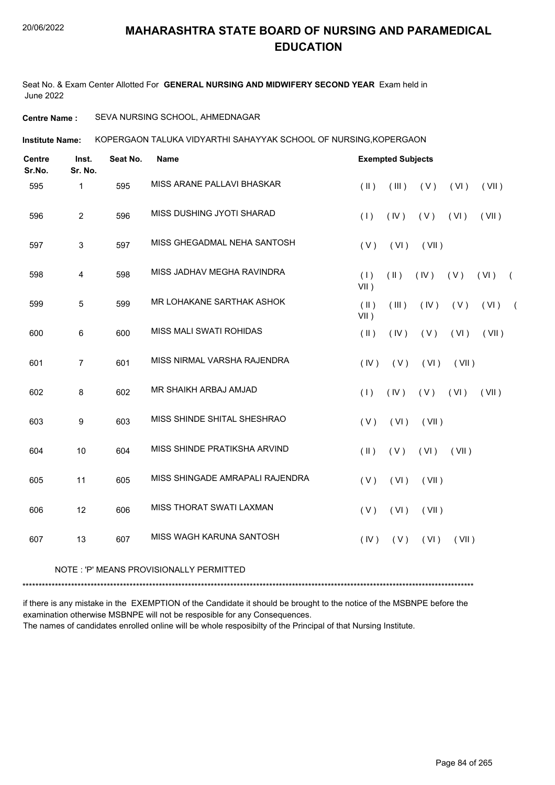Seat No. & Exam Center Allotted For **GENERAL NURSING AND MIDWIFERY SECOND YEAR** Exam held in June 2022

#### **Centre Name :** SEVA NURSING SCHOOL, AHMEDNAGAR

KOPERGAON TALUKA VIDYARTHI SAHAYYAK SCHOOL OF NURSING,KOPERGAON **Institute Name:**

| <b>Centre</b><br>Sr.No. | Inst.<br>Sr. No. | Seat No. | <b>Name</b>                     |                          | <b>Exempted Subjects</b> |       |       |       |            |
|-------------------------|------------------|----------|---------------------------------|--------------------------|--------------------------|-------|-------|-------|------------|
| 595                     | 1                | 595      | MISS ARANE PALLAVI BHASKAR      | $($ II $)$               | (III)                    | (V)   | (VI)  | (VII) |            |
| 596                     | $\overline{2}$   | 596      | MISS DUSHING JYOTI SHARAD       | (1)                      | (IV)                     | (V)   | (VI)  | (VII) |            |
| 597                     | 3                | 597      | MISS GHEGADMAL NEHA SANTOSH     | (V)                      | (VI)                     | (VII) |       |       |            |
| 598                     | $\overline{4}$   | 598      | MISS JADHAV MEGHA RAVINDRA      | (1)<br>$VII$ )           | $(\parallel)$            | (IV)  | (V)   | (VI)  | $\sqrt{2}$ |
| 599                     | $\overline{5}$   | 599      | MR LOHAKANE SARTHAK ASHOK       | $(\parallel)$<br>$VII$ ) | (III)                    | (IV)  | (V)   | (VI)  | $\sqrt{2}$ |
| 600                     | 6                | 600      | MISS MALI SWATI ROHIDAS         | $(\parallel)$            | (IV)                     | (V)   | (VI)  | (VII) |            |
| 601                     | $\overline{7}$   | 601      | MISS NIRMAL VARSHA RAJENDRA     | (IV)                     | (V)                      | (VI)  | (VII) |       |            |
| 602                     | $\,8\,$          | 602      | MR SHAIKH ARBAJ AMJAD           | (1)                      | (IV)                     | (V)   | (VI)  | (VII) |            |
| 603                     | 9                | 603      | MISS SHINDE SHITAL SHESHRAO     | (V)                      | (VI)                     | (VII) |       |       |            |
| 604                     | 10               | 604      | MISS SHINDE PRATIKSHA ARVIND    | $($ II $)$               | (V)                      | (VI)  | (VII) |       |            |
| 605                     | 11               | 605      | MISS SHINGADE AMRAPALI RAJENDRA | (V)                      | (VI)                     | (VII) |       |       |            |
| 606                     | 12               | 606      | MISS THORAT SWATI LAXMAN        | (V)                      | (VI)                     | (VII) |       |       |            |
| 607                     | 13               | 607      | MISS WAGH KARUNA SANTOSH        | (IV)                     | (V)                      | (VI)  | (VII) |       |            |

#### NOTE : 'P' MEANS PROVISIONALLY PERMITTED

\*\*\*\*\*\*\*\*\*\*\*\*\*\*\*\*\*\*\*\*\*\*\*\*\*\*\*\*\*\*\*\*\*\*\*\*\*\*\*\*\*\*\*\*\*\*\*\*\*\*\*\*\*\*\*\*\*\*\*\*\*\*\*\*\*\*\*\*\*\*\*\*\*\*\*\*\*\*\*\*\*\*\*\*\*\*\*\*\*\*\*\*\*\*\*\*\*\*\*\*\*\*\*\*\*\*\*\*\*\*\*\*\*\*\*\*\*\*\*\*\*\*\*\*\*\*\*\*\*\*\*\*\*\*\*\*\*\*\*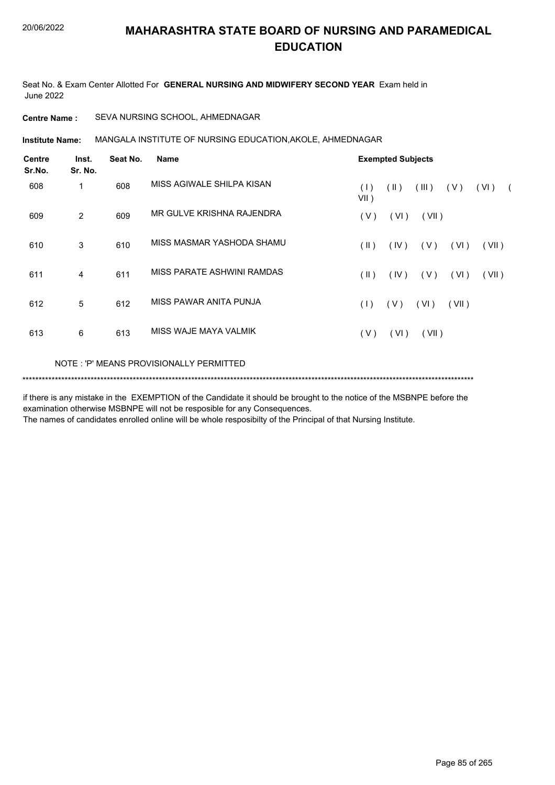Seat No. & Exam Center Allotted For **GENERAL NURSING AND MIDWIFERY SECOND YEAR** Exam held in June 2022

**Centre Name :** SEVA NURSING SCHOOL, AHMEDNAGAR

**Institute Name:** MANGALA INSTITUTE OF NURSING EDUCATION,AKOLE, AHMEDNAGAR

| <b>Centre</b><br>Sr.No. | Inst.<br>Sr. No. | Seat No. | <b>Name</b>                             |                | <b>Exempted Subjects</b> |       |       |                    |  |  |  |  |
|-------------------------|------------------|----------|-----------------------------------------|----------------|--------------------------|-------|-------|--------------------|--|--|--|--|
| 608                     | 1                | 608      | MISS AGIWALE SHILPA KISAN               | (1)<br>$VII$ ) | (  )                     | (III) | ( V ) | (VI)<br>$\sqrt{2}$ |  |  |  |  |
| 609                     | $\overline{2}$   | 609      | MR GULVE KRISHNA RAJENDRA               | (V)            | (VI)                     | (VII) |       |                    |  |  |  |  |
| 610                     | 3                | 610      | MISS MASMAR YASHODA SHAMU               | (  )           | (IV)                     | (V)   | (VI)  | (VII)              |  |  |  |  |
| 611                     | 4                | 611      | MISS PARATE ASHWINI RAMDAS              | $(\parallel)$  | $($ IV $)$               | (V)   | (VI)  | (VII)              |  |  |  |  |
| 612                     | 5                | 612      | MISS PAWAR ANITA PUNJA                  | (1)            | (V)                      | (VI)  | (VII) |                    |  |  |  |  |
| 613                     | 6                | 613      | MISS WAJE MAYA VALMIK                   | (V)            | (VI)                     | (VII) |       |                    |  |  |  |  |
|                         |                  |          | NOTE: 'P' MEANS PROVISIONALLY PERMITTED |                |                          |       |       |                    |  |  |  |  |
|                         |                  |          |                                         |                |                          |       |       |                    |  |  |  |  |

if there is any mistake in the EXEMPTION of the Candidate it should be brought to the notice of the MSBNPE before the examination otherwise MSBNPE will not be resposible for any Consequences.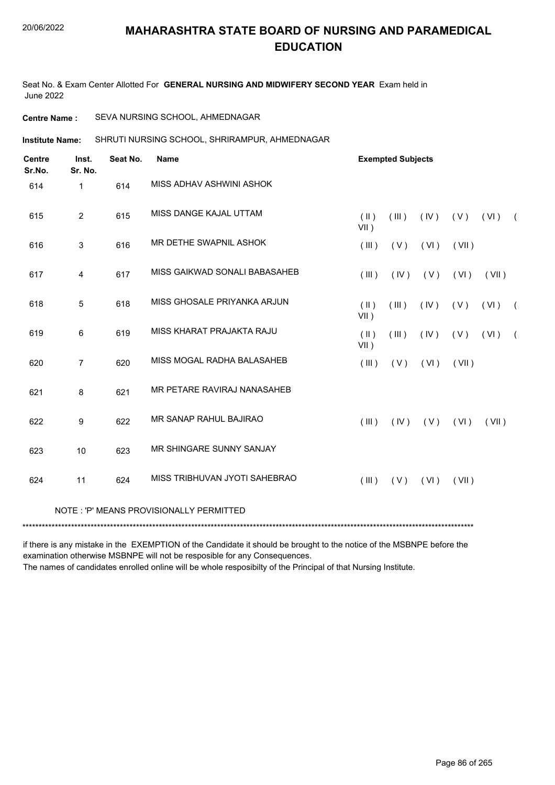Seat No. & Exam Center Allotted For **GENERAL NURSING AND MIDWIFERY SECOND YEAR** Exam held in June 2022

**Centre Name :** SEVA NURSING SCHOOL, AHMEDNAGAR

SHRUTI NURSING SCHOOL, SHRIRAMPUR, AHMEDNAGAR **Institute Name:**

| <b>Centre</b><br>Sr.No. | Inst.<br>Sr. No. | Seat No. | <b>Name</b>                             | <b>Exempted Subjects</b> |       |      |       |       |            |
|-------------------------|------------------|----------|-----------------------------------------|--------------------------|-------|------|-------|-------|------------|
| 614                     | $\mathbf{1}$     | 614      | MISS ADHAV ASHWINI ASHOK                |                          |       |      |       |       |            |
| 615                     | $\overline{2}$   | 615      | MISS DANGE KAJAL UTTAM                  | $(\parallel)$<br>$VII$ ) | (III) | (IV) | (V)   | (VI)  | $\sqrt{2}$ |
| 616                     | 3                | 616      | MR DETHE SWAPNIL ASHOK                  | (III)                    | (V)   | (VI) | (VII) |       |            |
| 617                     | 4                | 617      | MISS GAIKWAD SONALI BABASAHEB           | (III)                    | (IV)  | (V)  | (VI)  | (VII) |            |
| 618                     | 5                | 618      | MISS GHOSALE PRIYANKA ARJUN             | $(\parallel)$<br>$VII$ ) | (III) | (IV) | (V)   | (VI)  | $\sqrt{2}$ |
| 619                     | 6                | 619      | MISS KHARAT PRAJAKTA RAJU               | $(\parallel)$<br>$VII$ ) | (III) | (IV) | (V)   | (VI)  | $\sqrt{2}$ |
| 620                     | $\overline{7}$   | 620      | MISS MOGAL RADHA BALASAHEB              | (III)                    | (V)   | (VI) | (VII) |       |            |
| 621                     | 8                | 621      | MR PETARE RAVIRAJ NANASAHEB             |                          |       |      |       |       |            |
| 622                     | 9                | 622      | MR SANAP RAHUL BAJIRAO                  | (III)                    | (IV)  | (V)  | (VI)  | (VII) |            |
| 623                     | 10               | 623      | MR SHINGARE SUNNY SANJAY                |                          |       |      |       |       |            |
| 624                     | 11               | 624      | MISS TRIBHUVAN JYOTI SAHEBRAO           | (III)                    | (V)   | (VI) | (VII) |       |            |
|                         |                  |          | NOTE: 'P' MEANS PROVISIONALLY PERMITTED |                          |       |      |       |       |            |
|                         |                  |          |                                         |                          |       |      |       |       |            |

if there is any mistake in the EXEMPTION of the Candidate it should be brought to the notice of the MSBNPE before the examination otherwise MSBNPE will not be resposible for any Consequences.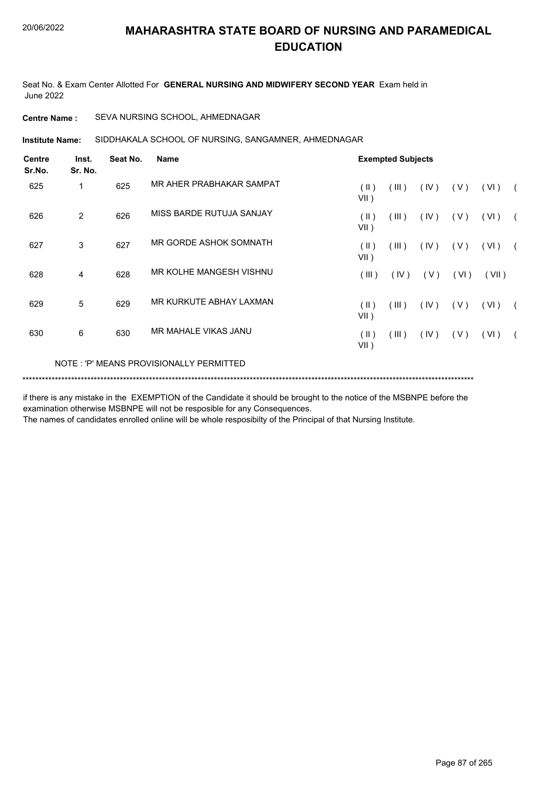Seat No. & Exam Center Allotted For **GENERAL NURSING AND MIDWIFERY SECOND YEAR** Exam held in June 2022

**Centre Name :** SEVA NURSING SCHOOL, AHMEDNAGAR

SIDDHAKALA SCHOOL OF NURSING, SANGAMNER, AHMEDNAGAR **Institute Name:**

| <b>Centre</b><br>Sr.No. | Inst.<br>Sr. No. | Seat No. | <b>Name</b>                             |                 | <b>Exempted Subjects</b> |      |       |       |  |
|-------------------------|------------------|----------|-----------------------------------------|-----------------|--------------------------|------|-------|-------|--|
| 625                     | 1                | 625      | MR AHER PRABHAKAR SAMPAT                | (  )<br>$VII$ ) | (III)                    | (IV) | ( V ) | (VI)  |  |
| 626                     | 2                | 626      | MISS BARDE RUTUJA SANJAY                | (  )<br>$VII$ ) | (III)                    | (IV) | (V)   | (VI)  |  |
| 627                     | 3                | 627      | MR GORDE ASHOK SOMNATH                  | (  )<br>$VII$ ) | (III)                    | (IV) | (V)   | (VI)  |  |
| 628                     | 4                | 628      | MR KOLHE MANGESH VISHNU                 | (III)           | (IV)                     | (V)  | (VI)  | (VII) |  |
| 629                     | 5                | 629      | MR KURKUTE ABHAY LAXMAN                 | (  )<br>VII)    | (III)                    | (IV) | (V)   | (VI)  |  |
| 630                     | 6                | 630      | MR MAHALE VIKAS JANU                    | (  )<br>VII)    | (III)                    | (IV) | (V)   | (VI)  |  |
|                         |                  |          | NOTE: 'P' MEANS PROVISIONALLY PERMITTED |                 |                          |      |       |       |  |
|                         |                  |          |                                         |                 |                          |      |       |       |  |

if there is any mistake in the EXEMPTION of the Candidate it should be brought to the notice of the MSBNPE before the examination otherwise MSBNPE will not be resposible for any Consequences.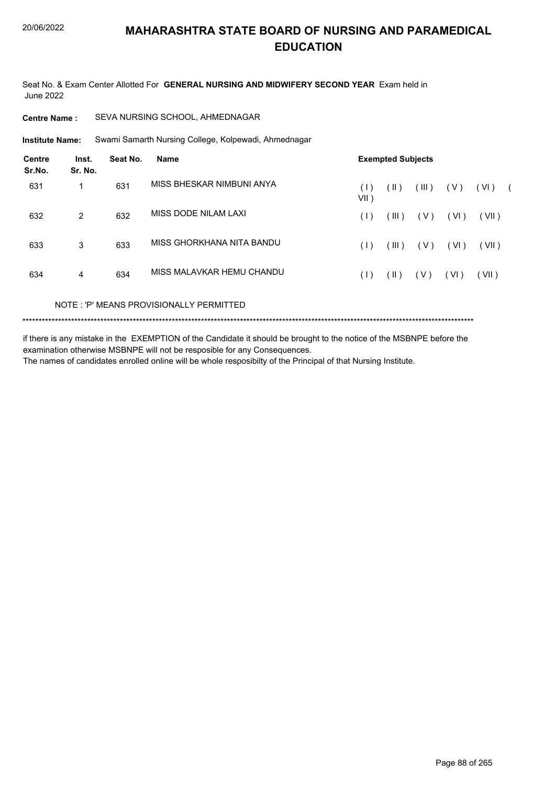Seat No. & Exam Center Allotted For **GENERAL NURSING AND MIDWIFERY SECOND YEAR** Exam held in June 2022

#### **Centre Name :** SEVA NURSING SCHOOL, AHMEDNAGAR

Swami Samarth Nursing College, Kolpewadi, Ahmednagar **Institute Name:**

| <b>Centre</b><br>Sr.No. | Inst.<br>Sr. No.              | Seat No. | <b>Name</b>               |                | <b>Exempted Subjects</b> |       |       |       |  |
|-------------------------|-------------------------------|----------|---------------------------|----------------|--------------------------|-------|-------|-------|--|
| 631                     | $\mathbf 1$                   | 631      | MISS BHESKAR NIMBUNI ANYA | (1)<br>$VII$ ) | $(\parallel)$            | (III) | ( V ) | (VI)  |  |
| 632                     | 2                             | 632      | MISS DODE NILAM LAXI      | (1)            | (III)                    | ( V ) | (VI)  | (VII) |  |
| 633                     | 3                             | 633      | MISS GHORKHANA NITA BANDU | (1)            | (III)                    | ( V ) | (VI)  | (VII) |  |
| 634                     | 4                             | 634      | MISS MALAVKAR HEMU CHANDU | (1)            | $(\parallel)$            | ( V ) | (VI)  | (VII) |  |
|                         | $\cdots$ $\sim$ $\sim$ $\sim$ |          |                           |                |                          |       |       |       |  |

NOTE : 'P' MEANS PROVISIONALLY PERMITTED

\*\*\*\*\*\*\*\*\*\*\*\*\*\*\*\*\*\*\*\*\*\*\*\*\*\*\*\*\*\*\*\*\*\*\*\*\*\*\*\*\*\*\*\*\*\*\*\*\*\*\*\*\*\*\*\*\*\*\*\*\*\*\*\*\*\*\*\*\*\*\*\*\*\*\*\*\*\*\*\*\*\*\*\*\*\*\*\*\*\*\*\*\*\*\*\*\*\*\*\*\*\*\*\*\*\*\*\*\*\*\*\*\*\*\*\*\*\*\*\*\*\*\*\*\*\*\*\*\*\*\*\*\*\*\*\*\*\*\*

if there is any mistake in the EXEMPTION of the Candidate it should be brought to the notice of the MSBNPE before the examination otherwise MSBNPE will not be resposible for any Consequences.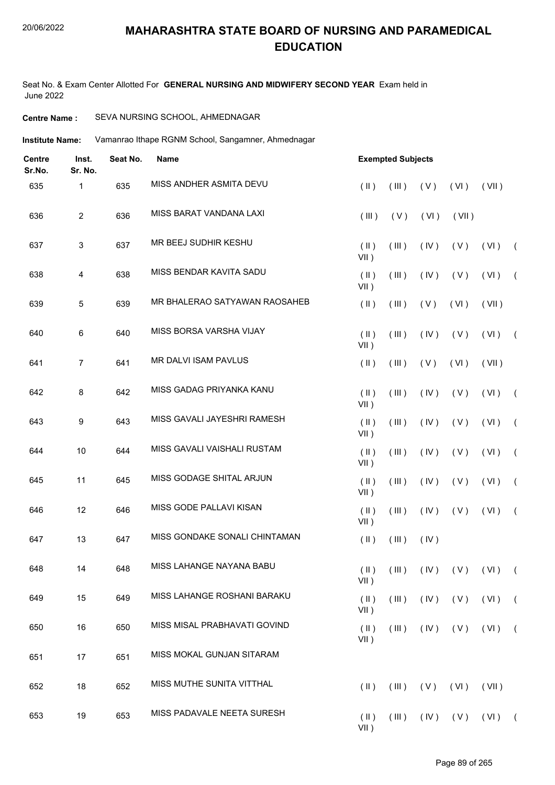#### 20/06/2022

## **MAHARASHTRA STATE BOARD OF NURSING AND PARAMEDICAL EDUCATION**

Seat No. & Exam Center Allotted For **GENERAL NURSING AND MIDWIFERY SECOND YEAR** Exam held in June 2022

#### **Centre Name :** SEVA NURSING SCHOOL, AHMEDNAGAR

**Institute Name:** Vamanrao Ithape RGNM School, Sangamner, Ahmednagar

| <b>Centre</b><br>Sr.No. | Inst.<br>Sr. No. | Seat No. | <b>Name</b>                   |                          |             | <b>Exempted Subjects</b> |                 |                                     |            |  |  |
|-------------------------|------------------|----------|-------------------------------|--------------------------|-------------|--------------------------|-----------------|-------------------------------------|------------|--|--|
| 635                     | 1                | 635      | MISS ANDHER ASMITA DEVU       | $($ II $)$               | (III)       | (V)                      | (VI)            | (VII)                               |            |  |  |
| 636                     | $\sqrt{2}$       | 636      | MISS BARAT VANDANA LAXI       | (III)                    | (V)         | (VI)                     | (VII)           |                                     |            |  |  |
| 637                     | $\sqrt{3}$       | 637      | MR BEEJ SUDHIR KESHU          | $(\parallel)$<br>$VII$ ) | (III)       | (IV)                     | (V)             | (VI)                                | $\sqrt{2}$ |  |  |
| 638                     | 4                | 638      | MISS BENDAR KAVITA SADU       | $($ II $)$<br>$VII$ )    | (III)       | (IV)                     | (V)             | (VI)                                | $\sqrt{2}$ |  |  |
| 639                     | 5                | 639      | MR BHALERAO SATYAWAN RAOSAHEB | $($ II $)$               | (III)       | (V)                      | (VI)            | (VII)                               |            |  |  |
| 640                     | 6                | 640      | MISS BORSA VARSHA VIJAY       | $(\parallel)$<br>$VII$ ) | (III)       | (IV)                     | (V)             | (VI)                                | $\sqrt{2}$ |  |  |
| 641                     | $\overline{7}$   | 641      | MR DALVI ISAM PAVLUS          | $($ II $)$               | (III)       | (V)                      | (VI)            | (VII)                               |            |  |  |
| 642                     | 8                | 642      | MISS GADAG PRIYANKA KANU      | $($ II $)$<br>$VII$ )    | (III)       | (IV)                     | (V)             | (VI)                                | $\sqrt{2}$ |  |  |
| 643                     | 9                | 643      | MISS GAVALI JAYESHRI RAMESH   | $($ II $)$<br>$VII$ )    | (III)       | (IV)                     | (V)             | (VI)                                | $\sqrt{2}$ |  |  |
| 644                     | 10               | 644      | MISS GAVALI VAISHALI RUSTAM   | $(\parallel)$<br>$VII$ ) | (III)       | (IV)                     | (V)             | (VI)                                | $\sqrt{2}$ |  |  |
| 645                     | 11               | 645      | MISS GODAGE SHITAL ARJUN      | $($ II $)$<br>VII)       | (III)       | (IV)                     | (V)             | (VI)                                | $\sqrt{2}$ |  |  |
| 646                     | 12               | 646      | MISS GODE PALLAVI KISAN       | $($ II $)$<br>$VII$ )    | (III)       | (IV)                     | (V)             | (VI)                                | $\sqrt{2}$ |  |  |
| 647                     | 13               | 647      | MISS GONDAKE SONALI CHINTAMAN | $($ II $)$               | (III)       | (IV)                     |                 |                                     |            |  |  |
| 648                     | 14               | 648      | MISS LAHANGE NAYANA BABU      | $VII$ )                  |             |                          |                 | $(H)$ $(H)$ $(V)$ $(V)$ $(V)$ $(V)$ |            |  |  |
| 649                     | 15               | 649      | MISS LAHANGE ROSHANI BARAKU   | $(\parallel)$<br>VII)    | (III)       |                          | $( V )$ $( V )$ | $(VI)$ (                            |            |  |  |
| 650                     | 16               | 650      | MISS MISAL PRABHAVATI GOVIND  | $(\parallel)$<br>$VII$ ) | $($ III $)$ |                          | $(IV)$ $(V)$    | $(VI)$ (                            |            |  |  |
| 651                     | 17               | 651      | MISS MOKAL GUNJAN SITARAM     |                          |             |                          |                 |                                     |            |  |  |
| 652                     | 18               | 652      | MISS MUTHE SUNITA VITTHAL     | $(\parallel)$            | (III)       | (V)                      | (VI)            | (VII)                               |            |  |  |
| 653                     | 19               | 653      | MISS PADAVALE NEETA SURESH    | $(\parallel)$<br>$VII$ ) | (III)       |                          | $(V)$ $(V)$     | $(VI)$ (                            |            |  |  |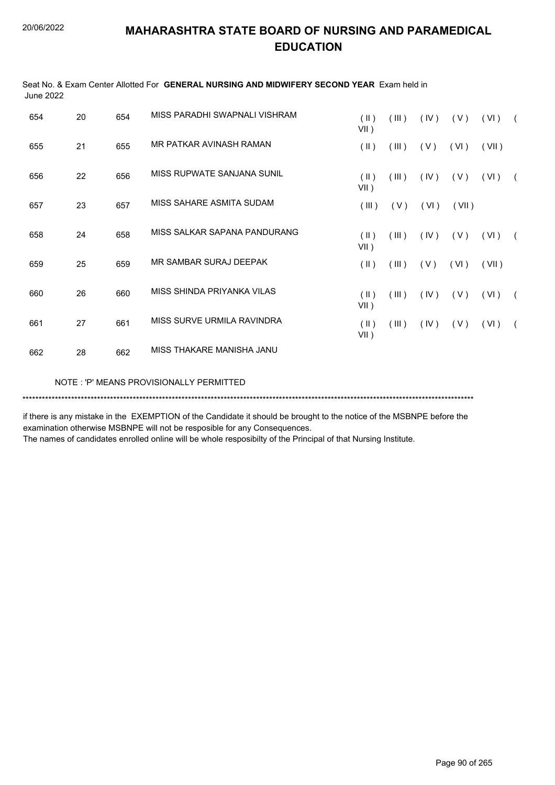| June 2022 |    |     |                                         |                          |       |      |       |       |            |
|-----------|----|-----|-----------------------------------------|--------------------------|-------|------|-------|-------|------------|
| 654       | 20 | 654 | MISS PARADHI SWAPNALI VISHRAM           | $(\parallel)$<br>$VII$ ) | (III) | (IV) | (V)   | (VI)  | $\sqrt{2}$ |
| 655       | 21 | 655 | MR PATKAR AVINASH RAMAN                 | $(\parallel)$            | (III) | (V)  | (VI)  | (VII) |            |
| 656       | 22 | 656 | MISS RUPWATE SANJANA SUNIL              | (  )<br>$VII$ )          | (III) | (IV) | (V)   | (VI)  | $\sqrt{2}$ |
| 657       | 23 | 657 | MISS SAHARE ASMITA SUDAM                | (III)                    | (V)   | (VI) | (VII) |       |            |
| 658       | 24 | 658 | MISS SALKAR SAPANA PANDURANG            | $($ II $)$<br>VII)       | (III) | (IV) | (V)   | (VI)  | $\sqrt{2}$ |
| 659       | 25 | 659 | MR SAMBAR SURAJ DEEPAK                  | $(\parallel \parallel)$  | (III) | (V)  | (VI)  | (VII) |            |
| 660       | 26 | 660 | MISS SHINDA PRIYANKA VILAS              | $(\parallel)$<br>VII)    | (III) | (IV) | (V)   | (VI)  | $\sqrt{2}$ |
| 661       | 27 | 661 | MISS SURVE URMILA RAVINDRA              | $(\parallel)$<br>$VII$ ) | (III) | (IV) | (V)   | (VI)  | $\sqrt{2}$ |
| 662       | 28 | 662 | MISS THAKARE MANISHA JANU               |                          |       |      |       |       |            |
|           |    |     | NOTE: 'P' MEANS PROVISIONALLY PERMITTED |                          |       |      |       |       |            |
|           |    |     |                                         |                          |       |      |       |       |            |

Seat No. & Exam Center Allotted For **GENERAL NURSING AND MIDWIFERY SECOND YEAR** Exam held in  $1.1.2.2022$ 

if there is any mistake in the EXEMPTION of the Candidate it should be brought to the notice of the MSBNPE before the examination otherwise MSBNPE will not be resposible for any Consequences.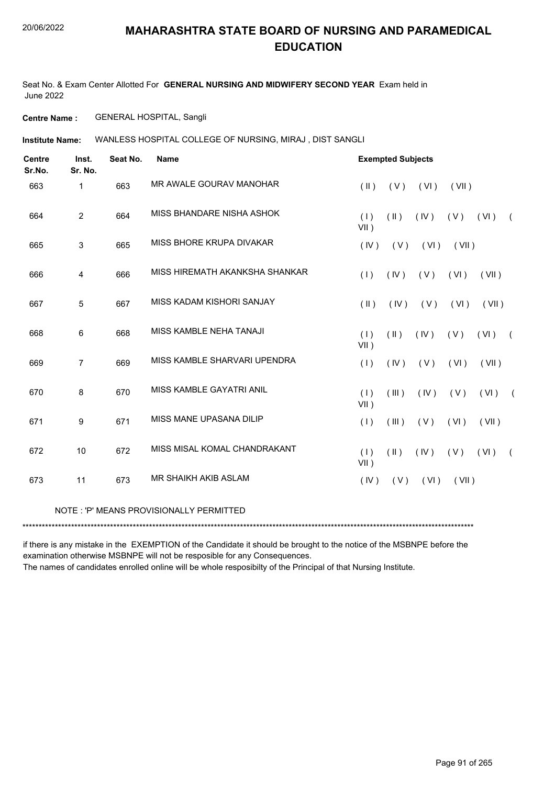Seat No. & Exam Center Allotted For **GENERAL NURSING AND MIDWIFERY SECOND YEAR** Exam held in June 2022

**Centre Name :** GENERAL HOSPITAL, Sangli

WANLESS HOSPITAL COLLEGE OF NURSING, MIRAJ , DIST SANGLI **Institute Name:**

| <b>Centre</b><br>Sr.No. | Inst.<br>Sr. No. | Seat No. | <b>Name</b>                             |                | <b>Exempted Subjects</b> |      |       |       |            |
|-------------------------|------------------|----------|-----------------------------------------|----------------|--------------------------|------|-------|-------|------------|
| 663                     | $\mathbf{1}$     | 663      | MR AWALE GOURAV MANOHAR                 | $($ II $)$     | (V)                      | (VI) | (VII) |       |            |
| 664                     | $\overline{2}$   | 664      | MISS BHANDARE NISHA ASHOK               | (1)<br>$VII$ ) | (11)                     | (IV) | (V)   | (VI)  | $\sqrt{2}$ |
| 665                     | 3                | 665      | MISS BHORE KRUPA DIVAKAR                | (IV)           | (V)                      | (VI) | (VII) |       |            |
| 666                     | $\overline{4}$   | 666      | MISS HIREMATH AKANKSHA SHANKAR          | (1)            | (IV)                     | (V)  | (VI)  | (VII) |            |
| 667                     | 5                | 667      | MISS KADAM KISHORI SANJAY               | $($ II $)$     | (IV)                     | (V)  | (VI)  | (VII) |            |
| 668                     | 6                | 668      | MISS KAMBLE NEHA TANAJI                 | (1)<br>$VII$ ) | (11)                     | (IV) | (V)   | (VI)  | $\sqrt{2}$ |
| 669                     | $\overline{7}$   | 669      | MISS KAMBLE SHARVARI UPENDRA            | (1)            | (IV)                     | (V)  | (VI)  | (VII) |            |
| 670                     | 8                | 670      | MISS KAMBLE GAYATRI ANIL                | (1)<br>$VII$ ) | (III)                    | (IV) | (V)   | (VI)  |            |
| 671                     | 9                | 671      | MISS MANE UPASANA DILIP                 | (1)            | (III)                    | (V)  | (VI)  | (VII) |            |
| 672                     | 10               | 672      | MISS MISAL KOMAL CHANDRAKANT            | (1)<br>$VII$ ) | (11)                     | (IV) | (V)   | (VI)  | $\sqrt{2}$ |
| 673                     | 11               | 673      | MR SHAIKH AKIB ASLAM                    | (IV)           | (V)                      | (VI) | (VII) |       |            |
|                         |                  |          | NOTE: 'P' MEANS PROVISIONALLY PERMITTED |                |                          |      |       |       |            |
|                         |                  |          |                                         |                |                          |      |       |       |            |

if there is any mistake in the EXEMPTION of the Candidate it should be brought to the notice of the MSBNPE before the examination otherwise MSBNPE will not be resposible for any Consequences.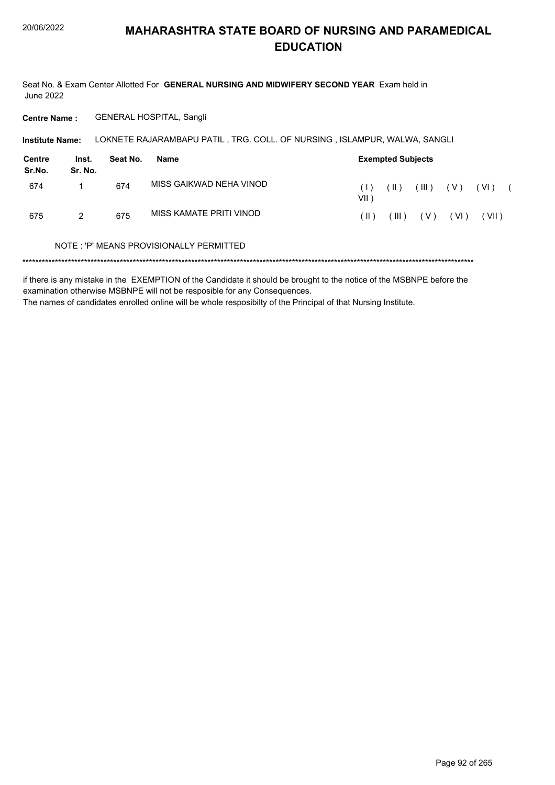Seat No. & Exam Center Allotted For GENERAL NURSING AND MIDWIFERY SECOND YEAR Exam held in **June 2022** 

**GENERAL HOSPITAL, Sangli Centre Name:** 

Institute Name: LOKNETE RAJARAMBAPU PATIL, TRG. COLL. OF NURSING, ISLAMPUR, WALWA, SANGLI

| Centre<br>Sr.No. | Inst.<br>Sr. No. | Seat No. | Name                    | <b>Exempted Subjects</b> |        |       |       |       |  |  |  |
|------------------|------------------|----------|-------------------------|--------------------------|--------|-------|-------|-------|--|--|--|
| 674              |                  | 674      | MISS GAIKWAD NEHA VINOD | (1)<br>VII )             | ( II ) | (III) | ( V ) | (VI)  |  |  |  |
| 675              | 2                | 675      | MISS KAMATE PRITI VINOD | ( II )                   | (III)  | ( V ) | (VI)  | (VII) |  |  |  |

#### NOTE: 'P' MEANS PROVISIONALLY PERMITTED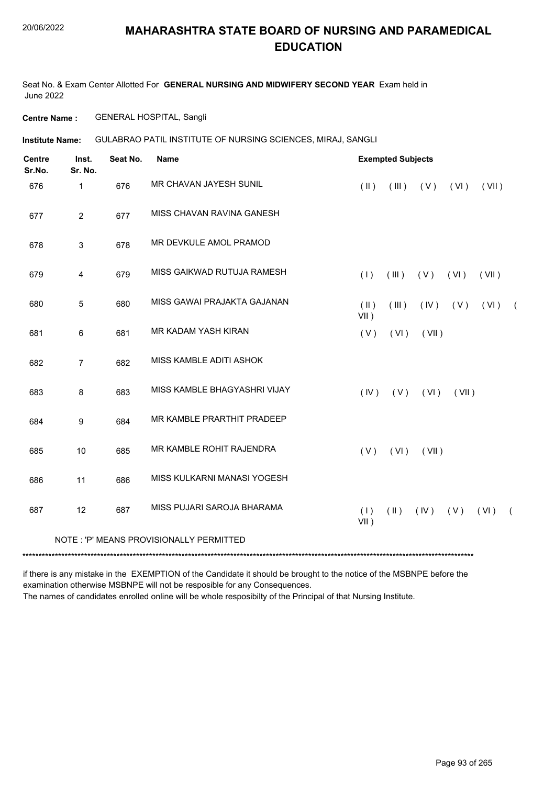Seat No. & Exam Center Allotted For **GENERAL NURSING AND MIDWIFERY SECOND YEAR** Exam held in June 2022

**Centre Name :** GENERAL HOSPITAL, Sangli

**Institute Name:** GULABRAO PATIL INSTITUTE OF NURSING SCIENCES, MIRAJ, SANGLI

| <b>Centre</b><br>Sr.No. | Inst.<br>Sr. No. | Seat No. | <b>Name</b>                             | <b>Exempted Subjects</b> |                         |       |       |       |            |
|-------------------------|------------------|----------|-----------------------------------------|--------------------------|-------------------------|-------|-------|-------|------------|
| 676                     | 1                | 676      | MR CHAVAN JAYESH SUNIL                  | $(\parallel)$            | (III)                   | (V)   | (VI)  | (VII) |            |
| 677                     | $\overline{2}$   | 677      | MISS CHAVAN RAVINA GANESH               |                          |                         |       |       |       |            |
| 678                     | 3                | 678      | MR DEVKULE AMOL PRAMOD                  |                          |                         |       |       |       |            |
| 679                     | 4                | 679      | MISS GAIKWAD RUTUJA RAMESH              | (1)                      | (III)                   | (V)   | (VI)  | (VII) |            |
| 680                     | 5                | 680      | MISS GAWAI PRAJAKTA GAJANAN             | $(\parallel)$<br>$VII$ ) | (III)                   | (IV)  | (V)   | (VI)  | $\sqrt{2}$ |
| 681                     | 6                | 681      | MR KADAM YASH KIRAN                     | (V)                      | (VI)                    | (VII) |       |       |            |
| 682                     | $\overline{7}$   | 682      | MISS KAMBLE ADITI ASHOK                 |                          |                         |       |       |       |            |
| 683                     | 8                | 683      | MISS KAMBLE BHAGYASHRI VIJAY            | (IV)                     | (V)                     | (VI)  | (VII) |       |            |
| 684                     | 9                | 684      | MR KAMBLE PRARTHIT PRADEEP              |                          |                         |       |       |       |            |
| 685                     | 10               | 685      | MR KAMBLE ROHIT RAJENDRA                | (V)                      | (VI)                    | (VII) |       |       |            |
| 686                     | 11               | 686      | MISS KULKARNI MANASI YOGESH             |                          |                         |       |       |       |            |
| 687                     | 12               | 687      | MISS PUJARI SAROJA BHARAMA              | (1)<br>$VII$ )           | $(\parallel \parallel)$ | (IV)  | (V)   | (VI)  | $\left($   |
|                         |                  |          | NOTE: 'P' MEANS PROVISIONALLY PERMITTED |                          |                         |       |       |       |            |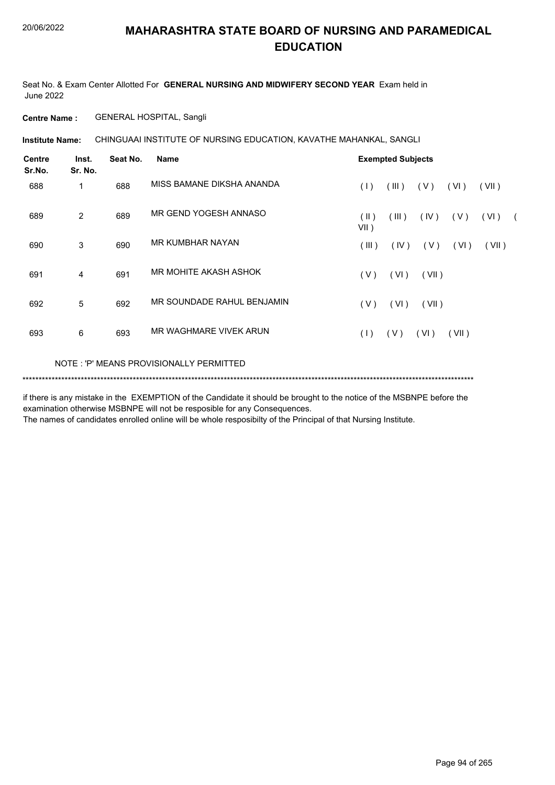Seat No. & Exam Center Allotted For **GENERAL NURSING AND MIDWIFERY SECOND YEAR** Exam held in June 2022

**Centre Name :** GENERAL HOSPITAL, Sangli

**Institute Name: CHINGUAAI INSTITUTE OF NURSING EDUCATION, KAVATHE MAHANKAL, SANGLI** 

| <b>Centre</b><br>Sr.No. | Inst.<br>Sr. No. | Seat No. | <b>Name</b>                             | <b>Exempted Subjects</b> |       |       |       |       |  |
|-------------------------|------------------|----------|-----------------------------------------|--------------------------|-------|-------|-------|-------|--|
| 688                     | 1                | 688      | MISS BAMANE DIKSHA ANANDA               | (1)                      | (III) | (V)   | (VI)  | (VII) |  |
| 689                     | 2                | 689      | MR GEND YOGESH ANNASO                   | (  )<br>$VII$ )          | (III) | (IV)  | (V)   | (VI)  |  |
| 690                     | 3                | 690      | <b>MR KUMBHAR NAYAN</b>                 | (III)                    | (IV)  | (V)   | (VI)  | (VII) |  |
| 691                     | 4                | 691      | MR MOHITE AKASH ASHOK                   | (V)                      | (VI)  | (VII) |       |       |  |
| 692                     | 5                | 692      | MR SOUNDADE RAHUL BENJAMIN              | (V)                      | (VI)  | (VII) |       |       |  |
| 693                     | 6                | 693      | MR WAGHMARE VIVEK ARUN                  | (1)                      | (V)   | (VI)  | (VII) |       |  |
|                         |                  |          | NOTE: 'P' MEANS PROVISIONALLY PERMITTED |                          |       |       |       |       |  |

if there is any mistake in the EXEMPTION of the Candidate it should be brought to the notice of the MSBNPE before the examination otherwise MSBNPE will not be resposible for any Consequences.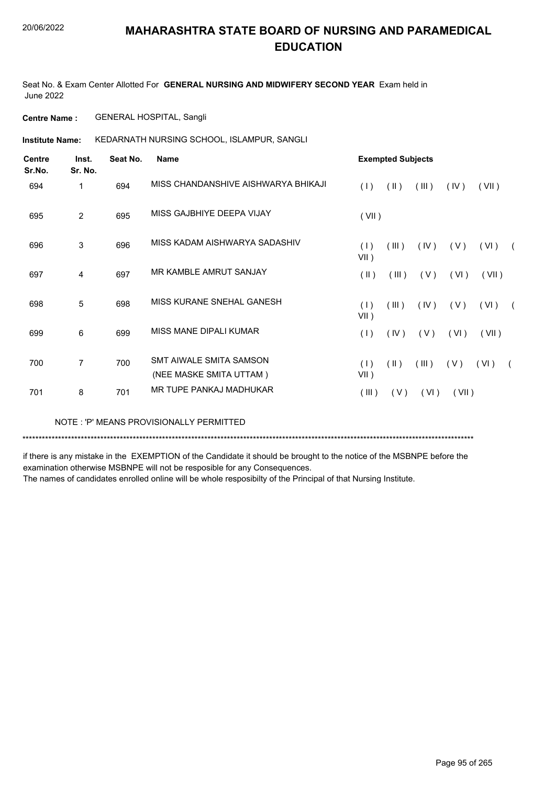Seat No. & Exam Center Allotted For **GENERAL NURSING AND MIDWIFERY SECOND YEAR** Exam held in June 2022

**Centre Name :** GENERAL HOSPITAL, Sangli

KEDARNATH NURSING SCHOOL, ISLAMPUR, SANGLI **Institute Name:**

| Centre<br>Sr.No. | Inst.<br>Sr. No. | Seat No. | <b>Name</b>                                        | <b>Exempted Subjects</b>        |       |       |       |            |  |
|------------------|------------------|----------|----------------------------------------------------|---------------------------------|-------|-------|-------|------------|--|
| 694              | 1                | 694      | MISS CHANDANSHIVE AISHWARYA BHIKAJI                | (1)<br>(11)                     | (III) | (IV)  | (VII) |            |  |
| 695              | $\overline{2}$   | 695      | MISS GAJBHIYE DEEPA VIJAY                          | (VII)                           |       |       |       |            |  |
| 696              | 3                | 696      | MISS KADAM AISHWARYA SADASHIV                      | (1)<br>(III)<br>$VII$ )         | (IV)  | ( V ) | (VI)  | $\sqrt{2}$ |  |
| 697              | 4                | 697      | MR KAMBLE AMRUT SANJAY                             | $(\parallel)$<br>(III)          | (V)   | (VI)  | (VII) |            |  |
| 698              | 5                | 698      | MISS KURANE SNEHAL GANESH                          | (1)<br>(III)<br>$VII$ )         | (IV)  | (V)   | (VI)  |            |  |
| 699              | 6                | 699      | MISS MANE DIPALI KUMAR                             | (1)<br>(IV)                     | (V)   | (VI)  | (VII) |            |  |
| 700              | $\overline{7}$   | 700      | SMT AIWALE SMITA SAMSON<br>(NEE MASKE SMITA UTTAM) | (1)<br>$(\parallel)$<br>$VII$ ) | (III) | (V)   | (VI)  |            |  |
| 701              | 8                | 701      | MR TUPE PANKAJ MADHUKAR                            | (III)<br>(V)                    | (VI)  | (VII) |       |            |  |

NOTE : 'P' MEANS PROVISIONALLY PERMITTED

\*\*\*\*\*\*\*\*\*\*\*\*\*\*\*\*\*\*\*\*\*\*\*\*\*\*\*\*\*\*\*\*\*\*\*\*\*\*\*\*\*\*\*\*\*\*\*\*\*\*\*\*\*\*\*\*\*\*\*\*\*\*\*\*\*\*\*\*\*\*\*\*\*\*\*\*\*\*\*\*\*\*\*\*\*\*\*\*\*\*\*\*\*\*\*\*\*\*\*\*\*\*\*\*\*\*\*\*\*\*\*\*\*\*\*\*\*\*\*\*\*\*\*\*\*\*\*\*\*\*\*\*\*\*\*\*\*\*\*

if there is any mistake in the EXEMPTION of the Candidate it should be brought to the notice of the MSBNPE before the examination otherwise MSBNPE will not be resposible for any Consequences.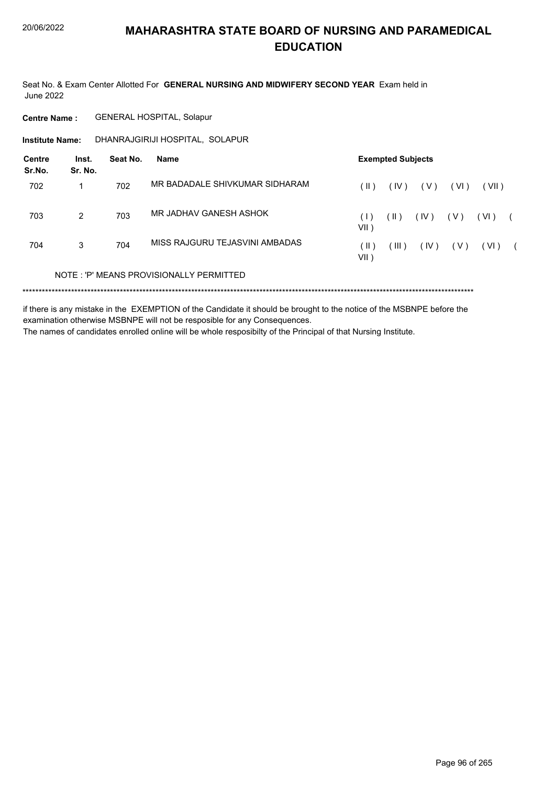Seat No. & Exam Center Allotted For GENERAL NURSING AND MIDWIFERY SECOND YEAR Exam held in **June 2022** 

**GENERAL HOSPITAL, Solapur Centre Name:** 

DHANRAJGIRIJI HOSPITAL, SOLAPUR **Institute Name:** 

| Centre<br>Sr.No. | Inst.<br>Sr. No. | Seat No. | Name                                    |                | <b>Exempted Subjects</b> |       |       |       |  |
|------------------|------------------|----------|-----------------------------------------|----------------|--------------------------|-------|-------|-------|--|
| 702              |                  | 702      | MR BADADALE SHIVKUMAR SIDHARAM          | ( II )         | (IV)                     | ( V ) | (VI)  | (VII) |  |
| 703              | 2                | 703      | MR JADHAV GANESH ASHOK                  | (   )<br>VII)  | $($ II )                 | (IV)  | ( V ) | (VI)  |  |
| 704              | 3                | 704      | MISS RAJGURU TEJASVINI AMBADAS          | ( II )<br>VII) | $III$ )                  | (IV)  | ( V ) | (VI)  |  |
|                  |                  |          | NOTE: 'P' MEANS PROVISIONALLY PERMITTED |                |                          |       |       |       |  |

if there is any mistake in the EXEMPTION of the Candidate it should be brought to the notice of the MSBNPE before the examination otherwise MSBNPE will not be resposible for any Consequences.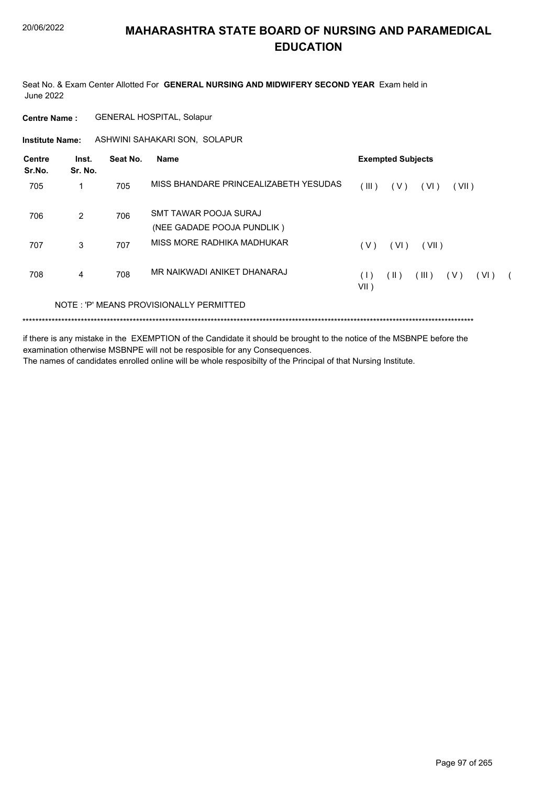Seat No. & Exam Center Allotted For **GENERAL NURSING AND MIDWIFERY SECOND YEAR** Exam held in June 2022

**Centre Name :** GENERAL HOSPITAL, Solapur

**Institute Name:** ASHWINI SAHAKARI SON, SOLAPUR

| Centre<br>Sr.No. | Inst.<br>Sr. No. | Seat No. | <b>Name</b>                             | <b>Exempted Subjects</b>                         |
|------------------|------------------|----------|-----------------------------------------|--------------------------------------------------|
| 705              | 1                | 705      | MISS BHANDARE PRINCEALIZABETH YESUDAS   | TIL)<br>(V)<br>(VI)<br>(VII)                     |
| 706              | $\mathcal{P}$    | 706      | SMT TAWAR POOJA SURAJ                   |                                                  |
|                  |                  |          | (NEE GADADE POOJA PUNDLIK)              |                                                  |
| 707              | 3                | 707      | MISS MORE RADHIKA MADHUKAR              | ( V )<br>(VI)<br>(VII)                           |
| 708              | 4                | 708      | MR NAIKWADI ANIKET DHANARAJ             | (  )<br>(III)<br>( V )<br>(VI)<br>(1)<br>$VII$ ) |
|                  |                  |          | NOTE: 'P' MEANS PROVISIONALLY PERMITTED |                                                  |
|                  |                  |          |                                         |                                                  |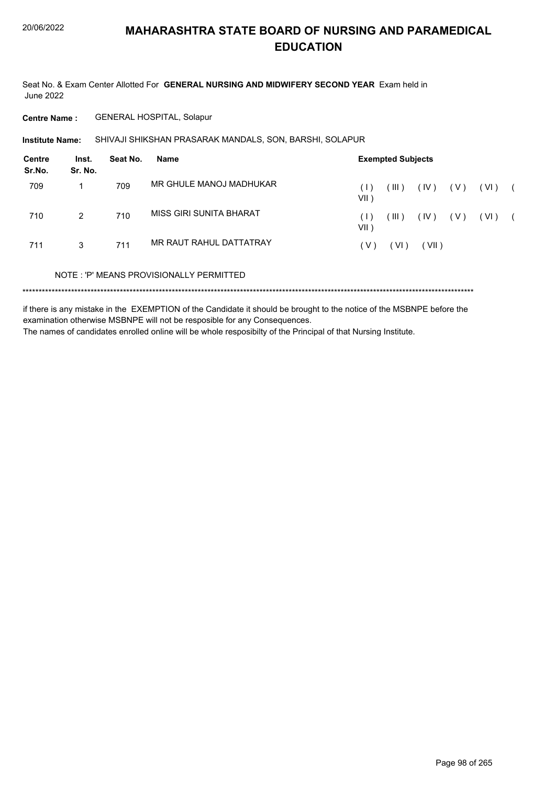Seat No. & Exam Center Allotted For **GENERAL NURSING AND MIDWIFERY SECOND YEAR** Exam held in June 2022

**Centre Name :** GENERAL HOSPITAL, Solapur

SHIVAJI SHIKSHAN PRASARAK MANDALS, SON, BARSHI, SOLAPUR **Institute Name:**

| <b>Centre</b><br>Sr.No. | Inst.<br>Sr. No. | Seat No. | <b>Name</b>                             | <b>Exempted Subjects</b> |       |       |       |        |  |
|-------------------------|------------------|----------|-----------------------------------------|--------------------------|-------|-------|-------|--------|--|
| 709                     |                  | 709      | MR GHULE MANOJ MADHUKAR                 | ( I<br>VII )             | (III) | (IV)  | ( V ) | ( VI ) |  |
| 710                     | $\mathcal{P}$    | 710      | MISS GIRI SUNITA BHARAT                 | ( L<br>VII )             | (III) | (IV)  | ( V ) | (VI)   |  |
| 711                     | 3                | 711      | MR RAUT RAHUL DATTATRAY                 | (V)                      | (VI)  | (VII) |       |        |  |
|                         |                  |          | NOTE: 'P' MEANS PROVISIONALLY PERMITTED |                          |       |       |       |        |  |
|                         |                  |          |                                         |                          |       |       |       |        |  |

if there is any mistake in the EXEMPTION of the Candidate it should be brought to the notice of the MSBNPE before the examination otherwise MSBNPE will not be resposible for any Consequences. The names of candidates enrolled online will be whole resposibilty of the Principal of that Nursing Institute.

Page 98 of 265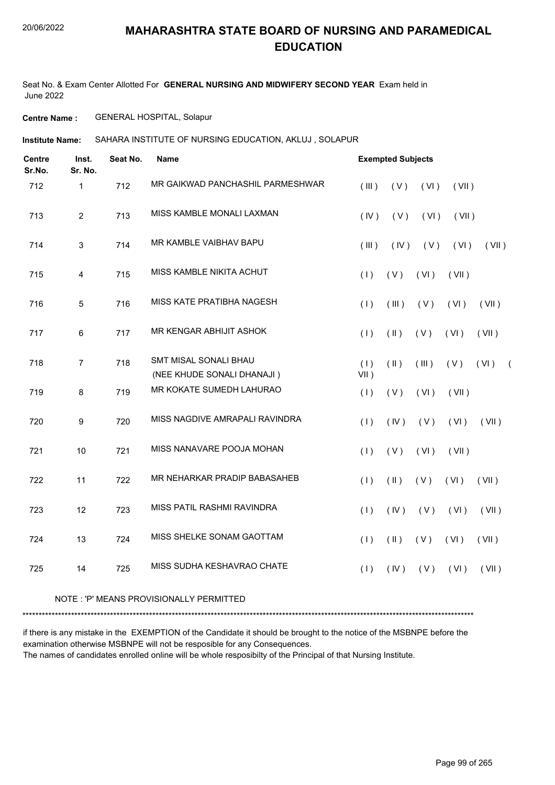Seat No. & Exam Center Allotted For **GENERAL NURSING AND MIDWIFERY SECOND YEAR** Exam held in June 2022

**Centre Name :** GENERAL HOSPITAL, Solapur

**Institute Name: SAHARA INSTITUTE OF NURSING EDUCATION, AKLUJ , SOLAPUR** 

| <b>Centre</b><br>Sr.No. | Inst.<br>Sr. No. | Seat No. | <b>Name</b>                                         |                | <b>Exempted Subjects</b> |       |       |       |                |
|-------------------------|------------------|----------|-----------------------------------------------------|----------------|--------------------------|-------|-------|-------|----------------|
| 712                     | 1                | 712      | MR GAIKWAD PANCHASHIL PARMESHWAR                    | (III)          | (V)                      | (VI)  | (VII) |       |                |
| 713                     | $\overline{2}$   | 713      | MISS KAMBLE MONALI LAXMAN                           | (IV)           | (V)                      | (VI)  | (VII) |       |                |
| 714                     | 3                | 714      | MR KAMBLE VAIBHAV BAPU                              | (III)          | (IV)                     | (V)   | (VI)  | (VII) |                |
| 715                     | 4                | 715      | MISS KAMBLE NIKITA ACHUT                            | (1)            | (V)                      | (VI)  | (VII) |       |                |
| 716                     | 5                | 716      | MISS KATE PRATIBHA NAGESH                           | (1)            | (III)                    | (V)   | (VI)  | (VII) |                |
| 717                     | 6                | 717      | MR KENGAR ABHIJIT ASHOK                             | (1)            | $(\parallel)$            | (V)   | (VI)  | (VII) |                |
| 718                     | $\overline{7}$   | 718      | SMT MISAL SONALI BHAU<br>(NEE KHUDE SONALI DHANAJI) | (1)<br>$VII$ ) | $(\parallel)$            | (III) | (V)   | (VI)  | $\overline{ }$ |
| 719                     | 8                | 719      | MR KOKATE SUMEDH LAHURAO                            | (1)            | (V)                      | (VI)  | (VII) |       |                |
| 720                     | 9                | 720      | MISS NAGDIVE AMRAPALI RAVINDRA                      | (1)            | (IV)                     | (V)   | (VI)  | (VII) |                |
| 721                     | 10               | 721      | MISS NANAVARE POOJA MOHAN                           | (1)            | (V)                      | (VI)  | (VII) |       |                |
| 722                     | 11               | 722      | MR NEHARKAR PRADIP BABASAHEB                        | (1)            | $(\parallel)$            | (V)   | (VI)  | (VII) |                |
| 723                     | 12               | 723      | MISS PATIL RASHMI RAVINDRA                          | (1)            | (IV)                     | (V)   | (VI)  | (VII) |                |
| 724                     | 13               | 724      | MISS SHELKE SONAM GAOTTAM                           | (1)            | $(\parallel)$            | (V)   | (VI)  | (VII) |                |
| 725                     | 14               | 725      | MISS SUDHA KESHAVRAO CHATE                          | (1)            | (IV)                     | (V)   | (VI)  | (VII) |                |
|                         |                  |          |                                                     |                |                          |       |       |       |                |

#### NOTE : 'P' MEANS PROVISIONALLY PERMITTED

\*\*\*\*\*\*\*\*\*\*\*\*\*\*\*\*\*\*\*\*\*\*\*\*\*\*\*\*\*\*\*\*\*\*\*\*\*\*\*\*\*\*\*\*\*\*\*\*\*\*\*\*\*\*\*\*\*\*\*\*\*\*\*\*\*\*\*\*\*\*\*\*\*\*\*\*\*\*\*\*\*\*\*\*\*\*\*\*\*\*\*\*\*\*\*\*\*\*\*\*\*\*\*\*\*\*\*\*\*\*\*\*\*\*\*\*\*\*\*\*\*\*\*\*\*\*\*\*\*\*\*\*\*\*\*\*\*\*\*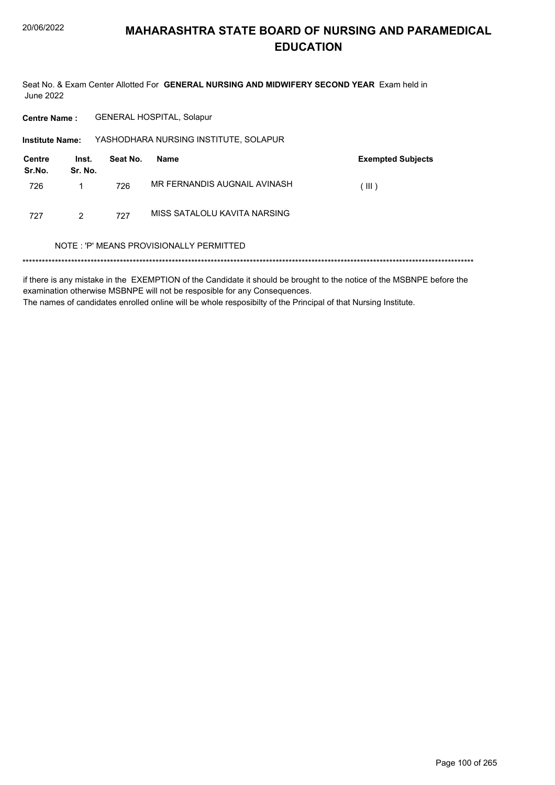Seat No. & Exam Center Allotted For GENERAL NURSING AND MIDWIFERY SECOND YEAR Exam held in **June 2022** 

**GENERAL HOSPITAL, Solapur Centre Name:** 

YASHODHARA NURSING INSTITUTE, SOLAPUR **Institute Name:** Contro Inet Seat No **Namo** 

| Centre<br>Sr.No. | Inst.<br>Sr. No. | Seat No. | Name                         | <b>Exempted Subjects</b> |
|------------------|------------------|----------|------------------------------|--------------------------|
| 726              |                  | 726      | MR FERNANDIS AUGNAIL AVINASH | (III)                    |
| 727              | 2                | 727      | MISS SATALOLU KAVITA NARSING |                          |

#### NOTE: 'P' MEANS PROVISIONALLY PERMITTED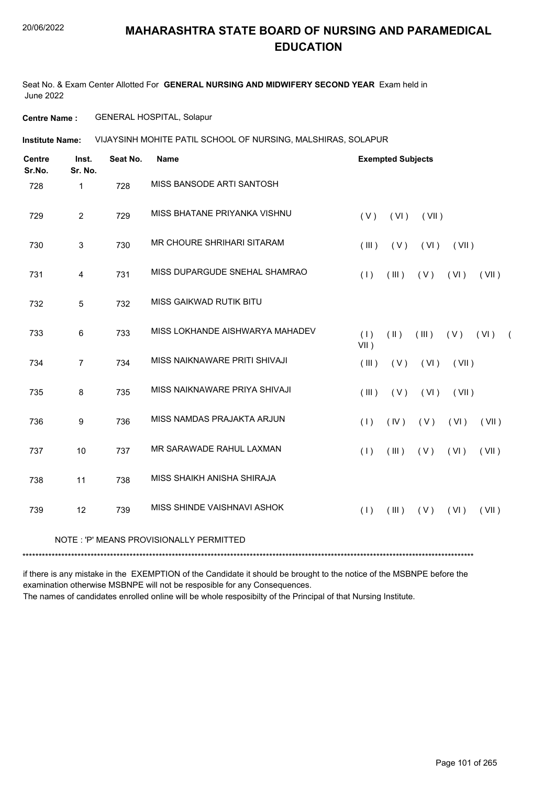#### 20/06/2022

#### **MAHARASHTRA STATE BOARD OF NURSING AND PARAMEDICAL EDUCATION**

Seat No. & Exam Center Allotted For **GENERAL NURSING AND MIDWIFERY SECOND YEAR** Exam held in June 2022

**Centre Name :** GENERAL HOSPITAL, Solapur

**Institute Name: VIJAYSINH MOHITE PATIL SCHOOL OF NURSING, MALSHIRAS, SOLAPUR** 

| <b>Centre</b><br>Sr.No. | Inst.<br>Sr. No. | Seat No. | <b>Name</b>                              | <b>Exempted Subjects</b>                                           |
|-------------------------|------------------|----------|------------------------------------------|--------------------------------------------------------------------|
| 728                     | $\mathbf{1}$     | 728      | MISS BANSODE ARTI SANTOSH                |                                                                    |
| 729                     | $\overline{2}$   | 729      | MISS BHATANE PRIYANKA VISHNU             | (V)<br>(VI)<br>(VII)                                               |
| 730                     | $\mathbf{3}$     | 730      | MR CHOURE SHRIHARI SITARAM               | (III)<br>(V)<br>(VI)<br>(VII)                                      |
| 731                     | 4                | 731      | MISS DUPARGUDE SNEHAL SHAMRAO            | (1)<br>(III)<br>(V)<br>(VI)<br>(VII)                               |
| 732                     | 5                | 732      | MISS GAIKWAD RUTIK BITU                  |                                                                    |
| 733                     | 6                | 733      | MISS LOKHANDE AISHWARYA MAHADEV          | (1)<br>$(\parallel)$<br>(III)<br>$(V)$ $(V)$<br>$\sqrt{2}$<br>VII) |
| 734                     | $\overline{7}$   | 734      | MISS NAIKNAWARE PRITI SHIVAJI            | (III)<br>(V)<br>(VI)<br>(VII)                                      |
| 735                     | $\,8\,$          | 735      | MISS NAIKNAWARE PRIYA SHIVAJI            | (V)<br>(VI)<br>(VII)<br>(III)                                      |
| 736                     | 9                | 736      | MISS NAMDAS PRAJAKTA ARJUN               | (IV)<br>(V)<br>(1)<br>(VI)<br>(VII)                                |
| 737                     | 10               | 737      | MR SARAWADE RAHUL LAXMAN                 | (V)<br>(1)<br>(III)<br>(VI)<br>(VII)                               |
| 738                     | 11               | 738      | MISS SHAIKH ANISHA SHIRAJA               |                                                                    |
| 739                     | 12               | 739      | MISS SHINDE VAISHNAVI ASHOK              | (1)<br>(III)<br>(V)<br>(VI)<br>(VII)                               |
|                         |                  |          | NOTE : 'P' MEANS PROVISIONALLY PERMITTED |                                                                    |

\*\*\*\*\*\*\*\*\*\*\*\*\*\*\*\*\*\*\*\*\*\*\*\*\*\*\*\*\*\*\*\*\*\*\*\*\*\*\*\*\*\*\*\*\*\*\*\*\*\*\*\*\*\*\*\*\*\*\*\*\*\*\*\*\*\*\*\*\*\*\*\*\*\*\*\*\*\*\*\*\*\*\*\*\*\*\*\*\*\*\*\*\*\*\*\*\*\*\*\*\*\*\*\*\*\*\*\*\*\*\*\*\*\*\*\*\*\*\*\*\*\*\*\*\*\*\*\*\*\*\*\*\*\*\*\*\*\*\*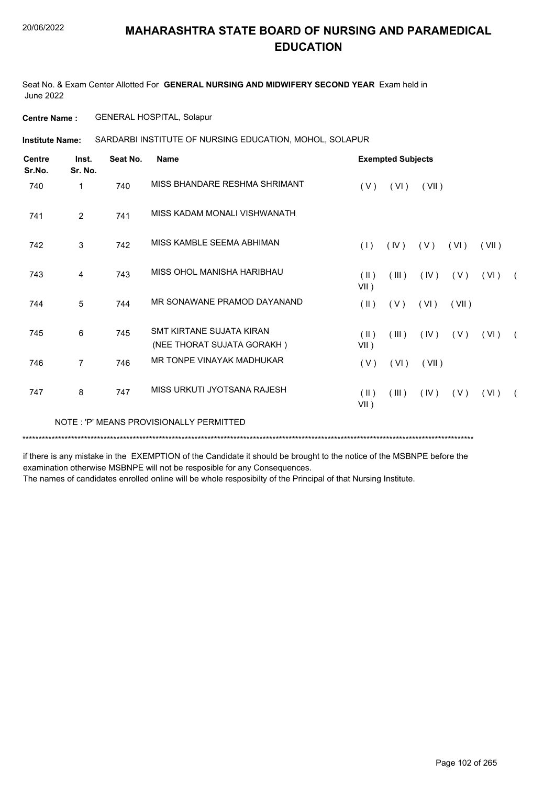Seat No. & Exam Center Allotted For **GENERAL NURSING AND MIDWIFERY SECOND YEAR** Exam held in June 2022

**Centre Name :** GENERAL HOSPITAL, Solapur

**Institute Name: SARDARBI INSTITUTE OF NURSING EDUCATION, MOHOL, SOLAPUR** 

| <b>Centre</b><br>Sr.No. | Inst.<br>Sr. No. | Seat No. | <b>Name</b>                                                   |                          | <b>Exempted Subjects</b> |       |       |       |            |
|-------------------------|------------------|----------|---------------------------------------------------------------|--------------------------|--------------------------|-------|-------|-------|------------|
| 740                     | 1                | 740      | MISS BHANDARE RESHMA SHRIMANT                                 | (V)                      | (VI)                     | (VII) |       |       |            |
| 741                     | $\overline{2}$   | 741      | MISS KADAM MONALI VISHWANATH                                  |                          |                          |       |       |       |            |
| 742                     | 3                | 742      | MISS KAMBLE SEEMA ABHIMAN                                     | (1)                      | (IV)                     | (V)   | (VI)  | (VII) |            |
| 743                     | 4                | 743      | MISS OHOL MANISHA HARIBHAU                                    | (II)<br>$VII$ )          | (III)                    | (IV)  | (V)   | (VI)  | $\sqrt{2}$ |
| 744                     | 5                | 744      | MR SONAWANE PRAMOD DAYANAND                                   | $(\parallel)$            | (V)                      | (VI)  | (VII) |       |            |
| 745                     | 6                | 745      | <b>SMT KIRTANE SUJATA KIRAN</b><br>(NEE THORAT SUJATA GORAKH) | $(\parallel)$<br>$VII$ ) | (III)                    | (IV)  | ( V ) | (VI)  | $\sqrt{2}$ |
| 746                     | 7                | 746      | MR TONPE VINAYAK MADHUKAR                                     | (V)                      | (VI)                     | (VII) |       |       |            |
| 747                     | 8                | 747      | MISS URKUTI JYOTSANA RAJESH                                   | $(\parallel)$<br>$VII$ ) | (III)                    | (IV)  | (V)   | (VI)  | $\sqrt{2}$ |
|                         |                  |          | NOTE: 'P' MEANS PROVISIONALLY PERMITTED                       |                          |                          |       |       |       |            |

\*\*\*\*\*\*\*\*\*\*\*\*\*\*\*\*\*\*\*\*\*\*\*\*\*\*\*\*\*\*\*\*\*\*\*\*\*\*\*\*\*\*\*\*\*\*\*\*\*\*\*\*\*\*\*\*\*\*\*\*\*\*\*\*\*\*\*\*\*\*\*\*\*\*\*\*\*\*\*\*\*\*\*\*\*\*\*\*\*\*\*\*\*\*\*\*\*\*\*\*\*\*\*\*\*\*\*\*\*\*\*\*\*\*\*\*\*\*\*\*\*\*\*\*\*\*\*\*\*\*\*\*\*\*\*\*\*\*\*

if there is any mistake in the EXEMPTION of the Candidate it should be brought to the notice of the MSBNPE before the examination otherwise MSBNPE will not be resposible for any Consequences.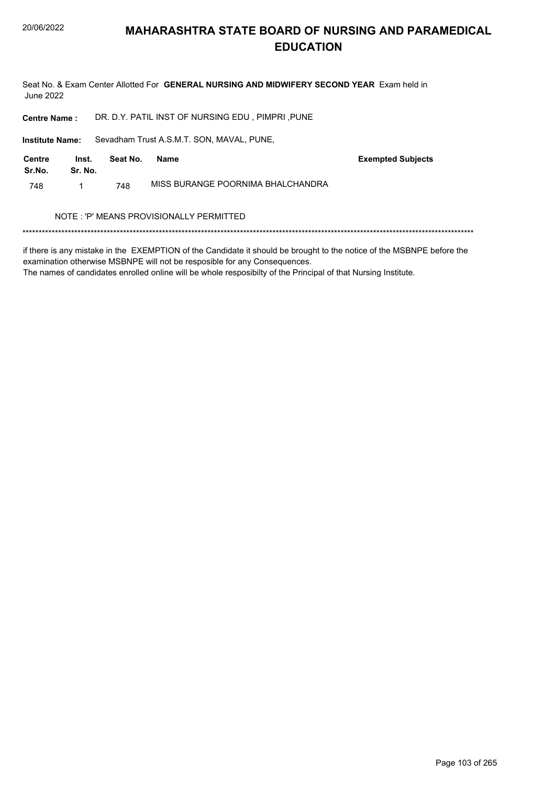Seat No. & Exam Center Allotted For GENERAL NURSING AND MIDWIFERY SECOND YEAR Exam held in **June 2022** 

DR. D.Y. PATIL INST OF NURSING EDU, PIMPRI, PUNE **Centre Name:** 

Institute Name: Sevadham Trust A.S.M.T. SON, MAVAL, PUNE,

| Centre<br>Sr.No. | Inst.<br>Sr. No. | Seat No. | Name                              | <b>Exempted Subjects</b> |
|------------------|------------------|----------|-----------------------------------|--------------------------|
| 748              |                  | 748      | MISS BURANGE POORNIMA BHALCHANDRA |                          |

#### NOTE : 'P' MEANS PROVISIONALLY PERMITTED

if there is any mistake in the EXEMPTION of the Candidate it should be brought to the notice of the MSBNPE before the examination otherwise MSBNPE will not be resposible for any Consequences.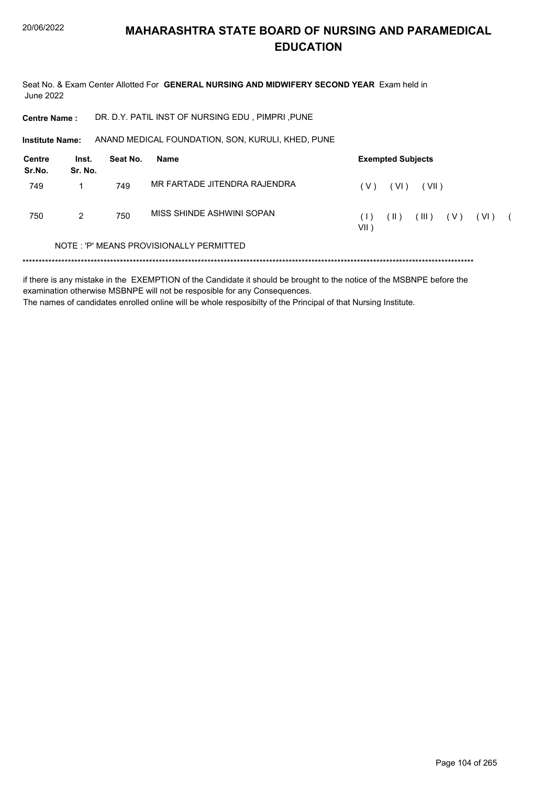Seat No. & Exam Center Allotted For GENERAL NURSING AND MIDWIFERY SECOND YEAR Exam held in **June 2022** 

DR. D.Y. PATIL INST OF NURSING EDU, PIMPRI, PUNE **Centre Name:** 

Institute Name: ANAND MEDICAL FOUNDATION, SON, KURULI, KHED, PUNE

| Centre<br>Sr.No. | Inst.<br>Sr. No. | Seat No. | Name                                    | <b>Exempted Subjects</b>                         |
|------------------|------------------|----------|-----------------------------------------|--------------------------------------------------|
| 749              |                  | 749      | MR FARTADE JITENDRA RAJENDRA            | (VII)<br>'V<br>(VI)                              |
| 750              | 2                | 750      | MISS SHINDE ASHWINI SOPAN               | (III)<br>( VI )<br>( V )<br>(  )<br>(1)<br>VII ) |
|                  |                  |          | NOTE: 'P' MEANS PROVISIONALLY PERMITTED |                                                  |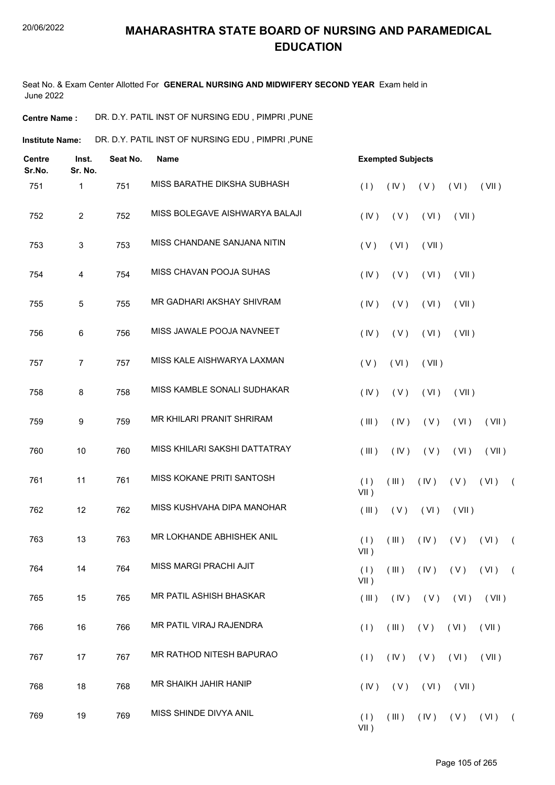Seat No. & Exam Center Allotted For **GENERAL NURSING AND MIDWIFERY SECOND YEAR** Exam held in June 2022

**Centre Name :** DR. D.Y. PATIL INST OF NURSING EDU , PIMPRI ,PUNE

Institute Name: DR. D.Y. PATIL INST OF NURSING EDU , PIMPRI ,PUNE

| <b>Centre</b><br>Sr.No. | Inst.<br>Sr. No. | Seat No. | <b>Name</b>                    |                |             | <b>Exempted Subjects</b> |       |                       |            |  |  |  |
|-------------------------|------------------|----------|--------------------------------|----------------|-------------|--------------------------|-------|-----------------------|------------|--|--|--|
| 751                     | 1                | 751      | MISS BARATHE DIKSHA SUBHASH    | (1)            | (IV)        | (V)                      | (VI)  | (VII)                 |            |  |  |  |
| 752                     | $\overline{2}$   | 752      | MISS BOLEGAVE AISHWARYA BALAJI | (IV)           | (V)         | (VI)                     | (VII) |                       |            |  |  |  |
| 753                     | 3                | 753      | MISS CHANDANE SANJANA NITIN    | (V)            | (VI)        | (VII)                    |       |                       |            |  |  |  |
| 754                     | 4                | 754      | MISS CHAVAN POOJA SUHAS        | (IV)           | (V)         | (VI)                     | (VII) |                       |            |  |  |  |
| 755                     | $\overline{5}$   | 755      | MR GADHARI AKSHAY SHIVRAM      | (IV)           | (V)         | (VI)                     | (VII) |                       |            |  |  |  |
| 756                     | 6                | 756      | MISS JAWALE POOJA NAVNEET      | (IV)           | (V)         | (VI)                     | (VII) |                       |            |  |  |  |
| 757                     | $\overline{7}$   | 757      | MISS KALE AISHWARYA LAXMAN     | (V)            | (VI)        | (VII)                    |       |                       |            |  |  |  |
| 758                     | 8                | 758      | MISS KAMBLE SONALI SUDHAKAR    | (IV)           | (V)         | (VI)                     | (VII) |                       |            |  |  |  |
| 759                     | 9                | 759      | MR KHILARI PRANIT SHRIRAM      | (III)          | (IV)        | (V)                      | (VI)  | (VII)                 |            |  |  |  |
| 760                     | 10               | 760      | MISS KHILARI SAKSHI DATTATRAY  | (III)          | (IV)        | (V)                      | (VI)  | (VII)                 |            |  |  |  |
| 761                     | 11               | 761      | MISS KOKANE PRITI SANTOSH      | (1)<br>$VII$ ) | (III)       | (IV)                     | (V)   | (VI)                  | $\sqrt{2}$ |  |  |  |
| 762                     | 12               | 762      | MISS KUSHVAHA DIPA MANOHAR     | (III)          | (V)         | (VI)                     | (VII) |                       |            |  |  |  |
| 763                     | 13               | 763      | MR LOKHANDE ABHISHEK ANIL      | (1)<br>$VII$ ) | (III)       | (IV)                     | (V)   | (VI)                  | $\sqrt{2}$ |  |  |  |
| 764                     | 14               | 764      | MISS MARGI PRACHI AJIT         | (1)<br>$VII$ ) | (III)       |                          |       | $(IV)$ $(V)$ $(VI)$ ( |            |  |  |  |
| 765                     | 15               | 765      | MR PATIL ASHISH BHASKAR        | (III)          |             | $(IV)$ $(V)$ $(VI)$      |       | (VII)                 |            |  |  |  |
| 766                     | 16               | 766      | MR PATIL VIRAJ RAJENDRA        | (1)            | (III)       | (V)                      | (VI)  | (VII)                 |            |  |  |  |
| 767                     | 17               | 767      | MR RATHOD NITESH BAPURAO       | (1)            | (IV)        | (V)                      | (VI)  | (VII)                 |            |  |  |  |
| 768                     | 18               | 768      | MR SHAIKH JAHIR HANIP          | (IV)           | (V)         | (VI)                     | (VII) |                       |            |  |  |  |
| 769                     | 19               | 769      | MISS SHINDE DIVYA ANIL         | (1)<br>$VII$ ) | $($ III $)$ |                          |       | $(IV)$ $(V)$ $(VI)$ ( |            |  |  |  |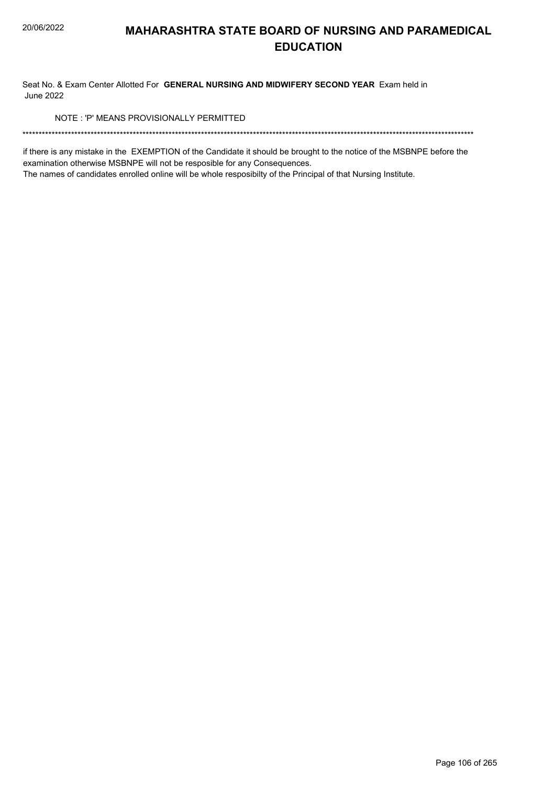Seat No. & Exam Center Allotted For GENERAL NURSING AND MIDWIFERY SECOND YEAR Exam held in **June 2022** 

NOTE: 'P' MEANS PROVISIONALLY PERMITTED

if there is any mistake in the EXEMPTION of the Candidate it should be brought to the notice of the MSBNPE before the examination otherwise MSBNPE will not be resposible for any Consequences.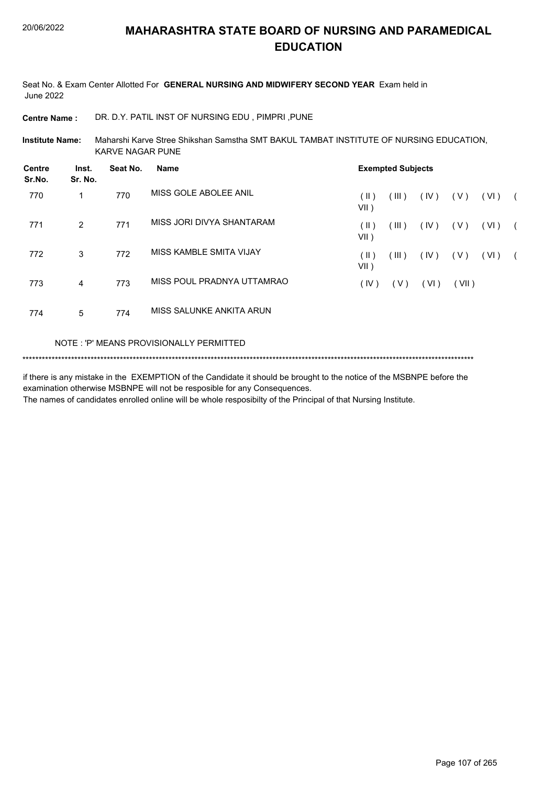Seat No. & Exam Center Allotted For **GENERAL NURSING AND MIDWIFERY SECOND YEAR** Exam held in June 2022

**Centre Name :** DR. D.Y. PATIL INST OF NURSING EDU , PIMPRI ,PUNE

Maharshi Karve Stree Shikshan Samstha SMT BAKUL TAMBAT INSTITUTE OF NURSING EDUCATION, KARVE NAGAR PUNE **Institute Name:**

| <b>Centre</b><br>Sr.No. | Inst.<br>Sr. No. | Seat No. | Name                       | <b>Exempted Subjects</b> |       |      |       |      |            |
|-------------------------|------------------|----------|----------------------------|--------------------------|-------|------|-------|------|------------|
| 770                     | 1                | 770      | MISS GOLE ABOLEE ANIL      | $(\parallel)$<br>VII)    | (III) | (IV) | ( V ) | (VI) | $\sqrt{2}$ |
| 771                     | $\mathfrak{p}$   | 771      | MISS JORI DIVYA SHANTARAM  | (  )<br>VII)             | (III) | (IV) | ( V ) | (VI) |            |
| 772                     | 3                | 772      | MISS KAMBLE SMITA VIJAY    | (  )<br>VII)             | (III) | (IV) | ( V ) | (VI) | $\sqrt{2}$ |
| 773                     | 4                | 773      | MISS POUL PRADNYA UTTAMRAO | (IV)                     | (V)   | (VI) | (VII) |      |            |
| 774                     | 5                | 774      | MISS SALUNKE ANKITA ARUN   |                          |       |      |       |      |            |

#### NOTE : 'P' MEANS PROVISIONALLY PERMITTED

\*\*\*\*\*\*\*\*\*\*\*\*\*\*\*\*\*\*\*\*\*\*\*\*\*\*\*\*\*\*\*\*\*\*\*\*\*\*\*\*\*\*\*\*\*\*\*\*\*\*\*\*\*\*\*\*\*\*\*\*\*\*\*\*\*\*\*\*\*\*\*\*\*\*\*\*\*\*\*\*\*\*\*\*\*\*\*\*\*\*\*\*\*\*\*\*\*\*\*\*\*\*\*\*\*\*\*\*\*\*\*\*\*\*\*\*\*\*\*\*\*\*\*\*\*\*\*\*\*\*\*\*\*\*\*\*\*\*\*

if there is any mistake in the EXEMPTION of the Candidate it should be brought to the notice of the MSBNPE before the examination otherwise MSBNPE will not be resposible for any Consequences.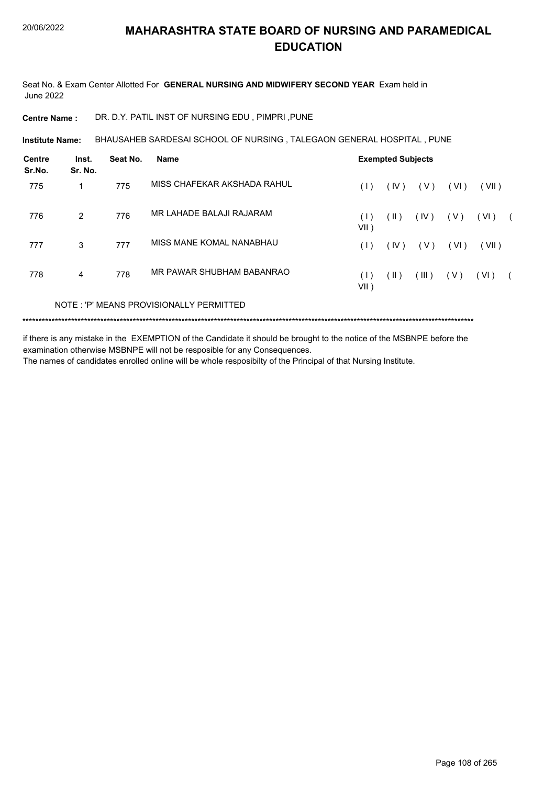Seat No. & Exam Center Allotted For **GENERAL NURSING AND MIDWIFERY SECOND YEAR** Exam held in June 2022

**Centre Name :** DR. D.Y. PATIL INST OF NURSING EDU , PIMPRI ,PUNE

**Institute Name: BHAUSAHEB SARDESAI SCHOOL OF NURSING , TALEGAON GENERAL HOSPITAL , PUNE** 

| <b>Centre</b><br>Sr.No. | Inst.<br>Sr. No. | Seat No. | <b>Name</b>                             | <b>Exempted Subjects</b> |               |       |       |       |  |
|-------------------------|------------------|----------|-----------------------------------------|--------------------------|---------------|-------|-------|-------|--|
| 775                     | 1                | 775      | MISS CHAFEKAR AKSHADA RAHUL             | (1)                      | (IV)          | ( V ) | (VI)  | (VII) |  |
| 776                     | $\mathcal{P}$    | 776      | MR LAHADE BALAJI RAJARAM                | (1)<br>$VII$ )           | $(\parallel)$ | (IV)  | ( V ) | (VI)  |  |
| 777                     | 3                | 777      | MISS MANE KOMAL NANABHAU                | (1)                      | (IV)          | ( V ) | (VI)  | (VII) |  |
| 778                     | 4                | 778      | MR PAWAR SHUBHAM BABANRAO               | (1)<br>$VII$ )           | $(\parallel)$ | (III) | ( V ) | (VI)  |  |
|                         |                  |          | NOTE: 'P' MEANS PROVISIONALLY PERMITTED |                          |               |       |       |       |  |

\*\*\*\*\*\*\*\*\*\*\*\*\*\*\*\*\*\*\*\*\*\*\*\*\*\*\*\*\*\*\*\*\*\*\*\*\*\*\*\*\*\*\*\*\*\*\*\*\*\*\*\*\*\*\*\*\*\*\*\*\*\*\*\*\*\*\*\*\*\*\*\*\*\*\*\*\*\*\*\*\*\*\*\*\*\*\*\*\*\*\*\*\*\*\*\*\*\*\*\*\*\*\*\*\*\*\*\*\*\*\*\*\*\*\*\*\*\*\*\*\*\*\*\*\*\*\*\*\*\*\*\*\*\*\*\*\*\*\*

if there is any mistake in the EXEMPTION of the Candidate it should be brought to the notice of the MSBNPE before the examination otherwise MSBNPE will not be resposible for any Consequences.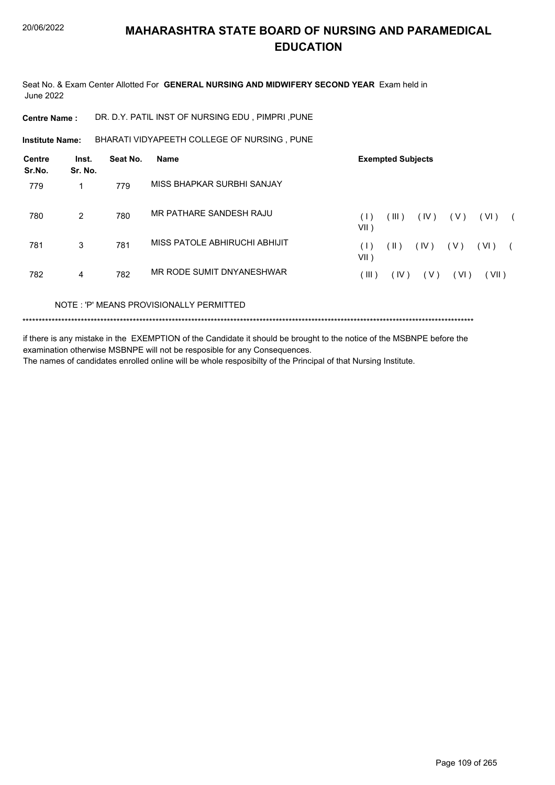Seat No. & Exam Center Allotted For **GENERAL NURSING AND MIDWIFERY SECOND YEAR** Exam held in June 2022

**Centre Name :** DR. D.Y. PATIL INST OF NURSING EDU , PIMPRI ,PUNE

**Institute Name: BHARATI VIDYAPEETH COLLEGE OF NURSING , PUNE** 

| Centre<br>Sr.No. | Inst.<br>Sr. No. | Seat No. | Name                          |             | <b>Exempted Subjects</b> |       |       |       |            |
|------------------|------------------|----------|-------------------------------|-------------|--------------------------|-------|-------|-------|------------|
| 779              |                  | 779      | MISS BHAPKAR SURBHI SANJAY    |             |                          |       |       |       |            |
| 780              | 2                | 780      | MR PATHARE SANDESH RAJU       | (1)<br>VII) | (III)                    | (IV)  | ( V ) | (VI)  | $\sqrt{2}$ |
| 781              | 3                | 781      | MISS PATOLE ABHIRUCHI ABHIJIT | (1)<br>VII) | (  )                     | (IV)  | (V)   | (VI)  |            |
| 782              | 4                | 782      | MR RODE SUMIT DNYANESHWAR     | ( III )     | (IV)                     | ( V ) | (VI)  | (VII) |            |

NOTE : 'P' MEANS PROVISIONALLY PERMITTED

\*\*\*\*\*\*\*\*\*\*\*\*\*\*\*\*\*\*\*\*\*\*\*\*\*\*\*\*\*\*\*\*\*\*\*\*\*\*\*\*\*\*\*\*\*\*\*\*\*\*\*\*\*\*\*\*\*\*\*\*\*\*\*\*\*\*\*\*\*\*\*\*\*\*\*\*\*\*\*\*\*\*\*\*\*\*\*\*\*\*\*\*\*\*\*\*\*\*\*\*\*\*\*\*\*\*\*\*\*\*\*\*\*\*\*\*\*\*\*\*\*\*\*\*\*\*\*\*\*\*\*\*\*\*\*\*\*\*\*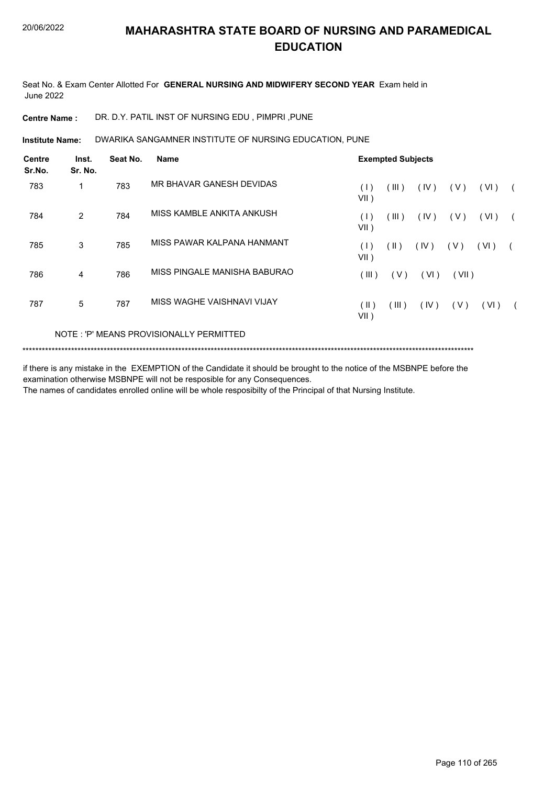Seat No. & Exam Center Allotted For **GENERAL NURSING AND MIDWIFERY SECOND YEAR** Exam held in June 2022

**Centre Name :** DR. D.Y. PATIL INST OF NURSING EDU , PIMPRI ,PUNE

DWARIKA SANGAMNER INSTITUTE OF NURSING EDUCATION, PUNE **Institute Name:**

| <b>Centre</b><br>Sr.No. | Inst.<br>Sr. No. | Seat No. | <b>Name</b>                             |                       | <b>Exempted Subjects</b> |      |       |      |  |  |  |  |
|-------------------------|------------------|----------|-----------------------------------------|-----------------------|--------------------------|------|-------|------|--|--|--|--|
| 783                     | 1                | 783      | MR BHAVAR GANESH DEVIDAS                | (1)<br>$VII$ )        | (III)                    | (IV) | ( V ) | (VI) |  |  |  |  |
| 784                     | $\overline{2}$   | 784      | MISS KAMBLE ANKITA ANKUSH               | (1)<br>$VII$ )        | (III)                    | (IV) | ( V ) | (VI) |  |  |  |  |
| 785                     | 3                | 785      | MISS PAWAR KALPANA HANMANT              | (1)<br>$VII$ )        | $(\parallel)$            | (IV) | ( V ) | (VI) |  |  |  |  |
| 786                     | 4                | 786      | MISS PINGALE MANISHA BABURAO            | (III)                 | (V)                      | (VI) | (VII) |      |  |  |  |  |
| 787                     | 5                | 787      | MISS WAGHE VAISHNAVI VIJAY              | $(\parallel)$<br>VII) | (III)                    | (IV) | (V)   | (VI) |  |  |  |  |
|                         |                  |          | NOTE: 'P' MEANS PROVISIONALLY PERMITTED |                       |                          |      |       |      |  |  |  |  |

\*\*\*\*\*\*\*\*\*\*\*\*\*\*\*\*\*\*\*\*\*\*\*\*\*\*\*\*\*\*\*\*\*\*\*\*\*\*\*\*\*\*\*\*\*\*\*\*\*\*\*\*\*\*\*\*\*\*\*\*\*\*\*\*\*\*\*\*\*\*\*\*\*\*\*\*\*\*\*\*\*\*\*\*\*\*\*\*\*\*\*\*\*\*\*\*\*\*\*\*\*\*\*\*\*\*\*\*\*\*\*\*\*\*\*\*\*\*\*\*\*\*\*\*\*\*\*\*\*\*\*\*\*\*\*\*\*\*\*

if there is any mistake in the EXEMPTION of the Candidate it should be brought to the notice of the MSBNPE before the examination otherwise MSBNPE will not be resposible for any Consequences. The names of candidates enrolled online will be whole resposibilty of the Principal of that Nursing Institute.

Page 110 of 265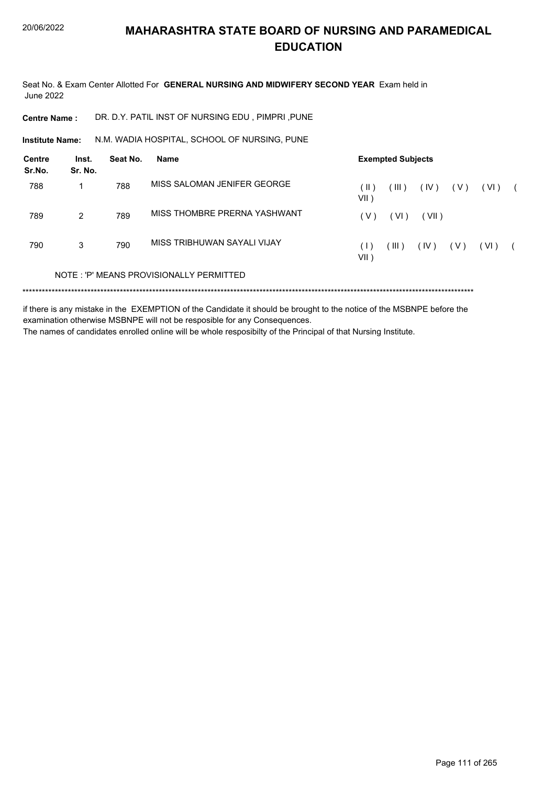Seat No. & Exam Center Allotted For **GENERAL NURSING AND MIDWIFERY SECOND YEAR** Exam held in June 2022

**Centre Name :** DR. D.Y. PATIL INST OF NURSING EDU , PIMPRI ,PUNE

N.M. WADIA HOSPITAL, SCHOOL OF NURSING, PUNE **Institute Name:**

| <b>Centre</b><br>Sr.No. | Inst.<br>Sr. No. | Seat No. | <b>Name</b>                             | <b>Exempted Subjects</b> |       |       |       |        |  |
|-------------------------|------------------|----------|-----------------------------------------|--------------------------|-------|-------|-------|--------|--|
| 788                     |                  | 788      | MISS SALOMAN JENIFER GEORGE             | (II)<br>VII )            | (III) | (IV)  | ( V ) | ( VI ) |  |
| 789                     | 2                | 789      | MISS THOMBRE PRERNA YASHWANT            | ( V )                    | (VI)  | (VII) |       |        |  |
| 790                     | 3                | 790      | MISS TRIBHUWAN SAYALI VIJAY             | ( I -<br>VII )           | (III) | (IV)  | ( V ) | (VI)   |  |
|                         |                  |          | NOTE: 'P' MEANS PROVISIONALLY PERMITTED |                          |       |       |       |        |  |
|                         |                  |          |                                         |                          |       |       |       |        |  |

if there is any mistake in the EXEMPTION of the Candidate it should be brought to the notice of the MSBNPE before the examination otherwise MSBNPE will not be resposible for any Consequences.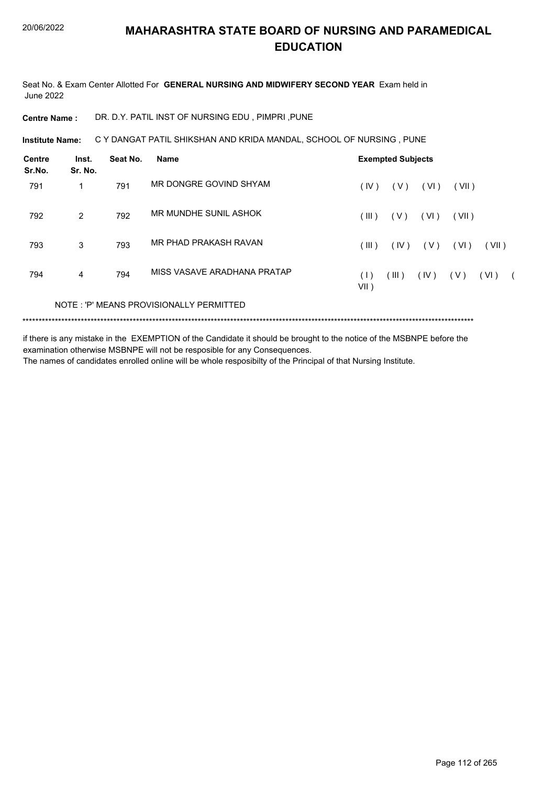Seat No. & Exam Center Allotted For **GENERAL NURSING AND MIDWIFERY SECOND YEAR** Exam held in June 2022

**Centre Name :** DR. D.Y. PATIL INST OF NURSING EDU , PIMPRI ,PUNE

**Institute Name: C Y DANGAT PATIL SHIKSHAN AND KRIDA MANDAL, SCHOOL OF NURSING , PUNE** 

| <b>Centre</b><br>Sr.No. | Inst.<br>Sr. No. | Seat No. | Name                                    |             | <b>Exempted Subjects</b> |        |       |       |            |
|-------------------------|------------------|----------|-----------------------------------------|-------------|--------------------------|--------|-------|-------|------------|
| 791                     | 1                | 791      | MR DONGRE GOVIND SHYAM                  | (IV)        | (V)                      | (VI)   | (VII) |       |            |
| 792                     | $\overline{2}$   | 792      | MR MUNDHE SUNIL ASHOK                   | (III)       | (V)                      | ( VI ) | (VII) |       |            |
| 793                     | 3                | 793      | MR PHAD PRAKASH RAVAN                   | (III)       | (IV)                     | ( V )  | (VI)  | (VII) |            |
| 794                     | 4                | 794      | MISS VASAVE ARADHANA PRATAP             | (1)<br>VII) | (III)                    | (IV)   | (V)   | (VI)  | $\sqrt{2}$ |
|                         |                  |          | NOTE: 'P' MEANS PROVISIONALLY PERMITTED |             |                          |        |       |       |            |

\*\*\*\*\*\*\*\*\*\*\*\*\*\*\*\*\*\*\*\*\*\*\*\*\*\*\*\*\*\*\*\*\*\*\*\*\*\*\*\*\*\*\*\*\*\*\*\*\*\*\*\*\*\*\*\*\*\*\*\*\*\*\*\*\*\*\*\*\*\*\*\*\*\*\*\*\*\*\*\*\*\*\*\*\*\*\*\*\*\*\*\*\*\*\*\*\*\*\*\*\*\*\*\*\*\*\*\*\*\*\*\*\*\*\*\*\*\*\*\*\*\*\*\*\*\*\*\*\*\*\*\*\*\*\*\*\*\*\*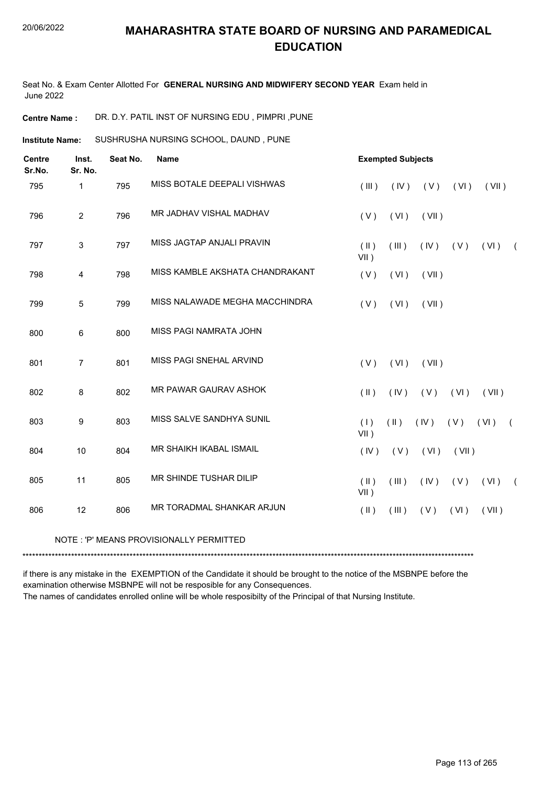Seat No. & Exam Center Allotted For **GENERAL NURSING AND MIDWIFERY SECOND YEAR** Exam held in June 2022

**Centre Name :** DR. D.Y. PATIL INST OF NURSING EDU , PIMPRI ,PUNE

SUSHRUSHA NURSING SCHOOL, DAUND , PUNE **Institute Name:**

| <b>Centre</b><br>Sr.No. | Inst.<br>Sr. No. | Seat No. | Name                            | <b>Exempted Subjects</b> |               |       |       |       |            |
|-------------------------|------------------|----------|---------------------------------|--------------------------|---------------|-------|-------|-------|------------|
| 795                     | 1                | 795      | MISS BOTALE DEEPALI VISHWAS     | (III)                    | (IV)          | (V)   | (VI)  | (VII) |            |
| 796                     | $\overline{2}$   | 796      | MR JADHAV VISHAL MADHAV         | (V)                      | (VI)          | (VII) |       |       |            |
| 797                     | $\mathfrak{S}$   | 797      | MISS JAGTAP ANJALI PRAVIN       | $(\parallel)$<br>$VII$ ) | (III)         | (IV)  | (V)   | (VI)  | $\left($   |
| 798                     | $\overline{4}$   | 798      | MISS KAMBLE AKSHATA CHANDRAKANT | (V)                      | (VI)          | (VII) |       |       |            |
| 799                     | $\overline{5}$   | 799      | MISS NALAWADE MEGHA MACCHINDRA  | (V)                      | (VI)          | (VII) |       |       |            |
| 800                     | 6                | 800      | MISS PAGI NAMRATA JOHN          |                          |               |       |       |       |            |
| 801                     | 7                | 801      | MISS PAGI SNEHAL ARVIND         | (V)                      | (VI)          | (VII) |       |       |            |
| 802                     | 8                | 802      | MR PAWAR GAURAV ASHOK           | $(\parallel)$            | (IV)          | (V)   | (VI)  | (VII) |            |
| 803                     | 9                | 803      | MISS SALVE SANDHYA SUNIL        | (1)<br>$VII$ )           | $(\parallel)$ | (IV)  | (V)   | (VI)  | $\sqrt{ }$ |
| 804                     | 10               | 804      | MR SHAIKH IKABAL ISMAIL         | (IV)                     | (V)           | (VI)  | (VII) |       |            |
| 805                     | 11               | 805      | MR SHINDE TUSHAR DILIP          | $(\parallel)$<br>$VII$ ) | (III)         | (IV)  | (V)   | (VI)  | $\sqrt{2}$ |
| 806                     | 12               | 806      | MR TORADMAL SHANKAR ARJUN       | $($ II $)$               | (III)         | (V)   | (VI)  | (VII) |            |
|                         |                  |          |                                 |                          |               |       |       |       |            |

#### NOTE : 'P' MEANS PROVISIONALLY PERMITTED

\*\*\*\*\*\*\*\*\*\*\*\*\*\*\*\*\*\*\*\*\*\*\*\*\*\*\*\*\*\*\*\*\*\*\*\*\*\*\*\*\*\*\*\*\*\*\*\*\*\*\*\*\*\*\*\*\*\*\*\*\*\*\*\*\*\*\*\*\*\*\*\*\*\*\*\*\*\*\*\*\*\*\*\*\*\*\*\*\*\*\*\*\*\*\*\*\*\*\*\*\*\*\*\*\*\*\*\*\*\*\*\*\*\*\*\*\*\*\*\*\*\*\*\*\*\*\*\*\*\*\*\*\*\*\*\*\*\*\*

if there is any mistake in the EXEMPTION of the Candidate it should be brought to the notice of the MSBNPE before the examination otherwise MSBNPE will not be resposible for any Consequences.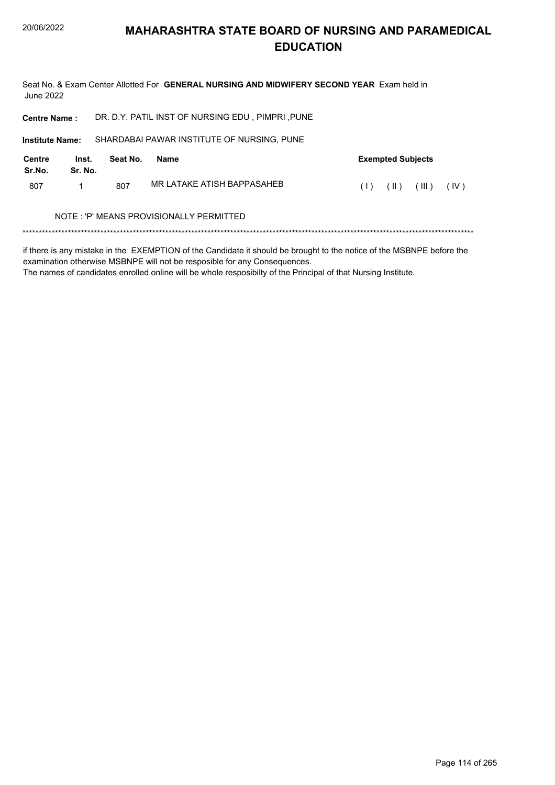Seat No. & Exam Center Allotted For GENERAL NURSING AND MIDWIFERY SECOND YEAR Exam held in **June 2022** 

| DR. D.Y. PATIL INST OF NURSING EDU, PIMPRI, PUNE<br><b>Centre Name:</b> |                  |          |                                            |     |                          |       |      |
|-------------------------------------------------------------------------|------------------|----------|--------------------------------------------|-----|--------------------------|-------|------|
| <b>Institute Name:</b>                                                  |                  |          | SHARDABAI PAWAR INSTITUTE OF NURSING, PUNE |     |                          |       |      |
| <b>Centre</b><br>Sr.No.                                                 | Inst.<br>Sr. No. | Seat No. | <b>Name</b>                                |     | <b>Exempted Subjects</b> |       |      |
| 807                                                                     |                  | 807      | MR I ATAKE ATISH BAPPASAHEB                | (1) | (  )                     | (III) | (IV) |
|                                                                         |                  |          | NOTE : 'P' MEANS PROVISIONALLY PERMITTED   |     |                          |       |      |
|                                                                         |                  |          |                                            |     |                          |       |      |

if there is any mistake in the EXEMPTION of the Candidate it should be brought to the notice of the MSBNPE before the examination otherwise MSBNPE will not be resposible for any Consequences.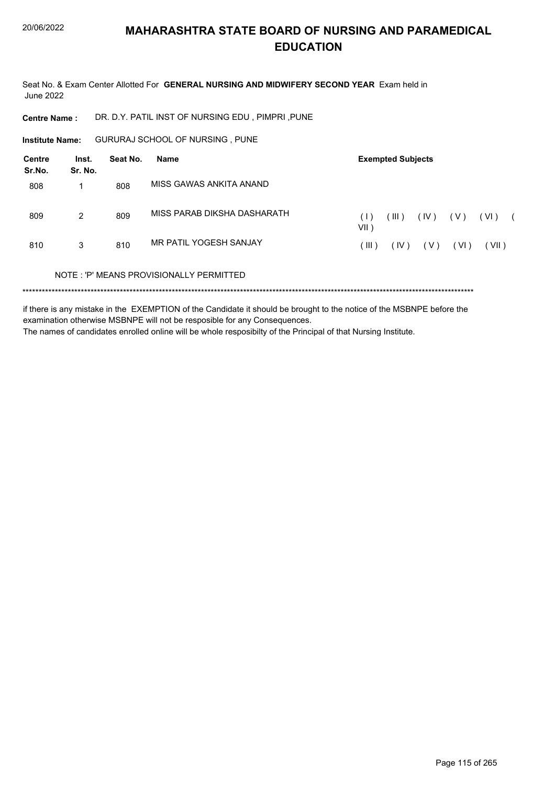Seat No. & Exam Center Allotted For GENERAL NURSING AND MIDWIFERY SECOND YEAR Exam held in **June 2022** 

DR. D.Y. PATIL INST OF NURSING EDU, PIMPRI, PUNE **Centre Name:** 

GURURAJ SCHOOL OF NURSING, PUNE **Institute Name:** 

| Centre<br>Sr.No. | Inst.<br>Sr. No. | Seat No. | Name                                    | <b>Exempted Subjects</b> |       |      |        |       |  |
|------------------|------------------|----------|-----------------------------------------|--------------------------|-------|------|--------|-------|--|
| 808              |                  | 808      | MISS GAWAS ANKITA ANAND                 |                          |       |      |        |       |  |
| 809              | 2                | 809      | MISS PARAB DIKSHA DASHARATH             | (1)<br>$VII$ )           | (III) | (IV) | ( V )  | (VI)  |  |
| 810              | 3                | 810      | MR PATIL YOGESH SANJAY                  | ( III )                  | (IV)  | (V)  | ( VI ) | (VII) |  |
|                  |                  |          | NOTE: 'P' MEANS PROVISIONALLY PERMITTED |                          |       |      |        |       |  |
|                  |                  |          |                                         |                          |       |      |        |       |  |

if there is any mistake in the EXEMPTION of the Candidate it should be brought to the notice of the MSBNPE before the examination otherwise MSBNPE will not be resposible for any Consequences.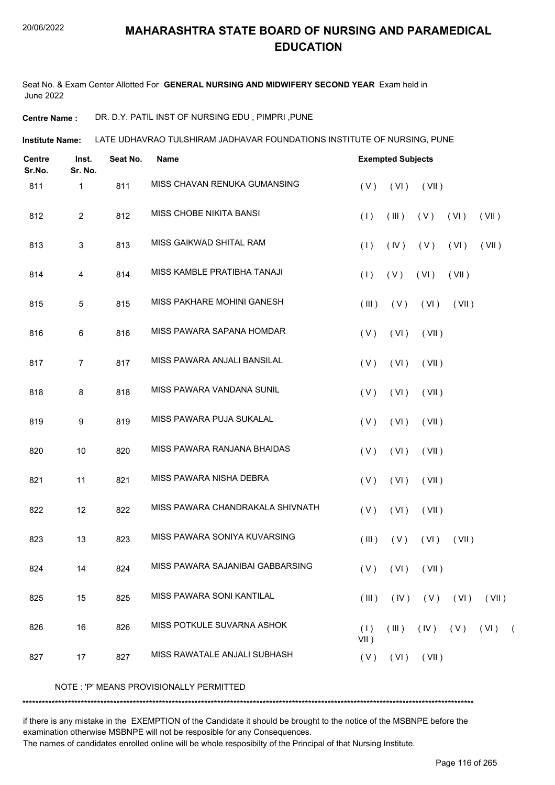Seat No. & Exam Center Allotted For **GENERAL NURSING AND MIDWIFERY SECOND YEAR** Exam held in June 2022

**Centre Name :** DR. D.Y. PATIL INST OF NURSING EDU , PIMPRI ,PUNE

LATE UDHAVRAO TULSHIRAM JADHAVAR FOUNDATIONS INSTITUTE OF NURSING, PUNE **Institute Name:**

| <b>Centre</b><br>Sr.No. | Inst.<br>Sr. No. | Seat No. | <b>Name</b>                      | <b>Exempted Subjects</b> |             |                      |       |          |  |
|-------------------------|------------------|----------|----------------------------------|--------------------------|-------------|----------------------|-------|----------|--|
| 811                     | 1                | 811      | MISS CHAVAN RENUKA GUMANSING     | (V)                      | (VI)        | (VII)                |       |          |  |
| 812                     | $\overline{2}$   | 812      | MISS CHOBE NIKITA BANSI          | (1)                      | (III)       | (V)                  | (VI)  | (VII)    |  |
| 813                     | 3                | 813      | MISS GAIKWAD SHITAL RAM          | (1)                      | (IV)        | (V)                  | (VI)  | (VII)    |  |
| 814                     | 4                | 814      | MISS KAMBLE PRATIBHA TANAJI      | (1)                      | (V)         | (VI)                 | (VII) |          |  |
| 815                     | 5                | 815      | MISS PAKHARE MOHINI GANESH       | (III)                    | (V)         | (VI)                 | (VII) |          |  |
| 816                     | 6                | 816      | MISS PAWARA SAPANA HOMDAR        | (V)                      | (VI)        | (VII)                |       |          |  |
| 817                     | $\overline{7}$   | 817      | MISS PAWARA ANJALI BANSILAL      | (V)                      | (VI)        | (VII)                |       |          |  |
| 818                     | 8                | 818      | MISS PAWARA VANDANA SUNIL        | (V)                      | (VI)        | (VII)                |       |          |  |
| 819                     | 9                | 819      | MISS PAWARA PUJA SUKALAL         | (V)                      | (VI)        | (VII)                |       |          |  |
| 820                     | 10               | 820      | MISS PAWARA RANJANA BHAIDAS      | (V)                      | (VI)        | (VII)                |       |          |  |
| 821                     | 11               | 821      | MISS PAWARA NISHA DEBRA          | (V)                      | (VI)        | (VII)                |       |          |  |
| 822                     | 12               | 822      | MISS PAWARA CHANDRAKALA SHIVNATH | (V)                      | (VI)        | (VII)                |       |          |  |
| 823                     | 13               | 823      | MISS PAWARA SONIYA KUVARSING     | (III)                    | (V)         | (VI)                 | (VII) |          |  |
| 824                     | 14               | 824      | MISS PAWARA SAJANIBAI GABBARSING |                          |             | $(V)$ $(VI)$ $(VII)$ |       |          |  |
| 825                     | 15               | 825      | MISS PAWARA SONI KANTILAL        | $($ III $)$              |             | $(IV)$ $(V)$ $(VI)$  |       | (VII)    |  |
| 826                     | 16               | 826      | MISS POTKULE SUVARNA ASHOK       | (1)<br>$VII$ )           | $($ III $)$ | $(IV)$ $(V)$         |       | $(VI)$ ( |  |
| 827                     | 17               | 827      | MISS RAWATALE ANJALI SUBHASH     | (V)                      | (VI)        | (VII)                |       |          |  |

NOTE : 'P' MEANS PROVISIONALLY PERMITTED

\*\*\*\*\*\*\*\*\*\*\*\*\*\*\*\*\*\*\*\*\*\*\*\*\*\*\*\*\*\*\*\*\*\*\*\*\*\*\*\*\*\*\*\*\*\*\*\*\*\*\*\*\*\*\*\*\*\*\*\*\*\*\*\*\*\*\*\*\*\*\*\*\*\*\*\*\*\*\*\*\*\*\*\*\*\*\*\*\*\*\*\*\*\*\*\*\*\*\*\*\*\*\*\*\*\*\*\*\*\*\*\*\*\*\*\*\*\*\*\*\*\*\*\*\*\*\*\*\*\*\*\*\*\*\*\*\*\*\*

if there is any mistake in the EXEMPTION of the Candidate it should be brought to the notice of the MSBNPE before the examination otherwise MSBNPE will not be resposible for any Consequences.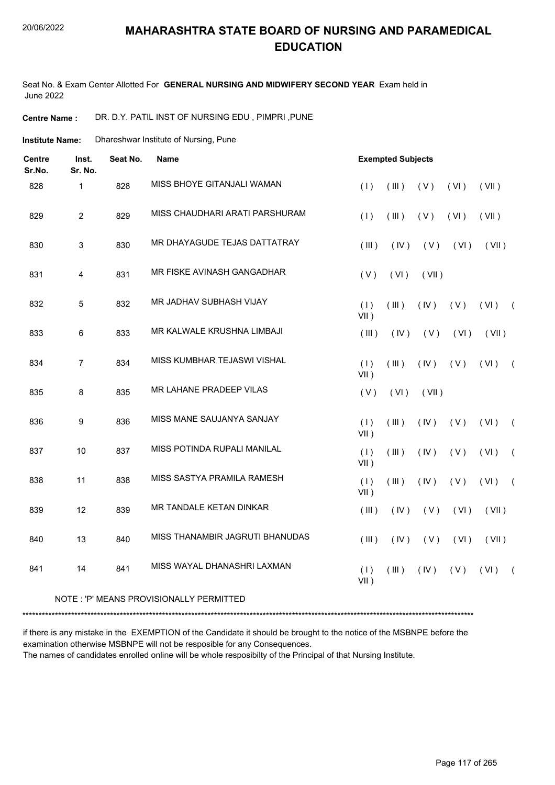#### 20/06/2022

### **MAHARASHTRA STATE BOARD OF NURSING AND PARAMEDICAL EDUCATION**

Seat No. & Exam Center Allotted For **GENERAL NURSING AND MIDWIFERY SECOND YEAR** Exam held in June 2022

**Centre Name :** DR. D.Y. PATIL INST OF NURSING EDU , PIMPRI ,PUNE

Dhareshwar Institute of Nursing, Pune **Institute Name:**

| <b>Centre</b><br>Sr.No. | Inst.<br>Sr. No. | Seat No.<br><b>Exempted Subjects</b><br>Name |                                          |                |       |       |      |       |            |
|-------------------------|------------------|----------------------------------------------|------------------------------------------|----------------|-------|-------|------|-------|------------|
| 828                     | $\mathbf{1}$     | 828                                          | MISS BHOYE GITANJALI WAMAN               | (1)            | (III) | (V)   | (VI) | (VII) |            |
| 829                     | $\overline{2}$   | 829                                          | MISS CHAUDHARI ARATI PARSHURAM           | (1)            | (III) | (V)   | (VI) | (VII) |            |
| 830                     | 3                | 830                                          | MR DHAYAGUDE TEJAS DATTATRAY             | (III)          | (IV)  | (V)   | (VI) | (VII) |            |
| 831                     | 4                | 831                                          | MR FISKE AVINASH GANGADHAR               | (V)            | (VI)  | (VII) |      |       |            |
| 832                     | 5                | 832                                          | MR JADHAV SUBHASH VIJAY                  | (1)<br>$VII$ ) | (III) | (IV)  | (V)  | (VI)  | $\sqrt{2}$ |
| 833                     | 6                | 833                                          | MR KALWALE KRUSHNA LIMBAJI               | (III)          | (IV)  | (V)   | (VI) | (VII) |            |
| 834                     | $\overline{7}$   | 834                                          | MISS KUMBHAR TEJASWI VISHAL              | (1)<br>$VII$ ) | (III) | (IV)  | (V)  | (VI)  | $\sqrt{2}$ |
| 835                     | 8                | 835                                          | <b>MR LAHANE PRADEEP VILAS</b>           | (V)            | (VI)  | (VII) |      |       |            |
| 836                     | $\boldsymbol{9}$ | 836                                          | MISS MANE SAUJANYA SANJAY                | (1)<br>$VII$ ) | (III) | (IV)  | (V)  | (VI)  | $\sqrt{2}$ |
| 837                     | 10               | 837                                          | MISS POTINDA RUPALI MANILAL              | (1)<br>$VII$ ) | (III) | (IV)  | (V)  | (VI)  | $\sqrt{2}$ |
| 838                     | 11               | 838                                          | MISS SASTYA PRAMILA RAMESH               | (1)<br>$VII$ ) | (III) | (IV)  | (V)  | (VI)  | $\sqrt{2}$ |
| 839                     | 12               | 839                                          | MR TANDALE KETAN DINKAR                  | (III)          | (IV)  | (V)   | (VI) | (VII) |            |
| 840                     | 13               | 840                                          | MISS THANAMBIR JAGRUTI BHANUDAS          | (III)          | (IV)  | (V)   | (VI) | (VII) |            |
| 841                     | 14               | 841                                          | MISS WAYAL DHANASHRI LAXMAN              | (1)<br>$VII$ ) | (III) | (IV)  | (V)  | (VI)  | $\sqrt{2}$ |
|                         |                  |                                              | NOTE : 'P' MEANS PROVISIONALLY PERMITTED |                |       |       |      |       |            |

\*\*\*\*\*\*\*\*\*\*\*\*\*\*\*\*\*\*\*\*\*\*\*\*\*\*\*\*\*\*\*\*\*\*\*\*\*\*\*\*\*\*\*\*\*\*\*\*\*\*\*\*\*\*\*\*\*\*\*\*\*\*\*\*\*\*\*\*\*\*\*\*\*\*\*\*\*\*\*\*\*\*\*\*\*\*\*\*\*\*\*\*\*\*\*\*\*\*\*\*\*\*\*\*\*\*\*\*\*\*\*\*\*\*\*\*\*\*\*\*\*\*\*\*\*\*\*\*\*\*\*\*\*\*\*\*\*\*\*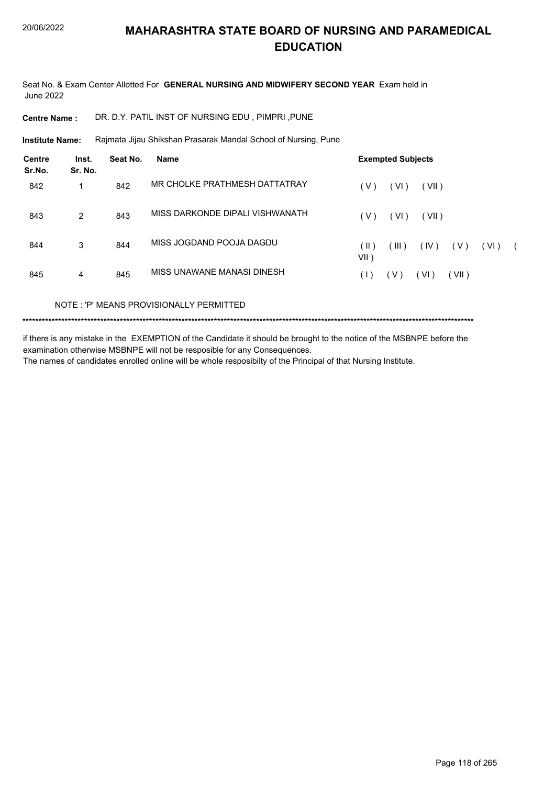Seat No. & Exam Center Allotted For **GENERAL NURSING AND MIDWIFERY SECOND YEAR** Exam held in June 2022

**Centre Name :** DR. D.Y. PATIL INST OF NURSING EDU , PIMPRI ,PUNE

Rajmata Jijau Shikshan Prasarak Mandal School of Nursing, Pune **Institute Name:**

| <b>Centre</b><br>Sr.No. | Inst.<br>Sr. No. | Seat No. | <b>Name</b>                     | <b>Exempted Subjects</b>                                      |
|-------------------------|------------------|----------|---------------------------------|---------------------------------------------------------------|
| 842                     |                  | 842      | MR CHOLKE PRATHMESH DATTATRAY   | VI)<br>(V)<br>(VII)                                           |
| 843                     | $\overline{2}$   | 843      | MISS DARKONDE DIPALI VISHWANATH | (VI)<br>(V)<br>(VII)                                          |
| 844                     | 3                | 844      | MISS JOGDAND POOJA DAGDU        | (III)<br>(IV)<br>(  )<br>( V )<br>(VI)<br>$\sqrt{2}$<br>VII ) |
| 845                     | 4                | 845      | MISS UNAWANE MANASI DINESH      | (V)<br>(VI)<br>(VII)<br>(1)                                   |

NOTE : 'P' MEANS PROVISIONALLY PERMITTED

\*\*\*\*\*\*\*\*\*\*\*\*\*\*\*\*\*\*\*\*\*\*\*\*\*\*\*\*\*\*\*\*\*\*\*\*\*\*\*\*\*\*\*\*\*\*\*\*\*\*\*\*\*\*\*\*\*\*\*\*\*\*\*\*\*\*\*\*\*\*\*\*\*\*\*\*\*\*\*\*\*\*\*\*\*\*\*\*\*\*\*\*\*\*\*\*\*\*\*\*\*\*\*\*\*\*\*\*\*\*\*\*\*\*\*\*\*\*\*\*\*\*\*\*\*\*\*\*\*\*\*\*\*\*\*\*\*\*\*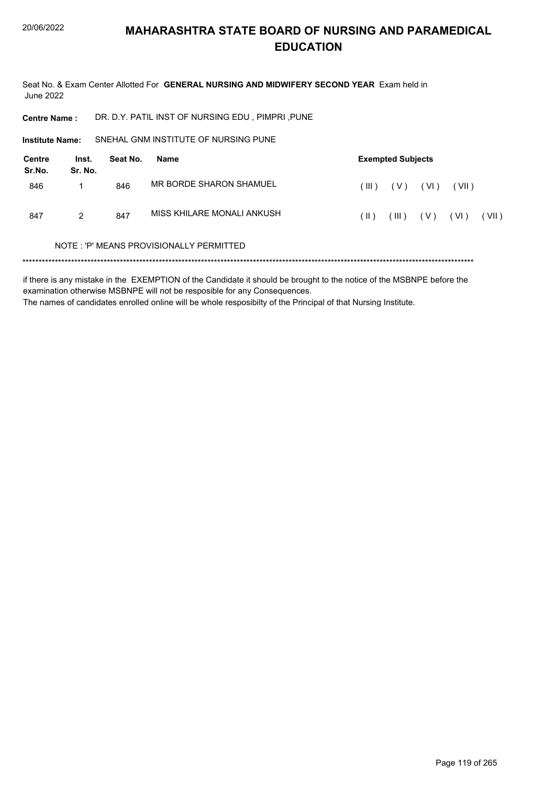Seat No. & Exam Center Allotted For GENERAL NURSING AND MIDWIFERY SECOND YEAR Exam held in **June 2022** 

DR. D.Y. PATIL INST OF NURSING EDU, PIMPRI, PUNE **Centre Name:** 

SNEHAL GNM INSTITUTE OF NURSING PUNE Institute Name:

| <b>Centre</b><br>Sr.No. | Inst.<br>Sr. No. | Seat No. | Name                       | <b>Exempted Subjects</b> |       |       |       |       |
|-------------------------|------------------|----------|----------------------------|--------------------------|-------|-------|-------|-------|
| 846                     |                  | 846      | MR BORDE SHARON SHAMUEL    | $($ III $)$              | ( V ) | (VI)  | (VII) |       |
| 847                     | 2                | 847      | MISS KHILARE MONALI ANKUSH | (II)                     | (III) | ( V ) | (VI)  | (VII) |

#### NOTE: 'P' MEANS PROVISIONALLY PERMITTED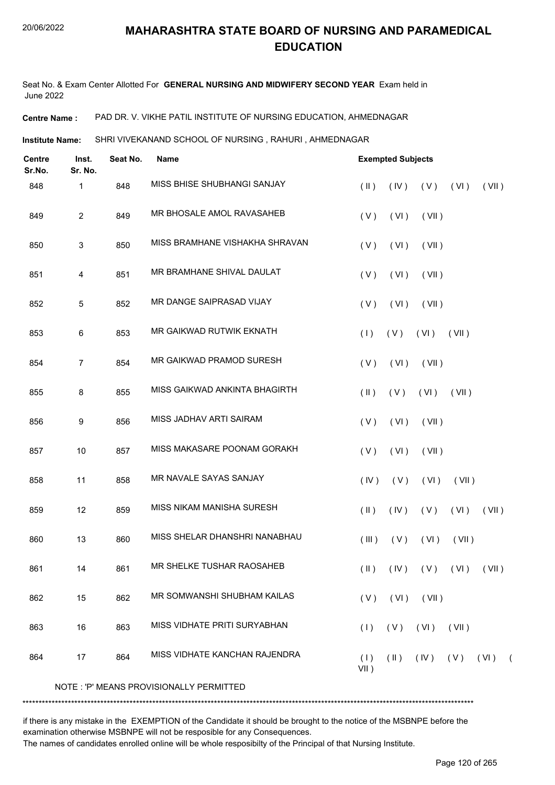Seat No. & Exam Center Allotted For **GENERAL NURSING AND MIDWIFERY SECOND YEAR** Exam held in June 2022

**Centre Name :** PAD DR. V. VIKHE PATIL INSTITUTE OF NURSING EDUCATION, AHMEDNAGAR

**Institute Name: SHRI VIVEKANAND SCHOOL OF NURSING , RAHURI , AHMEDNAGAR** 

| <b>Centre</b><br>Sr.No. | Inst.<br>Sr. No. | Seat No. | <b>Name</b>                             |                | <b>Exempted Subjects</b> |                             |       |                       |  |
|-------------------------|------------------|----------|-----------------------------------------|----------------|--------------------------|-----------------------------|-------|-----------------------|--|
| 848                     | 1                | 848      | MISS BHISE SHUBHANGI SANJAY             | $(\parallel)$  | (IV)                     | (V)                         | (VI)  | (VII)                 |  |
| 849                     | $\overline{2}$   | 849      | MR BHOSALE AMOL RAVASAHEB               | (V)            | (VI)                     | (VII)                       |       |                       |  |
| 850                     | 3                | 850      | MISS BRAMHANE VISHAKHA SHRAVAN          | (V)            | (VI)                     | (VII)                       |       |                       |  |
| 851                     | 4                | 851      | MR BRAMHANE SHIVAL DAULAT               | (V)            | (VI)                     | (VII)                       |       |                       |  |
| 852                     | 5                | 852      | MR DANGE SAIPRASAD VIJAY                | (V)            | (VI)                     | (VII)                       |       |                       |  |
| 853                     | 6                | 853      | MR GAIKWAD RUTWIK EKNATH                | (1)            | (V)                      | (VI)                        | (VII) |                       |  |
| 854                     | $\overline{7}$   | 854      | MR GAIKWAD PRAMOD SURESH                | (V)            | (VI)                     | (VII)                       |       |                       |  |
| 855                     | 8                | 855      | MISS GAIKWAD ANKINTA BHAGIRTH           | $(\parallel)$  | (V)                      | (VI)                        | (VII) |                       |  |
| 856                     | 9                | 856      | MISS JADHAV ARTI SAIRAM                 | (V)            | (VI)                     | (VII)                       |       |                       |  |
| 857                     | 10               | 857      | MISS MAKASARE POONAM GORAKH             | (V)            | (VI)                     | (VII)                       |       |                       |  |
| 858                     | 11               | 858      | MR NAVALE SAYAS SANJAY                  | (IV)           | (V)                      | (VI)                        | (VII) |                       |  |
| 859                     | 12               | 859      | <b>MISS NIKAM MANISHA SURESH</b>        | $(\parallel)$  | (IV)                     | (V)                         | (VI)  | (VII)                 |  |
| 860                     | 13               | 860      | MISS SHELAR DHANSHRI NANABHAU           | (III)          | (V)                      | (VI)                        | (VII) |                       |  |
| 861                     | 14               | 861      | MR SHELKE TUSHAR RAOSAHEB               | $(\parallel)$  |                          | $(IV)$ $(V)$ $(VI)$ $(VII)$ |       |                       |  |
| 862                     | 15               | 862      | MR SOMWANSHI SHUBHAM KAILAS             | (V)            | (VI)                     | (VII)                       |       |                       |  |
| 863                     | 16               | 863      | MISS VIDHATE PRITI SURYABHAN            | (1)            | (V)                      | (VI)                        | (VII) |                       |  |
| 864                     | 17               | 864      | MISS VIDHATE KANCHAN RAJENDRA           | (1)<br>$VII$ ) | $(\parallel)$            |                             |       | $(IV)$ $(V)$ $(VI)$ ( |  |
|                         |                  |          | NOTE: 'P' MEANS PROVISIONALLY PERMITTED |                |                          |                             |       |                       |  |

\*\*\*\*\*\*\*\*\*\*\*\*\*\*\*\*\*\*\*\*\*\*\*\*\*\*\*\*\*\*\*\*\*\*\*\*\*\*\*\*\*\*\*\*\*\*\*\*\*\*\*\*\*\*\*\*\*\*\*\*\*\*\*\*\*\*\*\*\*\*\*\*\*\*\*\*\*\*\*\*\*\*\*\*\*\*\*\*\*\*\*\*\*\*\*\*\*\*\*\*\*\*\*\*\*\*\*\*\*\*\*\*\*\*\*\*\*\*\*\*\*\*\*\*\*\*\*\*\*\*\*\*\*\*\*\*\*\*\*

if there is any mistake in the EXEMPTION of the Candidate it should be brought to the notice of the MSBNPE before the examination otherwise MSBNPE will not be resposible for any Consequences.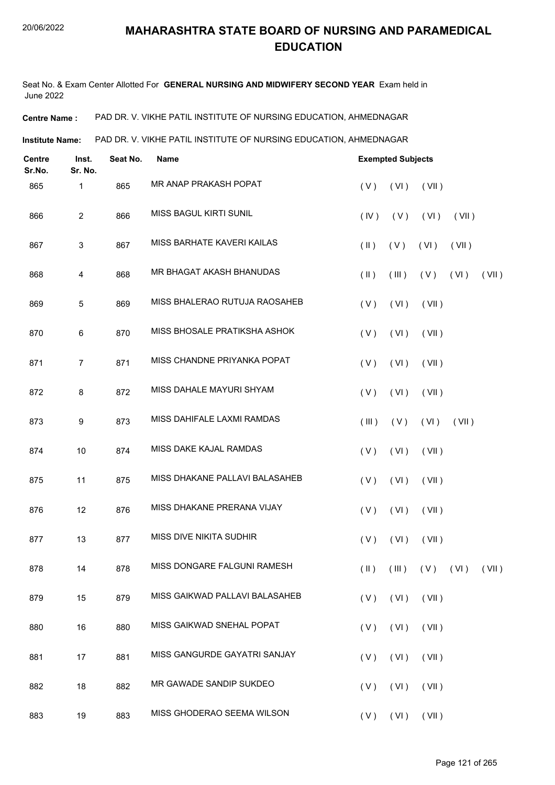Seat No. & Exam Center Allotted For **GENERAL NURSING AND MIDWIFERY SECOND YEAR** Exam held in June 2022

**Centre Name :** PAD DR. V. VIKHE PATIL INSTITUTE OF NURSING EDUCATION, AHMEDNAGAR

**Institute Name:** PAD DR. V. VIKHE PATIL INSTITUTE OF NURSING EDUCATION, AHMEDNAGAR

| <b>Centre</b><br>Sr.No. | Inst.<br>Sr. No. | Seat No. | <b>Name</b>                    |               | <b>Exempted Subjects</b> |                                     |       |       |
|-------------------------|------------------|----------|--------------------------------|---------------|--------------------------|-------------------------------------|-------|-------|
| 865                     | 1                | 865      | MR ANAP PRAKASH POPAT          | (V)           | (VI)                     | (VII)                               |       |       |
| 866                     | $\overline{c}$   | 866      | MISS BAGUL KIRTI SUNIL         | (IV)          | (V)                      | (VI)                                | (VII) |       |
| 867                     | $\mathfrak{S}$   | 867      | MISS BARHATE KAVERI KAILAS     | $(\parallel)$ | (V)                      | (VI)                                | (VII) |       |
| 868                     | 4                | 868      | MR BHAGAT AKASH BHANUDAS       | $($ II $)$    | (III)                    | (V)                                 | (VI)  | (VII) |
| 869                     | 5                | 869      | MISS BHALERAO RUTUJA RAOSAHEB  | (V)           | (VI)                     | (VII)                               |       |       |
| 870                     | $\,6\,$          | 870      | MISS BHOSALE PRATIKSHA ASHOK   | (V)           | (VI)                     | (VII)                               |       |       |
| 871                     | $\overline{7}$   | 871      | MISS CHANDNE PRIYANKA POPAT    | (V)           | (VI)                     | (VII)                               |       |       |
| 872                     | 8                | 872      | MISS DAHALE MAYURI SHYAM       | (V)           | (VI)                     | (VII)                               |       |       |
| 873                     | 9                | 873      | MISS DAHIFALE LAXMI RAMDAS     | (III)         | (V)                      | (VI)                                | (VII) |       |
| 874                     | 10               | 874      | MISS DAKE KAJAL RAMDAS         | (V)           | (VI)                     | (VII)                               |       |       |
| 875                     | 11               | 875      | MISS DHAKANE PALLAVI BALASAHEB | (V)           | (VI)                     | (VII)                               |       |       |
| 876                     | 12               | 876      | MISS DHAKANE PRERANA VIJAY     | (V)           | (VI)                     | (VII)                               |       |       |
| 877                     | 13               | 877      | MISS DIVE NIKITA SUDHIR        | (V)           | (VI)                     | (VII)                               |       |       |
| 878                     | 14               | 878      | MISS DONGARE FALGUNI RAMESH    |               |                          | $(II)$ $(III)$ $(V)$ $(VI)$ $(VII)$ |       |       |
| 879                     | 15               | 879      | MISS GAIKWAD PALLAVI BALASAHEB | (V)           | (VI)                     | (VII)                               |       |       |
| 880                     | 16               | 880      | MISS GAIKWAD SNEHAL POPAT      | (V)           | (VI)                     | (VII)                               |       |       |
| 881                     | 17               | 881      | MISS GANGURDE GAYATRI SANJAY   | (V)           | (VI)                     | (VII)                               |       |       |
| 882                     | 18               | 882      | MR GAWADE SANDIP SUKDEO        | (V)           | (VI)                     | (VII)                               |       |       |
| 883                     | 19               | 883      | MISS GHODERAO SEEMA WILSON     |               |                          | $(V)$ $(VI)$ $(VII)$                |       |       |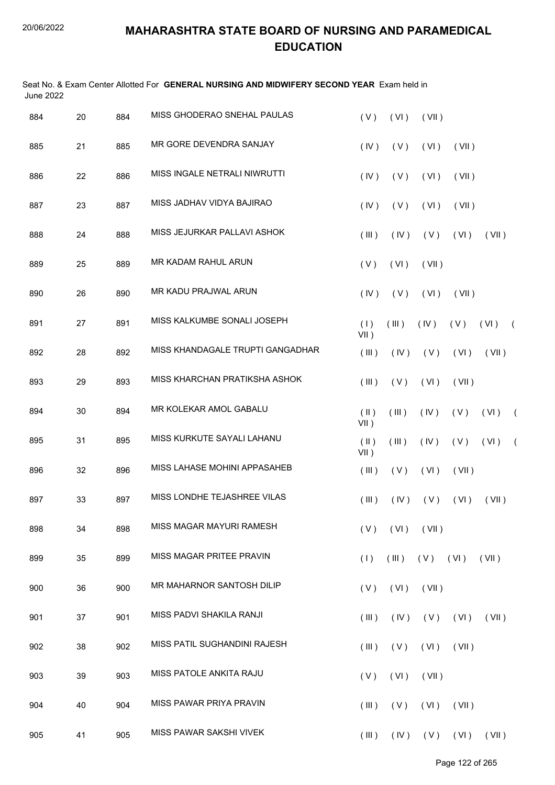| June 2022 |    |     | Seat No. & Exam Center Allotted For GENERAL NURSING AND MIDWIFERY SECOND YEAR Exam held in |                          |       |             |       |                                     |            |
|-----------|----|-----|--------------------------------------------------------------------------------------------|--------------------------|-------|-------------|-------|-------------------------------------|------------|
| 884       | 20 | 884 | MISS GHODERAO SNEHAL PAULAS                                                                | (V)                      | (VI)  | (VII)       |       |                                     |            |
| 885       | 21 | 885 | MR GORE DEVENDRA SANJAY                                                                    | (IV)                     | (V)   | (VI)        | (VII) |                                     |            |
| 886       | 22 | 886 | MISS INGALE NETRALI NIWRUTTI                                                               | (IV)                     | (V)   | (VI)        | (VII) |                                     |            |
| 887       | 23 | 887 | MISS JADHAV VIDYA BAJIRAO                                                                  | (IV)                     | (V)   | (VI)        | (VII) |                                     |            |
| 888       | 24 | 888 | MISS JEJURKAR PALLAVI ASHOK                                                                | (III)                    | (IV)  | (V)         | (VI)  | (VII)                               |            |
| 889       | 25 | 889 | MR KADAM RAHUL ARUN                                                                        | (V)                      | (VI)  | (VII)       |       |                                     |            |
| 890       | 26 | 890 | MR KADU PRAJWAL ARUN                                                                       | (IV)                     | (V)   | (VI)        | (VII) |                                     |            |
| 891       | 27 | 891 | MISS KALKUMBE SONALI JOSEPH                                                                | (1)<br>$VII$ )           | (III) | (IV)        | (V)   | (VI)                                | $\sqrt{2}$ |
| 892       | 28 | 892 | MISS KHANDAGALE TRUPTI GANGADHAR                                                           | (III)                    | (IV)  | (V)         | (VI)  | (VII)                               |            |
| 893       | 29 | 893 | MISS KHARCHAN PRATIKSHA ASHOK                                                              | (III)                    | (V)   | (VI)        | (VII) |                                     |            |
| 894       | 30 | 894 | MR KOLEKAR AMOL GABALU                                                                     | $(\parallel)$<br>$VII$ ) | (III) | (IV)        | (V)   | (VI)                                | $\sqrt{2}$ |
| 895       | 31 | 895 | MISS KURKUTE SAYALI LAHANU                                                                 | $(\parallel)$<br>$VII$ ) | (III) | (IV)        | (V)   | (VI)                                | $\sqrt{2}$ |
| 896       | 32 | 896 | MISS LAHASE MOHINI APPASAHEB                                                               | (III)                    | (V)   | (VI)        | (VII) |                                     |            |
| 897       | 33 | 897 | MISS LONDHE TEJASHREE VILAS                                                                |                          |       |             |       | $(III)$ $(IV)$ $(V)$ $(VI)$ $(VII)$ |            |
| 898       | 34 | 898 | MISS MAGAR MAYURI RAMESH                                                                   | (V)                      | (VI)  | (VII)       |       |                                     |            |
| 899       | 35 | 899 | MISS MAGAR PRITEE PRAVIN                                                                   | (1)                      | (III) | $(V)$ $(V)$ |       | (VII)                               |            |
| 900       | 36 | 900 | MR MAHARNOR SANTOSH DILIP                                                                  | (V)                      | (VI)  | (VII)       |       |                                     |            |
| 901       | 37 | 901 | MISS PADVI SHAKILA RANJI                                                                   | (III)                    | (IV)  | (V)         | (VI)  | (VII)                               |            |
| 902       | 38 | 902 | MISS PATIL SUGHANDINI RAJESH                                                               | (III)                    | (V)   | (VI)        | (VII) |                                     |            |
| 903       | 39 | 903 | MISS PATOLE ANKITA RAJU                                                                    | (V)                      | (VI)  | (VII)       |       |                                     |            |
| 904       | 40 | 904 | MISS PAWAR PRIYA PRAVIN                                                                    | (III)                    | (V)   | (VI)        | (VII) |                                     |            |
| 905       | 41 | 905 | MISS PAWAR SAKSHI VIVEK                                                                    | (III)                    | (IV)  | (V)         | (VI)  | (VII)                               |            |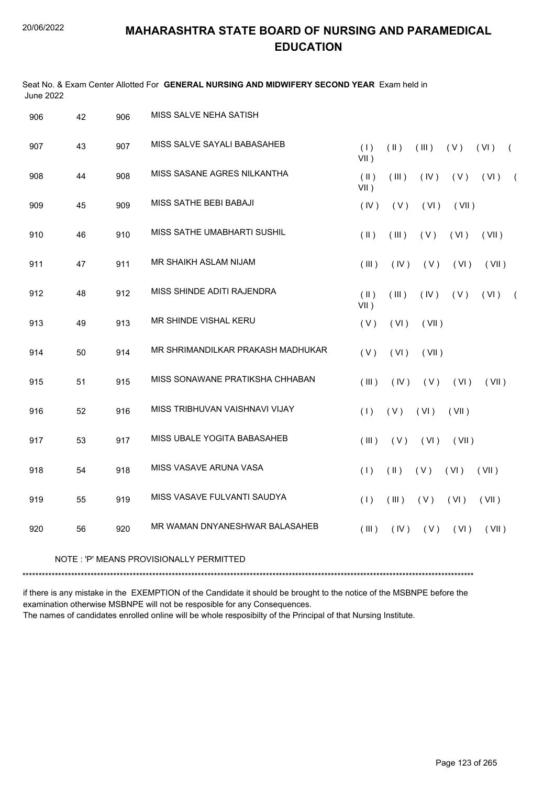$\overline{1}$   $\overline{2}$ 

# **MAHARASHTRA STATE BOARD OF NURSING AND PARAMEDICAL EDUCATION**

Seat No. & Exam Center Allotted For **GENERAL NURSING AND MIDWIFERY SECOND YEAR** Exam held in

| June zuzz |    |     |                                   |                          |               |       |       |       |                |
|-----------|----|-----|-----------------------------------|--------------------------|---------------|-------|-------|-------|----------------|
| 906       | 42 | 906 | MISS SALVE NEHA SATISH            |                          |               |       |       |       |                |
| 907       | 43 | 907 | MISS SALVE SAYALI BABASAHEB       | (1)<br>$VII$ )           | (  )          | (III) | (V)   | (VI)  | $\left($       |
| 908       | 44 | 908 | MISS SASANE AGRES NILKANTHA       | $(\parallel)$<br>$VII$ ) | (III)         | (IV)  | (V)   | (VI)  | $\overline{ }$ |
| 909       | 45 | 909 | <b>MISS SATHE BEBI BABAJI</b>     | (IV)                     | (V)           | (VI)  | (VII) |       |                |
| 910       | 46 | 910 | MISS SATHE UMABHARTI SUSHIL       | $($ II $)$               | (III)         | (V)   | (VI)  | (VII) |                |
| 911       | 47 | 911 | MR SHAIKH ASLAM NIJAM             | (III)                    | (IV)          | (V)   | (VI)  | (VII) |                |
| 912       | 48 | 912 | MISS SHINDE ADITI RAJENDRA        | $(\parallel)$<br>$VII$ ) | (III)         | (IV)  | (V)   | (VI)  | $\overline{ }$ |
| 913       | 49 | 913 | MR SHINDE VISHAL KERU             | (V)                      | (VI)          | (VII) |       |       |                |
| 914       | 50 | 914 | MR SHRIMANDILKAR PRAKASH MADHUKAR | (V)                      | (VI)          | (VII) |       |       |                |
| 915       | 51 | 915 | MISS SONAWANE PRATIKSHA CHHABAN   | (III)                    | (IV)          | (V)   | (VI)  | (VII) |                |
| 916       | 52 | 916 | MISS TRIBHUVAN VAISHNAVI VIJAY    | (1)                      | (V)           | (VI)  | (VII) |       |                |
| 917       | 53 | 917 | MISS UBALE YOGITA BABASAHEB       | (III)                    | (V)           | (VI)  | (VII) |       |                |
| 918       | 54 | 918 | MISS VASAVE ARUNA VASA            | (1)                      | $(\parallel)$ | (V)   | (VI)  | (VII) |                |
| 919       | 55 | 919 | MISS VASAVE FULVANTI SAUDYA       | (1)                      | (III)         | (V)   | (VI)  | (VII) |                |
| 920       | 56 | 920 | MR WAMAN DNYANESHWAR BALASAHEB    | (III)                    | (IV)          | (V)   | (VI)  | (VII) |                |
|           |    |     |                                   |                          |               |       |       |       |                |

NOTE : 'P' MEANS PROVISIONALLY PERMITTED

\*\*\*\*\*\*\*\*\*\*\*\*\*\*\*\*\*\*\*\*\*\*\*\*\*\*\*\*\*\*\*\*\*\*\*\*\*\*\*\*\*\*\*\*\*\*\*\*\*\*\*\*\*\*\*\*\*\*\*\*\*\*\*\*\*\*\*\*\*\*\*\*\*\*\*\*\*\*\*\*\*\*\*\*\*\*\*\*\*\*\*\*\*\*\*\*\*\*\*\*\*\*\*\*\*\*\*\*\*\*\*\*\*\*\*\*\*\*\*\*\*\*\*\*\*\*\*\*\*\*\*\*\*\*\*\*\*\*\*

if there is any mistake in the EXEMPTION of the Candidate it should be brought to the notice of the MSBNPE before the examination otherwise MSBNPE will not be resposible for any Consequences.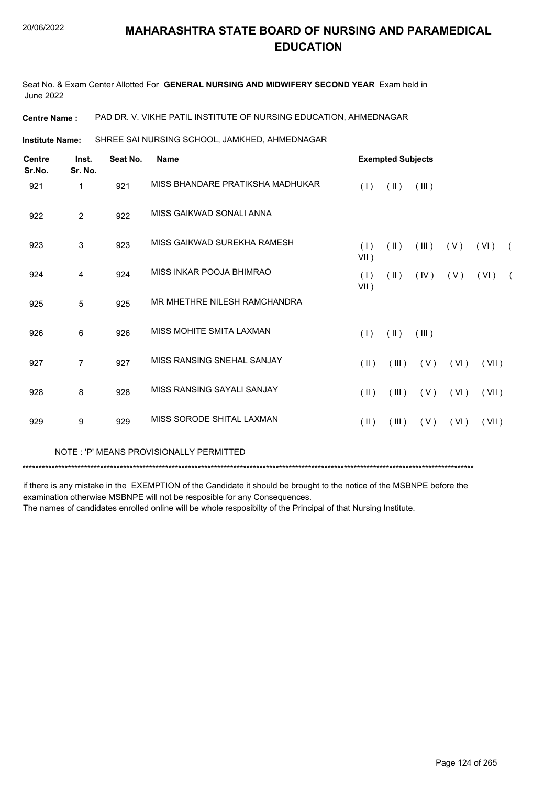Seat No. & Exam Center Allotted For **GENERAL NURSING AND MIDWIFERY SECOND YEAR** Exam held in June 2022

**Centre Name :** PAD DR. V. VIKHE PATIL INSTITUTE OF NURSING EDUCATION, AHMEDNAGAR

SHREE SAI NURSING SCHOOL, JAMKHED, AHMEDNAGAR **Institute Name:**

| <b>Centre</b><br>Sr.No. | Inst.<br>Sr. No. | Seat No. | <b>Name</b>                      |                         | <b>Exempted Subjects</b> |       |      |       |            |
|-------------------------|------------------|----------|----------------------------------|-------------------------|--------------------------|-------|------|-------|------------|
| 921                     | 1                | 921      | MISS BHANDARE PRATIKSHA MADHUKAR | (1)                     | $(\parallel)$            | (III) |      |       |            |
| 922                     | $\overline{2}$   | 922      | MISS GAIKWAD SONALI ANNA         |                         |                          |       |      |       |            |
| 923                     | 3                | 923      | MISS GAIKWAD SUREKHA RAMESH      | (1)<br>VII)             | $(\parallel)$            | (III) | (V)  | (VI)  | $\sqrt{2}$ |
| 924                     | 4                | 924      | MISS INKAR POOJA BHIMRAO         | (1)<br>$VII$ )          | $(\parallel)$            | (IV)  | (V)  | (VI)  | $\sqrt{2}$ |
| 925                     | 5                | 925      | MR MHETHRE NILESH RAMCHANDRA     |                         |                          |       |      |       |            |
| 926                     | 6                | 926      | MISS MOHITE SMITA LAXMAN         | (1)                     | $(\parallel)$            | (III) |      |       |            |
| 927                     | $\overline{7}$   | 927      | MISS RANSING SNEHAL SANJAY       | $(\parallel)$           | (III)                    | (V)   | (VI) | (VII) |            |
| 928                     | 8                | 928      | MISS RANSING SAYALI SANJAY       | $(\parallel \parallel)$ | (III)                    | (V)   | (VI) | (VII) |            |
| 929                     | 9                | 929      | MISS SORODE SHITAL LAXMAN        | $(\parallel)$           | (III)                    | (V)   | (VI) | (VII) |            |

NOTE : 'P' MEANS PROVISIONALLY PERMITTED

\*\*\*\*\*\*\*\*\*\*\*\*\*\*\*\*\*\*\*\*\*\*\*\*\*\*\*\*\*\*\*\*\*\*\*\*\*\*\*\*\*\*\*\*\*\*\*\*\*\*\*\*\*\*\*\*\*\*\*\*\*\*\*\*\*\*\*\*\*\*\*\*\*\*\*\*\*\*\*\*\*\*\*\*\*\*\*\*\*\*\*\*\*\*\*\*\*\*\*\*\*\*\*\*\*\*\*\*\*\*\*\*\*\*\*\*\*\*\*\*\*\*\*\*\*\*\*\*\*\*\*\*\*\*\*\*\*\*\*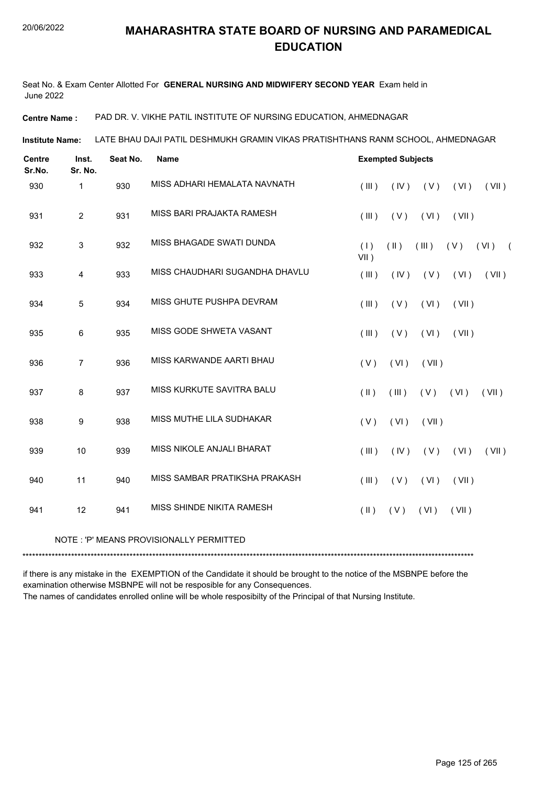Seat No. & Exam Center Allotted For **GENERAL NURSING AND MIDWIFERY SECOND YEAR** Exam held in June 2022

**Centre Name :** PAD DR. V. VIKHE PATIL INSTITUTE OF NURSING EDUCATION, AHMEDNAGAR

LATE BHAU DAJI PATIL DESHMUKH GRAMIN VIKAS PRATISHTHANS RANM SCHOOL, AHMEDNAGAR **Institute Name:**

| <b>Centre</b><br>Sr.No. | Inst.<br>Sr. No. | Seat No. | <b>Name</b>                    | <b>Exempted Subjects</b>                                            |
|-------------------------|------------------|----------|--------------------------------|---------------------------------------------------------------------|
| 930                     | 1                | 930      | MISS ADHARI HEMALATA NAVNATH   | (IV)<br>(V)<br>(VI)<br>(VII)<br>(III)                               |
| 931                     | $\overline{2}$   | 931      | MISS BARI PRAJAKTA RAMESH      | (III)<br>(V)<br>(VI)<br>(VII)                                       |
| 932                     | $\mathfrak{S}$   | 932      | MISS BHAGADE SWATI DUNDA       | (1)<br>$(\parallel)$<br>(III)<br>(V)<br>(VI)<br>$\left($<br>$VII$ ) |
| 933                     | 4                | 933      | MISS CHAUDHARI SUGANDHA DHAVLU | (III)<br>(IV)<br>(V)<br>(VI)<br>(VII)                               |
| 934                     | 5                | 934      | MISS GHUTE PUSHPA DEVRAM       | (III)<br>(V)<br>(VI)<br>(VII)                                       |
| 935                     | 6                | 935      | MISS GODE SHWETA VASANT        | (III)<br>(VI)<br>(V)<br>(VII)                                       |
| 936                     | $\overline{7}$   | 936      | MISS KARWANDE AARTI BHAU       | (V)<br>(VI)<br>(VII)                                                |
| 937                     | 8                | 937      | MISS KURKUTE SAVITRA BALU      | $(\parallel)$<br>(III)<br>$(V)$ $(V)$<br>(VII)                      |
| 938                     | 9                | 938      | MISS MUTHE LILA SUDHAKAR       | (V)<br>(VI)<br>(VII)                                                |
| 939                     | 10               | 939      | MISS NIKOLE ANJALI BHARAT      | (III)<br>(IV)<br>(V)<br>(VI)<br>(VII)                               |
| 940                     | 11               | 940      | MISS SAMBAR PRATIKSHA PRAKASH  | (III)<br>(V)<br>(VI)<br>(VII)                                       |
| 941                     | 12               | 941      | MISS SHINDE NIKITA RAMESH      | (VI)<br>$(\parallel)$<br>(V)<br>(VII)                               |
|                         |                  |          |                                |                                                                     |

#### NOTE : 'P' MEANS PROVISIONALLY PERMITTED

\*\*\*\*\*\*\*\*\*\*\*\*\*\*\*\*\*\*\*\*\*\*\*\*\*\*\*\*\*\*\*\*\*\*\*\*\*\*\*\*\*\*\*\*\*\*\*\*\*\*\*\*\*\*\*\*\*\*\*\*\*\*\*\*\*\*\*\*\*\*\*\*\*\*\*\*\*\*\*\*\*\*\*\*\*\*\*\*\*\*\*\*\*\*\*\*\*\*\*\*\*\*\*\*\*\*\*\*\*\*\*\*\*\*\*\*\*\*\*\*\*\*\*\*\*\*\*\*\*\*\*\*\*\*\*\*\*\*\*

if there is any mistake in the EXEMPTION of the Candidate it should be brought to the notice of the MSBNPE before the examination otherwise MSBNPE will not be resposible for any Consequences.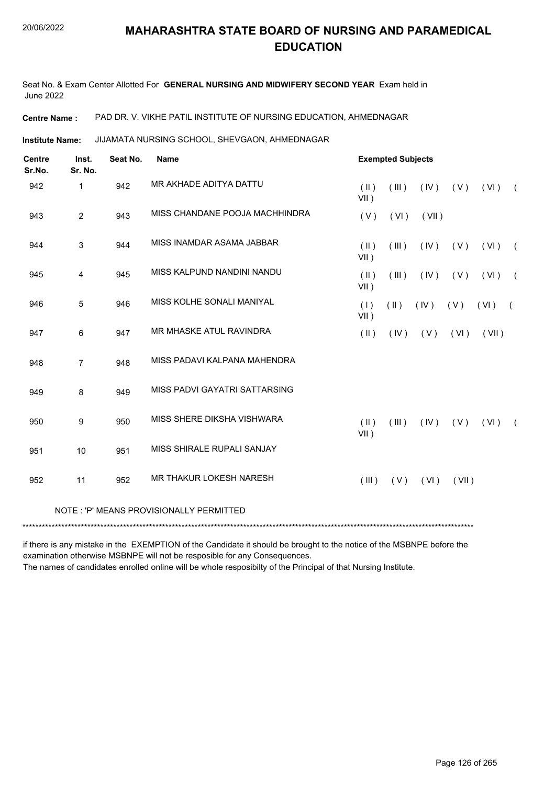Seat No. & Exam Center Allotted For **GENERAL NURSING AND MIDWIFERY SECOND YEAR** Exam held in June 2022

**Centre Name :** PAD DR. V. VIKHE PATIL INSTITUTE OF NURSING EDUCATION, AHMEDNAGAR

JIJAMATA NURSING SCHOOL, SHEVGAON, AHMEDNAGAR **Institute Name:**

| <b>Centre</b><br>Sr.No. | Inst.<br>Sr. No. | Seat No. | <b>Name</b>                             |                          | <b>Exempted Subjects</b> |       |       |       |            |
|-------------------------|------------------|----------|-----------------------------------------|--------------------------|--------------------------|-------|-------|-------|------------|
| 942                     | $\mathbf{1}$     | 942      | MR AKHADE ADITYA DATTU                  | $(\parallel)$<br>VII)    | (III)                    | (IV)  | (V)   | (VI)  | $\sqrt{2}$ |
| 943                     | $\overline{2}$   | 943      | MISS CHANDANE POOJA MACHHINDRA          | (V)                      | (VI)                     | (VII) |       |       |            |
| 944                     | 3                | 944      | MISS INAMDAR ASAMA JABBAR               | $($ II $)$<br>$VII$ )    | (III)                    | (IV)  | (V)   | (VI)  | $\sqrt{2}$ |
| 945                     | 4                | 945      | MISS KALPUND NANDINI NANDU              | $(\parallel)$<br>$VII$ ) | (III)                    | (IV)  | (V)   | (VI)  | $\sqrt{2}$ |
| 946                     | 5                | 946      | MISS KOLHE SONALI MANIYAL               | (1)<br>$VII$ )           | $(\parallel)$            | (IV)  | (V)   | (VI)  | $\sqrt{ }$ |
| 947                     | 6                | 947      | MR MHASKE ATUL RAVINDRA                 | $($ II $)$               | (IV)                     | (V)   | (VI)  | (VII) |            |
| 948                     | $\overline{7}$   | 948      | MISS PADAVI KALPANA MAHENDRA            |                          |                          |       |       |       |            |
| 949                     | 8                | 949      | MISS PADVI GAYATRI SATTARSING           |                          |                          |       |       |       |            |
| 950                     | 9                | 950      | MISS SHERE DIKSHA VISHWARA              | $($ II $)$<br>$VII$ )    | (III)                    | (IV)  | (V)   | (VI)  | $\left($   |
| 951                     | 10               | 951      | MISS SHIRALE RUPALI SANJAY              |                          |                          |       |       |       |            |
| 952                     | 11               | 952      | <b>MR THAKUR LOKESH NARESH</b>          | $($ III $)$              | (V)                      | (VI)  | (VII) |       |            |
|                         |                  |          | NOTE: 'P' MEANS PROVISIONALLY PERMITTED |                          |                          |       |       |       |            |
|                         |                  |          |                                         |                          |                          |       |       |       |            |

if there is any mistake in the EXEMPTION of the Candidate it should be brought to the notice of the MSBNPE before the examination otherwise MSBNPE will not be resposible for any Consequences.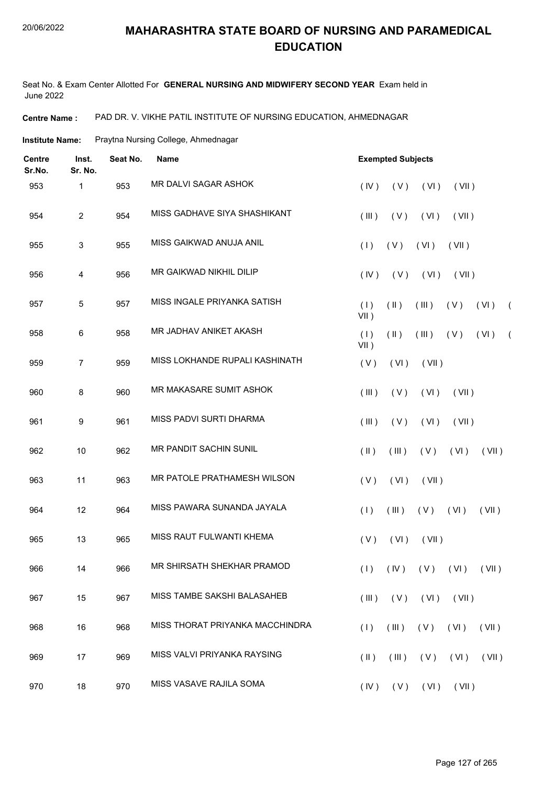Seat No. & Exam Center Allotted For **GENERAL NURSING AND MIDWIFERY SECOND YEAR** Exam held in June 2022

**Centre Name :** PAD DR. V. VIKHE PATIL INSTITUTE OF NURSING EDUCATION, AHMEDNAGAR

**Institute Name:** Praytna Nursing College, Ahmednagar

| <b>Centre</b><br>Sr.No. | Inst.<br>Sr. No. | Seat No. | <b>Name</b>                     | <b>Exempted Subjects</b>                                              |  |
|-------------------------|------------------|----------|---------------------------------|-----------------------------------------------------------------------|--|
| 953                     | 1                | 953      | MR DALVI SAGAR ASHOK            | (VI)<br>(IV)<br>(V)<br>(VII)                                          |  |
| 954                     | $\overline{c}$   | 954      | MISS GADHAVE SIYA SHASHIKANT    | (III)<br>(V)<br>(VI)<br>(VII)                                         |  |
| 955                     | 3                | 955      | MISS GAIKWAD ANUJA ANIL         | (1)<br>(V)<br>(VI)<br>(VII)                                           |  |
| 956                     | 4                | 956      | <b>MR GAIKWAD NIKHIL DILIP</b>  | (VI)<br>(IV)<br>(V)<br>(VII)                                          |  |
| 957                     | 5                | 957      | MISS INGALE PRIYANKA SATISH     | (1)<br>$(\parallel)$<br>(III)<br>(V)<br>(VI)<br>$\left($<br>$VII$ )   |  |
| 958                     | 6                | 958      | MR JADHAV ANIKET AKASH          | (1)<br>$(\parallel)$<br>(III)<br>(V)<br>(VI)<br>$\sqrt{2}$<br>$VII$ ) |  |
| 959                     | $\overline{7}$   | 959      | MISS LOKHANDE RUPALI KASHINATH  | (V)<br>(VI)<br>(VII)                                                  |  |
| 960                     | 8                | 960      | MR MAKASARE SUMIT ASHOK         | (III)<br>(V)<br>(VI)<br>(VII)                                         |  |
| 961                     | 9                | 961      | MISS PADVI SURTI DHARMA         | (V)<br>(VI)<br>(III)<br>(VII)                                         |  |
| 962                     | 10               | 962      | MR PANDIT SACHIN SUNIL          | $(\parallel)$<br>(III)<br>(V)<br>(VI)<br>(VII)                        |  |
| 963                     | 11               | 963      | MR PATOLE PRATHAMESH WILSON     | (V)<br>(VI)<br>(VII)                                                  |  |
| 964                     | 12               | 964      | MISS PAWARA SUNANDA JAYALA      | $(V)$ $(V)$<br>(1)<br>(III)<br>(VII)                                  |  |
| 965                     | 13               | 965      | MISS RAUT FULWANTI KHEMA        | (V)<br>(VI)<br>(VII)                                                  |  |
| 966                     | 14               | 966      | MR SHIRSATH SHEKHAR PRAMOD      | $(1)$ $(IV)$ $(V)$ $(VI)$ $(VII)$                                     |  |
| 967                     | 15               | 967      | MISS TAMBE SAKSHI BALASAHEB     | $(V)$ $(VI)$ $(VII)$<br>(III)                                         |  |
| 968                     | 16               | 968      | MISS THORAT PRIYANKA MACCHINDRA | (1)<br>(III)<br>(V)<br>(VI)<br>(VII)                                  |  |
| 969                     | 17               | 969      | MISS VALVI PRIYANKA RAYSING     | $(III)$ $(V)$ $(VI)$<br>(VII)<br>$(\parallel)$                        |  |
| 970                     | 18               | 970      | MISS VASAVE RAJILA SOMA         | (IV)<br>$(V)$ $(VI)$<br>(VII)                                         |  |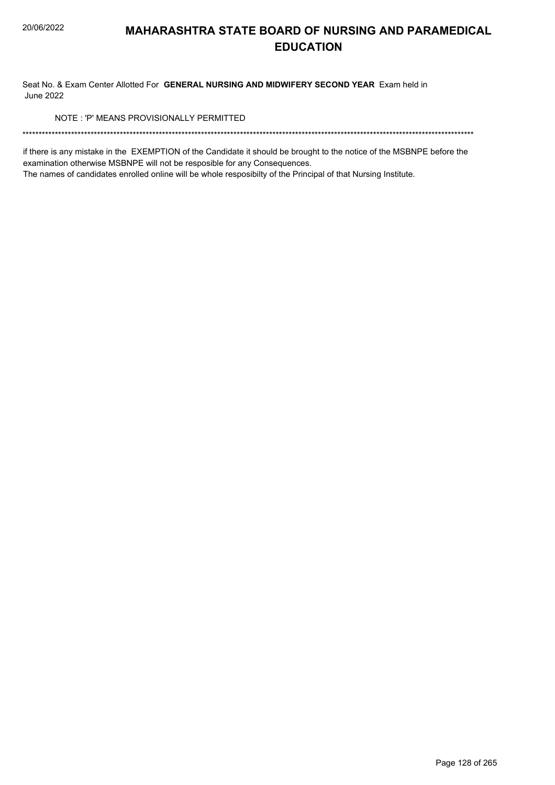Seat No. & Exam Center Allotted For GENERAL NURSING AND MIDWIFERY SECOND YEAR Exam held in **June 2022** 

NOTE: 'P' MEANS PROVISIONALLY PERMITTED

if there is any mistake in the EXEMPTION of the Candidate it should be brought to the notice of the MSBNPE before the examination otherwise MSBNPE will not be resposible for any Consequences.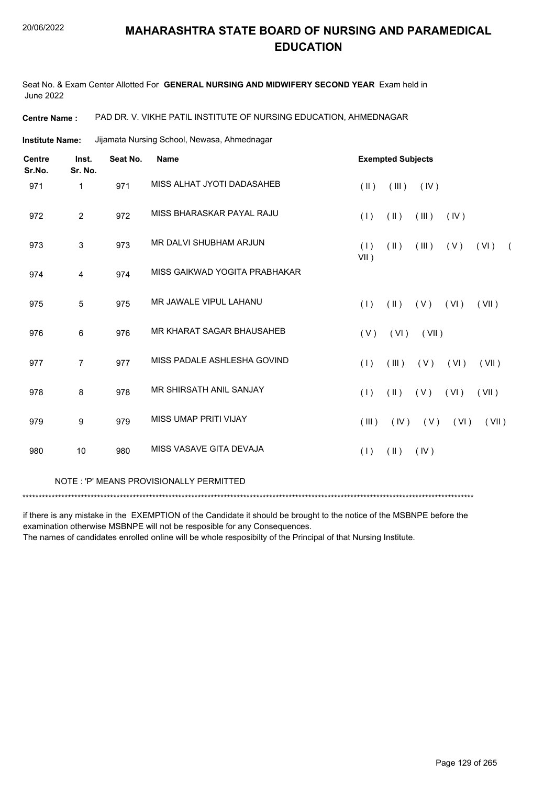Seat No. & Exam Center Allotted For **GENERAL NURSING AND MIDWIFERY SECOND YEAR** Exam held in June 2022

**Centre Name :** PAD DR. V. VIKHE PATIL INSTITUTE OF NURSING EDUCATION, AHMEDNAGAR

Jijamata Nursing School, Newasa, Ahmednagar **Institute Name:**

| $\sqrt{2}$ |
|------------|
|            |
|            |
|            |
|            |
|            |
| (VII)      |
|            |
| (VII)      |

NOTE : 'P' MEANS PROVISIONALLY PERMITTED

\*\*\*\*\*\*\*\*\*\*\*\*\*\*\*\*\*\*\*\*\*\*\*\*\*\*\*\*\*\*\*\*\*\*\*\*\*\*\*\*\*\*\*\*\*\*\*\*\*\*\*\*\*\*\*\*\*\*\*\*\*\*\*\*\*\*\*\*\*\*\*\*\*\*\*\*\*\*\*\*\*\*\*\*\*\*\*\*\*\*\*\*\*\*\*\*\*\*\*\*\*\*\*\*\*\*\*\*\*\*\*\*\*\*\*\*\*\*\*\*\*\*\*\*\*\*\*\*\*\*\*\*\*\*\*\*\*\*\*

if there is any mistake in the EXEMPTION of the Candidate it should be brought to the notice of the MSBNPE before the examination otherwise MSBNPE will not be resposible for any Consequences.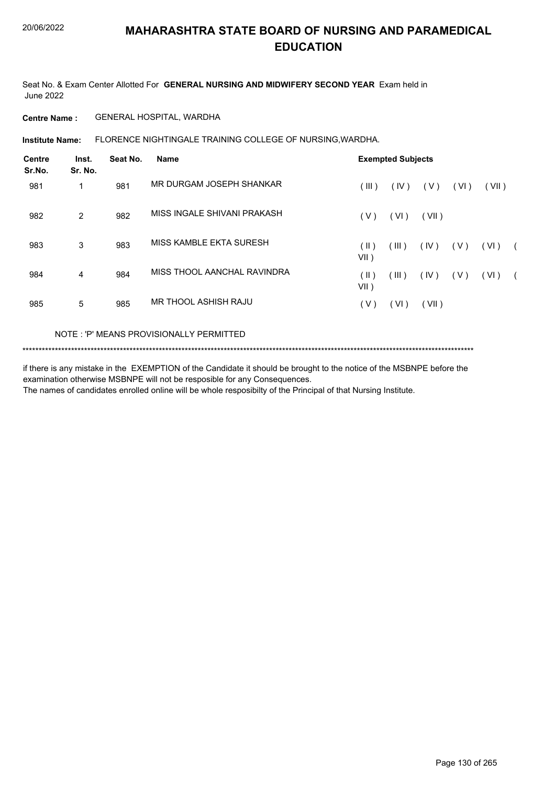Seat No. & Exam Center Allotted For **GENERAL NURSING AND MIDWIFERY SECOND YEAR** Exam held in June 2022

**Centre Name :** GENERAL HOSPITAL, WARDHA

FLORENCE NIGHTINGALE TRAINING COLLEGE OF NURSING,WARDHA. **Institute Name:**

| <b>Centre</b><br>Sr.No. | Inst.<br>Sr. No. | Seat No. | <b>Name</b>                 |                    | <b>Exempted Subjects</b> |       |       |       |            |
|-------------------------|------------------|----------|-----------------------------|--------------------|--------------------------|-------|-------|-------|------------|
| 981                     | 1                | 981      | MR DURGAM JOSEPH SHANKAR    | (III)              | (IV)                     | ( V ) | (VI)  | (VII) |            |
| 982                     | $\overline{2}$   | 982      | MISS INGALE SHIVANI PRAKASH | (V)                | (VI)                     | (VII) |       |       |            |
| 983                     | 3                | 983      | MISS KAMBLE EKTA SURESH     | $($ II $)$<br>VII) | (III)                    | (IV)  | ( V ) | (VI)  | $\sqrt{2}$ |
| 984                     | 4                | 984      | MISS THOOL AANCHAL RAVINDRA | (  )<br>VII)       | (III)                    | (IV)  | ( V ) | (VI)  | $\sqrt{2}$ |
| 985                     | 5                | 985      | MR THOOL ASHISH RAJU        | ( V )              | VI)                      | (VII) |       |       |            |

### NOTE : 'P' MEANS PROVISIONALLY PERMITTED

\*\*\*\*\*\*\*\*\*\*\*\*\*\*\*\*\*\*\*\*\*\*\*\*\*\*\*\*\*\*\*\*\*\*\*\*\*\*\*\*\*\*\*\*\*\*\*\*\*\*\*\*\*\*\*\*\*\*\*\*\*\*\*\*\*\*\*\*\*\*\*\*\*\*\*\*\*\*\*\*\*\*\*\*\*\*\*\*\*\*\*\*\*\*\*\*\*\*\*\*\*\*\*\*\*\*\*\*\*\*\*\*\*\*\*\*\*\*\*\*\*\*\*\*\*\*\*\*\*\*\*\*\*\*\*\*\*\*\*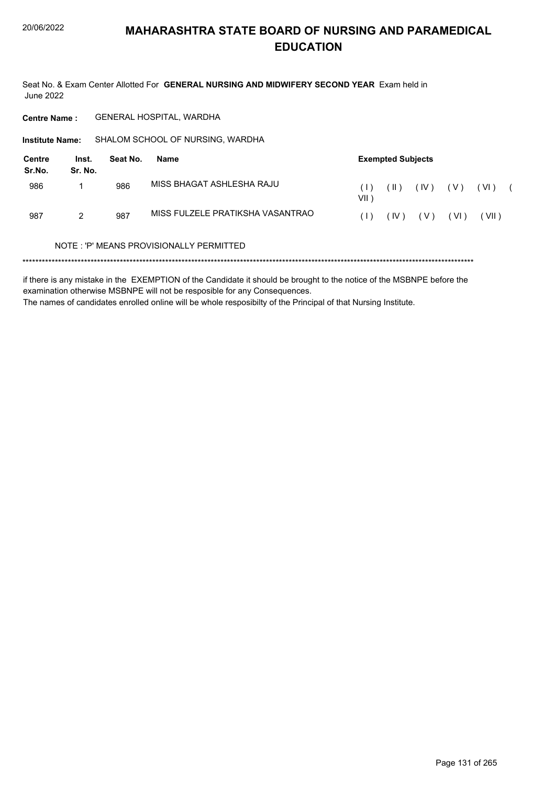Seat No. & Exam Center Allotted For GENERAL NURSING AND MIDWIFERY SECOND YEAR Exam held in **June 2022** 

GENERAL HOSPITAL, WARDHA **Centre Name:** 

Institute Name: SHALOM SCHOOL OF NURSING, WARDHA

| Centre<br>Sr.No. | Inst.<br>Sr. No. | Seat No. | Name                             |               | <b>Exempted Subjects</b> |      |       |        |  |
|------------------|------------------|----------|----------------------------------|---------------|--------------------------|------|-------|--------|--|
| 986              |                  | 986      | MISS BHAGAT ASHLESHA RAJU        | VII )         | $\vert \vert \vert$ )    | (IV) | ( V ) | ( VI ) |  |
| 987              | 2                | 987      | MISS FULZELE PRATIKSHA VASANTRAO | $( \;   \; )$ | (IV)                     | (V)  | (VI)  | VII)   |  |

#### NOTE: 'P' MEANS PROVISIONALLY PERMITTED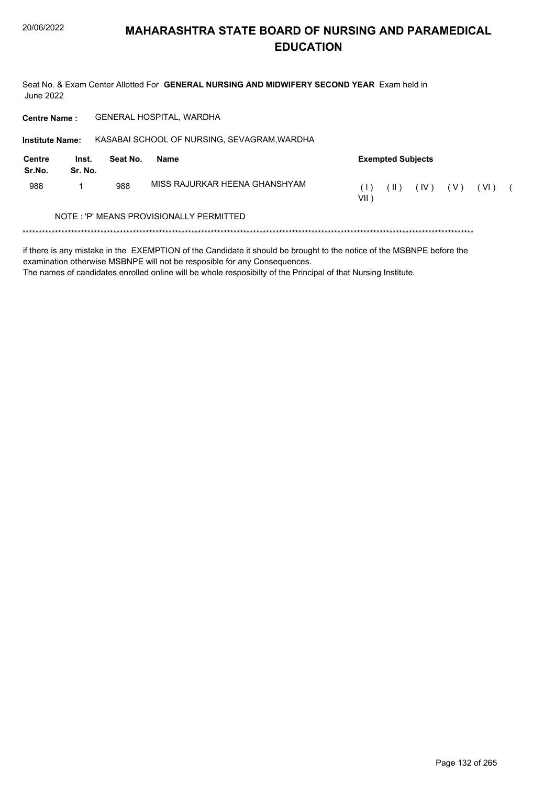Seat No. & Exam Center Allotted For GENERAL NURSING AND MIDWIFERY SECOND YEAR Exam held in **June 2022** 

Centre Name : GENERAL HOSPITAL, WARDHA

| <b>Institute Name:</b> |                  |          | KASABAI SCHOOL OF NURSING, SEVAGRAM, WARDHA |              |                          |      |     |        |  |
|------------------------|------------------|----------|---------------------------------------------|--------------|--------------------------|------|-----|--------|--|
| Centre<br>Sr.No.       | Inst.<br>Sr. No. | Seat No. | Name                                        |              | <b>Exempted Subjects</b> |      |     |        |  |
| 988                    |                  | 988      | MISS RAJURKAR HEENA GHANSHYAM               | (1)<br>VII 1 | ( II )                   | (IV) | (V) | ( VI ) |  |
|                        |                  |          | NOTE: 'P' MEANS PROVISIONALLY PERMITTED     |              |                          |      |     |        |  |
|                        |                  |          |                                             |              |                          |      |     |        |  |

if there is any mistake in the EXEMPTION of the Candidate it should be brought to the notice of the MSBNPE before the examination otherwise MSBNPE will not be resposible for any Consequences.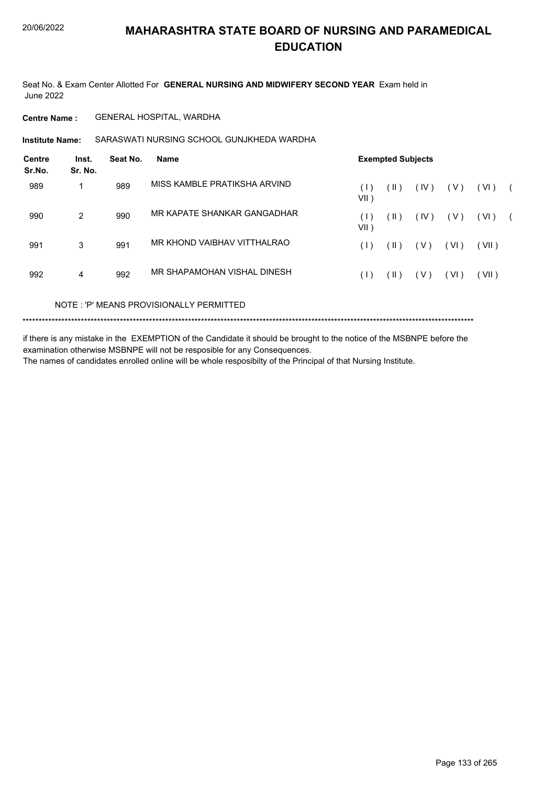Seat No. & Exam Center Allotted For **GENERAL NURSING AND MIDWIFERY SECOND YEAR** Exam held in June 2022

**Centre Name :** GENERAL HOSPITAL, WARDHA

**Institute Name:** SARASWATI NURSING SCHOOL GUNJKHEDA WARDHA

| <b>Centre</b><br>Sr.No. | Inst.<br>Sr. No. | Seat No. | <b>Name</b>                  |                        | <b>Exempted Subjects</b>   |       |       |       |  |
|-------------------------|------------------|----------|------------------------------|------------------------|----------------------------|-------|-------|-------|--|
| 989                     |                  | 989      | MISS KAMBLE PRATIKSHA ARVIND | $( \;   \; )$<br>VII ) | $\left( \parallel \right)$ | (IV)  | ( V ) | (VI)  |  |
| 990                     | 2                | 990      | MR KAPATE SHANKAR GANGADHAR  | (1)<br>VII )           | (  )                       | (IV)  | ( V ) | (VI)  |  |
| 991                     | 3                | 991      | MR KHOND VAIBHAV VITTHALRAO  | (1)                    | (  )                       | ( V ) | (VI)  | (VII) |  |
| 992                     | 4                | 992      | MR SHAPAMOHAN VISHAL DINESH  | (1)                    | $($ II $)$                 | ( V ) | (VI)  | (VII) |  |
|                         |                  |          |                              |                        |                            |       |       |       |  |

NOTE : 'P' MEANS PROVISIONALLY PERMITTED

\*\*\*\*\*\*\*\*\*\*\*\*\*\*\*\*\*\*\*\*\*\*\*\*\*\*\*\*\*\*\*\*\*\*\*\*\*\*\*\*\*\*\*\*\*\*\*\*\*\*\*\*\*\*\*\*\*\*\*\*\*\*\*\*\*\*\*\*\*\*\*\*\*\*\*\*\*\*\*\*\*\*\*\*\*\*\*\*\*\*\*\*\*\*\*\*\*\*\*\*\*\*\*\*\*\*\*\*\*\*\*\*\*\*\*\*\*\*\*\*\*\*\*\*\*\*\*\*\*\*\*\*\*\*\*\*\*\*\*

if there is any mistake in the EXEMPTION of the Candidate it should be brought to the notice of the MSBNPE before the examination otherwise MSBNPE will not be resposible for any Consequences.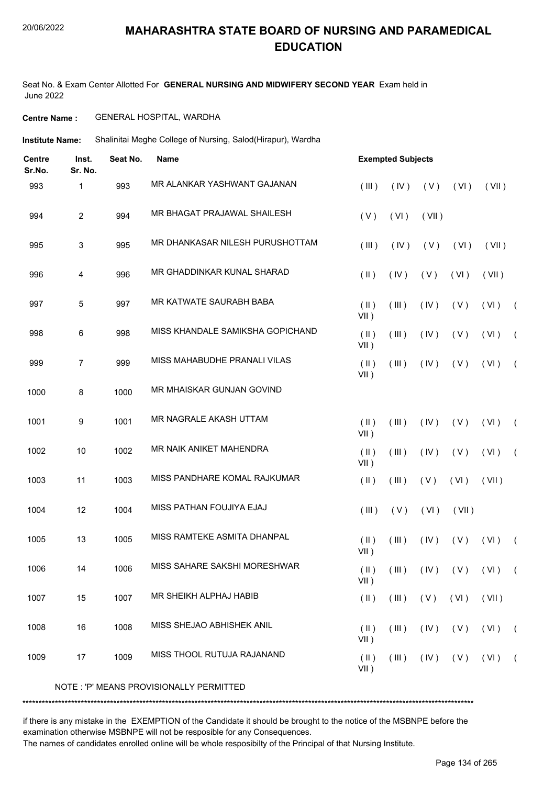Seat No. & Exam Center Allotted For **GENERAL NURSING AND MIDWIFERY SECOND YEAR** Exam held in June 2022

### **Centre Name :** GENERAL HOSPITAL, WARDHA

Shalinitai Meghe College of Nursing, Salod(Hirapur), Wardha **Institute Name:**

| <b>Centre</b><br>Sr.No. | Inst.<br>Sr. No. | Seat No. | <b>Name</b>                             |                                    | <b>Exempted Subjects</b> |       |       |                            |            |
|-------------------------|------------------|----------|-----------------------------------------|------------------------------------|--------------------------|-------|-------|----------------------------|------------|
| 993                     | 1                | 993      | MR ALANKAR YASHWANT GAJANAN             | (III)                              | (IV)                     | (V)   | (VI)  | (VII)                      |            |
| 994                     | $\overline{2}$   | 994      | MR BHAGAT PRAJAWAL SHAILESH             | (V)                                | (VI)                     | (VII) |       |                            |            |
| 995                     | 3                | 995      | MR DHANKASAR NILESH PURUSHOTTAM         | (III)                              | (IV)                     | (V)   | (VI)  | (VII)                      |            |
| 996                     | 4                | 996      | MR GHADDINKAR KUNAL SHARAD              | $($ II $)$                         | (IV)                     | (V)   | (VI)  | (VII)                      |            |
| 997                     | 5                | 997      | MR KATWATE SAURABH BABA                 | $($ II $)$<br>$VII$ )              | (III)                    | (IV)  | (V)   | (VI)                       | $\sqrt{2}$ |
| 998                     | 6                | 998      | MISS KHANDALE SAMIKSHA GOPICHAND        | $($ II $)$<br>$VII$ )              | (III)                    | (IV)  | (V)   | (VI)                       | $\sqrt{ }$ |
| 999                     | $\overline{7}$   | 999      | MISS MAHABUDHE PRANALI VILAS            | $(\parallel)$<br>$VII$ )           | (III)                    | (IV)  | (V)   | (VI)                       | $\sqrt{2}$ |
| 1000                    | 8                | 1000     | MR MHAISKAR GUNJAN GOVIND               |                                    |                          |       |       |                            |            |
| 1001                    | 9                | 1001     | MR NAGRALE AKASH UTTAM                  | $($ II $)$<br>$VII$ )              | (III)                    | (IV)  | (V)   | (VI)                       | $\sqrt{2}$ |
| 1002                    | $10$             | 1002     | MR NAIK ANIKET MAHENDRA                 | $($ II $)$<br>$VII$ )              | (III)                    | (IV)  | (V)   | (VI)                       | $\sqrt{2}$ |
| 1003                    | 11               | 1003     | MISS PANDHARE KOMAL RAJKUMAR            | $($ II $)$                         | (III)                    | (V)   | (VI)  | (VII)                      |            |
| 1004                    | 12               | 1004     | MISS PATHAN FOUJIYA EJAJ                | (III)                              | (V)                      | (VI)  | (VII) |                            |            |
| 1005                    | 13               | 1005     | MISS RAMTEKE ASMITA DHANPAL             | $($ II $)$<br>$VII$ )              | (III)                    | (IV)  | (V)   | (VI)                       | $\left($   |
| 1006                    | 14               | 1006     | MISS SAHARE SAKSHI MORESHWAR            | $(\parallel \parallel)$<br>$VII$ ) | (III)                    |       |       | $(IV)$ $(V)$ $(VI)$ $(VI)$ |            |
| 1007                    | 15               | 1007     | MR SHEIKH ALPHAJ HABIB                  | $(\parallel)$                      | (III)                    | (V)   | (VI)  | (VII)                      |            |
| 1008                    | 16               | 1008     | MISS SHEJAO ABHISHEK ANIL               | $(\parallel)$<br>$VII$ )           | (III)                    | (IV)  | (V)   | (VI)                       | $\sqrt{2}$ |
| 1009                    | 17               | 1009     | MISS THOOL RUTUJA RAJANAND              | $($ II $)$<br>$VII$ )              | (III)                    | (IV)  | (V)   | (VI)                       | $\sqrt{2}$ |
|                         |                  |          | NOTE: 'P' MEANS PROVISIONALLY PERMITTED |                                    |                          |       |       |                            |            |

\*\*\*\*\*\*\*\*\*\*\*\*\*\*\*\*\*\*\*\*\*\*\*\*\*\*\*\*\*\*\*\*\*\*\*\*\*\*\*\*\*\*\*\*\*\*\*\*\*\*\*\*\*\*\*\*\*\*\*\*\*\*\*\*\*\*\*\*\*\*\*\*\*\*\*\*\*\*\*\*\*\*\*\*\*\*\*\*\*\*\*\*\*\*\*\*\*\*\*\*\*\*\*\*\*\*\*\*\*\*\*\*\*\*\*\*\*\*\*\*\*\*\*\*\*\*\*\*\*\*\*\*\*\*\*\*\*\*\*

if there is any mistake in the EXEMPTION of the Candidate it should be brought to the notice of the MSBNPE before the examination otherwise MSBNPE will not be resposible for any Consequences.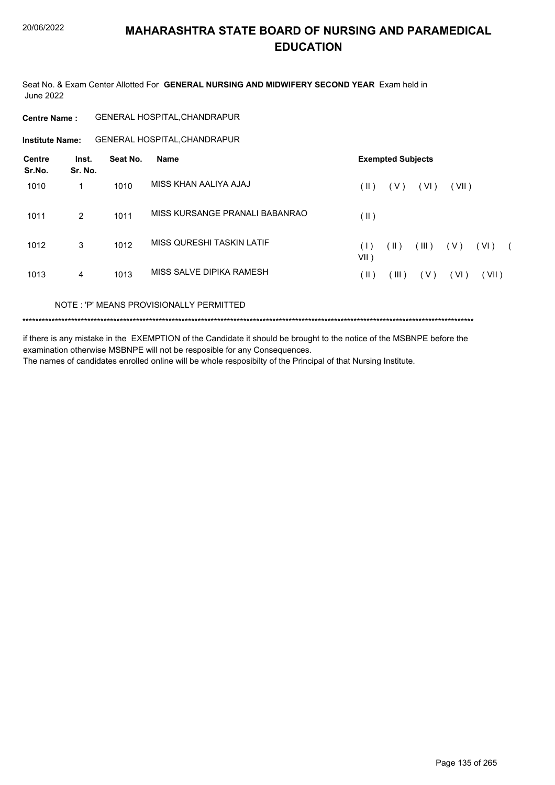Seat No. & Exam Center Allotted For **GENERAL NURSING AND MIDWIFERY SECOND YEAR** Exam held in June 2022

| <b>Centre Name :</b> | <b>GENERAL HOSPITAL, CHANDRAPUR</b> |  |
|----------------------|-------------------------------------|--|
|----------------------|-------------------------------------|--|

**Institute Name:** GENERAL HOSPITAL,CHANDRAPUR

| Centre<br>Sr.No. | Inst.<br>Sr. No. | Seat No. | <b>Name</b>                    |                | <b>Exempted Subjects</b> |       |       |       |            |
|------------------|------------------|----------|--------------------------------|----------------|--------------------------|-------|-------|-------|------------|
| 1010             |                  | 1010     | MISS KHAN AALIYA AJAJ          | (  )           | (V)                      | (VI)  | (VII) |       |            |
| 1011             | $\overline{2}$   | 1011     | MISS KURSANGE PRANALI BABANRAO | $($ II $)$     |                          |       |       |       |            |
| 1012             | 3                | 1012     | MISS QURESHI TASKIN LATIF      | (1)<br>$VII$ ) | $(\parallel)$            | (III) | (V)   | (VI)  | $\sqrt{2}$ |
| 1013             | 4                | 1013     | MISS SALVE DIPIKA RAMESH       | (Ⅱ)            | $($ III $)$              | (V)   | (VI)  | (VII) |            |
|                  |                  |          |                                |                |                          |       |       |       |            |

NOTE : 'P' MEANS PROVISIONALLY PERMITTED

\*\*\*\*\*\*\*\*\*\*\*\*\*\*\*\*\*\*\*\*\*\*\*\*\*\*\*\*\*\*\*\*\*\*\*\*\*\*\*\*\*\*\*\*\*\*\*\*\*\*\*\*\*\*\*\*\*\*\*\*\*\*\*\*\*\*\*\*\*\*\*\*\*\*\*\*\*\*\*\*\*\*\*\*\*\*\*\*\*\*\*\*\*\*\*\*\*\*\*\*\*\*\*\*\*\*\*\*\*\*\*\*\*\*\*\*\*\*\*\*\*\*\*\*\*\*\*\*\*\*\*\*\*\*\*\*\*\*\*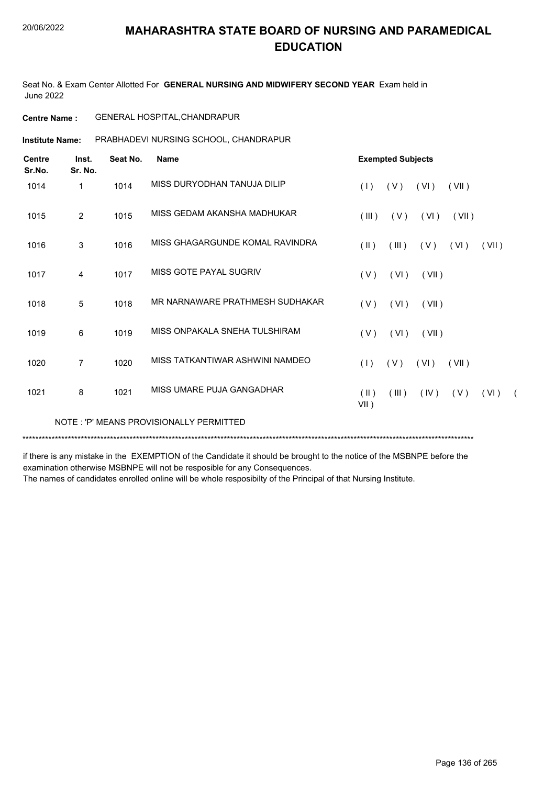Seat No. & Exam Center Allotted For **GENERAL NURSING AND MIDWIFERY SECOND YEAR** Exam held in June 2022

**Centre Name :** GENERAL HOSPITAL,CHANDRAPUR

**Institute Name: PRABHADEVI NURSING SCHOOL, CHANDRAPUR** 

| <b>Centre</b><br>Sr.No. | Inst.<br>Sr. No. | Seat No. | <b>Name</b>                             | <b>Exempted Subjects</b>                        |
|-------------------------|------------------|----------|-----------------------------------------|-------------------------------------------------|
| 1014                    | 1                | 1014     | MISS DURYODHAN TANUJA DILIP             | (1)<br>(V)<br>(VI)<br>(VII)                     |
| 1015                    | $\overline{2}$   | 1015     | MISS GEDAM AKANSHA MADHUKAR             | (III)<br>(V)<br>(VI)<br>(VII)                   |
| 1016                    | 3                | 1016     | MISS GHAGARGUNDE KOMAL RAVINDRA         | $(\parallel)$<br>(III)<br>(V)<br>(VI)<br>(VII)  |
| 1017                    | 4                | 1017     | MISS GOTE PAYAL SUGRIV                  | (VI)<br>(V)<br>(VII)                            |
| 1018                    | 5                | 1018     | MR NARNAWARE PRATHMESH SUDHAKAR         | (V)<br>(VI)<br>(VII)                            |
| 1019                    | 6                | 1019     | MISS ONPAKALA SNEHA TULSHIRAM           | (V)<br>(VI)<br>(VII)                            |
| 1020                    | $\overline{7}$   | 1020     | MISS TATKANTIWAR ASHWINI NAMDEO         | (1)<br>(V)<br>(VI)<br>(VII)                     |
| 1021                    | 8                | 1021     | MISS UMARE PUJA GANGADHAR               | (V)<br>(  )<br>(III)<br>(IV)<br>(VI)<br>$VII$ ) |
|                         |                  |          | NOTE: 'P' MEANS PROVISIONALLY PERMITTED |                                                 |

\*\*\*\*\*\*\*\*\*\*\*\*\*\*\*\*\*\*\*\*\*\*\*\*\*\*\*\*\*\*\*\*\*\*\*\*\*\*\*\*\*\*\*\*\*\*\*\*\*\*\*\*\*\*\*\*\*\*\*\*\*\*\*\*\*\*\*\*\*\*\*\*\*\*\*\*\*\*\*\*\*\*\*\*\*\*\*\*\*\*\*\*\*\*\*\*\*\*\*\*\*\*\*\*\*\*\*\*\*\*\*\*\*\*\*\*\*\*\*\*\*\*\*\*\*\*\*\*\*\*\*\*\*\*\*\*\*\*\*

if there is any mistake in the EXEMPTION of the Candidate it should be brought to the notice of the MSBNPE before the examination otherwise MSBNPE will not be resposible for any Consequences.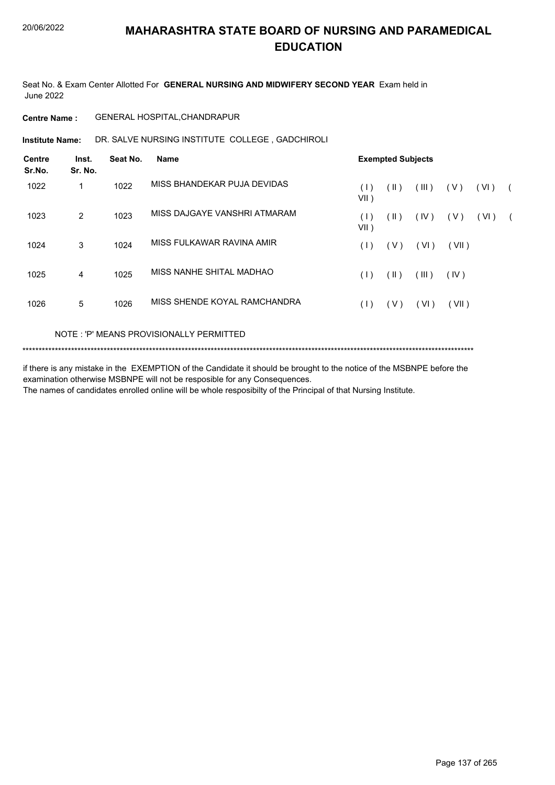Seat No. & Exam Center Allotted For **GENERAL NURSING AND MIDWIFERY SECOND YEAR** Exam held in June 2022

### **Centre Name :** GENERAL HOSPITAL,CHANDRAPUR

**Institute Name: DR. SALVE NURSING INSTITUTE COLLEGE, GADCHIROLI** 

| Inst.<br>Sr. No. | Seat No. | <b>Name</b>                  |                |               |       |                          |      |            |
|------------------|----------|------------------------------|----------------|---------------|-------|--------------------------|------|------------|
| 1                | 1022     | MISS BHANDEKAR PUJA DEVIDAS  | (1)<br>$VII$ ) | $(\parallel)$ | (III) | (V)                      | (VI) | $\sqrt{2}$ |
| $\overline{2}$   | 1023     | MISS DAJGAYE VANSHRI ATMARAM | (1)<br>VII)    | (  )          | (IV)  | ( V )                    | (VI) |            |
| 3                | 1024     | MISS FULKAWAR RAVINA AMIR    | (1)            | (V)           | (VI)  | (VII)                    |      |            |
| 4                | 1025     | MISS NANHE SHITAL MADHAO     | (1)            | $(\parallel)$ | (III) | (IV)                     |      |            |
| 5                | 1026     | MISS SHENDE KOYAL RAMCHANDRA | (1)            | ( V )         | (VI)  | (VII)                    |      |            |
|                  |          |                              |                |               |       | <b>Exempted Subjects</b> |      |            |

### NOTE : 'P' MEANS PROVISIONALLY PERMITTED

```
*******************************************************************************************************************************************
```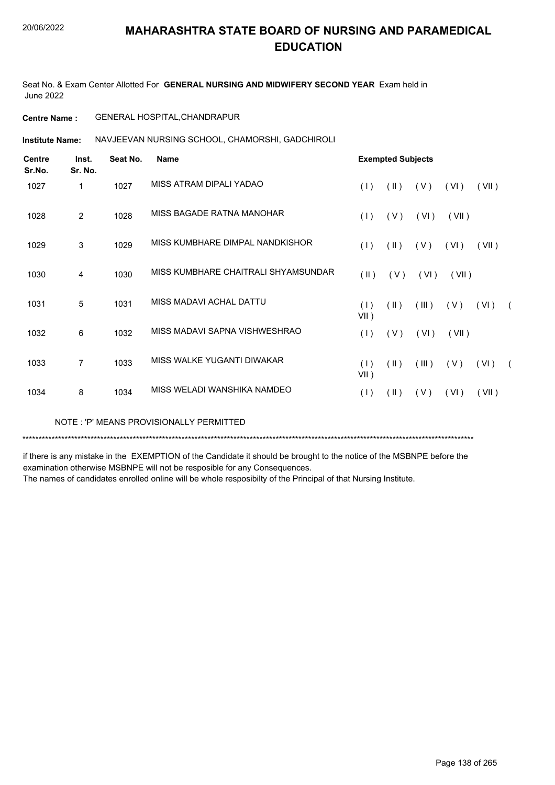Seat No. & Exam Center Allotted For **GENERAL NURSING AND MIDWIFERY SECOND YEAR** Exam held in June 2022

### **Centre Name :** GENERAL HOSPITAL,CHANDRAPUR

**Institute Name: NAVJEEVAN NURSING SCHOOL, CHAMORSHI, GADCHIROLI** 

| <b>Centre</b><br>Sr.No. | Inst.<br>Sr. No. | Seat No. | <b>Name</b>                         |                         | <b>Exempted Subjects</b> |       |       |       |  |
|-------------------------|------------------|----------|-------------------------------------|-------------------------|--------------------------|-------|-------|-------|--|
| 1027                    | 1                | 1027     | MISS ATRAM DIPALI YADAO             | (1)                     | $(\parallel)$            | (V)   | (VI)  | (VII) |  |
| 1028                    | 2                | 1028     | MISS BAGADE RATNA MANOHAR           | (1)                     | (V)                      | (VI)  | (VII) |       |  |
| 1029                    | 3                | 1029     | MISS KUMBHARE DIMPAL NANDKISHOR     | (1)                     | $(\parallel)$            | (V)   | (VI)  | (VII) |  |
| 1030                    | 4                | 1030     | MISS KUMBHARE CHAITRALI SHYAMSUNDAR | $(\parallel \parallel)$ | (V)                      | (VI)  | (VII) |       |  |
| 1031                    | 5                | 1031     | MISS MADAVI ACHAL DATTU             | (1)<br>$VII$ )          | (  )                     | (III) | (V)   | (VI)  |  |
| 1032                    | 6                | 1032     | MISS MADAVI SAPNA VISHWESHRAO       | (1)                     | (V)                      | (VI)  | (VII) |       |  |
| 1033                    | $\overline{7}$   | 1033     | MISS WALKE YUGANTI DIWAKAR          | (1)<br>$VII$ )          | $(\parallel)$            | (III) | (V)   | (VI)  |  |
| 1034                    | 8                | 1034     | MISS WELADI WANSHIKA NAMDEO         | (1)                     | (II)                     | (V)   | (VI)  | (VII) |  |

NOTE : 'P' MEANS PROVISIONALLY PERMITTED

\*\*\*\*\*\*\*\*\*\*\*\*\*\*\*\*\*\*\*\*\*\*\*\*\*\*\*\*\*\*\*\*\*\*\*\*\*\*\*\*\*\*\*\*\*\*\*\*\*\*\*\*\*\*\*\*\*\*\*\*\*\*\*\*\*\*\*\*\*\*\*\*\*\*\*\*\*\*\*\*\*\*\*\*\*\*\*\*\*\*\*\*\*\*\*\*\*\*\*\*\*\*\*\*\*\*\*\*\*\*\*\*\*\*\*\*\*\*\*\*\*\*\*\*\*\*\*\*\*\*\*\*\*\*\*\*\*\*\*

if there is any mistake in the EXEMPTION of the Candidate it should be brought to the notice of the MSBNPE before the examination otherwise MSBNPE will not be resposible for any Consequences.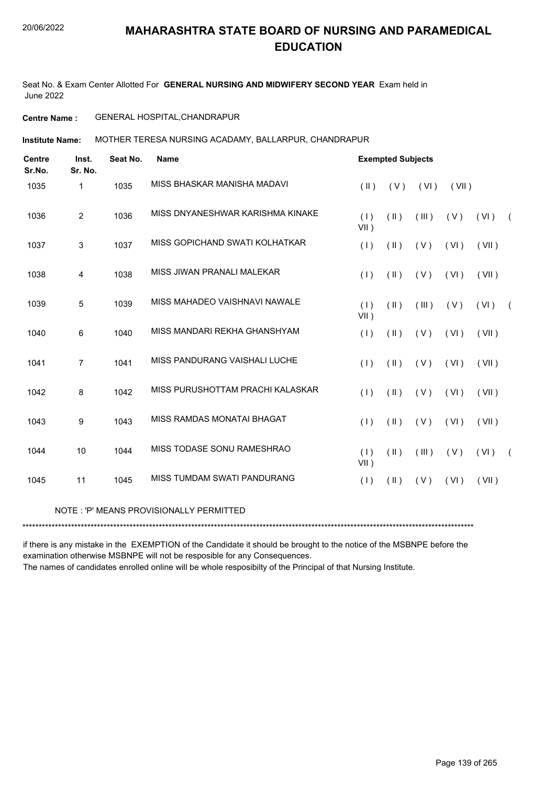Seat No. & Exam Center Allotted For **GENERAL NURSING AND MIDWIFERY SECOND YEAR** Exam held in June 2022

### **Centre Name :** GENERAL HOSPITAL,CHANDRAPUR

**Institute Name: MOTHER TERESA NURSING ACADAMY, BALLARPUR, CHANDRAPUR** 

| <b>Centre</b><br>Sr.No. | Inst.<br>Sr. No. | Seat No. | <b>Name</b>                             |                | <b>Exempted Subjects</b> |       |       |       |  |
|-------------------------|------------------|----------|-----------------------------------------|----------------|--------------------------|-------|-------|-------|--|
| 1035                    | $\mathbf{1}$     | 1035     | MISS BHASKAR MANISHA MADAVI             | $(\parallel)$  | (V)                      | (VI)  | (VII) |       |  |
| 1036                    | $\overline{2}$   | 1036     | MISS DNYANESHWAR KARISHMA KINAKE        | (1)<br>$VII$ ) | $($ II $)$               | (III) | (V)   | (VI)  |  |
| 1037                    | 3                | 1037     | MISS GOPICHAND SWATI KOLHATKAR          | (1)            | $(\parallel)$            | (V)   | (VI)  | (VII) |  |
| 1038                    | 4                | 1038     | MISS JIWAN PRANALI MALEKAR              | (1)            | $(\parallel)$            | (V)   | (VI)  | (VII) |  |
| 1039                    | $\overline{5}$   | 1039     | MISS MAHADEO VAISHNAVI NAWALE           | (1)<br>$VII$ ) | $(\parallel)$            | (III) | (V)   | (VI)  |  |
| 1040                    | 6                | 1040     | MISS MANDARI REKHA GHANSHYAM            | (1)            | $(\parallel)$            | (V)   | (VI)  | (VII) |  |
| 1041                    | $\overline{7}$   | 1041     | MISS PANDURANG VAISHALI LUCHE           | (1)            | $(\parallel)$            | (V)   | (VI)  | (VII) |  |
| 1042                    | 8                | 1042     | MISS PURUSHOTTAM PRACHI KALASKAR        | (1)            | $(\parallel)$            | (V)   | (VI)  | (VII) |  |
| 1043                    | 9                | 1043     | MISS RAMDAS MONATAI BHAGAT              | (1)            | $(\parallel)$            | (V)   | (VI)  | (VII) |  |
| 1044                    | 10               | 1044     | MISS TODASE SONU RAMESHRAO              | (1)<br>$VII$ ) | $($ II $)$               | (III) | (V)   | (VI)  |  |
| 1045                    | 11               | 1045     | MISS TUMDAM SWATI PANDURANG             | (1)            | $($ II $)$               | (V)   | (VI)  | (VII) |  |
|                         |                  |          | NOTE: 'P' MEANS PROVISIONALLY PERMITTED |                |                          |       |       |       |  |

\*\*\*\*\*\*\*\*\*\*\*\*\*\*\*\*\*\*\*\*\*\*\*\*\*\*\*\*\*\*\*\*\*\*\*\*\*\*\*\*\*\*\*\*\*\*\*\*\*\*\*\*\*\*\*\*\*\*\*\*\*\*\*\*\*\*\*\*\*\*\*\*\*\*\*\*\*\*\*\*\*\*\*\*\*\*\*\*\*\*\*\*\*\*\*\*\*\*\*\*\*\*\*\*\*\*\*\*\*\*\*\*\*\*\*\*\*\*\*\*\*\*\*\*\*\*\*\*\*\*\*\*\*\*\*\*\*\*\*

if there is any mistake in the EXEMPTION of the Candidate it should be brought to the notice of the MSBNPE before the examination otherwise MSBNPE will not be resposible for any Consequences.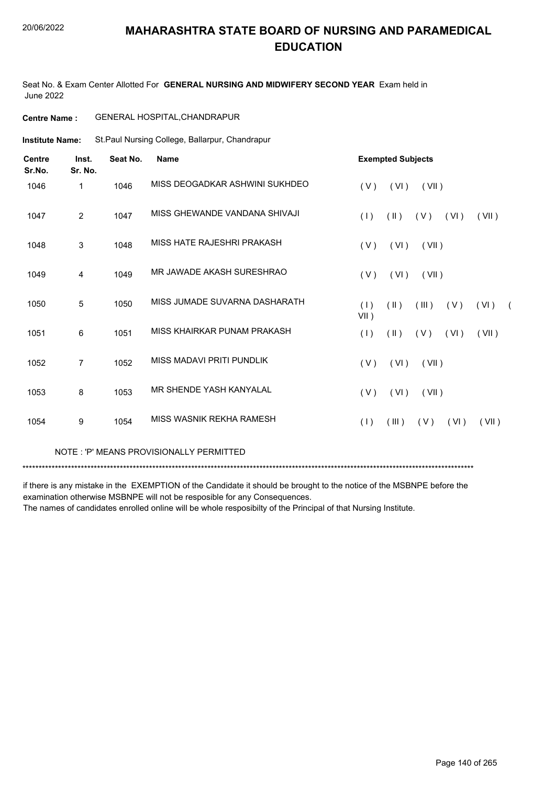Seat No. & Exam Center Allotted For **GENERAL NURSING AND MIDWIFERY SECOND YEAR** Exam held in June 2022

| <b>Centre Name :</b> | <b>GENERAL HOSPITAL, CHANDRAPUR</b> |  |
|----------------------|-------------------------------------|--|
|----------------------|-------------------------------------|--|

St.Paul Nursing College, Ballarpur, Chandrapur **Institute Name:**

| <b>Centre</b><br>Sr.No. | Inst.<br>Sr. No. | Seat No. | <b>Name</b>                    | <b>Exempted Subjects</b>                                              |
|-------------------------|------------------|----------|--------------------------------|-----------------------------------------------------------------------|
| 1046                    | 1                | 1046     | MISS DEOGADKAR ASHWINI SUKHDEO | (VI)<br>(VII)<br>(V)                                                  |
| 1047                    | $\overline{2}$   | 1047     | MISS GHEWANDE VANDANA SHIVAJI  | (1)<br>$(\parallel)$<br>(V)<br>(VI)<br>(VII)                          |
| 1048                    | $\mathbf{3}$     | 1048     | MISS HATE RAJESHRI PRAKASH     | (V)<br>(VI)<br>(VII)                                                  |
| 1049                    | 4                | 1049     | MR JAWADE AKASH SURESHRAO      | (V)<br>(VI)<br>(VII)                                                  |
| 1050                    | 5                | 1050     | MISS JUMADE SUVARNA DASHARATH  | (1)<br>$(\parallel)$<br>(III)<br>(V)<br>(VI)<br>$\sqrt{2}$<br>$VII$ ) |
| 1051                    | 6                | 1051     | MISS KHAIRKAR PUNAM PRAKASH    | (VII)<br>(1)<br>$(\parallel)$<br>(V)<br>(VI)                          |
| 1052                    | 7                | 1052     | MISS MADAVI PRITI PUNDLIK      | (V)<br>(VI)<br>(VII)                                                  |
| 1053                    | 8                | 1053     | MR SHENDE YASH KANYALAL        | (VI)<br>(VII)<br>(V)                                                  |
| 1054                    | 9                | 1054     | MISS WASNIK REKHA RAMESH       | (1)<br>(III)<br>(V)<br>(VI)<br>(VII)                                  |

NOTE : 'P' MEANS PROVISIONALLY PERMITTED

\*\*\*\*\*\*\*\*\*\*\*\*\*\*\*\*\*\*\*\*\*\*\*\*\*\*\*\*\*\*\*\*\*\*\*\*\*\*\*\*\*\*\*\*\*\*\*\*\*\*\*\*\*\*\*\*\*\*\*\*\*\*\*\*\*\*\*\*\*\*\*\*\*\*\*\*\*\*\*\*\*\*\*\*\*\*\*\*\*\*\*\*\*\*\*\*\*\*\*\*\*\*\*\*\*\*\*\*\*\*\*\*\*\*\*\*\*\*\*\*\*\*\*\*\*\*\*\*\*\*\*\*\*\*\*\*\*\*\*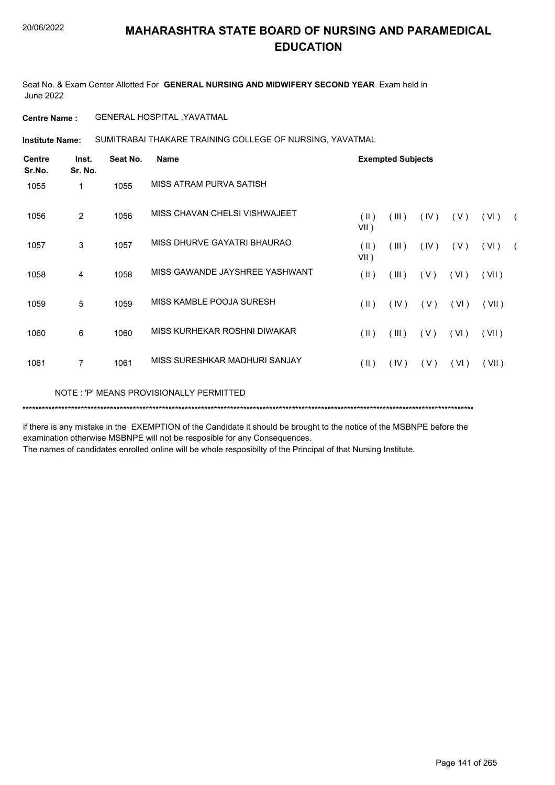Seat No. & Exam Center Allotted For **GENERAL NURSING AND MIDWIFERY SECOND YEAR** Exam held in June 2022

**Centre Name :** GENERAL HOSPITAL ,YAVATMAL

**Institute Name:** SUMITRABAI THAKARE TRAINING COLLEGE OF NURSING, YAVATMAL

| <b>Centre</b><br>Sr.No. | Inst.<br>Sr. No. | Seat No. | Name                                    |                          | <b>Exempted Subjects</b> |      |      |       |            |
|-------------------------|------------------|----------|-----------------------------------------|--------------------------|--------------------------|------|------|-------|------------|
| 1055                    | 1                | 1055     | MISS ATRAM PURVA SATISH                 |                          |                          |      |      |       |            |
| 1056                    | 2                | 1056     | MISS CHAVAN CHELSI VISHWAJEET           | (II)<br>$VII$ )          | (III)                    | (IV) | (V)  | (VI)  | $\sqrt{2}$ |
| 1057                    | 3                | 1057     | MISS DHURVE GAYATRI BHAURAO             | $(\parallel)$<br>$VII$ ) | (III)                    | (IV) | (V)  | (VI)  | $\sqrt{2}$ |
| 1058                    | 4                | 1058     | MISS GAWANDE JAYSHREE YASHWANT          | $($ II $)$               | (III)                    | (V)  | (VI) | (VII) |            |
| 1059                    | 5                | 1059     | MISS KAMBLE POOJA SURESH                | $($ II $)$               | (IV)                     | (V)  | (VI) | (VII) |            |
| 1060                    | 6                | 1060     | MISS KURHEKAR ROSHNI DIWAKAR            | $($ II $)$               | (III)                    | (V)  | (VI) | (VII) |            |
| 1061                    | 7                | 1061     | MISS SURESHKAR MADHURI SANJAY           | $(\parallel)$            | (IV)                     | (V)  | (VI) | (VII) |            |
|                         |                  |          | NOTE: 'P' MEANS PROVISIONALLY PERMITTED |                          |                          |      |      |       |            |

\*\*\*\*\*\*\*\*\*\*\*\*\*\*\*\*\*\*\*\*\*\*\*\*\*\*\*\*\*\*\*\*\*\*\*\*\*\*\*\*\*\*\*\*\*\*\*\*\*\*\*\*\*\*\*\*\*\*\*\*\*\*\*\*\*\*\*\*\*\*\*\*\*\*\*\*\*\*\*\*\*\*\*\*\*\*\*\*\*\*\*\*\*\*\*\*\*\*\*\*\*\*\*\*\*\*\*\*\*\*\*\*\*\*\*\*\*\*\*\*\*\*\*\*\*\*\*\*\*\*\*\*\*\*\*\*\*\*\*

if there is any mistake in the EXEMPTION of the Candidate it should be brought to the notice of the MSBNPE before the examination otherwise MSBNPE will not be resposible for any Consequences.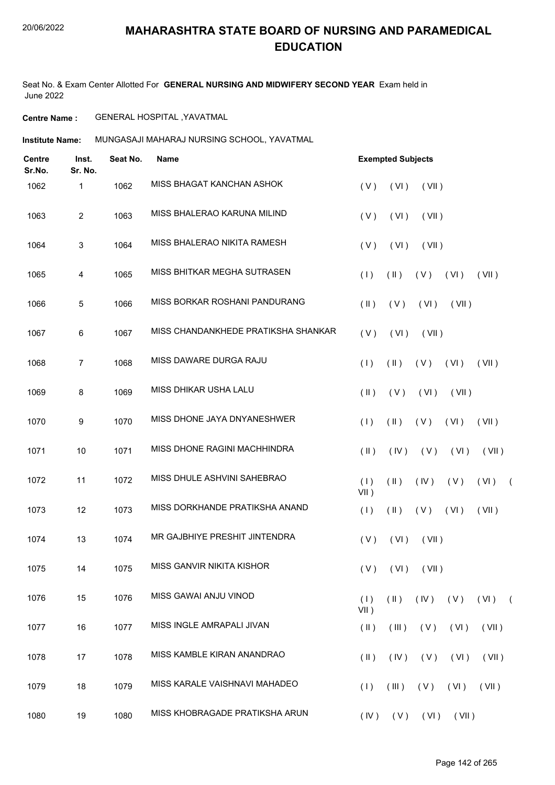Seat No. & Exam Center Allotted For **GENERAL NURSING AND MIDWIFERY SECOND YEAR** Exam held in June 2022

**Centre Name :** GENERAL HOSPITAL ,YAVATMAL

**Institute Name:** MUNGASAJI MAHARAJ NURSING SCHOOL, YAVATMAL

| <b>Centre</b><br>Sr.No. | Inst.<br>Sr. No. | Seat No. | Name                                | <b>Exempted Subjects</b> |                         |                      |                             |          |            |
|-------------------------|------------------|----------|-------------------------------------|--------------------------|-------------------------|----------------------|-----------------------------|----------|------------|
| 1062                    | 1                | 1062     | MISS BHAGAT KANCHAN ASHOK           | (V)                      | (VI)                    | (VII)                |                             |          |            |
| 1063                    | $\overline{2}$   | 1063     | MISS BHALERAO KARUNA MILIND         | (V)                      | (VI)                    | (VII)                |                             |          |            |
| 1064                    | 3                | 1064     | MISS BHALERAO NIKITA RAMESH         | (V)                      | (VI)                    | (VII)                |                             |          |            |
| 1065                    | 4                | 1065     | MISS BHITKAR MEGHA SUTRASEN         | (1)                      | $(\parallel)$           | (V)                  | (VI)                        | (VII)    |            |
| 1066                    | 5                | 1066     | MISS BORKAR ROSHANI PANDURANG       | $(\parallel)$            | (V)                     | (VI)                 | (VII)                       |          |            |
| 1067                    | 6                | 1067     | MISS CHANDANKHEDE PRATIKSHA SHANKAR | (V)                      | (VI)                    | (VII)                |                             |          |            |
| 1068                    | $\overline{7}$   | 1068     | MISS DAWARE DURGA RAJU              | (1)                      | $(\parallel)$           | (V)                  | (VI)                        | (VII)    |            |
| 1069                    | 8                | 1069     | MISS DHIKAR USHA LALU               | $(\parallel \parallel)$  | (V)                     | (VI)                 | (VII)                       |          |            |
| 1070                    | 9                | 1070     | MISS DHONE JAYA DNYANESHWER         | (1)                      | $(\parallel)$           | (V)                  | (VI)                        | (VII)    |            |
| 1071                    | 10               | 1071     | MISS DHONE RAGINI MACHHINDRA        | $(\parallel)$            | (IV)                    | (V)                  | (VI)                        | (VII)    |            |
| 1072                    | 11               | 1072     | MISS DHULE ASHVINI SAHEBRAO         | (1)<br>$VII$ )           | (11)                    | (IV)                 | (V)                         | (VI)     | $\sqrt{2}$ |
| 1073                    | 12               | 1073     | MISS DORKHANDE PRATIKSHA ANAND      | (1)                      | $(\parallel)$           | (V)                  | (VI)                        | (VII)    |            |
| 1074                    | 13               | 1074     | MR GAJBHIYE PRESHIT JINTENDRA       | (V)                      | (VI)                    | (VII)                |                             |          |            |
| 1075                    | 14               | 1075     | MISS GANVIR NIKITA KISHOR           |                          |                         | $(V)$ $(VI)$ $(VII)$ |                             |          |            |
| 1076                    | 15               | 1076     | MISS GAWAI ANJU VINOD               | (1)<br>$VII$ )           | $(\parallel \parallel)$ |                      | $(IV)$ $(V)$                | $(VI)$ ( |            |
| 1077                    | 16               | 1077     | MISS INGLE AMRAPALI JIVAN           | $(\parallel)$            | (III)                   | (V)                  | (VI)                        | (VII)    |            |
| 1078                    | 17               | 1078     | MISS KAMBLE KIRAN ANANDRAO          | $(\parallel \parallel)$  | (IV)                    | (V)                  | (VI)                        | (VII)    |            |
| 1079                    | 18               | 1079     | MISS KARALE VAISHNAVI MAHADEO       | (1)                      | (III)                   | $(V)$ $(VI)$         |                             | (VII)    |            |
| 1080                    | 19               | 1080     | MISS KHOBRAGADE PRATIKSHA ARUN      |                          |                         |                      | $(IV)$ $(V)$ $(VI)$ $(VII)$ |          |            |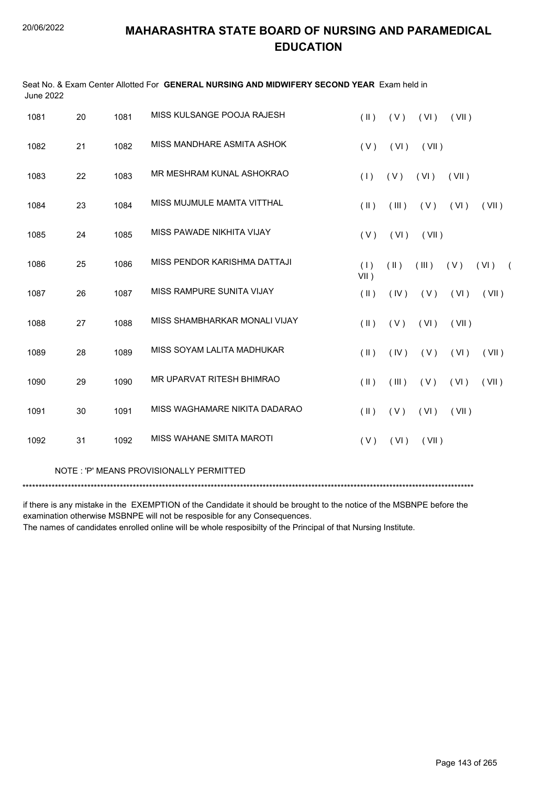| <b>June 2022</b> |    |      | Seat No. & Exam Center Allotted For GENERAL NURSING AND MIDWIFERY SECOND YEAR Exam held in |                         |               |       |       |                    |
|------------------|----|------|--------------------------------------------------------------------------------------------|-------------------------|---------------|-------|-------|--------------------|
| 1081             | 20 | 1081 | MISS KULSANGE POOJA RAJESH                                                                 | $($ II $)$              | (V)           | (VI)  | (VII) |                    |
| 1082             | 21 | 1082 | MISS MANDHARE ASMITA ASHOK                                                                 | (V)                     | (VI)          | (VII) |       |                    |
| 1083             | 22 | 1083 | MR MESHRAM KUNAL ASHOKRAO                                                                  | (1)                     | (V)           | (VI)  | (VII) |                    |
| 1084             | 23 | 1084 | MISS MUJMULE MAMTA VITTHAL                                                                 | $(\parallel)$           | (III)         | (V)   | (VI)  | (VII)              |
| 1085             | 24 | 1085 | MISS PAWADE NIKHITA VIJAY                                                                  | (V)                     | (VI)          | (VII) |       |                    |
| 1086             | 25 | 1086 | MISS PENDOR KARISHMA DATTAJI                                                               | (1)<br>$VII$ )          | $(\parallel)$ | (III) | (V)   | (VI)<br>$\sqrt{2}$ |
| 1087             | 26 | 1087 | MISS RAMPURE SUNITA VIJAY                                                                  | (II)                    | (IV)          | (V)   | (VI)  | (VII)              |
| 1088             | 27 | 1088 | MISS SHAMBHARKAR MONALI VIJAY                                                              | $(\parallel \parallel)$ | (V)           | (VI)  | (VII) |                    |
| 1089             | 28 | 1089 | MISS SOYAM LALITA MADHUKAR                                                                 | $(\parallel)$           | (IV)          | (V)   | (VI)  | (VII)              |
| 1090             | 29 | 1090 | MR UPARVAT RITESH BHIMRAO                                                                  | $(\parallel)$           | (III)         | (V)   | (VI)  | (VII)              |
| 1091             | 30 | 1091 | MISS WAGHAMARE NIKITA DADARAO                                                              | $(\parallel \parallel)$ | (V)           | (VI)  | (VII) |                    |
| 1092             | 31 | 1092 | MISS WAHANE SMITA MAROTI                                                                   | (V)                     | (VI)          | (VII) |       |                    |
|                  |    |      | NOTE: 'P' MEANS PROVISIONALLY PERMITTED                                                    |                         |               |       |       |                    |

\*\*\*\*\*\*\*\*\*\*\*\*\*\*\*\*\*\*\*\*\*\*\*\*\*\*\*\*\*\*\*\*\*\*\*\*\*\*\*\*\*\*\*\*\*\*\*\*\*\*\*\*\*\*\*\*\*\*\*\*\*\*\*\*\*\*\*\*\*\*\*\*\*\*\*\*\*\*\*\*\*\*\*\*\*\*\*\*\*\*\*\*\*\*\*\*\*\*\*\*\*\*\*\*\*\*\*\*\*\*\*\*\*\*\*\*\*\*\*\*\*\*\*\*\*\*\*\*\*\*\*\*\*\*\*\*\*\*\*

if there is any mistake in the EXEMPTION of the Candidate it should be brought to the notice of the MSBNPE before the examination otherwise MSBNPE will not be resposible for any Consequences.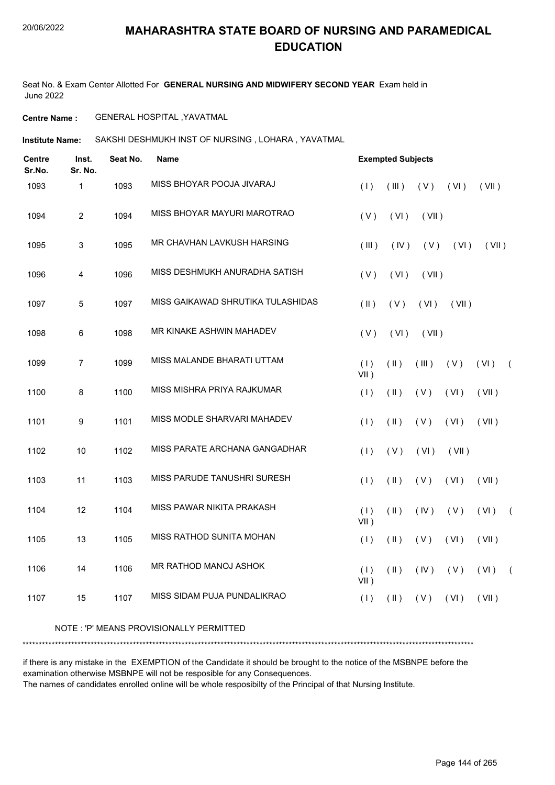Seat No. & Exam Center Allotted For **GENERAL NURSING AND MIDWIFERY SECOND YEAR** Exam held in June 2022

**Centre Name :** GENERAL HOSPITAL ,YAVATMAL

**Institute Name:** SAKSHI DESHMUKH INST OF NURSING , LOHARA , YAVATMAL

| <b>Centre</b><br>Sr.No. | Inst.<br>Sr. No. | Seat No. | <b>Name</b>                        | <b>Exempted Subjects</b> |               |       |       |       |          |
|-------------------------|------------------|----------|------------------------------------|--------------------------|---------------|-------|-------|-------|----------|
| 1093                    | 1                | 1093     | MISS BHOYAR POOJA JIVARAJ          | (1)                      | (III)         | (V)   | (VI)  | (VII) |          |
| 1094                    | 2                | 1094     | MISS BHOYAR MAYURI MAROTRAO        | (V)                      | (VI)          | (VII) |       |       |          |
| 1095                    | 3                | 1095     | MR CHAVHAN LAVKUSH HARSING         | (III)                    | (IV)          | (V)   | (VI)  | (VII) |          |
| 1096                    | 4                | 1096     | MISS DESHMUKH ANURADHA SATISH      | (V)                      | (VI)          | (VII) |       |       |          |
| 1097                    | 5                | 1097     | MISS GAIKAWAD SHRUTIKA TULASHIDAS  | $($ II $)$               | (V)           | (VI)  | (VII) |       |          |
| 1098                    | 6                | 1098     | MR KINAKE ASHWIN MAHADEV           | (V)                      | (VI)          | (VII) |       |       |          |
| 1099                    | $\overline{7}$   | 1099     | MISS MALANDE BHARATI UTTAM         | (1)<br>$VII$ )           | $(\parallel)$ | (III) | (V)   | (VI)  | $\left($ |
| 1100                    | 8                | 1100     | MISS MISHRA PRIYA RAJKUMAR         | (1)                      | $(\parallel)$ | (V)   | (VI)  | (VII) |          |
| 1101                    | 9                | 1101     | MISS MODLE SHARVARI MAHADEV        | (1)                      | $(\parallel)$ | (V)   | (VI)  | (VII) |          |
| 1102                    | 10               | 1102     | MISS PARATE ARCHANA GANGADHAR      | (1)                      | (V)           | (VI)  | (VII) |       |          |
| 1103                    | 11               | 1103     | <b>MISS PARUDE TANUSHRI SURESH</b> | (1)                      | $($ II $)$    | (V)   | (VI)  | (VII) |          |
| 1104                    | 12               | 1104     | MISS PAWAR NIKITA PRAKASH          | (1)<br>VII)              | $(\parallel)$ | (IV)  | (V)   | (VI)  | $\left($ |
| 1105                    | 13               | 1105     | MISS RATHOD SUNITA MOHAN           | (1)                      | $(\parallel)$ | (V)   | (VI)  | (VII) |          |
| 1106                    | 14               | 1106     | MR RATHOD MANOJ ASHOK              | (1)<br>VII)              | $($ II $)$    | (IV)  | (V)   | (VI)  | $\left($ |
| 1107                    | 15               | 1107     | MISS SIDAM PUJA PUNDALIKRAO        | (1)                      | $(\parallel)$ | (V)   | (VI)  | (VII) |          |
|                         |                  |          |                                    |                          |               |       |       |       |          |

#### NOTE : 'P' MEANS PROVISIONALLY PERMITTED

\*\*\*\*\*\*\*\*\*\*\*\*\*\*\*\*\*\*\*\*\*\*\*\*\*\*\*\*\*\*\*\*\*\*\*\*\*\*\*\*\*\*\*\*\*\*\*\*\*\*\*\*\*\*\*\*\*\*\*\*\*\*\*\*\*\*\*\*\*\*\*\*\*\*\*\*\*\*\*\*\*\*\*\*\*\*\*\*\*\*\*\*\*\*\*\*\*\*\*\*\*\*\*\*\*\*\*\*\*\*\*\*\*\*\*\*\*\*\*\*\*\*\*\*\*\*\*\*\*\*\*\*\*\*\*\*\*\*\*

if there is any mistake in the EXEMPTION of the Candidate it should be brought to the notice of the MSBNPE before the examination otherwise MSBNPE will not be resposible for any Consequences.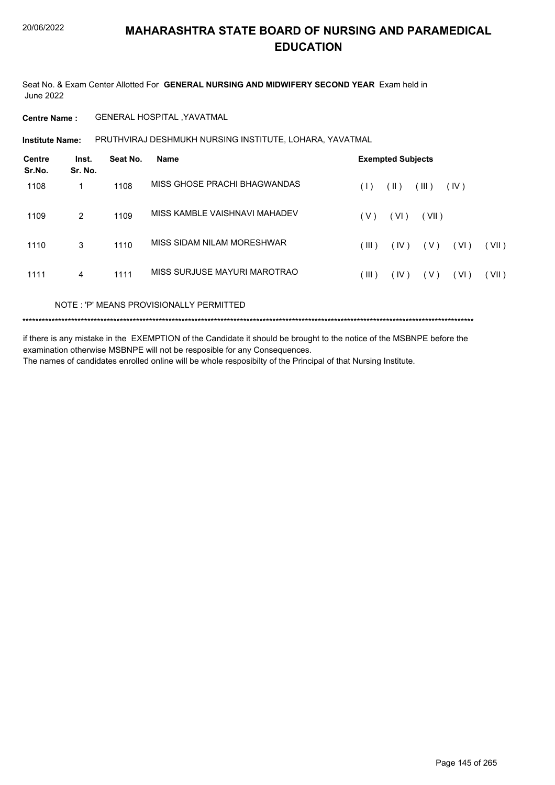Seat No. & Exam Center Allotted For **GENERAL NURSING AND MIDWIFERY SECOND YEAR** Exam held in June 2022

**Centre Name :** GENERAL HOSPITAL ,YAVATMAL

**Institute Name: PRUTHVIRAJ DESHMUKH NURSING INSTITUTE, LOHARA, YAVATMAL** 

| <b>Centre</b><br>Sr.No. | Inst.<br>Sr. No. | Seat No. | <b>Name</b>                   | <b>Exempted Subjects</b>                  |
|-------------------------|------------------|----------|-------------------------------|-------------------------------------------|
| 1108                    | 1                | 1108     | MISS GHOSE PRACHI BHAGWANDAS  | (III)<br>(IV)<br>$(\parallel)$<br>(1)     |
| 1109                    | 2                | 1109     | MISS KAMBLE VAISHNAVI MAHADEV | (VI)<br>(V)<br>(VII)                      |
| 1110                    | 3                | 1110     | MISS SIDAM NILAM MORESHWAR    | (VI)<br>(III)<br>(IV)<br>( V )<br>(VII)   |
| 1111                    | 4                | 1111     | MISS SURJUSE MAYURI MAROTRAO  | (VI)<br>(VII)<br>$($ III )<br>(IV)<br>(V) |
|                         |                  |          |                               |                                           |

NOTE : 'P' MEANS PROVISIONALLY PERMITTED

\*\*\*\*\*\*\*\*\*\*\*\*\*\*\*\*\*\*\*\*\*\*\*\*\*\*\*\*\*\*\*\*\*\*\*\*\*\*\*\*\*\*\*\*\*\*\*\*\*\*\*\*\*\*\*\*\*\*\*\*\*\*\*\*\*\*\*\*\*\*\*\*\*\*\*\*\*\*\*\*\*\*\*\*\*\*\*\*\*\*\*\*\*\*\*\*\*\*\*\*\*\*\*\*\*\*\*\*\*\*\*\*\*\*\*\*\*\*\*\*\*\*\*\*\*\*\*\*\*\*\*\*\*\*\*\*\*\*\*

if there is any mistake in the EXEMPTION of the Candidate it should be brought to the notice of the MSBNPE before the examination otherwise MSBNPE will not be resposible for any Consequences.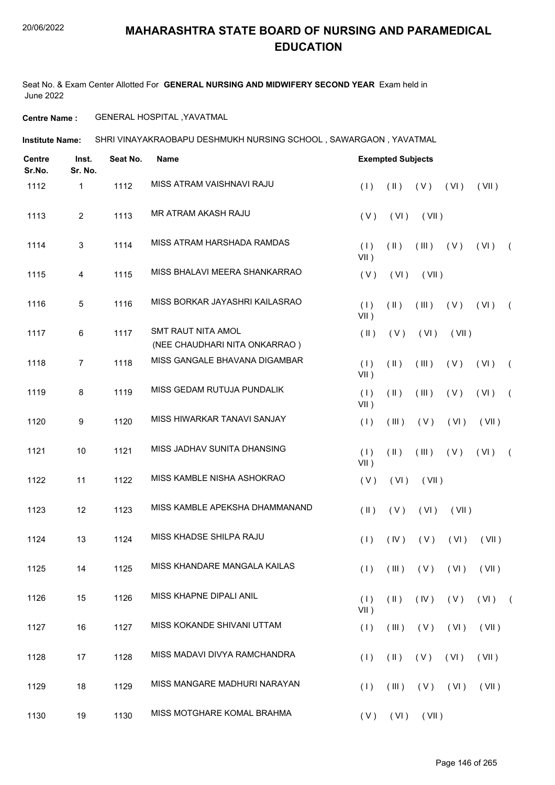Seat No. & Exam Center Allotted For **GENERAL NURSING AND MIDWIFERY SECOND YEAR** Exam held in June 2022

**Centre Name :** GENERAL HOSPITAL ,YAVATMAL

**Institute Name: SHRI VINAYAKRAOBAPU DESHMUKH NURSING SCHOOL , SAWARGAON , YAVATMAL** 

| <b>Centre</b><br>Sr.No. | Inst.<br>Sr. No. | Seat No. | <b>Name</b>                                         |                         | <b>Exempted Subjects</b> |       |                                   |       |            |
|-------------------------|------------------|----------|-----------------------------------------------------|-------------------------|--------------------------|-------|-----------------------------------|-------|------------|
| 1112                    | 1                | 1112     | MISS ATRAM VAISHNAVI RAJU                           | (1)                     | $(\parallel)$            | (V)   | (VI)                              | (VII) |            |
| 1113                    | $\overline{2}$   | 1113     | MR ATRAM AKASH RAJU                                 | (V)                     | (VI)                     | (VII) |                                   |       |            |
| 1114                    | 3                | 1114     | MISS ATRAM HARSHADA RAMDAS                          | (1)<br>VII)             | $(\parallel)$            | (III) | (V)                               | (VI)  | $\left($   |
| 1115                    | 4                | 1115     | MISS BHALAVI MEERA SHANKARRAO                       | (V)                     | (VI)                     | (VII) |                                   |       |            |
| 1116                    | 5                | 1116     | MISS BORKAR JAYASHRI KAILASRAO                      | (1)<br>VII)             | $(\parallel)$            | (III) | (V)                               | (VI)  | $\sqrt{2}$ |
| 1117                    | 6                | 1117     | SMT RAUT NITA AMOL<br>(NEE CHAUDHARI NITA ONKARRAO) | $(\parallel \parallel)$ | (V)                      | (VI)  | (VII)                             |       |            |
| 1118                    | $\overline{7}$   | 1118     | MISS GANGALE BHAVANA DIGAMBAR                       | (1)<br>$VII$ )          | $(\parallel)$            | (III) | (V)                               | (VI)  | $\sqrt{2}$ |
| 1119                    | 8                | 1119     | MISS GEDAM RUTUJA PUNDALIK                          | (1)<br>$VII$ )          | $(\parallel)$            | (III) | (V)                               | (VI)  | $\sqrt{2}$ |
| 1120                    | 9                | 1120     | MISS HIWARKAR TANAVI SANJAY                         | (1)                     | (III)                    | (V)   | (VI)                              | (VII) |            |
| 1121                    | 10               | 1121     | MISS JADHAV SUNITA DHANSING                         | (1)<br>$VII$ )          | $(\parallel)$            | (III) | (V)                               | (VI)  | $\sqrt{2}$ |
| 1122                    | 11               | 1122     | MISS KAMBLE NISHA ASHOKRAO                          | (V)                     | (VI)                     | (VII) |                                   |       |            |
| 1123                    | 12               | 1123     | MISS KAMBLE APEKSHA DHAMMANAND                      | $(\parallel \parallel)$ | (V)                      | (VI)  | (VII)                             |       |            |
| 1124                    | 13               | 1124     | MISS KHADSE SHILPA RAJU                             | (1)                     | (IV)                     | (V)   | (VI)                              | (VII) |            |
| 1125                    | 14               | 1125     | MISS KHANDARE MANGALA KAILAS                        |                         |                          |       | $(1)$ $(11)$ $(11)$ $(11)$ $(11)$ |       |            |
| 1126                    | 15               | 1126     | MISS KHAPNE DIPALI ANIL                             | (1)<br>$VII$ )          | $(\parallel)$            | (IV)  | (V)                               | (VI)  | $\sqrt{2}$ |
| 1127                    | 16               | 1127     | MISS KOKANDE SHIVANI UTTAM                          | (1)                     | (III)                    | (V)   | (VI)                              | (VII) |            |
| 1128                    | 17               | 1128     | MISS MADAVI DIVYA RAMCHANDRA                        | (1)                     | $(\parallel)$            | (V)   | (VI)                              | (VII) |            |
| 1129                    | 18               | 1129     | MISS MANGARE MADHURI NARAYAN                        | (1)                     | (III)                    |       | $(V)$ $(V)$                       | (VII) |            |
| 1130                    | 19               | 1130     | MISS MOTGHARE KOMAL BRAHMA                          | (V)                     | (VI)                     | (VII) |                                   |       |            |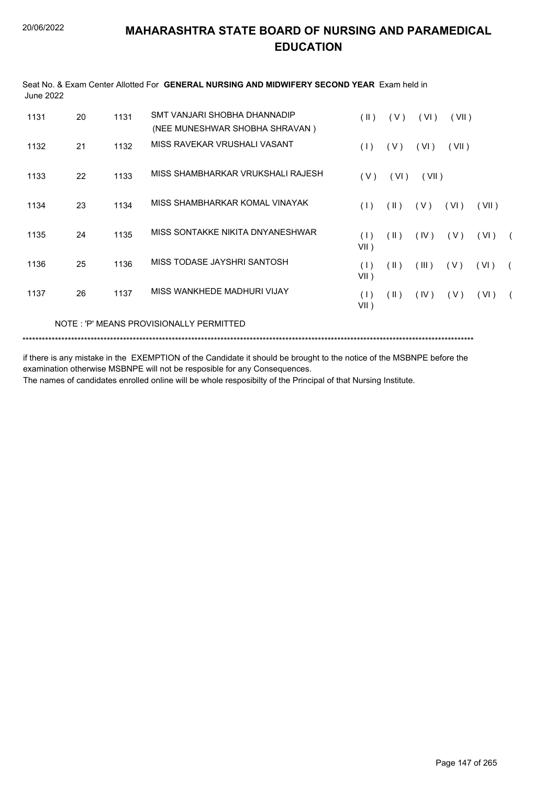| June 2022 |    |      |                                         |                |                         |       |       |       |            |
|-----------|----|------|-----------------------------------------|----------------|-------------------------|-------|-------|-------|------------|
| 1131      | 20 | 1131 | SMT VANJARI SHOBHA DHANNADIP            | $(\parallel)$  | (V)                     | (VI)  | (VII) |       |            |
|           |    |      | (NEE MUNESHWAR SHOBHA SHRAVAN)          |                |                         |       |       |       |            |
| 1132      | 21 | 1132 | MISS RAVEKAR VRUSHALI VASANT            | (1)            | (V)                     | (VI)  | (VII) |       |            |
| 1133      | 22 | 1133 | MISS SHAMBHARKAR VRUKSHALI RAJESH       | (V)            | (VI)                    | (VII) |       |       |            |
| 1134      | 23 | 1134 | MISS SHAMBHARKAR KOMAL VINAYAK          | (1)            | $(\parallel)$           | (V)   | (VI)  | (VII) |            |
| 1135      | 24 | 1135 | MISS SONTAKKE NIKITA DNYANESHWAR        | (1)<br>VII)    | $($ II $)$              | (IV)  | (V)   | (VI)  | $\sqrt{2}$ |
| 1136      | 25 | 1136 | MISS TODASE JAYSHRI SANTOSH             | (1)<br>$VII$ ) | $(\parallel)$           | (III) | ( V ) | (VI)  | $\sqrt{2}$ |
| 1137      | 26 | 1137 | MISS WANKHEDE MADHURI VIJAY             | (1)<br>$VII$ ) | $(\parallel \parallel)$ | (IV)  | (V)   | (VI)  | $\sqrt{2}$ |
|           |    |      | NOTE: 'P' MEANS PROVISIONALLY PERMITTED |                |                         |       |       |       |            |

Seat No. & Exam Center Allotted For **GENERAL NURSING AND MIDWIFERY SECOND YEAR** Exam held in

\*\*\*\*\*\*\*\*\*\*\*\*\*\*\*\*\*\*\*\*\*\*\*\*\*\*\*\*\*\*\*\*\*\*\*\*\*\*\*\*\*\*\*\*\*\*\*\*\*\*\*\*\*\*\*\*\*\*\*\*\*\*\*\*\*\*\*\*\*\*\*\*\*\*\*\*\*\*\*\*\*\*\*\*\*\*\*\*\*\*\*\*\*\*\*\*\*\*\*\*\*\*\*\*\*\*\*\*\*\*\*\*\*\*\*\*\*\*\*\*\*\*\*\*\*\*\*\*\*\*\*\*\*\*\*\*\*\*\*

if there is any mistake in the EXEMPTION of the Candidate it should be brought to the notice of the MSBNPE before the examination otherwise MSBNPE will not be resposible for any Consequences.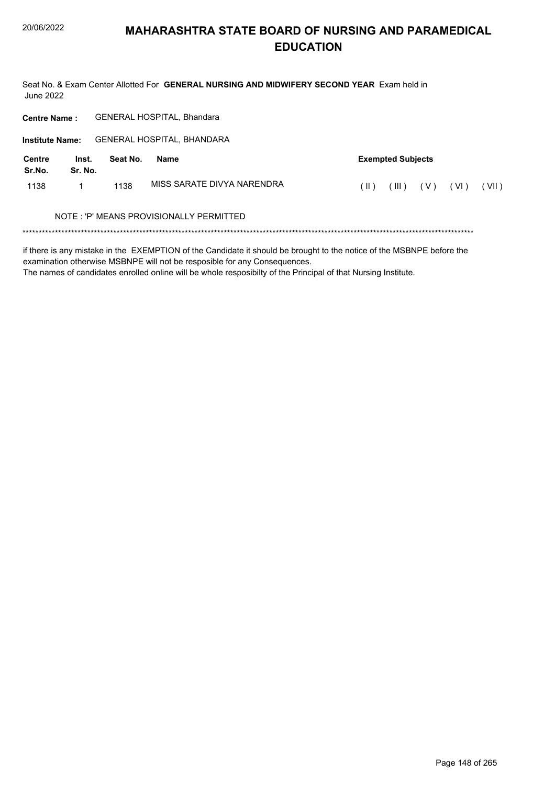Seat No. & Exam Center Allotted For GENERAL NURSING AND MIDWIFERY SECOND YEAR Exam held in **June 2022** 

| <b>Centre Name:</b>    |                  | <b>GENERAL HOSPITAL, Bhandara</b> |             |                                                                                                                       |                               |                          |        |       |  |
|------------------------|------------------|-----------------------------------|-------------|-----------------------------------------------------------------------------------------------------------------------|-------------------------------|--------------------------|--------|-------|--|
| <b>Institute Name:</b> |                  | GENERAL HOSPITAL, BHANDARA        |             |                                                                                                                       |                               |                          |        |       |  |
| Centre<br>Sr.No.       | Inst.<br>Sr. No. | Seat No.                          | <b>Name</b> |                                                                                                                       |                               | <b>Exempted Subjects</b> |        |       |  |
| 1138                   | 1                | 1138                              |             | MISS SARATE DIVYA NARENDRA                                                                                            | $(\parallel)$<br>(V)<br>(III) |                          | ( VI ) | (VII) |  |
|                        |                  |                                   |             | NOTE: 'P' MEANS PROVISIONALLY PERMITTED                                                                               |                               |                          |        |       |  |
|                        |                  |                                   |             | if there is any mistake in the EVEMDTION of the Candidate it should be brought to the paties of the MCDNDE hefere the |                               |                          |        |       |  |

if there is any mistake in the EXEMPTION of the Candidate it should be brought to the notice of the MSBNPE before the examination otherwise MSBNPE will not be resposible for any Consequences.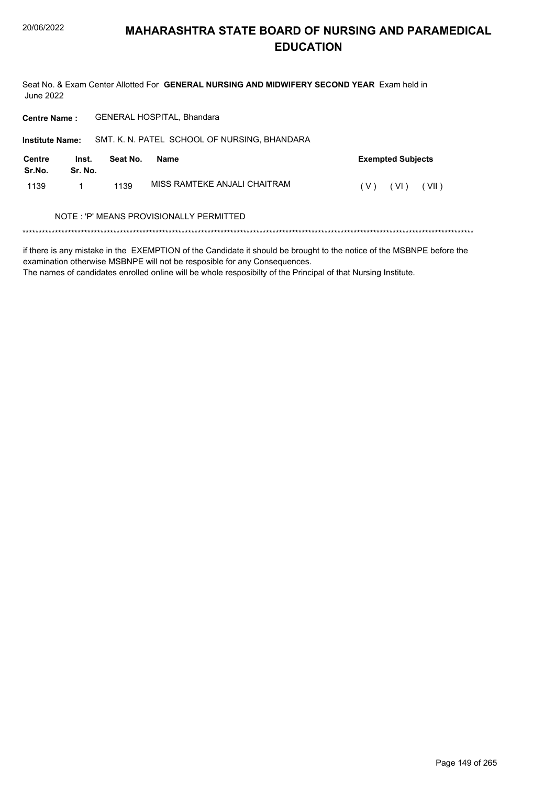Seat No. & Exam Center Allotted For GENERAL NURSING AND MIDWIFERY SECOND YEAR Exam held in **June 2022** 

| <b>Centre Name:</b>    |                  |          | <b>GENERAL HOSPITAL, Bhandara</b>            |                          |
|------------------------|------------------|----------|----------------------------------------------|--------------------------|
| <b>Institute Name:</b> |                  |          | SMT. K. N. PATEL SCHOOL OF NURSING, BHANDARA |                          |
| Centre<br>Sr.No.       | Inst.<br>Sr. No. | Seat No. | Name                                         | <b>Exempted Subjects</b> |
| 1139                   |                  | 1139     | MISS RAMTEKE ANJALI CHAITRAM                 | (VI)<br>(VII)<br>( V )   |
|                        |                  |          | NOTE : 'P' MEANS PROVISIONALLY PERMITTED     |                          |
|                        |                  |          |                                              |                          |

if there is any mistake in the EXEMPTION of the Candidate it should be brought to the notice of the MSBNPE before the examination otherwise MSBNPE will not be resposible for any Consequences.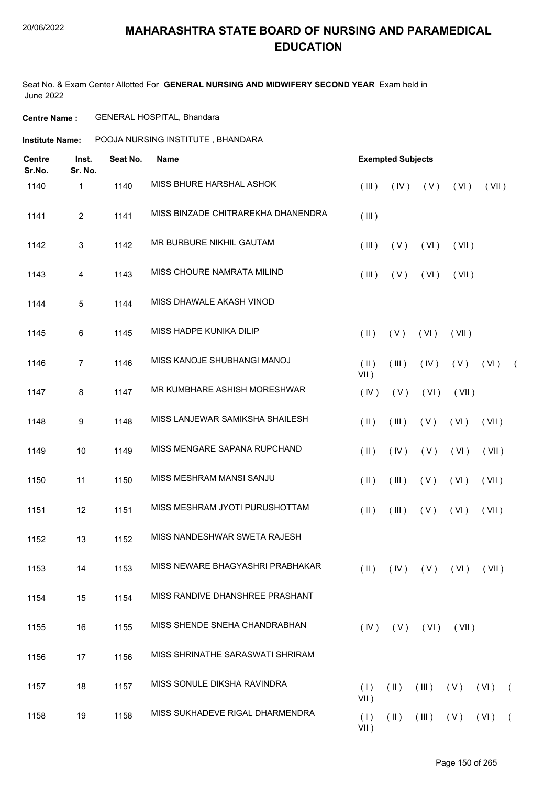#### 20/06/2022

## **MAHARASHTRA STATE BOARD OF NURSING AND PARAMEDICAL EDUCATION**

Seat No. & Exam Center Allotted For **GENERAL NURSING AND MIDWIFERY SECOND YEAR** Exam held in June 2022

#### **Centre Name :** GENERAL HOSPITAL, Bhandara

| <b>Centre</b><br>Sr.No. | Inst.<br>Sr. No. | Seat No. | Name                               |                    | <b>Exempted Subjects</b> |                                    |       |                    |            |
|-------------------------|------------------|----------|------------------------------------|--------------------|--------------------------|------------------------------------|-------|--------------------|------------|
| 1140                    | 1                | 1140     | MISS BHURE HARSHAL ASHOK           | (III)              | (IV)                     | (V)                                | (VI)  | (VII)              |            |
| 1141                    | $\overline{2}$   | 1141     | MISS BINZADE CHITRAREKHA DHANENDRA | (III)              |                          |                                    |       |                    |            |
| 1142                    | 3                | 1142     | MR BURBURE NIKHIL GAUTAM           | (III)              | (V)                      | (VI)                               | (VII) |                    |            |
| 1143                    | 4                | 1143     | MISS CHOURE NAMRATA MILIND         | (III)              | (V)                      | (VI)                               | (VII) |                    |            |
| 1144                    | 5                | 1144     | MISS DHAWALE AKASH VINOD           |                    |                          |                                    |       |                    |            |
| 1145                    | 6                | 1145     | MISS HADPE KUNIKA DILIP            | $($ II $)$         | (V)                      | (VI)                               | (VII) |                    |            |
| 1146                    | $\overline{7}$   | 1146     | MISS KANOJE SHUBHANGI MANOJ        | $($ II $)$<br>VII) | (III)                    | (IV)                               | (V)   | (VI)               | $\sqrt{2}$ |
| 1147                    | 8                | 1147     | MR KUMBHARE ASHISH MORESHWAR       | (IV)               | (V)                      | (VI)                               | (VII) |                    |            |
| 1148                    | 9                | 1148     | MISS LANJEWAR SAMIKSHA SHAILESH    | $(\parallel)$      | (III)                    | (V)                                | (VI)  | (VII)              |            |
| 1149                    | 10               | 1149     | MISS MENGARE SAPANA RUPCHAND       | $($ II $)$         | (IV)                     | (V)                                | (VI)  | (VII)              |            |
| 1150                    | 11               | 1150     | MISS MESHRAM MANSI SANJU           | $($ II $)$         | (III)                    | (V)                                | (VI)  | (VII)              |            |
| 1151                    | 12               | 1151     | MISS MESHRAM JYOTI PURUSHOTTAM     | $($ II $)$         | (III)                    | (V)                                | (VI)  | (VII)              |            |
| 1152                    | 13               | 1152     | MISS NANDESHWAR SWETA RAJESH       |                    |                          |                                    |       |                    |            |
| 1153                    | 14               | 1153     | MISS NEWARE BHAGYASHRI PRABHAKAR   |                    |                          | $(II)$ $(IV)$ $(V)$ $(VI)$ $(VII)$ |       |                    |            |
| 1154                    | 15               | 1154     | MISS RANDIVE DHANSHREE PRASHANT    |                    |                          |                                    |       |                    |            |
| 1155                    | 16               | 1155     | MISS SHENDE SNEHA CHANDRABHAN      | (IV)               | (V)                      | (VI)                               | (VII) |                    |            |
| 1156                    | 17               | 1156     | MISS SHRINATHE SARASWATI SHRIRAM   |                    |                          |                                    |       |                    |            |
| 1157                    | 18               | 1157     | MISS SONULE DIKSHA RAVINDRA        | (1)<br>$VII$ )     | $(\parallel)$            | (III)                              | (V)   | (VI)<br>$\sqrt{2}$ |            |
| 1158                    | 19               | 1158     | MISS SUKHADEVE RIGAL DHARMENDRA    | (1)<br>$VII$ )     | $(\parallel)$            | (III)                              | (V)   | (VI)               | $\left($   |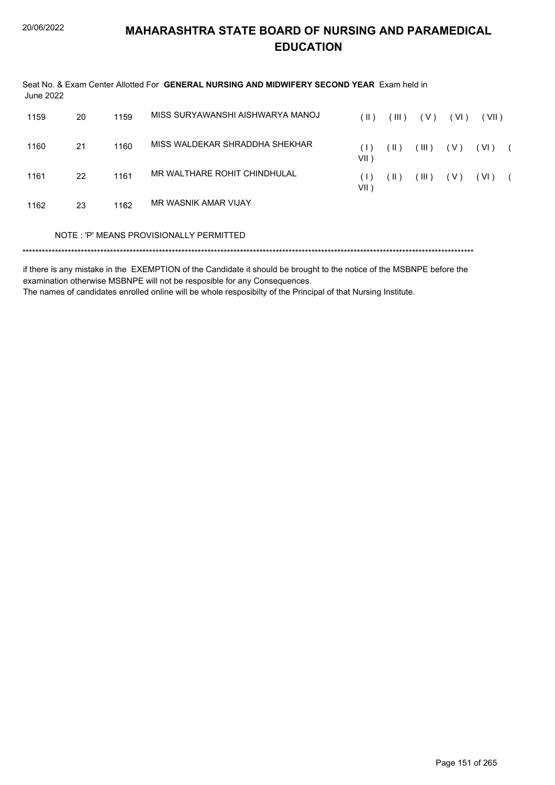| June 2022 |    |      | Seat No. & Exam Center Allotted For GENERAL NURSING AND MIDWIFERY SECOND YEAR Exam held in                            |                |               |       |        |        |            |
|-----------|----|------|-----------------------------------------------------------------------------------------------------------------------|----------------|---------------|-------|--------|--------|------------|
| 1159      | 20 | 1159 | MISS SURYAWANSHI AISHWARYA MANOJ                                                                                      | $(\parallel)$  | (III)         | (V)   | ( VI ) | (VII)  |            |
| 1160      | 21 | 1160 | MISS WALDEKAR SHRADDHA SHEKHAR                                                                                        | (1)<br>$VII$ ) | $(\parallel)$ | (III) | ( V )  | ( VI ) | $\sqrt{2}$ |
| 1161      | 22 | 1161 | MR WALTHARE ROHIT CHINDHULAL                                                                                          | (1)<br>$VII$ ) | (  )          | (III) | ( V )  | (VI)   | $\sqrt{2}$ |
| 1162      | 23 | 1162 | MR WASNIK AMAR VIJAY                                                                                                  |                |               |       |        |        |            |
|           |    |      | NOTE: 'P' MEANS PROVISIONALLY PERMITTED                                                                               |                |               |       |        |        |            |
|           |    |      | if there is any mistake in the EVEMPTION of the Candidate it should be brought to the nation of the MCDNDE before the |                |               |       |        |        |            |

if there is any mistake in the EXEMPTION of the Candidate it should be brought to the notice of the MSBNPE before the examination otherwise MSBNPE will not be resposible for any Consequences.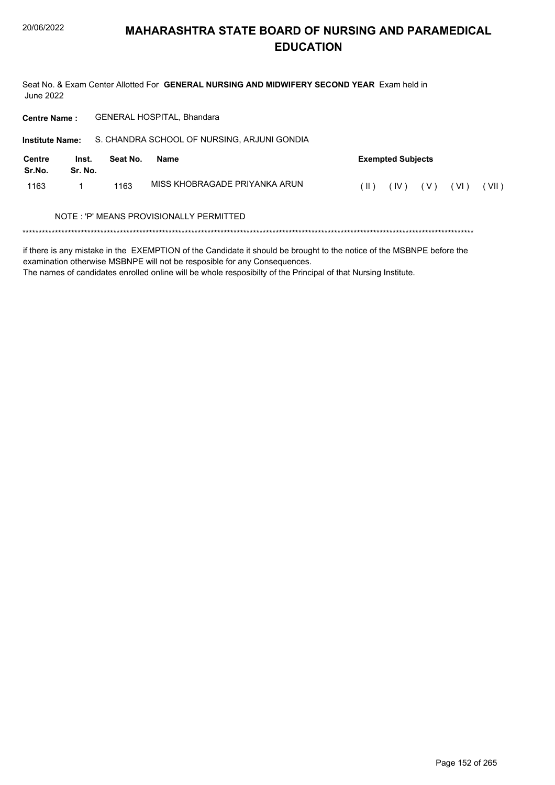Seat No. & Exam Center Allotted For GENERAL NURSING AND MIDWIFERY SECOND YEAR Exam held in **June 2022** 

GENERAL HOSPITAL, Bhandara **Centre Name:** S. CHANDRA SCHOOL OF NURSING, ARJUNI GONDIA **Institute Name: Centre** Inst. Seat No. **Exempted Subjects Name** Sr.No. Sr. No. MISS KHOBRAGADE PRIYANKA ARUN 1163  $\mathbf{1}$ 1163  $(II)$   $(IV)$   $(V)$   $(VI)$   $(VII)$ NOTE: 'P' MEANS PROVISIONALLY PERMITTED 

if there is any mistake in the EXEMPTION of the Candidate it should be brought to the notice of the MSBNPE before the examination otherwise MSBNPE will not be resposible for any Consequences.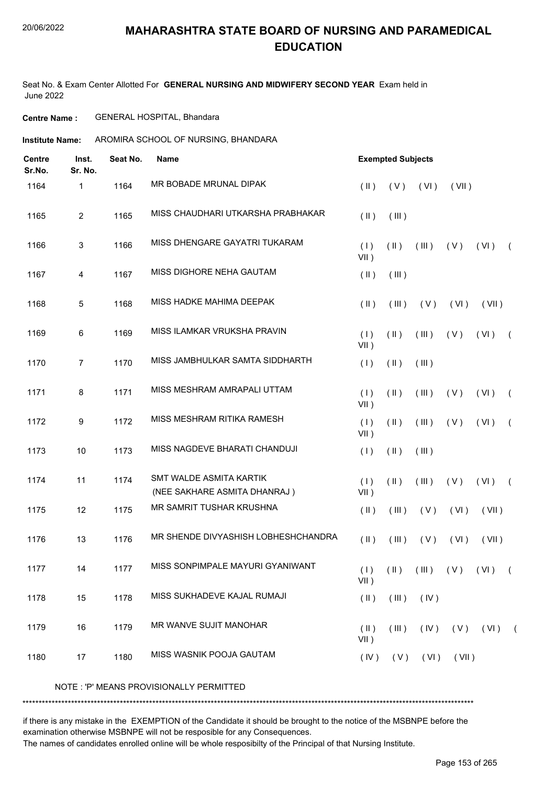Seat No. & Exam Center Allotted For **GENERAL NURSING AND MIDWIFERY SECOND YEAR** Exam held in June 2022

**Centre Name :** GENERAL HOSPITAL, Bhandara

**Institute Name:** AROMIRA SCHOOL OF NURSING, BHANDARA

| <b>Centre</b><br>Sr.No. | Inst.<br>Sr. No. | Seat No. | <b>Name</b>                                             |                          | <b>Exempted Subjects</b> |             |       |                                               |            |
|-------------------------|------------------|----------|---------------------------------------------------------|--------------------------|--------------------------|-------------|-------|-----------------------------------------------|------------|
| 1164                    | 1                | 1164     | MR BOBADE MRUNAL DIPAK                                  | $(\parallel \parallel)$  | (V)                      | (VI)        | (VII) |                                               |            |
| 1165                    | $\overline{2}$   | 1165     | MISS CHAUDHARI UTKARSHA PRABHAKAR                       | $($ II $)$               | (III)                    |             |       |                                               |            |
| 1166                    | 3                | 1166     | MISS DHENGARE GAYATRI TUKARAM                           | (1)<br>$VII$ )           | $(\parallel)$            | (III)       | (V)   | (VI)                                          | $\sqrt{2}$ |
| 1167                    | 4                | 1167     | MISS DIGHORE NEHA GAUTAM                                | $($ II $)$               | (III)                    |             |       |                                               |            |
| 1168                    | 5                | 1168     | MISS HADKE MAHIMA DEEPAK                                | $(\parallel)$            | (III)                    | (V)         | (VI)  | (VII)                                         |            |
| 1169                    | 6                | 1169     | MISS ILAMKAR VRUKSHA PRAVIN                             | (1)<br>$VII$ )           | $(\parallel)$            | (III)       | (V)   | (VI)                                          | $\sqrt{ }$ |
| 1170                    | $\overline{7}$   | 1170     | MISS JAMBHULKAR SAMTA SIDDHARTH                         | (1)                      | $(\parallel)$            | (III)       |       |                                               |            |
| 1171                    | 8                | 1171     | MISS MESHRAM AMRAPALI UTTAM                             | (1)<br>$VII$ )           | $(\parallel)$            | (III)       | (V)   | (VI)                                          | $\sqrt{2}$ |
| 1172                    | 9                | 1172     | MISS MESHRAM RITIKA RAMESH                              | (1)<br>$VII$ )           | $(\parallel)$            | (III)       | (V)   | (VI)                                          | $\left($   |
| 1173                    | 10               | 1173     | MISS NAGDEVE BHARATI CHANDUJI                           | (1)                      | $(\parallel)$            | (III)       |       |                                               |            |
| 1174                    | 11               | 1174     | SMT WALDE ASMITA KARTIK<br>(NEE SAKHARE ASMITA DHANRAJ) | (1)<br>VII)              | $(\parallel)$            | (III)       | (V)   | (VI)                                          | $\sqrt{2}$ |
| 1175                    | 12               | 1175     | MR SAMRIT TUSHAR KRUSHNA                                | $(\parallel)$            | (III)                    | (V)         | (VI)  | (VII)                                         |            |
| 1176                    | 13               | 1176     | MR SHENDE DIVYASHISH LOBHESHCHANDRA                     | $(\parallel)$            | (III)                    | (V)         | (VI)  | (VII)                                         |            |
| 1177                    | 14               | 1177     | MISS SONPIMPALE MAYURI GYANIWANT                        | $VII$ )                  |                          |             |       | $(1)$ $(1)$ $(11)$ $(11)$ $(1)$ $(11)$ $(11)$ |            |
| 1178                    | 15               | 1178     | MISS SUKHADEVE KAJAL RUMAJI                             | $(\parallel)$            | (III)                    | (IV)        |       |                                               |            |
| 1179                    | 16               | 1179     | MR WANVE SUJIT MANOHAR                                  | $(\parallel)$<br>$VII$ ) | $($ III $)$              | (IV)        |       | $(V)$ $(VI)$ $(VI)$                           |            |
| 1180                    | 17               | 1180     | MISS WASNIK POOJA GAUTAM                                | (IV)                     |                          | $(V)$ $(V)$ | (VII) |                                               |            |
|                         |                  |          | NOTE: 'P' MEANS PROVISIONALLY PERMITTED                 |                          |                          |             |       |                                               |            |

\*\*\*\*\*\*\*\*\*\*\*\*\*\*\*\*\*\*\*\*\*\*\*\*\*\*\*\*\*\*\*\*\*\*\*\*\*\*\*\*\*\*\*\*\*\*\*\*\*\*\*\*\*\*\*\*\*\*\*\*\*\*\*\*\*\*\*\*\*\*\*\*\*\*\*\*\*\*\*\*\*\*\*\*\*\*\*\*\*\*\*\*\*\*\*\*\*\*\*\*\*\*\*\*\*\*\*\*\*\*\*\*\*\*\*\*\*\*\*\*\*\*\*\*\*\*\*\*\*\*\*\*\*\*\*\*\*\*\*

if there is any mistake in the EXEMPTION of the Candidate it should be brought to the notice of the MSBNPE before the examination otherwise MSBNPE will not be resposible for any Consequences.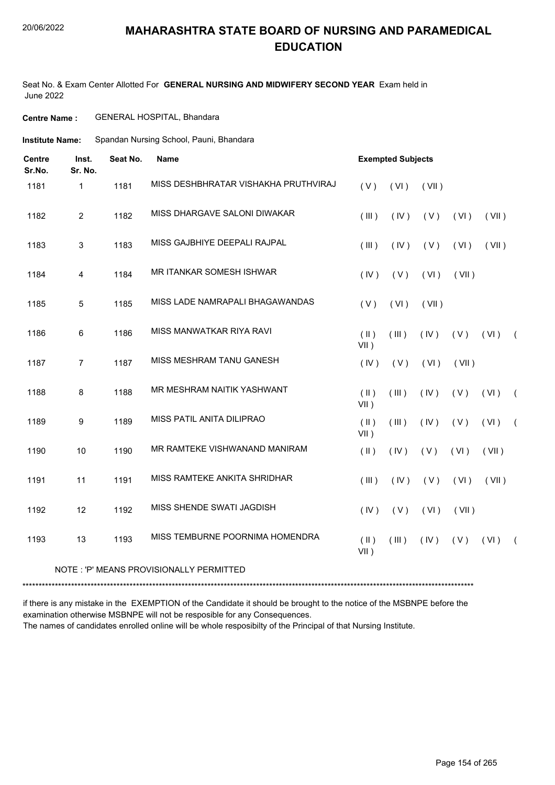#### 20/06/2022

#### **MAHARASHTRA STATE BOARD OF NURSING AND PARAMEDICAL EDUCATION**

Seat No. & Exam Center Allotted For **GENERAL NURSING AND MIDWIFERY SECOND YEAR** Exam held in June 2022

#### **Centre Name :** GENERAL HOSPITAL, Bhandara

Spandan Nursing School, Pauni, Bhandara **Institute Name:**

| <b>Centre</b><br>Sr.No. | Inst.<br>Sr. No. | Seat No. | <b>Name</b>                          |                                | <b>Exempted Subjects</b> |       |       |       |            |
|-------------------------|------------------|----------|--------------------------------------|--------------------------------|--------------------------|-------|-------|-------|------------|
| 1181                    | $\mathbf{1}$     | 1181     | MISS DESHBHRATAR VISHAKHA PRUTHVIRAJ | (V)                            | (VI)                     | (VII) |       |       |            |
| 1182                    | $\overline{2}$   | 1182     | MISS DHARGAVE SALONI DIWAKAR         | (III)                          | (IV)                     | (V)   | (VI)  | (VII) |            |
| 1183                    | 3                | 1183     | MISS GAJBHIYE DEEPALI RAJPAL         | (III)                          | (IV)                     | (V)   | (VI)  | (VII) |            |
| 1184                    | 4                | 1184     | <b>MR ITANKAR SOMESH ISHWAR</b>      | (IV)                           | (V)                      | (VI)  | (VII) |       |            |
| 1185                    | 5                | 1185     | MISS LADE NAMRAPALI BHAGAWANDAS      | (V)                            | (VI)                     | (VII) |       |       |            |
| 1186                    | 6                | 1186     | MISS MANWATKAR RIYA RAVI             | $(\parallel)$<br>VII)          | (III)                    | (IV)  | (V)   | (VI)  | $\sqrt{2}$ |
| 1187                    | $\overline{7}$   | 1187     | MISS MESHRAM TANU GANESH             | (IV)                           | (V)                      | (VI)  | (VII) |       |            |
| 1188                    | 8                | 1188     | MR MESHRAM NAITIK YASHWANT           | $($ $\parallel$ $)$<br>$VII$ ) | (III)                    | (IV)  | (V)   | (VI)  | $\sqrt{ }$ |
| 1189                    | 9                | 1189     | MISS PATIL ANITA DILIPRAO            | $(\parallel)$<br>VII)          | (III)                    | (IV)  | (V)   | (VI)  | $\sqrt{2}$ |
| 1190                    | 10               | 1190     | MR RAMTEKE VISHWANAND MANIRAM        | $($ II $)$                     | (IV)                     | (V)   | (VI)  | (VII) |            |
| 1191                    | 11               | 1191     | MISS RAMTEKE ANKITA SHRIDHAR         | (III)                          | (IV)                     | (V)   | (VI)  | (VII) |            |
| 1192                    | 12               | 1192     | MISS SHENDE SWATI JAGDISH            | (IV)                           | (V)                      | (VI)  | (VII) |       |            |
| 1193                    | 13               | 1193     | MISS TEMBURNE POORNIMA HOMENDRA      | $(\parallel)$<br>VII)          | (III)                    | (IV)  | (V)   | (VI)  | $\left($   |

#### NOTE : 'P' MEANS PROVISIONALLY PERMITTED

\*\*\*\*\*\*\*\*\*\*\*\*\*\*\*\*\*\*\*\*\*\*\*\*\*\*\*\*\*\*\*\*\*\*\*\*\*\*\*\*\*\*\*\*\*\*\*\*\*\*\*\*\*\*\*\*\*\*\*\*\*\*\*\*\*\*\*\*\*\*\*\*\*\*\*\*\*\*\*\*\*\*\*\*\*\*\*\*\*\*\*\*\*\*\*\*\*\*\*\*\*\*\*\*\*\*\*\*\*\*\*\*\*\*\*\*\*\*\*\*\*\*\*\*\*\*\*\*\*\*\*\*\*\*\*\*\*\*\*

if there is any mistake in the EXEMPTION of the Candidate it should be brought to the notice of the MSBNPE before the examination otherwise MSBNPE will not be resposible for any Consequences. The names of candidates enrolled online will be whole resposibilty of the Principal of that Nursing Institute.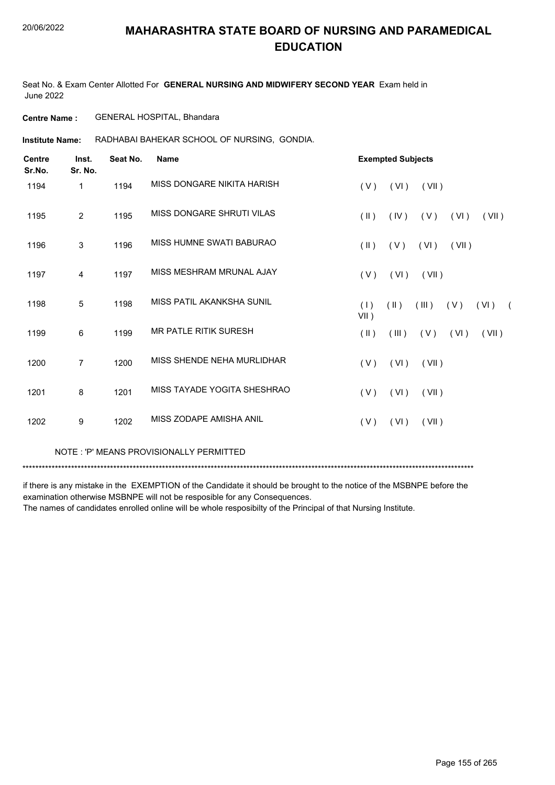Seat No. & Exam Center Allotted For **GENERAL NURSING AND MIDWIFERY SECOND YEAR** Exam held in June 2022

**Centre Name :** GENERAL HOSPITAL, Bhandara

RADHABAI BAHEKAR SCHOOL OF NURSING, GONDIA. **Institute Name:**

| <b>Centre</b><br>Sr.No. | Inst.<br>Sr. No. | Seat No. | <b>Name</b>                  |                | <b>Exempted Subjects</b> |       |       |       |            |
|-------------------------|------------------|----------|------------------------------|----------------|--------------------------|-------|-------|-------|------------|
| 1194                    | 1                | 1194     | MISS DONGARE NIKITA HARISH   | (V)            | (VI)                     | (VII) |       |       |            |
| 1195                    | $\overline{2}$   | 1195     | MISS DONGARE SHRUTI VILAS    | $(\parallel)$  | (IV)                     | (V)   | (VI)  | (VII) |            |
| 1196                    | 3                | 1196     | MISS HUMNE SWATI BABURAO     | $(\parallel)$  | (V)                      | (VI)  | (VII) |       |            |
| 1197                    | 4                | 1197     | MISS MESHRAM MRUNAL AJAY     | (V)            | (VI)                     | (VII) |       |       |            |
| 1198                    | 5                | 1198     | MISS PATIL AKANKSHA SUNIL    | (1)<br>$VII$ ) | $(\parallel)$            | (III) | (V)   | (VI)  | $\sqrt{2}$ |
| 1199                    | 6                | 1199     | <b>MR PATLE RITIK SURESH</b> | $(\parallel)$  | (III)                    | (V)   | (VI)  | (VII) |            |
| 1200                    | $\overline{7}$   | 1200     | MISS SHENDE NEHA MURLIDHAR   | (V)            | (VI)                     | (VII) |       |       |            |
| 1201                    | 8                | 1201     | MISS TAYADE YOGITA SHESHRAO  | (V)            | (VI)                     | (VII) |       |       |            |
| 1202                    | 9                | 1202     | MISS ZODAPE AMISHA ANIL      | (V)            | (VI)                     | (VII) |       |       |            |
|                         |                  |          |                              |                |                          |       |       |       |            |

NOTE : 'P' MEANS PROVISIONALLY PERMITTED

\*\*\*\*\*\*\*\*\*\*\*\*\*\*\*\*\*\*\*\*\*\*\*\*\*\*\*\*\*\*\*\*\*\*\*\*\*\*\*\*\*\*\*\*\*\*\*\*\*\*\*\*\*\*\*\*\*\*\*\*\*\*\*\*\*\*\*\*\*\*\*\*\*\*\*\*\*\*\*\*\*\*\*\*\*\*\*\*\*\*\*\*\*\*\*\*\*\*\*\*\*\*\*\*\*\*\*\*\*\*\*\*\*\*\*\*\*\*\*\*\*\*\*\*\*\*\*\*\*\*\*\*\*\*\*\*\*\*\*

if there is any mistake in the EXEMPTION of the Candidate it should be brought to the notice of the MSBNPE before the examination otherwise MSBNPE will not be resposible for any Consequences.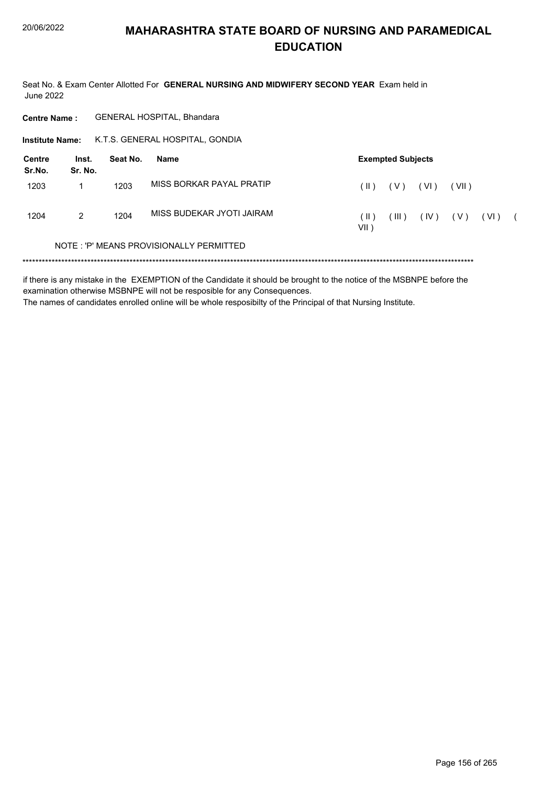Seat No. & Exam Center Allotted For GENERAL NURSING AND MIDWIFERY SECOND YEAR Exam held in **June 2022** 

GENERAL HOSPITAL, Bhandara **Centre Name:** K.T.S. GENERAL HOSPITAL, GONDIA **Institute Name: Centre** Inst. Seat No. **Exempted Subjects Name** Sr.No. Sr. No. MISS BORKAR PAYAL PRATIP 1203  $\mathbf{1}$ 1203  $(11) (V) (V1)$  $(VII)$ MISS BUDEKAR JYOTI JAIRAM 1204 1204  $\overline{2}$  $(\mathbb{II})$   $(\mathbb{IV})$  $(\parallel)$  $(V)$  $(VI)$  $\overline{ }$  $VII$ ) NOTE: 'P' MEANS PROVISIONALLY PERMITTED 

if there is any mistake in the EXEMPTION of the Candidate it should be brought to the notice of the MSBNPE before the examination otherwise MSBNPE will not be resposible for any Consequences. The names of candidates enrolled online will be whole resposibilty of the Principal of that Nursing Institute.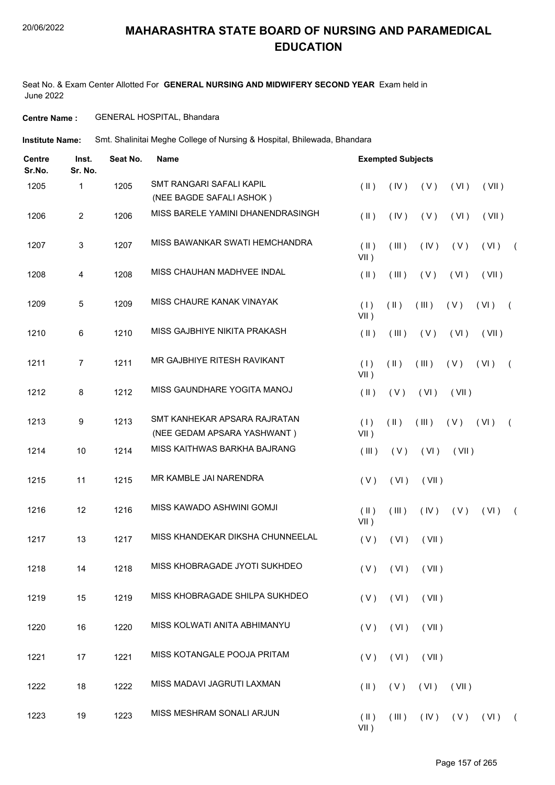Seat No. & Exam Center Allotted For **GENERAL NURSING AND MIDWIFERY SECOND YEAR** Exam held in June 2022

#### **Centre Name :** GENERAL HOSPITAL, Bhandara

**Institute Name:** Smt. Shalinitai Meghe College of Nursing & Hospital, Bhilewada, Bhandara

| <b>Centre</b><br>Sr.No. | Inst.<br>Sr. No. | Seat No. | <b>Name</b>                                                 |                          | <b>Exempted Subjects</b> |                      |       |       |            |
|-------------------------|------------------|----------|-------------------------------------------------------------|--------------------------|--------------------------|----------------------|-------|-------|------------|
| 1205                    | 1                | 1205     | SMT RANGARI SAFALI KAPIL<br>(NEE BAGDE SAFALI ASHOK)        | $(\parallel)$            | (IV)                     | (V)                  | (VI)  | (VII) |            |
| 1206                    | $\overline{c}$   | 1206     | MISS BARELE YAMINI DHANENDRASINGH                           | $(\parallel)$            | (IV)                     | (V)                  | (VI)  | (VII) |            |
| 1207                    | 3                | 1207     | MISS BAWANKAR SWATI HEMCHANDRA                              | $($ II $)$<br>$VII$ )    | (III)                    | (IV)                 | (V)   | (VI)  | $\sqrt{2}$ |
| 1208                    | 4                | 1208     | MISS CHAUHAN MADHVEE INDAL                                  | $(\parallel)$            | (III)                    | (V)                  | (VI)  | (VII) |            |
| 1209                    | 5                | 1209     | MISS CHAURE KANAK VINAYAK                                   | (1)<br>$VII$ )           | $(\parallel)$            | (III)                | (V)   | (VI)  | $\sqrt{2}$ |
| 1210                    | 6                | 1210     | MISS GAJBHIYE NIKITA PRAKASH                                | $(\parallel)$            | (III)                    | (V)                  | (VI)  | (VII) |            |
| 1211                    | $\overline{7}$   | 1211     | MR GAJBHIYE RITESH RAVIKANT                                 | (1)<br>$VII$ )           | $(\parallel)$            | (III)                | (V)   | (VI)  | $\sqrt{ }$ |
| 1212                    | 8                | 1212     | MISS GAUNDHARE YOGITA MANOJ                                 | $(\parallel)$            | (V)                      | (VI)                 | (VII) |       |            |
| 1213                    | 9                | 1213     | SMT KANHEKAR APSARA RAJRATAN<br>(NEE GEDAM APSARA YASHWANT) | (1)<br>$VII$ )           | $($ II $)$               | (III)                | (V)   | (VI)  | $\left($   |
| 1214                    | $10$             | 1214     | MISS KAITHWAS BARKHA BAJRANG                                | (III)                    | (V)                      | (VI)                 | (VII) |       |            |
| 1215                    | 11               | 1215     | MR KAMBLE JAI NARENDRA                                      | (V)                      | (VI)                     | (VII)                |       |       |            |
| 1216                    | 12               | 1216     | MISS KAWADO ASHWINI GOMJI                                   | $(\parallel)$<br>$VII$ ) | (III)                    | (IV)                 | (V)   | (VI)  | $\left($   |
| 1217                    | 13               | 1217     | MISS KHANDEKAR DIKSHA CHUNNEELAL                            | (V)                      | (VI)                     | (VII)                |       |       |            |
| 1218                    | 14               | 1218     | MISS KHOBRAGADE JYOTI SUKHDEO                               |                          |                          | $(V)$ $(VI)$ $(VII)$ |       |       |            |
| 1219                    | 15               | 1219     | MISS KHOBRAGADE SHILPA SUKHDEO                              | (V)                      | (VI)                     | (VII)                |       |       |            |
| 1220                    | 16               | 1220     | MISS KOLWATI ANITA ABHIMANYU                                | (V)                      | (VI)                     | (VII)                |       |       |            |
| 1221                    | 17               | 1221     | MISS KOTANGALE POOJA PRITAM                                 | (V)                      | (VI)                     | (VII)                |       |       |            |
| 1222                    | 18               | 1222     | MISS MADAVI JAGRUTI LAXMAN                                  | $(\parallel)$            | (V)                      | (VI)                 | (VII) |       |            |
| 1223                    | 19               | 1223     | MISS MESHRAM SONALI ARJUN                                   | $(\parallel)$<br>$VII$ ) | $($ III $)$              | (IV)                 | (V)   | (VI)  | $\sqrt{2}$ |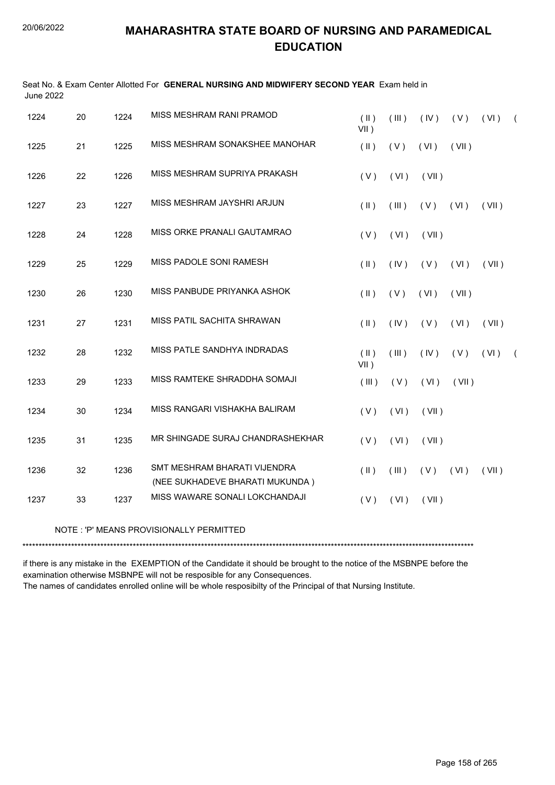Seat No. & Exam Center Allotted For **GENERAL NURSING AND MIDWIFERY SECOND YEAR** Exam held in

| <b>June 2022</b> |    |      |                                                                 |                       |       |       |       |       |            |
|------------------|----|------|-----------------------------------------------------------------|-----------------------|-------|-------|-------|-------|------------|
| 1224             | 20 | 1224 | MISS MESHRAM RANI PRAMOD                                        | $($ II $)$<br>$VII$ ) | (III) | (IV)  | (V)   | (VI)  | $\sqrt{2}$ |
| 1225             | 21 | 1225 | MISS MESHRAM SONAKSHEE MANOHAR                                  | $($ II $)$            | (V)   | (VI)  | (VII) |       |            |
| 1226             | 22 | 1226 | MISS MESHRAM SUPRIYA PRAKASH                                    | (V)                   | (VI)  | (VII) |       |       |            |
| 1227             | 23 | 1227 | MISS MESHRAM JAYSHRI ARJUN                                      | $(\parallel)$         | (III) | (V)   | (VI)  | (VII) |            |
| 1228             | 24 | 1228 | MISS ORKE PRANALI GAUTAMRAO                                     | (V)                   | (VI)  | (VII) |       |       |            |
| 1229             | 25 | 1229 | MISS PADOLE SONI RAMESH                                         | $($ II $)$            | (IV)  | (V)   | (VI)  | (VII) |            |
| 1230             | 26 | 1230 | MISS PANBUDE PRIYANKA ASHOK                                     | $($ II $)$            | (V)   | (VI)  | (VII) |       |            |
| 1231             | 27 | 1231 | MISS PATIL SACHITA SHRAWAN                                      | $(\parallel)$         | (IV)  | (V)   | (VI)  | (VII) |            |
| 1232             | 28 | 1232 | MISS PATLE SANDHYA INDRADAS                                     | $($ II $)$<br>$VII$ ) | (III) | (IV)  | (V)   | (VI)  | $\sqrt{2}$ |
| 1233             | 29 | 1233 | MISS RAMTEKE SHRADDHA SOMAJI                                    | (III)                 | (V)   | (VI)  | (VII) |       |            |
| 1234             | 30 | 1234 | MISS RANGARI VISHAKHA BALIRAM                                   | (V)                   | (VI)  | (VII) |       |       |            |
| 1235             | 31 | 1235 | MR SHINGADE SURAJ CHANDRASHEKHAR                                | (V)                   | (VI)  | (VII) |       |       |            |
| 1236             | 32 | 1236 | SMT MESHRAM BHARATI VIJENDRA<br>(NEE SUKHADEVE BHARATI MUKUNDA) | $(\parallel)$         | (III) | (V)   | (VI)  | (VII) |            |
| 1237             | 33 | 1237 | MISS WAWARE SONALI LOKCHANDAJI                                  | (V)                   | (VI)  | (VII) |       |       |            |
|                  |    |      | NOTE: 'P' MEANS PROVISIONALLY PERMITTED                         |                       |       |       |       |       |            |
|                  |    |      |                                                                 |                       |       |       |       |       |            |

if there is any mistake in the EXEMPTION of the Candidate it should be brought to the notice of the MSBNPE before the examination otherwise MSBNPE will not be resposible for any Consequences. The names of candidates enrolled online will be whole resposibilty of the Principal of that Nursing Institute.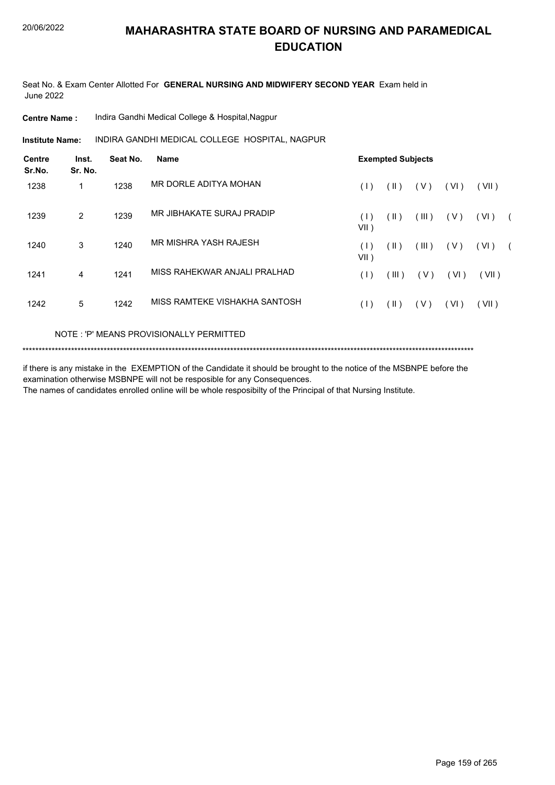Seat No. & Exam Center Allotted For **GENERAL NURSING AND MIDWIFERY SECOND YEAR** Exam held in June 2022

**Centre Name :** Indira Gandhi Medical College & Hospital,Nagpur

INDIRA GANDHI MEDICAL COLLEGE HOSPITAL, NAGPUR **Institute Name:**

| <b>Centre</b><br>Sr.No. | Inst.<br>Sr. No. | Seat No. | <b>Name</b>                   | <b>Exempted Subjects</b> |               |       |        |       |            |  |
|-------------------------|------------------|----------|-------------------------------|--------------------------|---------------|-------|--------|-------|------------|--|
| 1238                    | 1                | 1238     | MR DORLE ADITYA MOHAN         | (1)                      | $(\parallel)$ | (V)   | (VI)   | (VII) |            |  |
| 1239                    | 2                | 1239     | MR JIBHAKATE SURAJ PRADIP     | (1)<br>$VII$ )           | (  )          | (III) | (V)    | (VI)  | $\sqrt{2}$ |  |
| 1240                    | 3                | 1240     | MR MISHRA YASH RAJESH         | (1)<br>$VII$ )           | (  )          | (III) | (V)    | (VI)  | $\sqrt{2}$ |  |
| 1241                    | 4                | 1241     | MISS RAHEKWAR ANJALI PRALHAD  | (1)                      | $($ III $)$   | (V)   | ( VI ) | (VII) |            |  |
| 1242                    | 5                | 1242     | MISS RAMTEKE VISHAKHA SANTOSH | (1)                      | ( II )        | (V)   | (VI)   | (VII) |            |  |

#### NOTE : 'P' MEANS PROVISIONALLY PERMITTED

\*\*\*\*\*\*\*\*\*\*\*\*\*\*\*\*\*\*\*\*\*\*\*\*\*\*\*\*\*\*\*\*\*\*\*\*\*\*\*\*\*\*\*\*\*\*\*\*\*\*\*\*\*\*\*\*\*\*\*\*\*\*\*\*\*\*\*\*\*\*\*\*\*\*\*\*\*\*\*\*\*\*\*\*\*\*\*\*\*\*\*\*\*\*\*\*\*\*\*\*\*\*\*\*\*\*\*\*\*\*\*\*\*\*\*\*\*\*\*\*\*\*\*\*\*\*\*\*\*\*\*\*\*\*\*\*\*\*\*

if there is any mistake in the EXEMPTION of the Candidate it should be brought to the notice of the MSBNPE before the examination otherwise MSBNPE will not be resposible for any Consequences. The names of candidates enrolled online will be whole resposibilty of the Principal of that Nursing Institute.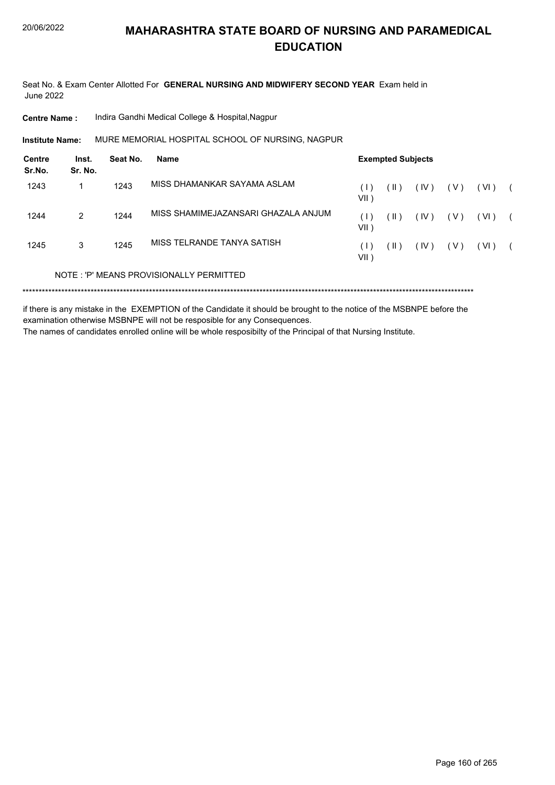Seat No. & Exam Center Allotted For **GENERAL NURSING AND MIDWIFERY SECOND YEAR** Exam held in June 2022

**Centre Name :** Indira Gandhi Medical College & Hospital,Nagpur

MURE MEMORIAL HOSPITAL SCHOOL OF NURSING, NAGPUR **Institute Name:**

| Centre<br>Sr.No. | Inst.<br>Sr. No. | Seat No. | Name                                    | <b>Exempted Subjects</b> |                 |      |       |      |  |  |
|------------------|------------------|----------|-----------------------------------------|--------------------------|-----------------|------|-------|------|--|--|
| 1243             |                  | 1243     | MISS DHAMANKAR SAYAMA ASLAM             | (1)<br>VII)              | $( \parallel )$ | (IV) | ( V ) | (VI) |  |  |
| 1244             | $\mathcal{P}$    | 1244     | MISS SHAMIMEJAZANSARI GHAZALA ANJUM     | (1)<br>VII )             | (  )            | (IV) | ( V ) | (VI) |  |  |
| 1245             | 3                | 1245     | MISS TELRANDE TANYA SATISH              | $( \;   \; )$<br>VII )   | ( II )          | (IV) | (V)   | (VI) |  |  |
|                  |                  |          | NOTE: 'P' MEANS PROVISIONALLY PERMITTED |                          |                 |      |       |      |  |  |
|                  |                  |          |                                         |                          |                 |      |       |      |  |  |

if there is any mistake in the EXEMPTION of the Candidate it should be brought to the notice of the MSBNPE before the examination otherwise MSBNPE will not be resposible for any Consequences.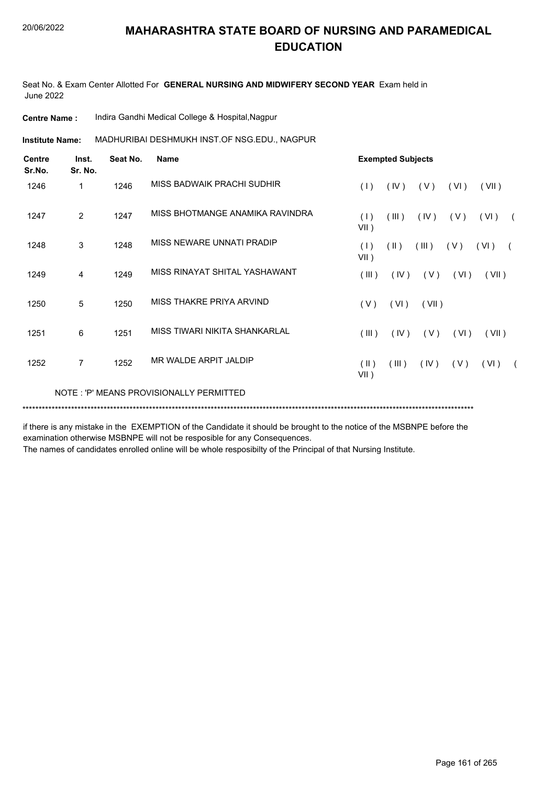Seat No. & Exam Center Allotted For **GENERAL NURSING AND MIDWIFERY SECOND YEAR** Exam held in June 2022

| <b>Centre Name:</b>     |                  |          | Indira Gandhi Medical College & Hospital, Nagpur                                                                         |                 |               |                          |       |       |            |  |  |  |  |
|-------------------------|------------------|----------|--------------------------------------------------------------------------------------------------------------------------|-----------------|---------------|--------------------------|-------|-------|------------|--|--|--|--|
| <b>Institute Name:</b>  |                  |          | MADHURIBAI DESHMUKH INST.OF NSG.EDU., NAGPUR                                                                             |                 |               |                          |       |       |            |  |  |  |  |
| <b>Centre</b><br>Sr.No. | Inst.<br>Sr. No. | Seat No. | <b>Name</b>                                                                                                              |                 |               | <b>Exempted Subjects</b> |       |       |            |  |  |  |  |
| 1246                    | 1                | 1246     | MISS BADWAIK PRACHI SUDHIR                                                                                               | (1)             | (IV)          | (V)                      | (VI)  | (VII) |            |  |  |  |  |
| 1247                    | 2                | 1247     | MISS BHOTMANGE ANAMIKA RAVINDRA                                                                                          | (1)<br>$VII$ )  | (III)         | (IV)                     | (V)   | (VI)  |            |  |  |  |  |
| 1248                    | 3                | 1248     | MISS NEWARE UNNATI PRADIP                                                                                                | (1)<br>$VII$ )  | $(\parallel)$ | (III)                    | (V)   | (VI)  | $\sqrt{2}$ |  |  |  |  |
| 1249                    | 4                | 1249     | MISS RINAYAT SHITAL YASHAWANT                                                                                            | (III)           |               | $(IV)$ $(V)$             | (VI)  | (VII) |            |  |  |  |  |
| 1250                    | 5                | 1250     | MISS THAKRE PRIYA ARVIND                                                                                                 | (V)             | (VI)          | (VII)                    |       |       |            |  |  |  |  |
| 1251                    | 6                | 1251     | MISS TIWARI NIKITA SHANKARLAL                                                                                            | (III)           | (IV)          | (V)                      | (VI)  | (VII) |            |  |  |  |  |
| 1252                    | $\overline{7}$   | 1252     | MR WALDE ARPIT JALDIP                                                                                                    | (  )<br>$VII$ ) | (III)         | (IV)                     | ( V ) | (VI)  |            |  |  |  |  |
|                         |                  |          | NOTE: 'P' MEANS PROVISIONALLY PERMITTED                                                                                  |                 |               |                          |       |       |            |  |  |  |  |
|                         |                  |          |                                                                                                                          |                 |               |                          |       |       |            |  |  |  |  |
|                         |                  |          | if these is easy mistake in the EVEMPTION of the Constitute it should be becompt to the notice of the MCDNIDE before the |                 |               |                          |       |       |            |  |  |  |  |

if there is any mistake in the EXEMPTION of the Candidate it should be brought to the notice of the MSBNPE before the examination otherwise MSBNPE will not be resposible for any Consequences.

The names of candidates enrolled online will be whole resposibilty of the Principal of that Nursing Institute.

 $(VI)$  (

 $(VI)$  (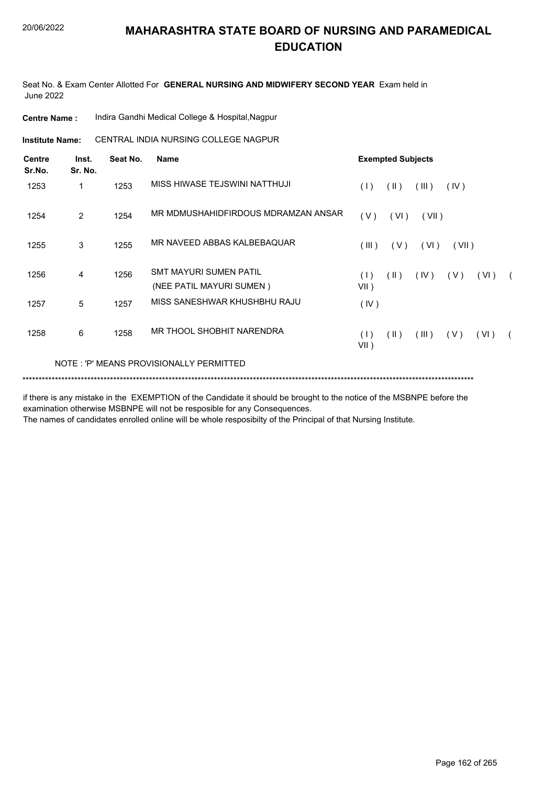Seat No. & Exam Center Allotted For **GENERAL NURSING AND MIDWIFERY SECOND YEAR** Exam held in June 2022

| <b>Centre Name :</b> | Indira Gandhi Medical College & Hospital, Nagpur |
|----------------------|--------------------------------------------------|
|----------------------|--------------------------------------------------|

**Institute Name: CENTRAL INDIA NURSING COLLEGE NAGPUR** 

| <b>Centre</b><br>Sr.No. | Inst.<br>Sr. No. | Seat No. | <b>Name</b>                                               | <b>Exempted Subjects</b>                                  |
|-------------------------|------------------|----------|-----------------------------------------------------------|-----------------------------------------------------------|
| 1253                    | 1                | 1253     | MISS HIWASE TEJSWINI NATTHUJI                             | (11)<br>(III)<br>(1)<br>(IV)                              |
| 1254                    | $\overline{2}$   | 1254     | MR MDMUSHAHIDFIRDOUS MDRAMZAN ANSAR                       | (VI)<br>(V)<br>(VII)                                      |
| 1255                    | 3                | 1255     | MR NAVEED ABBAS KALBEBAQUAR                               | (III)<br>(V)<br>(VI)<br>(VII)                             |
| 1256                    | 4                | 1256     | <b>SMT MAYURI SUMEN PATIL</b><br>(NEE PATIL MAYURI SUMEN) | (1)<br>$(\parallel)$<br>(IV)<br>(V)<br>(VI)<br>$VII$ )    |
| 1257                    | 5                | 1257     | MISS SANESHWAR KHUSHBHU RAJU                              | (IV)                                                      |
| 1258                    | 6                | 1258     | MR THOOL SHOBHIT NARENDRA                                 | $(\parallel)$<br>(III)<br>(VI)<br>(1)<br>( V )<br>$VII$ ) |
|                         |                  |          | NOTE: 'P' MEANS PROVISIONALLY PERMITTED                   |                                                           |

if there is any mistake in the EXEMPTION of the Candidate it should be brought to the notice of the MSBNPE before the examination otherwise MSBNPE will not be resposible for any Consequences.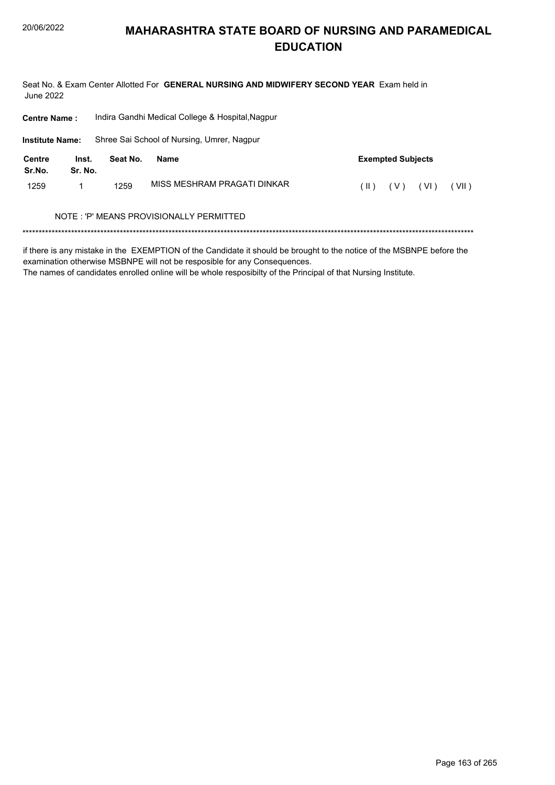Seat No. & Exam Center Allotted For GENERAL NURSING AND MIDWIFERY SECOND YEAR Exam held in June 2022

| <b>Centre Name:</b>    |                  |          | Indira Gandhi Medical College & Hospital, Nagpur |                                |
|------------------------|------------------|----------|--------------------------------------------------|--------------------------------|
| <b>Institute Name:</b> |                  |          | Shree Sai School of Nursing, Umrer, Nagpur       |                                |
| Centre<br>Sr.No.       | Inst.<br>Sr. No. | Seat No. | Name                                             | <b>Exempted Subjects</b>       |
| 1259                   | 1                | 1259     | MISS MESHRAM PRAGATI DINKAR                      | ( VI )<br>(VII)<br>(V)<br>(  ) |
|                        |                  |          | NOTE : 'P' MEANS PROVISIONALLY PERMITTED         |                                |
|                        |                  |          |                                                  |                                |

if there is any mistake in the EXEMPTION of the Candidate it should be brought to the notice of the MSBNPE before the examination otherwise MSBNPE will not be resposible for any Consequences.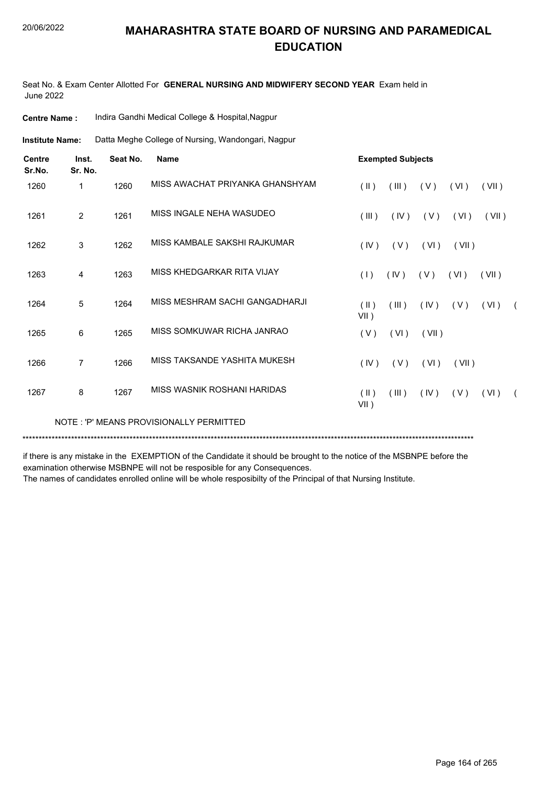Seat No. & Exam Center Allotted For **GENERAL NURSING AND MIDWIFERY SECOND YEAR** Exam held in June 2022

| <b>Centre Name:</b>     |                  |          | Indira Gandhi Medical College & Hospital, Nagpur   |                       |                          |       |       |       |            |  |  |  |
|-------------------------|------------------|----------|----------------------------------------------------|-----------------------|--------------------------|-------|-------|-------|------------|--|--|--|
| <b>Institute Name:</b>  |                  |          | Datta Meghe College of Nursing, Wandongari, Nagpur |                       |                          |       |       |       |            |  |  |  |
| <b>Centre</b><br>Sr.No. | Inst.<br>Sr. No. | Seat No. | <b>Name</b>                                        |                       | <b>Exempted Subjects</b> |       |       |       |            |  |  |  |
| 1260                    | 1                | 1260     | MISS AWACHAT PRIYANKA GHANSHYAM                    | $($ II $)$            | (III)                    | (V)   | (VI)  | (VII) |            |  |  |  |
| 1261                    | $\overline{2}$   | 1261     | MISS INGALE NEHA WASUDEO                           | (III)                 | (IV)                     | (V)   | (VI)  | (VII) |            |  |  |  |
| 1262                    | $\mathfrak{S}$   | 1262     | MISS KAMBALE SAKSHI RAJKUMAR                       | (IV)                  | (V)                      | (VI)  | (VII) |       |            |  |  |  |
| 1263                    | 4                | 1263     | MISS KHEDGARKAR RITA VIJAY                         | (1)                   | (IV)                     | (V)   | (VI)  | (VII) |            |  |  |  |
| 1264                    | 5                | 1264     | MISS MESHRAM SACHI GANGADHARJI                     | $($ II $)$<br>VII)    | (III)                    | (IV)  | (V)   | (VI)  | $\sqrt{2}$ |  |  |  |
| 1265                    | 6                | 1265     | MISS SOMKUWAR RICHA JANRAO                         | (V)                   | (VI)                     | (VII) |       |       |            |  |  |  |
| 1266                    | $\overline{7}$   | 1266     | MISS TAKSANDE YASHITA MUKESH                       | (IV)                  | (V)                      | (VI)  | (VII) |       |            |  |  |  |
| 1267                    | 8                | 1267     | MISS WASNIK ROSHANI HARIDAS                        | $(\parallel)$<br>VII) | (III)                    | (IV)  | (V)   | (VI)  |            |  |  |  |
|                         |                  |          | NOTE: 'P' MEANS PROVISIONALLY PERMITTED            |                       |                          |       |       |       |            |  |  |  |

\*\*\*\*\*\*\*\*\*\*\*\*\*\*\*\*\*\*\*\*\*\*\*\*\*\*\*\*\*\*\*\*\*\*\*\*\*\*\*\*\*\*\*\*\*\*\*\*\*\*\*\*\*\*\*\*\*\*\*\*\*\*\*\*\*\*\*\*\*\*\*\*\*\*\*\*\*\*\*\*\*\*\*\*\*\*\*\*\*\*\*\*\*\*\*\*\*\*\*\*\*\*\*\*\*\*\*\*\*\*\*\*\*\*\*\*\*\*\*\*\*\*\*\*\*\*\*\*\*\*\*\*\*\*\*\*\*\*\*

if there is any mistake in the EXEMPTION of the Candidate it should be brought to the notice of the MSBNPE before the examination otherwise MSBNPE will not be resposible for any Consequences.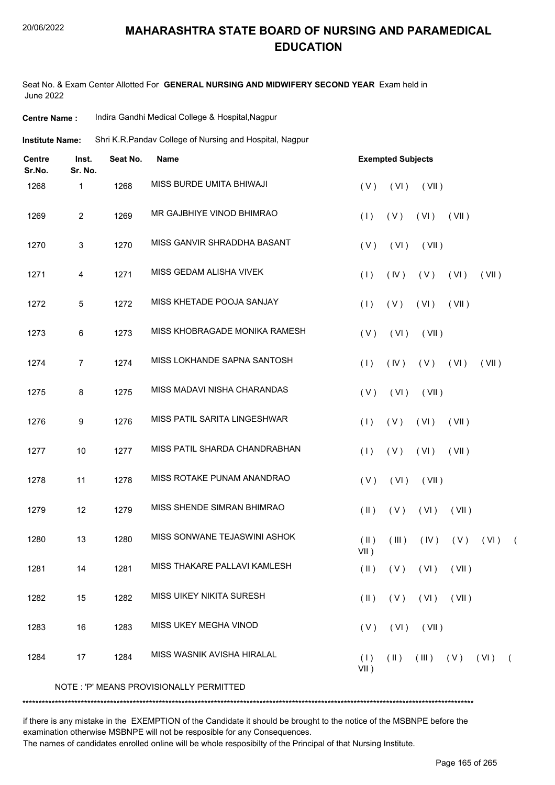#### 20/06/2022

## **MAHARASHTRA STATE BOARD OF NURSING AND PARAMEDICAL EDUCATION**

Seat No. & Exam Center Allotted For **GENERAL NURSING AND MIDWIFERY SECOND YEAR** Exam held in June 2022

| <b>Centre Name :</b> | Indira Gandhi Medical College & Hospital, Nagpur |
|----------------------|--------------------------------------------------|
|----------------------|--------------------------------------------------|

Shri K.R.Pandav College of Nursing and Hospital, Nagpur **Institute Name:**

| <b>Centre</b><br>Sr.No. | Inst.<br>Sr. No. | Seat No. | <b>Name</b>                             | <b>Exempted Subjects</b>                                            |
|-------------------------|------------------|----------|-----------------------------------------|---------------------------------------------------------------------|
| 1268                    | 1                | 1268     | MISS BURDE UMITA BHIWAJI                | (VII)<br>(V)<br>(VI)                                                |
| 1269                    | $\overline{2}$   | 1269     | MR GAJBHIYE VINOD BHIMRAO               | (1)<br>(V)<br>(VI)<br>(VII)                                         |
| 1270                    | 3                | 1270     | MISS GANVIR SHRADDHA BASANT             | (VI)<br>(V)<br>(VII)                                                |
| 1271                    | 4                | 1271     | MISS GEDAM ALISHA VIVEK                 | (1)<br>(IV)<br>(V)<br>(VI)<br>(VII)                                 |
| 1272                    | 5                | 1272     | MISS KHETADE POOJA SANJAY               | (1)<br>(V)<br>(VI)<br>(VII)                                         |
| 1273                    | 6                | 1273     | MISS KHOBRAGADE MONIKA RAMESH           | (V)<br>(VI)<br>(VII)                                                |
| 1274                    | 7                | 1274     | MISS LOKHANDE SAPNA SANTOSH             | (1)<br>(IV)<br>(V)<br>(VI)<br>(VII)                                 |
| 1275                    | 8                | 1275     | MISS MADAVI NISHA CHARANDAS             | (V)<br>(VI)<br>(VII)                                                |
| 1276                    | 9                | 1276     | MISS PATIL SARITA LINGESHWAR            | (1)<br>(V)<br>(VI)<br>(VII)                                         |
| 1277                    | 10               | 1277     | MISS PATIL SHARDA CHANDRABHAN           | (1)<br>(V)<br>(VI)<br>(VII)                                         |
| 1278                    | 11               | 1278     | MISS ROTAKE PUNAM ANANDRAO              | (V)<br>(VI)<br>(VII)                                                |
| 1279                    | 12               | 1279     | MISS SHENDE SIMRAN BHIMRAO              | $($ II $)$<br>(V)<br>(VI)<br>(VII)                                  |
| 1280                    | 13               | 1280     | MISS SONWANE TEJASWINI ASHOK            | $(\parallel)$<br>(III)<br>(IV)<br>(V)<br>(VI)<br>$\sqrt{2}$<br>VII) |
| 1281                    | 14               | 1281     | MISS THAKARE PALLAVI KAMLESH            | $(\parallel)$<br>(V)<br>(VI)<br>(VII)                               |
| 1282                    | 15               | 1282     | MISS UIKEY NIKITA SURESH                | $(V)$ $(VI)$ $(VII)$<br>$(\parallel)$                               |
| 1283                    | 16               | 1283     | MISS UKEY MEGHA VINOD                   | $(VI)$ $(VII)$<br>(V)                                               |
| 1284                    | 17               | 1284     | MISS WASNIK AVISHA HIRALAL              | $(\parallel)$<br>$(III)$ $(V)$ $(VI)$<br>(1)<br>$\sqrt{2}$<br>VII)  |
|                         |                  |          | NOTE: 'P' MEANS PROVISIONALLY PERMITTED |                                                                     |

\*\*\*\*\*\*\*\*\*\*\*\*\*\*\*\*\*\*\*\*\*\*\*\*\*\*\*\*\*\*\*\*\*\*\*\*\*\*\*\*\*\*\*\*\*\*\*\*\*\*\*\*\*\*\*\*\*\*\*\*\*\*\*\*\*\*\*\*\*\*\*\*\*\*\*\*\*\*\*\*\*\*\*\*\*\*\*\*\*\*\*\*\*\*\*\*\*\*\*\*\*\*\*\*\*\*\*\*\*\*\*\*\*\*\*\*\*\*\*\*\*\*\*\*\*\*\*\*\*\*\*\*\*\*\*\*\*\*\*

if there is any mistake in the EXEMPTION of the Candidate it should be brought to the notice of the MSBNPE before the examination otherwise MSBNPE will not be resposible for any Consequences.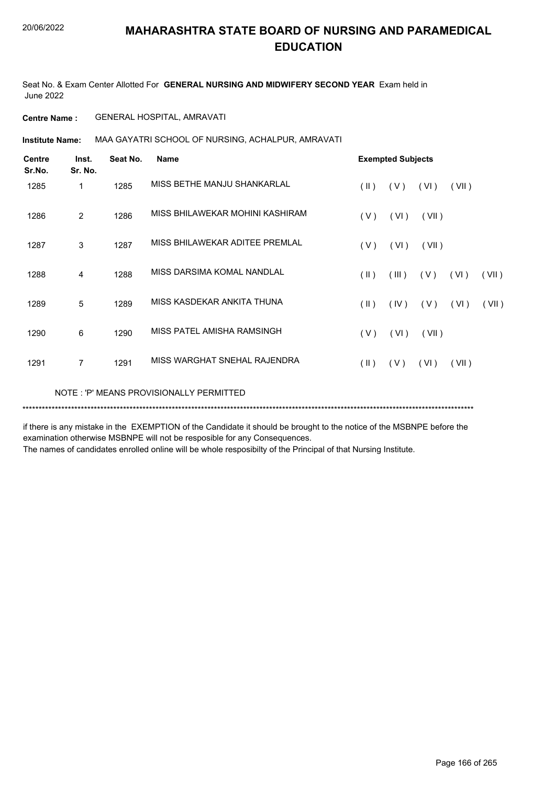Seat No. & Exam Center Allotted For **GENERAL NURSING AND MIDWIFERY SECOND YEAR** Exam held in June 2022

#### **Centre Name :** GENERAL HOSPITAL, AMRAVATI

**Institute Name: MAA GAYATRI SCHOOL OF NURSING, ACHALPUR, AMRAVATI** 

| <b>Centre</b><br>Sr.No. | Inst.<br>Sr. No. | Seat No. | <b>Name</b>                             | <b>Exempted Subjects</b> |       |       |       |       |
|-------------------------|------------------|----------|-----------------------------------------|--------------------------|-------|-------|-------|-------|
| 1285                    | 1                | 1285     | MISS BETHE MANJU SHANKARLAL             | $(\parallel)$            | (V)   | (VI)  | (VII) |       |
| 1286                    | $\overline{2}$   | 1286     | MISS BHILAWEKAR MOHINI KASHIRAM         | (V)                      | (VI)  | (VII) |       |       |
| 1287                    | 3                | 1287     | MISS BHILAWEKAR ADITEE PREMLAL          | (V)                      | (VI)  | (VII) |       |       |
| 1288                    | 4                | 1288     | MISS DARSIMA KOMAL NANDLAL              | $(\parallel \parallel)$  | (III) | (V)   | (VI)  | (VII) |
| 1289                    | 5                | 1289     | MISS KASDEKAR ANKITA THUNA              | $($ II $)$               | (IV)  | (V)   | (VI)  | (VII) |
| 1290                    | 6                | 1290     | MISS PATEL AMISHA RAMSINGH              | (V)                      | (VI)  | (VII) |       |       |
| 1291                    | $\overline{7}$   | 1291     | MISS WARGHAT SNEHAL RAJENDRA            | $(\parallel \parallel)$  | (V)   | (VI)  | (VII) |       |
|                         |                  |          | NOTE: 'P' MEANS PROVISIONALLY PERMITTED |                          |       |       |       |       |

if there is any mistake in the EXEMPTION of the Candidate it should be brought to the notice of the MSBNPE before the examination otherwise MSBNPE will not be resposible for any Consequences.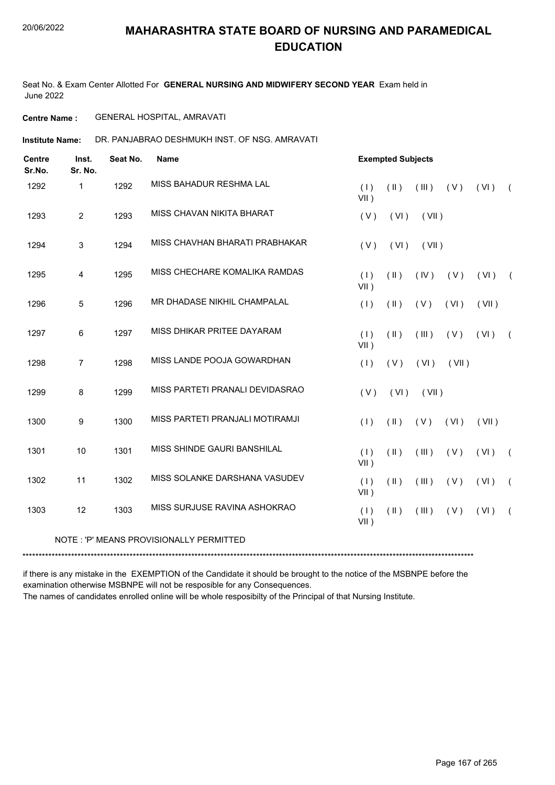Seat No. & Exam Center Allotted For **GENERAL NURSING AND MIDWIFERY SECOND YEAR** Exam held in June 2022

#### **Centre Name :** GENERAL HOSPITAL, AMRAVATI

**Institute Name: DR. PANJABRAO DESHMUKH INST. OF NSG. AMRAVATI** 

| <b>Centre</b><br>Sr.No. | Inst.<br>Sr. No. | Seat No. | <b>Name</b>                             |                | <b>Exempted Subjects</b> |       |       |       |            |  |  |
|-------------------------|------------------|----------|-----------------------------------------|----------------|--------------------------|-------|-------|-------|------------|--|--|
| 1292                    | 1                | 1292     | MISS BAHADUR RESHMA LAL                 | (1)<br>$VII$ ) | $(\parallel)$            | (III) | (V)   | (VI)  | $\sqrt{2}$ |  |  |
| 1293                    | $\overline{2}$   | 1293     | MISS CHAVAN NIKITA BHARAT               | (V)            | (VI)                     | (VII) |       |       |            |  |  |
| 1294                    | $\mathfrak{S}$   | 1294     | MISS CHAVHAN BHARATI PRABHAKAR          | (V)            | (VI)                     | (VII) |       |       |            |  |  |
| 1295                    | 4                | 1295     | MISS CHECHARE KOMALIKA RAMDAS           | (1)<br>$VII$ ) | $($ II $)$               | (IV)  | (V)   | (VI)  | $\sqrt{2}$ |  |  |
| 1296                    | 5                | 1296     | MR DHADASE NIKHIL CHAMPALAL             | (1)            | $(\parallel)$            | (V)   | (VI)  | (VII) |            |  |  |
| 1297                    | 6                | 1297     | MISS DHIKAR PRITEE DAYARAM              | (1)<br>$VII$ ) | $(\parallel)$            | (III) | (V)   | (VI)  | $\sqrt{2}$ |  |  |
| 1298                    | $\overline{7}$   | 1298     | MISS LANDE POOJA GOWARDHAN              | (1)            | (V)                      | (VI)  | (VII) |       |            |  |  |
| 1299                    | $\bf 8$          | 1299     | MISS PARTETI PRANALI DEVIDASRAO         | (V)            | (VI)                     | (VII) |       |       |            |  |  |
| 1300                    | 9                | 1300     | MISS PARTETI PRANJALI MOTIRAMJI         | (1)            | $(\parallel \parallel)$  | (V)   | (VI)  | (VII) |            |  |  |
| 1301                    | 10               | 1301     | MISS SHINDE GAURI BANSHILAL             | (1)<br>$VII$ ) | $($ II $)$               | (III) | (V)   | (VI)  | $\sqrt{2}$ |  |  |
| 1302                    | 11               | 1302     | MISS SOLANKE DARSHANA VASUDEV           | (1)<br>$VII$ ) | $($ II $)$               | (III) | (V)   | (VI)  | $\sqrt{2}$ |  |  |
| 1303                    | 12               | 1303     | MISS SURJUSE RAVINA ASHOKRAO            | (1)<br>$VII$ ) | $(\parallel)$            | (III) | (V)   | (VI)  | $\sqrt{2}$ |  |  |
|                         |                  |          | NOTE: 'P' MEANS PROVISIONALLY PERMITTED |                |                          |       |       |       |            |  |  |

\*\*\*\*\*\*\*\*\*\*\*\*\*\*\*\*\*\*\*\*\*\*\*\*\*\*\*\*\*\*\*\*\*\*\*\*\*\*\*\*\*\*\*\*\*\*\*\*\*\*\*\*\*\*\*\*\*\*\*\*\*\*\*\*\*\*\*\*\*\*\*\*\*\*\*\*\*\*\*\*\*\*\*\*\*\*\*\*\*\*\*\*\*\*\*\*\*\*\*\*\*\*\*\*\*\*\*\*\*\*\*\*\*\*\*\*\*\*\*\*\*\*\*\*\*\*\*\*\*\*\*\*\*\*\*\*\*\*\*

if there is any mistake in the EXEMPTION of the Candidate it should be brought to the notice of the MSBNPE before the examination otherwise MSBNPE will not be resposible for any Consequences.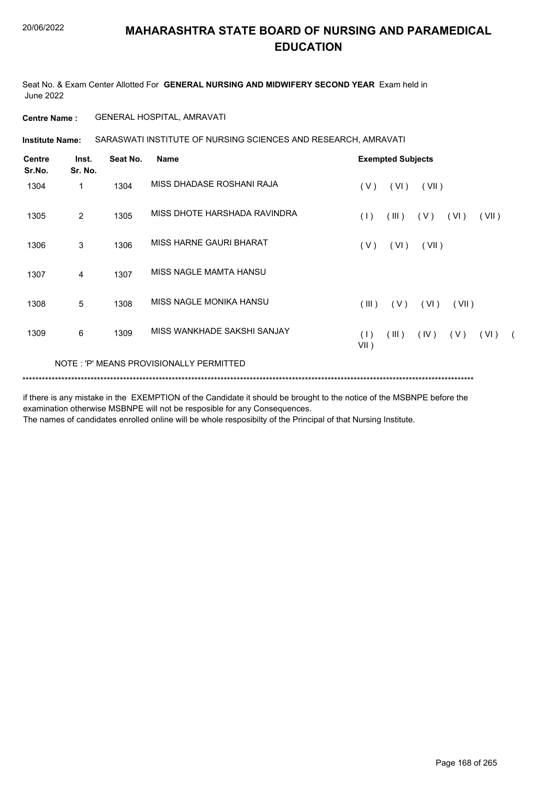Seat No. & Exam Center Allotted For **GENERAL NURSING AND MIDWIFERY SECOND YEAR** Exam held in June 2022

#### **Centre Name :** GENERAL HOSPITAL, AMRAVATI

SARASWATI INSTITUTE OF NURSING SCIENCES AND RESEARCH, AMRAVATI **Institute Name:**

| Centre<br>Sr.No. | Inst.<br>Sr. No. | Seat No. | <b>Name</b>                             | <b>Exempted Subjects</b>                                     |
|------------------|------------------|----------|-----------------------------------------|--------------------------------------------------------------|
| 1304             | 1                | 1304     | MISS DHADASE ROSHANI RAJA               | (VI)<br>(V)<br>(VII)                                         |
| 1305             | $\overline{2}$   | 1305     | MISS DHOTE HARSHADA RAVINDRA            | (1)<br>(III)<br>(V)<br>(VII)<br>(VI)                         |
| 1306             | 3                | 1306     | MISS HARNE GAURI BHARAT                 | (VI)<br>(VII)<br>(V)                                         |
| 1307             | 4                | 1307     | MISS NAGLE MAMTA HANSU                  |                                                              |
| 1308             | 5                | 1308     | MISS NAGLE MONIKA HANSU                 | (III)<br>(V)<br>( VI )<br>(VII)                              |
| 1309             | 6                | 1309     | MISS WANKHADE SAKSHI SANJAY             | (1)<br>(III)<br>(IV)<br>(V)<br>(VI)<br>$\sqrt{2}$<br>$VII$ ) |
|                  |                  |          | NOTE: 'P' MEANS PROVISIONALLY PERMITTED |                                                              |
|                  |                  |          |                                         |                                                              |

if there is any mistake in the EXEMPTION of the Candidate it should be brought to the notice of the MSBNPE before the examination otherwise MSBNPE will not be resposible for any Consequences.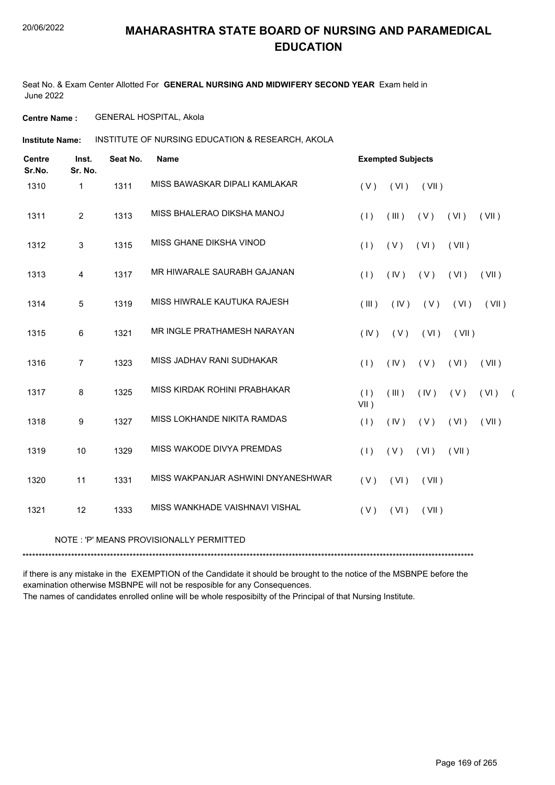Seat No. & Exam Center Allotted For **GENERAL NURSING AND MIDWIFERY SECOND YEAR** Exam held in June 2022

**Centre Name :** GENERAL HOSPITAL, Akola

INSTITUTE OF NURSING EDUCATION & RESEARCH, AKOLA **Institute Name:**

| <b>Centre</b><br>Sr.No. | Inst.<br>Sr. No. | Seat No. | <b>Name</b>                        |                | <b>Exempted Subjects</b> |       |       |       |            |
|-------------------------|------------------|----------|------------------------------------|----------------|--------------------------|-------|-------|-------|------------|
| 1310                    | 1                | 1311     | MISS BAWASKAR DIPALI KAMLAKAR      | (V)            | (VI)                     | (VII) |       |       |            |
| 1311                    | $\overline{2}$   | 1313     | MISS BHALERAO DIKSHA MANOJ         | (1)            | (III)                    | (V)   | (VI)  | (VII) |            |
| 1312                    | 3                | 1315     | MISS GHANE DIKSHA VINOD            | (1)            | (V)                      | (VI)  | (VII) |       |            |
| 1313                    | 4                | 1317     | MR HIWARALE SAURABH GAJANAN        | (1)            | (IV)                     | (V)   | (VI)  | (VII) |            |
| 1314                    | 5                | 1319     | MISS HIWRALE KAUTUKA RAJESH        | (III)          | (IV)                     | (V)   | (VI)  | (VII) |            |
| 1315                    | 6                | 1321     | MR INGLE PRATHAMESH NARAYAN        | (IV)           | (V)                      | (VI)  | (VII) |       |            |
| 1316                    | $\overline{7}$   | 1323     | MISS JADHAV RANI SUDHAKAR          | (1)            | (IV)                     | (V)   | (VI)  | (VII) |            |
| 1317                    | 8                | 1325     | MISS KIRDAK ROHINI PRABHAKAR       | (1)<br>$VII$ ) | (III)                    | (IV)  | (V)   | (VI)  | $\sqrt{2}$ |
| 1318                    | 9                | 1327     | MISS LOKHANDE NIKITA RAMDAS        | (1)            | (IV)                     | (V)   | (VI)  | (VII) |            |
| 1319                    | 10               | 1329     | MISS WAKODE DIVYA PREMDAS          | (1)            | (V)                      | (VI)  | (VII) |       |            |
| 1320                    | 11               | 1331     | MISS WAKPANJAR ASHWINI DNYANESHWAR | (V)            | (VI)                     | (VII) |       |       |            |
| 1321                    | 12               | 1333     | MISS WANKHADE VAISHNAVI VISHAL     | (V)            | (VI)                     | (VII) |       |       |            |
|                         |                  |          |                                    |                |                          |       |       |       |            |

#### NOTE : 'P' MEANS PROVISIONALLY PERMITTED

\*\*\*\*\*\*\*\*\*\*\*\*\*\*\*\*\*\*\*\*\*\*\*\*\*\*\*\*\*\*\*\*\*\*\*\*\*\*\*\*\*\*\*\*\*\*\*\*\*\*\*\*\*\*\*\*\*\*\*\*\*\*\*\*\*\*\*\*\*\*\*\*\*\*\*\*\*\*\*\*\*\*\*\*\*\*\*\*\*\*\*\*\*\*\*\*\*\*\*\*\*\*\*\*\*\*\*\*\*\*\*\*\*\*\*\*\*\*\*\*\*\*\*\*\*\*\*\*\*\*\*\*\*\*\*\*\*\*\*

if there is any mistake in the EXEMPTION of the Candidate it should be brought to the notice of the MSBNPE before the examination otherwise MSBNPE will not be resposible for any Consequences. The names of candidates enrolled online will be whole resposibilty of the Principal of that Nursing Institute.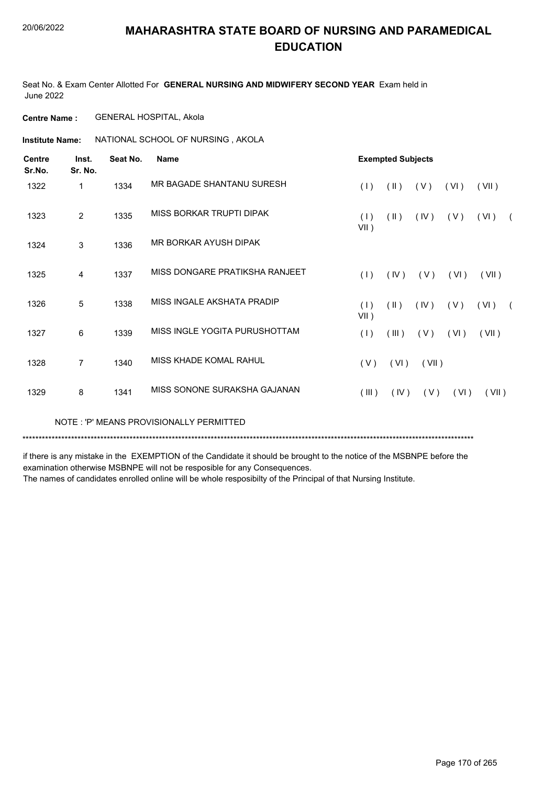Seat No. & Exam Center Allotted For **GENERAL NURSING AND MIDWIFERY SECOND YEAR** Exam held in June 2022

**Centre Name :** GENERAL HOSPITAL, Akola

**Institute Name: ANATIONAL SCHOOL OF NURSING, AKOLA** 

| <b>Exempted Subjects</b><br><b>Centre</b><br>Seat No.<br>Inst.<br><b>Name</b><br>Sr.No.<br>Sr. No. |                |      |                                |                |               |       |      |       |            |  |  |  |
|----------------------------------------------------------------------------------------------------|----------------|------|--------------------------------|----------------|---------------|-------|------|-------|------------|--|--|--|
| 1322                                                                                               | 1              | 1334 | MR BAGADE SHANTANU SURESH      | (1)            | (11)          | (V)   | (VI) | (VII) |            |  |  |  |
| 1323                                                                                               | 2              | 1335 | MISS BORKAR TRUPTI DIPAK       | (1)<br>$VII$ ) | $(\parallel)$ | (IV)  | (V)  | (VI)  |            |  |  |  |
| 1324                                                                                               | 3              | 1336 | MR BORKAR AYUSH DIPAK          |                |               |       |      |       |            |  |  |  |
| 1325                                                                                               | 4              | 1337 | MISS DONGARE PRATIKSHA RANJEET | (1)            | (IV)          | (V)   | (VI) | (VII) |            |  |  |  |
| 1326                                                                                               | 5              | 1338 | MISS INGALE AKSHATA PRADIP     | (1)<br>$VII$ ) | $(\parallel)$ | (IV)  | (V)  | (VI)  | $\sqrt{2}$ |  |  |  |
| 1327                                                                                               | 6              | 1339 | MISS INGLE YOGITA PURUSHOTTAM  | (1)            | (III)         | (V)   | (VI) | (VII) |            |  |  |  |
| 1328                                                                                               | $\overline{7}$ | 1340 | MISS KHADE KOMAL RAHUL         | (V)            | (VI)          | (VII) |      |       |            |  |  |  |
| 1329                                                                                               | 8              | 1341 | MISS SONONE SURAKSHA GAJANAN   | (III)          | (IV)          | (V)   | (VI) | (VII) |            |  |  |  |

NOTE : 'P' MEANS PROVISIONALLY PERMITTED

\*\*\*\*\*\*\*\*\*\*\*\*\*\*\*\*\*\*\*\*\*\*\*\*\*\*\*\*\*\*\*\*\*\*\*\*\*\*\*\*\*\*\*\*\*\*\*\*\*\*\*\*\*\*\*\*\*\*\*\*\*\*\*\*\*\*\*\*\*\*\*\*\*\*\*\*\*\*\*\*\*\*\*\*\*\*\*\*\*\*\*\*\*\*\*\*\*\*\*\*\*\*\*\*\*\*\*\*\*\*\*\*\*\*\*\*\*\*\*\*\*\*\*\*\*\*\*\*\*\*\*\*\*\*\*\*\*\*\*

if there is any mistake in the EXEMPTION of the Candidate it should be brought to the notice of the MSBNPE before the examination otherwise MSBNPE will not be resposible for any Consequences.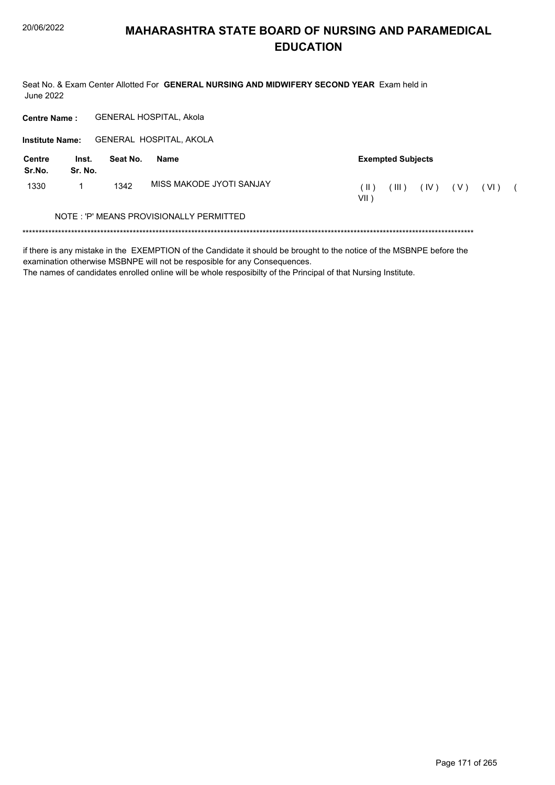Seat No. & Exam Center Allotted For GENERAL NURSING AND MIDWIFERY SECOND YEAR Exam held in **June 2022** 

GENERAL HOSPITAL, Akola **Centre Name:** 

Institute Name: GENERAL HOSPITAL, AKOLA

| Centre<br>Sr.No. | Inst.<br>Sr. No. | Seat No. | Name                                    | <b>Exempted Subjects</b> |                   |      |     |        |  |  |
|------------------|------------------|----------|-----------------------------------------|--------------------------|-------------------|------|-----|--------|--|--|
| 1330             |                  | 1342     | MISS MAKODE JYOTI SANJAY                | ( II )<br>VII )          | $^{\prime}$ III ) | (IV) | (V) | ( VI ) |  |  |
|                  |                  |          | NOTE: 'P' MEANS PROVISIONALLY PERMITTED |                          |                   |      |     |        |  |  |

if there is any mistake in the EXEMPTION of the Candidate it should be brought to the notice of the MSBNPE before the examination otherwise MSBNPE will not be resposible for any Consequences.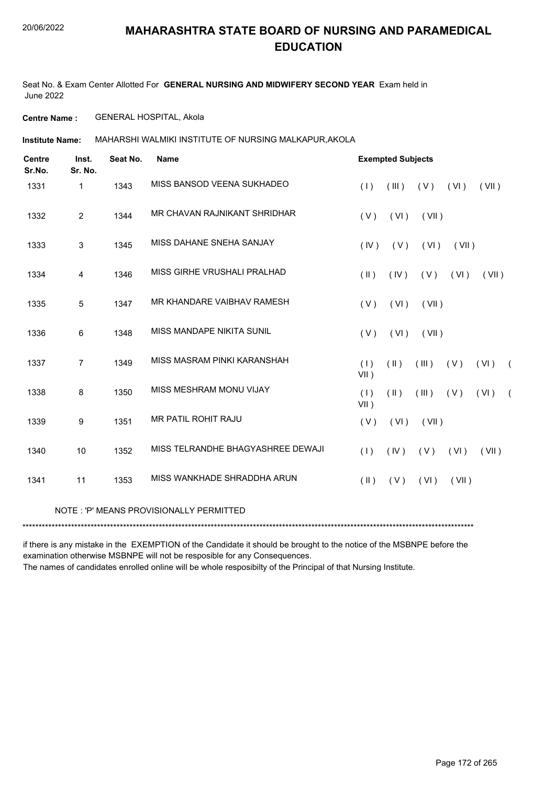Seat No. & Exam Center Allotted For **GENERAL NURSING AND MIDWIFERY SECOND YEAR** Exam held in June 2022

**Centre Name :** GENERAL HOSPITAL, Akola

**Institute Name:** MAHARSHI WALMIKI INSTITUTE OF NURSING MALKAPUR,AKOLA

| <b>Centre</b><br>Sr.No. | Inst.<br>Sr. No. | Seat No. | <b>Name</b>                             |                | <b>Exempted Subjects</b> |       |       |       |            |
|-------------------------|------------------|----------|-----------------------------------------|----------------|--------------------------|-------|-------|-------|------------|
| 1331                    | $\mathbf{1}$     | 1343     | MISS BANSOD VEENA SUKHADEO              | (1)            | (III)                    | (V)   | (VI)  | (VII) |            |
| 1332                    | $\overline{2}$   | 1344     | MR CHAVAN RAJNIKANT SHRIDHAR            | (V)            | (VI)                     | (VII) |       |       |            |
| 1333                    | 3                | 1345     | MISS DAHANE SNEHA SANJAY                | (IV)           | (V)                      | (VI)  | (VII) |       |            |
| 1334                    | $\overline{4}$   | 1346     | MISS GIRHE VRUSHALI PRALHAD             | $(\parallel)$  | (IV)                     | (V)   | (VI)  | (VII) |            |
| 1335                    | 5                | 1347     | MR KHANDARE VAIBHAV RAMESH              | (V)            | (VI)                     | (VII) |       |       |            |
| 1336                    | 6                | 1348     | MISS MANDAPE NIKITA SUNIL               | (V)            | (VI)                     | (VII) |       |       |            |
| 1337                    | $\overline{7}$   | 1349     | MISS MASRAM PINKI KARANSHAH             | (1)<br>$VII$ ) | (  )                     | (III) | ( V ) | (VI)  | $\sqrt{2}$ |
| 1338                    | 8                | 1350     | MISS MESHRAM MONU VIJAY                 | (1)<br>$VII$ ) | $(\parallel)$            | (III) | (V)   | (VI)  | $\left($   |
| 1339                    | 9                | 1351     | MR PATIL ROHIT RAJU                     | (V)            | (VI)                     | (VII) |       |       |            |
| 1340                    | 10               | 1352     | MISS TELRANDHE BHAGYASHREE DEWAJI       | (1)            | (IV)                     | (V)   | (VI)  | (VII) |            |
| 1341                    | 11               | 1353     | MISS WANKHADE SHRADDHA ARUN             | $(\parallel)$  | (V)                      | (VI)  | (VII) |       |            |
|                         |                  |          | NOTE: 'P' MEANS PROVISIONALLY PERMITTED |                |                          |       |       |       |            |
|                         |                  |          |                                         |                |                          |       |       |       |            |

if there is any mistake in the EXEMPTION of the Candidate it should be brought to the notice of the MSBNPE before the examination otherwise MSBNPE will not be resposible for any Consequences.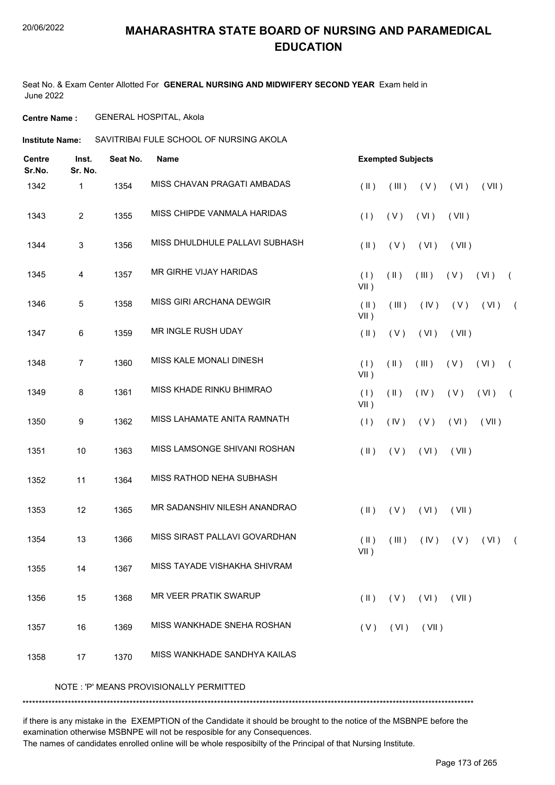Seat No. & Exam Center Allotted For **GENERAL NURSING AND MIDWIFERY SECOND YEAR** Exam held in June 2022

**Centre Name :** GENERAL HOSPITAL, Akola

**Institute Name:** SAVITRIBAI FULE SCHOOL OF NURSING AKOLA

| <b>Centre</b><br>Sr.No. | Inst.<br>Sr. No.        | Seat No. | <b>Name</b>                             |                         | <b>Exempted Subjects</b> |                |       |       |            |
|-------------------------|-------------------------|----------|-----------------------------------------|-------------------------|--------------------------|----------------|-------|-------|------------|
| 1342                    | 1                       | 1354     | MISS CHAVAN PRAGATI AMBADAS             | $($ II $)$              | (III)                    | (V)            | (VI)  | (VII) |            |
| 1343                    | $\overline{2}$          | 1355     | MISS CHIPDE VANMALA HARIDAS             | (1)                     | (V)                      | (VI)           | (VII) |       |            |
| 1344                    | $\mathfrak{S}$          | 1356     | MISS DHULDHULE PALLAVI SUBHASH          | $(\parallel)$           | (V)                      | (VI)           | (VII) |       |            |
| 1345                    | $\overline{\mathbf{4}}$ | 1357     | MR GIRHE VIJAY HARIDAS                  | (1)<br>$VII$ )          | $(\parallel)$            | (III)          | (V)   | (VI)  | $\sqrt{2}$ |
| 1346                    | 5                       | 1358     | MISS GIRI ARCHANA DEWGIR                | $(\parallel)$<br>VII)   | (III)                    | (IV)           | (V)   | (VI)  | $\sqrt{2}$ |
| 1347                    | $\,6\,$                 | 1359     | MR INGLE RUSH UDAY                      | $(\parallel)$           | (V)                      | (VI)           | (VII) |       |            |
| 1348                    | $\overline{7}$          | 1360     | MISS KALE MONALI DINESH                 | (1)<br>$VII$ )          | $(\parallel)$            | (III)          | (V)   | (VI)  | $\left($   |
| 1349                    | 8                       | 1361     | MISS KHADE RINKU BHIMRAO                | (1)<br>$VII$ )          | $(\parallel)$            | (IV)           | (V)   | (VI)  | $\sqrt{ }$ |
| 1350                    | 9                       | 1362     | MISS LAHAMATE ANITA RAMNATH             | (1)                     | (IV)                     | (V)            | (VI)  | (VII) |            |
| 1351                    | $10$                    | 1363     | MISS LAMSONGE SHIVANI ROSHAN            | $($ II $)$              | (V)                      | (VI)           | (VII) |       |            |
| 1352                    | 11                      | 1364     | MISS RATHOD NEHA SUBHASH                |                         |                          |                |       |       |            |
| 1353                    | 12                      | 1365     | MR SADANSHIV NILESH ANANDRAO            | $(\parallel)$           | (V)                      | (VI)           | (VII) |       |            |
| 1354                    | 13                      | 1366     | MISS SIRAST PALLAVI GOVARDHAN           | $($ II $)$<br>VII)      | (III)                    | (IV)           | (V)   | (VI)  | $\sqrt{2}$ |
| 1355                    | 14                      | 1367     | MISS TAYADE VISHAKHA SHIVRAM            |                         |                          |                |       |       |            |
| 1356                    | 15                      | 1368     | MR VEER PRATIK SWARUP                   | $(\parallel \parallel)$ | (V)                      | (VI)           | (VII) |       |            |
| 1357                    | 16                      | 1369     | MISS WANKHADE SNEHA ROSHAN              | (V)                     |                          | $(VI)$ $(VII)$ |       |       |            |
| 1358                    | 17                      | 1370     | MISS WANKHADE SANDHYA KAILAS            |                         |                          |                |       |       |            |
|                         |                         |          | NOTE: 'P' MEANS PROVISIONALLY PERMITTED |                         |                          |                |       |       |            |

if there is any mistake in the EXEMPTION of the Candidate it should be brought to the notice of the MSBNPE before the examination otherwise MSBNPE will not be resposible for any Consequences.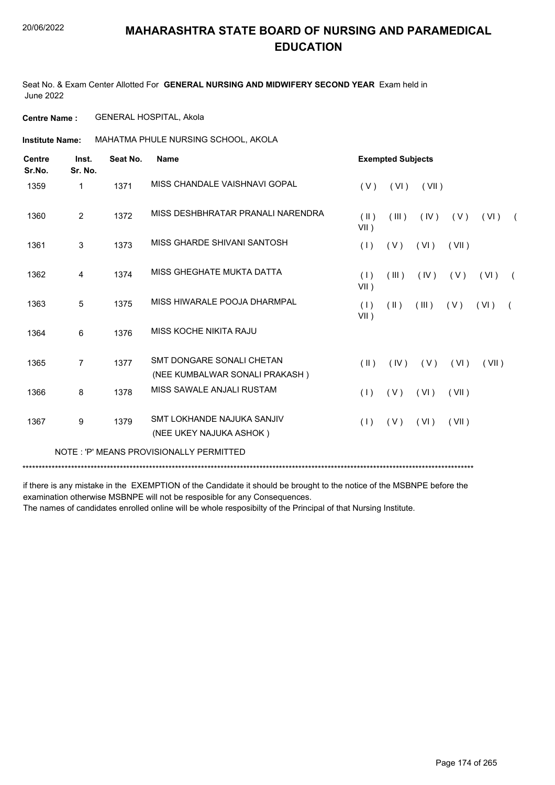Seat No. & Exam Center Allotted For **GENERAL NURSING AND MIDWIFERY SECOND YEAR** Exam held in June 2022

**Centre Name :** GENERAL HOSPITAL, Akola

**Institute Name: MAHATMA PHULE NURSING SCHOOL, AKOLA** 

| <b>Centre</b><br>Sr.No. | Inst.<br>Sr. No. | Seat No. | <b>Name</b>                                                 |                    | <b>Exempted Subjects</b> |       |       |       |            |
|-------------------------|------------------|----------|-------------------------------------------------------------|--------------------|--------------------------|-------|-------|-------|------------|
| 1359                    | 1                | 1371     | MISS CHANDALE VAISHNAVI GOPAL                               | (V)                | (VI)                     | (VII) |       |       |            |
| 1360                    | 2                | 1372     | MISS DESHBHRATAR PRANALI NARENDRA                           | $($ II $)$<br>VII) | (III)                    | (IV)  | (V)   | (VI)  | $\sqrt{2}$ |
| 1361                    | 3                | 1373     | MISS GHARDE SHIVANI SANTOSH                                 | (1)                | (V)                      | (VI)  | (VII) |       |            |
| 1362                    | 4                | 1374     | MISS GHEGHATE MUKTA DATTA                                   | (1)<br>$VII$ )     | (III)                    | (IV)  | (V)   | (VI)  |            |
| 1363                    | 5                | 1375     | MISS HIWARALE POOJA DHARMPAL                                | (1)<br>$VII$ )     | $(\parallel \parallel)$  | (III) | (V)   | (VI)  | $\sqrt{2}$ |
| 1364                    | 6                | 1376     | MISS KOCHE NIKITA RAJU                                      |                    |                          |       |       |       |            |
| 1365                    | 7                | 1377     | SMT DONGARE SONALI CHETAN<br>(NEE KUMBALWAR SONALI PRAKASH) | $($ II $)$         | (IV)                     | (V)   | (VI)  | (VII) |            |
| 1366                    | 8                | 1378     | MISS SAWALE ANJALI RUSTAM                                   | (1)                | (V)                      | (VI)  | (VII) |       |            |
| 1367                    | 9                | 1379     | SMT LOKHANDE NAJUKA SANJIV<br>(NEE UKEY NAJUKA ASHOK)       | (1)                | (V)                      | (VI)  | (VII) |       |            |
|                         |                  |          | NOTE: 'P' MEANS PROVISIONALLY PERMITTED                     |                    |                          |       |       |       |            |
|                         |                  |          |                                                             |                    |                          |       |       |       |            |

if there is any mistake in the EXEMPTION of the Candidate it should be brought to the notice of the MSBNPE before the examination otherwise MSBNPE will not be resposible for any Consequences.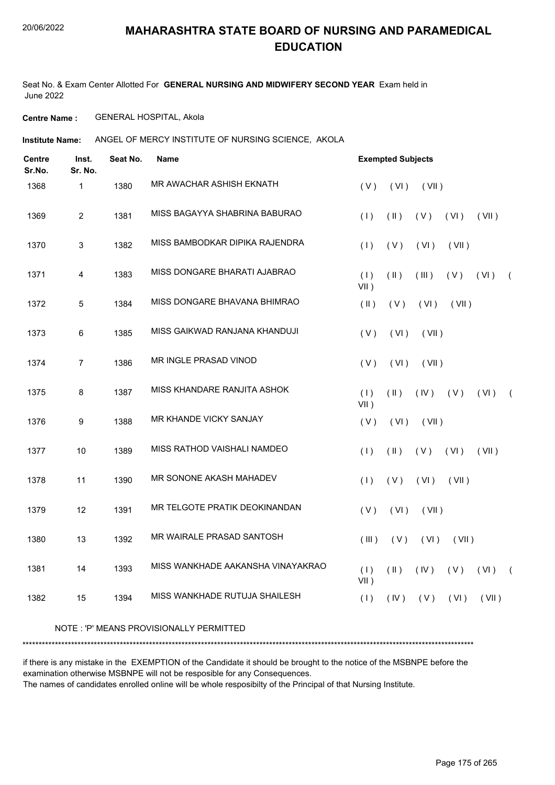Seat No. & Exam Center Allotted For **GENERAL NURSING AND MIDWIFERY SECOND YEAR** Exam held in June 2022

**Centre Name :** GENERAL HOSPITAL, Akola

**Institute Name:** ANGEL OF MERCY INSTITUTE OF NURSING SCIENCE, AKOLA

| <b>Centre</b><br>Sr.No. | Inst.<br>Sr. No. | Seat No. | <b>Name</b>                       |                | <b>Exempted Subjects</b> |       |       |       |            |
|-------------------------|------------------|----------|-----------------------------------|----------------|--------------------------|-------|-------|-------|------------|
| 1368                    | $\mathbf{1}$     | 1380     | MR AWACHAR ASHISH EKNATH          | (V)            | (VI)                     | (VII) |       |       |            |
| 1369                    | $\overline{2}$   | 1381     | MISS BAGAYYA SHABRINA BABURAO     | (1)            | $(\parallel)$            | (V)   | (VI)  | (VII) |            |
| 1370                    | 3                | 1382     | MISS BAMBODKAR DIPIKA RAJENDRA    | (1)            | (V)                      | (VI)  | (VII) |       |            |
| 1371                    | 4                | 1383     | MISS DONGARE BHARATI AJABRAO      | (1)<br>$VII$ ) | $(\parallel)$            | (III) | (V)   | (VI)  | $\sqrt{ }$ |
| 1372                    | 5                | 1384     | MISS DONGARE BHAVANA BHIMRAO      | $(\parallel)$  | (V)                      | (VI)  | (VII) |       |            |
| 1373                    | 6                | 1385     | MISS GAIKWAD RANJANA KHANDUJI     | (V)            | (VI)                     | (VII) |       |       |            |
| 1374                    | $\overline{7}$   | 1386     | MR INGLE PRASAD VINOD             | (V)            | (VI)                     | (VII) |       |       |            |
| 1375                    | 8                | 1387     | MISS KHANDARE RANJITA ASHOK       | (1)<br>VII)    | $(\parallel)$            | (IV)  | (V)   | (VI)  | $\left($   |
| 1376                    | 9                | 1388     | <b>MR KHANDE VICKY SANJAY</b>     | (V)            | (VI)                     | (VII) |       |       |            |
| 1377                    | 10               | 1389     | MISS RATHOD VAISHALI NAMDEO       | (1)            | $(\parallel)$            | (V)   | (VI)  | (VII) |            |
| 1378                    | 11               | 1390     | MR SONONE AKASH MAHADEV           | (1)            | (V)                      | (VI)  | (VII) |       |            |
| 1379                    | 12               | 1391     | MR TELGOTE PRATIK DEOKINANDAN     | (V)            | (VI)                     | (VII) |       |       |            |
| 1380                    | 13               | 1392     | <b>MR WAIRALE PRASAD SANTOSH</b>  | (III)          | (V)                      | (VI)  | (VII) |       |            |
| 1381                    | 14               | 1393     | MISS WANKHADE AAKANSHA VINAYAKRAO | (1)<br>$VII$ ) | $($ II $)$               | (IV)  | (V)   | (VI)  | $\sqrt{2}$ |
| 1382                    | 15               | 1394     | MISS WANKHADE RUTUJA SHAILESH     | (1)            | (IV)                     | (V)   | (VI)  | (VII) |            |

#### NOTE : 'P' MEANS PROVISIONALLY PERMITTED

\*\*\*\*\*\*\*\*\*\*\*\*\*\*\*\*\*\*\*\*\*\*\*\*\*\*\*\*\*\*\*\*\*\*\*\*\*\*\*\*\*\*\*\*\*\*\*\*\*\*\*\*\*\*\*\*\*\*\*\*\*\*\*\*\*\*\*\*\*\*\*\*\*\*\*\*\*\*\*\*\*\*\*\*\*\*\*\*\*\*\*\*\*\*\*\*\*\*\*\*\*\*\*\*\*\*\*\*\*\*\*\*\*\*\*\*\*\*\*\*\*\*\*\*\*\*\*\*\*\*\*\*\*\*\*\*\*\*\*

if there is any mistake in the EXEMPTION of the Candidate it should be brought to the notice of the MSBNPE before the examination otherwise MSBNPE will not be resposible for any Consequences.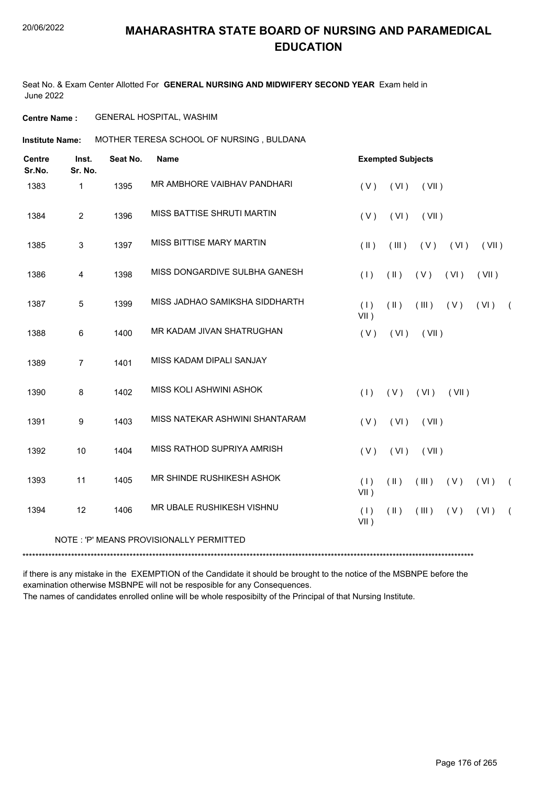Seat No. & Exam Center Allotted For **GENERAL NURSING AND MIDWIFERY SECOND YEAR** Exam held in June 2022

**Centre Name :** GENERAL HOSPITAL, WASHIM

**Institute Name: MOTHER TERESA SCHOOL OF NURSING , BULDANA** 

| <b>Centre</b><br>Sr.No. | Inst.<br>Sr. No. | Seat No. | <b>Name</b>                             |                | <b>Exempted Subjects</b> |       |       |       |            |
|-------------------------|------------------|----------|-----------------------------------------|----------------|--------------------------|-------|-------|-------|------------|
| 1383                    | 1                | 1395     | MR AMBHORE VAIBHAV PANDHARI             | (V)            | (VI)                     | (VII) |       |       |            |
| 1384                    | $\overline{c}$   | 1396     | MISS BATTISE SHRUTI MARTIN              | (V)            | (VI)                     | (VII) |       |       |            |
| 1385                    | $\mathbf{3}$     | 1397     | MISS BITTISE MARY MARTIN                | $(\parallel)$  | (III)                    | (V)   | (VI)  | (VII) |            |
| 1386                    | 4                | 1398     | MISS DONGARDIVE SULBHA GANESH           | (1)            | $(\parallel)$            | (V)   | (VI)  | (VII) |            |
| 1387                    | $\overline{5}$   | 1399     | MISS JADHAO SAMIKSHA SIDDHARTH          | (1)<br>$VII$ ) | $(\parallel)$            | (III) | (V)   | (VI)  | $\sqrt{2}$ |
| 1388                    | 6                | 1400     | MR KADAM JIVAN SHATRUGHAN               | (V)            | (VI)                     | (VII) |       |       |            |
| 1389                    | $\overline{7}$   | 1401     | MISS KADAM DIPALI SANJAY                |                |                          |       |       |       |            |
| 1390                    | 8                | 1402     | MISS KOLI ASHWINI ASHOK                 | (1)            | (V)                      | (VI)  | (VII) |       |            |
| 1391                    | 9                | 1403     | MISS NATEKAR ASHWINI SHANTARAM          | (V)            | (VI)                     | (VII) |       |       |            |
| 1392                    | 10               | 1404     | MISS RATHOD SUPRIYA AMRISH              | (V)            | (VI)                     | (VII) |       |       |            |
| 1393                    | 11               | 1405     | MR SHINDE RUSHIKESH ASHOK               | (1)<br>$VII$ ) | $(\parallel)$            | (III) | (V)   | (VI)  | $\sqrt{2}$ |
| 1394                    | 12               | 1406     | MR UBALE RUSHIKESH VISHNU               | (1)<br>$VII$ ) | $(\parallel)$            | (III) | (V)   | (VI)  | $\sqrt{2}$ |
|                         |                  |          | NOTE: 'P' MEANS PROVISIONALLY PERMITTED |                |                          |       |       |       |            |

\*\*\*\*\*\*\*\*\*\*\*\*\*\*\*\*\*\*\*\*\*\*\*\*\*\*\*\*\*\*\*\*\*\*\*\*\*\*\*\*\*\*\*\*\*\*\*\*\*\*\*\*\*\*\*\*\*\*\*\*\*\*\*\*\*\*\*\*\*\*\*\*\*\*\*\*\*\*\*\*\*\*\*\*\*\*\*\*\*\*\*\*\*\*\*\*\*\*\*\*\*\*\*\*\*\*\*\*\*\*\*\*\*\*\*\*\*\*\*\*\*\*\*\*\*\*\*\*\*\*\*\*\*\*\*\*\*\*\*

if there is any mistake in the EXEMPTION of the Candidate it should be brought to the notice of the MSBNPE before the examination otherwise MSBNPE will not be resposible for any Consequences.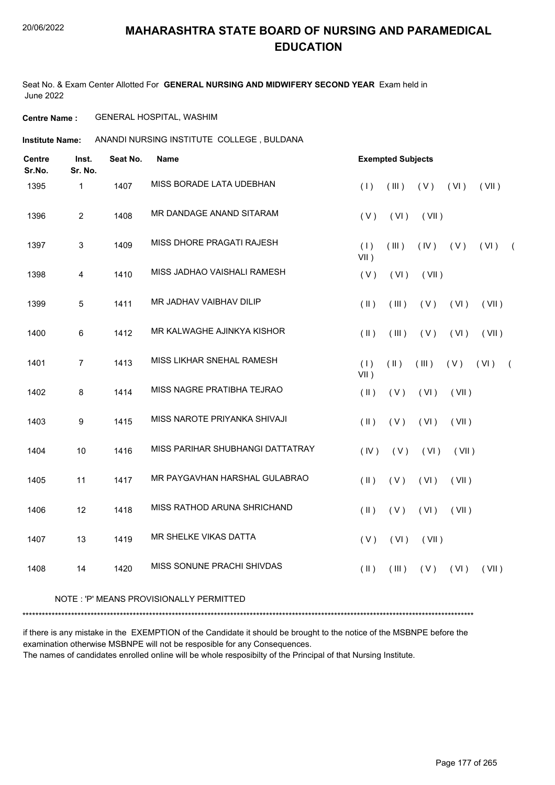#### 20/06/2022

#### **MAHARASHTRA STATE BOARD OF NURSING AND PARAMEDICAL EDUCATION**

Seat No. & Exam Center Allotted For **GENERAL NURSING AND MIDWIFERY SECOND YEAR** Exam held in June 2022

#### **Centre Name :** GENERAL HOSPITAL, WASHIM

**Institute Name:** ANANDI NURSING INSTITUTE COLLEGE , BULDANA

| <b>Centre</b><br>Sr.No. | Inst.<br>Sr. No. | Seat No. | Name                             | <b>Exempted Subjects</b>                                           |
|-------------------------|------------------|----------|----------------------------------|--------------------------------------------------------------------|
| 1395                    | 1                | 1407     | MISS BORADE LATA UDEBHAN         | (1)<br>(III)<br>(V)<br>(VI)<br>(VII)                               |
| 1396                    | $\overline{2}$   | 1408     | MR DANDAGE ANAND SITARAM         | (V)<br>(VI)<br>(VII)                                               |
| 1397                    | 3                | 1409     | MISS DHORE PRAGATI RAJESH        | (1)<br>(III)<br>(VI)<br>(IV)<br>(V)<br>$\sqrt{2}$<br>VII)          |
| 1398                    | $\overline{4}$   | 1410     | MISS JADHAO VAISHALI RAMESH      | (V)<br>(VI)<br>(VII)                                               |
| 1399                    | 5                | 1411     | MR JADHAV VAIBHAV DILIP          | $($ II $)$<br>(VI)<br>(VII)<br>(III)<br>(V)                        |
| 1400                    | 6                | 1412     | MR KALWAGHE AJINKYA KISHOR       | $($ II $)$<br>(III)<br>(V)<br>(VI)<br>(VII)                        |
| 1401                    | $\overline{7}$   | 1413     | MISS LIKHAR SNEHAL RAMESH        | (1)<br>$(\parallel)$<br>(VI)<br>(III)<br>(V)<br>$\sqrt{2}$<br>VII) |
| 1402                    | 8                | 1414     | MISS NAGRE PRATIBHA TEJRAO       | $($ II $)$<br>(VII)<br>(V)<br>(VI)                                 |
| 1403                    | $\boldsymbol{9}$ | 1415     | MISS NAROTE PRIYANKA SHIVAJI     | $(\parallel)$<br>(V)<br>(VI)<br>(VII)                              |
| 1404                    | 10               | 1416     | MISS PARIHAR SHUBHANGI DATTATRAY | (IV)<br>(V)<br>(VI)<br>(VII)                                       |
| 1405                    | 11               | 1417     | MR PAYGAVHAN HARSHAL GULABRAO    | $(\parallel)$<br>(V)<br>(VI)<br>(VII)                              |
| 1406                    | 12               | 1418     | MISS RATHOD ARUNA SHRICHAND      | $(\parallel)$<br>(V)<br>(VI)<br>(VII)                              |
| 1407                    | 13               | 1419     | MR SHELKE VIKAS DATTA            | (V)<br>(VI)<br>(VII)                                               |
| 1408                    | 14               | 1420     | MISS SONUNE PRACHI SHIVDAS       | $($ II $)$<br>(VI)<br>(VII)<br>(III)<br>(V)                        |
|                         |                  |          |                                  |                                                                    |

#### NOTE : 'P' MEANS PROVISIONALLY PERMITTED

\*\*\*\*\*\*\*\*\*\*\*\*\*\*\*\*\*\*\*\*\*\*\*\*\*\*\*\*\*\*\*\*\*\*\*\*\*\*\*\*\*\*\*\*\*\*\*\*\*\*\*\*\*\*\*\*\*\*\*\*\*\*\*\*\*\*\*\*\*\*\*\*\*\*\*\*\*\*\*\*\*\*\*\*\*\*\*\*\*\*\*\*\*\*\*\*\*\*\*\*\*\*\*\*\*\*\*\*\*\*\*\*\*\*\*\*\*\*\*\*\*\*\*\*\*\*\*\*\*\*\*\*\*\*\*\*\*\*\*

if there is any mistake in the EXEMPTION of the Candidate it should be brought to the notice of the MSBNPE before the examination otherwise MSBNPE will not be resposible for any Consequences. The names of candidates enrolled online will be whole resposibilty of the Principal of that Nursing Institute.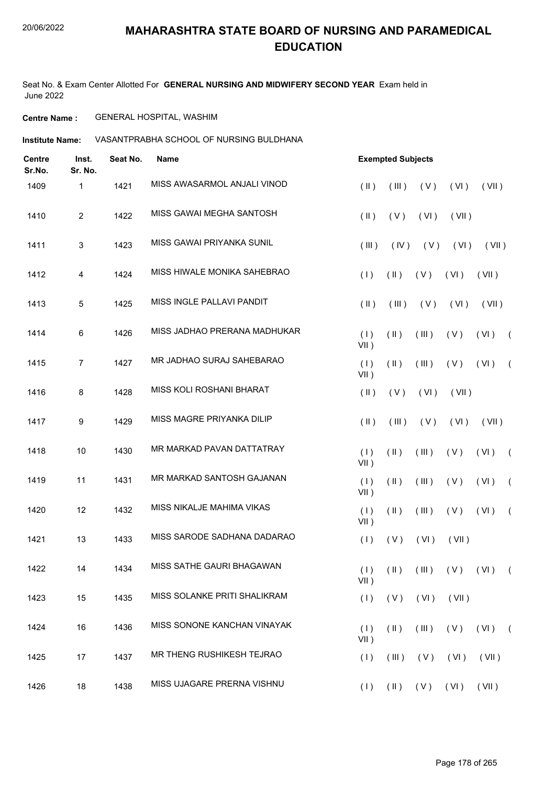Seat No. & Exam Center Allotted For **GENERAL NURSING AND MIDWIFERY SECOND YEAR** Exam held in June 2022

#### **Centre Name :** GENERAL HOSPITAL, WASHIM

**Institute Name: VASANTPRABHA SCHOOL OF NURSING BULDHANA** 

| <b>Centre</b><br>Sr.No. | Inst.<br>Sr. No. | Seat No. | <b>Name</b>                  |                | <b>Exempted Subjects</b> |       |                                             |            |            |
|-------------------------|------------------|----------|------------------------------|----------------|--------------------------|-------|---------------------------------------------|------------|------------|
| 1409                    | 1                | 1421     | MISS AWASARMOL ANJALI VINOD  | $(\parallel)$  | (III)                    | (V)   | (VI)                                        | (VII)      |            |
| 1410                    | $\overline{2}$   | 1422     | MISS GAWAI MEGHA SANTOSH     | $(\parallel)$  | (V)                      | (VI)  | (VII)                                       |            |            |
| 1411                    | 3                | 1423     | MISS GAWAI PRIYANKA SUNIL    | (III)          | (IV)                     | (V)   | (VI)                                        | (VII)      |            |
| 1412                    | 4                | 1424     | MISS HIWALE MONIKA SAHEBRAO  | (1)            | $(\parallel)$            | (V)   | (VI)                                        | (VII)      |            |
| 1413                    | $\overline{5}$   | 1425     | MISS INGLE PALLAVI PANDIT    | $(\parallel)$  | (III)                    | (V)   | (VI)                                        | (VII)      |            |
| 1414                    | 6                | 1426     | MISS JADHAO PRERANA MADHUKAR | (1)<br>$VII$ ) | $(\parallel)$            | (III) | (V)                                         | (VI)       | $\sqrt{2}$ |
| 1415                    | $\overline{7}$   | 1427     | MR JADHAO SURAJ SAHEBARAO    | (1)<br>$VII$ ) | $(\parallel)$            | (III) | (V)                                         | (VI)       | $\sqrt{2}$ |
| 1416                    | 8                | 1428     | MISS KOLI ROSHANI BHARAT     | $(\parallel)$  | (V)                      | (VI)  | (VII)                                       |            |            |
| 1417                    | 9                | 1429     | MISS MAGRE PRIYANKA DILIP    | $(\parallel)$  | (III)                    | (V)   | (VI)                                        | (VII)      |            |
| 1418                    | 10               | 1430     | MR MARKAD PAVAN DATTATRAY    | (1)<br>$VII$ ) | $(\parallel)$            | (III) | (V)                                         | (VI)       | $\sqrt{2}$ |
| 1419                    | 11               | 1431     | MR MARKAD SANTOSH GAJANAN    | (1)<br>$VII$ ) | $(\parallel)$            | (III) | (V)                                         | (VI)       | $\sqrt{2}$ |
| 1420                    | 12               | 1432     | MISS NIKALJE MAHIMA VIKAS    | (1)<br>$VII$ ) | $($ II $)$               | (III) | (V)                                         | (VI)       | $\sqrt{ }$ |
| 1421                    | 13               | 1433     | MISS SARODE SADHANA DADARAO  | (1)            | (V)                      | (VI)  | (VII)                                       |            |            |
| 1422                    | 14               | 1434     | MISS SATHE GAURI BHAGAWAN    | $VII$ )        |                          |       | $(1)$ $(1)$ $(11)$ $(11)$ $(1)$ $(1)$ $(1)$ |            |            |
| 1423                    | 15               | 1435     | MISS SOLANKE PRITI SHALIKRAM | (1)            | (V)                      | (VI)  | (VII)                                       |            |            |
| 1424                    | 16               | 1436     | MISS SONONE KANCHAN VINAYAK  | (1)<br>$VII$ ) | $(\parallel)$            | (III) | (V)                                         | $(VI)$ $($ |            |
| 1425                    | 17               | 1437     | MR THENG RUSHIKESH TEJRAO    | (1)            | (III)                    | (V)   | (VI)                                        | (VII)      |            |
| 1426                    | 18               | 1438     | MISS UJAGARE PRERNA VISHNU   |                |                          |       | $(1)$ $(1)$ $(V)$ $(V1)$ $(V1)$             |            |            |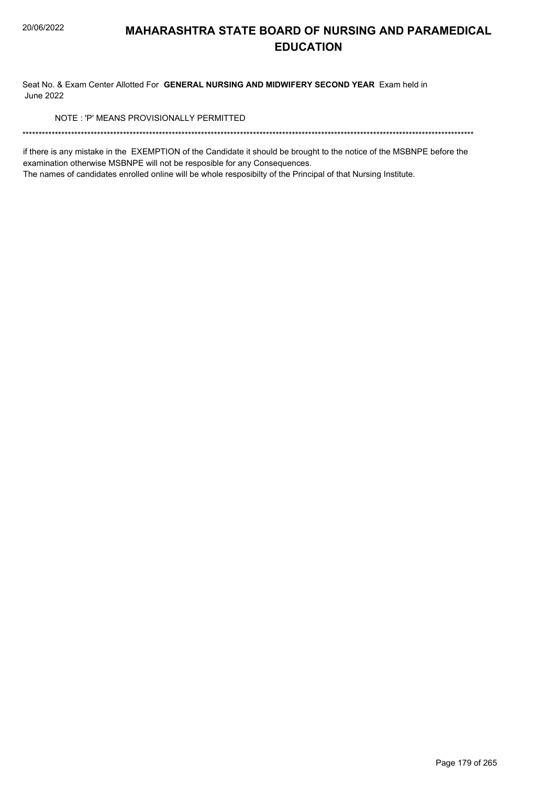Seat No. & Exam Center Allotted For GENERAL NURSING AND MIDWIFERY SECOND YEAR Exam held in **June 2022** 

NOTE: 'P' MEANS PROVISIONALLY PERMITTED

if there is any mistake in the EXEMPTION of the Candidate it should be brought to the notice of the MSBNPE before the examination otherwise MSBNPE will not be resposible for any Consequences.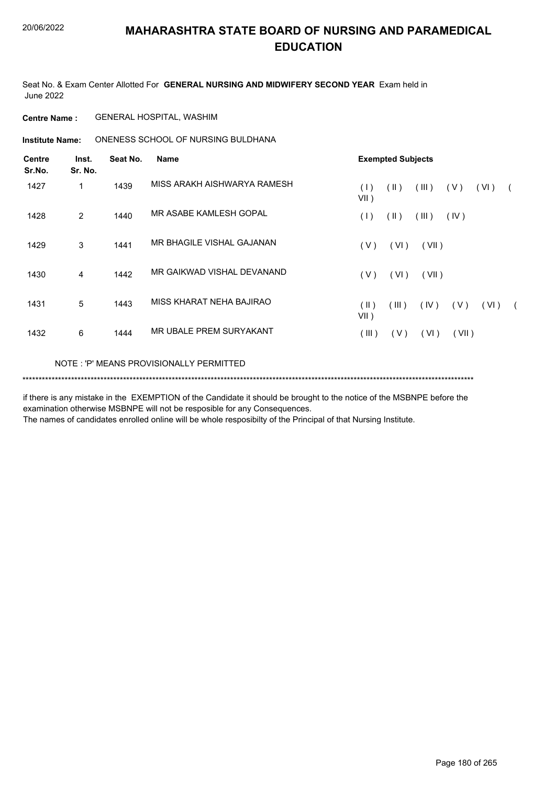Seat No. & Exam Center Allotted For **GENERAL NURSING AND MIDWIFERY SECOND YEAR** Exam held in June 2022

**Centre Name :** GENERAL HOSPITAL, WASHIM

**Institute Name:** ONENESS SCHOOL OF NURSING BULDHANA

| <b>Centre</b><br>Sr.No. | Inst.<br>Sr. No. | Seat No.<br><b>Name</b> |                                         |                 | <b>Exempted Subjects</b> |       |       |      |            |  |  |  |
|-------------------------|------------------|-------------------------|-----------------------------------------|-----------------|--------------------------|-------|-------|------|------------|--|--|--|
| 1427                    | 1                | 1439                    | MISS ARAKH AISHWARYA RAMESH             | (1)<br>$VII$ )  | $(\parallel)$            | (III) | (V)   | (VI) |            |  |  |  |
| 1428                    | 2                | 1440                    | MR ASABE KAMLESH GOPAL                  | (1)             | $(\parallel)$            | (III) | (IV)  |      |            |  |  |  |
| 1429                    | 3                | 1441                    | MR BHAGILE VISHAL GAJANAN               | (V)             | (VI)                     | (VII) |       |      |            |  |  |  |
| 1430                    | 4                | 1442                    | MR GAIKWAD VISHAL DEVANAND              | (V)             | (VI)                     | (VII) |       |      |            |  |  |  |
| 1431                    | 5                | 1443                    | MISS KHARAT NEHA BAJIRAO                | (  )<br>$VII$ ) | (III)                    | (IV)  | (V)   | (VI) | $\sqrt{2}$ |  |  |  |
| 1432                    | 6                | 1444                    | MR UBALE PREM SURYAKANT                 | (III)           | (V)                      | (VI)  | (VII) |      |            |  |  |  |
|                         |                  |                         | NOTE: 'P' MEANS PROVISIONALLY PERMITTED |                 |                          |       |       |      |            |  |  |  |

\*\*\*\*\*\*\*\*\*\*\*\*\*\*\*\*\*\*\*\*\*\*\*\*\*\*\*\*\*\*\*\*\*\*\*\*\*\*\*\*\*\*\*\*\*\*\*\*\*\*\*\*\*\*\*\*\*\*\*\*\*\*\*\*\*\*\*\*\*\*\*\*\*\*\*\*\*\*\*\*\*\*\*\*\*\*\*\*\*\*\*\*\*\*\*\*\*\*\*\*\*\*\*\*\*\*\*\*\*\*\*\*\*\*\*\*\*\*\*\*\*\*\*\*\*\*\*\*\*\*\*\*\*\*\*\*\*\*\*

if there is any mistake in the EXEMPTION of the Candidate it should be brought to the notice of the MSBNPE before the examination otherwise MSBNPE will not be resposible for any Consequences.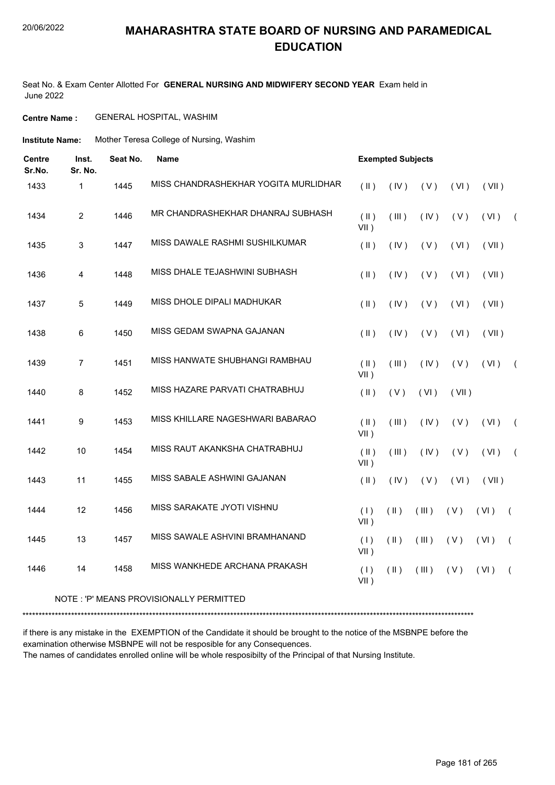Seat No. & Exam Center Allotted For **GENERAL NURSING AND MIDWIFERY SECOND YEAR** Exam held in June 2022

#### **Centre Name :** GENERAL HOSPITAL, WASHIM

**Institute Name:** Mother Teresa College of Nursing, Washim

| <b>Centre</b><br>Sr.No. | Inst.<br>Sr. No. | Seat No. | <b>Name</b>                          |                          | <b>Exempted Subjects</b>        |                                 |       |       |                |  |  |
|-------------------------|------------------|----------|--------------------------------------|--------------------------|---------------------------------|---------------------------------|-------|-------|----------------|--|--|
| 1433                    | $\mathbf{1}$     | 1445     | MISS CHANDRASHEKHAR YOGITA MURLIDHAR | $(\parallel)$            | (IV)                            | (V)                             | (VI)  | (VII) |                |  |  |
| 1434                    | $\overline{2}$   | 1446     | MR CHANDRASHEKHAR DHANRAJ SUBHASH    | $(\parallel)$<br>$VII$ ) | (III)                           | (IV)                            | (V)   | (VI)  | $\sqrt{2}$     |  |  |
| 1435                    | 3                | 1447     | MISS DAWALE RASHMI SUSHILKUMAR       | (  )                     | (IV)                            | (V)                             | (VI)  | (VII) |                |  |  |
| 1436                    | $\overline{4}$   | 1448     | MISS DHALE TEJASHWINI SUBHASH        | $($ II $)$               | (IV)                            | (V)                             | (VI)  | (VII) |                |  |  |
| 1437                    | 5                | 1449     | MISS DHOLE DIPALI MADHUKAR           | (  )                     | (IV)                            | (V)                             | (VI)  | (VII) |                |  |  |
| 1438                    | 6                | 1450     | MISS GEDAM SWAPNA GAJANAN            | (  )                     | (IV)                            | (V)                             | (VI)  | (VII) |                |  |  |
| 1439                    | $\overline{7}$   | 1451     | MISS HANWATE SHUBHANGI RAMBHAU       | $(\parallel)$<br>$VII$ ) | (III)                           | (IV)                            | (V)   | (VI)  | $\overline{ }$ |  |  |
| 1440                    | 8                | 1452     | MISS HAZARE PARVATI CHATRABHUJ       | $($ II $)$               | (V)                             | (VI)                            | (VII) |       |                |  |  |
| 1441                    | 9                | 1453     | MISS KHILLARE NAGESHWARI BABARAO     | $(\parallel)$<br>$VII$ ) | $($ $\parallel$ $\parallel$ $)$ | (IV)                            | (V)   | (VI)  | $\overline{ }$ |  |  |
| 1442                    | 10               | 1454     | MISS RAUT AKANKSHA CHATRABHUJ        | $($ II $)$<br>$VII$ )    | (III)                           | (IV)                            | (V)   | (VI)  | $\overline{ }$ |  |  |
| 1443                    | 11               | 1455     | MISS SABALE ASHWINI GAJANAN          | $($ II $)$               | (IV)                            | (V)                             | (VI)  | (VII) |                |  |  |
| 1444                    | 12               | 1456     | MISS SARAKATE JYOTI VISHNU           | (1)<br>$VII$ )           | $(\parallel)$                   | (III)                           | (V)   | (VI)  | $\left($       |  |  |
| 1445                    | 13               | 1457     | MISS SAWALE ASHVINI BRAMHANAND       | (1)<br>$VII$ )           | $($ II $)$                      | $($ $\parallel$ $\parallel$ $)$ | (V)   | (VI)  | $\left($       |  |  |
| 1446                    | 14               | 1458     | MISS WANKHEDE ARCHANA PRAKASH        | (1)<br>$VII$ )           | $($ II $)$                      | (III)                           | (V)   | (VI)  | $\left($       |  |  |

#### NOTE : 'P' MEANS PROVISIONALLY PERMITTED

\*\*\*\*\*\*\*\*\*\*\*\*\*\*\*\*\*\*\*\*\*\*\*\*\*\*\*\*\*\*\*\*\*\*\*\*\*\*\*\*\*\*\*\*\*\*\*\*\*\*\*\*\*\*\*\*\*\*\*\*\*\*\*\*\*\*\*\*\*\*\*\*\*\*\*\*\*\*\*\*\*\*\*\*\*\*\*\*\*\*\*\*\*\*\*\*\*\*\*\*\*\*\*\*\*\*\*\*\*\*\*\*\*\*\*\*\*\*\*\*\*\*\*\*\*\*\*\*\*\*\*\*\*\*\*\*\*\*\*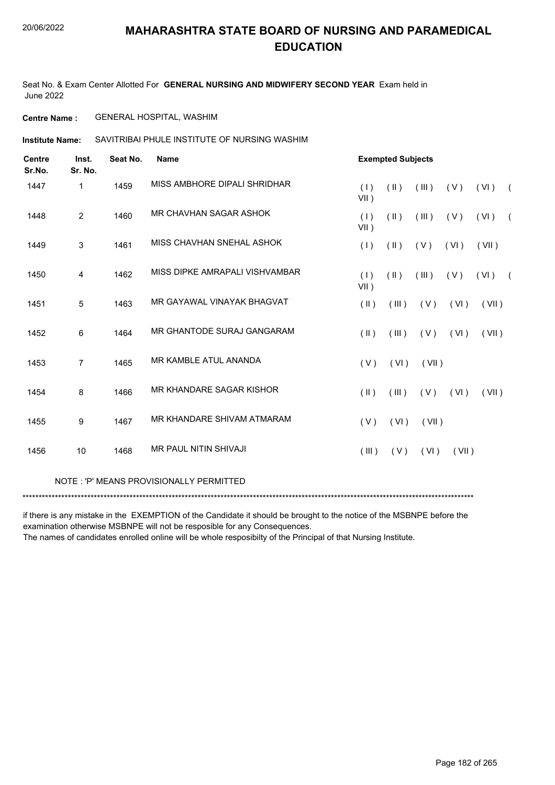Seat No. & Exam Center Allotted For **GENERAL NURSING AND MIDWIFERY SECOND YEAR** Exam held in June 2022

**Centre Name :** GENERAL HOSPITAL, WASHIM

SAVITRIBAI PHULE INSTITUTE OF NURSING WASHIM **Institute Name:**

| <b>Centre</b><br>Sr.No. | Inst.<br>Sr. No. | Seat No. | <b>Name</b>                    |                | <b>Exempted Subjects</b> |       |       |       |            |
|-------------------------|------------------|----------|--------------------------------|----------------|--------------------------|-------|-------|-------|------------|
| 1447                    | 1                | 1459     | MISS AMBHORE DIPALI SHRIDHAR   | (1)<br>$VII$ ) | $($ II $)$               | (III) | (V)   | (VI)  | $\sqrt{2}$ |
| 1448                    | $\overline{2}$   | 1460     | MR CHAVHAN SAGAR ASHOK         | (1)<br>VII)    | $($ II $)$               | (III) | (V)   | (VI)  | $\sqrt{2}$ |
| 1449                    | 3                | 1461     | MISS CHAVHAN SNEHAL ASHOK      | (1)            | $(\parallel \parallel)$  | (V)   | (VI)  | (VII) |            |
| 1450                    | 4                | 1462     | MISS DIPKE AMRAPALI VISHVAMBAR | (1)<br>$VII$ ) | $(\parallel)$            | (III) | (V)   | (VI)  | $\sqrt{2}$ |
| 1451                    | 5                | 1463     | MR GAYAWAL VINAYAK BHAGVAT     | (II)           | $($ III $)$              | (V)   | (VI)  | (VII) |            |
| 1452                    | 6                | 1464     | MR GHANTODE SURAJ GANGARAM     | $(\parallel)$  | (III)                    | (V)   | (VI)  | (VII) |            |
| 1453                    | $\overline{7}$   | 1465     | MR KAMBLE ATUL ANANDA          | (V)            | (VI)                     | (VII) |       |       |            |
| 1454                    | 8                | 1466     | MR KHANDARE SAGAR KISHOR       | $(\parallel)$  | (III)                    | (V)   | (VI)  | (VII) |            |
| 1455                    | 9                | 1467     | MR KHANDARE SHIVAM ATMARAM     | (V)            | (VI)                     | (VII) |       |       |            |
| 1456                    | 10               | 1468     | <b>MR PAUL NITIN SHIVAJI</b>   | (III)          | (V)                      | (VI)  | (VII) |       |            |
|                         |                  |          |                                |                |                          |       |       |       |            |

NOTE : 'P' MEANS PROVISIONALLY PERMITTED

\*\*\*\*\*\*\*\*\*\*\*\*\*\*\*\*\*\*\*\*\*\*\*\*\*\*\*\*\*\*\*\*\*\*\*\*\*\*\*\*\*\*\*\*\*\*\*\*\*\*\*\*\*\*\*\*\*\*\*\*\*\*\*\*\*\*\*\*\*\*\*\*\*\*\*\*\*\*\*\*\*\*\*\*\*\*\*\*\*\*\*\*\*\*\*\*\*\*\*\*\*\*\*\*\*\*\*\*\*\*\*\*\*\*\*\*\*\*\*\*\*\*\*\*\*\*\*\*\*\*\*\*\*\*\*\*\*\*\*

if there is any mistake in the EXEMPTION of the Candidate it should be brought to the notice of the MSBNPE before the examination otherwise MSBNPE will not be resposible for any Consequences.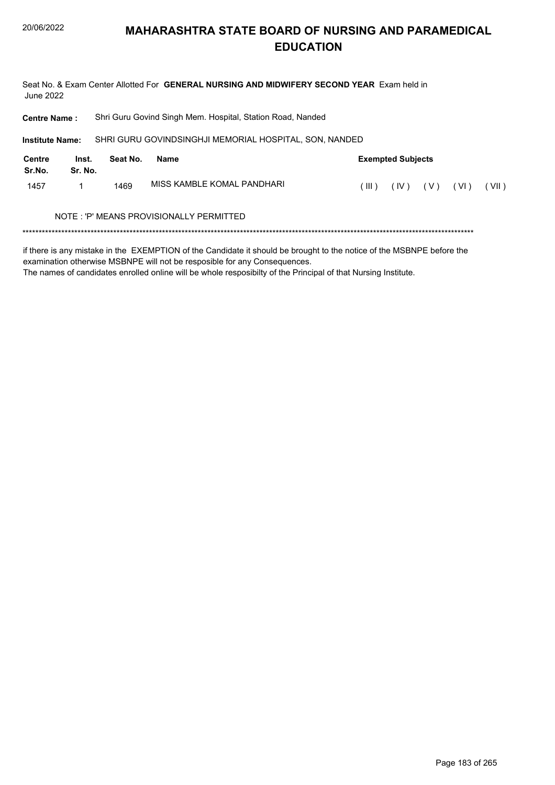Seat No. & Exam Center Allotted For GENERAL NURSING AND MIDWIFERY SECOND YEAR Exam held in **June 2022** 

Shri Guru Govind Singh Mem. Hospital, Station Road, Nanded **Centre Name:** 

SHRI GURU GOVINDSINGHJI MEMORIAL HOSPITAL, SON, NANDED **Institute Name:** 

| Centre<br>Sr.No. | Inst.<br>Sr. No. | Seat No. | Name                                    | <b>Exempted Subjects</b> |  |                     |  |         |  |  |  |
|------------------|------------------|----------|-----------------------------------------|--------------------------|--|---------------------|--|---------|--|--|--|
| 1457             |                  | 1469     | MISS KAMBLE KOMAL PANDHARI              | $($ III ) $-$            |  | $(IV)$ $(V)$ $(VI)$ |  | ( VII ) |  |  |  |
|                  |                  |          | NOTE: 'P' MEANS PROVISIONALLY PERMITTED |                          |  |                     |  |         |  |  |  |

if there is any mistake in the EXEMPTION of the Candidate it should be brought to the notice of the MSBNPE before the examination otherwise MSBNPE will not be resposible for any Consequences.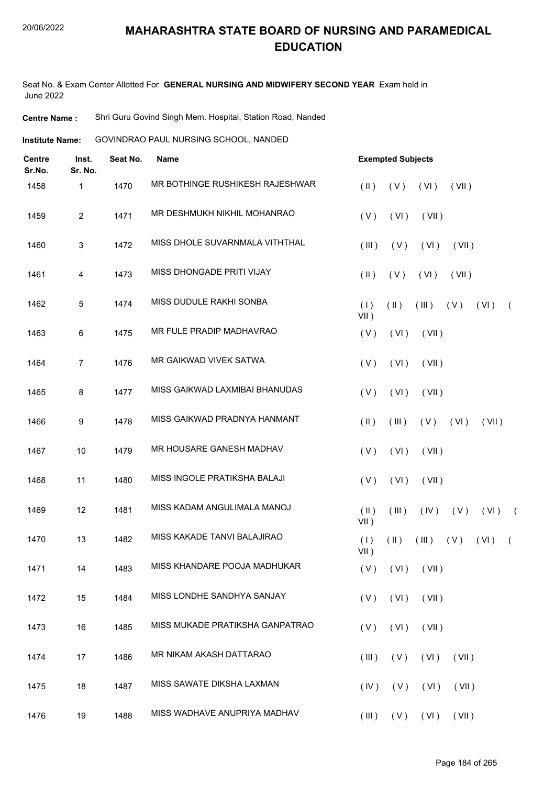Seat No. & Exam Center Allotted For **GENERAL NURSING AND MIDWIFERY SECOND YEAR** Exam held in June 2022

**Centre Name :** Shri Guru Govind Singh Mem. Hospital, Station Road, Nanded

GOVINDRAO PAUL NURSING SCHOOL, NANDED **Institute Name:**

| <b>Centre</b><br>Sr.No. | Inst.<br>Sr. No. | Seat No. | <b>Name</b>                     | <b>Exempted Subjects</b>                                              |            |
|-------------------------|------------------|----------|---------------------------------|-----------------------------------------------------------------------|------------|
| 1458                    | 1                | 1470     | MR BOTHINGE RUSHIKESH RAJESHWAR | $(\parallel)$<br>(VI)<br>(VII)<br>(V)                                 |            |
| 1459                    | $\overline{c}$   | 1471     | MR DESHMUKH NIKHIL MOHANRAO     | (V)<br>(VI)<br>(VII)                                                  |            |
| 1460                    | 3                | 1472     | MISS DHOLE SUVARNMALA VITHTHAL  | (III)<br>(V)<br>(VI)<br>(VII)                                         |            |
| 1461                    | 4                | 1473     | MISS DHONGADE PRITI VIJAY       | $($ II $)$<br>(V)<br>(VI)<br>(VII)                                    |            |
| 1462                    | 5                | 1474     | MISS DUDULE RAKHI SONBA         | (1)<br>$(\parallel)$<br>(III)<br>(V)<br>(VI)<br>$\sqrt{2}$<br>$VII$ ) |            |
| 1463                    | 6                | 1475     | MR FULE PRADIP MADHAVRAO        | (V)<br>(VI)<br>(VII)                                                  |            |
| 1464                    | 7                | 1476     | MR GAIKWAD VIVEK SATWA          | (V)<br>(VI)<br>(VII)                                                  |            |
| 1465                    | 8                | 1477     | MISS GAIKWAD LAXMIBAI BHANUDAS  | (V)<br>(VI)<br>(VII)                                                  |            |
| 1466                    | 9                | 1478     | MISS GAIKWAD PRADNYA HANMANT    | $(\parallel)$<br>(VI)<br>(III)<br>(V)<br>(VII)                        |            |
| 1467                    | 10               | 1479     | MR HOUSARE GANESH MADHAV        | (V)<br>(VI)<br>(VII)                                                  |            |
| 1468                    | 11               | 1480     | MISS INGOLE PRATIKSHA BALAJI    | (V)<br>(VI)<br>(VII)                                                  |            |
| 1469                    | 12               | 1481     | MISS KADAM ANGULIMALA MANOJ     | $($ II $)$<br>(III)<br>(IV)<br>(V)<br>(VI)<br>$VII$ )                 | $\sqrt{2}$ |
| 1470                    | 13               | 1482     | MISS KAKADE TANVI BALAJIRAO     | (1)<br>$(\parallel)$<br>(III)<br>(V)<br>(VI)<br>$\left($<br>$VII$ )   |            |
| 1471                    | 14               | 1483     | MISS KHANDARE POOJA MADHUKAR    | (V)<br>$(VI)$ $(VII)$                                                 |            |
| 1472                    | 15               | 1484     | MISS LONDHE SANDHYA SANJAY      | (V)<br>(VI)<br>(VII)                                                  |            |
| 1473                    | 16               | 1485     | MISS MUKADE PRATIKSHA GANPATRAO | (V)<br>(VI)<br>(VII)                                                  |            |
| 1474                    | 17               | 1486     | MR NIKAM AKASH DATTARAO         | $($ III $)$<br>$(V)$ $(V)$<br>(VII)                                   |            |
| 1475                    | 18               | 1487     | MISS SAWATE DIKSHA LAXMAN       | (IV)<br>(V)<br>(VI)<br>(VII)                                          |            |
| 1476                    | 19               | 1488     | MISS WADHAVE ANUPRIYA MADHAV    | (III)<br>$(V)$ $(VI)$<br>(VII)                                        |            |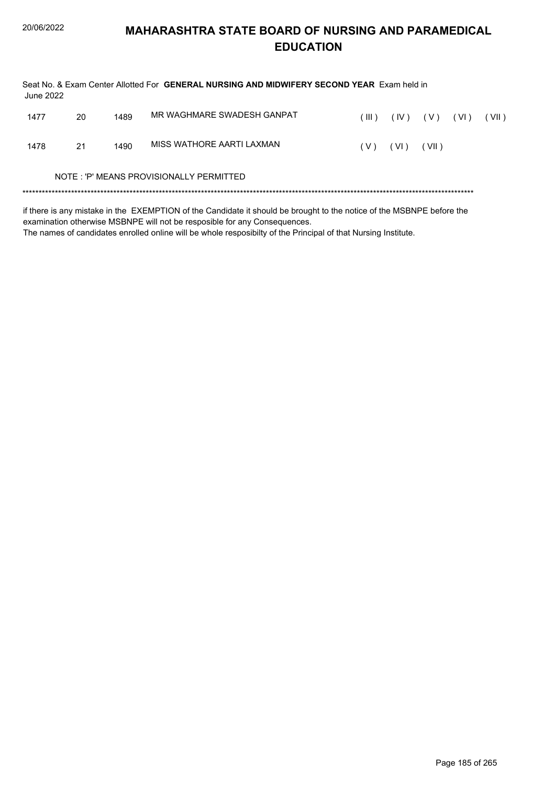| June 2022 |    |      | Seat No. & Exam Center Allotted For GENERAL NURSING AND MIDWIFERY SECOND YEAR Exam held in                            |       |      |       |        |       |
|-----------|----|------|-----------------------------------------------------------------------------------------------------------------------|-------|------|-------|--------|-------|
| 1477      | 20 | 1489 | MR WAGHMARE SWADESH GANPAT                                                                                            | (III) | (IV) | ( V ) | ( VI ) | (VII) |
| 1478      | 21 | 1490 | MISS WATHORF AARTI LAXMAN                                                                                             | ( V ) | (VI) | (VII) |        |       |
|           |    |      | NOTE: 'P' MEANS PROVISIONALLY PERMITTED                                                                               |       |      |       |        |       |
|           |    |      | Million to concert the to the CMCMOTION of the Occulture Mothership is horrichted the control of the MODMOC home than |       |      |       |        |       |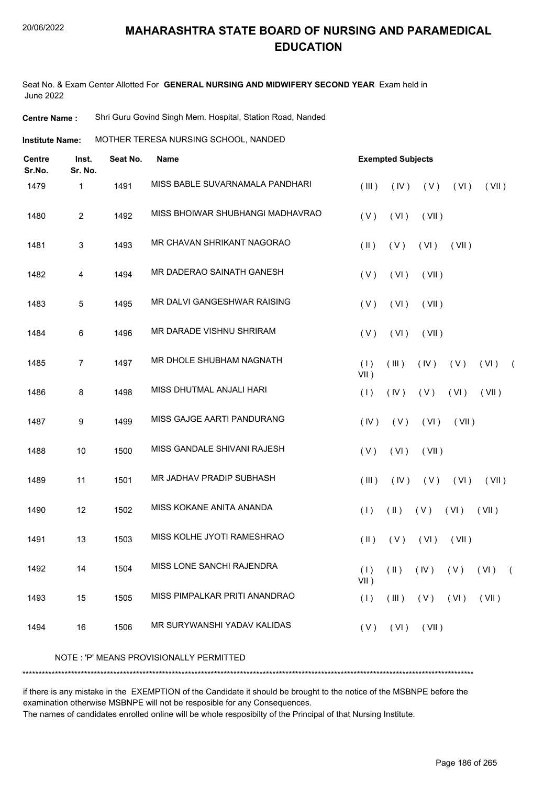Seat No. & Exam Center Allotted For **GENERAL NURSING AND MIDWIFERY SECOND YEAR** Exam held in June 2022

**Centre Name :** Shri Guru Govind Singh Mem. Hospital, Station Road, Nanded

**Institute Name: MOTHER TERESA NURSING SCHOOL, NANDED** 

| <b>Centre</b><br>Sr.No. | Inst.<br>Sr. No. | Seat No. | <b>Name</b>                             | <b>Exempted Subjects</b> |               |              |                                     |       |            |  |  |
|-------------------------|------------------|----------|-----------------------------------------|--------------------------|---------------|--------------|-------------------------------------|-------|------------|--|--|
| 1479                    | 1                | 1491     | MISS BABLE SUVARNAMALA PANDHARI         | (III)                    | (IV)          | (V)          | (VI)                                | (VII) |            |  |  |
| 1480                    | $\overline{2}$   | 1492     | MISS BHOIWAR SHUBHANGI MADHAVRAO        | (V)                      | (VI)          | (VII)        |                                     |       |            |  |  |
| 1481                    | 3                | 1493     | MR CHAVAN SHRIKANT NAGORAO              | $(\parallel)$            | (V)           | (VI)         | (VII)                               |       |            |  |  |
| 1482                    | 4                | 1494     | MR DADERAO SAINATH GANESH               | (V)                      | (VI)          | (VII)        |                                     |       |            |  |  |
| 1483                    | 5                | 1495     | MR DALVI GANGESHWAR RAISING             | (V)                      | (VI)          | (VII)        |                                     |       |            |  |  |
| 1484                    | 6                | 1496     | MR DARADE VISHNU SHRIRAM                | (V)                      | (VI)          | (VII)        |                                     |       |            |  |  |
| 1485                    | 7                | 1497     | MR DHOLE SHUBHAM NAGNATH                | (1)<br>$VII$ )           | (III)         | (IV)         | (V)                                 | (VI)  | $\sqrt{2}$ |  |  |
| 1486                    | 8                | 1498     | MISS DHUTMAL ANJALI HARI                | (1)                      | (IV)          | (V)          | (VI)                                | (VII) |            |  |  |
| 1487                    | 9                | 1499     | MISS GAJGE AARTI PANDURANG              | (IV)                     | (V)           | (VI)         | (VII)                               |       |            |  |  |
| 1488                    | 10               | 1500     | MISS GANDALE SHIVANI RAJESH             | (V)                      | (VI)          | (VII)        |                                     |       |            |  |  |
| 1489                    | 11               | 1501     | MR JADHAV PRADIP SUBHASH                | (III)                    | (IV)          | (V)          | (VI)                                | (VII) |            |  |  |
| 1490                    | 12               | 1502     | MISS KOKANE ANITA ANANDA                | (1)                      | $(\parallel)$ | (V)          | (VI)                                | (VII) |            |  |  |
| 1491                    | 13               | 1503     | MISS KOLHE JYOTI RAMESHRAO              | $(\parallel)$            | (V)           | (VI)         | (VII)                               |       |            |  |  |
| 1492                    | 14               | 1504     | <b>MISS LONE SANCHI RAJENDRA</b>        | $VII$ )                  |               |              | $(1)$ $(1)$ $(1)$ $(1)$ $(1)$ $(1)$ |       | $\sqrt{2}$ |  |  |
| 1493                    | 15               | 1505     | MISS PIMPALKAR PRITI ANANDRAO           | (1)                      | $($ III $)$   | $(V)$ $(VI)$ |                                     | (VII) |            |  |  |
| 1494                    | 16               | 1506     | MR SURYWANSHI YADAV KALIDAS             | (V)                      | (VI)          | (VII)        |                                     |       |            |  |  |
|                         |                  |          | NOTE: 'P' MEANS PROVISIONALLY PERMITTED |                          |               |              |                                     |       |            |  |  |

\*\*\*\*\*\*\*\*\*\*\*\*\*\*\*\*\*\*\*\*\*\*\*\*\*\*\*\*\*\*\*\*\*\*\*\*\*\*\*\*\*\*\*\*\*\*\*\*\*\*\*\*\*\*\*\*\*\*\*\*\*\*\*\*\*\*\*\*\*\*\*\*\*\*\*\*\*\*\*\*\*\*\*\*\*\*\*\*\*\*\*\*\*\*\*\*\*\*\*\*\*\*\*\*\*\*\*\*\*\*\*\*\*\*\*\*\*\*\*\*\*\*\*\*\*\*\*\*\*\*\*\*\*\*\*\*\*\*\*

if there is any mistake in the EXEMPTION of the Candidate it should be brought to the notice of the MSBNPE before the examination otherwise MSBNPE will not be resposible for any Consequences.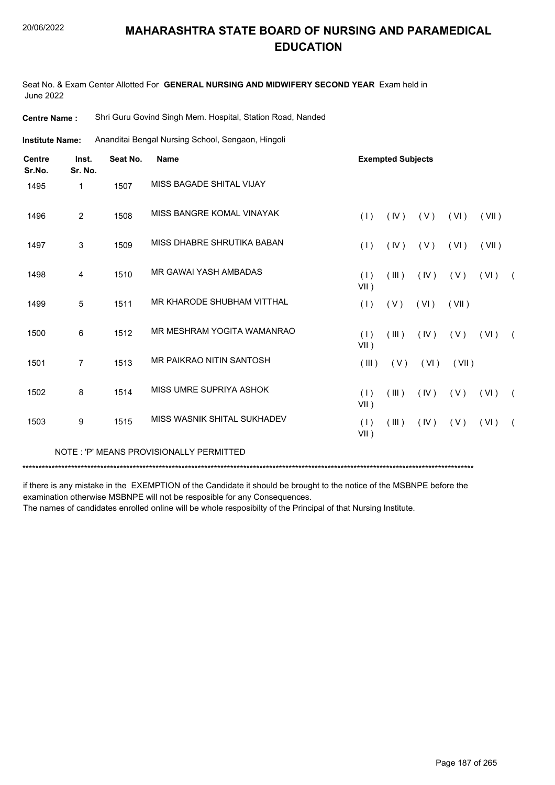Seat No. & Exam Center Allotted For **GENERAL NURSING AND MIDWIFERY SECOND YEAR** Exam held in June 2022

**Centre Name :** Shri Guru Govind Singh Mem. Hospital, Station Road, Nanded

Ananditai Bengal Nursing School, Sengaon, Hingoli **Institute Name:**

| <b>Centre</b><br>Sr.No. | Inst.<br>Sr. No. | Seat No. | <b>Name</b>                             |                | <b>Exempted Subjects</b> |      |       |       |            |
|-------------------------|------------------|----------|-----------------------------------------|----------------|--------------------------|------|-------|-------|------------|
| 1495                    | $\mathbf 1$      | 1507     | MISS BAGADE SHITAL VIJAY                |                |                          |      |       |       |            |
| 1496                    | $\overline{2}$   | 1508     | MISS BANGRE KOMAL VINAYAK               | (1)            | (IV)                     | (V)  | (VI)  | (VII) |            |
| 1497                    | 3                | 1509     | MISS DHABRE SHRUTIKA BABAN              | (1)            | (IV)                     | (V)  | (VI)  | (VII) |            |
| 1498                    | 4                | 1510     | MR GAWAI YASH AMBADAS                   | (1)<br>$VII$ ) | (III)                    | (IV) | (V)   | (VI)  | $\sqrt{2}$ |
| 1499                    | 5                | 1511     | MR KHARODE SHUBHAM VITTHAL              | (1)            | (V)                      | (VI) | (VII) |       |            |
| 1500                    | 6                | 1512     | MR MESHRAM YOGITA WAMANRAO              | (1)<br>VII)    | (III)                    | (IV) | (V)   | (VI)  | $\sqrt{2}$ |
| 1501                    | $\overline{7}$   | 1513     | MR PAIKRAO NITIN SANTOSH                | (III)          | (V)                      | (VI) | (VII) |       |            |
| 1502                    | 8                | 1514     | MISS UMRE SUPRIYA ASHOK                 | (1)<br>VII)    | (III)                    | (IV) | (V)   | (VI)  | $\sqrt{2}$ |
| 1503                    | 9                | 1515     | MISS WASNIK SHITAL SUKHADEV             | (1)<br>VII)    | (III)                    | (IV) | (V)   | (VI)  |            |
|                         |                  |          | NOTE: 'P' MEANS PROVISIONALLY PERMITTED |                |                          |      |       |       |            |

\*\*\*\*\*\*\*\*\*\*\*\*\*\*\*\*\*\*\*\*\*\*\*\*\*\*\*\*\*\*\*\*\*\*\*\*\*\*\*\*\*\*\*\*\*\*\*\*\*\*\*\*\*\*\*\*\*\*\*\*\*\*\*\*\*\*\*\*\*\*\*\*\*\*\*\*\*\*\*\*\*\*\*\*\*\*\*\*\*\*\*\*\*\*\*\*\*\*\*\*\*\*\*\*\*\*\*\*\*\*\*\*\*\*\*\*\*\*\*\*\*\*\*\*\*\*\*\*\*\*\*\*\*\*\*\*\*\*\*

if there is any mistake in the EXEMPTION of the Candidate it should be brought to the notice of the MSBNPE before the examination otherwise MSBNPE will not be resposible for any Consequences.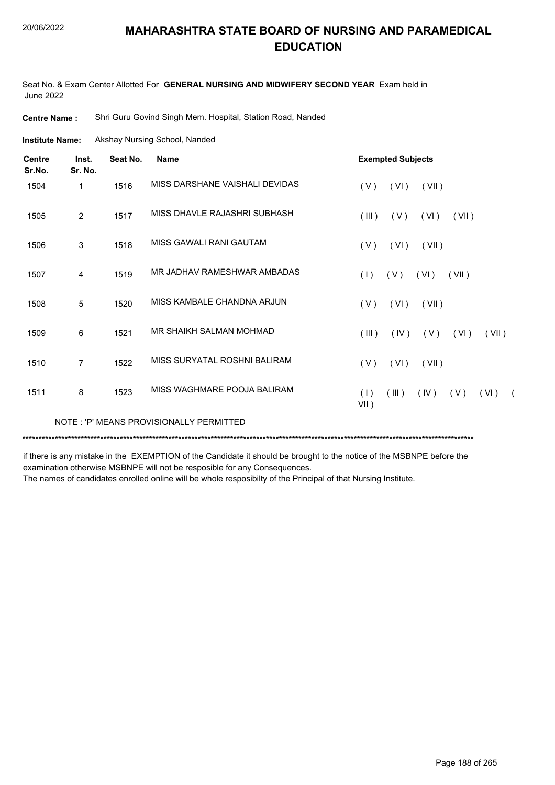Seat No. & Exam Center Allotted For **GENERAL NURSING AND MIDWIFERY SECOND YEAR** Exam held in June 2022

**Centre Name :** Shri Guru Govind Singh Mem. Hospital, Station Road, Nanded

Akshay Nursing School, Nanded **Institute Name:**

| <b>Centre</b><br>Sr.No. | Inst.<br>Sr. No. | Seat No. | <b>Name</b>                             | <b>Exempted Subjects</b>                                     |
|-------------------------|------------------|----------|-----------------------------------------|--------------------------------------------------------------|
| 1504                    | 1                | 1516     | MISS DARSHANE VAISHALI DEVIDAS          | (VI)<br>(V)<br>(VII)                                         |
| 1505                    | $\overline{2}$   | 1517     | MISS DHAVLE RAJASHRI SUBHASH            | (III)<br>(V)<br>(VII)<br>(VI)                                |
| 1506                    | 3                | 1518     | MISS GAWALI RANI GAUTAM                 | (VI)<br>(V)<br>(VII)                                         |
| 1507                    | 4                | 1519     | MR JADHAV RAMESHWAR AMBADAS             | ( V )<br>(VI)<br>(1)<br>(VII)                                |
| 1508                    | 5                | 1520     | MISS KAMBALE CHANDNA ARJUN              | (V)<br>(VI)<br>(VII)                                         |
| 1509                    | 6                | 1521     | MR SHAIKH SALMAN MOHMAD                 | (III)<br>(V)<br>(IV)<br>(VI)<br>(VII)                        |
| 1510                    | $\overline{7}$   | 1522     | MISS SURYATAL ROSHNI BALIRAM            | (VI)<br>(V)<br>(VII)                                         |
| 1511                    | 8                | 1523     | MISS WAGHMARE POOJA BALIRAM             | (1)<br>(III)<br>(IV)<br>(V)<br>(VI)<br>$\sqrt{2}$<br>$VII$ ) |
|                         |                  |          | NOTE: 'P' MEANS PROVISIONALLY PERMITTED |                                                              |

\*\*\*\*\*\*\*\*\*\*\*\*\*\*\*\*\*\*\*\*\*\*\*\*\*\*\*\*\*\*\*\*\*\*\*\*\*\*\*\*\*\*\*\*\*\*\*\*\*\*\*\*\*\*\*\*\*\*\*\*\*\*\*\*\*\*\*\*\*\*\*\*\*\*\*\*\*\*\*\*\*\*\*\*\*\*\*\*\*\*\*\*\*\*\*\*\*\*\*\*\*\*\*\*\*\*\*\*\*\*\*\*\*\*\*\*\*\*\*\*\*\*\*\*\*\*\*\*\*\*\*\*\*\*\*\*\*\*\*

if there is any mistake in the EXEMPTION of the Candidate it should be brought to the notice of the MSBNPE before the examination otherwise MSBNPE will not be resposible for any Consequences.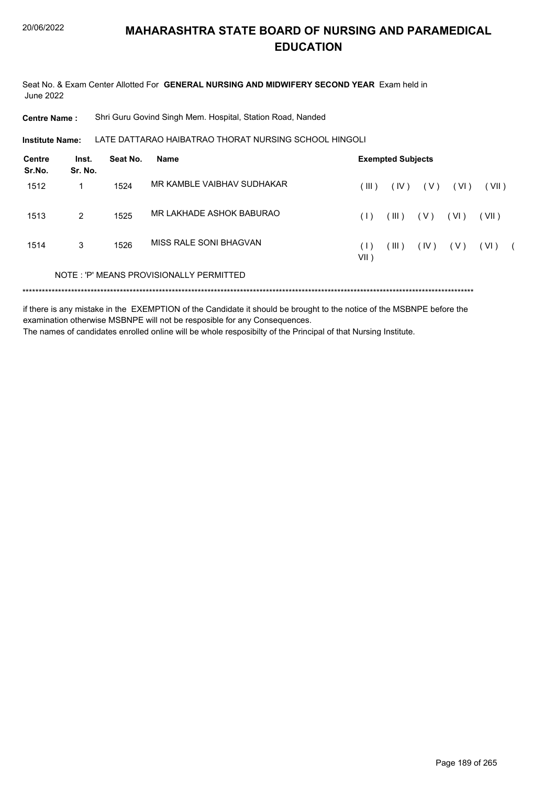Seat No. & Exam Center Allotted For **GENERAL NURSING AND MIDWIFERY SECOND YEAR** Exam held in June 2022

**Centre Name :** Shri Guru Govind Singh Mem. Hospital, Station Road, Nanded

LATE DATTARAO HAIBATRAO THORAT NURSING SCHOOL HINGOLI **Institute Name:**

| Centre<br>Sr.No. | Inst.<br>Sr. No. | Seat No. | Name                                    | <b>Exempted Subjects</b> |       |       |        |       |  |
|------------------|------------------|----------|-----------------------------------------|--------------------------|-------|-------|--------|-------|--|
| 1512             |                  | 1524     | MR KAMBLE VAIBHAV SUDHAKAR              | (III)                    | (IV)  | ( V ) | ( VI ) | (VII) |  |
| 1513             | $\mathcal{P}$    | 1525     | MR LAKHADE ASHOK BABURAO                | (1)                      | (III) | ( V ) | (VI)   | (VII) |  |
| 1514             | 3                | 1526     | MISS RALE SONI BHAGVAN                  | (1)<br>VII )             | (III) | (IV)  | ( V )  | (VI)  |  |
|                  |                  |          | NOTE: 'P' MEANS PROVISIONALLY PERMITTED |                          |       |       |        |       |  |
|                  |                  |          |                                         |                          |       |       |        |       |  |

if there is any mistake in the EXEMPTION of the Candidate it should be brought to the notice of the MSBNPE before the examination otherwise MSBNPE will not be resposible for any Consequences. The names of candidates enrolled online will be whole resposibilty of the Principal of that Nursing Institute.

Page 189 of 265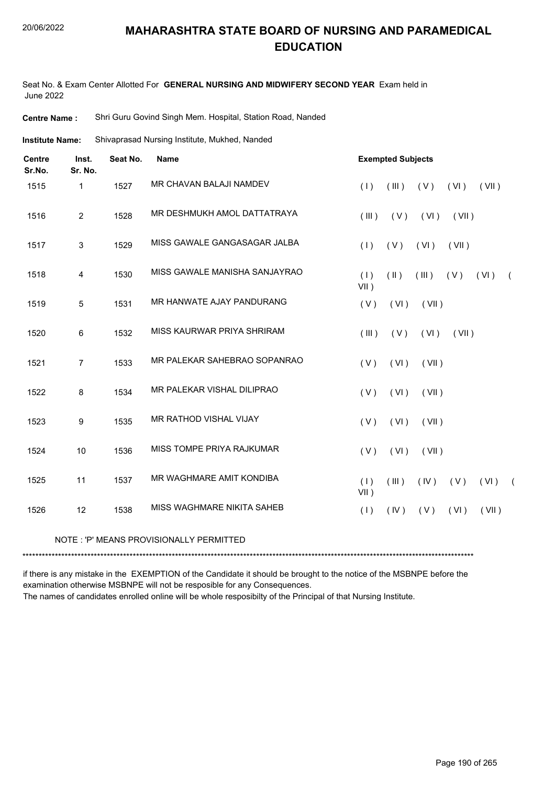Seat No. & Exam Center Allotted For **GENERAL NURSING AND MIDWIFERY SECOND YEAR** Exam held in June 2022

**Centre Name :** Shri Guru Govind Singh Mem. Hospital, Station Road, Nanded

Shivaprasad Nursing Institute, Mukhed, Nanded **Institute Name:**

| <b>Centre</b><br>Sr.No. | Inst.<br>Sr. No. | Seat No. | <b>Name</b>                   |                | <b>Exempted Subjects</b> |       |       |          |            |
|-------------------------|------------------|----------|-------------------------------|----------------|--------------------------|-------|-------|----------|------------|
| 1515                    | 1                | 1527     | MR CHAVAN BALAJI NAMDEV       | (1)            | (III)                    | (V)   | (VI)  | (VII)    |            |
| 1516                    | $\overline{2}$   | 1528     | MR DESHMUKH AMOL DATTATRAYA   | (III)          | (V)                      | (VI)  | (VII) |          |            |
| 1517                    | $\mathbf{3}$     | 1529     | MISS GAWALE GANGASAGAR JALBA  | (1)            | (V)                      | (VI)  | (VII) |          |            |
| 1518                    | 4                | 1530     | MISS GAWALE MANISHA SANJAYRAO | (1)<br>$VII$ ) | $(\parallel)$            | (III) | (V)   | (VI)     | $\sqrt{2}$ |
| 1519                    | 5                | 1531     | MR HANWATE AJAY PANDURANG     | (V)            | (VI)                     | (VII) |       |          |            |
| 1520                    | 6                | 1532     | MISS KAURWAR PRIYA SHRIRAM    | (III)          | (V)                      | (VI)  | (VII) |          |            |
| 1521                    | $\overline{7}$   | 1533     | MR PALEKAR SAHEBRAO SOPANRAO  | (V)            | (VI)                     | (VII) |       |          |            |
| 1522                    | 8                | 1534     | MR PALEKAR VISHAL DILIPRAO    | (V)            | (VI)                     | (VII) |       |          |            |
| 1523                    | 9                | 1535     | MR RATHOD VISHAL VIJAY        | (V)            | (VI)                     | (VII) |       |          |            |
| 1524                    | 10               | 1536     | MISS TOMPE PRIYA RAJKUMAR     | (V)            | (VI)                     | (VII) |       |          |            |
| 1525                    | 11               | 1537     | MR WAGHMARE AMIT KONDIBA      | (1)<br>VII)    | (III)                    | (IV)  | (V)   | $(VI)$ ( |            |
| 1526                    | 12               | 1538     | MISS WAGHMARE NIKITA SAHEB    | (1)            | (IV)                     | (V)   | (VI)  | (VII)    |            |

#### NOTE : 'P' MEANS PROVISIONALLY PERMITTED

\*\*\*\*\*\*\*\*\*\*\*\*\*\*\*\*\*\*\*\*\*\*\*\*\*\*\*\*\*\*\*\*\*\*\*\*\*\*\*\*\*\*\*\*\*\*\*\*\*\*\*\*\*\*\*\*\*\*\*\*\*\*\*\*\*\*\*\*\*\*\*\*\*\*\*\*\*\*\*\*\*\*\*\*\*\*\*\*\*\*\*\*\*\*\*\*\*\*\*\*\*\*\*\*\*\*\*\*\*\*\*\*\*\*\*\*\*\*\*\*\*\*\*\*\*\*\*\*\*\*\*\*\*\*\*\*\*\*\*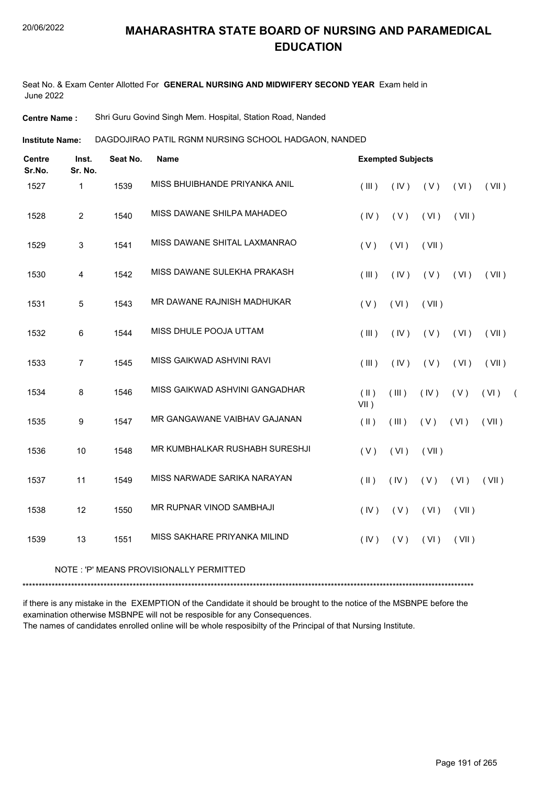Seat No. & Exam Center Allotted For **GENERAL NURSING AND MIDWIFERY SECOND YEAR** Exam held in June 2022

**Centre Name :** Shri Guru Govind Singh Mem. Hospital, Station Road, Nanded

DAGDOJIRAO PATIL RGNM NURSING SCHOOL HADGAON, NANDED **Institute Name:**

| <b>Centre</b><br>Sr.No. | Inst.<br>Sr. No. | Seat No. | <b>Name</b>                    | <b>Exempted Subjects</b> |       |       |       |       |            |
|-------------------------|------------------|----------|--------------------------------|--------------------------|-------|-------|-------|-------|------------|
| 1527                    | $\mathbf{1}$     | 1539     | MISS BHUIBHANDE PRIYANKA ANIL  | (III)                    | (IV)  | (V)   | (VI)  | (VII) |            |
| 1528                    | $\overline{2}$   | 1540     | MISS DAWANE SHILPA MAHADEO     | (IV)                     | (V)   | (VI)  | (VII) |       |            |
| 1529                    | 3                | 1541     | MISS DAWANE SHITAL LAXMANRAO   | (V)                      | (VI)  | (VII) |       |       |            |
| 1530                    | $\overline{4}$   | 1542     | MISS DAWANE SULEKHA PRAKASH    | (III)                    | (IV)  | (V)   | (VI)  | (VII) |            |
| 1531                    | 5                | 1543     | MR DAWANE RAJNISH MADHUKAR     | (V)                      | (VI)  | (VII) |       |       |            |
| 1532                    | 6                | 1544     | MISS DHULE POOJA UTTAM         | (III)                    | (IV)  | (V)   | (VI)  | (VII) |            |
| 1533                    | $\overline{7}$   | 1545     | MISS GAIKWAD ASHVINI RAVI      | (III)                    | (IV)  | (V)   | (VI)  | (VII) |            |
| 1534                    | 8                | 1546     | MISS GAIKWAD ASHVINI GANGADHAR | (  )<br>$VII$ )          | (III) | (IV)  | (V)   | (VI)  | $\sqrt{2}$ |
| 1535                    | 9                | 1547     | MR GANGAWANE VAIBHAV GAJANAN   | $($ II $)$               | (III) | (V)   | (VI)  | (VII) |            |
| 1536                    | 10               | 1548     | MR KUMBHALKAR RUSHABH SURESHJI | (V)                      | (VI)  | (VII) |       |       |            |
| 1537                    | 11               | 1549     | MISS NARWADE SARIKA NARAYAN    | $(\parallel)$            | (IV)  | (V)   | (VI)  | (VII) |            |
| 1538                    | 12               | 1550     | MR RUPNAR VINOD SAMBHAJI       | (IV)                     | (V)   | (VI)  | (VII) |       |            |
| 1539                    | 13               | 1551     | MISS SAKHARE PRIYANKA MILIND   | (IV)                     | (V)   | (VI)  | (VII) |       |            |

NOTE : 'P' MEANS PROVISIONALLY PERMITTED

\*\*\*\*\*\*\*\*\*\*\*\*\*\*\*\*\*\*\*\*\*\*\*\*\*\*\*\*\*\*\*\*\*\*\*\*\*\*\*\*\*\*\*\*\*\*\*\*\*\*\*\*\*\*\*\*\*\*\*\*\*\*\*\*\*\*\*\*\*\*\*\*\*\*\*\*\*\*\*\*\*\*\*\*\*\*\*\*\*\*\*\*\*\*\*\*\*\*\*\*\*\*\*\*\*\*\*\*\*\*\*\*\*\*\*\*\*\*\*\*\*\*\*\*\*\*\*\*\*\*\*\*\*\*\*\*\*\*\*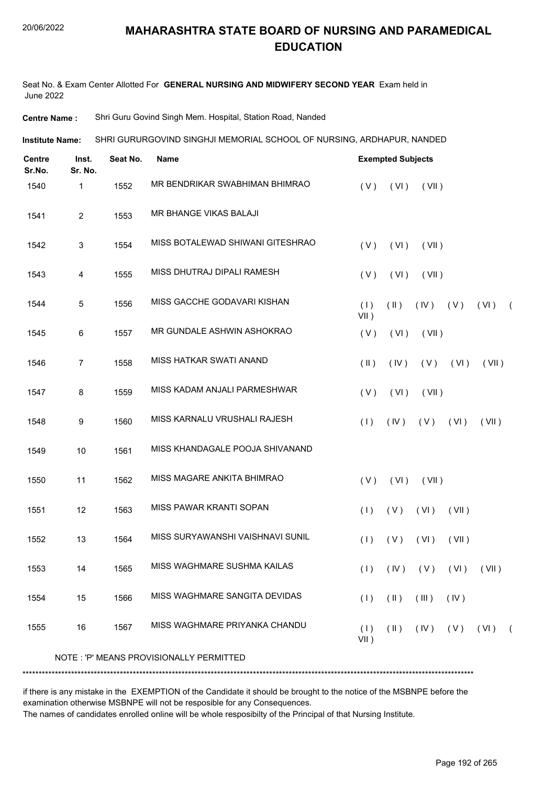Seat No. & Exam Center Allotted For **GENERAL NURSING AND MIDWIFERY SECOND YEAR** Exam held in June 2022

**Centre Name :** Shri Guru Govind Singh Mem. Hospital, Station Road, Nanded

SHRI GURURGOVIND SINGHJI MEMORIAL SCHOOL OF NURSING, ARDHAPUR, NANDED **Institute Name:**

| <b>Centre</b><br>Sr.No. | Inst.<br>Sr. No. | Seat No. | <b>Name</b>                             | <b>Exempted Subjects</b> |               |                           |       |                            |            |
|-------------------------|------------------|----------|-----------------------------------------|--------------------------|---------------|---------------------------|-------|----------------------------|------------|
| 1540                    | 1                | 1552     | MR BENDRIKAR SWABHIMAN BHIMRAO          | (V)                      | (VI)          | (VII)                     |       |                            |            |
| 1541                    | $\overline{2}$   | 1553     | MR BHANGE VIKAS BALAJI                  |                          |               |                           |       |                            |            |
| 1542                    | 3                | 1554     | MISS BOTALEWAD SHIWANI GITESHRAO        | (V)                      | (VI)          | (VII)                     |       |                            |            |
| 1543                    | 4                | 1555     | MISS DHUTRAJ DIPALI RAMESH              | (V)                      | (VI)          | (VII)                     |       |                            |            |
| 1544                    | 5                | 1556     | MISS GACCHE GODAVARI KISHAN             | (1)<br>VII)              | $(\parallel)$ | $(V)$ $(V)$               |       | (VI)                       | $\sqrt{2}$ |
| 1545                    | 6                | 1557     | MR GUNDALE ASHWIN ASHOKRAO              | (V)                      | (VI)          | (VII)                     |       |                            |            |
| 1546                    | $\overline{7}$   | 1558     | <b>MISS HATKAR SWATI ANAND</b>          | $(\parallel)$            | (IV)          | (V)                       | (VI)  | (VII)                      |            |
| 1547                    | 8                | 1559     | MISS KADAM ANJALI PARMESHWAR            | (V)                      | (VI)          | (VII)                     |       |                            |            |
| 1548                    | 9                | 1560     | MISS KARNALU VRUSHALI RAJESH            | (1)                      | (IV)          | (V)                       | (VI)  | (VII)                      |            |
| 1549                    | 10               | 1561     | MISS KHANDAGALE POOJA SHIVANAND         |                          |               |                           |       |                            |            |
| 1550                    | 11               | 1562     | MISS MAGARE ANKITA BHIMRAO              | (V)                      | (VI)          | (VII)                     |       |                            |            |
| 1551                    | 12               | 1563     | MISS PAWAR KRANTI SOPAN                 | (1)                      | (V)           | (VI)                      | (VII) |                            |            |
| 1552                    | 13               | 1564     | MISS SURYAWANSHI VAISHNAVI SUNIL        | (1)                      | (V)           | (VI)                      | (VII) |                            |            |
| 1553                    | 14               | 1565     | MISS WAGHMARE SUSHMA KAILAS             |                          |               | $(1)$ $(IV)$ $(V)$ $(VI)$ |       | (VII)                      |            |
| 1554                    | 15               | 1566     | MISS WAGHMARE SANGITA DEVIDAS           | (1)                      | $(\parallel)$ | (III)                     | (IV)  |                            |            |
| 1555                    | 16               | 1567     | MISS WAGHMARE PRIYANKA CHANDU           | (1)<br>$VII$ )           | $(\parallel)$ |                           |       | $(IV)$ $(V)$ $(VI)$ $(VI)$ |            |
|                         |                  |          | NOTE: 'P' MEANS PROVISIONALLY PERMITTED |                          |               |                           |       |                            |            |
|                         |                  |          |                                         |                          |               |                           |       |                            |            |

if there is any mistake in the EXEMPTION of the Candidate it should be brought to the notice of the MSBNPE before the examination otherwise MSBNPE will not be resposible for any Consequences.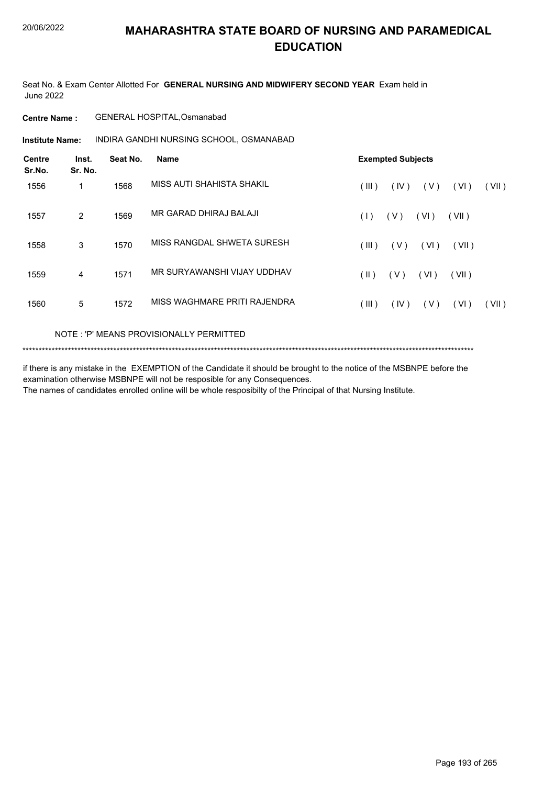Seat No. & Exam Center Allotted For **GENERAL NURSING AND MIDWIFERY SECOND YEAR** Exam held in June 2022

**Centre Name :** GENERAL HOSPITAL,Osmanabad

**Institute Name: AINDIRA GANDHI NURSING SCHOOL, OSMANABAD** 

| <b>Centre</b><br>Sr.No. | Inst.<br>Sr. No. | Seat No. | Name                         | <b>Exempted Subjects</b>                |  |  |  |  |  |  |  |
|-------------------------|------------------|----------|------------------------------|-----------------------------------------|--|--|--|--|--|--|--|
| 1556                    | 1                | 1568     | MISS AUTI SHAHISTA SHAKIL    | (III)<br>(IV)<br>(V)<br>(VI)<br>(VII)   |  |  |  |  |  |  |  |
| 1557                    | 2                | 1569     | MR GARAD DHIRAJ BALAJI       | (VI)<br>(1)<br>(V)<br>(VII)             |  |  |  |  |  |  |  |
| 1558                    | 3                | 1570     | MISS RANGDAL SHWETA SURESH   | (V)<br>(VI)<br>(III)<br>(VII)           |  |  |  |  |  |  |  |
| 1559                    | 4                | 1571     | MR SURYAWANSHI VIJAY UDDHAV  | (VI)<br>( V )<br>(  )<br>(VII)          |  |  |  |  |  |  |  |
| 1560                    | 5                | 1572     | MISS WAGHMARE PRITI RAJENDRA | (III)<br>(IV)<br>( V )<br>(VI)<br>(VII) |  |  |  |  |  |  |  |

NOTE : 'P' MEANS PROVISIONALLY PERMITTED

\*\*\*\*\*\*\*\*\*\*\*\*\*\*\*\*\*\*\*\*\*\*\*\*\*\*\*\*\*\*\*\*\*\*\*\*\*\*\*\*\*\*\*\*\*\*\*\*\*\*\*\*\*\*\*\*\*\*\*\*\*\*\*\*\*\*\*\*\*\*\*\*\*\*\*\*\*\*\*\*\*\*\*\*\*\*\*\*\*\*\*\*\*\*\*\*\*\*\*\*\*\*\*\*\*\*\*\*\*\*\*\*\*\*\*\*\*\*\*\*\*\*\*\*\*\*\*\*\*\*\*\*\*\*\*\*\*\*\*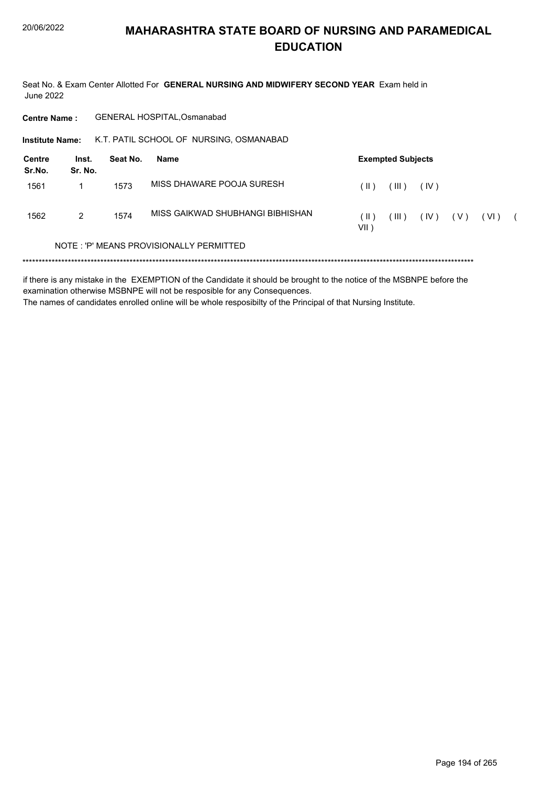Seat No. & Exam Center Allotted For GENERAL NURSING AND MIDWIFERY SECOND YEAR Exam held in **June 2022** 

| <b>Centre Name:</b>    |                  |          | <b>GENERAL HOSPITAL.Osmanabad</b>       |                                         |      |  |
|------------------------|------------------|----------|-----------------------------------------|-----------------------------------------|------|--|
| <b>Institute Name:</b> |                  |          | K.T. PATIL SCHOOL OF NURSING, OSMANABAD |                                         |      |  |
| Centre<br>Sr.No.       | Inst.<br>Sr. No. | Seat No. | Name                                    | <b>Exempted Subjects</b>                |      |  |
| 1561                   |                  | 1573     | MISS DHAWARE POOJA SURESH               | (III)<br>(  )<br>(IV)                   |      |  |
| 1562                   | 2                | 1574     | MISS GAIKWAD SHUBHANGI BIBHISHAN        | (III)<br>(  )<br>(IV)<br>( V )<br>VII ) | (VI) |  |
|                        |                  |          | NOTE: 'P' MEANS PROVISIONALLY PERMITTED |                                         |      |  |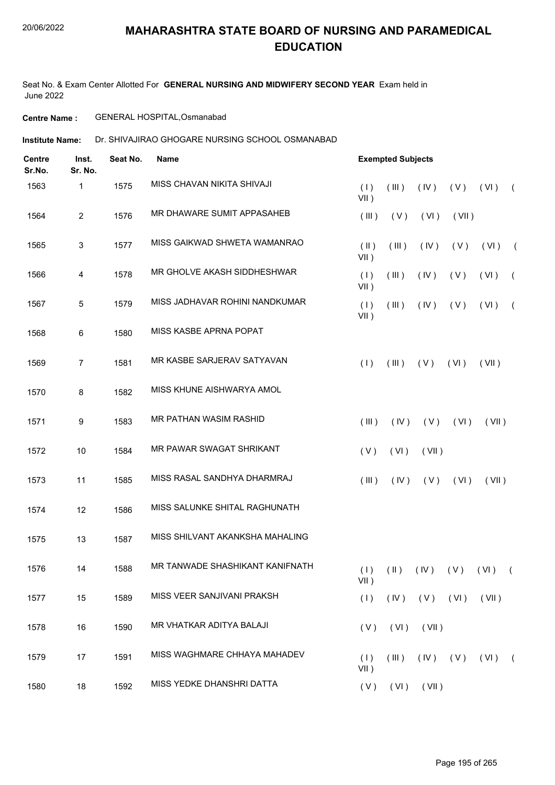Seat No. & Exam Center Allotted For **GENERAL NURSING AND MIDWIFERY SECOND YEAR** Exam held in June 2022

**Centre Name :** GENERAL HOSPITAL,Osmanabad

**Institute Name:** Dr. SHIVAJIRAO GHOGARE NURSING SCHOOL OSMANABAD

| <b>Centre</b><br>Sr.No. | Inst.<br>Sr. No. | Seat No. | Name                            |                          | <b>Exempted Subjects</b> |                |             |                                           |            |  |  |
|-------------------------|------------------|----------|---------------------------------|--------------------------|--------------------------|----------------|-------------|-------------------------------------------|------------|--|--|
| 1563                    | 1                | 1575     | MISS CHAVAN NIKITA SHIVAJI      | (1)<br>$VII$ )           | (III)                    | (IV)           | (V)         | (VI)                                      | $\sqrt{2}$ |  |  |
| 1564                    | $\overline{2}$   | 1576     | MR DHAWARE SUMIT APPASAHEB      | (III)                    | (V)                      | (VI)           | (VII)       |                                           |            |  |  |
| 1565                    | 3                | 1577     | MISS GAIKWAD SHWETA WAMANRAO    | $(\parallel)$<br>$VII$ ) | (III)                    | (IV)           | (V)         | (VI)                                      | $\sqrt{2}$ |  |  |
| 1566                    | 4                | 1578     | MR GHOLVE AKASH SIDDHESHWAR     | (1)<br>$VII$ )           | (III)                    | (IV)           | (V)         | (VI)                                      | $\sqrt{2}$ |  |  |
| 1567                    | 5                | 1579     | MISS JADHAVAR ROHINI NANDKUMAR  | (1)<br>$VII$ )           | (III)                    | (IV)           | (V)         | (VI)                                      | $\left($   |  |  |
| 1568                    | $\,6\,$          | 1580     | MISS KASBE APRNA POPAT          |                          |                          |                |             |                                           |            |  |  |
| 1569                    | $\overline{7}$   | 1581     | MR KASBE SARJERAV SATYAVAN      | (1)                      | (III)                    | (V)            | (VI)        | (VII)                                     |            |  |  |
| 1570                    | 8                | 1582     | MISS KHUNE AISHWARYA AMOL       |                          |                          |                |             |                                           |            |  |  |
| 1571                    | 9                | 1583     | MR PATHAN WASIM RASHID          | (III)                    | (IV)                     | (V)            | (VI)        | (VII)                                     |            |  |  |
| 1572                    | 10               | 1584     | MR PAWAR SWAGAT SHRIKANT        | (V)                      | (VI)                     | (VII)          |             |                                           |            |  |  |
| 1573                    | 11               | 1585     | MISS RASAL SANDHYA DHARMRAJ     | (III)                    | (IV)                     | (V)            | (VI)        | (VII)                                     |            |  |  |
| 1574                    | 12               | 1586     | MISS SALUNKE SHITAL RAGHUNATH   |                          |                          |                |             |                                           |            |  |  |
| 1575                    | 13               | 1587     | MISS SHILVANT AKANKSHA MAHALING |                          |                          |                |             |                                           |            |  |  |
| 1576                    | 14               | 1588     | MR TANWADE SHASHIKANT KANIFNATH | $VII$ )                  |                          |                |             | $(1)$ $(1)$ $(1)$ $(1)$ $(1)$ $(1)$ $(1)$ |            |  |  |
| 1577                    | 15               | 1589     | MISS VEER SANJIVANI PRAKSH      | (1)                      | (IV)                     | $(V)$ $(V)$    |             | (VII)                                     |            |  |  |
| 1578                    | 16               | 1590     | MR VHATKAR ADITYA BALAJI        | (V)                      | (VI)                     | (VII)          |             |                                           |            |  |  |
| 1579                    | 17               | 1591     | MISS WAGHMARE CHHAYA MAHADEV    | (1)<br>$VII$ )           | $($ III $)$              |                | $(V)$ $(V)$ | (VI)                                      | $\sqrt{2}$ |  |  |
| 1580                    | 18               | 1592     | MISS YEDKE DHANSHRI DATTA       | (V)                      |                          | $(VI)$ $(VII)$ |             |                                           |            |  |  |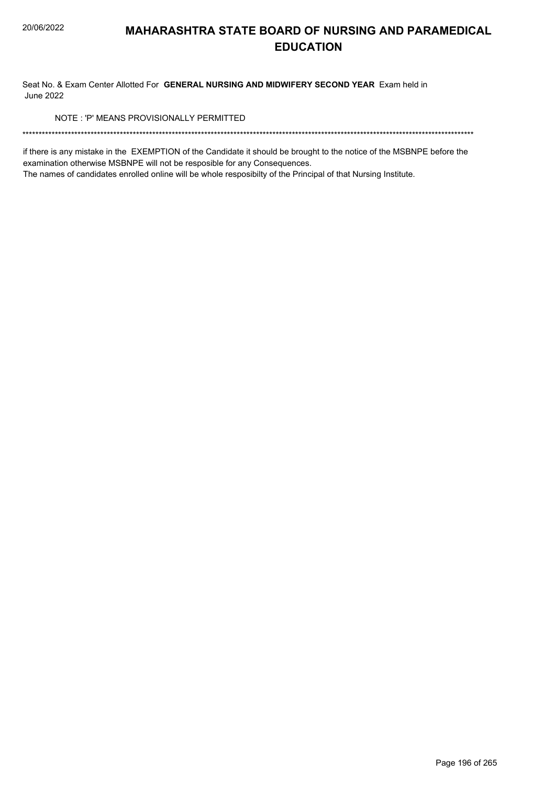Seat No. & Exam Center Allotted For GENERAL NURSING AND MIDWIFERY SECOND YEAR Exam held in **June 2022** 

NOTE: 'P' MEANS PROVISIONALLY PERMITTED

if there is any mistake in the EXEMPTION of the Candidate it should be brought to the notice of the MSBNPE before the examination otherwise MSBNPE will not be resposible for any Consequences.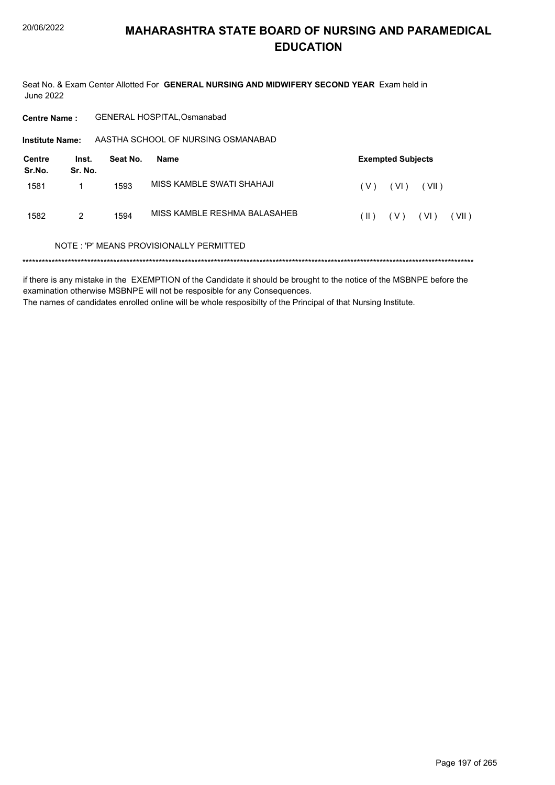Seat No. & Exam Center Allotted For GENERAL NURSING AND MIDWIFERY SECOND YEAR Exam held in June 2022

| <b>Centre Name:</b>    |                  |          | <b>GENERAL HOSPITAL, Osmanabad</b>       |                                  |
|------------------------|------------------|----------|------------------------------------------|----------------------------------|
| <b>Institute Name:</b> |                  |          | AASTHA SCHOOL OF NURSING OSMANABAD       |                                  |
| Centre<br>Sr.No.       | Inst.<br>Sr. No. | Seat No. | Name                                     | <b>Exempted Subjects</b>         |
| 1581                   | 1                | 1593     | MISS KAMBI F SWATI SHAHAJI               | ( V )<br>(VI)<br>(VII)           |
| 1582                   | 2                | 1594     | MISS KAMBLE RESHMA BALASAHEB             | (VII)<br>(  )<br>( V )<br>( VI ) |
|                        |                  |          | NOTE : 'P' MEANS PROVISIONALLY PERMITTED |                                  |
|                        |                  |          |                                          |                                  |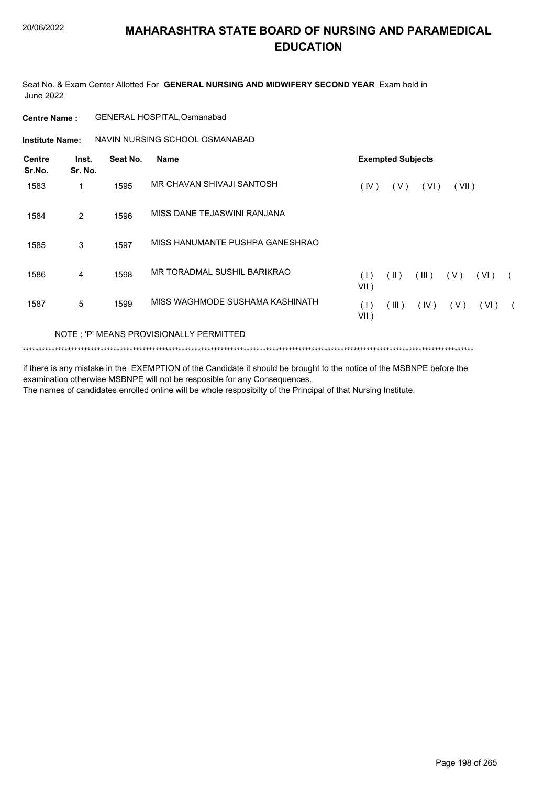Seat No. & Exam Center Allotted For **GENERAL NURSING AND MIDWIFERY SECOND YEAR** Exam held in June 2022

| <b>Centre Name :</b> | GENERAL HOSPITAL, Osmanabad |
|----------------------|-----------------------------|
|----------------------|-----------------------------|

**Institute Name: NAVIN NURSING SCHOOL OSMANABAD** 

| <b>Centre</b><br>Sr.No. | Inst.<br>Sr. No. | Seat No. | <b>Name</b>                             | <b>Exempted Subjects</b> |               |       |       |      |            |
|-------------------------|------------------|----------|-----------------------------------------|--------------------------|---------------|-------|-------|------|------------|
| 1583                    |                  | 1595     | MR CHAVAN SHIVAJI SANTOSH               | (IV)                     | (V)           | (VI)  | (VII) |      |            |
| 1584                    | $\overline{2}$   | 1596     | MISS DANE TEJASWINI RANJANA             |                          |               |       |       |      |            |
| 1585                    | 3                | 1597     | MISS HANUMANTE PUSHPA GANESHRAO         |                          |               |       |       |      |            |
| 1586                    | 4                | 1598     | MR TORADMAL SUSHIL BARIKRAO             | (1)<br>$VII$ )           | $(\parallel)$ | (III) | (V)   | (VI) |            |
| 1587                    | 5                | 1599     | MISS WAGHMODE SUSHAMA KASHINATH         | (1)<br>$VII$ )           | (III)         | (IV)  | (V)   | (VI) | $\sqrt{2}$ |
|                         |                  |          | NOTE: 'P' MEANS PROVISIONALLY PERMITTED |                          |               |       |       |      |            |

\*\*\*\*\*\*\*\*\*\*\*\*\*\*\*\*\*\*\*\*\*\*\*\*\*\*\*\*\*\*\*\*\*\*\*\*\*\*\*\*\*\*\*\*\*\*\*\*\*\*\*\*\*\*\*\*\*\*\*\*\*\*\*\*\*\*\*\*\*\*\*\*\*\*\*\*\*\*\*\*\*\*\*\*\*\*\*\*\*\*\*\*\*\*\*\*\*\*\*\*\*\*\*\*\*\*\*\*\*\*\*\*\*\*\*\*\*\*\*\*\*\*\*\*\*\*\*\*\*\*\*\*\*\*\*\*\*\*\*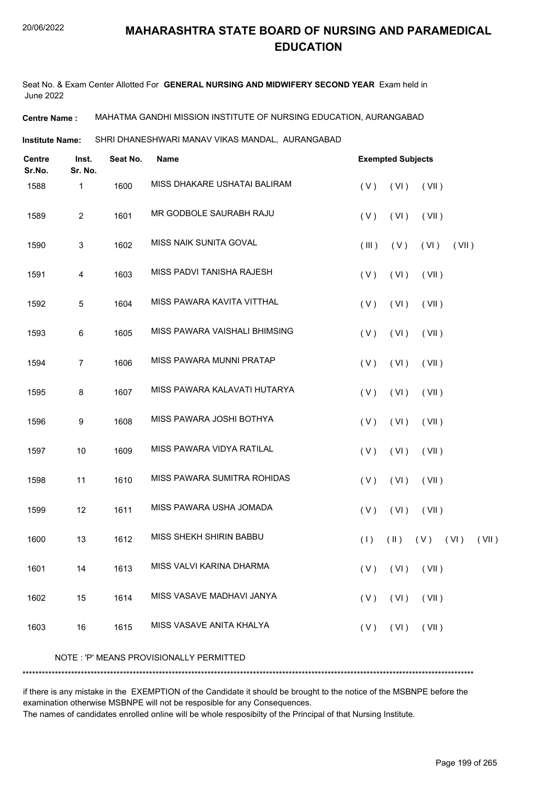Seat No. & Exam Center Allotted For **GENERAL NURSING AND MIDWIFERY SECOND YEAR** Exam held in June 2022

**Centre Name :** MAHATMA GANDHI MISSION INSTITUTE OF NURSING EDUCATION, AURANGABAD

SHRI DHANESHWARI MANAV VIKAS MANDAL, AURANGABAD **Institute Name:**

| <b>Centre</b><br>Sr.No. | Inst.<br>Sr. No. | Seat No. | Name                                    | <b>Exempted Subjects</b>                     |  |  |  |  |
|-------------------------|------------------|----------|-----------------------------------------|----------------------------------------------|--|--|--|--|
| 1588                    | 1                | 1600     | MISS DHAKARE USHATAI BALIRAM            | (VI)<br>(V)<br>(VII)                         |  |  |  |  |
| 1589                    | $\overline{2}$   | 1601     | MR GODBOLE SAURABH RAJU                 | (V)<br>(VI)<br>(VII)                         |  |  |  |  |
| 1590                    | 3                | 1602     | MISS NAIK SUNITA GOVAL                  | (III)<br>(V)<br>(VI)<br>(VII)                |  |  |  |  |
| 1591                    | 4                | 1603     | MISS PADVI TANISHA RAJESH               | (VI)<br>(V)<br>(VII)                         |  |  |  |  |
| 1592                    | 5                | 1604     | MISS PAWARA KAVITA VITTHAL              | (V)<br>(VI)<br>(VII)                         |  |  |  |  |
| 1593                    | 6                | 1605     | MISS PAWARA VAISHALI BHIMSING           | (V)<br>(VI)<br>(VII)                         |  |  |  |  |
| 1594                    | $\overline{7}$   | 1606     | MISS PAWARA MUNNI PRATAP                | (VI)<br>(V)<br>(VII)                         |  |  |  |  |
| 1595                    | 8                | 1607     | MISS PAWARA KALAVATI HUTARYA            | (V)<br>(VI)<br>(VII)                         |  |  |  |  |
| 1596                    | 9                | 1608     | MISS PAWARA JOSHI BOTHYA                | (VI)<br>(V)<br>(VII)                         |  |  |  |  |
| 1597                    | 10               | 1609     | MISS PAWARA VIDYA RATILAL               | (V)<br>(VI)<br>(VII)                         |  |  |  |  |
| 1598                    | 11               | 1610     | MISS PAWARA SUMITRA ROHIDAS             | (VI)<br>(V)<br>(VII)                         |  |  |  |  |
| 1599                    | 12               | 1611     | MISS PAWARA USHA JOMADA                 | (V)<br>(VI)<br>(VII)                         |  |  |  |  |
| 1600                    | 13               | 1612     | MISS SHEKH SHIRIN BABBU                 | (1)<br>$(\parallel)$<br>$(V)$ $(V)$<br>(VII) |  |  |  |  |
| 1601                    | 14               | 1613     | MISS VALVI KARINA DHARMA                | $(V)$ $(VI)$ $(VII)$                         |  |  |  |  |
| 1602                    | 15               | 1614     | MISS VASAVE MADHAVI JANYA               | (VI)<br>(V)<br>(VII)                         |  |  |  |  |
| 1603                    | 16               | 1615     | MISS VASAVE ANITA KHALYA                | $(V)$ $(VI)$ $(VII)$                         |  |  |  |  |
|                         |                  |          | NOTE: 'P' MEANS PROVISIONALLY PERMITTED |                                              |  |  |  |  |
|                         |                  |          |                                         |                                              |  |  |  |  |

if there is any mistake in the EXEMPTION of the Candidate it should be brought to the notice of the MSBNPE before the examination otherwise MSBNPE will not be resposible for any Consequences.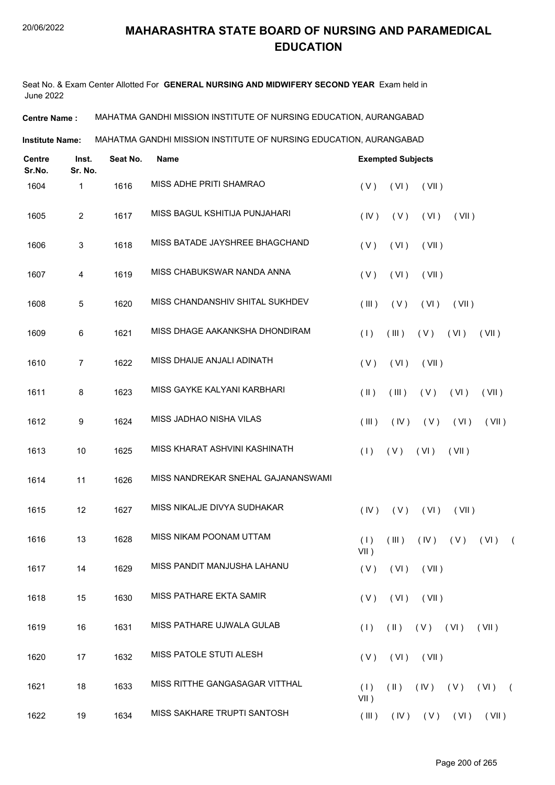Seat No. & Exam Center Allotted For **GENERAL NURSING AND MIDWIFERY SECOND YEAR** Exam held in June 2022

**Centre Name :** MAHATMA GANDHI MISSION INSTITUTE OF NURSING EDUCATION, AURANGABAD

**Institute Name:** MAHATMA GANDHI MISSION INSTITUTE OF NURSING EDUCATION, AURANGABAD

| <b>Centre</b><br>Sr.No. | Inst.<br>Sr. No. | Seat No. | Name                               | <b>Exempted Subjects</b>                                     |  |  |  |  |  |  |  |
|-------------------------|------------------|----------|------------------------------------|--------------------------------------------------------------|--|--|--|--|--|--|--|
| 1604                    | 1                | 1616     | MISS ADHE PRITI SHAMRAO            | (V)<br>(VI)<br>(VII)                                         |  |  |  |  |  |  |  |
| 1605                    | $\sqrt{2}$       | 1617     | MISS BAGUL KSHITIJA PUNJAHARI      | (IV)<br>(V)<br>(VI)<br>(VII)                                 |  |  |  |  |  |  |  |
| 1606                    | 3                | 1618     | MISS BATADE JAYSHREE BHAGCHAND     | (VII)<br>(V)<br>(VI)                                         |  |  |  |  |  |  |  |
| 1607                    | 4                | 1619     | MISS CHABUKSWAR NANDA ANNA         | (V)<br>(VI)<br>(VII)                                         |  |  |  |  |  |  |  |
| 1608                    | 5                | 1620     | MISS CHANDANSHIV SHITAL SUKHDEV    | (III)<br>(V)<br>(VI)<br>(VII)                                |  |  |  |  |  |  |  |
| 1609                    | 6                | 1621     | MISS DHAGE AAKANKSHA DHONDIRAM     | (V)<br>(1)<br>(III)<br>(VI)<br>(VII)                         |  |  |  |  |  |  |  |
| 1610                    | $\overline{7}$   | 1622     | MISS DHAIJE ANJALI ADINATH         | (VI)<br>(V)<br>(VII)                                         |  |  |  |  |  |  |  |
| 1611                    | 8                | 1623     | MISS GAYKE KALYANI KARBHARI        | $(\parallel)$<br>(III)<br>(V)<br>(VI)<br>(VII)               |  |  |  |  |  |  |  |
| 1612                    | 9                | 1624     | MISS JADHAO NISHA VILAS            | (V)<br>(III)<br>(IV)<br>(VI)<br>(VII)                        |  |  |  |  |  |  |  |
| 1613                    | 10               | 1625     | MISS KHARAT ASHVINI KASHINATH      | (1)<br>(V)<br>(VI)<br>(VII)                                  |  |  |  |  |  |  |  |
| 1614                    | 11               | 1626     | MISS NANDREKAR SNEHAL GAJANANSWAMI |                                                              |  |  |  |  |  |  |  |
| 1615                    | 12               | 1627     | MISS NIKALJE DIVYA SUDHAKAR        | (IV)<br>(V)<br>(VI)<br>(VII)                                 |  |  |  |  |  |  |  |
| 1616                    | 13               | 1628     | MISS NIKAM POONAM UTTAM            | (1)<br>(III)<br>(IV)<br>(V)<br>(VI)<br>$\sqrt{2}$<br>$VII$ ) |  |  |  |  |  |  |  |
| 1617                    | 14               | 1629     | MISS PANDIT MANJUSHA LAHANU        | $(V)$ $(VI)$ $(VII)$                                         |  |  |  |  |  |  |  |
| 1618                    | 15               | 1630     | MISS PATHARE EKTA SAMIR            | $(V)$ $(VI)$ $(VII)$                                         |  |  |  |  |  |  |  |
| 1619                    | 16               | 1631     | MISS PATHARE UJWALA GULAB          | $(H)$ $(V)$ $(VI)$<br>(1)<br>(VII)                           |  |  |  |  |  |  |  |
| 1620                    | 17               | 1632     | MISS PATOLE STUTI ALESH            | $(VI)$ $(VII)$<br>(V)                                        |  |  |  |  |  |  |  |
| 1621                    | 18               | 1633     | MISS RITTHE GANGASAGAR VITTHAL     | $(11)$ $(1V)$ $(V)$ $(V1)$ $(V1)$<br>(1)<br>VII)             |  |  |  |  |  |  |  |
| 1622                    | 19               | 1634     | MISS SAKHARE TRUPTI SANTOSH        | $($ III $)$<br>$(IV)$ $(V)$ $(VI)$ $(VII)$                   |  |  |  |  |  |  |  |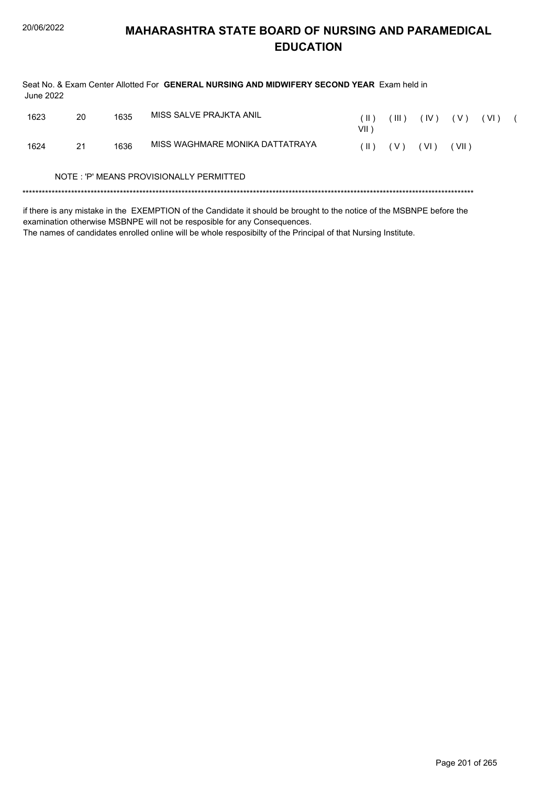Seat No. & Exam Center Allotted For GENERAL NURSING AND MIDWIFERY SECOND YEAR Exam held in **June 2022** 1623 20 1635 MISS SALVE PRAJKTA ANIL  $(11)$   $(11)$   $(1)$   $(1)$   $(1)$   $(1)$   $(1)$   $(1)$ 

| 1023 | ZU | ၊၀၁၁ |                                         | Ш.<br>VII `   | III)  | . IV ) | (V)   | (VI) |  |
|------|----|------|-----------------------------------------|---------------|-------|--------|-------|------|--|
| 1624 | 21 | 1636 | MISS WAGHMARE MONIKA DATTATRAYA         | $(\parallel)$ | ( V ) | (VI)   | (VII) |      |  |
|      |    |      | NOTE: 'P' MEANS PROVISIONALLY PERMITTED |               |       |        |       |      |  |
|      |    |      |                                         |               |       |        |       |      |  |

if there is any mistake in the EXEMPTION of the Candidate it should be brought to the notice of the MSBNPE before the examination otherwise MSBNPE will not be resposible for any Consequences.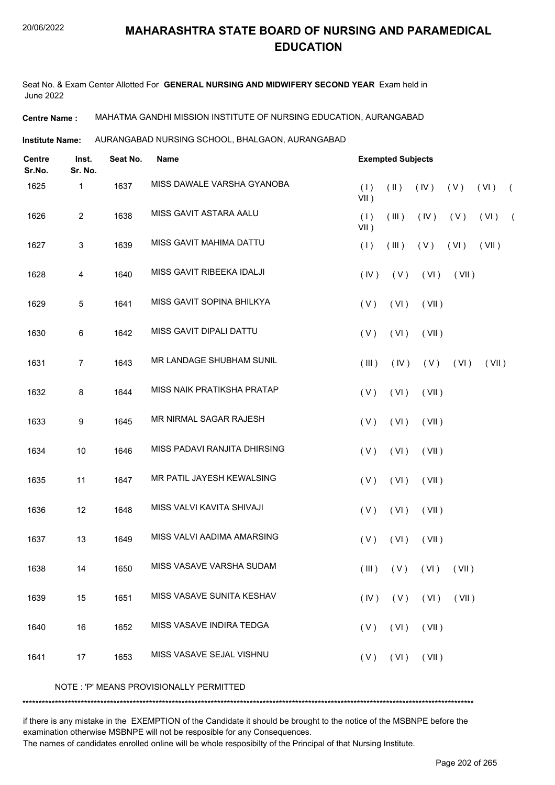Seat No. & Exam Center Allotted For **GENERAL NURSING AND MIDWIFERY SECOND YEAR** Exam held in June 2022

**Centre Name :** MAHATMA GANDHI MISSION INSTITUTE OF NURSING EDUCATION, AURANGABAD

**Institute Name: AURANGABAD NURSING SCHOOL, BHALGAON, AURANGABAD** 

| <b>Centre</b><br>Sr.No. | Inst.<br>Sr. No. | Seat No. | Name                                    |                | <b>Exempted Subjects</b> |                              |       |       |            |
|-------------------------|------------------|----------|-----------------------------------------|----------------|--------------------------|------------------------------|-------|-------|------------|
| 1625                    | 1                | 1637     | MISS DAWALE VARSHA GYANOBA              | (1)<br>$VII$ ) | $(\parallel)$            | (IV)                         | (V)   | (VI)  | $\sqrt{2}$ |
| 1626                    | $\overline{c}$   | 1638     | MISS GAVIT ASTARA AALU                  | (1)<br>VII)    | (III)                    | (IV)                         | (V)   | (VI)  | $\sqrt{2}$ |
| 1627                    | $\sqrt{3}$       | 1639     | MISS GAVIT MAHIMA DATTU                 | (1)            | (III)                    | (V)                          | (VI)  | (VII) |            |
| 1628                    | 4                | 1640     | MISS GAVIT RIBEEKA IDALJI               | (IV)           | (V)                      | (VI)                         | (VII) |       |            |
| 1629                    | 5                | 1641     | MISS GAVIT SOPINA BHILKYA               | (V)            | (VI)                     | (VII)                        |       |       |            |
| 1630                    | $\,6\,$          | 1642     | MISS GAVIT DIPALI DATTU                 | (V)            | (VI)                     | (VII)                        |       |       |            |
| 1631                    | $\overline{7}$   | 1643     | MR LANDAGE SHUBHAM SUNIL                | (III)          | (IV)                     | (V)                          | (VI)  | (VII) |            |
| 1632                    | 8                | 1644     | MISS NAIK PRATIKSHA PRATAP              | (V)            | (VI)                     | (VII)                        |       |       |            |
| 1633                    | 9                | 1645     | MR NIRMAL SAGAR RAJESH                  | (V)            | (VI)                     | (VII)                        |       |       |            |
| 1634                    | 10               | 1646     | MISS PADAVI RANJITA DHIRSING            | (V)            | (VI)                     | (VII)                        |       |       |            |
| 1635                    | 11               | 1647     | MR PATIL JAYESH KEWALSING               | (V)            | (VI)                     | (VII)                        |       |       |            |
| 1636                    | 12               | 1648     | MISS VALVI KAVITA SHIVAJI               | (V)            | (VI)                     | (VII)                        |       |       |            |
| 1637                    | 13               | 1649     | MISS VALVI AADIMA AMARSING              | (V)            | (VI)                     | (VII)                        |       |       |            |
| 1638                    | 14               | 1650     | MISS VASAVE VARSHA SUDAM                |                |                          | $(III)$ $(V)$ $(VI)$ $(VII)$ |       |       |            |
| 1639                    | 15               | 1651     | MISS VASAVE SUNITA KESHAV               |                |                          | $(IV)$ $(V)$ $(VI)$ $(VII)$  |       |       |            |
| 1640                    | 16               | 1652     | MISS VASAVE INDIRA TEDGA                |                | $(V)$ $(V)$              | (VII)                        |       |       |            |
| 1641                    | 17               | 1653     | MISS VASAVE SEJAL VISHNU                |                |                          | $(V)$ $(VI)$ $(VII)$         |       |       |            |
|                         |                  |          | NOTE: 'P' MEANS PROVISIONALLY PERMITTED |                |                          |                              |       |       |            |

\*\*\*\*\*\*\*\*\*\*\*\*\*\*\*\*\*\*\*\*\*\*\*\*\*\*\*\*\*\*\*\*\*\*\*\*\*\*\*\*\*\*\*\*\*\*\*\*\*\*\*\*\*\*\*\*\*\*\*\*\*\*\*\*\*\*\*\*\*\*\*\*\*\*\*\*\*\*\*\*\*\*\*\*\*\*\*\*\*\*\*\*\*\*\*\*\*\*\*\*\*\*\*\*\*\*\*\*\*\*\*\*\*\*\*\*\*\*\*\*\*\*\*\*\*\*\*\*\*\*\*\*\*\*\*\*\*\*\*

if there is any mistake in the EXEMPTION of the Candidate it should be brought to the notice of the MSBNPE before the examination otherwise MSBNPE will not be resposible for any Consequences.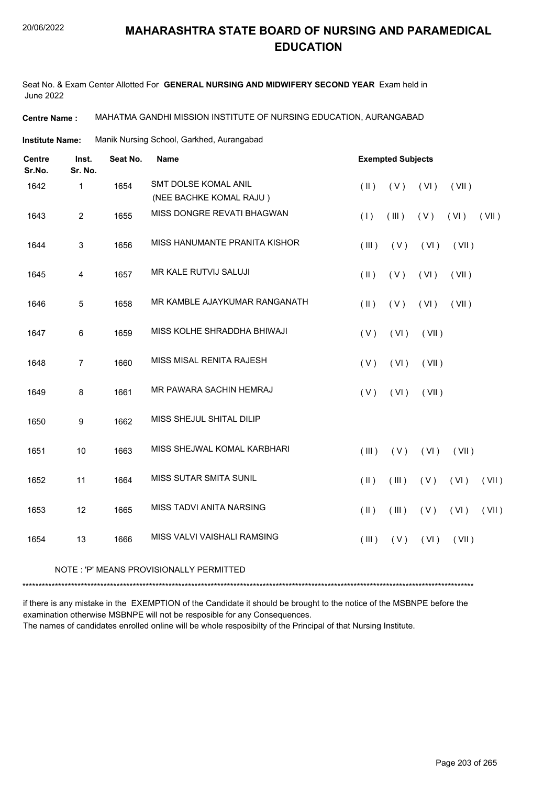Seat No. & Exam Center Allotted For **GENERAL NURSING AND MIDWIFERY SECOND YEAR** Exam held in June 2022

**Centre Name :** MAHATMA GANDHI MISSION INSTITUTE OF NURSING EDUCATION, AURANGABAD

Manik Nursing School, Garkhed, Aurangabad **Institute Name:**

| <b>Centre</b><br>Sr.No. | Inst.<br>Sr. No.        | Seat No. | <b>Name</b>                   | <b>Exempted Subjects</b> |       |       |       |       |  |  |
|-------------------------|-------------------------|----------|-------------------------------|--------------------------|-------|-------|-------|-------|--|--|
| 1642                    | $\mathbf{1}$            | 1654     | <b>SMT DOLSE KOMAL ANIL</b>   | $(\parallel)$            | (V)   | (VI)  | (VII) |       |  |  |
|                         |                         |          | (NEE BACHKE KOMAL RAJU)       |                          |       |       |       |       |  |  |
| 1643                    | $\overline{2}$          | 1655     | MISS DONGRE REVATI BHAGWAN    | (1)                      | (III) | (V)   | (VI)  | (VII) |  |  |
| 1644                    | 3                       | 1656     | MISS HANUMANTE PRANITA KISHOR | (III)                    | (V)   | (VI)  | (VII) |       |  |  |
| 1645                    | $\overline{\mathbf{4}}$ | 1657     | MR KALE RUTVIJ SALUJI         | $(\parallel)$            | (V)   | (VI)  | (VII) |       |  |  |
| 1646                    | 5                       | 1658     | MR KAMBLE AJAYKUMAR RANGANATH | $(\parallel)$            | (V)   | (VI)  | (VII) |       |  |  |
| 1647                    | 6                       | 1659     | MISS KOLHE SHRADDHA BHIWAJI   | (V)                      | (VI)  | (VII) |       |       |  |  |
| 1648                    | $\overline{7}$          | 1660     | MISS MISAL RENITA RAJESH      | (V)                      | (VI)  | (VII) |       |       |  |  |
| 1649                    | 8                       | 1661     | MR PAWARA SACHIN HEMRAJ       | (V)                      | (VI)  | (VII) |       |       |  |  |
| 1650                    | 9                       | 1662     | MISS SHEJUL SHITAL DILIP      |                          |       |       |       |       |  |  |
| 1651                    | 10                      | 1663     | MISS SHEJWAL KOMAL KARBHARI   | (III)                    | (V)   | (VI)  | (VII) |       |  |  |
| 1652                    | 11                      | 1664     | <b>MISS SUTAR SMITA SUNIL</b> | (  )                     | (III) | (V)   | (VI)  | (VII) |  |  |
| 1653                    | 12                      | 1665     | MISS TADVI ANITA NARSING      | $($ II $)$               | (III) | (V)   | (VI)  | (VII) |  |  |
| 1654                    | 13                      | 1666     | MISS VALVI VAISHALI RAMSING   | (III)                    | (V)   | (VI)  | (VII) |       |  |  |
|                         |                         |          |                               |                          |       |       |       |       |  |  |

NOTE : 'P' MEANS PROVISIONALLY PERMITTED

\*\*\*\*\*\*\*\*\*\*\*\*\*\*\*\*\*\*\*\*\*\*\*\*\*\*\*\*\*\*\*\*\*\*\*\*\*\*\*\*\*\*\*\*\*\*\*\*\*\*\*\*\*\*\*\*\*\*\*\*\*\*\*\*\*\*\*\*\*\*\*\*\*\*\*\*\*\*\*\*\*\*\*\*\*\*\*\*\*\*\*\*\*\*\*\*\*\*\*\*\*\*\*\*\*\*\*\*\*\*\*\*\*\*\*\*\*\*\*\*\*\*\*\*\*\*\*\*\*\*\*\*\*\*\*\*\*\*\*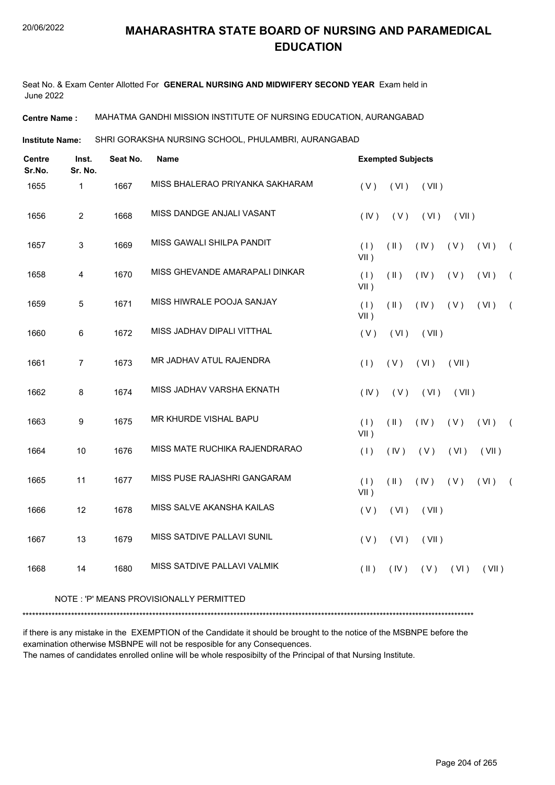Seat No. & Exam Center Allotted For **GENERAL NURSING AND MIDWIFERY SECOND YEAR** Exam held in June 2022

**Centre Name :** MAHATMA GANDHI MISSION INSTITUTE OF NURSING EDUCATION, AURANGABAD

SHRI GORAKSHA NURSING SCHOOL, PHULAMBRI, AURANGABAD **Institute Name:**

| <b>Centre</b><br>Sr.No. | Inst.<br>Sr. No. | Seat No. | Name                            |                | <b>Exempted Subjects</b> |       |       |       |            |
|-------------------------|------------------|----------|---------------------------------|----------------|--------------------------|-------|-------|-------|------------|
| 1655                    | $\mathbf{1}$     | 1667     | MISS BHALERAO PRIYANKA SAKHARAM | (V)            | (VI)                     | (VII) |       |       |            |
| 1656                    | $\overline{2}$   | 1668     | MISS DANDGE ANJALI VASANT       | (IV)           | (V)                      | (VI)  | (VII) |       |            |
| 1657                    | $\mathbf{3}$     | 1669     | MISS GAWALI SHILPA PANDIT       | (1)<br>$VII$ ) | $(\parallel)$            | (IV)  | (V)   | (VI)  | $\left($   |
| 1658                    | $\overline{4}$   | 1670     | MISS GHEVANDE AMARAPALI DINKAR  | (1)<br>$VII$ ) | (11)                     | (IV)  | (V)   | (VI)  | $\left($   |
| 1659                    | $\overline{5}$   | 1671     | MISS HIWRALE POOJA SANJAY       | (1)<br>$VII$ ) | $(\parallel)$            | (IV)  | (V)   | (VI)  | $\left($   |
| 1660                    | 6                | 1672     | MISS JADHAV DIPALI VITTHAL      | (V)            | (VI)                     | (VII) |       |       |            |
| 1661                    | $\overline{7}$   | 1673     | MR JADHAV ATUL RAJENDRA         | (1)            | (V)                      | (VI)  | (VII) |       |            |
| 1662                    | 8                | 1674     | MISS JADHAV VARSHA EKNATH       | (IV)           | (V)                      | (VI)  | (VII) |       |            |
| 1663                    | 9                | 1675     | MR KHURDE VISHAL BAPU           | (1)<br>$VII$ ) | (11)                     | (IV)  | (V)   | (VI)  | $\sqrt{2}$ |
| 1664                    | 10               | 1676     | MISS MATE RUCHIKA RAJENDRARAO   | (1)            | (IV)                     | (V)   | (VI)  | (VII) |            |
| 1665                    | 11               | 1677     | MISS PUSE RAJASHRI GANGARAM     | (1)<br>$VII$ ) | $(\parallel)$            | (IV)  | (V)   | (VI)  | $\left($   |
| 1666                    | 12               | 1678     | MISS SALVE AKANSHA KAILAS       | (V)            | (VI)                     | (VII) |       |       |            |
| 1667                    | 13               | 1679     | MISS SATDIVE PALLAVI SUNIL      | (V)            | (VI)                     | (VII) |       |       |            |
| 1668                    | 14               | 1680     | MISS SATDIVE PALLAVI VALMIK     | $($ II $)$     | (IV)                     | (V)   | (VI)  | (VII) |            |
|                         |                  |          |                                 |                |                          |       |       |       |            |

#### NOTE : 'P' MEANS PROVISIONALLY PERMITTED

\*\*\*\*\*\*\*\*\*\*\*\*\*\*\*\*\*\*\*\*\*\*\*\*\*\*\*\*\*\*\*\*\*\*\*\*\*\*\*\*\*\*\*\*\*\*\*\*\*\*\*\*\*\*\*\*\*\*\*\*\*\*\*\*\*\*\*\*\*\*\*\*\*\*\*\*\*\*\*\*\*\*\*\*\*\*\*\*\*\*\*\*\*\*\*\*\*\*\*\*\*\*\*\*\*\*\*\*\*\*\*\*\*\*\*\*\*\*\*\*\*\*\*\*\*\*\*\*\*\*\*\*\*\*\*\*\*\*\*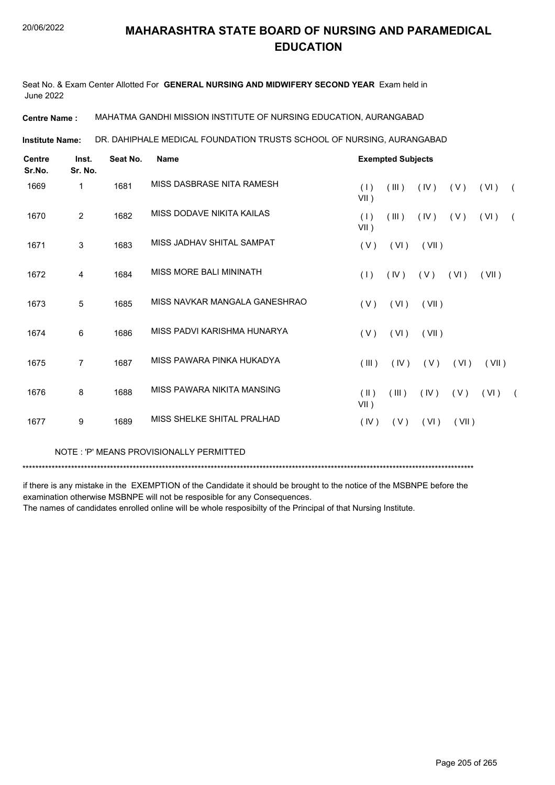Seat No. & Exam Center Allotted For **GENERAL NURSING AND MIDWIFERY SECOND YEAR** Exam held in June 2022

**Centre Name :** MAHATMA GANDHI MISSION INSTITUTE OF NURSING EDUCATION, AURANGABAD

DR. DAHIPHALE MEDICAL FOUNDATION TRUSTS SCHOOL OF NURSING, AURANGABAD **Institute Name:**

| <b>Centre</b><br>Sr.No. | Inst.<br>Sr. No. | Seat No. | <b>Name</b>                   | <b>Exempted Subjects</b> |       |       |       |       |            |  |  |
|-------------------------|------------------|----------|-------------------------------|--------------------------|-------|-------|-------|-------|------------|--|--|
| 1669                    | 1                | 1681     | MISS DASBRASE NITA RAMESH     | (1)<br>$VII$ )           | (III) | (IV)  | (V)   | (VI)  | $\sqrt{2}$ |  |  |
| 1670                    | $\overline{2}$   | 1682     | MISS DODAVE NIKITA KAILAS     | (1)<br>$VII$ )           | (III) | (IV)  | (V)   | (VI)  | $\sqrt{2}$ |  |  |
| 1671                    | 3                | 1683     | MISS JADHAV SHITAL SAMPAT     | (V)                      | (VI)  | (VII) |       |       |            |  |  |
| 1672                    | 4                | 1684     | MISS MORE BALI MININATH       | (1)                      | (IV)  | (V)   | (VI)  | (VII) |            |  |  |
| 1673                    | 5                | 1685     | MISS NAVKAR MANGALA GANESHRAO | (V)                      | (VI)  | (VII) |       |       |            |  |  |
| 1674                    | 6                | 1686     | MISS PADVI KARISHMA HUNARYA   | (V)                      | (VI)  | (VII) |       |       |            |  |  |
| 1675                    | 7                | 1687     | MISS PAWARA PINKA HUKADYA     | (III)                    | (IV)  | (V)   | (VI)  | (VII) |            |  |  |
| 1676                    | 8                | 1688     | MISS PAWARA NIKITA MANSING    | $(\parallel)$<br>VII)    | (III) | (IV)  | (V)   | (VI)  | $\sqrt{2}$ |  |  |
| 1677                    | 9                | 1689     | MISS SHELKE SHITAL PRALHAD    | (IV)                     | (V)   | (VI)  | (VII) |       |            |  |  |

NOTE : 'P' MEANS PROVISIONALLY PERMITTED

\*\*\*\*\*\*\*\*\*\*\*\*\*\*\*\*\*\*\*\*\*\*\*\*\*\*\*\*\*\*\*\*\*\*\*\*\*\*\*\*\*\*\*\*\*\*\*\*\*\*\*\*\*\*\*\*\*\*\*\*\*\*\*\*\*\*\*\*\*\*\*\*\*\*\*\*\*\*\*\*\*\*\*\*\*\*\*\*\*\*\*\*\*\*\*\*\*\*\*\*\*\*\*\*\*\*\*\*\*\*\*\*\*\*\*\*\*\*\*\*\*\*\*\*\*\*\*\*\*\*\*\*\*\*\*\*\*\*\*

if there is any mistake in the EXEMPTION of the Candidate it should be brought to the notice of the MSBNPE before the examination otherwise MSBNPE will not be resposible for any Consequences.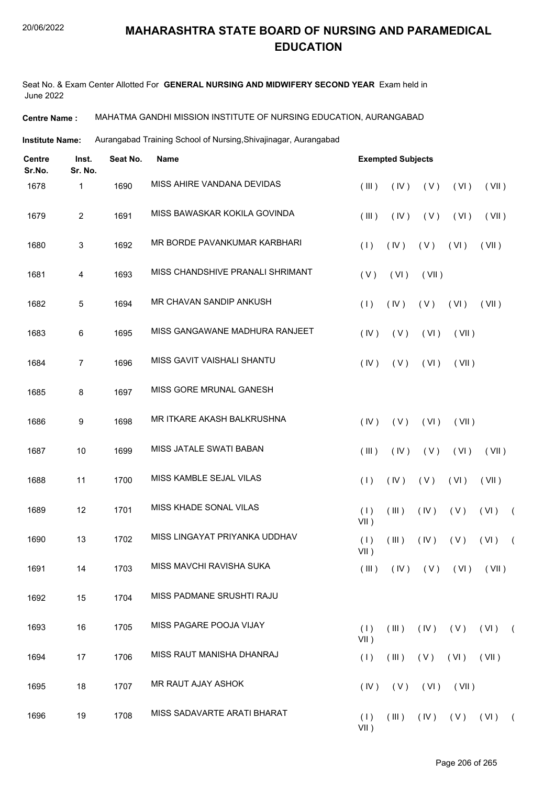Seat No. & Exam Center Allotted For **GENERAL NURSING AND MIDWIFERY SECOND YEAR** Exam held in June 2022

**Centre Name :** MAHATMA GANDHI MISSION INSTITUTE OF NURSING EDUCATION, AURANGABAD

Institute Name: Aurangabad Training School of Nursing, Shivajinagar, Aurangabad

| <b>Centre</b><br>Sr.No. | Inst.<br>Sr. No. | Seat No. | Name                             | <b>Exempted Subjects</b> |       |            |       |                                     |            |
|-------------------------|------------------|----------|----------------------------------|--------------------------|-------|------------|-------|-------------------------------------|------------|
| 1678                    | 1                | 1690     | MISS AHIRE VANDANA DEVIDAS       | (III)                    | (IV)  | (V)        | (VI)  | (VII)                               |            |
| 1679                    | $\overline{2}$   | 1691     | MISS BAWASKAR KOKILA GOVINDA     | (III)                    | (IV)  | (V)        | (VI)  | (VII)                               |            |
| 1680                    | 3                | 1692     | MR BORDE PAVANKUMAR KARBHARI     | (1)                      | (IV)  | (V)        | (VI)  | (VII)                               |            |
| 1681                    | 4                | 1693     | MISS CHANDSHIVE PRANALI SHRIMANT | (V)                      | (VI)  | (VII)      |       |                                     |            |
| 1682                    | 5                | 1694     | MR CHAVAN SANDIP ANKUSH          | (1)                      | (IV)  | (V)        | (VI)  | (VII)                               |            |
| 1683                    | $\,6\,$          | 1695     | MISS GANGAWANE MADHURA RANJEET   | (IV)                     | (V)   | (VI)       | (VII) |                                     |            |
| 1684                    | 7                | 1696     | MISS GAVIT VAISHALI SHANTU       | (IV)                     | (V)   | (VI)       | (VII) |                                     |            |
| 1685                    | 8                | 1697     | MISS GORE MRUNAL GANESH          |                          |       |            |       |                                     |            |
| 1686                    | 9                | 1698     | MR ITKARE AKASH BALKRUSHNA       | (IV)                     | (V)   | (VI)       | (VII) |                                     |            |
| 1687                    | 10               | 1699     | MISS JATALE SWATI BABAN          | (III)                    | (IV)  | (V)        | (VI)  | (VII)                               |            |
| 1688                    | 11               | 1700     | MISS KAMBLE SEJAL VILAS          | (1)                      | (IV)  | (V)        | (VI)  | (VII)                               |            |
| 1689                    | 12               | 1701     | MISS KHADE SONAL VILAS           | (1)<br>$VII$ )           | (III) | (IV)       | (V)   | (VI)                                | $\sqrt{2}$ |
| 1690                    | 13               | 1702     | MISS LINGAYAT PRIYANKA UDDHAV    | (1)<br>VII)              | (III) | (IV)       | (V)   | (VI)                                | $\sqrt{2}$ |
| 1691                    | 14               | 1703     | MISS MAVCHI RAVISHA SUKA         |                          |       |            |       | $(III)$ $(IV)$ $(V)$ $(VI)$ $(VII)$ |            |
| 1692                    | 15               | 1704     | MISS PADMANE SRUSHTI RAJU        |                          |       |            |       |                                     |            |
| 1693                    | 16               | 1705     | MISS PAGARE POOJA VIJAY          | (1)<br>$VII$ )           | (III) | (IV)       | (V)   | $(VI)$ (                            |            |
| 1694                    | 17               | 1706     | MISS RAUT MANISHA DHANRAJ        | (1)                      | (III) | (V)        | (VI)  | (VII)                               |            |
| 1695                    | 18               | 1707     | MR RAUT AJAY ASHOK               | (IV)                     | (V)   | (VI)       | (VII) |                                     |            |
| 1696                    | 19               | 1708     | MISS SADAVARTE ARATI BHARAT      | (1)<br>$VII$ )           | (III) | $($ IV $)$ | (V)   | $(VI)$ (                            |            |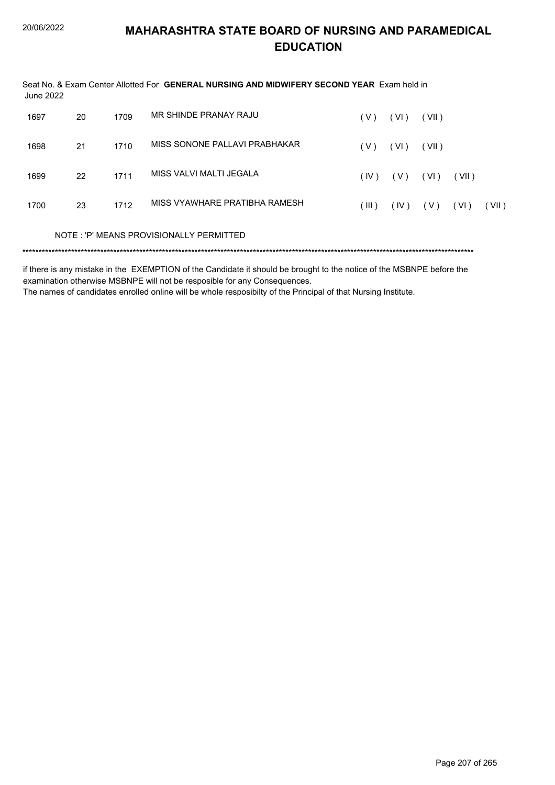| June 2022 |    |      | Seat No. & Exam Center Allotted For GENERAL NURSING AND MIDWIFERY SECOND YEAR Exam held in |       |       |       |       |       |
|-----------|----|------|--------------------------------------------------------------------------------------------|-------|-------|-------|-------|-------|
| 1697      | 20 | 1709 | MR SHINDE PRANAY RAJU                                                                      | ( V ) | (VI)  | (VII) |       |       |
| 1698      | 21 | 1710 | MISS SONONE PALLAVI PRABHAKAR                                                              | ( V ) | (VI)  | (VII) |       |       |
| 1699      | 22 | 1711 | MISS VALVI MALTI JEGALA                                                                    | (IV)  | ( V ) | (VI)  | (VII) |       |
| 1700      | 23 | 1712 | MISS VYAWHARE PRATIBHA RAMESH                                                              | (III) | (IV)  | ( V ) | (VI)  | (VII) |
|           |    |      | NOTE: 'P' MEANS PROVISIONALLY PERMITTED                                                    |       |       |       |       |       |
|           |    |      |                                                                                            |       |       |       |       |       |

if there is any mistake in the EXEMPTION of the Candidate it should be brought to the notice of the MSBNPE before the examination otherwise MSBNPE will not be resposible for any Consequences.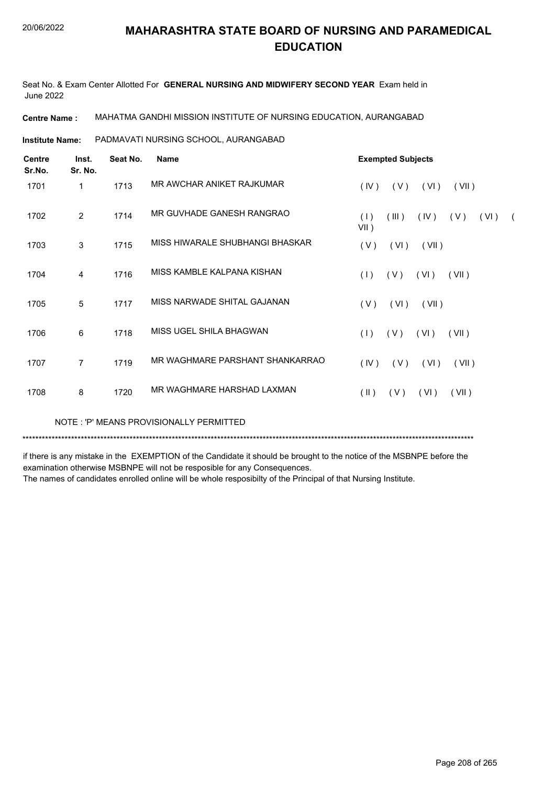Seat No. & Exam Center Allotted For **GENERAL NURSING AND MIDWIFERY SECOND YEAR** Exam held in June 2022

**Centre Name :** MAHATMA GANDHI MISSION INSTITUTE OF NURSING EDUCATION, AURANGABAD

PADMAVATI NURSING SCHOOL, AURANGABAD **Institute Name:**

| <b>Centre</b><br>Sr.No. | Inst.<br>Sr. No. | Seat No. | <b>Name</b>                     | <b>Exempted Subjects</b>                                     |
|-------------------------|------------------|----------|---------------------------------|--------------------------------------------------------------|
| 1701                    | 1                | 1713     | MR AWCHAR ANIKET RAJKUMAR       | (IV)<br>(V)<br>(VI)<br>(VII)                                 |
| 1702                    | 2                | 1714     | MR GUVHADE GANESH RANGRAO       | (1)<br>(III)<br>(IV)<br>(V)<br>(VI)<br>$\sqrt{2}$<br>$VII$ ) |
| 1703                    | 3                | 1715     | MISS HIWARALE SHUBHANGI BHASKAR | (V)<br>(VI)<br>(VII)                                         |
| 1704                    | 4                | 1716     | MISS KAMBLE KALPANA KISHAN      | (1)<br>(V)<br>(VI)<br>(VII)                                  |
| 1705                    | 5                | 1717     | MISS NARWADE SHITAL GAJANAN     | (V)<br>(VI)<br>(VII)                                         |
| 1706                    | 6                | 1718     | MISS UGEL SHILA BHAGWAN         | (1)<br>(V)<br>(VI)<br>(VII)                                  |
| 1707                    | 7                | 1719     | MR WAGHMARE PARSHANT SHANKARRAO | (IV)<br>(V)<br>(VI)<br>(VII)                                 |
| 1708                    | 8                | 1720     | MR WAGHMARE HARSHAD LAXMAN      | $(\parallel)$<br>(V)<br>(VI)<br>(VII)                        |
|                         |                  |          |                                 |                                                              |

NOTE : 'P' MEANS PROVISIONALLY PERMITTED

\*\*\*\*\*\*\*\*\*\*\*\*\*\*\*\*\*\*\*\*\*\*\*\*\*\*\*\*\*\*\*\*\*\*\*\*\*\*\*\*\*\*\*\*\*\*\*\*\*\*\*\*\*\*\*\*\*\*\*\*\*\*\*\*\*\*\*\*\*\*\*\*\*\*\*\*\*\*\*\*\*\*\*\*\*\*\*\*\*\*\*\*\*\*\*\*\*\*\*\*\*\*\*\*\*\*\*\*\*\*\*\*\*\*\*\*\*\*\*\*\*\*\*\*\*\*\*\*\*\*\*\*\*\*\*\*\*\*\*

if there is any mistake in the EXEMPTION of the Candidate it should be brought to the notice of the MSBNPE before the examination otherwise MSBNPE will not be resposible for any Consequences.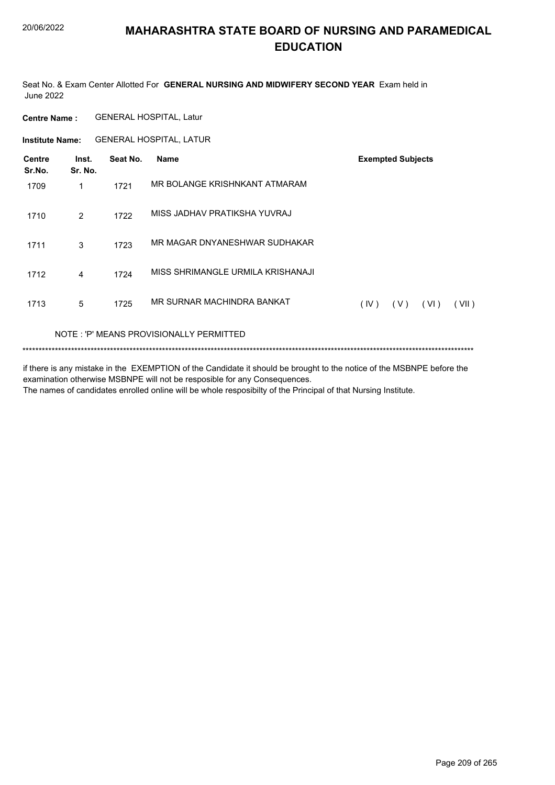Seat No. & Exam Center Allotted For GENERAL NURSING AND MIDWIFERY SECOND YEAR Exam held in **June 2022** 

**GENERAL HOSPITAL, Latur Centre Name:** 

Institute Name: GENERAL HOSPITAL, LATUR

| <b>Centre</b><br>Sr.No. | Inst.<br>Sr. No. | Seat No. | Name                              | <b>Exempted Subjects</b> |       |      |       |
|-------------------------|------------------|----------|-----------------------------------|--------------------------|-------|------|-------|
| 1709                    | 1                | 1721     | MR BOLANGE KRISHNKANT ATMARAM     |                          |       |      |       |
| 1710                    | 2                | 1722     | MISS JADHAV PRATIKSHA YUVRAJ      |                          |       |      |       |
| 1711                    | 3                | 1723     | MR MAGAR DNYANESHWAR SUDHAKAR     |                          |       |      |       |
| 1712                    | 4                | 1724     | MISS SHRIMANGLE URMILA KRISHANAJI |                          |       |      |       |
| 1713                    | 5                | 1725     | MR SURNAR MACHINDRA BANKAT        | (IV)                     | ( V ) | (VI) | (VII) |
|                         |                  |          |                                   |                          |       |      |       |

NOTE: 'P' MEANS PROVISIONALLY PERMITTED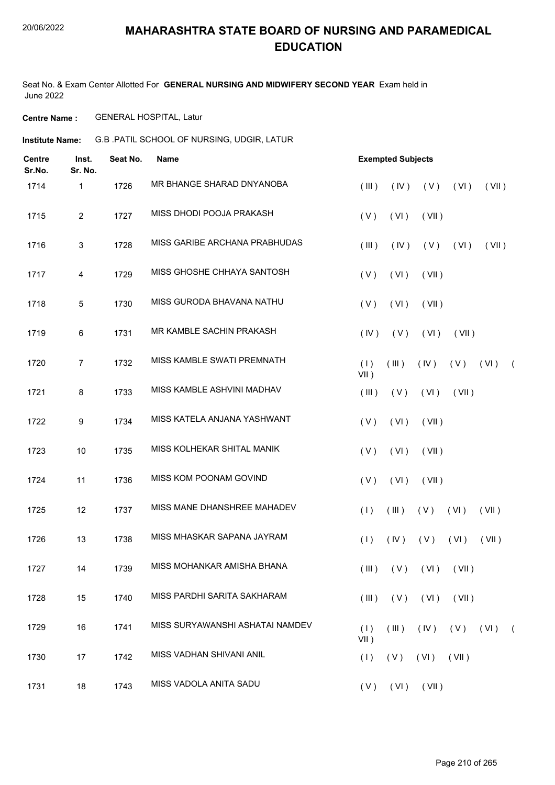Seat No. & Exam Center Allotted For **GENERAL NURSING AND MIDWIFERY SECOND YEAR** Exam held in June 2022

**Centre Name :** GENERAL HOSPITAL, Latur

G.B .PATIL SCHOOL OF NURSING, UDGIR, LATUR **Institute Name:**

| <b>Centre</b><br>Sr.No. | Inst.<br>Sr. No. | Seat No. | <b>Name</b>                     | <b>Exempted Subjects</b>                               |            |  |  |  |  |  |  |
|-------------------------|------------------|----------|---------------------------------|--------------------------------------------------------|------------|--|--|--|--|--|--|
| 1714                    | 1                | 1726     | MR BHANGE SHARAD DNYANOBA       | (V)<br>(III)<br>(IV)<br>(VI)<br>(VII)                  |            |  |  |  |  |  |  |
| 1715                    | $\overline{2}$   | 1727     | MISS DHODI POOJA PRAKASH        | (V)<br>(VI)<br>(VII)                                   |            |  |  |  |  |  |  |
| 1716                    | 3                | 1728     | MISS GARIBE ARCHANA PRABHUDAS   | (III)<br>(IV)<br>(V)<br>(VI)<br>(VII)                  |            |  |  |  |  |  |  |
| 1717                    | 4                | 1729     | MISS GHOSHE CHHAYA SANTOSH      | (V)<br>(VI)<br>(VII)                                   |            |  |  |  |  |  |  |
| 1718                    | 5                | 1730     | MISS GURODA BHAVANA NATHU       | (VI)<br>(V)<br>(VII)                                   |            |  |  |  |  |  |  |
| 1719                    | $\,6\,$          | 1731     | MR KAMBLE SACHIN PRAKASH        | (IV)<br>(V)<br>(VI)<br>(VII)                           |            |  |  |  |  |  |  |
| 1720                    | 7                | 1732     | MISS KAMBLE SWATI PREMNATH      | (VI)<br>(1)<br>(III)<br>(IV)<br>(V)<br>VII)            | $\sqrt{2}$ |  |  |  |  |  |  |
| 1721                    | 8                | 1733     | MISS KAMBLE ASHVINI MADHAV      | (III)<br>(V)<br>(VI)<br>(VII)                          |            |  |  |  |  |  |  |
| 1722                    | 9                | 1734     | MISS KATELA ANJANA YASHWANT     | (VI)<br>(VII)<br>(V)                                   |            |  |  |  |  |  |  |
| 1723                    | 10               | 1735     | MISS KOLHEKAR SHITAL MANIK      | (V)<br>(VI)<br>(VII)                                   |            |  |  |  |  |  |  |
| 1724                    | 11               | 1736     | MISS KOM POONAM GOVIND          | (VI)<br>(V)<br>(VII)                                   |            |  |  |  |  |  |  |
| 1725                    | 12               | 1737     | MISS MANE DHANSHREE MAHADEV     | (1)<br>(III)<br>(V)<br>(VI)<br>(VII)                   |            |  |  |  |  |  |  |
| 1726                    | 13               | 1738     | MISS MHASKAR SAPANA JAYRAM      | (1)<br>(IV)<br>(V)<br>(VI)<br>(VII)                    |            |  |  |  |  |  |  |
| 1727                    | 14               | 1739     | MISS MOHANKAR AMISHA BHANA      | $($ III $)$<br>(V)<br>(VI)<br>(VII)                    |            |  |  |  |  |  |  |
| 1728                    | 15               | 1740     | MISS PARDHI SARITA SAKHARAM     | (V)<br>(VI)<br>(VII)<br>(III)                          |            |  |  |  |  |  |  |
| 1729                    | 16               | 1741     | MISS SURYAWANSHI ASHATAI NAMDEV | (1)<br>(III)<br>(IV)<br>$(V)$ $(VI)$ $(VI)$<br>$VII$ ) |            |  |  |  |  |  |  |
| 1730                    | 17               | 1742     | MISS VADHAN SHIVANI ANIL        | (VII)<br>(1)<br>(V)<br>(VI)                            |            |  |  |  |  |  |  |
| 1731                    | 18               | 1743     | MISS VADOLA ANITA SADU          | (V)<br>(VI)<br>(VII)                                   |            |  |  |  |  |  |  |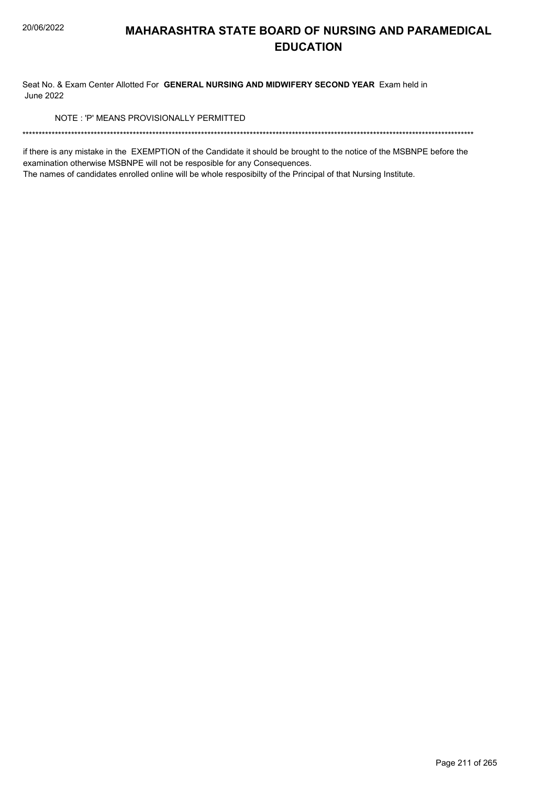Seat No. & Exam Center Allotted For GENERAL NURSING AND MIDWIFERY SECOND YEAR Exam held in **June 2022** 

NOTE: 'P' MEANS PROVISIONALLY PERMITTED

if there is any mistake in the EXEMPTION of the Candidate it should be brought to the notice of the MSBNPE before the examination otherwise MSBNPE will not be resposible for any Consequences.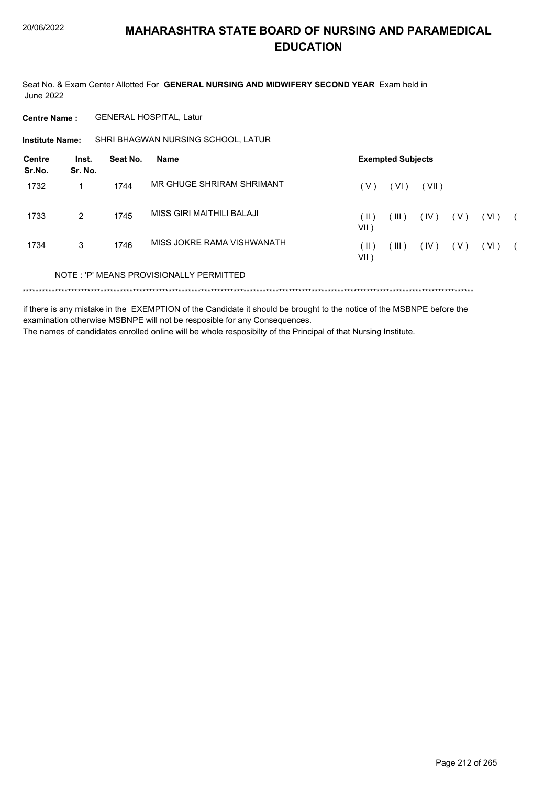Seat No. & Exam Center Allotted For GENERAL NURSING AND MIDWIFERY SECOND YEAR Exam held in **June 2022** 

**GENERAL HOSPITAL, Latur Centre Name:** 

SHRI BHAGWAN NURSING SCHOOL, LATUR **Institute Name:** 

| <b>Centre</b><br>Sr.No. | Inst.<br>Sr. No. | Seat No. | Name                                    | <b>Exempted Subjects</b> |       |       |       |      |  |
|-------------------------|------------------|----------|-----------------------------------------|--------------------------|-------|-------|-------|------|--|
| 1732                    |                  | 1744     | MR GHUGE SHRIRAM SHRIMANT               | (V)                      | (VI)  | (VII) |       |      |  |
| 1733                    | $\overline{2}$   | 1745     | MISS GIRI MAITHILI BALAJI               | (  )<br>VII )            | (III) | (IV)  | ( V ) | (VI) |  |
| 1734                    | 3                | 1746     | MISS JOKRE RAMA VISHWANATH              | $($ II $)$<br>VII )      | (III) | (IV)  | ( V ) | (VI) |  |
|                         |                  |          | NOTE: 'P' MEANS PROVISIONALLY PERMITTED |                          |       |       |       |      |  |

if there is any mistake in the EXEMPTION of the Candidate it should be brought to the notice of the MSBNPE before the examination otherwise MSBNPE will not be resposible for any Consequences.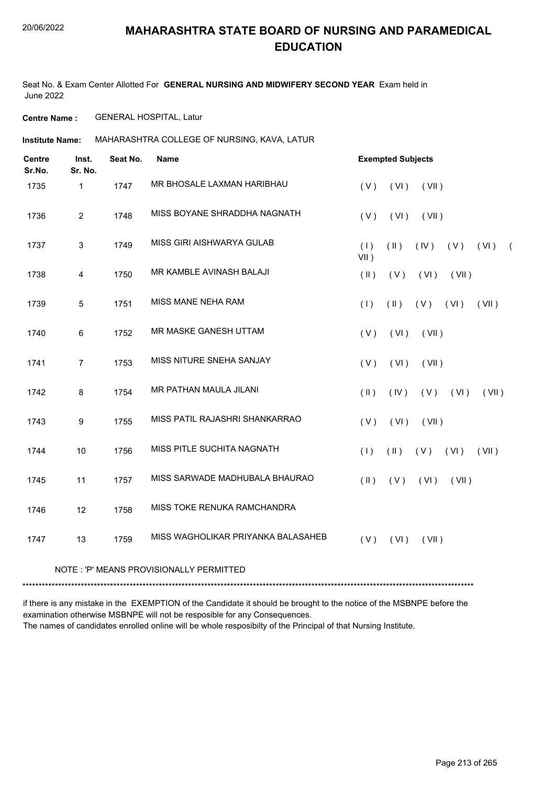Seat No. & Exam Center Allotted For **GENERAL NURSING AND MIDWIFERY SECOND YEAR** Exam held in June 2022

**Centre Name :** GENERAL HOSPITAL, Latur

**Institute Name: MAHARASHTRA COLLEGE OF NURSING, KAVA, LATUR** 

| <b>Centre</b><br>Sr.No. | Inst.<br>Sr. No. | Seat No. | <b>Name</b>                              | <b>Exempted Subjects</b>                                          |
|-------------------------|------------------|----------|------------------------------------------|-------------------------------------------------------------------|
| 1735                    | 1                | 1747     | MR BHOSALE LAXMAN HARIBHAU               | (VI)<br>(VII)<br>(V)                                              |
| 1736                    | $\overline{2}$   | 1748     | MISS BOYANE SHRADDHA NAGNATH             | (V)<br>(VI)<br>(VII)                                              |
| 1737                    | $\mathbf{3}$     | 1749     | MISS GIRI AISHWARYA GULAB                | (1)<br>$($ II $)$<br>(IV)<br>(V)<br>(VI)<br>$\sqrt{2}$<br>$VII$ ) |
| 1738                    | 4                | 1750     | MR KAMBLE AVINASH BALAJI                 | $(\parallel)$<br>(V)<br>(VI)<br>(VII)                             |
| 1739                    | 5                | 1751     | <b>MISS MANE NEHA RAM</b>                | $(\parallel)$<br>(V)<br>(1)<br>(VI)<br>(VII)                      |
| 1740                    | 6                | 1752     | MR MASKE GANESH UTTAM                    | (V)<br>(VI)<br>(VII)                                              |
| 1741                    | $\overline{7}$   | 1753     | MISS NITURE SNEHA SANJAY                 | (VI)<br>(VII)<br>(V)                                              |
| 1742                    | $\bf 8$          | 1754     | MR PATHAN MAULA JILANI                   | $(\parallel)$<br>(IV)<br>(V)<br>(VI)<br>(VII)                     |
| 1743                    | $\boldsymbol{9}$ | 1755     | MISS PATIL RAJASHRI SHANKARRAO           | (VI)<br>(VII)<br>(V)                                              |
| 1744                    | 10               | 1756     | MISS PITLE SUCHITA NAGNATH               | $(\parallel)$<br>(V)<br>(1)<br>(VI)<br>(VII)                      |
| 1745                    | 11               | 1757     | MISS SARWADE MADHUBALA BHAURAO           | $(\parallel)$<br>(V)<br>(VI)<br>(VII)                             |
| 1746                    | 12               | 1758     | MISS TOKE RENUKA RAMCHANDRA              |                                                                   |
| 1747                    | 13               | 1759     | MISS WAGHOLIKAR PRIYANKA BALASAHEB       | (V)<br>(VI)<br>(VII)                                              |
|                         |                  |          | NOTE : 'P' MEANS PROVISIONALLY PERMITTED |                                                                   |

\*\*\*\*\*\*\*\*\*\*\*\*\*\*\*\*\*\*\*\*\*\*\*\*\*\*\*\*\*\*\*\*\*\*\*\*\*\*\*\*\*\*\*\*\*\*\*\*\*\*\*\*\*\*\*\*\*\*\*\*\*\*\*\*\*\*\*\*\*\*\*\*\*\*\*\*\*\*\*\*\*\*\*\*\*\*\*\*\*\*\*\*\*\*\*\*\*\*\*\*\*\*\*\*\*\*\*\*\*\*\*\*\*\*\*\*\*\*\*\*\*\*\*\*\*\*\*\*\*\*\*\*\*\*\*\*\*\*\*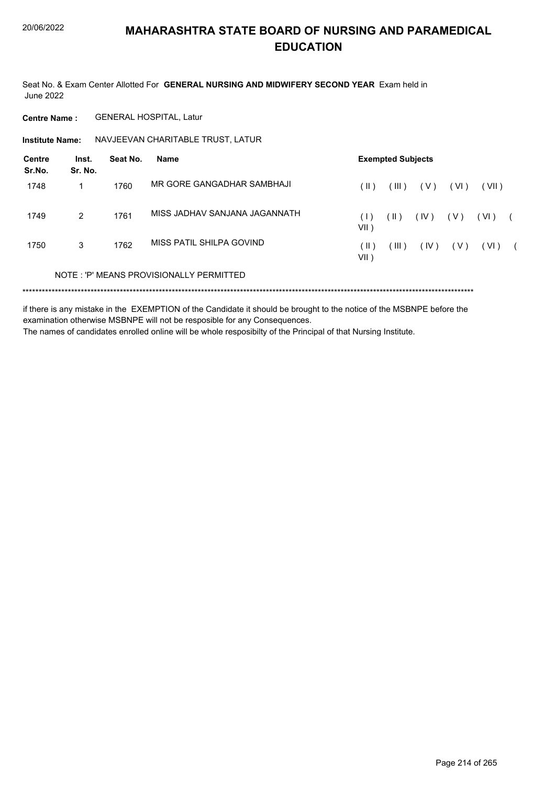Seat No. & Exam Center Allotted For GENERAL NURSING AND MIDWIFERY SECOND YEAR Exam held in **June 2022** 

**GENERAL HOSPITAL, Latur Centre Name:** 

Institute Name: NAVJEEVAN CHARITABLE TRUST, LATUR

| Centre<br>Sr.No. | Inst.<br>Sr. No. | Seat No. | Name                                    | <b>Exempted Subjects</b> |               |       |       |       |  |
|------------------|------------------|----------|-----------------------------------------|--------------------------|---------------|-------|-------|-------|--|
| 1748             |                  | 1760     | MR GORE GANGADHAR SAMBHAJI              | ( II )                   | (III)         | ( V ) | (VI)  | (VII) |  |
| 1749             | 2                | 1761     | MISS JADHAV SANJANA JAGANNATH           | $( \;   \; )$<br>VII)    | $(\parallel)$ | (IV)  | (V)   | (VI)  |  |
| 1750             | 3                | 1762     | MISS PATIL SHILPA GOVIND                | ( II )<br>$VII$ )        | (III)         | (IV)  | ( V ) | (VI)  |  |
|                  |                  |          | NOTE: 'P' MEANS PROVISIONALLY PERMITTED |                          |               |       |       |       |  |
|                  |                  |          |                                         |                          |               |       |       |       |  |

if there is any mistake in the EXEMPTION of the Candidate it should be brought to the notice of the MSBNPE before the examination otherwise MSBNPE will not be resposible for any Consequences.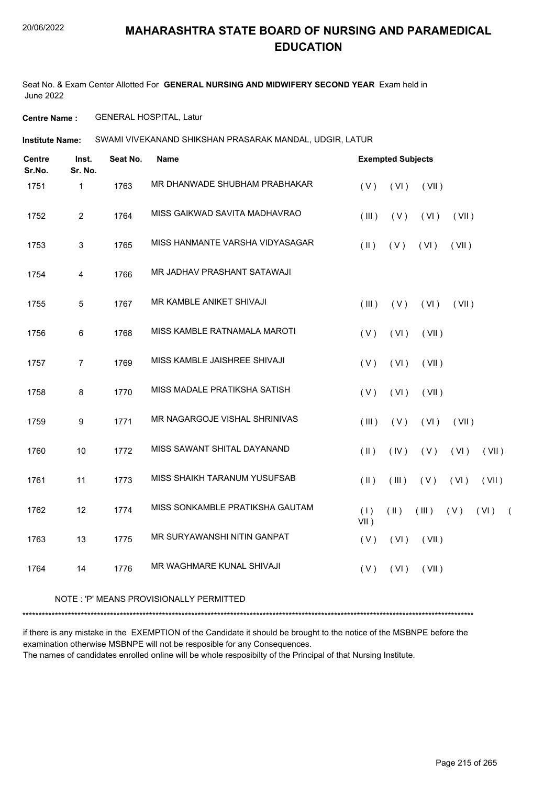Seat No. & Exam Center Allotted For **GENERAL NURSING AND MIDWIFERY SECOND YEAR** Exam held in June 2022

**Centre Name :** GENERAL HOSPITAL, Latur

**Institute Name:** SWAMI VIVEKANAND SHIKSHAN PRASARAK MANDAL, UDGIR, LATUR

| <b>Centre</b><br>Sr.No. | Inst.<br>Sr. No. | Seat No. | Name                            |                | <b>Exempted Subjects</b> |       |       |       |            |
|-------------------------|------------------|----------|---------------------------------|----------------|--------------------------|-------|-------|-------|------------|
| 1751                    | 1                | 1763     | MR DHANWADE SHUBHAM PRABHAKAR   | (V)            | (VI)                     | (VII) |       |       |            |
| 1752                    | $\overline{2}$   | 1764     | MISS GAIKWAD SAVITA MADHAVRAO   | (III)          | (V)                      | (VI)  | (VII) |       |            |
| 1753                    | 3                | 1765     | MISS HANMANTE VARSHA VIDYASAGAR | $(\parallel)$  | (V)                      | (VI)  | (VII) |       |            |
| 1754                    | 4                | 1766     | MR JADHAV PRASHANT SATAWAJI     |                |                          |       |       |       |            |
| 1755                    | 5                | 1767     | MR KAMBLE ANIKET SHIVAJI        | (III)          | (V)                      | (VI)  | (VII) |       |            |
| 1756                    | 6                | 1768     | MISS KAMBLE RATNAMALA MAROTI    | (V)            | (VI)                     | (VII) |       |       |            |
| 1757                    | $\overline{7}$   | 1769     | MISS KAMBLE JAISHREE SHIVAJI    | (V)            | (VI)                     | (VII) |       |       |            |
| 1758                    | 8                | 1770     | MISS MADALE PRATIKSHA SATISH    | (V)            | (VI)                     | (VII) |       |       |            |
| 1759                    | 9                | 1771     | MR NAGARGOJE VISHAL SHRINIVAS   | (III)          | (V)                      | (VI)  | (VII) |       |            |
| 1760                    | 10               | 1772     | MISS SAWANT SHITAL DAYANAND     | $(\parallel)$  | (IV)                     | (V)   | (VI)  | (VII) |            |
| 1761                    | 11               | 1773     | MISS SHAIKH TARANUM YUSUFSAB    | $(\parallel)$  | (III)                    | (V)   | (VI)  | (VII) |            |
| 1762                    | 12               | 1774     | MISS SONKAMBLE PRATIKSHA GAUTAM | (1)<br>$VII$ ) | $(\parallel)$            | (III) | (V)   | (VI)  | $\sqrt{2}$ |
| 1763                    | 13               | 1775     | MR SURYAWANSHI NITIN GANPAT     | (V)            | (VI)                     | (VII) |       |       |            |
| 1764                    | 14               | 1776     | MR WAGHMARE KUNAL SHIVAJI       | (V)            | (VI)                     | (VII) |       |       |            |
|                         |                  |          |                                 |                |                          |       |       |       |            |

#### NOTE : 'P' MEANS PROVISIONALLY PERMITTED

\*\*\*\*\*\*\*\*\*\*\*\*\*\*\*\*\*\*\*\*\*\*\*\*\*\*\*\*\*\*\*\*\*\*\*\*\*\*\*\*\*\*\*\*\*\*\*\*\*\*\*\*\*\*\*\*\*\*\*\*\*\*\*\*\*\*\*\*\*\*\*\*\*\*\*\*\*\*\*\*\*\*\*\*\*\*\*\*\*\*\*\*\*\*\*\*\*\*\*\*\*\*\*\*\*\*\*\*\*\*\*\*\*\*\*\*\*\*\*\*\*\*\*\*\*\*\*\*\*\*\*\*\*\*\*\*\*\*\*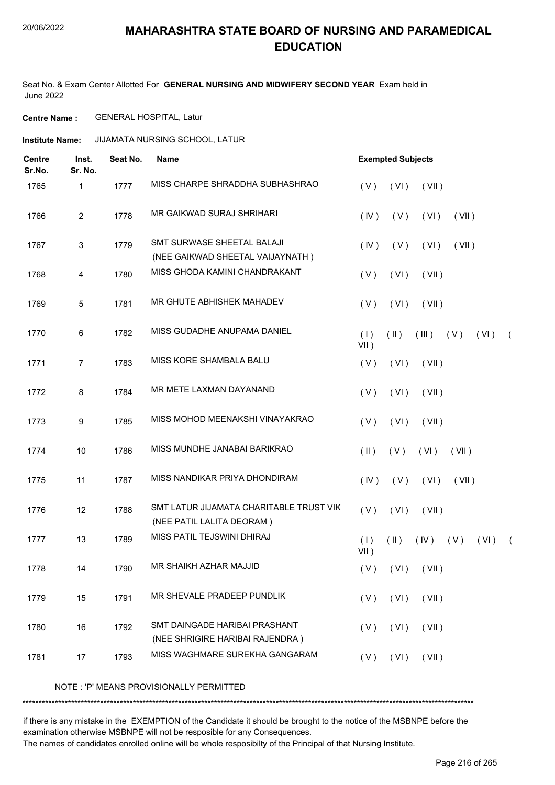Seat No. & Exam Center Allotted For **GENERAL NURSING AND MIDWIFERY SECOND YEAR** Exam held in June 2022

**Centre Name :** GENERAL HOSPITAL, Latur

**Institute Name: JIJAMATA NURSING SCHOOL, LATUR** 

| <b>Centre</b><br>Sr.No. | Inst.<br>Sr. No. | Seat No. | <b>Name</b>                                                          | <b>Exempted Subjects</b>                                              |  |
|-------------------------|------------------|----------|----------------------------------------------------------------------|-----------------------------------------------------------------------|--|
| 1765                    | 1                | 1777     | MISS CHARPE SHRADDHA SUBHASHRAO                                      | (VII)<br>(V)<br>(VI)                                                  |  |
| 1766                    | $\overline{2}$   | 1778     | MR GAIKWAD SURAJ SHRIHARI                                            | (IV)<br>(V)<br>(VI)<br>(VII)                                          |  |
| 1767                    | 3                | 1779     | SMT SURWASE SHEETAL BALAJI<br>(NEE GAIKWAD SHEETAL VAIJAYNATH)       | (V)<br>(IV)<br>(VI)<br>(VII)                                          |  |
| 1768                    | 4                | 1780     | MISS GHODA KAMINI CHANDRAKANT                                        | (VI)<br>(V)<br>(VII)                                                  |  |
| 1769                    | 5                | 1781     | MR GHUTE ABHISHEK MAHADEV                                            | (V)<br>(VI)<br>(VII)                                                  |  |
| 1770                    | 6                | 1782     | MISS GUDADHE ANUPAMA DANIEL                                          | $(\parallel)$<br>(III)<br>(V)<br>(1)<br>(VI)<br>$\left($<br>$VII$ )   |  |
| 1771                    | $\overline{7}$   | 1783     | MISS KORE SHAMBALA BALU                                              | (V)<br>(VI)<br>(VII)                                                  |  |
| 1772                    | 8                | 1784     | MR METE LAXMAN DAYANAND                                              | (VI)<br>(V)<br>(VII)                                                  |  |
| 1773                    | 9                | 1785     | MISS MOHOD MEENAKSHI VINAYAKRAO                                      | (VI)<br>(VII)<br>(V)                                                  |  |
| 1774                    | 10               | 1786     | MISS MUNDHE JANABAI BARIKRAO                                         | (V)<br>$(\parallel \parallel)$<br>(VI)<br>(VII)                       |  |
| 1775                    | 11               | 1787     | MISS NANDIKAR PRIYA DHONDIRAM                                        | (IV)<br>(V)<br>(VI)<br>(VII)                                          |  |
| 1776                    | 12               | 1788     | SMT LATUR JIJAMATA CHARITABLE TRUST VIK<br>(NEE PATIL LALITA DEORAM) | (V)<br>(VI)<br>(VII)                                                  |  |
| 1777                    | 13               | 1789     | MISS PATIL TEJSWINI DHIRAJ                                           | (1)<br>$(\parallel)$<br>$($ IV $)$<br>(V)<br>(VI)<br>$\left($<br>VII) |  |
| 1778                    | 14               | 1790     | MR SHAIKH AZHAR MAJJID                                               | $(V)$ $(VI)$ $(VII)$                                                  |  |
| 1779                    | 15               | 1791     | MR SHEVALE PRADEEP PUNDLIK                                           | (VI)<br>(VII)<br>(V)                                                  |  |
| 1780                    | 16               | 1792     | SMT DAINGADE HARIBAI PRASHANT<br>(NEE SHRIGIRE HARIBAI RAJENDRA)     | (VI)<br>(VII)<br>(V)                                                  |  |
| 1781                    | 17               | 1793     | MISS WAGHMARE SUREKHA GANGARAM                                       | (VII)<br>(V)<br>(VI)                                                  |  |

NOTE : 'P' MEANS PROVISIONALLY PERMITTED

\*\*\*\*\*\*\*\*\*\*\*\*\*\*\*\*\*\*\*\*\*\*\*\*\*\*\*\*\*\*\*\*\*\*\*\*\*\*\*\*\*\*\*\*\*\*\*\*\*\*\*\*\*\*\*\*\*\*\*\*\*\*\*\*\*\*\*\*\*\*\*\*\*\*\*\*\*\*\*\*\*\*\*\*\*\*\*\*\*\*\*\*\*\*\*\*\*\*\*\*\*\*\*\*\*\*\*\*\*\*\*\*\*\*\*\*\*\*\*\*\*\*\*\*\*\*\*\*\*\*\*\*\*\*\*\*\*\*\*

if there is any mistake in the EXEMPTION of the Candidate it should be brought to the notice of the MSBNPE before the examination otherwise MSBNPE will not be resposible for any Consequences.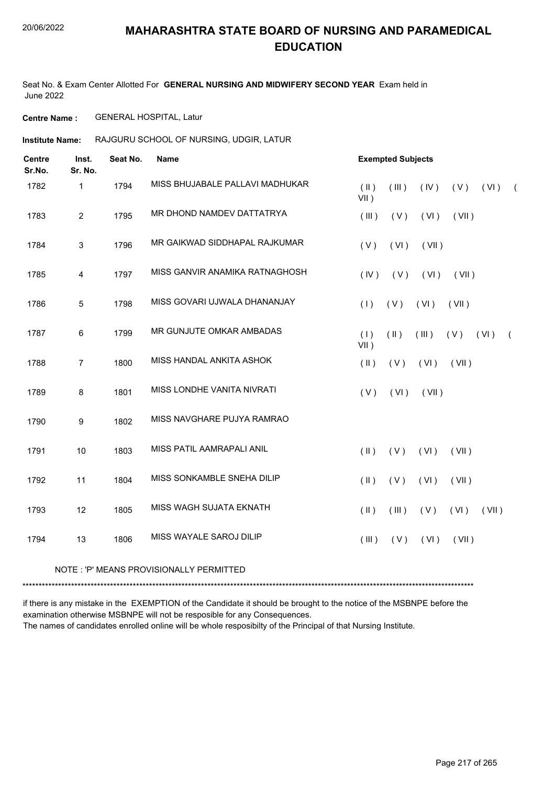Seat No. & Exam Center Allotted For **GENERAL NURSING AND MIDWIFERY SECOND YEAR** Exam held in June 2022

**Centre Name :** GENERAL HOSPITAL, Latur

**Institute Name:** RAJGURU SCHOOL OF NURSING, UDGIR, LATUR

| <b>Centre</b><br>Sr.No. | Inst.<br>Sr. No. | Seat No. | <b>Name</b>                      | <b>Exempted Subjects</b>                                             |
|-------------------------|------------------|----------|----------------------------------|----------------------------------------------------------------------|
| 1782                    | 1                | 1794     | MISS BHUJABALE PALLAVI MADHUKAR  | $(\parallel)$<br>(III)<br>(IV)<br>(V)<br>(VI)<br>$\left($<br>$VII$ ) |
| 1783                    | $\overline{2}$   | 1795     | MR DHOND NAMDEV DATTATRYA        | (III)<br>(VII)<br>(V)<br>(VI)                                        |
| 1784                    | $\sqrt{3}$       | 1796     | MR GAIKWAD SIDDHAPAL RAJKUMAR    | (V)<br>(VI)<br>(VII)                                                 |
| 1785                    | 4                | 1797     | MISS GANVIR ANAMIKA RATNAGHOSH   | (IV)<br>(V)<br>(VI)<br>(VII)                                         |
| 1786                    | 5                | 1798     | MISS GOVARI UJWALA DHANANJAY     | (1)<br>(V)<br>(VI)<br>(VII)                                          |
| 1787                    | 6                | 1799     | MR GUNJUTE OMKAR AMBADAS         | (1)<br>$(\parallel)$<br>(III)<br>(VI)<br>(V)<br>$\left($<br>$VII$ )  |
| 1788                    | $\overline{7}$   | 1800     | MISS HANDAL ANKITA ASHOK         | $(\parallel)$<br>(V)<br>(VII)<br>(VI)                                |
| 1789                    | 8                | 1801     | MISS LONDHE VANITA NIVRATI       | (V)<br>(VI)<br>(VII)                                                 |
| 1790                    | 9                | 1802     | MISS NAVGHARE PUJYA RAMRAO       |                                                                      |
| 1791                    | $10$             | 1803     | MISS PATIL AAMRAPALI ANIL        | $($ II $)$<br>(V)<br>(VI)<br>(VII)                                   |
| 1792                    | 11               | 1804     | MISS SONKAMBLE SNEHA DILIP       | $(\parallel)$<br>(V)<br>(VII)<br>(VI)                                |
| 1793                    | 12               | 1805     | MISS WAGH SUJATA EKNATH          | $(\parallel)$<br>(III)<br>(V)<br>(VI)<br>(VII)                       |
| 1794                    | 13               | 1806     | MISS WAYALE SAROJ DILIP          | (III)<br>(VII)<br>(V)<br>(VI)                                        |
|                         |                  |          | <b>DDOVIOLONIALI V DEDMITTER</b> |                                                                      |

NOTE : 'P' MEANS PROVISIONALLY PERMITTED

\*\*\*\*\*\*\*\*\*\*\*\*\*\*\*\*\*\*\*\*\*\*\*\*\*\*\*\*\*\*\*\*\*\*\*\*\*\*\*\*\*\*\*\*\*\*\*\*\*\*\*\*\*\*\*\*\*\*\*\*\*\*\*\*\*\*\*\*\*\*\*\*\*\*\*\*\*\*\*\*\*\*\*\*\*\*\*\*\*\*\*\*\*\*\*\*\*\*\*\*\*\*\*\*\*\*\*\*\*\*\*\*\*\*\*\*\*\*\*\*\*\*\*\*\*\*\*\*\*\*\*\*\*\*\*\*\*\*\*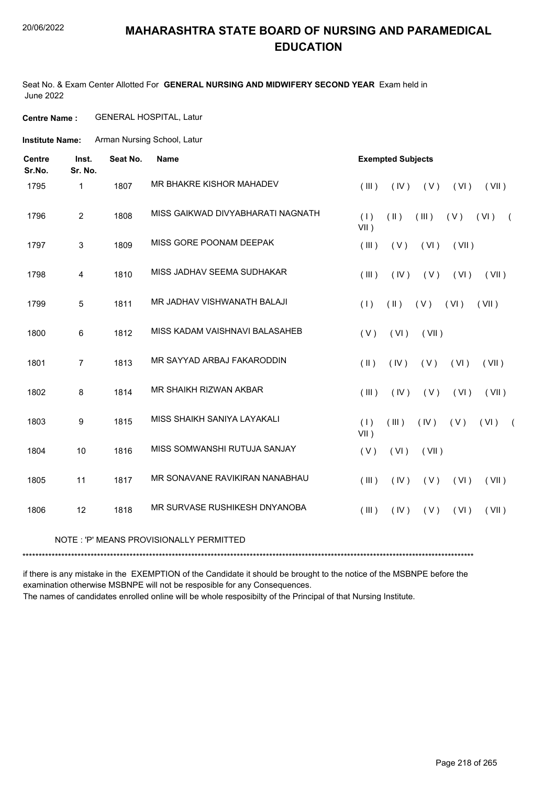Seat No. & Exam Center Allotted For **GENERAL NURSING AND MIDWIFERY SECOND YEAR** Exam held in June 2022

**Centre Name :** GENERAL HOSPITAL, Latur

**Institute Name:** Arman Nursing School, Latur

| <b>Centre</b><br>Sr.No. | Inst.<br>Sr. No. | Seat No. | <b>Name</b>                       | <b>Exempted Subjects</b>                                              |  |  |  |  |  |  |  |
|-------------------------|------------------|----------|-----------------------------------|-----------------------------------------------------------------------|--|--|--|--|--|--|--|
| 1795                    | 1                | 1807     | MR BHAKRE KISHOR MAHADEV          | (III)<br>(V)<br>(VI)<br>(VII)<br>(IV)                                 |  |  |  |  |  |  |  |
| 1796                    | $\overline{2}$   | 1808     | MISS GAIKWAD DIVYABHARATI NAGNATH | $(\parallel)$<br>(1)<br>(III)<br>(V)<br>(VI)<br>$\sqrt{2}$<br>$VII$ ) |  |  |  |  |  |  |  |
| 1797                    | 3                | 1809     | MISS GORE POONAM DEEPAK           | (III)<br>(V)<br>(VI)<br>(VII)                                         |  |  |  |  |  |  |  |
| 1798                    | $\overline{4}$   | 1810     | MISS JADHAV SEEMA SUDHAKAR        | (IV)<br>(V)<br>(III)<br>(VI)<br>(VII)                                 |  |  |  |  |  |  |  |
| 1799                    | 5                | 1811     | MR JADHAV VISHWANATH BALAJI       | $(\parallel)$<br>(VII)<br>(1)<br>(V)<br>(VI)                          |  |  |  |  |  |  |  |
| 1800                    | 6                | 1812     | MISS KADAM VAISHNAVI BALASAHEB    | (VI)<br>(V)<br>(VII)                                                  |  |  |  |  |  |  |  |
| 1801                    | $\overline{7}$   | 1813     | MR SAYYAD ARBAJ FAKARODDIN        | (11)<br>(IV)<br>(V)<br>(VI)<br>(VII)                                  |  |  |  |  |  |  |  |
| 1802                    | 8                | 1814     | MR SHAIKH RIZWAN AKBAR            | (III)<br>(IV)<br>(V)<br>(VII)<br>(VI)                                 |  |  |  |  |  |  |  |
| 1803                    | 9                | 1815     | MISS SHAIKH SANIYA LAYAKALI       | (1)<br>(III)<br>(VI)<br>(IV)<br>(V)<br>$\left($<br>VII)               |  |  |  |  |  |  |  |
| 1804                    | 10               | 1816     | MISS SOMWANSHI RUTUJA SANJAY      | (V)<br>(VI)<br>(VII)                                                  |  |  |  |  |  |  |  |
| 1805                    | 11               | 1817     | MR SONAVANE RAVIKIRAN NANABHAU    | (III)<br>(IV)<br>(V)<br>(VI)<br>(VII)                                 |  |  |  |  |  |  |  |
| 1806                    | 12               | 1818     | MR SURVASE RUSHIKESH DNYANOBA     | (III)<br>(IV)<br>(V)<br>(VI)<br>(VII)                                 |  |  |  |  |  |  |  |

#### NOTE : 'P' MEANS PROVISIONALLY PERMITTED

\*\*\*\*\*\*\*\*\*\*\*\*\*\*\*\*\*\*\*\*\*\*\*\*\*\*\*\*\*\*\*\*\*\*\*\*\*\*\*\*\*\*\*\*\*\*\*\*\*\*\*\*\*\*\*\*\*\*\*\*\*\*\*\*\*\*\*\*\*\*\*\*\*\*\*\*\*\*\*\*\*\*\*\*\*\*\*\*\*\*\*\*\*\*\*\*\*\*\*\*\*\*\*\*\*\*\*\*\*\*\*\*\*\*\*\*\*\*\*\*\*\*\*\*\*\*\*\*\*\*\*\*\*\*\*\*\*\*\*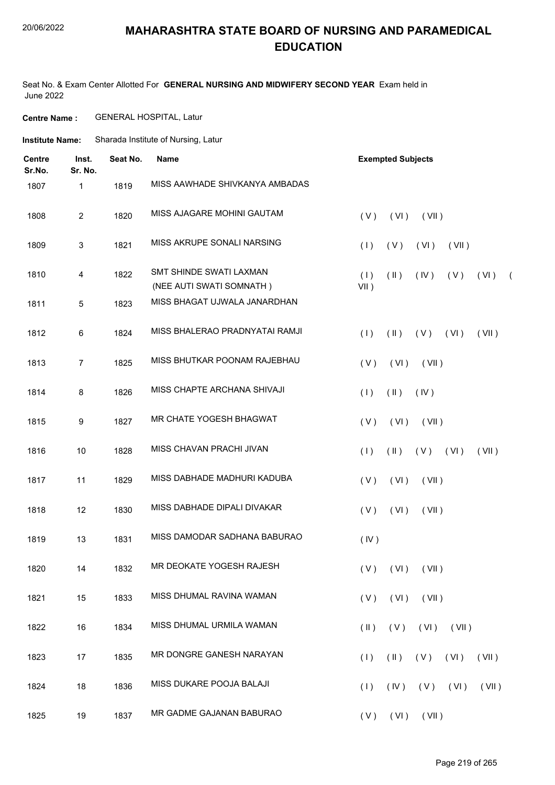#### 20/06/2022

#### **MAHARASHTRA STATE BOARD OF NURSING AND PARAMEDICAL EDUCATION**

Seat No. & Exam Center Allotted For **GENERAL NURSING AND MIDWIFERY SECOND YEAR** Exam held in June 2022

**Centre Name :** GENERAL HOSPITAL, Latur

**Institute Name:** Sharada Institute of Nursing, Latur

| <b>Centre</b><br>Sr.No. | Inst.<br>Sr. No. | Seat No. | <b>Name</b>                                         | <b>Exempted Subjects</b>                                         |  |  |  |  |  |  |  |  |
|-------------------------|------------------|----------|-----------------------------------------------------|------------------------------------------------------------------|--|--|--|--|--|--|--|--|
| 1807                    | 1                | 1819     | MISS AAWHADE SHIVKANYA AMBADAS                      |                                                                  |  |  |  |  |  |  |  |  |
| 1808                    | $\overline{c}$   | 1820     | MISS AJAGARE MOHINI GAUTAM                          | (V)<br>(VI)<br>(VII)                                             |  |  |  |  |  |  |  |  |
| 1809                    | 3                | 1821     | MISS AKRUPE SONALI NARSING                          | (1)<br>(V)<br>(VI)<br>(VII)                                      |  |  |  |  |  |  |  |  |
| 1810                    | 4                | 1822     | SMT SHINDE SWATI LAXMAN<br>(NEE AUTI SWATI SOMNATH) | (1)<br>$(\parallel)$<br>$($ IV $)$<br>(V)<br>$(VI)$ (<br>$VII$ ) |  |  |  |  |  |  |  |  |
| 1811                    | 5                | 1823     | MISS BHAGAT UJWALA JANARDHAN                        |                                                                  |  |  |  |  |  |  |  |  |
| 1812                    | 6                | 1824     | MISS BHALERAO PRADNYATAI RAMJI                      | (1)<br>$(\parallel)$<br>(V)<br>(VI)<br>(VII)                     |  |  |  |  |  |  |  |  |
| 1813                    | $\overline{7}$   | 1825     | MISS BHUTKAR POONAM RAJEBHAU                        | (V)<br>(VI)<br>(VII)                                             |  |  |  |  |  |  |  |  |
| 1814                    | 8                | 1826     | MISS CHAPTE ARCHANA SHIVAJI                         | (1)<br>$(\parallel)$<br>(IV)                                     |  |  |  |  |  |  |  |  |
| 1815                    | 9                | 1827     | MR CHATE YOGESH BHAGWAT                             | (V)<br>(VI)<br>(VII)                                             |  |  |  |  |  |  |  |  |
| 1816                    | 10               | 1828     | MISS CHAVAN PRACHI JIVAN                            | (1)<br>$(\parallel)$<br>$(V)$ $(V)$<br>(VII)                     |  |  |  |  |  |  |  |  |
| 1817                    | 11               | 1829     | MISS DABHADE MADHURI KADUBA                         | (VI)<br>(V)<br>(VII)                                             |  |  |  |  |  |  |  |  |
| 1818                    | 12               | 1830     | MISS DABHADE DIPALI DIVAKAR                         | (VI)<br>(V)<br>(VII)                                             |  |  |  |  |  |  |  |  |
| 1819                    | 13               | 1831     | MISS DAMODAR SADHANA BABURAO                        | (IV)                                                             |  |  |  |  |  |  |  |  |
| 1820                    | 14               | 1832     | MR DEOKATE YOGESH RAJESH                            | $(V)$ $(VI)$ $(VII)$                                             |  |  |  |  |  |  |  |  |
| 1821                    | 15               | 1833     | MISS DHUMAL RAVINA WAMAN                            | (VI)<br>(VII)<br>(V)                                             |  |  |  |  |  |  |  |  |
| 1822                    | 16               | 1834     | MISS DHUMAL URMILA WAMAN                            | $(V)$ $(VI)$ $(VII)$<br>$(\parallel)$                            |  |  |  |  |  |  |  |  |
| 1823                    | 17               | 1835     | MR DONGRE GANESH NARAYAN                            | (1)<br>$(\parallel)$<br>(V)<br>(VI)<br>(VII)                     |  |  |  |  |  |  |  |  |
| 1824                    | 18               | 1836     | MISS DUKARE POOJA BALAJI                            | (1)<br>$($ IV $)$<br>$(V)$ $(VI)$<br>(VII)                       |  |  |  |  |  |  |  |  |
| 1825                    | 19               | 1837     | MR GADME GAJANAN BABURAO                            | $(V)$ $(VI)$ $(VII)$                                             |  |  |  |  |  |  |  |  |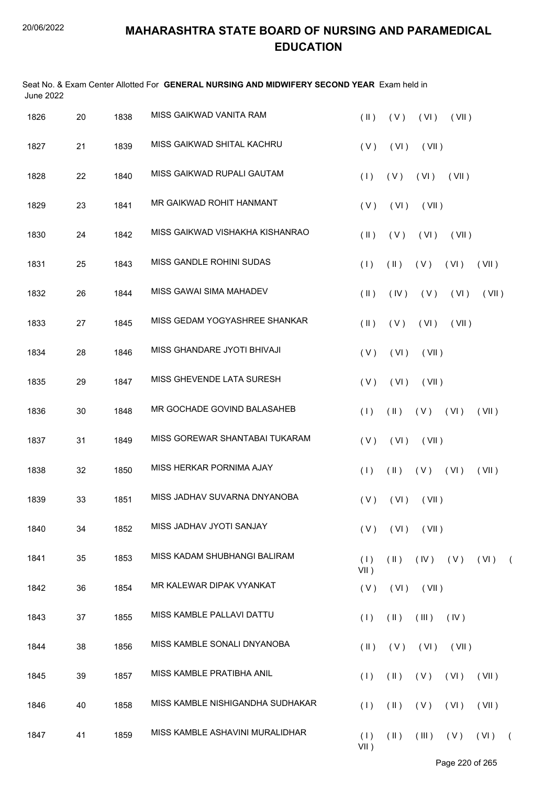| <b>June 2022</b> |    |      | Seat No. & Exam Center Allotted For GENERAL NURSING AND MIDWIFERY SECOND YEAR Exam held in |                |                         |                      |             |       |            |
|------------------|----|------|--------------------------------------------------------------------------------------------|----------------|-------------------------|----------------------|-------------|-------|------------|
| 1826             | 20 | 1838 | MISS GAIKWAD VANITA RAM                                                                    | $(\parallel)$  | (V)                     | (VI)                 | (VII)       |       |            |
| 1827             | 21 | 1839 | MISS GAIKWAD SHITAL KACHRU                                                                 | (V)            | (VI)                    | (VII)                |             |       |            |
| 1828             | 22 | 1840 | MISS GAIKWAD RUPALI GAUTAM                                                                 | (1)            | (V)                     | (VI)                 | (VII)       |       |            |
| 1829             | 23 | 1841 | MR GAIKWAD ROHIT HANMANT                                                                   | (V)            | (VI)                    | (VII)                |             |       |            |
| 1830             | 24 | 1842 | MISS GAIKWAD VISHAKHA KISHANRAO                                                            | $(\parallel)$  | (V)                     | (VI)                 | (VII)       |       |            |
| 1831             | 25 | 1843 | MISS GANDLE ROHINI SUDAS                                                                   | (1)            | $(\parallel)$           | (V)                  | (VI)        | (VII) |            |
| 1832             | 26 | 1844 | MISS GAWAI SIMA MAHADEV                                                                    | $($ II $)$     | (IV)                    | (V)                  | (VI)        | (VII) |            |
| 1833             | 27 | 1845 | MISS GEDAM YOGYASHREE SHANKAR                                                              | $($ II $)$     | (V)                     | (VI)                 | (VII)       |       |            |
| 1834             | 28 | 1846 | MISS GHANDARE JYOTI BHIVAJI                                                                | (V)            | (VI)                    | (VII)                |             |       |            |
| 1835             | 29 | 1847 | MISS GHEVENDE LATA SURESH                                                                  | (V)            | (VI)                    | (VII)                |             |       |            |
| 1836             | 30 | 1848 | MR GOCHADE GOVIND BALASAHEB                                                                | (1)            | $(\parallel)$           | $(V)$ $(V)$          |             | (VII) |            |
| 1837             | 31 | 1849 | MISS GOREWAR SHANTABAI TUKARAM                                                             | (V)            | (VI)                    | (VII)                |             |       |            |
| 1838             | 32 | 1850 | MISS HERKAR PORNIMA AJAY                                                                   | (1)            | $(\parallel)$           | (V)                  | (VI)        | (VII) |            |
| 1839             | 33 | 1851 | MISS JADHAV SUVARNA DNYANOBA                                                               |                |                         | $(V)$ $(VI)$ $(VII)$ |             |       |            |
| 1840             | 34 | 1852 | MISS JADHAV JYOTI SANJAY                                                                   | (V)            | (VI)                    | (VII)                |             |       |            |
| 1841             | 35 | 1853 | MISS KADAM SHUBHANGI BALIRAM                                                               | (1)<br>$VII$ ) | $(\parallel \parallel)$ |                      | $(V)$ $(V)$ | (VI)  | $\sqrt{2}$ |
| 1842             | 36 | 1854 | MR KALEWAR DIPAK VYANKAT                                                                   | (V)            | (VI)                    | (VII)                |             |       |            |
| 1843             | 37 | 1855 | MISS KAMBLE PALLAVI DATTU                                                                  | (1)            | $(\parallel)$           | (III)                | (IV)        |       |            |
| 1844             | 38 | 1856 | MISS KAMBLE SONALI DNYANOBA                                                                | $(\parallel)$  | (V)                     | (VI)                 | (VII)       |       |            |
| 1845             | 39 | 1857 | MISS KAMBLE PRATIBHA ANIL                                                                  | (1)            | $(\parallel)$           | (V)                  | (VI)        | (VII) |            |
| 1846             | 40 | 1858 | MISS KAMBLE NISHIGANDHA SUDHAKAR                                                           | (1)            | $(\parallel)$           | (V)                  | (VI)        | (VII) |            |
| 1847             | 41 | 1859 | MISS KAMBLE ASHAVINI MURALIDHAR                                                            | (1)<br>$VII$ ) | (11)                    | (III)                | (V)         | (VI)  | $\sqrt{2}$ |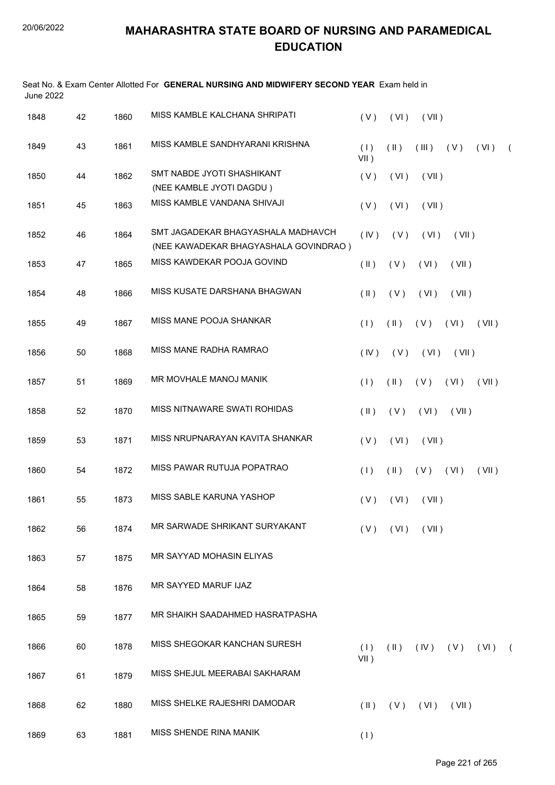| <b>June 2022</b> |    |      | Seat No. & Exam Center Allotted For GENERAL NURSING AND MIDWIFERY SECOND YEAR Exam held in |                         |                         |                      |             |       |            |
|------------------|----|------|--------------------------------------------------------------------------------------------|-------------------------|-------------------------|----------------------|-------------|-------|------------|
| 1848             | 42 | 1860 | MISS KAMBLE KALCHANA SHRIPATI                                                              | (V)                     | (VI)                    | (VII)                |             |       |            |
| 1849             | 43 | 1861 | MISS KAMBLE SANDHYARANI KRISHNA                                                            | (1)<br>$VII$ )          | (11)                    | (III)                | (V)         | (VI)  | $\sqrt{2}$ |
| 1850             | 44 | 1862 | SMT NABDE JYOTI SHASHIKANT<br>(NEE KAMBLE JYOTI DAGDU)                                     | (V)                     | (VI)                    | (VII)                |             |       |            |
| 1851             | 45 | 1863 | MISS KAMBLE VANDANA SHIVAJI                                                                | (V)                     | (VI)                    | (VII)                |             |       |            |
| 1852             | 46 | 1864 | SMT JAGADEKAR BHAGYASHALA MADHAVCH<br>(NEE KAWADEKAR BHAGYASHALA GOVINDRAO)                | (IV)                    | (V)                     | (VI)                 | (VII)       |       |            |
| 1853             | 47 | 1865 | MISS KAWDEKAR POOJA GOVIND                                                                 | $(\parallel)$           | (V)                     | (VI)                 | (VII)       |       |            |
| 1854             | 48 | 1866 | MISS KUSATE DARSHANA BHAGWAN                                                               | $($ II $)$              | (V)                     | (VI)                 | (VII)       |       |            |
| 1855             | 49 | 1867 | MISS MANE POOJA SHANKAR                                                                    | (1)                     | $(\parallel)$           | (V)                  | (VI)        | (VII) |            |
| 1856             | 50 | 1868 | MISS MANE RADHA RAMRAO                                                                     | (IV)                    | (V)                     | (VI)                 | (VII)       |       |            |
| 1857             | 51 | 1869 | MR MOVHALE MANOJ MANIK                                                                     | (1)                     | $(\parallel)$           | (V)                  | (VI)        | (VII) |            |
| 1858             | 52 | 1870 | MISS NITNAWARE SWATI ROHIDAS                                                               | $($ II $)$              | (V)                     | (VI)                 | (VII)       |       |            |
| 1859             | 53 | 1871 | MISS NRUPNARAYAN KAVITA SHANKAR                                                            | (V)                     | (VI)                    | (VII)                |             |       |            |
| 1860             | 54 | 1872 | MISS PAWAR RUTUJA POPATRAO                                                                 | (1)                     | $(\parallel)$           | (V)                  | (VI)        | (VII) |            |
| 1861             | 55 | 1873 | MISS SABLE KARUNA YASHOP                                                                   |                         |                         | $(V)$ $(VI)$ $(VII)$ |             |       |            |
| 1862             | 56 | 1874 | MR SARWADE SHRIKANT SURYAKANT                                                              | (V)                     | (VI)                    | (VII)                |             |       |            |
| 1863             | 57 | 1875 | MR SAYYAD MOHASIN ELIYAS                                                                   |                         |                         |                      |             |       |            |
| 1864             | 58 | 1876 | MR SAYYED MARUF IJAZ                                                                       |                         |                         |                      |             |       |            |
| 1865             | 59 | 1877 | MR SHAIKH SAADAHMED HASRATPASHA                                                            |                         |                         |                      |             |       |            |
| 1866             | 60 | 1878 | MISS SHEGOKAR KANCHAN SURESH                                                               | (1)                     | $(\parallel \parallel)$ |                      | $(V)$ $(V)$ | (VI)  | $\sqrt{2}$ |
| 1867             | 61 | 1879 | MISS SHEJUL MEERABAI SAKHARAM                                                              | $VII$ )                 |                         |                      |             |       |            |
| 1868             | 62 | 1880 | MISS SHELKE RAJESHRI DAMODAR                                                               | $(\parallel \parallel)$ | (V)                     | (VI)                 | (VII)       |       |            |
| 1869             | 63 | 1881 | MISS SHENDE RINA MANIK                                                                     | (1)                     |                         |                      |             |       |            |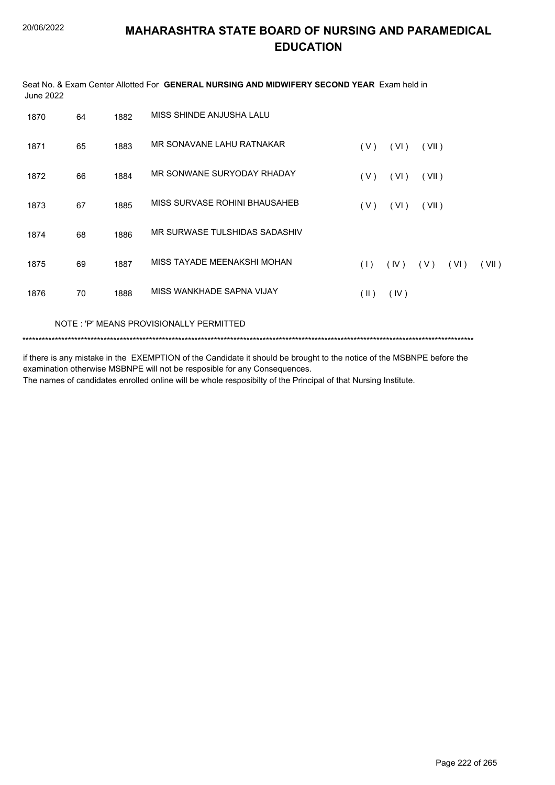| June 2022 |    |      | Seat No. & Exam Center Allotted For GENERAL NURSING AND MIDWIFERY SECOND YEAR Exam held in |               |      |       |      |       |
|-----------|----|------|--------------------------------------------------------------------------------------------|---------------|------|-------|------|-------|
| 1870      | 64 | 1882 | MISS SHINDE ANJUSHA LALU                                                                   |               |      |       |      |       |
| 1871      | 65 | 1883 | MR SONAVANE LAHU RATNAKAR                                                                  | (V)           | (VI) | (VII) |      |       |
| 1872      | 66 | 1884 | MR SONWANE SURYODAY RHADAY                                                                 | (V)           | (VI) | (VII) |      |       |
| 1873      | 67 | 1885 | MISS SURVASE ROHINI BHAUSAHEB                                                              | (V)           | (VI) | (VII) |      |       |
| 1874      | 68 | 1886 | MR SURWASE TULSHIDAS SADASHIV                                                              |               |      |       |      |       |
| 1875      | 69 | 1887 | MISS TAYADE MEENAKSHI MOHAN                                                                | (1)           | (IV) | (V)   | (VI) | (VII) |
| 1876      | 70 | 1888 | MISS WANKHADE SAPNA VIJAY                                                                  | $(\parallel)$ | (IV) |       |      |       |
|           |    |      |                                                                                            |               |      |       |      |       |

NOTE : 'P' MEANS PROVISIONALLY PERMITTED

\*\*\*\*\*\*\*\*\*\*\*\*\*\*\*\*\*\*\*\*\*\*\*\*\*\*\*\*\*\*\*\*\*\*\*\*\*\*\*\*\*\*\*\*\*\*\*\*\*\*\*\*\*\*\*\*\*\*\*\*\*\*\*\*\*\*\*\*\*\*\*\*\*\*\*\*\*\*\*\*\*\*\*\*\*\*\*\*\*\*\*\*\*\*\*\*\*\*\*\*\*\*\*\*\*\*\*\*\*\*\*\*\*\*\*\*\*\*\*\*\*\*\*\*\*\*\*\*\*\*\*\*\*\*\*\*\*\*\*

if there is any mistake in the EXEMPTION of the Candidate it should be brought to the notice of the MSBNPE before the examination otherwise MSBNPE will not be resposible for any Consequences. The names of candidates enrolled online will be whole resposibilty of the Principal of that Nursing Institute.

Page 222 of 265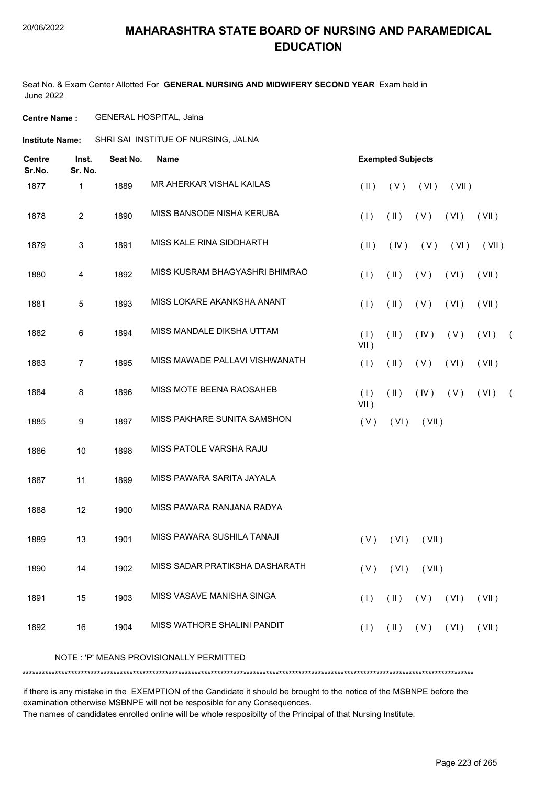#### 20/06/2022

# **MAHARASHTRA STATE BOARD OF NURSING AND PARAMEDICAL EDUCATION**

Seat No. & Exam Center Allotted For **GENERAL NURSING AND MIDWIFERY SECOND YEAR** Exam held in June 2022

**Centre Name :** GENERAL HOSPITAL, Jalna

**Institute Name:** SHRI SAI INSTITUE OF NURSING, JALNA

| <b>Centre</b><br>Sr.No. | Inst.<br>Sr. No. | Seat No. | <b>Name</b>                             |                | <b>Exempted Subjects</b> |            |       |       |            |
|-------------------------|------------------|----------|-----------------------------------------|----------------|--------------------------|------------|-------|-------|------------|
| 1877                    | 1                | 1889     | MR AHERKAR VISHAL KAILAS                | $(\parallel)$  | (V)                      | (VI)       | (VII) |       |            |
| 1878                    | $\overline{2}$   | 1890     | MISS BANSODE NISHA KERUBA               | (1)            | $(\parallel)$            | (V)        | (VI)  | (VII) |            |
| 1879                    | 3                | 1891     | MISS KALE RINA SIDDHARTH                | $(\parallel)$  | (IV)                     | (V)        | (VI)  | (VII) |            |
| 1880                    | 4                | 1892     | MISS KUSRAM BHAGYASHRI BHIMRAO          | (1)            | $(\parallel)$            | (V)        | (VI)  | (VII) |            |
| 1881                    | 5                | 1893     | MISS LOKARE AKANKSHA ANANT              | (1)            | $(\parallel)$            | (V)        | (VI)  | (VII) |            |
| 1882                    | 6                | 1894     | MISS MANDALE DIKSHA UTTAM               | (1)<br>$VII$ ) | $(\parallel)$            | (IV)       | (V)   | (VI)  | $\sqrt{2}$ |
| 1883                    | $\overline{7}$   | 1895     | MISS MAWADE PALLAVI VISHWANATH          | (1)            | $(\parallel)$            | (V)        | (VI)  | (VII) |            |
| 1884                    | 8                | 1896     | MISS MOTE BEENA RAOSAHEB                | (1)<br>$VII$ ) | $(\parallel)$            | $($ IV $)$ | (V)   | (VI)  | $\sqrt{2}$ |
| 1885                    | 9                | 1897     | MISS PAKHARE SUNITA SAMSHON             | (V)            | (VI)                     | (VII)      |       |       |            |
| 1886                    | $10$             | 1898     | MISS PATOLE VARSHA RAJU                 |                |                          |            |       |       |            |
| 1887                    | 11               | 1899     | MISS PAWARA SARITA JAYALA               |                |                          |            |       |       |            |
| 1888                    | 12               | 1900     | MISS PAWARA RANJANA RADYA               |                |                          |            |       |       |            |
| 1889                    | 13               | 1901     | MISS PAWARA SUSHILA TANAJI              | (V)            | (VI)                     | (VII)      |       |       |            |
| 1890                    | 14               | 1902     | MISS SADAR PRATIKSHA DASHARATH          |                | $(V)$ $(V)$              | (VII)      |       |       |            |
| 1891                    | 15               | 1903     | MISS VASAVE MANISHA SINGA               | (1)            | $(\parallel)$            | (V)        | (VI)  | (VII) |            |
| 1892                    | 16               | 1904     | MISS WATHORE SHALINI PANDIT             | (1)            | $(\parallel)$            | (V)        | (VI)  | (VII) |            |
|                         |                  |          | NOTE: 'P' MEANS PROVISIONALLY PERMITTED |                |                          |            |       |       |            |
|                         |                  |          |                                         |                |                          |            |       |       |            |

if there is any mistake in the EXEMPTION of the Candidate it should be brought to the notice of the MSBNPE before the examination otherwise MSBNPE will not be resposible for any Consequences.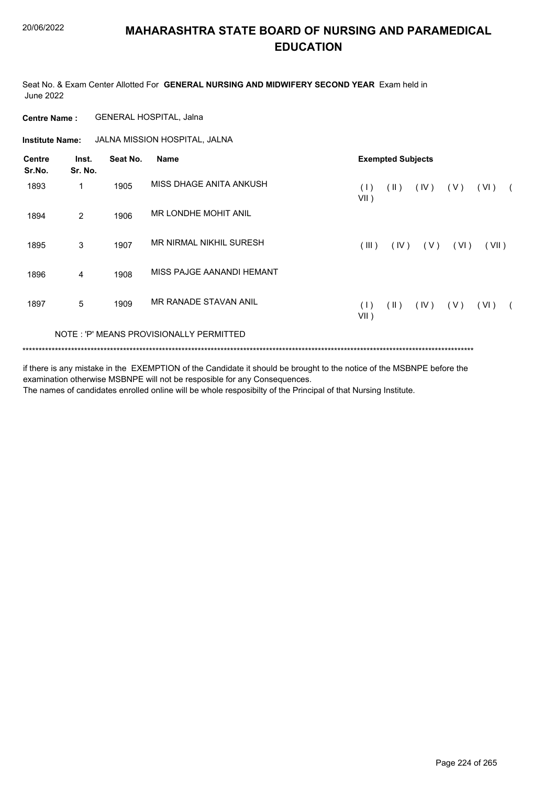Seat No. & Exam Center Allotted For **GENERAL NURSING AND MIDWIFERY SECOND YEAR** Exam held in June 2022

**Centre Name :** GENERAL HOSPITAL, Jalna

**Institute Name:** JALNA MISSION HOSPITAL, JALNA

| <b>Centre</b><br>Sr.No. | Inst.<br>Sr. No. | Seat No. | <b>Name</b>                             | <b>Exempted Subjects</b>                                             |  |  |  |  |
|-------------------------|------------------|----------|-----------------------------------------|----------------------------------------------------------------------|--|--|--|--|
| 1893                    | 1                | 1905     | MISS DHAGE ANITA ANKUSH                 | $(\parallel)$<br>(IV)<br>( V )<br>(VI)<br>(1)<br>$VII$ )             |  |  |  |  |
| 1894                    | 2                | 1906     | MR LONDHE MOHIT ANIL                    |                                                                      |  |  |  |  |
| 1895                    | 3                | 1907     | MR NIRMAL NIKHIL SURESH                 | (III)<br>(IV)<br>(V)<br>(VI)<br>(VII)                                |  |  |  |  |
| 1896                    | 4                | 1908     | MISS PAJGE AANANDI HEMANT               |                                                                      |  |  |  |  |
| 1897                    | 5                | 1909     | MR RANADE STAVAN ANIL                   | $(\parallel)$<br>(IV)<br>(V)<br>(VI)<br>(1)<br>$\sqrt{2}$<br>$VII$ ) |  |  |  |  |
|                         |                  |          | NOTE: 'P' MEANS PROVISIONALLY PERMITTED |                                                                      |  |  |  |  |
|                         |                  |          |                                         |                                                                      |  |  |  |  |

if there is any mistake in the EXEMPTION of the Candidate it should be brought to the notice of the MSBNPE before the

examination otherwise MSBNPE will not be resposible for any Consequences. The names of candidates enrolled online will be whole resposibilty of the Principal of that Nursing Institute.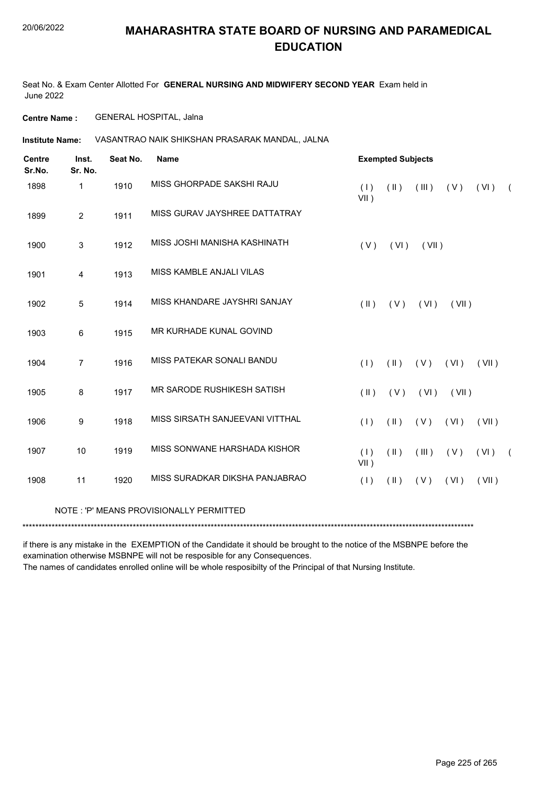Seat No. & Exam Center Allotted For **GENERAL NURSING AND MIDWIFERY SECOND YEAR** Exam held in June 2022

**Centre Name :** GENERAL HOSPITAL, Jalna

VASANTRAO NAIK SHIKSHAN PRASARAK MANDAL, JALNA **Institute Name:**

| <b>Centre</b><br>Sr.No. | Inst.<br>Sr. No. | Seat No. | <b>Name</b>                             |                | <b>Exempted Subjects</b> |       |       |       |            |  |
|-------------------------|------------------|----------|-----------------------------------------|----------------|--------------------------|-------|-------|-------|------------|--|
| 1898                    | $\mathbf{1}$     | 1910     | MISS GHORPADE SAKSHI RAJU               | (1)<br>$VII$ ) | $(\parallel)$            | (III) | (V)   | (VI)  | $\sqrt{2}$ |  |
| 1899                    | 2                | 1911     | MISS GURAV JAYSHREE DATTATRAY           |                |                          |       |       |       |            |  |
| 1900                    | 3                | 1912     | MISS JOSHI MANISHA KASHINATH            | (V)            | (VI)                     | (VII) |       |       |            |  |
| 1901                    | $\overline{4}$   | 1913     | MISS KAMBLE ANJALI VILAS                |                |                          |       |       |       |            |  |
| 1902                    | 5                | 1914     | MISS KHANDARE JAYSHRI SANJAY            | $(\parallel)$  | (V)                      | (VI)  | (VII) |       |            |  |
| 1903                    | 6                | 1915     | MR KURHADE KUNAL GOVIND                 |                |                          |       |       |       |            |  |
| 1904                    | $\overline{7}$   | 1916     | MISS PATEKAR SONALI BANDU               | (1)            | $(\parallel)$            | (V)   | (VI)  | (VII) |            |  |
| 1905                    | 8                | 1917     | MR SARODE RUSHIKESH SATISH              | $($ II $)$     | (V)                      | (VI)  | (VII) |       |            |  |
| 1906                    | 9                | 1918     | MISS SIRSATH SANJEEVANI VITTHAL         | (1)            | $($ II $)$               | (V)   | (VI)  | (VII) |            |  |
| 1907                    | 10               | 1919     | MISS SONWANE HARSHADA KISHOR            | (1)<br>VII)    | (11)                     | (III) | (V)   | (VI)  | $\sqrt{2}$ |  |
| 1908                    | 11               | 1920     | MISS SURADKAR DIKSHA PANJABRAO          | (1)            | $(\parallel)$            | (V)   | (VI)  | (VII) |            |  |
|                         |                  |          | NOTE: 'P' MEANS PROVISIONALLY PERMITTED |                |                          |       |       |       |            |  |
|                         |                  |          |                                         |                |                          |       |       |       |            |  |

if there is any mistake in the EXEMPTION of the Candidate it should be brought to the notice of the MSBNPE before the examination otherwise MSBNPE will not be resposible for any Consequences.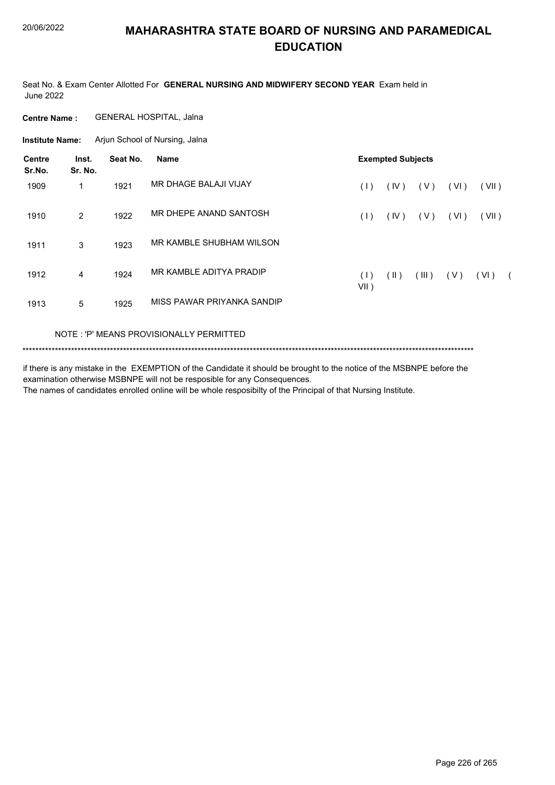Seat No. & Exam Center Allotted For **GENERAL NURSING AND MIDWIFERY SECOND YEAR** Exam held in June 2022

**Centre Name :** GENERAL HOSPITAL, Jalna

Arjun School of Nursing, Jalna **Institute Name:**

| <b>Centre</b><br>Sr.No. | Inst.<br>Sr. No. | Seat No. | <b>Name</b>                | <b>Exempted Subjects</b> |      |       |      |       |            |
|-------------------------|------------------|----------|----------------------------|--------------------------|------|-------|------|-------|------------|
| 1909                    | 1                | 1921     | MR DHAGE BALAJI VIJAY      | (1)                      | (IV) | ( V ) | (VI) | (VII) |            |
| 1910                    | 2                | 1922     | MR DHEPE ANAND SANTOSH     | (1)                      | (IV) | (V)   | (VI) | (VII) |            |
| 1911                    | 3                | 1923     | MR KAMBLE SHUBHAM WILSON   |                          |      |       |      |       |            |
| 1912                    | 4                | 1924     | MR KAMBLE ADITYA PRADIP    | (1)<br>$VII$ )           | (  ) | (III) | (V)  | (VI)  | $\sqrt{2}$ |
| 1913                    | 5                | 1925     | MISS PAWAR PRIYANKA SANDIP |                          |      |       |      |       |            |

#### NOTE : 'P' MEANS PROVISIONALLY PERMITTED

\*\*\*\*\*\*\*\*\*\*\*\*\*\*\*\*\*\*\*\*\*\*\*\*\*\*\*\*\*\*\*\*\*\*\*\*\*\*\*\*\*\*\*\*\*\*\*\*\*\*\*\*\*\*\*\*\*\*\*\*\*\*\*\*\*\*\*\*\*\*\*\*\*\*\*\*\*\*\*\*\*\*\*\*\*\*\*\*\*\*\*\*\*\*\*\*\*\*\*\*\*\*\*\*\*\*\*\*\*\*\*\*\*\*\*\*\*\*\*\*\*\*\*\*\*\*\*\*\*\*\*\*\*\*\*\*\*\*\*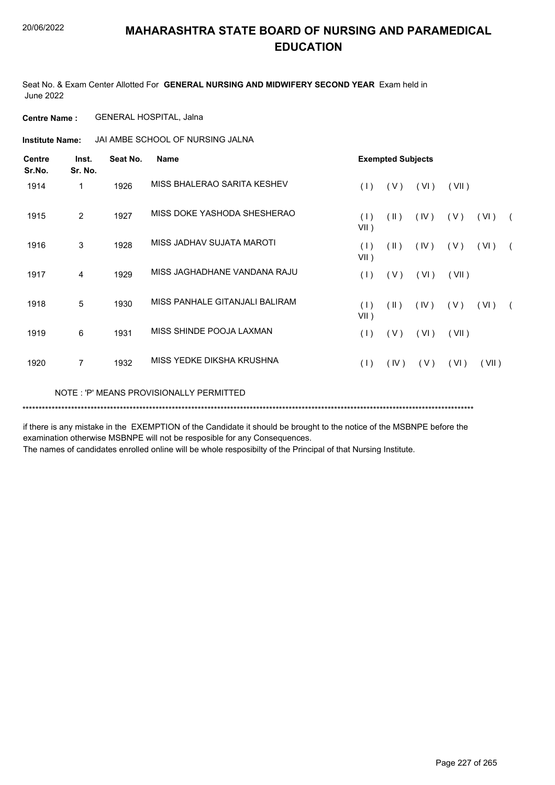Seat No. & Exam Center Allotted For **GENERAL NURSING AND MIDWIFERY SECOND YEAR** Exam held in June 2022

**Centre Name :** GENERAL HOSPITAL, Jalna

**Institute Name:** JAI AMBE SCHOOL OF NURSING JALNA

| <b>Centre</b><br>Sr.No. | Inst.<br>Sr. No. | Seat No. | <b>Name</b>                             | <b>Exempted Subjects</b> |                         |      |       |       |            |
|-------------------------|------------------|----------|-----------------------------------------|--------------------------|-------------------------|------|-------|-------|------------|
| 1914                    | 1                | 1926     | MISS BHALERAO SARITA KESHEV             | (1)                      | (V)                     | (VI) | (VII) |       |            |
| 1915                    | $\overline{2}$   | 1927     | MISS DOKE YASHODA SHESHERAO             | (1)<br>$VII$ )           | $(\parallel)$           | (IV) | ( V ) | (VI)  | $\sqrt{2}$ |
| 1916                    | 3                | 1928     | MISS JADHAV SUJATA MAROTI               | (1)<br>$VII$ )           | $(\parallel \parallel)$ | (IV) | ( V ) | (VI)  | $\sqrt{2}$ |
| 1917                    | 4                | 1929     | MISS JAGHADHANE VANDANA RAJU            | (1)                      | (V)                     | (VI) | (VII) |       |            |
| 1918                    | 5                | 1930     | MISS PANHALE GITANJALI BALIRAM          | (1)<br>$VII$ )           | $(\parallel)$           | (IV) | (V)   | (VI)  | $\sqrt{2}$ |
| 1919                    | 6                | 1931     | MISS SHINDE POOJA LAXMAN                | (1)                      | (V)                     | (VI) | (VII) |       |            |
| 1920                    | 7                | 1932     | MISS YEDKE DIKSHA KRUSHNA               | (1)                      | (IV)                    | (V)  | (VI)  | (VII) |            |
|                         |                  |          | NOTE: 'P' MEANS PROVISIONALLY PERMITTED |                          |                         |      |       |       |            |

\*\*\*\*\*\*\*\*\*\*\*\*\*\*\*\*\*\*\*\*\*\*\*\*\*\*\*\*\*\*\*\*\*\*\*\*\*\*\*\*\*\*\*\*\*\*\*\*\*\*\*\*\*\*\*\*\*\*\*\*\*\*\*\*\*\*\*\*\*\*\*\*\*\*\*\*\*\*\*\*\*\*\*\*\*\*\*\*\*\*\*\*\*\*\*\*\*\*\*\*\*\*\*\*\*\*\*\*\*\*\*\*\*\*\*\*\*\*\*\*\*\*\*\*\*\*\*\*\*\*\*\*\*\*\*\*\*\*\*

if there is any mistake in the EXEMPTION of the Candidate it should be brought to the notice of the MSBNPE before the examination otherwise MSBNPE will not be resposible for any Consequences.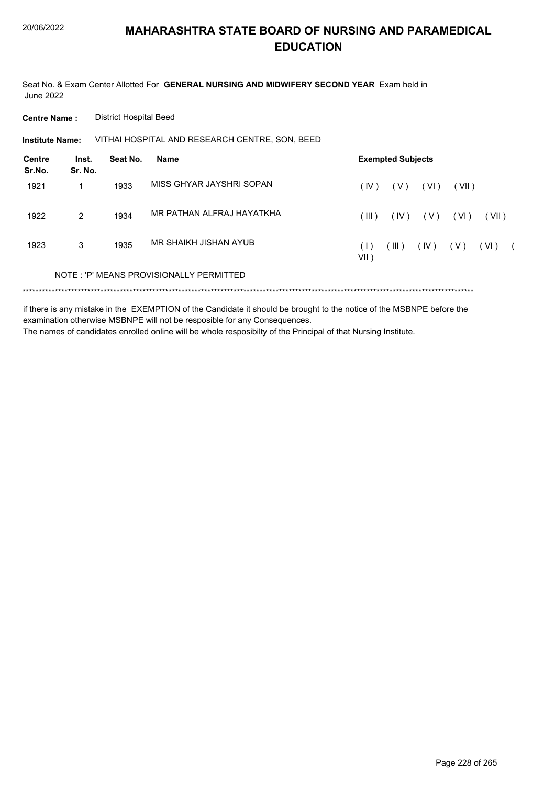Seat No. & Exam Center Allotted For **GENERAL NURSING AND MIDWIFERY SECOND YEAR** Exam held in June 2022

**Centre Name :** District Hospital Beed

VITHAI HOSPITAL AND RESEARCH CENTRE, SON, BEED **Institute Name:**

| Centre<br>Sr.No. | Inst.<br>Sr. No. | Seat No. | Name                                    |              | <b>Exempted Subjects</b> |       |        |       |            |
|------------------|------------------|----------|-----------------------------------------|--------------|--------------------------|-------|--------|-------|------------|
| 1921             |                  | 1933     | MISS GHYAR JAYSHRI SOPAN                | (IV)         | ( V )                    | (VI)  | (VII)  |       |            |
| 1922             | $\mathcal{P}$    | 1934     | MR PATHAN ALFRAJ HAYATKHA               | (III)        | (IV)                     | ( V ) | ( VI ) | (VII) |            |
| 1923             | 3                | 1935     | MR SHAIKH JISHAN AYUB                   | (1)<br>VII ) | (III)                    | (IV)  | ( V )  | (VI)  | $\sqrt{2}$ |
|                  |                  |          | NOTE: 'P' MEANS PROVISIONALLY PERMITTED |              |                          |       |        |       |            |
|                  |                  |          |                                         |              |                          |       |        |       |            |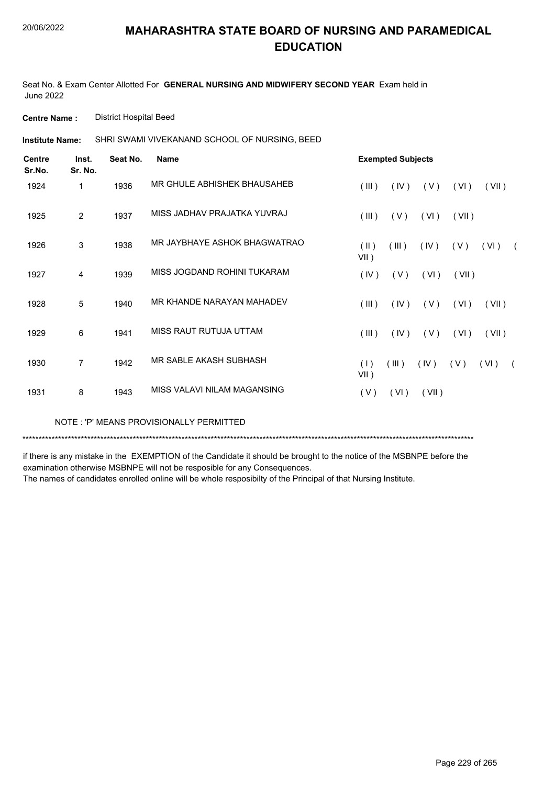Seat No. & Exam Center Allotted For **GENERAL NURSING AND MIDWIFERY SECOND YEAR** Exam held in June 2022

**Centre Name :** District Hospital Beed

SHRI SWAMI VIVEKANAND SCHOOL OF NURSING, BEED **Institute Name:**

| <b>Centre</b><br>Sr.No. | Inst.<br>Sr. No. | Seat No. | <b>Name</b>                  |                 | <b>Exempted Subjects</b> |       |       |       |                |
|-------------------------|------------------|----------|------------------------------|-----------------|--------------------------|-------|-------|-------|----------------|
| 1924                    | 1                | 1936     | MR GHULE ABHISHEK BHAUSAHEB  | $($ III $)$     | (IV)                     | (V)   | (VI)  | (VII) |                |
| 1925                    | 2                | 1937     | MISS JADHAV PRAJATKA YUVRAJ  | (III)           | (V)                      | (VI)  | (VII) |       |                |
| 1926                    | 3                | 1938     | MR JAYBHAYE ASHOK BHAGWATRAO | (II)<br>$VII$ ) | (III)                    | (IV)  | (V)   | (VI)  | $\overline{a}$ |
| 1927                    | $\overline{4}$   | 1939     | MISS JOGDAND ROHINI TUKARAM  | (IV)            | (V)                      | (VI)  | (VII) |       |                |
| 1928                    | 5                | 1940     | MR KHANDE NARAYAN MAHADEV    | $($ III $)$     | (IV)                     | (V)   | (VI)  | (VII) |                |
| 1929                    | 6                | 1941     | MISS RAUT RUTUJA UTTAM       | $($ III $)$     | (IV)                     | (V)   | (VI)  | (VII) |                |
| 1930                    | 7                | 1942     | MR SABLE AKASH SUBHASH       | (1)<br>$VII$ )  | (III)                    | (IV)  | (V)   | (VI)  |                |
| 1931                    | 8                | 1943     | MISS VALAVI NILAM MAGANSING  | (V)             | (VI)                     | (VII) |       |       |                |

NOTE : 'P' MEANS PROVISIONALLY PERMITTED

\*\*\*\*\*\*\*\*\*\*\*\*\*\*\*\*\*\*\*\*\*\*\*\*\*\*\*\*\*\*\*\*\*\*\*\*\*\*\*\*\*\*\*\*\*\*\*\*\*\*\*\*\*\*\*\*\*\*\*\*\*\*\*\*\*\*\*\*\*\*\*\*\*\*\*\*\*\*\*\*\*\*\*\*\*\*\*\*\*\*\*\*\*\*\*\*\*\*\*\*\*\*\*\*\*\*\*\*\*\*\*\*\*\*\*\*\*\*\*\*\*\*\*\*\*\*\*\*\*\*\*\*\*\*\*\*\*\*\*

if there is any mistake in the EXEMPTION of the Candidate it should be brought to the notice of the MSBNPE before the examination otherwise MSBNPE will not be resposible for any Consequences.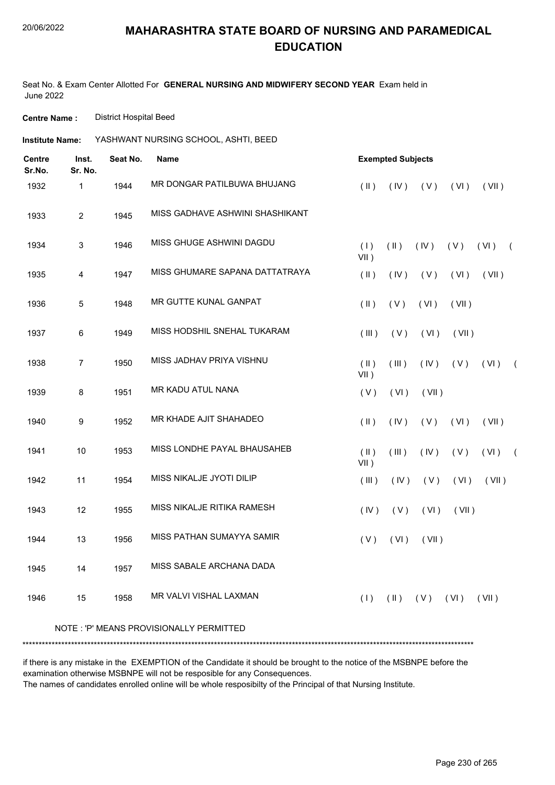Seat No. & Exam Center Allotted For **GENERAL NURSING AND MIDWIFERY SECOND YEAR** Exam held in June 2022

**Centre Name :** District Hospital Beed

| Institute Name: | YASHWANT NURSING SCHOOL, ASHTI, BEED |  |
|-----------------|--------------------------------------|--|
|                 |                                      |  |

| <b>Centre</b><br>Sr.No. | Inst.<br>Sr. No. | Seat No. | <b>Name</b>                             |                       | <b>Exempted Subjects</b> |                     |       |       |            |
|-------------------------|------------------|----------|-----------------------------------------|-----------------------|--------------------------|---------------------|-------|-------|------------|
| 1932                    | 1                | 1944     | MR DONGAR PATILBUWA BHUJANG             | $(\parallel)$         | (IV)                     | (V)                 | (VI)  | (VII) |            |
| 1933                    | $\sqrt{2}$       | 1945     | MISS GADHAVE ASHWINI SHASHIKANT         |                       |                          |                     |       |       |            |
| 1934                    | $\mathbf{3}$     | 1946     | MISS GHUGE ASHWINI DAGDU                | (1)<br>$VII$ )        | $(\parallel)$            | (IV)                | (V)   | (VI)  | $\sqrt{2}$ |
| 1935                    | 4                | 1947     | MISS GHUMARE SAPANA DATTATRAYA          | $(\parallel)$         | (IV)                     | (V)                 | (VI)  | (VII) |            |
| 1936                    | 5                | 1948     | MR GUTTE KUNAL GANPAT                   | $(\parallel)$         | (V)                      | (VI)                | (VII) |       |            |
| 1937                    | 6                | 1949     | MISS HODSHIL SNEHAL TUKARAM             | (III)                 | (V)                      | (VI)                | (VII) |       |            |
| 1938                    | $\overline{7}$   | 1950     | MISS JADHAV PRIYA VISHNU                | (  )<br>$VII$ )       | (III)                    | (IV)                | (V)   | (VI)  | $\sqrt{2}$ |
| 1939                    | 8                | 1951     | <b>MR KADU ATUL NANA</b>                | (V)                   | (VI)                     | (VII)               |       |       |            |
| 1940                    | 9                | 1952     | MR KHADE AJIT SHAHADEO                  | $(\parallel)$         | (IV)                     | (V)                 | (VI)  | (VII) |            |
| 1941                    | 10               | 1953     | MISS LONDHE PAYAL BHAUSAHEB             | $($ II $)$<br>$VII$ ) | (III)                    | (IV)                | (V)   | (VI)  | $\sqrt{2}$ |
| 1942                    | 11               | 1954     | MISS NIKALJE JYOTI DILIP                | (III)                 | (IV)                     | (V)                 | (VI)  | (VII) |            |
| 1943                    | 12               | 1955     | MISS NIKALJE RITIKA RAMESH              | (IV)                  | (V)                      | (VI)                | (VII) |       |            |
| 1944                    | 13               | 1956     | MISS PATHAN SUMAYYA SAMIR               | (V)                   | (VI)                     | (VII)               |       |       |            |
| 1945                    | 14               | 1957     | MISS SABALE ARCHANA DADA                |                       |                          |                     |       |       |            |
| 1946                    | 15               | 1958     | <b>MR VALVI VISHAL LAXMAN</b>           | (1)                   |                          | $(11)$ $(V)$ $(V1)$ |       | (VII) |            |
|                         |                  |          | NOTE: 'P' MEANS PROVISIONALLY PERMITTED |                       |                          |                     |       |       |            |

if there is any mistake in the EXEMPTION of the Candidate it should be brought to the notice of the MSBNPE before the examination otherwise MSBNPE will not be resposible for any Consequences.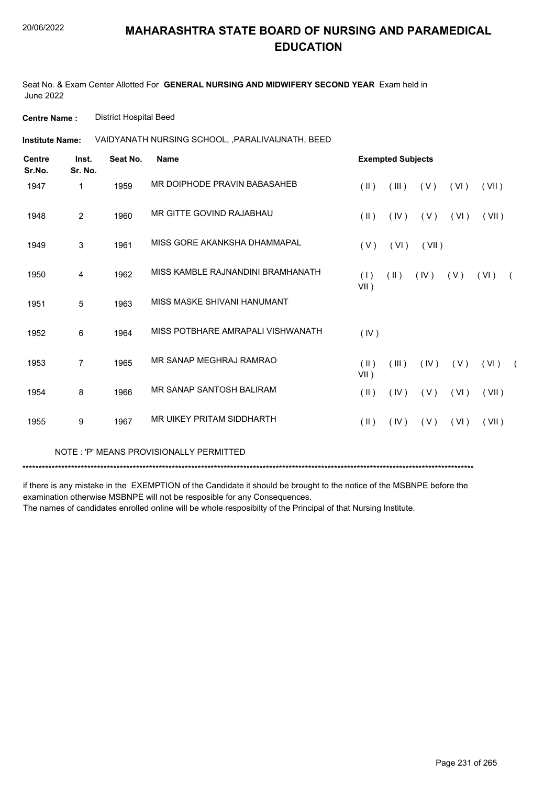Seat No. & Exam Center Allotted For **GENERAL NURSING AND MIDWIFERY SECOND YEAR** Exam held in June 2022

**Centre Name :** District Hospital Beed

VAIDYANATH NURSING SCHOOL, ,PARALIVAIJNATH, BEED **Institute Name:**

| <b>Centre</b><br>Sr.No. | Inst.<br>Sr. No. | Seat No. | <b>Name</b>                       |                         | <b>Exempted Subjects</b> |       |      |          |  |
|-------------------------|------------------|----------|-----------------------------------|-------------------------|--------------------------|-------|------|----------|--|
| 1947                    | 1                | 1959     | MR DOIPHODE PRAVIN BABASAHEB      | $(\parallel \parallel)$ | (III)                    | (V)   | (VI) | (VII)    |  |
| 1948                    | $\overline{2}$   | 1960     | MR GITTE GOVIND RAJABHAU          | $(\parallel)$           | (IV)                     | (V)   | (VI) | (VII)    |  |
| 1949                    | 3                | 1961     | MISS GORE AKANKSHA DHAMMAPAL      | (V)                     | (VI)                     | (VII) |      |          |  |
| 1950                    | 4                | 1962     | MISS KAMBLE RAJNANDINI BRAMHANATH | (1)<br>VII)             | $(\parallel)$            | (IV)  | (V)  | (VI)     |  |
| 1951                    | 5                | 1963     | MISS MASKE SHIVANI HANUMANT       |                         |                          |       |      |          |  |
| 1952                    | 6                | 1964     | MISS POTBHARE AMRAPALI VISHWANATH | (IV)                    |                          |       |      |          |  |
| 1953                    | 7                | 1965     | MR SANAP MEGHRAJ RAMRAO           | $($ II $)$<br>VII)      | (III)                    | (IV)  | (V)  | $(VI)$ ( |  |
| 1954                    | 8                | 1966     | MR SANAP SANTOSH BALIRAM          | $(\parallel)$           | (IV)                     | (V)   | (VI) | (VII)    |  |
| 1955                    | 9                | 1967     | MR UIKEY PRITAM SIDDHARTH         | $(\parallel)$           | (IV)                     | (V)   | (VI) | (VII)    |  |
|                         |                  |          |                                   |                         |                          |       |      |          |  |

NOTE : 'P' MEANS PROVISIONALLY PERMITTED

\*\*\*\*\*\*\*\*\*\*\*\*\*\*\*\*\*\*\*\*\*\*\*\*\*\*\*\*\*\*\*\*\*\*\*\*\*\*\*\*\*\*\*\*\*\*\*\*\*\*\*\*\*\*\*\*\*\*\*\*\*\*\*\*\*\*\*\*\*\*\*\*\*\*\*\*\*\*\*\*\*\*\*\*\*\*\*\*\*\*\*\*\*\*\*\*\*\*\*\*\*\*\*\*\*\*\*\*\*\*\*\*\*\*\*\*\*\*\*\*\*\*\*\*\*\*\*\*\*\*\*\*\*\*\*\*\*\*\*

if there is any mistake in the EXEMPTION of the Candidate it should be brought to the notice of the MSBNPE before the examination otherwise MSBNPE will not be resposible for any Consequences.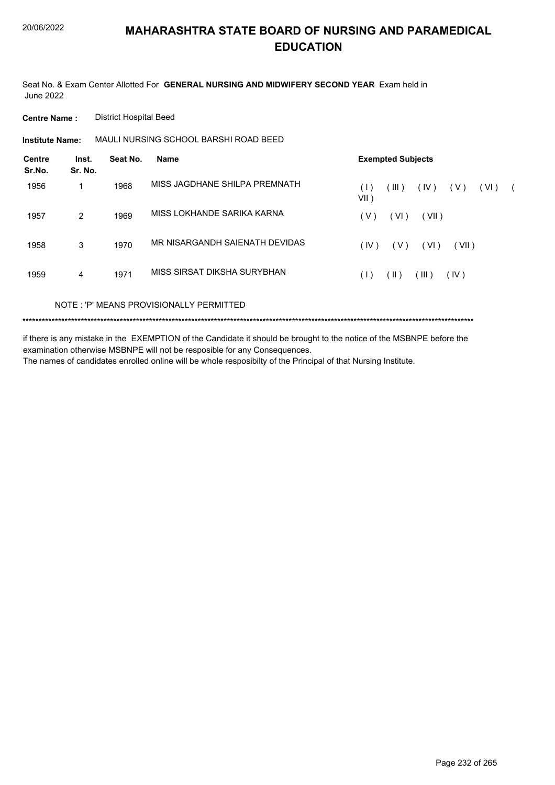Seat No. & Exam Center Allotted For **GENERAL NURSING AND MIDWIFERY SECOND YEAR** Exam held in June 2022

**Centre Name :** District Hospital Beed

**Institute Name:** MAULI NURSING SCHOOL BARSHI ROAD BEED

| <b>Centre</b><br>Sr.No. | Inst.<br>Sr. No. | Seat No. | <b>Name</b>                         | <b>Exempted Subjects</b>                    |
|-------------------------|------------------|----------|-------------------------------------|---------------------------------------------|
| 1956                    | 1                | 1968     | MISS JAGDHANE SHILPA PREMNATH       | (IV)<br>(III)<br>(VI)<br>(V)<br>(1)<br>VII) |
| 1957                    | 2                | 1969     | MISS LOKHANDE SARIKA KARNA          | (VI)<br>(V)<br>(VII)                        |
| 1958                    | 3                | 1970     | MR NISARGANDH SAIENATH DEVIDAS      | ( VI )<br>(IV)<br>(VII)<br>(V)              |
| 1959                    | 4                | 1971     | MISS SIRSAT DIKSHA SURYBHAN         | $(\parallel)$<br>(III)<br>(IV)<br>(1)       |
|                         |                  |          | MOTE JP MEANS DOOUSOMMIJV DEDMITTED |                                             |

NOTE : 'P' MEANS PROVISIONALLY PERMITTED

\*\*\*\*\*\*\*\*\*\*\*\*\*\*\*\*\*\*\*\*\*\*\*\*\*\*\*\*\*\*\*\*\*\*\*\*\*\*\*\*\*\*\*\*\*\*\*\*\*\*\*\*\*\*\*\*\*\*\*\*\*\*\*\*\*\*\*\*\*\*\*\*\*\*\*\*\*\*\*\*\*\*\*\*\*\*\*\*\*\*\*\*\*\*\*\*\*\*\*\*\*\*\*\*\*\*\*\*\*\*\*\*\*\*\*\*\*\*\*\*\*\*\*\*\*\*\*\*\*\*\*\*\*\*\*\*\*\*\*

if there is any mistake in the EXEMPTION of the Candidate it should be brought to the notice of the MSBNPE before the examination otherwise MSBNPE will not be resposible for any Consequences.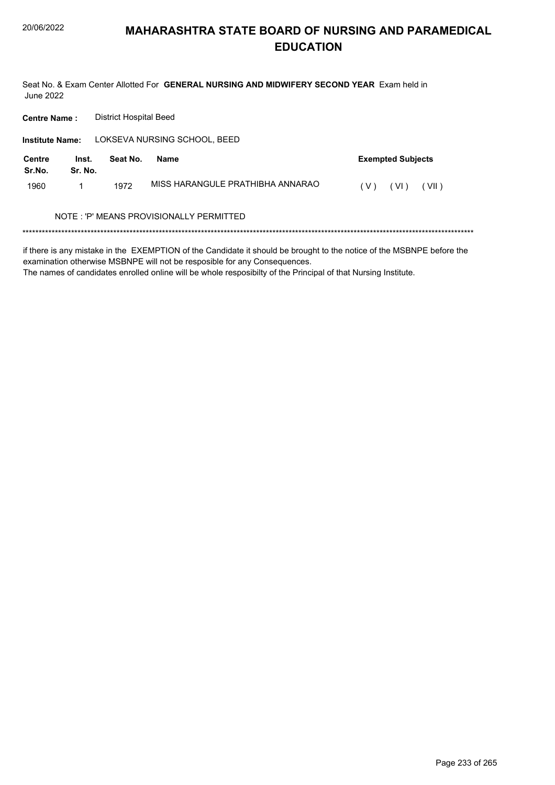Seat No. & Exam Center Allotted For **GENERAL NURSING AND MIDWIFERY SECOND YEAR** Exam held in June 2022

LOKSEVA NURSING SCHOOL, BEED **Centre Name :** District Hospital Beed **Institute Name: Inst. Seat No. Name Exempted Subjects Sr. No. Centre Sr.No.** 1960 1 1972 MISS HARANGULE PRATHIBHA ANNARAO (V) (VI) (VII) \*\*\*\*\*\*\*\*\*\*\*\*\*\*\*\*\*\*\*\*\*\*\*\*\*\*\*\*\*\*\*\*\*\*\*\*\*\*\*\*\*\*\*\*\*\*\*\*\*\*\*\*\*\*\*\*\*\*\*\*\*\*\*\*\*\*\*\*\*\*\*\*\*\*\*\*\*\*\*\*\*\*\*\*\*\*\*\*\*\*\*\*\*\*\*\*\*\*\*\*\*\*\*\*\*\*\*\*\*\*\*\*\*\*\*\*\*\*\*\*\*\*\*\*\*\*\*\*\*\*\*\*\*\*\*\*\*\*\* if there is any mistake in the EXEMPTION of the Candidate it should be brought to the notice of the MSBNPE before the NOTE : 'P' MEANS PROVISIONALLY PERMITTED

The names of candidates enrolled online will be whole resposibilty of the Principal of that Nursing Institute.

examination otherwise MSBNPE will not be resposible for any Consequences.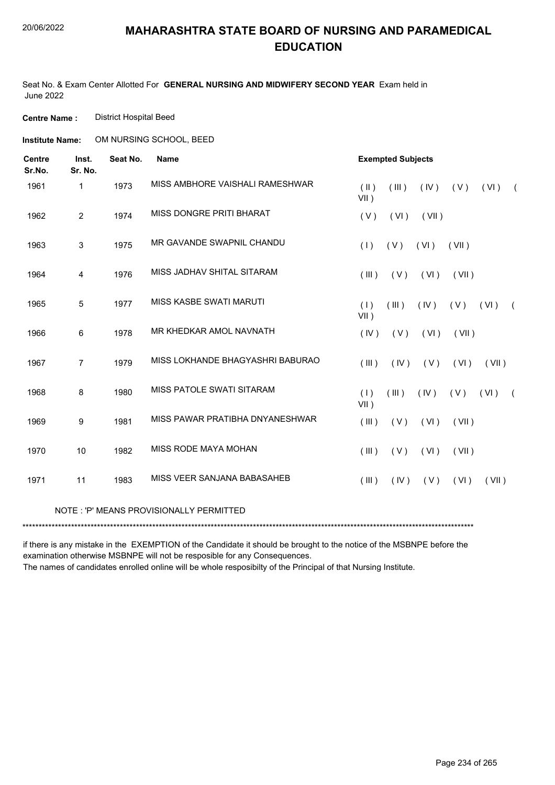Seat No. & Exam Center Allotted For **GENERAL NURSING AND MIDWIFERY SECOND YEAR** Exam held in June 2022

**Centre Name :** District Hospital Beed

**Institute Name: COM NURSING SCHOOL, BEED** 

| <b>Centre</b><br>Sr.No. | Inst.<br>Sr. No. | Seat No. | <b>Name</b>                             |                       | <b>Exempted Subjects</b> |       |       |       |            |
|-------------------------|------------------|----------|-----------------------------------------|-----------------------|--------------------------|-------|-------|-------|------------|
| 1961                    | 1                | 1973     | MISS AMBHORE VAISHALI RAMESHWAR         | $($ II $)$<br>$VII$ ) | (III)                    | (IV)  | (V)   | (VI)  | $\sqrt{2}$ |
| 1962                    | $\overline{2}$   | 1974     | <b>MISS DONGRE PRITI BHARAT</b>         | (V)                   | (VI)                     | (VII) |       |       |            |
| 1963                    | 3                | 1975     | MR GAVANDE SWAPNIL CHANDU               | (1)                   | (V)                      | (VI)  | (VII) |       |            |
| 1964                    | 4                | 1976     | MISS JADHAV SHITAL SITARAM              | (III)                 | (V)                      | (VI)  | (VII) |       |            |
| 1965                    | $\sqrt{5}$       | 1977     | MISS KASBE SWATI MARUTI                 | (1)<br>$VII$ )        | (III)                    | (IV)  | (V)   | (VI)  | $\left($   |
| 1966                    | $\,6\,$          | 1978     | MR KHEDKAR AMOL NAVNATH                 | (IV)                  | (V)                      | (VI)  | (VII) |       |            |
| 1967                    | $\overline{7}$   | 1979     | MISS LOKHANDE BHAGYASHRI BABURAO        | (III)                 | (IV)                     | (V)   | (VI)  | (VII) |            |
| 1968                    | 8                | 1980     | <b>MISS PATOLE SWATI SITARAM</b>        | (1)<br>$VII$ )        | (III)                    | (IV)  | (V)   | (VI)  | $\sqrt{2}$ |
| 1969                    | $\boldsymbol{9}$ | 1981     | MISS PAWAR PRATIBHA DNYANESHWAR         | (III)                 | (V)                      | (VI)  | (VII) |       |            |
| 1970                    | 10               | 1982     | MISS RODE MAYA MOHAN                    | (III)                 | (V)                      | (VI)  | (VII) |       |            |
| 1971                    | 11               | 1983     | MISS VEER SANJANA BABASAHEB             | (III)                 | (IV)                     | (V)   | (VI)  | (VII) |            |
|                         |                  |          | NOTE: 'P' MEANS PROVISIONALLY PERMITTED |                       |                          |       |       |       |            |

if there is any mistake in the EXEMPTION of the Candidate it should be brought to the notice of the MSBNPE before the examination otherwise MSBNPE will not be resposible for any Consequences.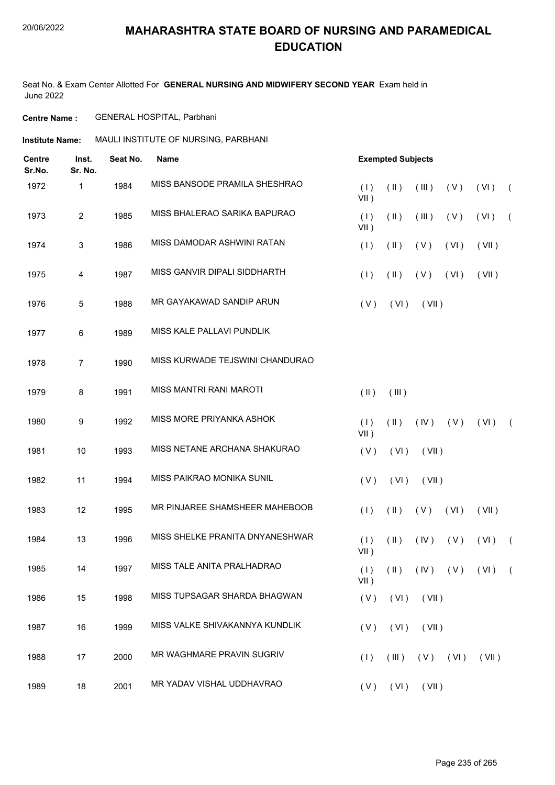Seat No. & Exam Center Allotted For **GENERAL NURSING AND MIDWIFERY SECOND YEAR** Exam held in June 2022

**Centre Name :** GENERAL HOSPITAL, Parbhani

**Institute Name: MAULI INSTITUTE OF NURSING, PARBHANI** 

| <b>Centre</b><br>Sr.No. | Inst.<br>Sr. No. | Seat No. | <b>Name</b>                     |                | <b>Exempted Subjects</b> |       |                                           |       |            |
|-------------------------|------------------|----------|---------------------------------|----------------|--------------------------|-------|-------------------------------------------|-------|------------|
| 1972                    | 1                | 1984     | MISS BANSODE PRAMILA SHESHRAO   | (1)<br>$VII$ ) | $(\parallel)$            | (III) | (V)                                       | (VI)  | $\sqrt{ }$ |
| 1973                    | $\overline{2}$   | 1985     | MISS BHALERAO SARIKA BAPURAO    | (1)<br>VII)    | $(\parallel)$            | (III) | (V)                                       | (VI)  | $\sqrt{2}$ |
| 1974                    | 3                | 1986     | MISS DAMODAR ASHWINI RATAN      | (1)            | $(\parallel)$            | (V)   | (VI)                                      | (VII) |            |
| 1975                    | 4                | 1987     | MISS GANVIR DIPALI SIDDHARTH    | (1)            | $(\parallel)$            | (V)   | (VI)                                      | (VII) |            |
| 1976                    | 5                | 1988     | MR GAYAKAWAD SANDIP ARUN        | (V)            | (VI)                     | (VII) |                                           |       |            |
| 1977                    | 6                | 1989     | MISS KALE PALLAVI PUNDLIK       |                |                          |       |                                           |       |            |
| 1978                    | $\overline{7}$   | 1990     | MISS KURWADE TEJSWINI CHANDURAO |                |                          |       |                                           |       |            |
| 1979                    | 8                | 1991     | <b>MISS MANTRI RANI MAROTI</b>  | $(\parallel)$  | (III)                    |       |                                           |       |            |
| 1980                    | 9                | 1992     | MISS MORE PRIYANKA ASHOK        | (1)            | $(\parallel)$            | (IV)  | (V)                                       | (VI)  | $\sqrt{2}$ |
| 1981                    | 10               | 1993     | MISS NETANE ARCHANA SHAKURAO    | $VII$ )<br>(V) | (VI)                     | (VII) |                                           |       |            |
| 1982                    | 11               | 1994     | MISS PAIKRAO MONIKA SUNIL       | (V)            | (VI)                     | (VII) |                                           |       |            |
| 1983                    | 12               | 1995     | MR PINJAREE SHAMSHEER MAHEBOOB  | (1)            | $(\parallel)$            | (V)   | (VI)                                      | (VII) |            |
| 1984                    | 13               | 1996     | MISS SHELKE PRANITA DNYANESHWAR | (1)            | $(\parallel)$            | (IV)  | (V)                                       | (VI)  | $\sqrt{2}$ |
| 1985                    | 14               | 1997     | MISS TALE ANITA PRALHADRAO      | VII)           |                          |       | $(1)$ $(1)$ $(1)$ $(1)$ $(1)$ $(1)$ $(1)$ |       |            |
| 1986                    | 15               | 1998     | MISS TUPSAGAR SHARDA BHAGWAN    | $VII$ )<br>(V) | (VI)                     | (VII) |                                           |       |            |
| 1987                    | 16               | 1999     | MISS VALKE SHIVAKANNYA KUNDLIK  | (V)            | (VI)                     | (VII) |                                           |       |            |
| 1988                    | 17               | 2000     | MR WAGHMARE PRAVIN SUGRIV       | (1)            | $($ III $)$              |       | $(V)$ $(V)$                               | (VII) |            |
| 1989                    | 18               | 2001     | MR YADAV VISHAL UDDHAVRAO       | (V)            | (VI)                     | (VII) |                                           |       |            |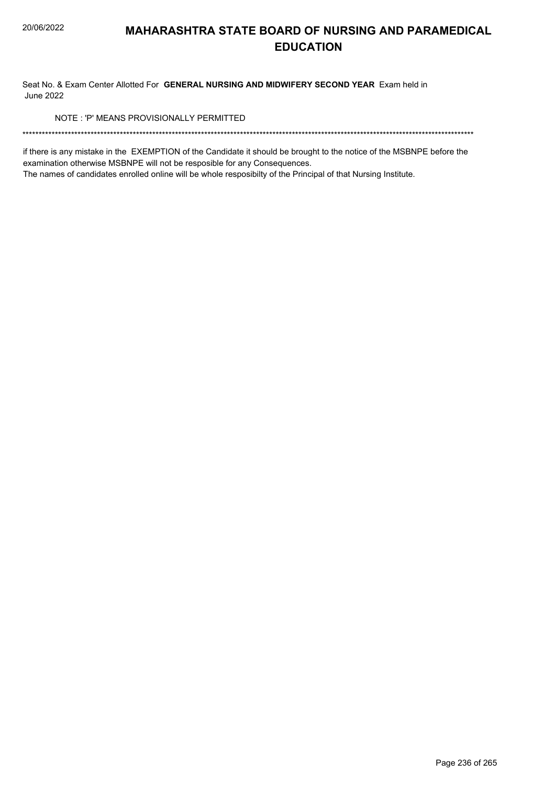Seat No. & Exam Center Allotted For **GENERAL NURSING AND MIDWIFERY SECOND YEAR** Exam held in June 2022

NOTE : 'P' MEANS PROVISIONALLY PERMITTED

\*\*\*\*\*\*\*\*\*\*\*\*\*\*\*\*\*\*\*\*\*\*\*\*\*\*\*\*\*\*\*\*\*\*\*\*\*\*\*\*\*\*\*\*\*\*\*\*\*\*\*\*\*\*\*\*\*\*\*\*\*\*\*\*\*\*\*\*\*\*\*\*\*\*\*\*\*\*\*\*\*\*\*\*\*\*\*\*\*\*\*\*\*\*\*\*\*\*\*\*\*\*\*\*\*\*\*\*\*\*\*\*\*\*\*\*\*\*\*\*\*\*\*\*\*\*\*\*\*\*\*\*\*\*\*\*\*\*\*

if there is any mistake in the EXEMPTION of the Candidate it should be brought to the notice of the MSBNPE before the examination otherwise MSBNPE will not be resposible for any Consequences.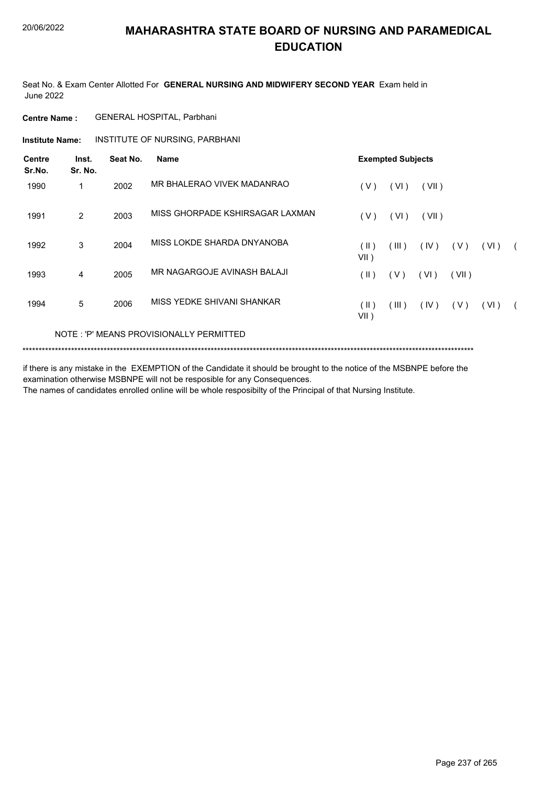Seat No. & Exam Center Allotted For **GENERAL NURSING AND MIDWIFERY SECOND YEAR** Exam held in June 2022

**Centre Name :** GENERAL HOSPITAL, Parbhani

**Institute Name: INSTITUTE OF NURSING, PARBHANI** 

| <b>Centre</b><br>Sr.No. | Inst.<br>Sr. No. | Seat No. | <b>Name</b>                             |                       | <b>Exempted Subjects</b> |       |       |      |  |
|-------------------------|------------------|----------|-----------------------------------------|-----------------------|--------------------------|-------|-------|------|--|
| 1990                    | 1                | 2002     | MR BHALERAO VIVEK MADANRAO              | (V)                   | (VI)                     | (VII) |       |      |  |
| 1991                    | 2                | 2003     | MISS GHORPADE KSHIRSAGAR LAXMAN         | (V)                   | (VI)                     | (VII) |       |      |  |
| 1992                    | 3                | 2004     | MISS LOKDE SHARDA DNYANOBA              | (  )<br>VII)          | (III)                    | (IV)  | ( V ) | (VI) |  |
| 1993                    | 4                | 2005     | MR NAGARGOJE AVINASH BALAJI             | (  )                  | (V)                      | (VI)  | (VII) |      |  |
| 1994                    | 5                | 2006     | MISS YEDKE SHIVANI SHANKAR              | $(\parallel)$<br>VII) | (III)                    | (IV)  | (V)   | (VI) |  |
|                         |                  |          | NOTE: 'P' MEANS PROVISIONALLY PERMITTED |                       |                          |       |       |      |  |

\*\*\*\*\*\*\*\*\*\*\*\*\*\*\*\*\*\*\*\*\*\*\*\*\*\*\*\*\*\*\*\*\*\*\*\*\*\*\*\*\*\*\*\*\*\*\*\*\*\*\*\*\*\*\*\*\*\*\*\*\*\*\*\*\*\*\*\*\*\*\*\*\*\*\*\*\*\*\*\*\*\*\*\*\*\*\*\*\*\*\*\*\*\*\*\*\*\*\*\*\*\*\*\*\*\*\*\*\*\*\*\*\*\*\*\*\*\*\*\*\*\*\*\*\*\*\*\*\*\*\*\*\*\*\*\*\*\*\*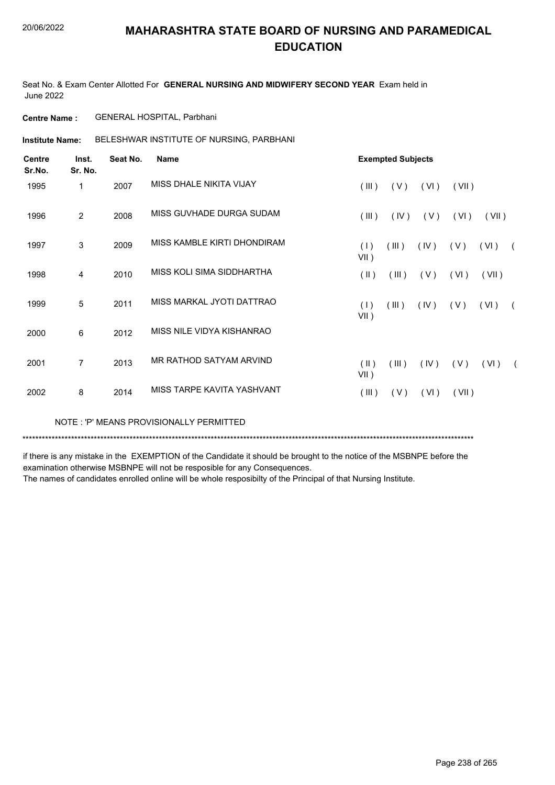Seat No. & Exam Center Allotted For **GENERAL NURSING AND MIDWIFERY SECOND YEAR** Exam held in June 2022

**Centre Name :** GENERAL HOSPITAL, Parbhani

BELESHWAR INSTITUTE OF NURSING, PARBHANI **Institute Name:**

| <b>Centre</b><br>Sr.No. | Inst.<br>Sr. No. | Seat No. | <b>Name</b>                 |                | <b>Exempted Subjects</b> |      |       |       |            |
|-------------------------|------------------|----------|-----------------------------|----------------|--------------------------|------|-------|-------|------------|
| 1995                    | 1                | 2007     | MISS DHALE NIKITA VIJAY     | (III)          | (V)                      | (VI) | (VII) |       |            |
| 1996                    | $\overline{2}$   | 2008     | MISS GUVHADE DURGA SUDAM    | $($ III $)$    | (IV)                     | (V)  | (VI)  | (VII) |            |
| 1997                    | 3                | 2009     | MISS KAMBLE KIRTI DHONDIRAM | (1)<br>$VII$ ) | (III)                    | (IV) | (V)   | (VI)  | $\sqrt{2}$ |
| 1998                    | 4                | 2010     | MISS KOLI SIMA SIDDHARTHA   | $(\parallel)$  | (III)                    | (V)  | (VI)  | (VII) |            |
| 1999                    | 5                | 2011     | MISS MARKAL JYOTI DATTRAO   | (1)<br>$VII$ ) | (III)                    | (IV) | (V)   | (VI)  | $\sqrt{2}$ |
| 2000                    | 6                | 2012     | MISS NILE VIDYA KISHANRAO   |                |                          |      |       |       |            |
| 2001                    | $\overline{7}$   | 2013     | MR RATHOD SATYAM ARVIND     | (  )<br>VII)   | (III)                    | (IV) | (V)   | (VI)  | $\sqrt{2}$ |
| 2002                    | 8                | 2014     | MISS TARPE KAVITA YASHVANT  | (III)          | (V)                      | (VI) | (VII) |       |            |
|                         |                  |          |                             |                |                          |      |       |       |            |

NOTE : 'P' MEANS PROVISIONALLY PERMITTED

\*\*\*\*\*\*\*\*\*\*\*\*\*\*\*\*\*\*\*\*\*\*\*\*\*\*\*\*\*\*\*\*\*\*\*\*\*\*\*\*\*\*\*\*\*\*\*\*\*\*\*\*\*\*\*\*\*\*\*\*\*\*\*\*\*\*\*\*\*\*\*\*\*\*\*\*\*\*\*\*\*\*\*\*\*\*\*\*\*\*\*\*\*\*\*\*\*\*\*\*\*\*\*\*\*\*\*\*\*\*\*\*\*\*\*\*\*\*\*\*\*\*\*\*\*\*\*\*\*\*\*\*\*\*\*\*\*\*\*

if there is any mistake in the EXEMPTION of the Candidate it should be brought to the notice of the MSBNPE before the examination otherwise MSBNPE will not be resposible for any Consequences.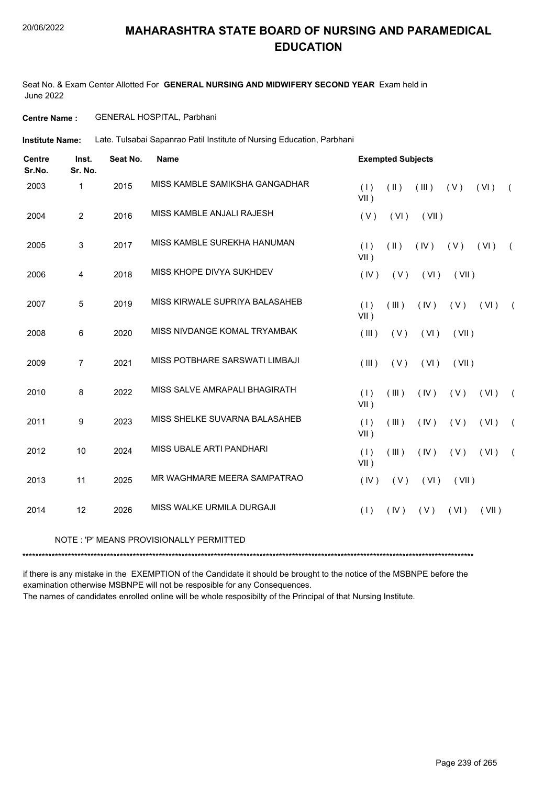#### 20/06/2022

#### **MAHARASHTRA STATE BOARD OF NURSING AND PARAMEDICAL EDUCATION**

Seat No. & Exam Center Allotted For **GENERAL NURSING AND MIDWIFERY SECOND YEAR** Exam held in June 2022

**Centre Name :** GENERAL HOSPITAL, Parbhani

Late. Tulsabai Sapanrao Patil Institute of Nursing Education, Parbhani **Institute Name:**

| <b>Centre</b><br>Sr.No. | Inst.<br>Sr. No. | Seat No. | <b>Name</b>                    | <b>Exempted Subjects</b>                                             |
|-------------------------|------------------|----------|--------------------------------|----------------------------------------------------------------------|
| 2003                    | 1                | 2015     | MISS KAMBLE SAMIKSHA GANGADHAR | (1)<br>$($ II $)$<br>(V)<br>(III)<br>(VI)<br>$\sqrt{2}$<br>$VII$ )   |
| 2004                    | $\overline{2}$   | 2016     | MISS KAMBLE ANJALI RAJESH      | (V)<br>(VI)<br>(VII)                                                 |
| 2005                    | 3                | 2017     | MISS KAMBLE SUREKHA HANUMAN    | (1)<br>$(\parallel)$<br>(IV)<br>(VI)<br>(V)<br>$\sqrt{2}$<br>$VII$ ) |
| 2006                    | $\overline{4}$   | 2018     | MISS KHOPE DIVYA SUKHDEV       | (IV)<br>(V)<br>(VI)<br>(VII)                                         |
| 2007                    | 5                | 2019     | MISS KIRWALE SUPRIYA BALASAHEB | (III)<br>(IV)<br>(1)<br>(V)<br>(VI)<br>$\left($<br>$VII$ )           |
| 2008                    | 6                | 2020     | MISS NIVDANGE KOMAL TRYAMBAK   | (III)<br>(V)<br>(VI)<br>(VII)                                        |
| 2009                    | $\overline{7}$   | 2021     | MISS POTBHARE SARSWATI LIMBAJI | (III)<br>(V)<br>(VI)<br>(VII)                                        |
| 2010                    | 8                | 2022     | MISS SALVE AMRAPALI BHAGIRATH  | (1)<br>(III)<br>(IV)<br>(VI)<br>( V )<br>$\sqrt{2}$<br>$VII$ )       |
| 2011                    | 9                | 2023     | MISS SHELKE SUVARNA BALASAHEB  | (1)<br>(III)<br>(IV)<br>(V)<br>(VI)<br>$\sqrt{2}$<br>$VII$ )         |
| 2012                    | 10               | 2024     | MISS UBALE ARTI PANDHARI       | (1)<br>(III)<br>(IV)<br>(V)<br>(VI)<br>$\sqrt{2}$<br>$VII$ )         |
| 2013                    | 11               | 2025     | MR WAGHMARE MEERA SAMPATRAO    | (IV)<br>(V)<br>(VI)<br>(VII)                                         |
| 2014                    | 12               | 2026     | MISS WALKE URMILA DURGAJI      | (1)<br>(IV)<br>(VI)<br>(VII)<br>( V )                                |

#### NOTE : 'P' MEANS PROVISIONALLY PERMITTED

\*\*\*\*\*\*\*\*\*\*\*\*\*\*\*\*\*\*\*\*\*\*\*\*\*\*\*\*\*\*\*\*\*\*\*\*\*\*\*\*\*\*\*\*\*\*\*\*\*\*\*\*\*\*\*\*\*\*\*\*\*\*\*\*\*\*\*\*\*\*\*\*\*\*\*\*\*\*\*\*\*\*\*\*\*\*\*\*\*\*\*\*\*\*\*\*\*\*\*\*\*\*\*\*\*\*\*\*\*\*\*\*\*\*\*\*\*\*\*\*\*\*\*\*\*\*\*\*\*\*\*\*\*\*\*\*\*\*\*

if there is any mistake in the EXEMPTION of the Candidate it should be brought to the notice of the MSBNPE before the examination otherwise MSBNPE will not be resposible for any Consequences.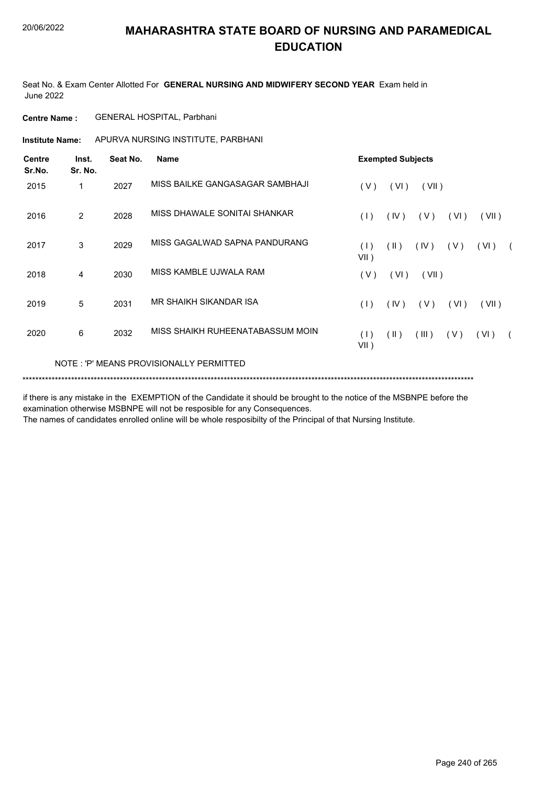Seat No. & Exam Center Allotted For **GENERAL NURSING AND MIDWIFERY SECOND YEAR** Exam held in June 2022

**Centre Name :** GENERAL HOSPITAL, Parbhani

**Institute Name:** APURVA NURSING INSTITUTE, PARBHANI

| <b>Centre</b><br>Sr.No. | Inst.<br>Sr. No. | Seat No. | <b>Name</b>                             |                | <b>Exempted Subjects</b> |       |       |       |  |
|-------------------------|------------------|----------|-----------------------------------------|----------------|--------------------------|-------|-------|-------|--|
| 2015                    | 1                | 2027     | MISS BAILKE GANGASAGAR SAMBHAJI         | (V)            | (VI)                     | (VII) |       |       |  |
| 2016                    | 2                | 2028     | MISS DHAWALE SONITAI SHANKAR            | (1)            | (IV)                     | (V)   | (VI)  | (VII) |  |
| 2017                    | 3                | 2029     | MISS GAGALWAD SAPNA PANDURANG           | (1)<br>$VII$ ) | $(\parallel)$            | (IV)  | ( V ) | (VI)  |  |
| 2018                    | 4                | 2030     | MISS KAMBLE UJWALA RAM                  | (V)            | (VI)                     | (VII) |       |       |  |
| 2019                    | 5                | 2031     | MR SHAIKH SIKANDAR ISA                  | (1)            | (IV)                     | (V)   | (VI)  | (VII) |  |
| 2020                    | 6                | 2032     | MISS SHAIKH RUHEENATABASSUM MOIN        | (1)<br>$VII$ ) | $(\parallel)$            | (III) | (V)   | (VI)  |  |
|                         |                  |          | NOTE: 'P' MEANS PROVISIONALLY PERMITTED |                |                          |       |       |       |  |
|                         |                  |          |                                         |                |                          |       |       |       |  |

if there is any mistake in the EXEMPTION of the Candidate it should be brought to the notice of the MSBNPE before the examination otherwise MSBNPE will not be resposible for any Consequences.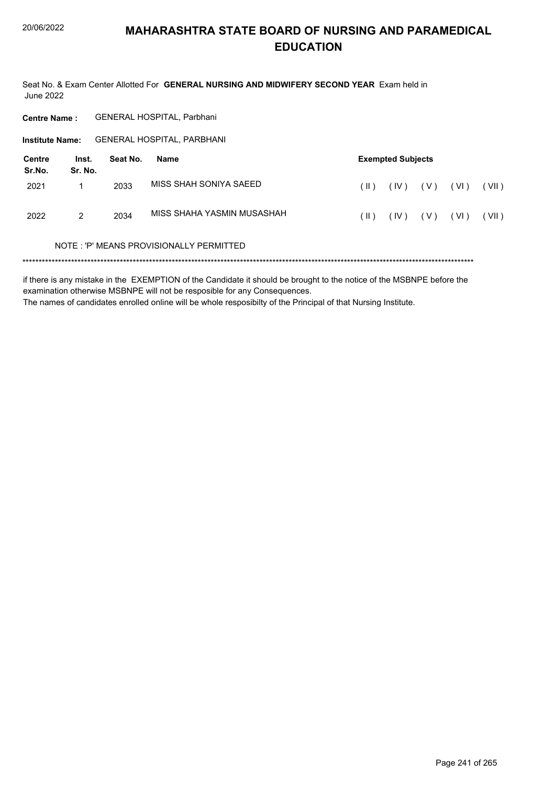Seat No. & Exam Center Allotted For **GENERAL NURSING AND MIDWIFERY SECOND YEAR** Exam held in June 2022

| <b>Centre Name:</b>                  |   |          | <b>GENERAL HOSPITAL, Parbhani</b>       |      |                          |       |      |       |
|--------------------------------------|---|----------|-----------------------------------------|------|--------------------------|-------|------|-------|
| <b>Institute Name:</b>               |   |          | <b>GENERAL HOSPITAL, PARBHANI</b>       |      |                          |       |      |       |
| Centre<br>Inst.<br>Sr.No.<br>Sr. No. |   | Seat No. | <b>Name</b>                             |      | <b>Exempted Subjects</b> |       |      |       |
| 2021                                 | 1 | 2033     | MISS SHAH SONIYA SAEED                  | (  ) | (IV)                     | ( V ) | (VI) | (VII) |
| 2022                                 | 2 | 2034     | MISS SHAHA YASMIN MUSASHAH              | (  ) | (IV)                     | ( V ) | (VI) | (VII) |
|                                      |   |          | NOTE: 'P' MEANS PROVISIONALLY PERMITTED |      |                          |       |      |       |
|                                      |   |          |                                         |      |                          |       |      |       |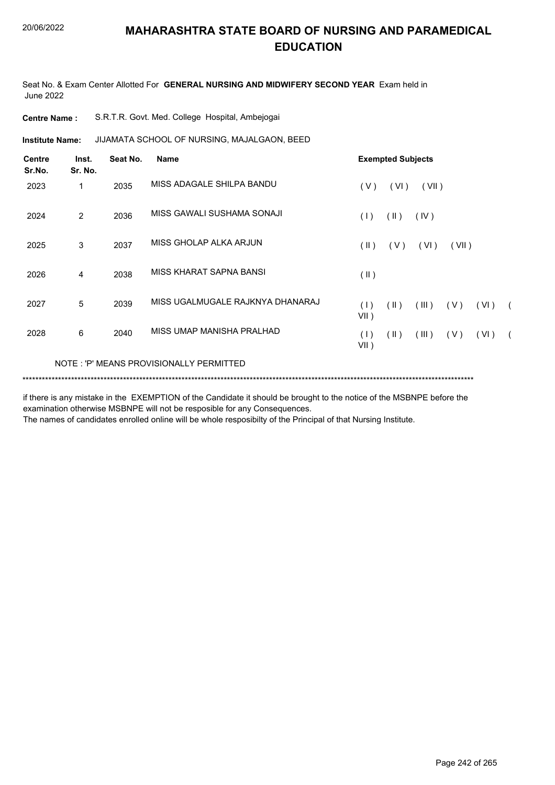Seat No. & Exam Center Allotted For **GENERAL NURSING AND MIDWIFERY SECOND YEAR** Exam held in June 2022

| <b>Centre Name :</b> |  |  |  |  | S.R.T.R. Govt. Med. College Hospital, Ambejogai |
|----------------------|--|--|--|--|-------------------------------------------------|
|----------------------|--|--|--|--|-------------------------------------------------|

**Institute Name: JIJAMATA SCHOOL OF NURSING, MAJALGAON, BEED** 

| <b>Centre</b><br>Sr.No. | Inst.<br>Sr. No. | Seat No. | Name                                    |                | <b>Exempted Subjects</b> |       |       |      |            |
|-------------------------|------------------|----------|-----------------------------------------|----------------|--------------------------|-------|-------|------|------------|
| 2023                    | 1                | 2035     | MISS ADAGALE SHILPA BANDU               | (V)            | (VI)                     | (VII) |       |      |            |
| 2024                    | 2                | 2036     | MISS GAWALI SUSHAMA SONAJI              | (1)            | $(\parallel)$            | (IV)  |       |      |            |
| 2025                    | 3                | 2037     | MISS GHOLAP ALKA ARJUN                  | $(\parallel)$  | (V)                      | (VI)  | (VII) |      |            |
| 2026                    | 4                | 2038     | MISS KHARAT SAPNA BANSI                 | (II)           |                          |       |       |      |            |
| 2027                    | 5                | 2039     | MISS UGALMUGALE RAJKNYA DHANARAJ        | (1)<br>$VII$ ) | $(\parallel)$            | (III) | ( V ) | (VI) | $\sqrt{2}$ |
| 2028                    | 6                | 2040     | MISS UMAP MANISHA PRALHAD               | (1)<br>$VII$ ) | (  )                     | (III) | (V)   | (VI) |            |
|                         |                  |          | NOTE: 'P' MEANS PROVISIONALLY PERMITTED |                |                          |       |       |      |            |
|                         |                  |          |                                         |                |                          |       |       |      |            |

if there is any mistake in the EXEMPTION of the Candidate it should be brought to the notice of the MSBNPE before the examination otherwise MSBNPE will not be resposible for any Consequences.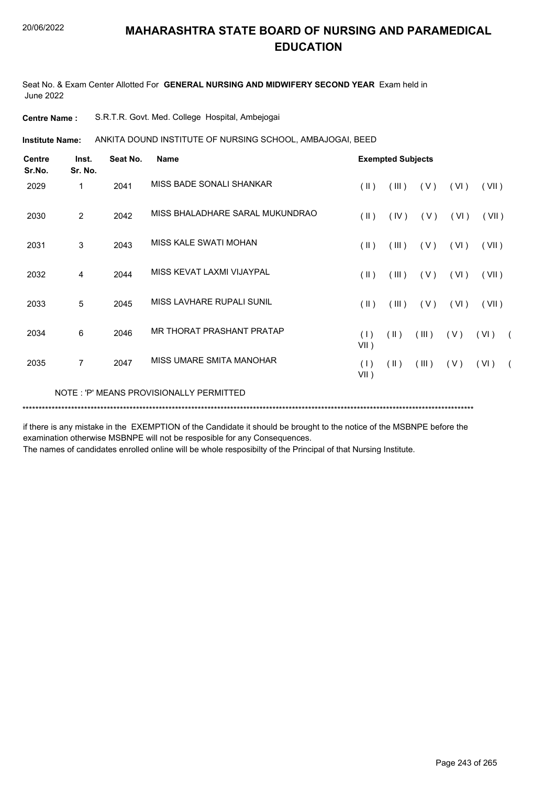Seat No. & Exam Center Allotted For **GENERAL NURSING AND MIDWIFERY SECOND YEAR** Exam held in June 2022

**Centre Name :** S.R.T.R. Govt. Med. College Hospital, Ambejogai

**Institute Name:** ANKITA DOUND INSTITUTE OF NURSING SCHOOL, AMBAJOGAI, BEED

| <b>Centre</b><br>Sr.No. | Inst.<br>Sr. No. | Seat No. | <b>Name</b>                             |                | <b>Exempted Subjects</b> |       |      |       |            |
|-------------------------|------------------|----------|-----------------------------------------|----------------|--------------------------|-------|------|-------|------------|
| 2029                    | 1                | 2041     | MISS BADE SONALI SHANKAR                | (  )           | (III)                    | (V)   | (VI) | (VII) |            |
| 2030                    | $\overline{2}$   | 2042     | MISS BHALADHARE SARAL MUKUNDRAO         | (  )           | (IV)                     | (V)   | (VI) | (VII) |            |
| 2031                    | 3                | 2043     | MISS KALE SWATI MOHAN                   | $(\parallel)$  | (III)                    | (V)   | (VI) | (VII) |            |
| 2032                    | 4                | 2044     | MISS KFVAT LAXMI VIJAYPAL               | (  )           | (III)                    | (V)   | (VI) | (VII) |            |
| 2033                    | 5                | 2045     | MISS LAVHARE RUPALL SUNIL               | $(\parallel)$  | (III)                    | (V)   | (VI) | (VII) |            |
| 2034                    | 6                | 2046     | MR THORAT PRASHANT PRATAP               | (1)<br>$VII$ ) | (11)                     | (III) | (V)  | (VI)  | $\sqrt{2}$ |
| 2035                    | $\overline{7}$   | 2047     | MISS UMARE SMITA MANOHAR                | (1)<br>$VII$ ) | $(\parallel)$            | (III) | (V)  | (VI)  | $\sqrt{2}$ |
|                         |                  |          | NOTE: 'P' MEANS PROVISIONALLY PERMITTED |                |                          |       |      |       |            |
|                         |                  |          |                                         |                |                          |       |      |       |            |

if there is any mistake in the EXEMPTION of the Candidate it should be brought to the notice of the MSBNPE before the examination otherwise MSBNPE will not be resposible for any Consequences.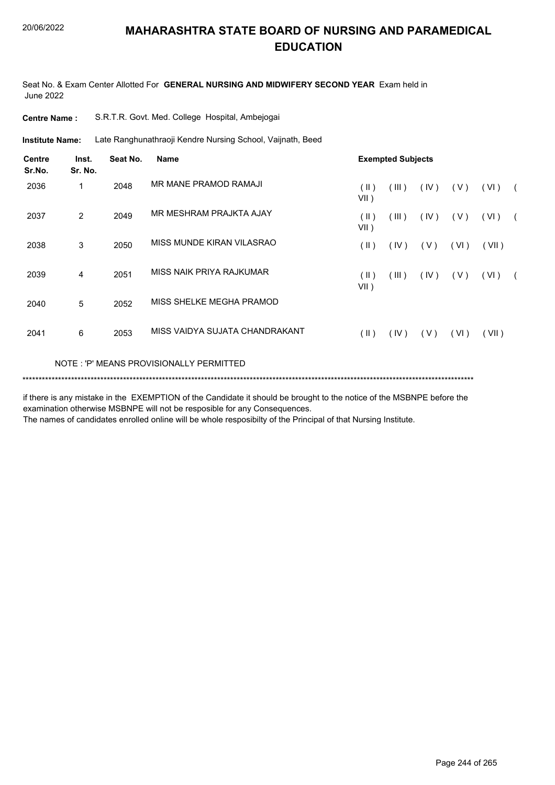Seat No. & Exam Center Allotted For **GENERAL NURSING AND MIDWIFERY SECOND YEAR** Exam held in June 2022

| <b>Centre Name :</b> |  | S.R.T.R. Govt. Med. College Hospital, Ambejogai |
|----------------------|--|-------------------------------------------------|
|----------------------|--|-------------------------------------------------|

Late Ranghunathraoji Kendre Nursing School, Vaijnath, Beed **Institute Name:**

| <b>Centre</b><br>Sr.No. | Inst.<br>Sr. No. | Seat No. | <b>Name</b>                             |                 | <b>Exempted Subjects</b> |      |      |       |            |
|-------------------------|------------------|----------|-----------------------------------------|-----------------|--------------------------|------|------|-------|------------|
| 2036                    | 1                | 2048     | MR MANE PRAMOD RAMAJI                   | (  )<br>$VII$ ) | (III)                    | (IV) | (V)  | (VI)  | $\sqrt{2}$ |
| 2037                    | 2                | 2049     | MR MESHRAM PRAJKTA AJAY                 | (  )<br>$VII$ ) | (III)                    | (IV) | (V)  | (VI)  | $\sqrt{2}$ |
| 2038                    | 3                | 2050     | MISS MUNDE KIRAN VILASRAO               | $(\parallel)$   | (IV)                     | (V)  | (VI) | (VII) |            |
| 2039                    | 4                | 2051     | MISS NAIK PRIYA RAJKUMAR                | (  )<br>$VII$ ) | (III)                    | (IV) | (V)  | (VI)  |            |
| 2040                    | 5                | 2052     | MISS SHELKE MEGHA PRAMOD                |                 |                          |      |      |       |            |
| 2041                    | 6                | 2053     | MISS VAIDYA SUJATA CHANDRAKANT          | (  )            | (IV)                     | (V)  | (VI) | (VII) |            |
|                         |                  |          | NOTE: 'P' MEANS PROVISIONALLY PERMITTED |                 |                          |      |      |       |            |

\*\*\*\*\*\*\*\*\*\*\*\*\*\*\*\*\*\*\*\*\*\*\*\*\*\*\*\*\*\*\*\*\*\*\*\*\*\*\*\*\*\*\*\*\*\*\*\*\*\*\*\*\*\*\*\*\*\*\*\*\*\*\*\*\*\*\*\*\*\*\*\*\*\*\*\*\*\*\*\*\*\*\*\*\*\*\*\*\*\*\*\*\*\*\*\*\*\*\*\*\*\*\*\*\*\*\*\*\*\*\*\*\*\*\*\*\*\*\*\*\*\*\*\*\*\*\*\*\*\*\*\*\*\*\*\*\*\*\*

if there is any mistake in the EXEMPTION of the Candidate it should be brought to the notice of the MSBNPE before the examination otherwise MSBNPE will not be resposible for any Consequences.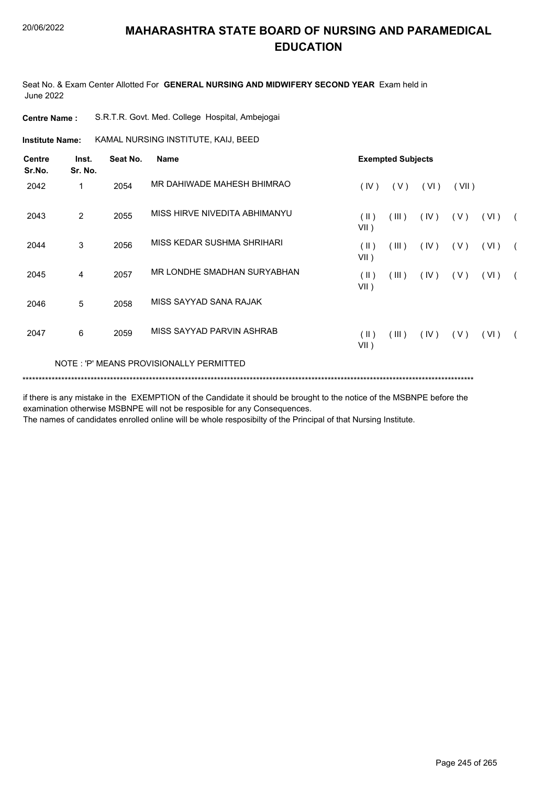Seat No. & Exam Center Allotted For **GENERAL NURSING AND MIDWIFERY SECOND YEAR** Exam held in June 2022

| <b>Centre Name :</b> |  |  | S.R.T.R. Govt. Med. College Hospital, Ambejogai |
|----------------------|--|--|-------------------------------------------------|
|                      |  |  |                                                 |

**Institute Name: KAMAL NURSING INSTITUTE, KAIJ, BEED** 

| <b>Centre</b><br>Sr.No. | Inst.<br>Sr. No. | Seat No. | <b>Name</b>                             |                          | <b>Exempted Subjects</b> |      |       |      |            |
|-------------------------|------------------|----------|-----------------------------------------|--------------------------|--------------------------|------|-------|------|------------|
| 2042                    | 1                | 2054     | MR DAHIWADE MAHESH BHIMRAO              | (IV)                     | (V)                      | (VI) | (VII) |      |            |
| 2043                    | 2                | 2055     | MISS HIRVE NIVEDITA ABHIMANYU           | (  )<br>$VII$ )          | (III)                    | (IV) | (V)   | (VI) | $\sqrt{2}$ |
| 2044                    | 3                | 2056     | MISS KEDAR SUSHMA SHRIHARI              | $(\parallel)$<br>$VII$ ) | (III)                    | (IV) | ( V ) | (VI) | $\sqrt{2}$ |
| 2045                    | 4                | 2057     | MR LONDHE SMADHAN SURYABHAN             | $(\parallel)$<br>$VII$ ) | (III)                    | (IV) | ( V ) | (VI) | $\sqrt{2}$ |
| 2046                    | 5                | 2058     | MISS SAYYAD SANA RAJAK                  |                          |                          |      |       |      |            |
| 2047                    | 6                | 2059     | MISS SAYYAD PARVIN ASHRAB               | $(\parallel)$<br>$VII$ ) | (III)                    | (IV) | (V)   | (VI) |            |
|                         |                  |          | NOTE: 'P' MEANS PROVISIONALLY PERMITTED |                          |                          |      |       |      |            |

if there is any mistake in the EXEMPTION of the Candidate it should be brought to the notice of the MSBNPE before the examination otherwise MSBNPE will not be resposible for any Consequences.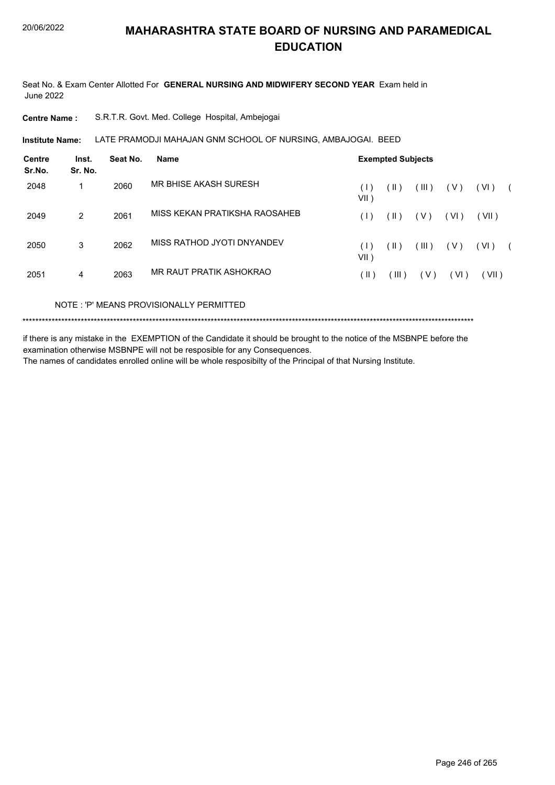Seat No. & Exam Center Allotted For **GENERAL NURSING AND MIDWIFERY SECOND YEAR** Exam held in June 2022

**Centre Name :** S.R.T.R. Govt. Med. College Hospital, Ambejogai

**Institute Name: LATE PRAMODJI MAHAJAN GNM SCHOOL OF NURSING, AMBAJOGAI. BEED** 

| Inst.<br>Sr. No. | Seat No. | <b>Name</b>                   | <b>Exempted Subjects</b> |            |       |       |       |  |  |
|------------------|----------|-------------------------------|--------------------------|------------|-------|-------|-------|--|--|
|                  | 2060     | MR BHISE AKASH SURESH         | (1)<br>$VII$ )           | (  )       | (III) | ( V ) | (VI)  |  |  |
| 2                | 2061     | MISS KEKAN PRATIKSHA RAOSAHEB | (1)                      | (  )       | ( V ) | (VI)  | (VII) |  |  |
| 3                | 2062     | MISS RATHOD JYOTI DNYANDEV    | $( \;   \; )$<br>VII)    | $($ II $)$ | (III) | ( V ) | (VI)  |  |  |
| 4                | 2063     | MR RAUT PRATIK ASHOKRAO       | ΊΕ)                      | ( III )    | (V)   | (VI)  | (VII) |  |  |
|                  |          |                               |                          |            |       |       |       |  |  |

NOTE : 'P' MEANS PROVISIONALLY PERMITTED

\*\*\*\*\*\*\*\*\*\*\*\*\*\*\*\*\*\*\*\*\*\*\*\*\*\*\*\*\*\*\*\*\*\*\*\*\*\*\*\*\*\*\*\*\*\*\*\*\*\*\*\*\*\*\*\*\*\*\*\*\*\*\*\*\*\*\*\*\*\*\*\*\*\*\*\*\*\*\*\*\*\*\*\*\*\*\*\*\*\*\*\*\*\*\*\*\*\*\*\*\*\*\*\*\*\*\*\*\*\*\*\*\*\*\*\*\*\*\*\*\*\*\*\*\*\*\*\*\*\*\*\*\*\*\*\*\*\*\*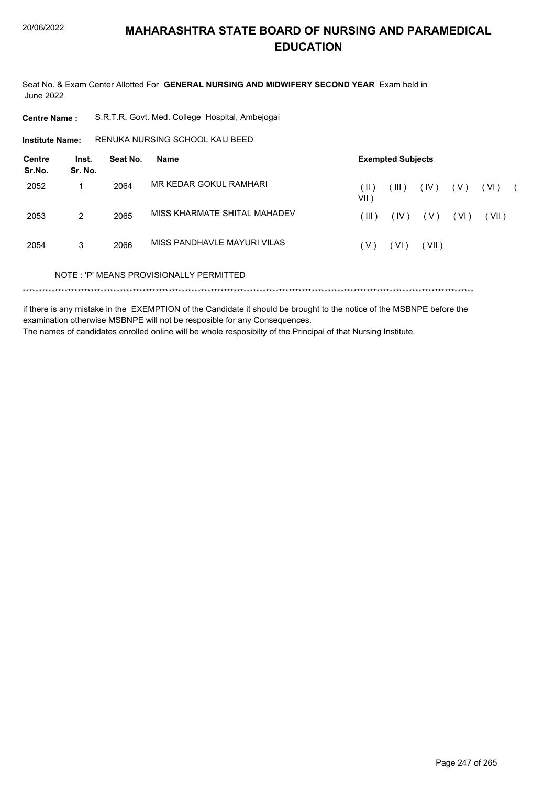Seat No. & Exam Center Allotted For **GENERAL NURSING AND MIDWIFERY SECOND YEAR** Exam held in June 2022

**Centre Name :** S.R.T.R. Govt. Med. College Hospital, Ambejogai

RENUKA NURSING SCHOOL KAIJ BEED **Institute Name:**

| Centre<br>Sr.No. | Inst.<br>Sr. No. | Seat No. | Name                                    |               | <b>Exempted Subjects</b> |       |       |       |  |
|------------------|------------------|----------|-----------------------------------------|---------------|--------------------------|-------|-------|-------|--|
| 2052             | 1                | 2064     | MR KEDAR GOKUL RAMHARI                  | (  )<br>VII ) | (III)                    | (IV)  | ( V ) | (VI)  |  |
| 2053             | 2                | 2065     | MISS KHARMATE SHITAL MAHADEV            | (III)         | (IV)                     | ( V ) | (VI)  | (VII) |  |
| 2054             | 3                | 2066     | MISS PANDHAVLE MAYURI VILAS             | (V)           | (VI)                     | (VII) |       |       |  |
|                  |                  |          | NOTE: 'P' MEANS PROVISIONALLY PERMITTED |               |                          |       |       |       |  |
|                  |                  |          |                                         |               |                          |       |       |       |  |

if there is any mistake in the EXEMPTION of the Candidate it should be brought to the notice of the MSBNPE before the examination otherwise MSBNPE will not be resposible for any Consequences. The names of candidates enrolled online will be whole resposibilty of the Principal of that Nursing Institute.

Page 247 of 265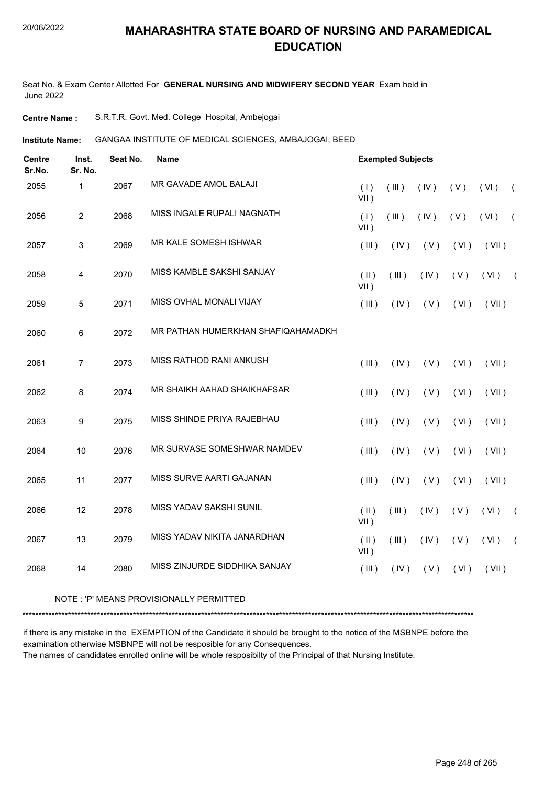Seat No. & Exam Center Allotted For **GENERAL NURSING AND MIDWIFERY SECOND YEAR** Exam held in June 2022

**Centre Name :** S.R.T.R. Govt. Med. College Hospital, Ambejogai

**Institute Name: GANGAA INSTITUTE OF MEDICAL SCIENCES, AMBAJOGAI, BEED** 

| <b>Centre</b><br>Sr.No. | Inst.<br>Sr. No. | Seat No. | <b>Name</b>                        |                          | <b>Exempted Subjects</b> |      |      |       |            |
|-------------------------|------------------|----------|------------------------------------|--------------------------|--------------------------|------|------|-------|------------|
| 2055                    | $\mathbf{1}$     | 2067     | MR GAVADE AMOL BALAJI              | (1)<br>$VII$ )           | (III)                    | (IV) | (V)  | (VI)  | $\sqrt{2}$ |
| 2056                    | $\overline{2}$   | 2068     | MISS INGALE RUPALI NAGNATH         | (1)<br>$VII$ )           | (III)                    | (IV) | (V)  | (VI)  | $\sqrt{2}$ |
| 2057                    | $\sqrt{3}$       | 2069     | MR KALE SOMESH ISHWAR              | (III)                    | (IV)                     | (V)  | (VI) | (VII) |            |
| 2058                    | 4                | 2070     | MISS KAMBLE SAKSHI SANJAY          | $(\parallel)$<br>$VII$ ) | (III)                    | (IV) | (V)  | (VI)  | $\sqrt{2}$ |
| 2059                    | 5                | 2071     | MISS OVHAL MONALI VIJAY            | (III)                    | (IV)                     | (V)  | (VI) | (VII) |            |
| 2060                    | 6                | 2072     | MR PATHAN HUMERKHAN SHAFIQAHAMADKH |                          |                          |      |      |       |            |
| 2061                    | $\overline{7}$   | 2073     | MISS RATHOD RANI ANKUSH            | (III)                    | (IV)                     | (V)  | (VI) | (VII) |            |
| 2062                    | 8                | 2074     | MR SHAIKH AAHAD SHAIKHAFSAR        | (III)                    | (IV)                     | (V)  | (VI) | (VII) |            |
| 2063                    | 9                | 2075     | MISS SHINDE PRIYA RAJEBHAU         | (III)                    | (IV)                     | (V)  | (VI) | (VII) |            |
| 2064                    | 10               | 2076     | MR SURVASE SOMESHWAR NAMDEV        | (III)                    | (IV)                     | (V)  | (VI) | (VII) |            |
| 2065                    | 11               | 2077     | MISS SURVE AARTI GAJANAN           | (III)                    | (IV)                     | (V)  | (VI) | (VII) |            |
| 2066                    | 12               | 2078     | MISS YADAV SAKSHI SUNIL            | $($ II $)$<br>$VII$ )    | (III)                    | (IV) | (V)  | (VI)  | $\sqrt{2}$ |
| 2067                    | 13               | 2079     | MISS YADAV NIKITA JANARDHAN        | $($ II $)$<br>$VII$ )    | (III)                    | (IV) | (V)  | (VI)  | $\sqrt{2}$ |
| 2068                    | 14               | 2080     | MISS ZINJURDE SIDDHIKA SANJAY      | (III)                    | (IV)                     | (V)  | (VI) | (VII) |            |

#### NOTE : 'P' MEANS PROVISIONALLY PERMITTED

\*\*\*\*\*\*\*\*\*\*\*\*\*\*\*\*\*\*\*\*\*\*\*\*\*\*\*\*\*\*\*\*\*\*\*\*\*\*\*\*\*\*\*\*\*\*\*\*\*\*\*\*\*\*\*\*\*\*\*\*\*\*\*\*\*\*\*\*\*\*\*\*\*\*\*\*\*\*\*\*\*\*\*\*\*\*\*\*\*\*\*\*\*\*\*\*\*\*\*\*\*\*\*\*\*\*\*\*\*\*\*\*\*\*\*\*\*\*\*\*\*\*\*\*\*\*\*\*\*\*\*\*\*\*\*\*\*\*\*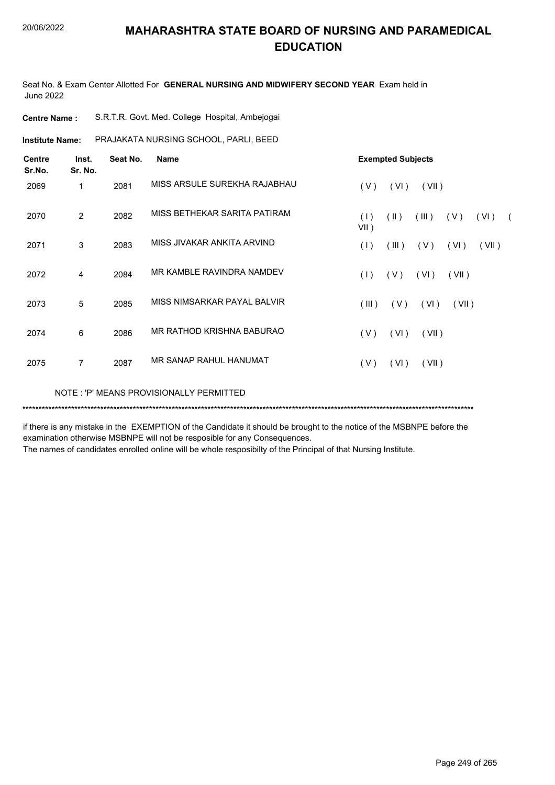Seat No. & Exam Center Allotted For **GENERAL NURSING AND MIDWIFERY SECOND YEAR** Exam held in June 2022

| <b>Centre Name:</b>     |                  |          | S.R.T.R. Govt. Med. College Hospital, Ambejogai |                                                                       |  |
|-------------------------|------------------|----------|-------------------------------------------------|-----------------------------------------------------------------------|--|
| <b>Institute Name:</b>  |                  |          | PRAJAKATA NURSING SCHOOL, PARLI, BEED           |                                                                       |  |
| <b>Centre</b><br>Sr.No. | Inst.<br>Sr. No. | Seat No. | <b>Name</b>                                     | <b>Exempted Subjects</b>                                              |  |
| 2069                    | 1                | 2081     | MISS ARSULE SUREKHA RAJABHAU                    | (VI)<br>(V)<br>(VII)                                                  |  |
| 2070                    | $\overline{2}$   | 2082     | MISS BETHEKAR SARITA PATIRAM                    | (1)<br>$(\parallel)$<br>(III)<br>(V)<br>(VI)<br>$\sqrt{2}$<br>$VII$ ) |  |
| 2071                    | 3                | 2083     | MISS JIVAKAR ANKITA ARVIND                      | $($ III $)$<br>(V)<br>(VII)<br>(1)<br>(VI)                            |  |
| 2072                    | 4                | 2084     | MR KAMBLE RAVINDRA NAMDEV                       | (V)<br>(VI)<br>(VII)<br>(1)                                           |  |
| 2073                    | 5                | 2085     | MISS NIMSARKAR PAYAL BALVIR                     | $($ III $)$<br>(V)<br>(VI)<br>(VII)                                   |  |
| 2074                    | 6                | 2086     | MR RATHOD KRISHNA BABURAO                       | (VI)<br>(V)<br>(VII)                                                  |  |
| 2075                    | $\overline{7}$   | 2087     | MR SANAP RAHUL HANUMAT                          | (V)<br>(VI)<br>(VII)                                                  |  |
|                         |                  |          | NOTE: 'P' MEANS PROVISIONALLY PERMITTED         |                                                                       |  |
|                         |                  |          |                                                 |                                                                       |  |

if there is any mistake in the EXEMPTION of the Candidate it should be brought to the notice of the MSBNPE before the examination otherwise MSBNPE will not be resposible for any Consequences.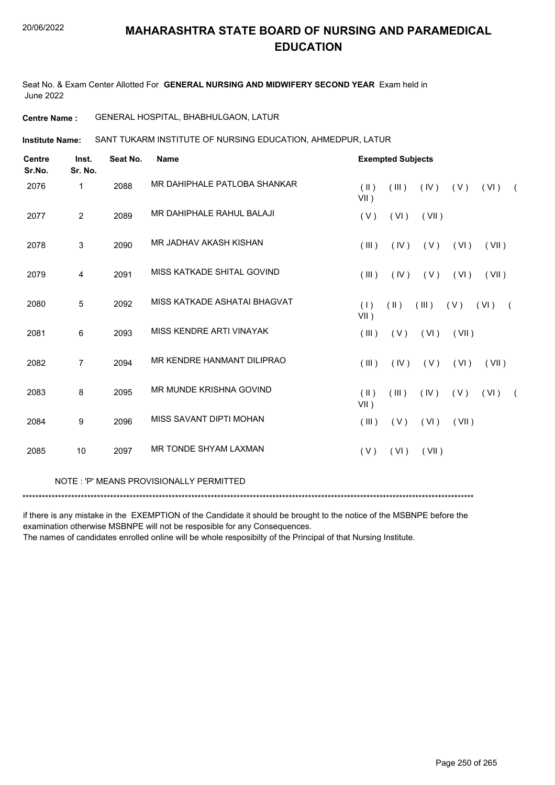Seat No. & Exam Center Allotted For **GENERAL NURSING AND MIDWIFERY SECOND YEAR** Exam held in June 2022

**Centre Name :** GENERAL HOSPITAL, BHABHULGAON, LATUR

SANT TUKARM INSTITUTE OF NURSING EDUCATION, AHMEDPUR, LATUR **Institute Name:**

| <b>Centre</b><br>Sr.No. | Inst.<br>Sr. No. | Seat No. | <b>Name</b>                  |                 | <b>Exempted Subjects</b> |       |       |                    |            |
|-------------------------|------------------|----------|------------------------------|-----------------|--------------------------|-------|-------|--------------------|------------|
| 2076                    | $\mathbf 1$      | 2088     | MR DAHIPHALE PATLOBA SHANKAR | (  )<br>$VII$ ) | (III)                    | (IV)  | (V)   | (VI)               | $\sqrt{2}$ |
| 2077                    | $\overline{2}$   | 2089     | MR DAHIPHALE RAHUL BALAJI    | (V)             | (VI)                     | (VII) |       |                    |            |
| 2078                    | 3                | 2090     | MR JADHAV AKASH KISHAN       | (III)           | (IV)                     | (V)   | (VI)  | (VII)              |            |
| 2079                    | 4                | 2091     | MISS KATKADE SHITAL GOVIND   | (III)           | (IV)                     | (V)   | (VI)  | (VII)              |            |
| 2080                    | 5                | 2092     | MISS KATKADE ASHATAI BHAGVAT | (1)<br>$VII$ )  | $(\parallel)$            | (III) | (V)   | (VI)<br>$\sqrt{2}$ |            |
| 2081                    | 6                | 2093     | MISS KENDRE ARTI VINAYAK     | (III)           | (V)                      | (VI)  | (VII) |                    |            |
| 2082                    | $\overline{7}$   | 2094     | MR KENDRE HANMANT DILIPRAO   | (III)           | (IV)                     | (V)   | (VI)  | (VII)              |            |
| 2083                    | 8                | 2095     | MR MUNDE KRISHNA GOVIND      | (  )<br>$VII$ ) | (III)                    | (IV)  | (V)   | (VI)               | $\sqrt{2}$ |
| 2084                    | $\boldsymbol{9}$ | 2096     | MISS SAVANT DIPTI MOHAN      | (III)           | (V)                      | (VI)  | (VII) |                    |            |
| 2085                    | 10               | 2097     | MR TONDE SHYAM LAXMAN        | (V)             | (VI)                     | (VII) |       |                    |            |

NOTE : 'P' MEANS PROVISIONALLY PERMITTED

\*\*\*\*\*\*\*\*\*\*\*\*\*\*\*\*\*\*\*\*\*\*\*\*\*\*\*\*\*\*\*\*\*\*\*\*\*\*\*\*\*\*\*\*\*\*\*\*\*\*\*\*\*\*\*\*\*\*\*\*\*\*\*\*\*\*\*\*\*\*\*\*\*\*\*\*\*\*\*\*\*\*\*\*\*\*\*\*\*\*\*\*\*\*\*\*\*\*\*\*\*\*\*\*\*\*\*\*\*\*\*\*\*\*\*\*\*\*\*\*\*\*\*\*\*\*\*\*\*\*\*\*\*\*\*\*\*\*\*

if there is any mistake in the EXEMPTION of the Candidate it should be brought to the notice of the MSBNPE before the examination otherwise MSBNPE will not be resposible for any Consequences.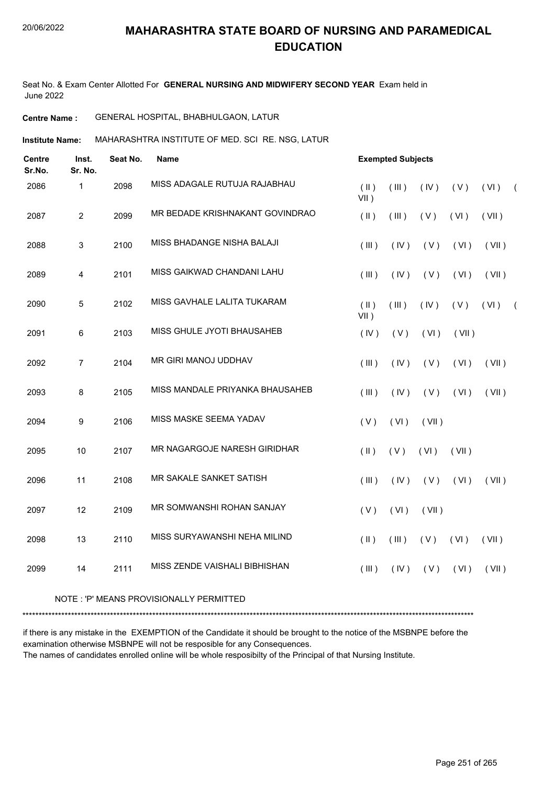Seat No. & Exam Center Allotted For **GENERAL NURSING AND MIDWIFERY SECOND YEAR** Exam held in June 2022

#### **Centre Name :** GENERAL HOSPITAL, BHABHULGAON, LATUR

**Institute Name: MAHARASHTRA INSTITUTE OF MED. SCI RE. NSG, LATUR** 

| <b>Centre</b><br>Sr.No. | Inst.<br>Sr. No. | Seat No. | <b>Name</b>                         | <b>Exempted Subjects</b>        |       |       |       |       |            |
|-------------------------|------------------|----------|-------------------------------------|---------------------------------|-------|-------|-------|-------|------------|
| 2086                    | $\mathbf{1}$     | 2098     | MISS ADAGALE RUTUJA RAJABHAU        | $(\parallel)$<br>$VII$ )        | (III) | (IV)  | (V)   | (VI)  | $\sqrt{2}$ |
| 2087                    | $\overline{2}$   | 2099     | MR BEDADE KRISHNAKANT GOVINDRAO     | $($ II $)$                      | (III) | (V)   | (VI)  | (VII) |            |
| 2088                    | 3                | 2100     | MISS BHADANGE NISHA BALAJI          | (III)                           | (IV)  | (V)   | (VI)  | (VII) |            |
| 2089                    | 4                | 2101     | MISS GAIKWAD CHANDANI LAHU          | $($ $\parallel$ $\parallel$ $)$ | (IV)  | (V)   | (VI)  | (VII) |            |
| 2090                    | 5                | 2102     | MISS GAVHALE LALITA TUKARAM         | $(\parallel)$<br>$VII$ )        | (III) | (IV)  | (V)   | (VI)  | $\sqrt{2}$ |
| 2091                    | $\,6\,$          | 2103     | MISS GHULE JYOTI BHAUSAHEB          | (IV)                            | (V)   | (VI)  | (VII) |       |            |
| 2092                    | $\overline{7}$   | 2104     | MR GIRI MANOJ UDDHAV                | (III)                           | (IV)  | (V)   | (VI)  | (VII) |            |
| 2093                    | 8                | 2105     | MISS MANDALE PRIYANKA BHAUSAHEB     | $($ $\parallel$ $\parallel$ $)$ | (IV)  | (V)   | (VI)  | (VII) |            |
| 2094                    | $\boldsymbol{9}$ | 2106     | MISS MASKE SEEMA YADAV              | (V)                             | (VI)  | (VII) |       |       |            |
| 2095                    | 10               | 2107     | <b>MR NAGARGOJE NARESH GIRIDHAR</b> | $($ II $)$                      | (V)   | (VI)  | (VII) |       |            |
| 2096                    | 11               | 2108     | MR SAKALE SANKET SATISH             | (III)                           | (IV)  | (V)   | (VI)  | (VII) |            |
| 2097                    | 12               | 2109     | MR SOMWANSHI ROHAN SANJAY           | (V)                             | (VI)  | (VII) |       |       |            |
| 2098                    | 13               | 2110     | MISS SURYAWANSHI NEHA MILIND        | $($ II $)$                      | (III) | (V)   | (VI)  | (VII) |            |
| 2099                    | 14               | 2111     | MISS ZENDE VAISHALI BIBHISHAN       | (III)                           | (IV)  | (V)   | (VI)  | (VII) |            |
|                         |                  |          |                                     |                                 |       |       |       |       |            |

#### NOTE : 'P' MEANS PROVISIONALLY PERMITTED

\*\*\*\*\*\*\*\*\*\*\*\*\*\*\*\*\*\*\*\*\*\*\*\*\*\*\*\*\*\*\*\*\*\*\*\*\*\*\*\*\*\*\*\*\*\*\*\*\*\*\*\*\*\*\*\*\*\*\*\*\*\*\*\*\*\*\*\*\*\*\*\*\*\*\*\*\*\*\*\*\*\*\*\*\*\*\*\*\*\*\*\*\*\*\*\*\*\*\*\*\*\*\*\*\*\*\*\*\*\*\*\*\*\*\*\*\*\*\*\*\*\*\*\*\*\*\*\*\*\*\*\*\*\*\*\*\*\*\*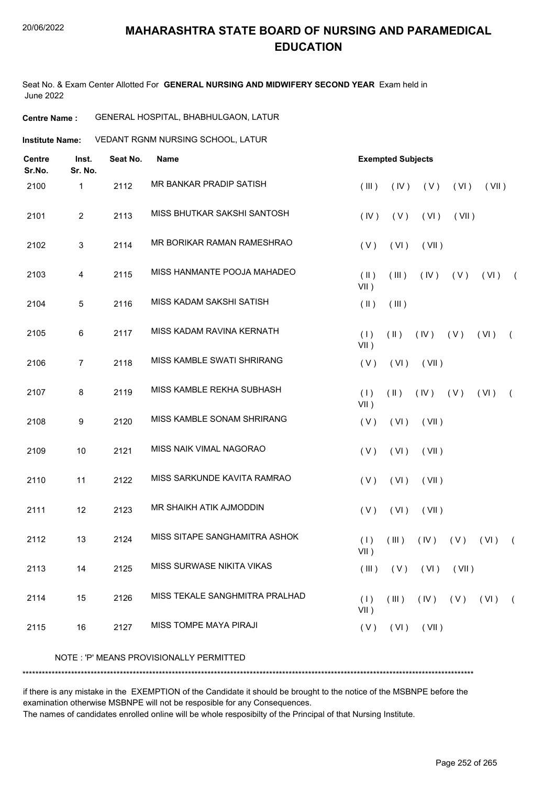Seat No. & Exam Center Allotted For **GENERAL NURSING AND MIDWIFERY SECOND YEAR** Exam held in June 2022

#### **Centre Name :** GENERAL HOSPITAL, BHABHULGAON, LATUR

**Institute Name: VEDANT RGNM NURSING SCHOOL, LATUR** 

| <b>Centre</b><br>Sr.No. | Inst.<br>Sr. No. | Seat No. | <b>Name</b>                    |                       | <b>Exempted Subjects</b> |                     |       |       |            |  |
|-------------------------|------------------|----------|--------------------------------|-----------------------|--------------------------|---------------------|-------|-------|------------|--|
| 2100                    | 1                | 2112     | MR BANKAR PRADIP SATISH        | (III)                 | (IV)                     | (V)                 | (VI)  | (VII) |            |  |
| 2101                    | $\overline{2}$   | 2113     | MISS BHUTKAR SAKSHI SANTOSH    | (IV)                  | (V)                      | (VI)                | (VII) |       |            |  |
| 2102                    | 3                | 2114     | MR BORIKAR RAMAN RAMESHRAO     | (V)                   | (VI)                     | (VII)               |       |       |            |  |
| 2103                    | $\overline{4}$   | 2115     | MISS HANMANTE POOJA MAHADEO    | $($ II $)$<br>$VII$ ) | (III)                    | (IV)                | (V)   | (VI)  | $\sqrt{2}$ |  |
| 2104                    | 5                | 2116     | MISS KADAM SAKSHI SATISH       | $(\parallel)$         | (III)                    |                     |       |       |            |  |
| 2105                    | 6                | 2117     | MISS KADAM RAVINA KERNATH      | (1)<br>$VII$ )        | $(\parallel \parallel)$  | (IV)                | (V)   | (VI)  | $\left($   |  |
| 2106                    | 7                | 2118     | MISS KAMBLE SWATI SHRIRANG     | (V)                   | (VI)                     | (VII)               |       |       |            |  |
| 2107                    | 8                | 2119     | MISS KAMBLE REKHA SUBHASH      | (1)<br>$VII$ )        | $(\parallel)$            | $(IV)$ $(V)$        |       | (VI)  | $\left($   |  |
| 2108                    | 9                | 2120     | MISS KAMBLE SONAM SHRIRANG     | (V)                   | (VI)                     | (VII)               |       |       |            |  |
| 2109                    | 10               | 2121     | MISS NAIK VIMAL NAGORAO        | (V)                   | (VI)                     | (VII)               |       |       |            |  |
| 2110                    | 11               | 2122     | MISS SARKUNDE KAVITA RAMRAO    | (V)                   | (VI)                     | (VII)               |       |       |            |  |
| 2111                    | 12               | 2123     | MR SHAIKH ATIK AJMODDIN        | (V)                   | (VI)                     | (VII)               |       |       |            |  |
| 2112                    | 13               | 2124     | MISS SITAPE SANGHAMITRA ASHOK  | (1)<br>VII)           | (III)                    | $($ IV $)$          | (V)   | (VI)  | $\sqrt{2}$ |  |
| 2113                    | 14               | 2125     | MISS SURWASE NIKITA VIKAS      | (III)                 | (V)                      | $($ VI $)$          | (VII) |       |            |  |
| 2114                    | 15               | 2126     | MISS TEKALE SANGHMITRA PRALHAD | (1)<br>$VII$ )        | (III)                    | $(IV)$ $(V)$ $(VI)$ |       |       | $\sqrt{2}$ |  |
| 2115                    | 16               | 2127     | MISS TOMPE MAYA PIRAJI         | (V)                   | (VI)                     | (VII)               |       |       |            |  |
|                         |                  |          |                                |                       |                          |                     |       |       |            |  |

NOTE : 'P' MEANS PROVISIONALLY PERMITTED

\*\*\*\*\*\*\*\*\*\*\*\*\*\*\*\*\*\*\*\*\*\*\*\*\*\*\*\*\*\*\*\*\*\*\*\*\*\*\*\*\*\*\*\*\*\*\*\*\*\*\*\*\*\*\*\*\*\*\*\*\*\*\*\*\*\*\*\*\*\*\*\*\*\*\*\*\*\*\*\*\*\*\*\*\*\*\*\*\*\*\*\*\*\*\*\*\*\*\*\*\*\*\*\*\*\*\*\*\*\*\*\*\*\*\*\*\*\*\*\*\*\*\*\*\*\*\*\*\*\*\*\*\*\*\*\*\*\*\*

if there is any mistake in the EXEMPTION of the Candidate it should be brought to the notice of the MSBNPE before the examination otherwise MSBNPE will not be resposible for any Consequences.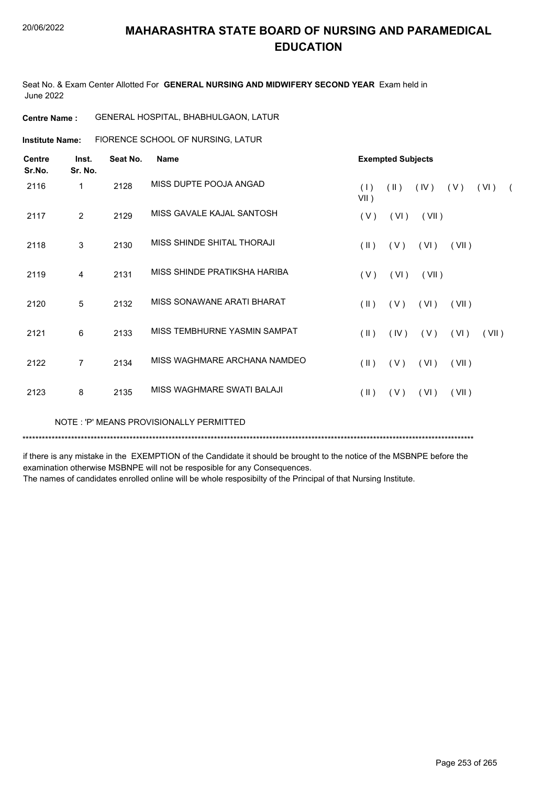Seat No. & Exam Center Allotted For **GENERAL NURSING AND MIDWIFERY SECOND YEAR** Exam held in June 2022

| GENERAL HOSPITAL, BHABHULGAON, LATUR<br><b>Centre Name :</b> |
|--------------------------------------------------------------|
|--------------------------------------------------------------|

**Institute Name:** FIORENCE SCHOOL OF NURSING, LATUR

| Centre<br>Sr.No. | Inst.<br>Sr. No. | Seat No. | Name                         |                         | <b>Exempted Subjects</b> |       |       |       |            |  |  |  |
|------------------|------------------|----------|------------------------------|-------------------------|--------------------------|-------|-------|-------|------------|--|--|--|
| 2116             | 1                | 2128     | MISS DUPTE POOJA ANGAD       | (1)<br>VII)             | $(\parallel)$            | (IV)  | (V)   | (VI)  | $\sqrt{2}$ |  |  |  |
| 2117             | $\overline{2}$   | 2129     | MISS GAVALE KAJAL SANTOSH    | (V)                     | (VI)                     | (VII) |       |       |            |  |  |  |
| 2118             | 3                | 2130     | MISS SHINDE SHITAL THORAJI   | $(\parallel)$           | (V)                      | (VI)  | (VII) |       |            |  |  |  |
| 2119             | 4                | 2131     | MISS SHINDE PRATIKSHA HARIBA | (V)                     | (VI)                     | (VII) |       |       |            |  |  |  |
| 2120             | 5                | 2132     | MISS SONAWANE ARATI BHARAT   | $(\parallel)$           | (V)                      | (VI)  | (VII) |       |            |  |  |  |
| 2121             | 6                | 2133     | MISS TEMBHURNE YASMIN SAMPAT | $(\parallel \parallel)$ | (IV)                     | (V)   | (VI)  | (VII) |            |  |  |  |
| 2122             | $\overline{7}$   | 2134     | MISS WAGHMARE ARCHANA NAMDEO | $(\parallel)$           | (V)                      | (VI)  | (VII) |       |            |  |  |  |
| 2123             | 8                | 2135     | MISS WAGHMARE SWATI BALAJI   | $(\parallel)$           | (V)                      | (VI)  | (VII) |       |            |  |  |  |

NOTE : 'P' MEANS PROVISIONALLY PERMITTED

\*\*\*\*\*\*\*\*\*\*\*\*\*\*\*\*\*\*\*\*\*\*\*\*\*\*\*\*\*\*\*\*\*\*\*\*\*\*\*\*\*\*\*\*\*\*\*\*\*\*\*\*\*\*\*\*\*\*\*\*\*\*\*\*\*\*\*\*\*\*\*\*\*\*\*\*\*\*\*\*\*\*\*\*\*\*\*\*\*\*\*\*\*\*\*\*\*\*\*\*\*\*\*\*\*\*\*\*\*\*\*\*\*\*\*\*\*\*\*\*\*\*\*\*\*\*\*\*\*\*\*\*\*\*\*\*\*\*\*

if there is any mistake in the EXEMPTION of the Candidate it should be brought to the notice of the MSBNPE before the examination otherwise MSBNPE will not be resposible for any Consequences.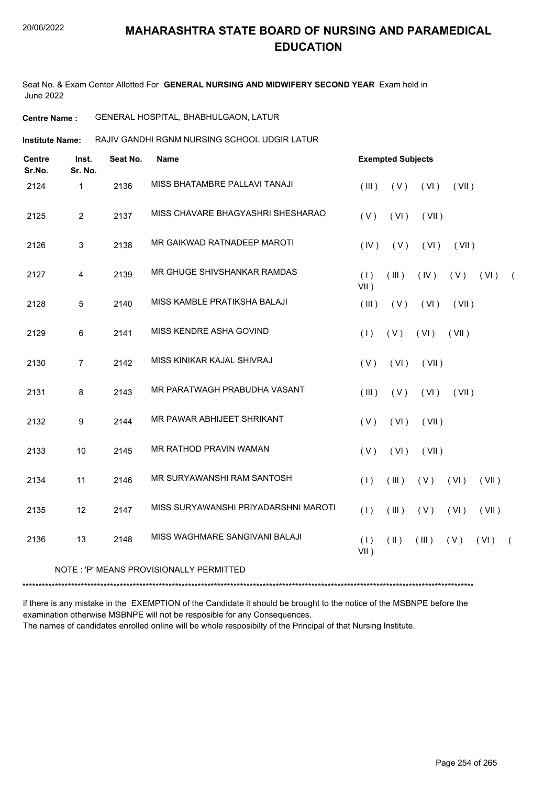Seat No. & Exam Center Allotted For **GENERAL NURSING AND MIDWIFERY SECOND YEAR** Exam held in June 2022

#### **Centre Name :** GENERAL HOSPITAL, BHABHULGAON, LATUR

RAJIV GANDHI RGNM NURSING SCHOOL UDGIR LATUR **Institute Name:**

| MISS BHATAMBRE PALLAVI TANAJI<br>2136<br>2124<br>$\mathbf{1}$<br>(III)<br>(V)<br>(VI)<br>(VII)<br>MISS CHAVARE BHAGYASHRI SHESHARAO<br>$\overline{2}$<br>2137<br>2125<br>(V)<br>(VI)<br>(VII)<br>MR GAIKWAD RATNADEEP MAROTI<br>3<br>2138<br>2126<br>(IV)<br>(V)<br>(VI)<br>(VII)<br>MR GHUGE SHIVSHANKAR RAMDAS<br>2127<br>2139<br>$\overline{4}$<br>(1)<br>(III)<br>(IV)<br>(V)<br>$VII$ )<br>MISS KAMBLE PRATIKSHA BALAJI<br>2128<br>5<br>2140<br>(III)<br>(VI)<br>(VII)<br>(V)<br>MISS KENDRE ASHA GOVIND<br>2129<br>6<br>2141<br>(1)<br>(V)<br>(VI)<br>(VII)<br>MISS KINIKAR KAJAL SHIVRAJ<br>2130<br>$\overline{7}$<br>2142<br>(VI)<br>(V)<br>(VII)<br>MR PARATWAGH PRABUDHA VASANT<br>2131<br>8<br>2143<br>(III)<br>(V)<br>(VI)<br>(VII)<br>MR PAWAR ABHIJEET SHRIKANT<br>2132<br>9<br>2144<br>(V)<br>(VI)<br>(VII)<br><b>MR RATHOD PRAVIN WAMAN</b><br>2133<br>10<br>2145<br>(V)<br>(VI)<br>(VII)<br>MR SURYAWANSHI RAM SANTOSH<br>2134<br>11<br>2146<br>(1)<br>(III)<br>(V)<br>(VI)<br>MISS SURYAWANSHI PRIYADARSHNI MAROTI<br>2135<br>12<br>2147<br>(1)<br>(III)<br>(V)<br>(VI)<br>MISS WAGHMARE SANGIVANI BALAJI<br>2136<br>13<br>2148<br>(1)<br>$(\parallel)$<br>(VI)<br>(III)<br>(V) | <b>Centre</b><br>Sr.No. | Inst.<br>Sr. No. | Seat No. | <b>Name</b> | <b>Exempted Subjects</b> |          |
|---------------------------------------------------------------------------------------------------------------------------------------------------------------------------------------------------------------------------------------------------------------------------------------------------------------------------------------------------------------------------------------------------------------------------------------------------------------------------------------------------------------------------------------------------------------------------------------------------------------------------------------------------------------------------------------------------------------------------------------------------------------------------------------------------------------------------------------------------------------------------------------------------------------------------------------------------------------------------------------------------------------------------------------------------------------------------------------------------------------------------------------------------------------------------------------------------|-------------------------|------------------|----------|-------------|--------------------------|----------|
|                                                                                                                                                                                                                                                                                                                                                                                                                                                                                                                                                                                                                                                                                                                                                                                                                                                                                                                                                                                                                                                                                                                                                                                                   |                         |                  |          |             |                          |          |
|                                                                                                                                                                                                                                                                                                                                                                                                                                                                                                                                                                                                                                                                                                                                                                                                                                                                                                                                                                                                                                                                                                                                                                                                   |                         |                  |          |             |                          |          |
|                                                                                                                                                                                                                                                                                                                                                                                                                                                                                                                                                                                                                                                                                                                                                                                                                                                                                                                                                                                                                                                                                                                                                                                                   |                         |                  |          |             |                          |          |
|                                                                                                                                                                                                                                                                                                                                                                                                                                                                                                                                                                                                                                                                                                                                                                                                                                                                                                                                                                                                                                                                                                                                                                                                   |                         |                  |          |             | (VI)                     | $\left($ |
|                                                                                                                                                                                                                                                                                                                                                                                                                                                                                                                                                                                                                                                                                                                                                                                                                                                                                                                                                                                                                                                                                                                                                                                                   |                         |                  |          |             |                          |          |
|                                                                                                                                                                                                                                                                                                                                                                                                                                                                                                                                                                                                                                                                                                                                                                                                                                                                                                                                                                                                                                                                                                                                                                                                   |                         |                  |          |             |                          |          |
|                                                                                                                                                                                                                                                                                                                                                                                                                                                                                                                                                                                                                                                                                                                                                                                                                                                                                                                                                                                                                                                                                                                                                                                                   |                         |                  |          |             |                          |          |
|                                                                                                                                                                                                                                                                                                                                                                                                                                                                                                                                                                                                                                                                                                                                                                                                                                                                                                                                                                                                                                                                                                                                                                                                   |                         |                  |          |             |                          |          |
|                                                                                                                                                                                                                                                                                                                                                                                                                                                                                                                                                                                                                                                                                                                                                                                                                                                                                                                                                                                                                                                                                                                                                                                                   |                         |                  |          |             |                          |          |
|                                                                                                                                                                                                                                                                                                                                                                                                                                                                                                                                                                                                                                                                                                                                                                                                                                                                                                                                                                                                                                                                                                                                                                                                   |                         |                  |          |             |                          |          |
|                                                                                                                                                                                                                                                                                                                                                                                                                                                                                                                                                                                                                                                                                                                                                                                                                                                                                                                                                                                                                                                                                                                                                                                                   |                         |                  |          |             | (VII)                    |          |
|                                                                                                                                                                                                                                                                                                                                                                                                                                                                                                                                                                                                                                                                                                                                                                                                                                                                                                                                                                                                                                                                                                                                                                                                   |                         |                  |          |             | (VII)                    |          |
| $VII$ )                                                                                                                                                                                                                                                                                                                                                                                                                                                                                                                                                                                                                                                                                                                                                                                                                                                                                                                                                                                                                                                                                                                                                                                           |                         |                  |          |             | $\sqrt{2}$               |          |

#### NOTE : 'P' MEANS PROVISIONALLY PERMITTED

\*\*\*\*\*\*\*\*\*\*\*\*\*\*\*\*\*\*\*\*\*\*\*\*\*\*\*\*\*\*\*\*\*\*\*\*\*\*\*\*\*\*\*\*\*\*\*\*\*\*\*\*\*\*\*\*\*\*\*\*\*\*\*\*\*\*\*\*\*\*\*\*\*\*\*\*\*\*\*\*\*\*\*\*\*\*\*\*\*\*\*\*\*\*\*\*\*\*\*\*\*\*\*\*\*\*\*\*\*\*\*\*\*\*\*\*\*\*\*\*\*\*\*\*\*\*\*\*\*\*\*\*\*\*\*\*\*\*\*

if there is any mistake in the EXEMPTION of the Candidate it should be brought to the notice of the MSBNPE before the examination otherwise MSBNPE will not be resposible for any Consequences. The names of candidates enrolled online will be whole resposibilty of the Principal of that Nursing Institute.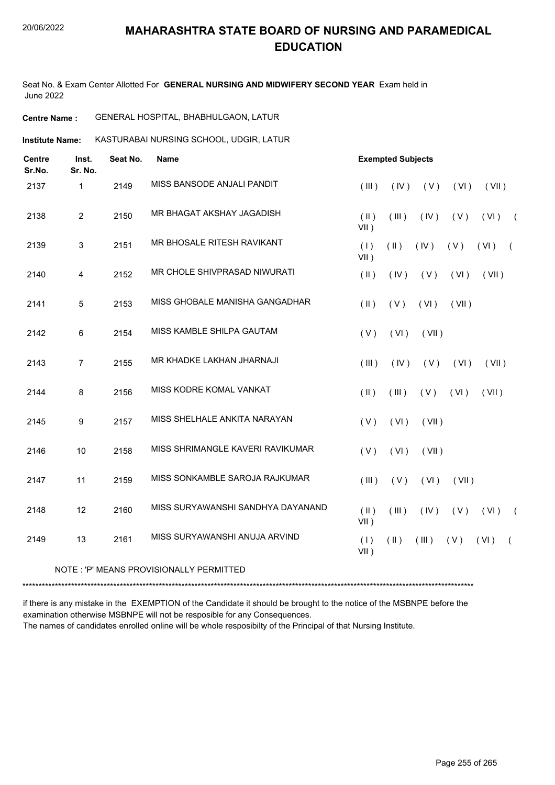Seat No. & Exam Center Allotted For **GENERAL NURSING AND MIDWIFERY SECOND YEAR** Exam held in June 2022

| <b>Centre Name :</b> | <b>GENERAL HOSPITAL, BHABHULGAON, LATUR</b> |  |
|----------------------|---------------------------------------------|--|
|                      |                                             |  |

**Institute Name: KASTURABAI NURSING SCHOOL, UDGIR, LATUR** 

| <b>Centre</b><br>Sr.No. | Inst.<br>Sr. No. | Seat No. | Name                              |                          | <b>Exempted Subjects</b> |       |       |       |            |
|-------------------------|------------------|----------|-----------------------------------|--------------------------|--------------------------|-------|-------|-------|------------|
| 2137                    | 1                | 2149     | MISS BANSODE ANJALI PANDIT        | (III)                    | (IV)                     | (V)   | (VI)  | (VII) |            |
| 2138                    | $\overline{2}$   | 2150     | MR BHAGAT AKSHAY JAGADISH         | $(\parallel)$<br>$VII$ ) | (III)                    | (IV)  | (V)   | (VI)  | $\sqrt{2}$ |
| 2139                    | 3                | 2151     | MR BHOSALE RITESH RAVIKANT        | (1)<br>$VII$ )           | $(\parallel)$            | (IV)  | (V)   | (VI)  | $\left($   |
| 2140                    | 4                | 2152     | MR CHOLE SHIVPRASAD NIWURATI      | $($ II $)$               | (IV)                     | (V)   | (VI)  | (VII) |            |
| 2141                    | 5                | 2153     | MISS GHOBALE MANISHA GANGADHAR    | $($ II $)$               | (V)                      | (VI)  | (VII) |       |            |
| 2142                    | 6                | 2154     | MISS KAMBLE SHILPA GAUTAM         | (V)                      | (VI)                     | (VII) |       |       |            |
| 2143                    | $\overline{7}$   | 2155     | MR KHADKE LAKHAN JHARNAJI         | (III)                    | (IV)                     | (V)   | (VI)  | (VII) |            |
| 2144                    | 8                | 2156     | MISS KODRE KOMAL VANKAT           | (  )                     | (III)                    | (V)   | (VI)  | (VII) |            |
| 2145                    | 9                | 2157     | MISS SHELHALE ANKITA NARAYAN      | (V)                      | (VI)                     | (VII) |       |       |            |
| 2146                    | 10               | 2158     | MISS SHRIMANGLE KAVERI RAVIKUMAR  | (V)                      | (VI)                     | (VII) |       |       |            |
| 2147                    | 11               | 2159     | MISS SONKAMBLE SAROJA RAJKUMAR    | (III)                    | (V)                      | (VI)  | (VII) |       |            |
| 2148                    | 12               | 2160     | MISS SURYAWANSHI SANDHYA DAYANAND | (  )<br>$VII$ )          | (III)                    | (IV)  | (V)   | (VI)  | $\sqrt{2}$ |
| 2149                    | 13               | 2161     | MISS SURYAWANSHI ANUJA ARVIND     | (1)<br>$VII$ )           | $(\parallel)$            | (III) | (V)   | (VI)  |            |

NOTE : 'P' MEANS PROVISIONALLY PERMITTED

\*\*\*\*\*\*\*\*\*\*\*\*\*\*\*\*\*\*\*\*\*\*\*\*\*\*\*\*\*\*\*\*\*\*\*\*\*\*\*\*\*\*\*\*\*\*\*\*\*\*\*\*\*\*\*\*\*\*\*\*\*\*\*\*\*\*\*\*\*\*\*\*\*\*\*\*\*\*\*\*\*\*\*\*\*\*\*\*\*\*\*\*\*\*\*\*\*\*\*\*\*\*\*\*\*\*\*\*\*\*\*\*\*\*\*\*\*\*\*\*\*\*\*\*\*\*\*\*\*\*\*\*\*\*\*\*\*\*\*

if there is any mistake in the EXEMPTION of the Candidate it should be brought to the notice of the MSBNPE before the examination otherwise MSBNPE will not be resposible for any Consequences. The names of candidates enrolled online will be whole resposibilty of the Principal of that Nursing Institute.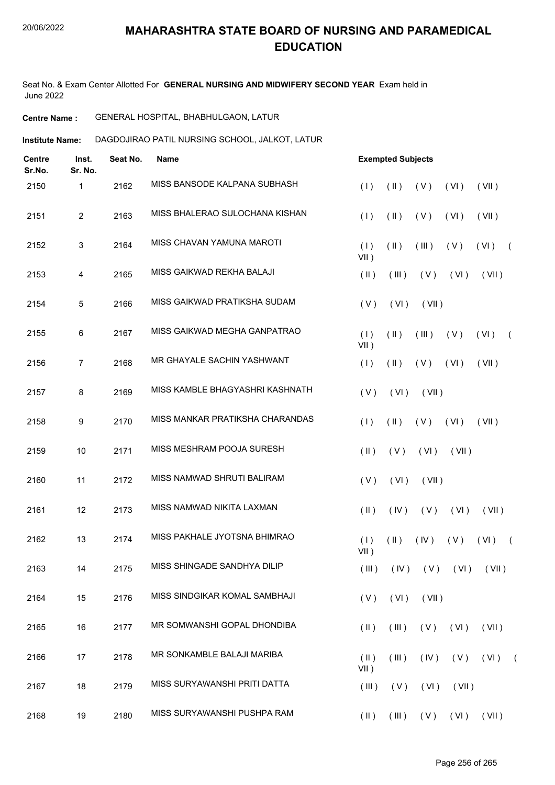Seat No. & Exam Center Allotted For **GENERAL NURSING AND MIDWIFERY SECOND YEAR** Exam held in June 2022

**Centre Name :** GENERAL HOSPITAL, BHABHULGAON, LATUR

**Institute Name: DAGDOJIRAO PATIL NURSING SCHOOL, JALKOT, LATUR** 

| <b>Centre</b><br>Sr.No. | Inst.<br>Sr. No. | Seat No. | <b>Name</b>                     |                       | <b>Exempted Subjects</b> |                      |             |               |            |
|-------------------------|------------------|----------|---------------------------------|-----------------------|--------------------------|----------------------|-------------|---------------|------------|
| 2150                    | 1                | 2162     | MISS BANSODE KALPANA SUBHASH    | (1)                   | $(\parallel)$            | (V)                  | (VI)        | (VII)         |            |
| 2151                    | $\overline{2}$   | 2163     | MISS BHALERAO SULOCHANA KISHAN  | (1)                   | $(\parallel)$            | (V)                  | (VI)        | (VII)         |            |
| 2152                    | 3                | 2164     | MISS CHAVAN YAMUNA MAROTI       | (1)<br>$VII$ )        | $(\parallel)$            | (III)                | (V)         | (VI)          | $\sqrt{ }$ |
| 2153                    | 4                | 2165     | MISS GAIKWAD REKHA BALAJI       | $(\parallel)$         | (III)                    | (V)                  | (VI)        | (VII)         |            |
| 2154                    | 5                | 2166     | MISS GAIKWAD PRATIKSHA SUDAM    | (V)                   | (VI)                     | (VII)                |             |               |            |
| 2155                    | $\,6\,$          | 2167     | MISS GAIKWAD MEGHA GANPATRAO    | (1)<br>$VII$ )        | $(\parallel)$            | (III)                | (V)         | (VI)          | $\left($   |
| 2156                    | 7                | 2168     | MR GHAYALE SACHIN YASHWANT      | (1)                   | $(\parallel)$            | (V)                  | (VI)        | (VII)         |            |
| 2157                    | 8                | 2169     | MISS KAMBLE BHAGYASHRI KASHNATH | (V)                   | (VI)                     | (VII)                |             |               |            |
| 2158                    | 9                | 2170     | MISS MANKAR PRATIKSHA CHARANDAS | (1)                   | $(\parallel)$            | (V)                  | (VI)        | (VII)         |            |
| 2159                    | 10               | 2171     | MISS MESHRAM POOJA SURESH       | $(\parallel)$         | (V)                      | (VI)                 | (VII)       |               |            |
| 2160                    | 11               | 2172     | MISS NAMWAD SHRUTI BALIRAM      | (V)                   | (VI)                     | (VII)                |             |               |            |
| 2161                    | 12               | 2173     | MISS NAMWAD NIKITA LAXMAN       | $($ II $)$            | (IV)                     | (V)                  | (VI)        | (VII)         |            |
| 2162                    | 13               | 2174     | MISS PAKHALE JYOTSNA BHIMRAO    | (1)<br>VII)           | $(\parallel)$            | (IV)                 | (V)         | (VI)          | $\sqrt{2}$ |
| 2163                    | 14               | 2175     | MISS SHINGADE SANDHYA DILIP     | (III)                 | (IV)                     |                      | $(V)$ $(V)$ | (VII)         |            |
| 2164                    | 15               | 2176     | MISS SINDGIKAR KOMAL SAMBHAJI   | (V)                   | (VI)                     | (VII)                |             |               |            |
| 2165                    | 16               | 2177     | MR SOMWANSHI GOPAL DHONDIBA     | $(\parallel)$         | (III)                    | (V)                  | (VI)        | (VII)         |            |
| 2166                    | 17               | 2178     | MR SONKAMBLE BALAJI MARIBA      | $(\parallel)$<br>VII) | (III)                    | (IV)                 | (V)         | $(VI)$ $(VI)$ |            |
| 2167                    | 18               | 2179     | MISS SURYAWANSHI PRITI DATTA    | (III)                 | (V)                      | (VI)                 | (VII)       |               |            |
| 2168                    | 19               | 2180     | MISS SURYAWANSHI PUSHPA RAM     | $(\parallel)$         |                          | $(III)$ $(V)$ $(VI)$ |             | (VII)         |            |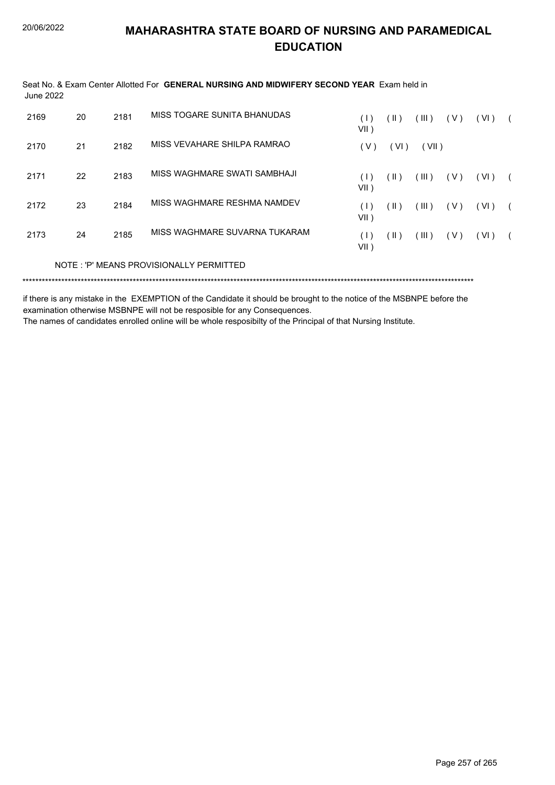| June 2022 |    |      | Seat No. & Exam Center Allotted For GENERAL NURSING AND MIDWIFERY SECOND YEAR Exam held in |             |               |       |       |      |  |
|-----------|----|------|--------------------------------------------------------------------------------------------|-------------|---------------|-------|-------|------|--|
| 2169      | 20 | 2181 | MISS TOGARE SUNITA BHANUDAS                                                                | (1)<br>VII) | $(\parallel)$ | (III) | (V)   | (VI) |  |
| 2170      | 21 | 2182 | MISS VEVAHARE SHILPA RAMRAO                                                                | (V)         | (VI)          | (VII) |       |      |  |
| 2171      | 22 | 2183 | MISS WAGHMARE SWATI SAMBHAJI                                                               | (1)<br>VII) | (  )          | (III) | (V)   | (VI) |  |
| 2172      | 23 | 2184 | MISS WAGHMARE RESHMA NAMDEV                                                                | (1)<br>VII) | (  )          | (III) | ( V ) | (VI) |  |
| 2173      | 24 | 2185 | MISS WAGHMARE SUVARNA TUKARAM                                                              | (1)<br>VII) | (  )          | (III) | (V)   | (VI) |  |
|           |    |      | NOTE: 'P' MEANS PROVISIONALLY PERMITTED                                                    |             |               |       |       |      |  |

if there is any mistake in the EXEMPTION of the Candidate it should be brought to the notice of the MSBNPE before the examination otherwise MSBNPE will not be resposible for any Consequences.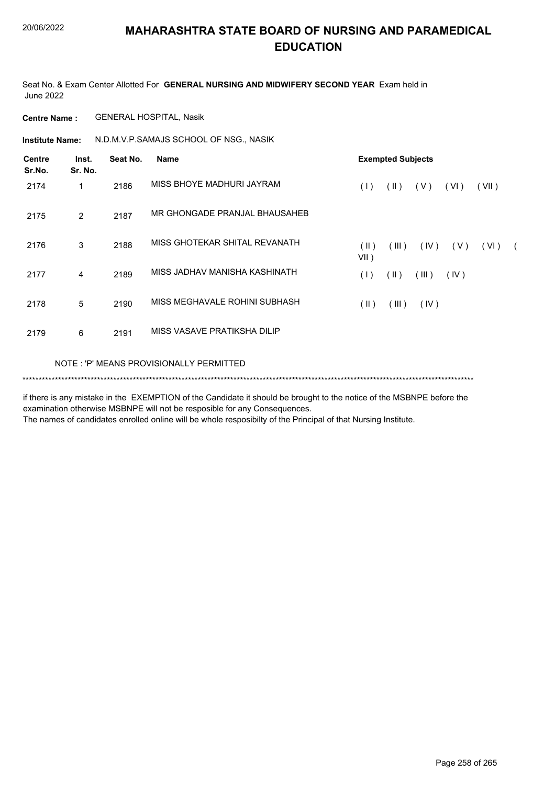Seat No. & Exam Center Allotted For **GENERAL NURSING AND MIDWIFERY SECOND YEAR** Exam held in June 2022

**Centre Name :** GENERAL HOSPITAL, Nasik

**Institute Name:** N.D.M.V.P.SAMAJS SCHOOL OF NSG., NASIK

| <b>Centre</b><br>Sr.No. | Inst.<br>Sr. No. | Seat No. | <b>Name</b>                             | <b>Exempted Subjects</b> |               |       |      |       |            |  |
|-------------------------|------------------|----------|-----------------------------------------|--------------------------|---------------|-------|------|-------|------------|--|
| 2174                    | 1                | 2186     | MISS BHOYE MADHURI JAYRAM               | (1)                      | $(\parallel)$ | (V)   | (VI) | (VII) |            |  |
| 2175                    | 2                | 2187     | MR GHONGADE PRANJAL BHAUSAHEB           |                          |               |       |      |       |            |  |
| 2176                    | 3                | 2188     | MISS GHOTEKAR SHITAL REVANATH           | $($ II $)$<br>$VII$ )    | (III)         | (IV)  | (V)  | (VI)  | $\sqrt{2}$ |  |
| 2177                    | $\overline{4}$   | 2189     | MISS JADHAV MANISHA KASHINATH           | (1)                      | (11)          | (III) | (IV) |       |            |  |
| 2178                    | 5                | 2190     | MISS MEGHAVALE ROHINI SUBHASH           | $($ II $)$               | (III)         | (IV)  |      |       |            |  |
| 2179                    | 6                | 2191     | MISS VASAVE PRATIKSHA DILIP             |                          |               |       |      |       |            |  |
|                         |                  |          | NOTE: 'P' MEANS PROVISIONALLY PERMITTED |                          |               |       |      |       |            |  |

\*\*\*\*\*\*\*\*\*\*\*\*\*\*\*\*\*\*\*\*\*\*\*\*\*\*\*\*\*\*\*\*\*\*\*\*\*\*\*\*\*\*\*\*\*\*\*\*\*\*\*\*\*\*\*\*\*\*\*\*\*\*\*\*\*\*\*\*\*\*\*\*\*\*\*\*\*\*\*\*\*\*\*\*\*\*\*\*\*\*\*\*\*\*\*\*\*\*\*\*\*\*\*\*\*\*\*\*\*\*\*\*\*\*\*\*\*\*\*\*\*\*\*\*\*\*\*\*\*\*\*\*\*\*\*\*\*\*\*

if there is any mistake in the EXEMPTION of the Candidate it should be brought to the notice of the MSBNPE before the examination otherwise MSBNPE will not be resposible for any Consequences.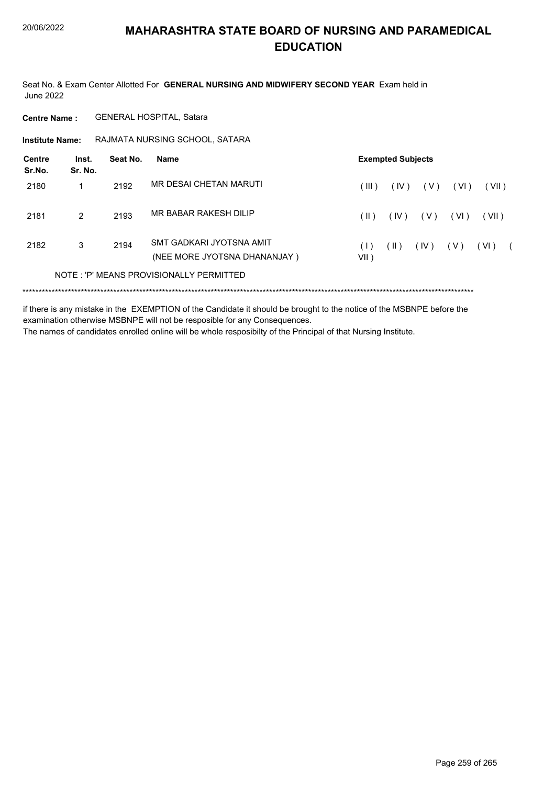Seat No. & Exam Center Allotted For **GENERAL NURSING AND MIDWIFERY SECOND YEAR** Exam held in June 2022

**Centre Name :** GENERAL HOSPITAL, Satara

**Institute Name: RAJMATA NURSING SCHOOL, SATARA** 

| Centre<br>Sr.No. | Inst.<br>Sr. No. | Seat No. | Name                                                     |                                                          | <b>Exempted Subjects</b> |       |        |       |  |
|------------------|------------------|----------|----------------------------------------------------------|----------------------------------------------------------|--------------------------|-------|--------|-------|--|
| 2180             |                  | 2192     | MR DESAI CHETAN MARUTI                                   | $III$ )                                                  | (IV)                     | ( V ) | (VI)   | (VII) |  |
| 2181             | $\mathcal{P}$    | 2193     | MR BABAR RAKESH DILIP                                    | $(\  \)$                                                 | (IV)                     | ( V ) | ( VI ) | (VII) |  |
| 2182             | 3                | 2194     | SMT GADKARI JYOTSNA AMIT<br>(NEE MORE JYOTSNA DHANANJAY) | $\left( \begin{array}{c} \end{array} \right)$<br>$VII$ ) | (  )                     | (IV)  | ( V )  | (VI)  |  |
|                  |                  |          | NOTE: 'P' MEANS PROVISIONALLY PERMITTED                  |                                                          |                          |       |        |       |  |
|                  |                  |          |                                                          |                                                          |                          |       |        |       |  |

if there is any mistake in the EXEMPTION of the Candidate it should be brought to the notice of the MSBNPE before the examination otherwise MSBNPE will not be resposible for any Consequences.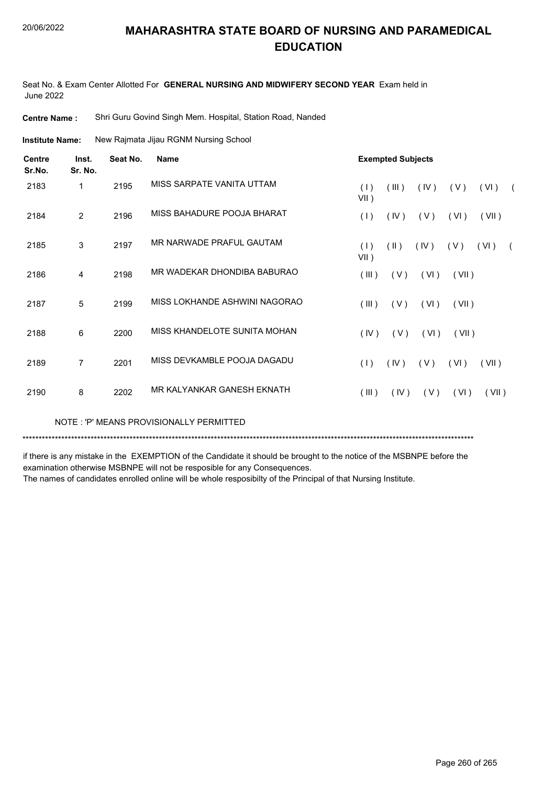Seat No. & Exam Center Allotted For **GENERAL NURSING AND MIDWIFERY SECOND YEAR** Exam held in June 2022

**Centre Name :** Shri Guru Govind Singh Mem. Hospital, Station Road, Nanded

New Rajmata Jijau RGNM Nursing School **Institute Name:**

| <b>Centre</b><br>Sr.No. | Inst.<br>Sr. No. | Seat No. | <b>Name</b>                   | <b>Exempted Subjects</b>                                     |
|-------------------------|------------------|----------|-------------------------------|--------------------------------------------------------------|
| 2183                    | 1                | 2195     | MISS SARPATE VANITA UTTAM     | (1)<br>(III)<br>(IV)<br>(V)<br>(VI)<br>$\sqrt{2}$<br>$VII$ ) |
| 2184                    | 2                | 2196     | MISS BAHADURE POOJA BHARAT    | (1)<br>(IV)<br>(V)<br>(VI)<br>(VII)                          |
| 2185                    | 3                | 2197     | MR NARWADE PRAFUL GAUTAM      | (1)<br>(  )<br>(IV)<br>(VI)<br>(V)<br>$\sqrt{2}$<br>$VII$ )  |
| 2186                    | 4                | 2198     | MR WADEKAR DHONDIBA BABURAO   | (III)<br>(V)<br>(VI)<br>(VII)                                |
| 2187                    | 5                | 2199     | MISS LOKHANDE ASHWINI NAGORAO | (III)<br>(V)<br>(VI)<br>(VII)                                |
| 2188                    | 6                | 2200     | MISS KHANDELOTE SUNITA MOHAN  | (IV)<br>(V)<br>(VI)<br>(VII)                                 |
| 2189                    | 7                | 2201     | MISS DEVKAMBLE POOJA DAGADU   | (IV)<br>(V)<br>(VII)<br>(1)<br>(VI)                          |
| 2190                    | 8                | 2202     | MR KAI YANKAR GANESH FKNATH   | (III)<br>(IV)<br>(V)<br>(VI)<br>(VII)                        |

NOTE : 'P' MEANS PROVISIONALLY PERMITTED

\*\*\*\*\*\*\*\*\*\*\*\*\*\*\*\*\*\*\*\*\*\*\*\*\*\*\*\*\*\*\*\*\*\*\*\*\*\*\*\*\*\*\*\*\*\*\*\*\*\*\*\*\*\*\*\*\*\*\*\*\*\*\*\*\*\*\*\*\*\*\*\*\*\*\*\*\*\*\*\*\*\*\*\*\*\*\*\*\*\*\*\*\*\*\*\*\*\*\*\*\*\*\*\*\*\*\*\*\*\*\*\*\*\*\*\*\*\*\*\*\*\*\*\*\*\*\*\*\*\*\*\*\*\*\*\*\*\*\*

if there is any mistake in the EXEMPTION of the Candidate it should be brought to the notice of the MSBNPE before the examination otherwise MSBNPE will not be resposible for any Consequences.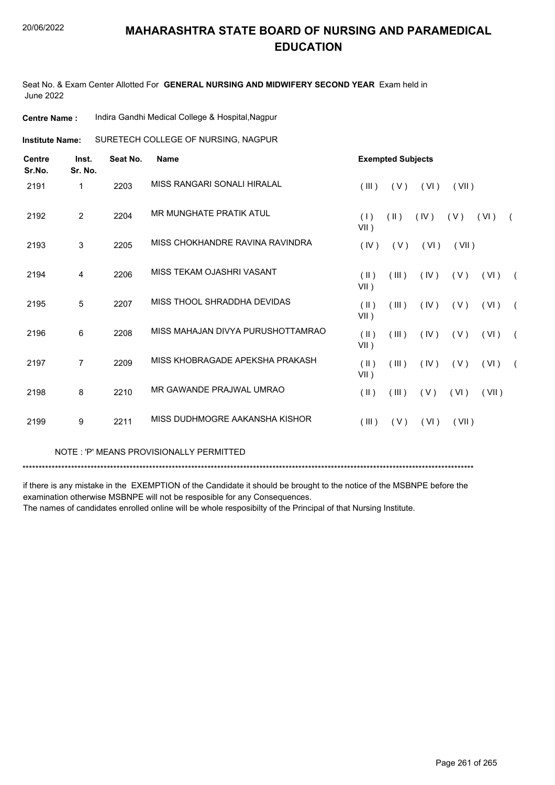Seat No. & Exam Center Allotted For **GENERAL NURSING AND MIDWIFERY SECOND YEAR** Exam held in June 2022

| <b>Centre Name :</b> |  | Indira Gandhi Medical College & Hospital, Nagpur |
|----------------------|--|--------------------------------------------------|
|----------------------|--|--------------------------------------------------|

**Institute Name:** SURETECH COLLEGE OF NURSING, NAGPUR

| <b>Centre</b><br>Sr.No. | Inst.<br>Sr. No. | Seat No. | <b>Name</b>                       |                          | <b>Exempted Subjects</b> |      |       |       |            |
|-------------------------|------------------|----------|-----------------------------------|--------------------------|--------------------------|------|-------|-------|------------|
| 2191                    | 1                | 2203     | MISS RANGARI SONALI HIRALAL       | (III)                    | (V)                      | (VI) | (VII) |       |            |
| 2192                    | $\overline{2}$   | 2204     | MR MUNGHATE PRATIK ATUL           | (1)<br>$VII$ )           | $(\parallel \parallel)$  | (IV) | (V)   | (VI)  | $\left($   |
| 2193                    | 3                | 2205     | MISS CHOKHANDRE RAVINA RAVINDRA   | (IV)                     | (V)                      | (VI) | (VII) |       |            |
| 2194                    | 4                | 2206     | MISS TEKAM OJASHRI VASANT         | (11)<br>$VII$ )          | (III)                    | (IV) | (V)   | (VI)  | $\sqrt{2}$ |
| 2195                    | 5                | 2207     | MISS THOOL SHRADDHA DEVIDAS       | (11)<br>VII)             | (III)                    | (IV) | (V)   | (VI)  | $\sqrt{2}$ |
| 2196                    | 6                | 2208     | MISS MAHAJAN DIVYA PURUSHOTTAMRAO | $(\parallel)$<br>$VII$ ) | (III)                    | (IV) | (V)   | (VI)  | $\sqrt{2}$ |
| 2197                    | $\overline{7}$   | 2209     | MISS KHOBRAGADE APEKSHA PRAKASH   | $($ II $)$<br>$VII$ )    | (III)                    | (IV) | (V)   | (VI)  | $\sqrt{2}$ |
| 2198                    | 8                | 2210     | MR GAWANDE PRAJWAL UMRAO          | $(\parallel)$            | (III)                    | (V)  | (VI)  | (VII) |            |
| 2199                    | 9                | 2211     | MISS DUDHMOGRE AAKANSHA KISHOR    | (III)                    | (V)                      | (VI) | (VII) |       |            |

NOTE : 'P' MEANS PROVISIONALLY PERMITTED

\*\*\*\*\*\*\*\*\*\*\*\*\*\*\*\*\*\*\*\*\*\*\*\*\*\*\*\*\*\*\*\*\*\*\*\*\*\*\*\*\*\*\*\*\*\*\*\*\*\*\*\*\*\*\*\*\*\*\*\*\*\*\*\*\*\*\*\*\*\*\*\*\*\*\*\*\*\*\*\*\*\*\*\*\*\*\*\*\*\*\*\*\*\*\*\*\*\*\*\*\*\*\*\*\*\*\*\*\*\*\*\*\*\*\*\*\*\*\*\*\*\*\*\*\*\*\*\*\*\*\*\*\*\*\*\*\*\*\*

if there is any mistake in the EXEMPTION of the Candidate it should be brought to the notice of the MSBNPE before the examination otherwise MSBNPE will not be resposible for any Consequences.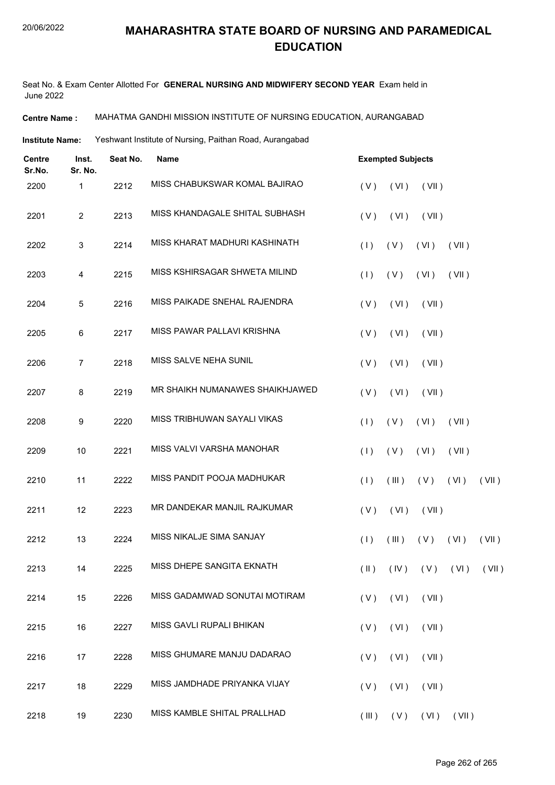Seat No. & Exam Center Allotted For **GENERAL NURSING AND MIDWIFERY SECOND YEAR** Exam held in June 2022

**Centre Name :** MAHATMA GANDHI MISSION INSTITUTE OF NURSING EDUCATION, AURANGABAD

**Institute Name:** Yeshwant Institute of Nursing, Paithan Road, Aurangabad

| <b>Centre</b><br>Sr.No. | Inst.<br>Sr. No. | Seat No. | Name                            |       | <b>Exempted Subjects</b> |                                    |       |       |  |  |  |
|-------------------------|------------------|----------|---------------------------------|-------|--------------------------|------------------------------------|-------|-------|--|--|--|
| 2200                    | 1                | 2212     | MISS CHABUKSWAR KOMAL BAJIRAO   | (V)   | (VI)                     | (VII)                              |       |       |  |  |  |
| 2201                    | $\overline{2}$   | 2213     | MISS KHANDAGALE SHITAL SUBHASH  | (V)   | (VI)                     | (VII)                              |       |       |  |  |  |
| 2202                    | $\mathbf{3}$     | 2214     | MISS KHARAT MADHURI KASHINATH   | (1)   | (V)                      | (VI)                               | (VII) |       |  |  |  |
| 2203                    | 4                | 2215     | MISS KSHIRSAGAR SHWETA MILIND   | (1)   | (V)                      | (VI)                               | (VII) |       |  |  |  |
| 2204                    | 5                | 2216     | MISS PAIKADE SNEHAL RAJENDRA    | (V)   | (VI)                     | (VII)                              |       |       |  |  |  |
| 2205                    | $\,6\,$          | 2217     | MISS PAWAR PALLAVI KRISHNA      | (V)   | (VI)                     | (VII)                              |       |       |  |  |  |
| 2206                    | $\overline{7}$   | 2218     | MISS SALVE NEHA SUNIL           | (V)   | (VI)                     | (VII)                              |       |       |  |  |  |
| 2207                    | 8                | 2219     | MR SHAIKH NUMANAWES SHAIKHJAWED | (V)   | (VI)                     | (VII)                              |       |       |  |  |  |
| 2208                    | 9                | 2220     | MISS TRIBHUWAN SAYALI VIKAS     | (1)   | (V)                      | (VI)                               | (VII) |       |  |  |  |
| 2209                    | 10               | 2221     | MISS VALVI VARSHA MANOHAR       | (1)   | (V)                      | (VI)                               | (VII) |       |  |  |  |
| 2210                    | 11               | 2222     | MISS PANDIT POOJA MADHUKAR      | (1)   | (III)                    | $(V)$ $(V)$                        |       | (VII) |  |  |  |
| 2211                    | 12               | 2223     | MR DANDEKAR MANJIL RAJKUMAR     | (V)   | (VI)                     | (VII)                              |       |       |  |  |  |
| 2212                    | 13               | 2224     | MISS NIKALJE SIMA SANJAY        | (1)   | $($ III $)$              | (V)                                | (VI)  | (VII) |  |  |  |
| 2213                    | 14               | 2225     | MISS DHEPE SANGITA EKNATH       |       |                          | $(II)$ $(IV)$ $(V)$ $(VI)$ $(VII)$ |       |       |  |  |  |
| 2214                    | 15               | 2226     | MISS GADAMWAD SONUTAI MOTIRAM   | (V)   | (VI)                     | (VII)                              |       |       |  |  |  |
| 2215                    | 16               | 2227     | MISS GAVLI RUPALI BHIKAN        | (V)   | (VI)                     | (VII)                              |       |       |  |  |  |
| 2216                    | 17               | 2228     | MISS GHUMARE MANJU DADARAO      | (V)   | (VI)                     | (VII)                              |       |       |  |  |  |
| 2217                    | 18               | 2229     | MISS JAMDHADE PRIYANKA VIJAY    | (V)   | (VI)                     | (VII)                              |       |       |  |  |  |
| 2218                    | 19               | 2230     | MISS KAMBLE SHITAL PRALLHAD     | (III) |                          | $(V)$ $(VI)$ $(VII)$               |       |       |  |  |  |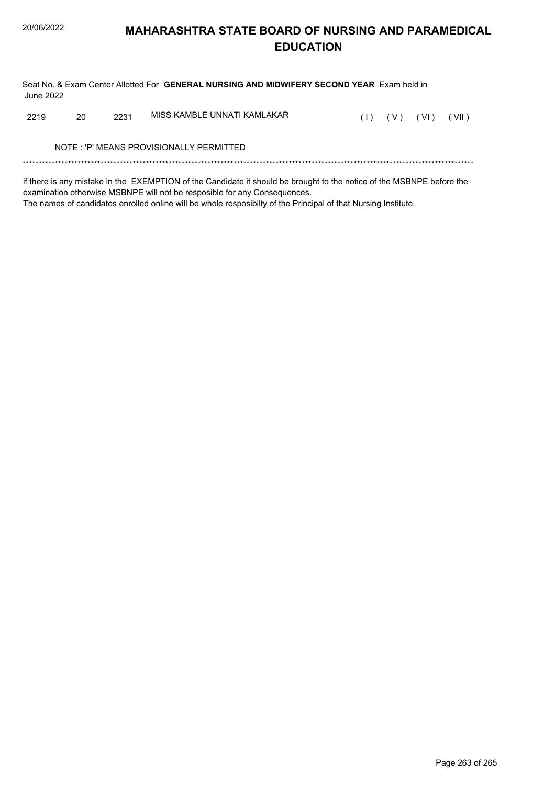Seat No. & Exam Center Allotted For **GENERAL NURSING AND MIDWIFERY SECOND YEAR** Exam held in June 2022

| 2219 | - 20 | 2231 | MISS KAMBLE UNNATI KAMLAKAR |  | $(1)$ $(V)$ $(VI)$ $(VII)$ |  |
|------|------|------|-----------------------------|--|----------------------------|--|
|      |      |      |                             |  |                            |  |

NOTE : 'P' MEANS PROVISIONALLY PERMITTED

\*\*\*\*\*\*\*\*\*\*\*\*\*\*\*\*\*\*\*\*\*\*\*\*\*\*\*\*\*\*\*\*\*\*\*\*\*\*\*\*\*\*\*\*\*\*\*\*\*\*\*\*\*\*\*\*\*\*\*\*\*\*\*\*\*\*\*\*\*\*\*\*\*\*\*\*\*\*\*\*\*\*\*\*\*\*\*\*\*\*\*\*\*\*\*\*\*\*\*\*\*\*\*\*\*\*\*\*\*\*\*\*\*\*\*\*\*\*\*\*\*\*\*\*\*\*\*\*\*\*\*\*\*\*\*\*\*\*\*

if there is any mistake in the EXEMPTION of the Candidate it should be brought to the notice of the MSBNPE before the examination otherwise MSBNPE will not be resposible for any Consequences. The names of candidates enrolled online will be whole resposibilty of the Principal of that Nursing Institute.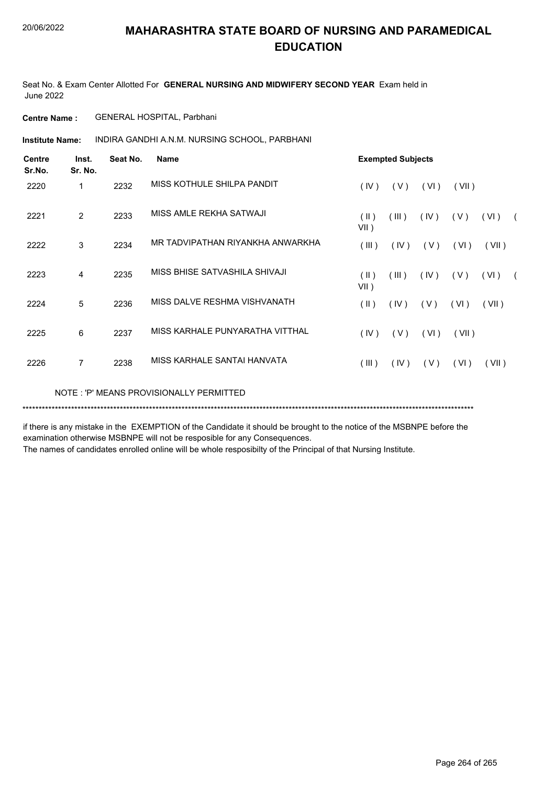Seat No. & Exam Center Allotted For **GENERAL NURSING AND MIDWIFERY SECOND YEAR** Exam held in June 2022

**Centre Name :** GENERAL HOSPITAL, Parbhani

**Institute Name: And IRA GANDHI A.N.M. NURSING SCHOOL, PARBHANI** 

| Centre<br>Sr.No. | Inst.<br>Sr. No. | Seat No. | Name                                    | <b>Exempted Subjects</b> |       |      |       |       |            |
|------------------|------------------|----------|-----------------------------------------|--------------------------|-------|------|-------|-------|------------|
| 2220             | 1                | 2232     | MISS KOTHULE SHILPA PANDIT              | (IV)                     | (V)   | (VI) | (VII) |       |            |
| 2221             | 2                | 2233     | MISS AMLE REKHA SATWAJI                 | $(\parallel)$<br>$VII$ ) | (III) | (IV) | (V)   | (VI)  | $\sqrt{2}$ |
| 2222             | 3                | 2234     | MR TADVIPATHAN RIYANKHA ANWARKHA        | (III)                    | (IV)  | (V)  | (VI)  | (VII) |            |
| 2223             | 4                | 2235     | MISS BHISE SATVASHILA SHIVAJI           | (11)<br>$VII$ )          | (III) | (IV) | (V)   | (VI)  | $\sqrt{2}$ |
| 2224             | 5                | 2236     | MISS DALVE RESHMA VISHVANATH            | $(\parallel)$            | (IV)  | (V)  | (VI)  | (VII) |            |
| 2225             | 6                | 2237     | MISS KARHALE PUNYARATHA VITTHAL         | (IV)                     | (V)   | (VI) | (VII) |       |            |
| 2226             | $\overline{7}$   | 2238     | MISS KARHALE SANTAI HANVATA             | (III)                    | (IV)  | (V)  | (VI)  | (VII) |            |
|                  |                  |          | NOTE: 'P' MEANS PROVISIONALLY PERMITTED |                          |       |      |       |       |            |

\*\*\*\*\*\*\*\*\*\*\*\*\*\*\*\*\*\*\*\*\*\*\*\*\*\*\*\*\*\*\*\*\*\*\*\*\*\*\*\*\*\*\*\*\*\*\*\*\*\*\*\*\*\*\*\*\*\*\*\*\*\*\*\*\*\*\*\*\*\*\*\*\*\*\*\*\*\*\*\*\*\*\*\*\*\*\*\*\*\*\*\*\*\*\*\*\*\*\*\*\*\*\*\*\*\*\*\*\*\*\*\*\*\*\*\*\*\*\*\*\*\*\*\*\*\*\*\*\*\*\*\*\*\*\*\*\*\*\*

if there is any mistake in the EXEMPTION of the Candidate it should be brought to the notice of the MSBNPE before the examination otherwise MSBNPE will not be resposible for any Consequences.